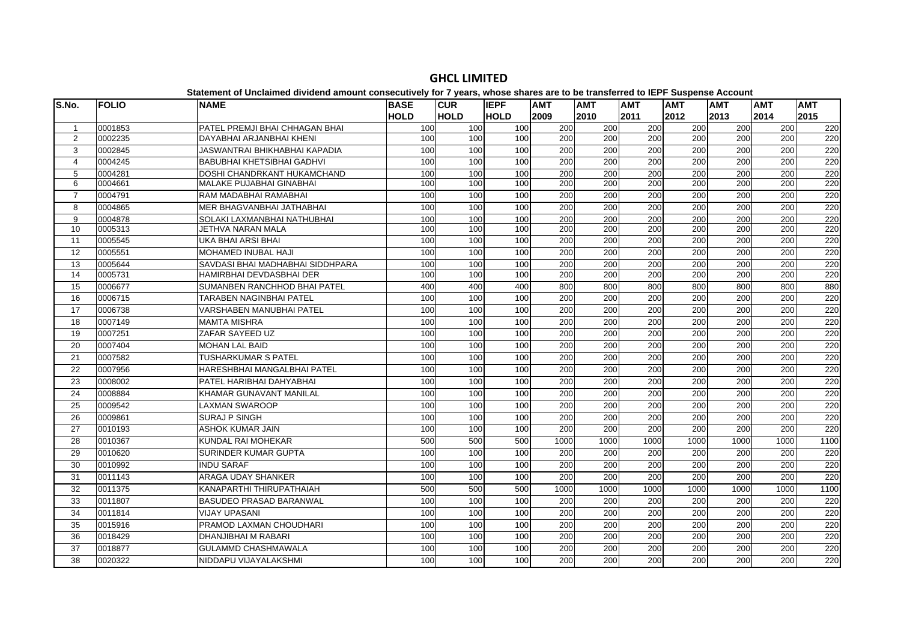| <b>CUR</b><br><b>IEPF</b><br>lS.No.<br><b>FOLIO</b><br><b>NAME</b><br><b>BASE</b><br><b>AMT</b><br><b>AMT</b><br><b>AMT</b><br><b>AMT</b><br><b>HOLD</b><br><b>HOLD</b><br><b>HOLD</b><br>2009<br>2012<br>2010<br>2011<br>0001853<br>PATEL PREMJI BHAI CHHAGAN BHAI<br>100<br>100<br>200<br>200<br>200<br>200<br>100<br>$\mathbf{1}$<br>200<br>2<br>0002235<br>DAYABHAI ARJANBHAI KHENI<br>100<br>100<br>200<br>200<br>200<br>100<br>200<br>3<br>100<br>200<br>200<br>$\overline{200}$<br>0002845<br>JASWANTRAI BHIKHABHAI KAPADIA<br>100<br>100<br>0004245<br><b>BABUBHAI KHETSIBHAI GADHVI</b><br>100<br>200<br>200<br>200<br>200<br>$\overline{4}$<br>100<br>100<br>DOSHI CHANDRKANT HUKAMCHAND<br>$\overline{200}$<br>$\overline{200}$<br>5<br>0004281<br>100<br>100<br>100<br>200<br>200 | <b>AMT</b><br>2013<br>200<br>200<br>$\overline{200}$<br>$\overline{200}$<br>200<br>200<br>200 | <b>AMT</b><br>2014<br>200<br>200<br>200<br>200<br>200<br>200 | <b>AMT</b><br>2015<br>220<br>220<br>220<br>220<br>220 |
|-----------------------------------------------------------------------------------------------------------------------------------------------------------------------------------------------------------------------------------------------------------------------------------------------------------------------------------------------------------------------------------------------------------------------------------------------------------------------------------------------------------------------------------------------------------------------------------------------------------------------------------------------------------------------------------------------------------------------------------------------------------------------------------------------|-----------------------------------------------------------------------------------------------|--------------------------------------------------------------|-------------------------------------------------------|
|                                                                                                                                                                                                                                                                                                                                                                                                                                                                                                                                                                                                                                                                                                                                                                                               |                                                                                               |                                                              |                                                       |
|                                                                                                                                                                                                                                                                                                                                                                                                                                                                                                                                                                                                                                                                                                                                                                                               |                                                                                               |                                                              |                                                       |
|                                                                                                                                                                                                                                                                                                                                                                                                                                                                                                                                                                                                                                                                                                                                                                                               |                                                                                               |                                                              |                                                       |
|                                                                                                                                                                                                                                                                                                                                                                                                                                                                                                                                                                                                                                                                                                                                                                                               |                                                                                               |                                                              |                                                       |
|                                                                                                                                                                                                                                                                                                                                                                                                                                                                                                                                                                                                                                                                                                                                                                                               |                                                                                               |                                                              |                                                       |
|                                                                                                                                                                                                                                                                                                                                                                                                                                                                                                                                                                                                                                                                                                                                                                                               |                                                                                               |                                                              |                                                       |
| 6<br>MALAKE PUJABHAI GINABHAI<br>100<br>100<br>200<br>200<br>200<br>200<br>0004661<br>100                                                                                                                                                                                                                                                                                                                                                                                                                                                                                                                                                                                                                                                                                                     |                                                                                               |                                                              | 220                                                   |
| 200<br>200<br>$\overline{7}$<br>100<br>100<br>200<br>200<br>0004791<br>RAM MADABHAI RAMABHAI<br>100                                                                                                                                                                                                                                                                                                                                                                                                                                                                                                                                                                                                                                                                                           |                                                                                               | 200                                                          | 220                                                   |
| 0004865<br>MER BHAGVANBHAI JATHABHAI<br>200<br>200<br>200<br>200<br>8<br>100<br>100<br>100                                                                                                                                                                                                                                                                                                                                                                                                                                                                                                                                                                                                                                                                                                    | 200                                                                                           | 200                                                          | 220                                                   |
| SOLAKI LAXMANBHAI NATHUBHAI<br>0004878<br>100<br>100<br>200<br>200<br>200<br>200<br>9<br>100                                                                                                                                                                                                                                                                                                                                                                                                                                                                                                                                                                                                                                                                                                  | 200                                                                                           | 200                                                          | 220                                                   |
| 200<br>10<br>0005313<br>JETHVA NARAN MALA<br>100<br>100<br>200<br>200<br>200<br>100                                                                                                                                                                                                                                                                                                                                                                                                                                                                                                                                                                                                                                                                                                           | 200                                                                                           | 200                                                          | 220                                                   |
| 200<br>200<br>200<br>11<br>0005545<br>UKA BHAI ARSI BHAI<br>100<br>100<br>100<br>200                                                                                                                                                                                                                                                                                                                                                                                                                                                                                                                                                                                                                                                                                                          | 200                                                                                           | 200                                                          | 220                                                   |
| 200<br>$\overline{12}$<br>0005551<br>MOHAMED INUBAL HAJI<br>100<br>200<br>200<br>200<br>100<br>100                                                                                                                                                                                                                                                                                                                                                                                                                                                                                                                                                                                                                                                                                            | $\overline{200}$                                                                              | 200                                                          | 220                                                   |
| 0005644<br>SAVDASI BHAI MADHABHAI SIDDHPARA<br>100<br>200<br>200<br>200<br>200<br>13<br>100<br>100                                                                                                                                                                                                                                                                                                                                                                                                                                                                                                                                                                                                                                                                                            | 200                                                                                           | 200                                                          | 220                                                   |
| 200<br>14<br>0005731<br>HAMIRBHAI DEVDASBHAI DER<br>100<br>100<br>100<br>200<br>200<br>200                                                                                                                                                                                                                                                                                                                                                                                                                                                                                                                                                                                                                                                                                                    | 200                                                                                           | 200                                                          | 220                                                   |
| SUMANBEN RANCHHOD BHAI PATEL<br>800<br>800<br>15<br>0006677<br>400<br>400<br>800<br>800<br>400                                                                                                                                                                                                                                                                                                                                                                                                                                                                                                                                                                                                                                                                                                | 800                                                                                           | 800                                                          | 880                                                   |
| 200<br>200<br>16<br>0006715<br>100<br>100<br>100<br>200<br>200<br>TARABEN NAGINBHAI PATEL                                                                                                                                                                                                                                                                                                                                                                                                                                                                                                                                                                                                                                                                                                     | 200                                                                                           | 200                                                          | 220                                                   |
| <b>VARSHABEN MANUBHAI PATEL</b><br>200<br>200<br>200<br>17<br>0006738<br>100<br>100<br>100<br>200                                                                                                                                                                                                                                                                                                                                                                                                                                                                                                                                                                                                                                                                                             | 200                                                                                           | 200                                                          | 220                                                   |
| 18<br>0007149<br><b>MAMTA MISHRA</b><br>100<br>200<br>200<br>200<br>200<br>100<br>100                                                                                                                                                                                                                                                                                                                                                                                                                                                                                                                                                                                                                                                                                                         | 200                                                                                           | 200                                                          | 220                                                   |
| 100<br>200<br>200<br>200<br>$\overline{200}$<br>19<br>0007251<br>ZAFAR SAYEED UZ<br>100<br>100                                                                                                                                                                                                                                                                                                                                                                                                                                                                                                                                                                                                                                                                                                | 200                                                                                           | 200                                                          | 220                                                   |
| 0007404<br>200<br>200<br>$\overline{200}$<br>$\overline{200}$<br>20<br><b>MOHAN LAL BAID</b><br>100<br>100<br>100                                                                                                                                                                                                                                                                                                                                                                                                                                                                                                                                                                                                                                                                             | 200                                                                                           | 200                                                          | 220                                                   |
| 200<br>0007582<br>TUSHARKUMAR S PATEL<br>200<br>200<br>200<br>21<br>100<br>100<br>100                                                                                                                                                                                                                                                                                                                                                                                                                                                                                                                                                                                                                                                                                                         | 200                                                                                           | 200                                                          | 220                                                   |
| 100<br>200<br>200<br>$\overline{200}$<br>200<br>22<br>0007956<br>HARESHBHAI MANGALBHAI PATEL<br>100<br>100                                                                                                                                                                                                                                                                                                                                                                                                                                                                                                                                                                                                                                                                                    | $\overline{200}$                                                                              | 200                                                          | 220                                                   |
| 200<br>200<br>23<br>0008002<br>PATEL HARIBHAI DAHYABHAI<br>100<br>100<br>200<br>200<br>100                                                                                                                                                                                                                                                                                                                                                                                                                                                                                                                                                                                                                                                                                                    | 200                                                                                           | 200                                                          | 220                                                   |
| 24<br>0008884<br><b>KHAMAR GUNAVANT MANILAL</b><br>200<br>200<br>200<br>100<br>100<br>100<br>200                                                                                                                                                                                                                                                                                                                                                                                                                                                                                                                                                                                                                                                                                              | 200                                                                                           | 200                                                          | 220                                                   |
| 25<br>0009542<br><b>LAXMAN SWAROOP</b><br>100<br>200<br>200<br>200<br>200<br>100<br>100                                                                                                                                                                                                                                                                                                                                                                                                                                                                                                                                                                                                                                                                                                       | 200                                                                                           | 200                                                          | 220                                                   |
| 26<br>0009861<br><b>SURAJ P SINGH</b><br>100<br>200<br>200<br>200<br>200<br>100<br>100                                                                                                                                                                                                                                                                                                                                                                                                                                                                                                                                                                                                                                                                                                        | 200                                                                                           | 200                                                          | 220                                                   |
| $\overline{200}$<br>27<br>0010193<br><b>ASHOK KUMAR JAIN</b><br>100<br>100<br>200<br>200<br>200<br>100                                                                                                                                                                                                                                                                                                                                                                                                                                                                                                                                                                                                                                                                                        | 200                                                                                           | 200                                                          | 220                                                   |
| 0010367<br>KUNDAL RAI MOHEKAR<br>1000<br>1000<br>1000<br>1000<br>28<br>500<br>500<br>500                                                                                                                                                                                                                                                                                                                                                                                                                                                                                                                                                                                                                                                                                                      | 1000                                                                                          | 1000                                                         | 1100                                                  |
| 100<br>200<br>$\overline{200}$<br>200<br>200<br>29<br>0010620<br><b>SURINDER KUMAR GUPTA</b><br>100<br>100                                                                                                                                                                                                                                                                                                                                                                                                                                                                                                                                                                                                                                                                                    | $\overline{200}$                                                                              | 200                                                          | 220                                                   |
| 200<br>0010992<br><b>INDU SARAF</b><br>100<br>100<br>200<br>200<br>200<br>30<br>100                                                                                                                                                                                                                                                                                                                                                                                                                                                                                                                                                                                                                                                                                                           | 200                                                                                           | 200                                                          | 220                                                   |
| 0011143<br><b>ARAGA UDAY SHANKER</b><br>200<br>200<br>200<br>200<br>31<br>100<br>100<br>100                                                                                                                                                                                                                                                                                                                                                                                                                                                                                                                                                                                                                                                                                                   | 200                                                                                           | 200                                                          | 220                                                   |
| 0011375<br>KANAPARTHI THIRUPATHAIAH<br>500<br>1000<br>1000<br>1000<br>1000<br>32<br>500<br>500                                                                                                                                                                                                                                                                                                                                                                                                                                                                                                                                                                                                                                                                                                | 1000                                                                                          | 1000                                                         | 1100                                                  |
| 0011807<br><b>BASUDEO PRASAD BARANWAL</b><br>200<br>200<br>200<br>33<br>100<br>100<br>100<br>200                                                                                                                                                                                                                                                                                                                                                                                                                                                                                                                                                                                                                                                                                              | 200                                                                                           | 200                                                          | 220                                                   |
| 34<br>0011814<br><b>VIJAY UPASANI</b><br>100<br>200<br>200<br>200<br>200<br>100<br>100                                                                                                                                                                                                                                                                                                                                                                                                                                                                                                                                                                                                                                                                                                        | 200                                                                                           | 200                                                          | 220                                                   |
| 200<br>35<br>0015916<br>PRAMOD LAXMAN CHOUDHARI<br>200<br>200<br>200<br>100<br>100<br>100                                                                                                                                                                                                                                                                                                                                                                                                                                                                                                                                                                                                                                                                                                     | 200                                                                                           | 200                                                          | 220                                                   |
| 200<br>100<br>200<br>200<br>36<br>0018429<br>DHANJIBHAI M RABARI<br>100<br>100<br>200                                                                                                                                                                                                                                                                                                                                                                                                                                                                                                                                                                                                                                                                                                         | $\overline{200}$                                                                              | 200                                                          | 220                                                   |
| 0018877<br><b>GULAMMD CHASHMAWALA</b><br>200<br>200<br>$\overline{200}$<br>$\overline{200}$<br>37<br>100<br>100<br>100                                                                                                                                                                                                                                                                                                                                                                                                                                                                                                                                                                                                                                                                        | $\overline{200}$                                                                              | 200                                                          | 220                                                   |
| 38<br>NIDDAPU VIJAYALAKSHMI<br>200<br>200<br>200<br>0020322<br>100<br>100<br>100<br>200                                                                                                                                                                                                                                                                                                                                                                                                                                                                                                                                                                                                                                                                                                       | $\overline{200}$                                                                              | 200                                                          | 220                                                   |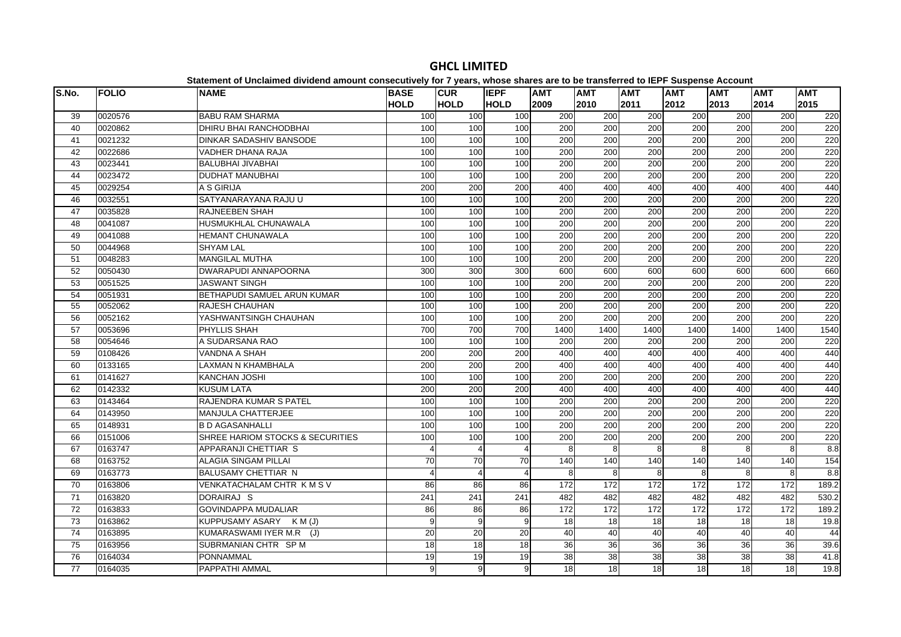| S.No.           | <b>FOLIO</b> | <b>NAME</b>                      | <b>BASE</b>      | <b>CUR</b>       | <b>IEPF</b>    | <b>AMT</b>       | <b>AMT</b>       | <b>AMT</b>       | <b>AMT</b>       | <b>AMT</b> | <b>AMT</b> | <b>AMT</b> |
|-----------------|--------------|----------------------------------|------------------|------------------|----------------|------------------|------------------|------------------|------------------|------------|------------|------------|
|                 |              |                                  | <b>HOLD</b>      | <b>HOLD</b>      | <b>HOLD</b>    | 2009             | 2010             | 2011             | 2012             | 2013       | 2014       | 2015       |
| 39              | 0020576      | <b>BABU RAM SHARMA</b>           | 100              | 100              | 100            | 200              | 200              | 200              | 200              | 200        | 200        | 220        |
| 40              | 0020862      | <b>DHIRU BHAI RANCHODBHAI</b>    | 100              | 100              | 100            | 200              | $\overline{200}$ | $\overline{200}$ | 200              | 200        | 200        | 220        |
| 41              | 0021232      | <b>DINKAR SADASHIV BANSODE</b>   | 100              | 100              | 100            | 200              | 200              | 200              | 200              | 200        | 200        | 220        |
| 42              | 0022686      | VADHER DHANA RAJA                | 100              | 100              | 100            | 200              | 200              | 200              | 200              | 200        | 200        | 220        |
| 43              | 0023441      | BALUBHAI JIVABHAI                | 100              | 100              | 100            | 200              | 200              | 200              | 200              | 200        | 200        | 220        |
| 44              | 0023472      | <b>DUDHAT MANUBHAI</b>           | 100              | 100              | 100            | $\overline{200}$ | $\overline{200}$ | $\overline{200}$ | 200              | 200        | 200        | 220        |
| 45              | 0029254      | A S GIRIJA                       | 200              | 200              | 200            | 400              | 400              | 400              | 400              | 400        | 400        | 440        |
| 46              | 0032551      | SATYANARAYANA RAJU U             | 100              | 100              | 100            | 200              | 200              | 200              | 200              | 200        | 200        | 220        |
| 47              | 0035828      | <b>RAJNEEBEN SHAH</b>            | 100              | 100              | 100            | 200              | 200              | 200              | 200              | 200        | 200        | 220        |
| 48              | 0041087      | HUSMUKHLAL CHUNAWALA             | 100              | 100              | 100            | 200              | 200              | 200              | 200              | 200        | 200        | 220        |
| 49              | 0041088      | HEMANT CHUNAWALA                 | 100              | 100              | 100            | 200              | 200              | 200              | 200              | 200        | 200        | 220        |
| 50              | 0044968      | <b>SHYAM LAL</b>                 | 100              | 100              | 100            | 200              | 200              | 200              | 200              | 200        | 200        | 220        |
| 51              | 0048283      | <b>MANGILAL MUTHA</b>            | 100              | 100              | 100            | 200              | 200              | 200              | 200              | 200        | 200        | 220        |
| 52              | 0050430      | <b>DWARAPUDI ANNAPOORNA</b>      | 300              | 300              | 300            | 600              | 600              | 600              | 600              | 600        | 600        | 660        |
| $\overline{53}$ | 0051525      | <b>JASWANT SINGH</b>             | 100              | 100              | 100            | $\overline{200}$ | 200              | 200              | 200              | 200        | 200        | 220        |
| 54              | 0051931      | BETHAPUDI SAMUEL ARUN KUMAR      | 100              | 100              | 100            | 200              | 200              | 200              | 200              | 200        | 200        | 220        |
| 55              | 0052062      | <b>RAJESH CHAUHAN</b>            | 100              | 100              | 100            | 200              | 200              | 200              | 200              | 200        | 200        | 220        |
| 56              | 0052162      | YASHWANTSINGH CHAUHAN            | 100              | 100              | 100            | 200              | 200              | 200              | 200              | 200        | 200        | 220        |
| 57              | 0053696      | PHYLLIS SHAH                     | 700              | 700              | 700            | 1400             | 1400             | 1400             | 1400             | 1400       | 1400       | 1540       |
| 58              | 0054646      | A SUDARSANA RAO                  | 100              | 100              | 100            | 200              | 200              | 200              | 200              | 200        | 200        | 220        |
| 59              | 0108426      | VANDNA A SHAH                    | 200              | 200              | 200            | 400              | 400              | 400              | 400              | 400        | 400        | 440        |
| 60              | 0133165      | <b>LAXMAN N KHAMBHALA</b>        | 200              | $\overline{200}$ | 200            | 400              | 400              | 400              | 400              | 400        | 400        | 440        |
| 61              | 0141627      | <b>KANCHAN JOSHI</b>             | 100              | 100              | 100            | 200              | 200              | 200              | 200              | 200        | 200        | 220        |
| 62              | 0142332      | <b>KUSUM LATA</b>                | 200              | 200              | 200            | 400              | 400              | 400              | 400              | 400        | 400        | 440        |
| 63              | 0143464      | RAJENDRA KUMAR S PATEL           | 100              | 100              | 100            | 200              | 200              | 200              | 200              | 200        | 200        | 220        |
| 64              | 0143950      | <b>MANJULA CHATTERJEE</b>        | 100              | 100              | 100            | 200              | 200              | 200              | 200              | 200        | 200        | 220        |
| 65              | 0148931      | <b>B D AGASANHALLI</b>           | 100              | 100              | 100            | 200              | 200              | 200              | 200              | 200        | 200        | 220        |
| 66              | 0151006      | SHREE HARIOM STOCKS & SECURITIES | 100              | 100              | 100            | 200              | 200              | 200              | 200              | 200        | 200        | 220        |
| 67              | 0163747      | APPARANJI CHETTIAR S             | 4                | $\overline{4}$   | 4              | 8                | $\mathsf{R}$     | 8                | 8                | 8          | 8          | 8.8        |
| 68              | 0163752      | <b>ALAGIA SINGAM PILLAI</b>      | 70               | 70               | 70             | 140              | 140              | 140              | 140              | 140        | 140        | 154        |
| 69              | 0163773      | BALUSAMY CHETTIAR N              | $\overline{4}$   | $\overline{4}$   | $\overline{4}$ | 8                | 8                | 8                | 8                | 8          | 8          | 8.8        |
| 70              | 0163806      | VENKATACHALAM CHTR KMSV          | 86               | 86               | 86             | 172              | 172              | 172              | $\overline{172}$ | 172        | 172        | 189.2      |
| 71              | 0163820      | DORAIRAJ S                       | $\overline{241}$ | 241              | 241            | 482              | 482              | 482              | 482              | 482        | 482        | 530.2      |
| 72              | 0163833      | <b>GOVINDAPPA MUDALIAR</b>       | 86               | 86               | 86             | 172              | 172              | 172              | 172              | 172        | 172        | 189.2      |
| 73              | 0163862      | KUPPUSAMY ASARY K M (J)          | 9                | 9                | 9              | 18               | 18               | 18               | 18               | 18         | 18         | 19.8       |
| 74              | 0163895      | KUMARASWAMI IYER M.R (J)         | 20               | 20               | 20             | 40               | 40               | 40               | 40               | 40         | 40         | 44         |
| 75              | 0163956      | SUBRMANIAN CHTR SP M             | 18               | 18               | 18             | 36               | 36               | 36               | 36               | 36         | 36         | 39.6       |
| 76              | 0164034      | <b>PONNAMMAL</b>                 | 19               | 19               | 19             | 38               | 38               | 38               | 38               | 38         | 38         | 41.8       |
| 77              | 0164035      | PAPPATHI AMMAL                   | 9                | 9                | 9              | 18               | 18               | 18               | 18               | 18         | 18         | 19.8       |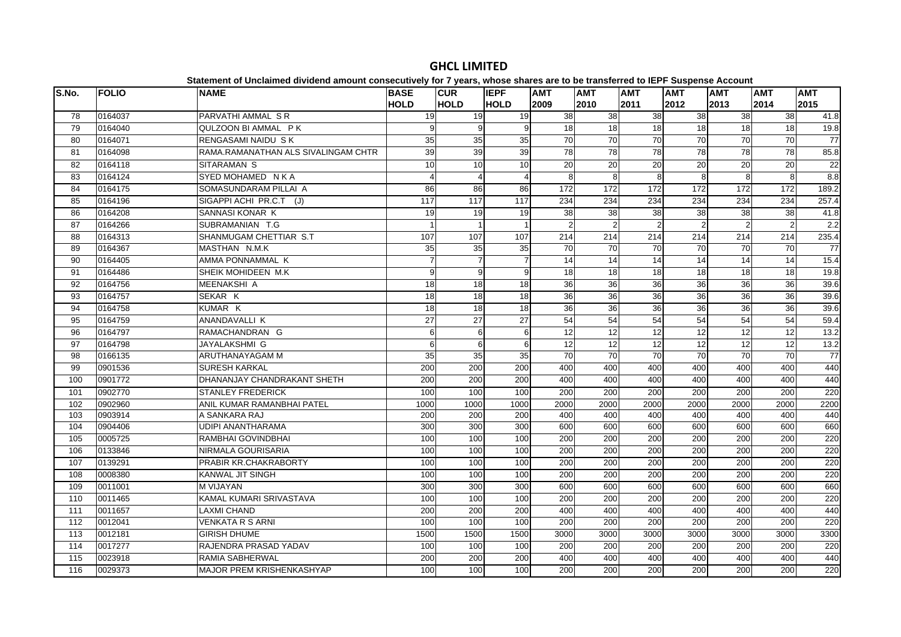#### **S.No. FOLIO NAME BASE HOLDCUR HOLDIEPF HOLDAMT AMT AMT AMT AMT AMT AMT**  0164037 PARVATHI AMMAL S R 19 19 19 38 38 38 38 38 38 41.8 0164040 QULZOON BI AMMAL P K 9 9 9 18 18 18 18 18 18 19.880 0164071 RENGASAMI NAIDU SK 35 35 35 35 70 70 70 70 70 70 70 7 0164098 RAMA.RAMANATHAN ALS SIVALINGAM CHTR 39 39 39 78 78 78 78 78 78 85.8 0164118 SITARAMAN S 10 10 10 20 20 20 20 20 20 22 0164124 SYED MOHAMED N K A 4 44 4 8 8 8 8 8 8 8 8 8.8 0164175 SOMASUNDARAM PILLAI A 86 86 86 172 172 172 172 172 172 189.2 0164196 SIGAPPI ACHI PR.C.T (J) 117 117 117 234 234 234 234 234 234 257.4 0164208 SANNASI KONAR K 19 19 19 38 38 38 38 38 38 41.887 0164266 SUBRAMANIAN T.G 1 1 2 2 2 2 2 2 2 2 2 88 0164313 SHANMUGAM CHETTIAR S.T 107 107 107 107 214 214 214 214 214 214 215.4 0164367 MASTHAN N.M.K 35 35 35 70 70 70 70 70 70 77 0164405 AMMA PONNAMMAL K 7 7 7 14 14 14 14 14 14 15.4 0164486 SHEIK MOHIDEEN M.K 9 9 9 18 18 18 18 18 18 19.819.8 0164756 MEENAKSHI A 18 18 18 36 36 36 36 36 36 39.6 0164757 SEKAR K 18 18 18 36 36 36 36 36 36 39.6 0164758 KUMAR K 18 18 18 36 36 36 36 36 36 39.6 0164759 ANANDAVALLI K 27 27 27 54 54 54 54 54 54 59.4 0164797 RAMACHANDRAN G 6 6 6 12 12 12 12 12 12 13.2 0164798 JAYALAKSHMI G 6 6 6 12 12 12 12 12 12 13.2 0166135 ARUTHANAYAGAM M 35 35 35 70 70 70 70 70 70 77 0901536 SURESH KARKAL 200 200 200 400 400 400 400 400 400 440 0901772 DHANANJAY CHANDRAKANT SHETH 200 200 200 400 400 400 400 400 400 440 0902770 STANLEY FREDERICK 100 100 100 200 200 200 200 200 200 220 0902960 ANIL KUMAR RAMANBHAI PATEL 1000 1000 1000 2000 2000 2000 2000 2000 2000 2200 0903914 A SANKARA RAJ 200 200 200 400 400 400 400 400 400 440 0904406 UDIPI ANANTHARAMA 300 300 300 600 600 600 600 600 600 660 0005725 RAMBHAI GOVINDBHAI 100 100 100 200 200 200 200 200 200 220106 |0133846 |NIRMALA GOURISARIA | 100| 100| 100| 200| 200| 200| 200| 200| 200 0139291 PRABIR KR.CHAKRABORTY 100 100 100 200 200 200 200 200 200 220 0008380 KANWAL JIT SINGH 100 100 100 200 200 200 200 200 200 220 0011001 M VIJAYAN 300 300 300 600 600 600 600 600 600 660 0011465 KAMAL KUMARI SRIVASTAVA 100 100 100 200 200 200 200 200 200 220 0011657 LAXMI CHAND 200 200 200 400 400 400 400 400 400 440 0012041 VENKATA R S ARNI 100 100 100 200 200 200 200 200 200 220 0012181 GIRISH DHUME 1500 1500 1500 3000 3000 3000 3000 3000 3000 3300 0017277 RAJENDRA PRASAD YADAV 100 100 100 200 200 200 200 200 200 220 0023918 RAMIA SABHERWAL 200 200 200 400 400 400 400 400 400 4400029373 MAJOR PREM KRISHENKASHYAP 100 100 100 200 200 200 200 200 200 220

## **GHCL LIMITED**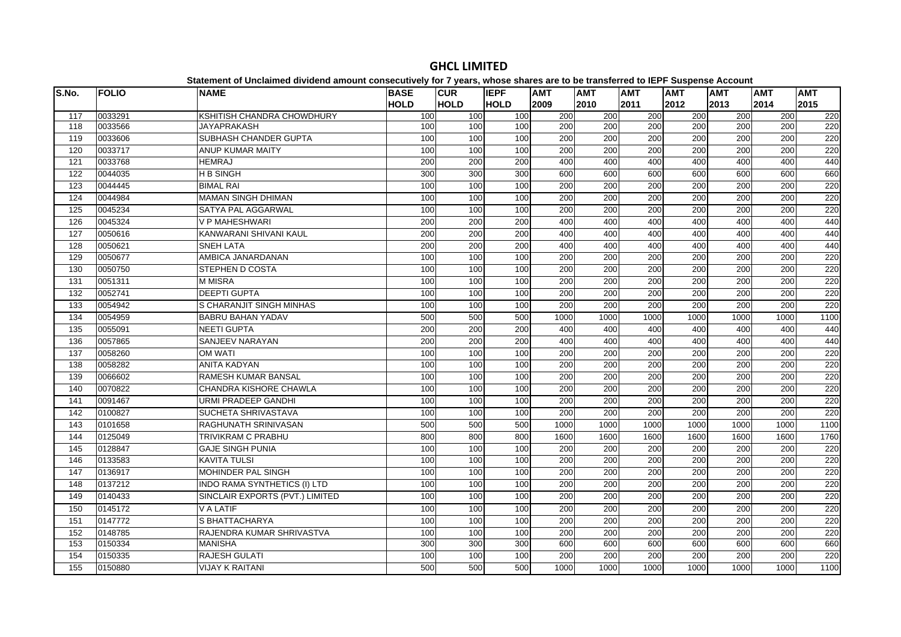| S.No.            | <b>FOLIO</b> | <b>NAME</b>                         | <b>BASE</b> | <b>CUR</b>  | <b>IEPF</b> | <b>AMT</b> | <b>AMT</b>       | <b>AMT</b>       | <b>AMT</b>       | <b>AMT</b> | <b>AMT</b> | <b>AMT</b> |
|------------------|--------------|-------------------------------------|-------------|-------------|-------------|------------|------------------|------------------|------------------|------------|------------|------------|
|                  |              |                                     | <b>HOLD</b> | <b>HOLD</b> | <b>HOLD</b> | 2009       | 2010             | 2011             | 2012             | 2013       | 2014       | 2015       |
| 117              | 0033291      | KSHITISH CHANDRA CHOWDHURY          | 100         | 100         | 100         | 200        | 200              | 200              | 200              | 200        | 200        | 220        |
| 118              | 0033566      | <b>JAYAPRAKASH</b>                  | 100         | 100         | 100         | 200        | 200              | 200              | 200              | 200        | 200        | 220        |
| 119              | 0033606      | SUBHASH CHANDER GUPTA               | 100         | 100         | 100         | 200        | 200              | 200              | $\overline{200}$ | 200        | 200        | 220        |
| 120              | 0033717      | <b>ANUP KUMAR MAITY</b>             | 100         | 100         | 100         | 200        | 200              | 200              | $\overline{200}$ | 200        | 200        | 220        |
| $\overline{121}$ | 0033768      | <b>HEMRAJ</b>                       | 200         | 200         | 200         | 400        | 400              | 400              | 400              | 400        | 400        | 440        |
| 122              | 0044035      | <b>H B SINGH</b>                    | 300         | 300         | 300         | 600        | 600              | 600              | 600              | 600        | 600        | 660        |
| 123              | 0044445      | <b>BIMAL RAI</b>                    | 100         | 100         | 100         | 200        | $\overline{200}$ | 200              | $\overline{200}$ | 200        | 200        | 220        |
| 124              | 0044984      | <b>MAMAN SINGH DHIMAN</b>           | 100         | 100         | 100         | 200        | $\overline{200}$ | 200              | 200              | 200        | 200        | 220        |
| 125              | 0045234      | SATYA PAL AGGARWAL                  | 100         | 100         | 100         | 200        | 200              | 200              | 200              | 200        | 200        | 220        |
| 126              | 0045324      | V P MAHESHWARI                      | 200         | 200         | 200         | 400        | 400              | 400              | 400              | 400        | 400        | 440        |
| 127              | 0050616      | KANWARANI SHIVANI KAUL              | 200         | 200         | 200         | 400        | 400              | 400              | 400              | 400        | 400        | 440        |
| 128              | 0050621      | <b>SNEH LATA</b>                    | 200         | 200         | 200         | 400        | 400              | 400              | 400              | 400        | 400        | 440        |
| 129              | 0050677      | AMBICA JANARDANAN                   | 100         | 100         | 100         | 200        | 200              | 200              | 200              | 200        | 200        | 220        |
| 130              | 0050750      | <b>STEPHEN D COSTA</b>              | 100         | 100         | 100         | 200        | 200              | 200              | 200              | 200        | 200        | 220        |
| 131              | 0051311      | <b>M MISRA</b>                      | 100         | 100         | 100         | 200        | 200              | 200              | 200              | 200        | 200        | 220        |
| 132              | 0052741      | <b>DEEPTI GUPTA</b>                 | 100         | 100         | 100         | 200        | 200              | $\overline{200}$ | 200              | 200        | 200        | 220        |
| 133              | 0054942      | S CHARANJIT SINGH MINHAS            | 100         | 100         | 100         | 200        | 200              | 200              | $\overline{200}$ | 200        | 200        | 220        |
| 134              | 0054959      | <b>BABRU BAHAN YADAV</b>            | 500         | 500         | 500         | 1000       | 1000             | 1000             | 1000             | 1000       | 1000       | 1100       |
| 135              | 0055091      | <b>NEETI GUPTA</b>                  | 200         | 200         | 200         | 400        | 400              | 400              | 400              | 400        | 400        | 440        |
| 136              | 0057865      | <b>SANJEEV NARAYAN</b>              | 200         | 200         | 200         | 400        | 400              | 400              | 400              | 400        | 400        | 440        |
| 137              | 0058260      | <b>OM WATI</b>                      | 100         | 100         | 100         | 200        | 200              | 200              | $\overline{200}$ | 200        | 200        | 220        |
| 138              | 0058282      | <b>ANITA KADYAN</b>                 | 100         | 100         | 100         | 200        | $\overline{200}$ | 200              | $\overline{200}$ | 200        | 200        | 220        |
| 139              | 0066602      | RAMESH KUMAR BANSAL                 | 100         | 100         | 100         | 200        | 200              | 200              | 200              | 200        | 200        | 220        |
| 140              | 0070822      | CHANDRA KISHORE CHAWLA              | 100         | 100         | 100         | 200        | 200              | 200              | 200              | 200        | 200        | 220        |
| 141              | 0091467      | URMI PRADEEP GANDHI                 | 100         | 100         | 100         | 200        | 200              | 200              | $\overline{200}$ | 200        | 200        | 220        |
| 142              | 0100827      | SUCHETA SHRIVASTAVA                 | 100         | 100         | 100         | 200        | 200              | 200              | $\overline{200}$ | 200        | 200        | 220        |
| 143              | 0101658      | RAGHUNATH SRINIVASAN                | 500         | 500         | 500         | 1000       | 1000             | 1000             | 1000             | 1000       | 1000       | 1100       |
| 144              | 0125049      | <b>TRIVIKRAM C PRABHU</b>           | 800         | 800         | 800         | 1600       | 1600             | 1600             | 1600             | 1600       | 1600       | 1760       |
| 145              | 0128847      | <b>GAJE SINGH PUNIA</b>             | 100         | 100         | 100         | 200        | 200              | 200              | 200              | 200        | 200        | 220        |
| 146              | 0133583      | <b>KAVITA TULSI</b>                 | 100         | 100         | 100         | 200        | 200              | 200              | $\overline{200}$ | 200        | 200        | 220        |
| 147              | 0136917      | MOHINDER PAL SINGH                  | 100         | 100         | 100         | 200        | 200              | 200              | 200              | 200        | 200        | 220        |
| 148              | 0137212      | <b>INDO RAMA SYNTHETICS (I) LTD</b> | 100         | 100         | 100         | 200        | 200              | 200              | 200              | 200        | 200        | 220        |
| 149              | 0140433      | SINCLAIR EXPORTS (PVT.) LIMITED     | 100         | 100         | 100         | 200        | 200              | 200              | 200              | 200        | 200        | 220        |
| 150              | 0145172      | V A LATIF                           | 100         | 100         | 100         | 200        | 200              | 200              | $\overline{200}$ | 200        | 200        | 220        |
| 151              | 0147772      | S BHATTACHARYA                      | 100         | 100         | 100         | 200        | 200              | 200              | $\overline{200}$ | 200        | 200        | 220        |
| 152              | 0148785      | RAJENDRA KUMAR SHRIVASTVA           | 100         | 100         | 100         | 200        | 200              | 200              | 200              | 200        | 200        | 220        |
| 153              | 0150334      | MANISHA                             | 300         | 300         | 300         | 600        | 600              | 600              | 600              | 600        | 600        | 660        |
| 154              | 0150335      | <b>RAJESH GULATI</b>                | 100         | 100         | 100         | 200        | $\overline{200}$ | 200              | $\overline{200}$ | 200        | 200        | 220        |
| 155              | 0150880      | <b>VIJAY K RAITANI</b>              | 500         | 500         | 500         | 1000       | 1000             | 1000             | 1000             | 1000       | 1000       | 1100       |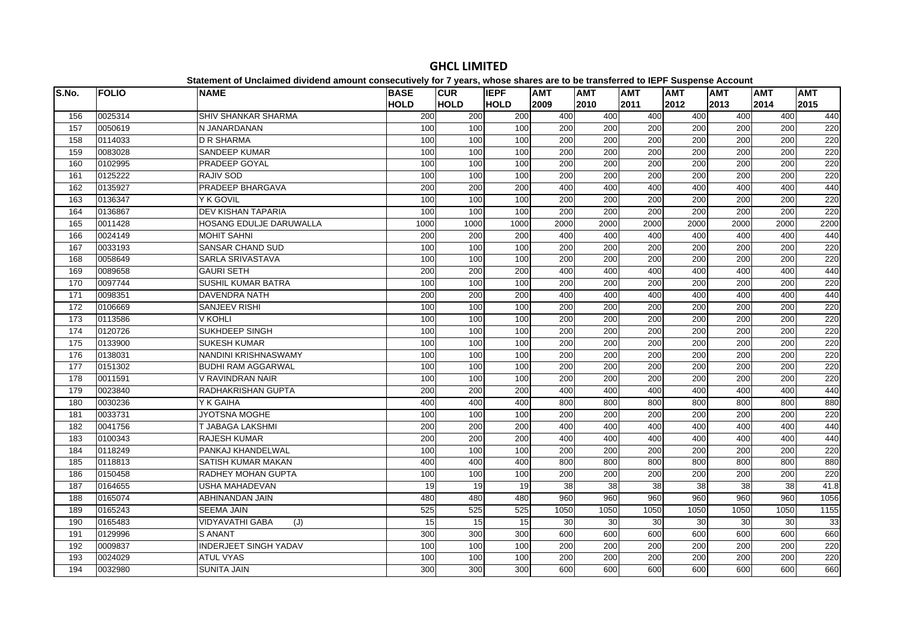| S.No. | <b>FOLIO</b> | <b>NAME</b>                  | <b>BASE</b>     | <b>CUR</b>       | <b>IEPF</b> | <b>AMT</b> | <b>AMT</b>       | <b>AMT</b>       | <b>AMT</b>       | <b>AMT</b>      | <b>AMT</b> | <b>AMT</b> |
|-------|--------------|------------------------------|-----------------|------------------|-------------|------------|------------------|------------------|------------------|-----------------|------------|------------|
|       |              |                              | <b>HOLD</b>     | <b>HOLD</b>      | <b>HOLD</b> | 2009       | 2010             | 2011             | 2012             | 2013            | 2014       | 2015       |
| 156   | 0025314      | <b>SHIV SHANKAR SHARMA</b>   | 200             | 200              | 200         | 400        | 400              | 400              | 400              | 400             | 400        | 440        |
| 157   | 0050619      | N JANARDANAN                 | 100             | 100              | 100         | 200        | 200              | 200              | 200              | 200             | 200        | 220        |
| 158   | 0114033      | <b>D R SHARMA</b>            | 100             | 100              | 100         | 200        | 200              | 200              | 200              | 200             | 200        | 220        |
| 159   | 0083028      | <b>SANDEEP KUMAR</b>         | 100             | 100              | 100         | 200        | $\overline{200}$ | $\overline{200}$ | $\overline{200}$ | 200             | 200        | 220        |
| 160   | 0102995      | PRADEEP GOYAL                | 100             | 100              | 100         | 200        | $\overline{200}$ | $\overline{200}$ | $\overline{200}$ | 200             | 200        | 220        |
| 161   | 0125222      | RAJIV SOD                    | 100             | 100              | 100         | 200        | 200              | $\overline{200}$ | 200              | 200             | 200        | 220        |
| 162   | 0135927      | PRADEEP BHARGAVA             | 200             | 200              | 200         | 400        | 400              | 400              | 400              | 40 <sub>C</sub> | 400        | 440        |
| 163   | 0136347      | Y K GOVIL                    | 100             | 100              | 100         | 200        | 200              | 200              | 200              | 200             | 200        | 220        |
| 164   | 0136867      | <b>DEV KISHAN TAPARIA</b>    | 100             | 100              | 100         | 200        | 200              | 200              | 200              | 200             | 200        | 220        |
| 165   | 0011428      | HOSANG EDULJE DARUWALLA      | 1000            | 1000             | 1000        | 2000       | 2000             | 2000             | 2000             | 2000            | 2000       | 2200       |
| 166   | 0024149      | <b>MOHIT SAHNI</b>           | 200             | $\overline{200}$ | 200         | 400        | 400              | 400              | 400              | 400             | 400        | 440        |
| 167   | 0033193      | <b>SANSAR CHAND SUD</b>      | 100             | 100              | 100         | 200        | 200              | 200              | 200              | 200             | 200        | 220        |
| 168   | 0058649      | <b>SARLA SRIVASTAVA</b>      | 100             | 100              | 100         | 200        | 200              | 200              | 200              | 200             | 200        | 220        |
| 169   | 0089658      | <b>GAURI SETH</b>            | 200             | 200              | 200         | 400        | 400              | 400              | 400              | 400             | 400        | 440        |
| 170   | 0097744      | <b>SUSHIL KUMAR BATRA</b>    | 100             | 100              | 100         | 200        | 200              | $\overline{200}$ | 200              | 200             | 200        | 220        |
| 171   | 0098351      | <b>DAVENDRA NATH</b>         | 200             | 200              | 200         | 400        | 400              | 400              | 400              | 400             | 400        | 440        |
| 172   | 0106669      | <b>SANJEEV RISHI</b>         | 100             | 100              | 100         | 200        | 200              | 200              | $\overline{200}$ | 200             | 200        | 220        |
| 173   | 0113586      | <b>V KOHLI</b>               | 100             | 100              | 100         | 200        | 200              | 200              | 200              | 200             | 200        | 220        |
| 174   | 0120726      | <b>SUKHDEEP SINGH</b>        | 100             | 100              | 100         | 200        | 200              | 200              | 200              | 200             | 200        | 220        |
| 175   | 0133900      | <b>SUKESH KUMAR</b>          | 100             | 100              | 100         | 200        | 200              | 200              | 200              | 200             | 200        | 220        |
| 176   | 0138031      | NANDINI KRISHNASWAMY         | 100             | 100              | 100         | 200        | 200              | 200              | 200              | 200             | 200        | 220        |
| 177   | 0151302      | <b>BUDHI RAM AGGARWAL</b>    | 100             | 100              | 100         | 200        | 200              | $\overline{200}$ | 200              | 200             | 200        | 220        |
| 178   | 0011591      | V RAVINDRAN NAIR             | 100             | 100              | 100         | 200        | 200              | 200              | 200              | 200             | 200        | 220        |
| 179   | 0023840      | RADHAKRISHAN GUPTA           | 200             | 200              | 200         | 400        | 400              | 400              | 400              | 400             | 400        | 440        |
| 180   | 0030236      | Y K GAIHA                    | 400             | 400              | 400         | 800        | 800              | 800              | 800              | 800             | 800        | 880        |
| 181   | 0033731      | JYOTSNA MOGHE                | 100             | 100              | 100         | 200        | 200              | 200              | 200              | 200             | 200        | 220        |
| 182   | 0041756      | T JABAGA LAKSHMI             | 200             | 200              | 200         | 400        | 400              | 400              | 400              | 400             | 400        | 440        |
| 183   | 0100343      | <b>RAJESH KUMAR</b>          | 200             | 200              | 200         | 400        | 400              | 400              | 400              | 400             | 400        | 440        |
| 184   | 0118249      | PANKAJ KHANDELWAL            | 100             | 100              | 100         | 200        | 200              | 200              | 200              | 200             | 200        | 220        |
| 185   | 0118813      | SATISH KUMAR MAKAN           | 400             | 400              | 400         | 800        | 800              | 800              | 800              | 800             | 800        | 880        |
| 186   | 0150458      | RADHEY MOHAN GUPTA           | 100             | 100              | 100         | 200        | 200              | 200              | 200              | 200             | 200        | 220        |
| 187   | 0164655      | USHA MAHADEVAN               | $\overline{19}$ | $\overline{19}$  | 19          | 38         | $\overline{38}$  | 38               | $\overline{38}$  | $\overline{38}$ | 38         | 41.8       |
| 188   | 0165074      | ABHINANDAN JAIN              | 480             | 480              | 480         | 960        | 960              | 960              | 960              | 960             | 960        | 1056       |
| 189   | 0165243      | <b>SEEMA JAIN</b>            | 525             | 525              | 525         | 1050       | 1050             | 1050             | 1050             | 1050            | 1050       | 1155       |
| 190   | 0165483      | VIDYAVATHI GABA<br>(J)       | 15              | 15               | 15          | 30         | 30               | 30               | 30               | 30              | 30         | 33         |
| 191   | 0129996      | <b>S ANANT</b>               | 300             | 300              | 300         | 600        | 600              | 600              | 600              | 600             | 600        | 660        |
| 192   | 0009837      | <b>INDERJEET SINGH YADAV</b> | 100             | 100              | 100         | 200        | 200              | 200              | 200              | 200             | 200        | 220        |
| 193   | 0024029      | <b>ATUL VYAS</b>             | 100             | 100              | 100         | 200        | 200              | $\overline{200}$ | 200              | 200             | 200        | 220        |
| 194   | 0032980      | <b>SUNITA JAIN</b>           | 300             | 300              | 300         | 600        | 600              | 600              | 600              | 600             | 600        | 660        |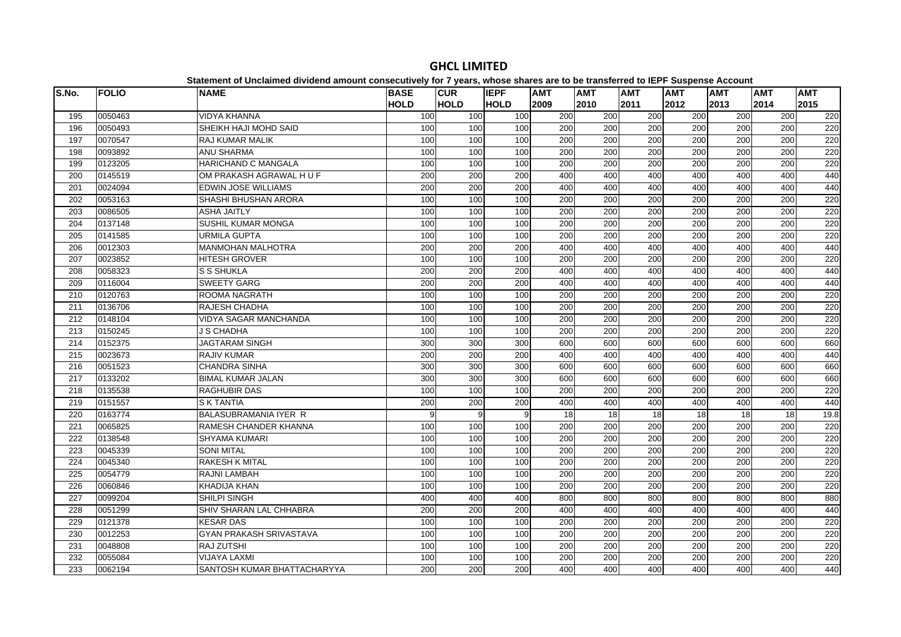| S.No. | <b>FOLIO</b> | <b>NAME</b>                    | <b>BASE</b>      | <b>CUR</b>  | <b>IEPF</b> | <b>AMT</b>       | <b>AMT</b>       | <b>AMT</b>       | <b>AMT</b>       | <b>AMT</b> | <b>AMT</b> | <b>AMT</b> |
|-------|--------------|--------------------------------|------------------|-------------|-------------|------------------|------------------|------------------|------------------|------------|------------|------------|
|       |              |                                | <b>HOLD</b>      | <b>HOLD</b> | <b>HOLD</b> | 2009             | 2010             | 2011             | 2012             | 2013       | 2014       | 2015       |
| 195   | 0050463      | <b>VIDYA KHANNA</b>            | 100              | 100         | 100         | 200              | 200              | 200              | 200              | 200        | 200        | 220        |
| 196   | 0050493      | SHEIKH HAJI MOHD SAID          | 100              | 100         | 100         | 200              | $\overline{200}$ | $\overline{200}$ | $\overline{200}$ | 200        | 200        | 220        |
| 197   | 0070547      | <b>RAJ KUMAR MALIK</b>         | 100              | 100         | 100         | 200              | 200              | 200              | 200              | 200        | 200        | 220        |
| 198   | 0093892      | <b>ANU SHARMA</b>              | 100              | 100         | 100         | 200              | 200              | 200              | 200              | 200        | 200        | 220        |
| 199   | 0123205      | <b>HARICHAND C MANGALA</b>     | 100              | 100         | 100         | 200              | 200              | 200              | 200              | 200        | 200        | 220        |
| 200   | 0145519      | OM PRAKASH AGRAWAL HU F        | 200              | 200         | 200         | 400              | 400              | 400              | 400              | 400        | 400        | 440        |
| 201   | 0024094      | <b>EDWIN JOSE WILLIAMS</b>     | 200              | 200         | 200         | 400              | 400              | 400              | 400              | 400        | 400        | 440        |
| 202   | 0053163      | SHASHI BHUSHAN ARORA           | 100              | 100         | 100         | 200              | 200              | 200              | 200              | 200        | 200        | 220        |
| 203   | 0086505      | <b>ASHA JAITLY</b>             | 100              | 100         | 100         | 200              | 200              | $\overline{200}$ | 200              | 200        | 200        | 220        |
| 204   | 0137148      | SUSHIL KUMAR MONGA             | 100              | 100         | 100         | 200              | 200              | 200              | 200              | 200        | 200        | 220        |
| 205   | 0141585      | URMILA GUPTA                   | 100              | 100         | 100         | 200              | $\overline{200}$ | $\overline{200}$ | 200              | 200        | 200        | 220        |
| 206   | 0012303      | <b>MANMOHAN MALHOTRA</b>       | 200              | 200         | 200         | 400              | 400              | 400              | 400              | 400        | 400        | 440        |
| 207   | 0023852      | <b>HITESH GROVER</b>           | 100              | 100         | 100         | 200              | 200              | 200              | 200              | 200        | 200        | 220        |
| 208   | 0058323      | <b>S S SHUKLA</b>              | 200              | 200         | 200         | 400              | 400              | 400              | 400              | 400        | 400        | 440        |
| 209   | 0116004      | <b>SWEETY GARG</b>             | 200              | 200         | 200         | 400              | 400              | 400              | 400              | 400        | 400        | 440        |
| 210   | 0120763      | ROOMA NAGRATH                  | 100              | 100         | 100         | 200              | 200              | 200              | 200              | 200        | 200        | 220        |
| 211   | 0136706      | <b>RAJESH CHADHA</b>           | 100              | 100         | 100         | $\overline{200}$ | $\overline{200}$ | 200              | 200              | 200        | 200        | 220        |
| 212   | 0148104      | <b>VIDYA SAGAR MANCHANDA</b>   | 100              | 100         | 100         | 200              | $\overline{200}$ | $\overline{200}$ | $\overline{200}$ | 200        | 200        | 220        |
| 213   | 0150245      | <b>J S CHADHA</b>              | 100              | 100         | 100         | 200              | 200              | 200              | 200              | 200        | 200        | 220        |
| 214   | 0152375      | <b>JAGTARAM SINGH</b>          | 300              | 300         | 300         | 600              | 600              | 600              | 600              | 600        | 600        | 660        |
| 215   | 0023673      | <b>RAJIV KUMAR</b>             | 200              | 200         | 200         | 400              | 400              | 400              | 400              | 400        | 400        | 440        |
| 216   | 0051523      | <b>CHANDRA SINHA</b>           | 300              | 300         | 300         | 600              | 600              | 600              | 600              | 600        | 600        | 660        |
| 217   | 0133202      | <b>BIMAL KUMAR JALAN</b>       | 300              | 300         | 300         | 600              | 600              | 600              | 600              | 600        | 600        | 660        |
| 218   | 0135538      | <b>RAGHUBIR DAS</b>            | 100              | 100         | 100         | 200              | $\overline{200}$ | $\overline{200}$ | $\overline{200}$ | 200        | 200        | 220        |
| 219   | 0151557      | <b>S K TANTIA</b>              | 200              | 200         | 200         | 400              | 400              | 400              | 400              | 400        | 400        | 440        |
| 220   | 0163774      | BALASUBRAMANIA IYER R          | $\mathsf{Q}$     | 9           | 9           | 18               | 18               | $\overline{18}$  | $\overline{18}$  | 18         | 18         | 19.8       |
| 221   | 0065825      | RAMESH CHANDER KHANNA          | 100              | 100         | 100         | 200              | 200              | 200              | 200              | 200        | 200        | 220        |
| 222   | 0138548      | <b>SHYAMA KUMARI</b>           | 100              | 100         | 100         | 200              | 200              | 200              | 200              | 200        | 200        | 220        |
| 223   | 0045339      | <b>SONI MITAL</b>              | 100              | 100         | 100         | 200              | 200              | 200              | 200              | 200        | 200        | 220        |
| 224   | 0045340      | <b>RAKESH K MITAL</b>          | 100              | 100         | 100         | 200              | 200              | 200              | 200              | 200        | 200        | 220        |
| 225   | 0054779      | <b>RAJNI LAMBAH</b>            | 100              | 100         | 100         | 200              | 200              | 200              | 200              | 200        | 200        | 220        |
| 226   | 0060846      | <b>KHADIJA KHAN</b>            | 100              | 100         | 100         | 200              | 200              | 200              | 200              | 200        | 200        | 220        |
| 227   | 0099204      | SHILPI SINGH                   | 400              | 400         | 400         | 800              | 800              | 800              | 800              | 800        | 800        | 880        |
| 228   | 0051299      | SHIV SHARAN LAL CHHABRA        | 200              | 200         | 200         | 400              | 400              | 400              | 400              | 400        | 400        | 440        |
| 229   | 0121378      | <b>KESAR DAS</b>               | 100              | 100         | 100         | 200              | 200              | 200              | 200              | 200        | 200        | 220        |
| 230   | 0012253      | <b>GYAN PRAKASH SRIVASTAVA</b> | 100              | 100         | 100         | 200              | $\overline{200}$ | $\overline{200}$ | 200              | 200        | 200        | 220        |
| 231   | 0048808      | <b>RAJ ZUTSHI</b>              | 100              | 100         | 100         | 200              | 200              | 200              | 200              | 200        | 200        | 220        |
| 232   | 0055084      | <b>VIJAYA LAXMI</b>            | 100              | 100         | 100         | 200              | 200              | 200              | 200              | 200        | 200        | 220        |
| 233   | 0062194      | SANTOSH KUMAR BHATTACHARYYA    | $\overline{200}$ | 200         | 200         | 400              | 400              | 400              | 400              | 400        | 400        | 440        |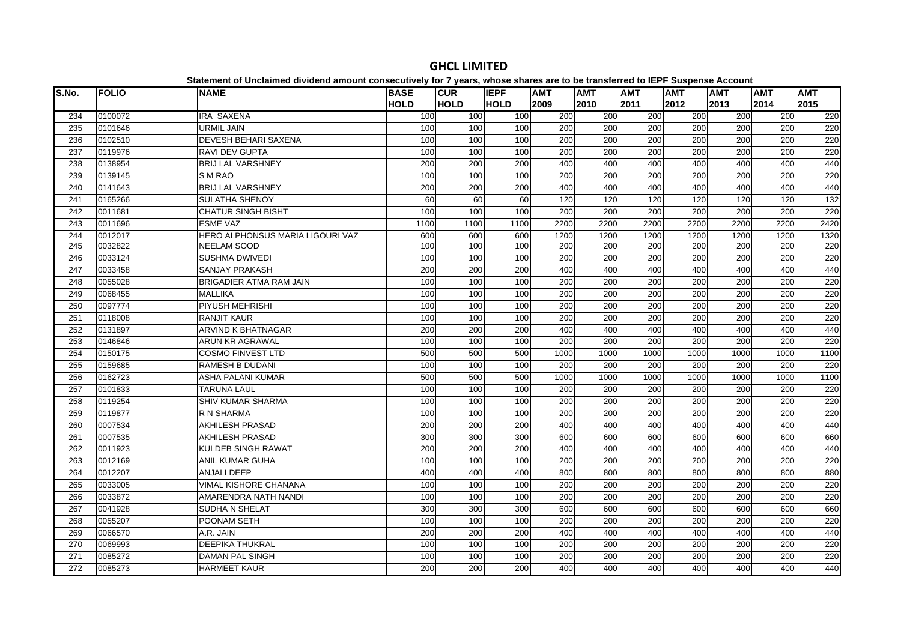| S.No. | <b>FOLIO</b> | paromont or onorannou urritoriu amount concesumorf for 1 fourof mnoco charge are to<br><b>NAME</b> | <b>BASE</b> | <b>CUR</b>  | <b>IEPF</b> | <b>AMT</b> | <b>AMT</b>       | <b>AMT</b> | <b>AMT</b>       | <b>AMT</b>       | <b>AMT</b> | <b>AMT</b> |
|-------|--------------|----------------------------------------------------------------------------------------------------|-------------|-------------|-------------|------------|------------------|------------|------------------|------------------|------------|------------|
|       |              |                                                                                                    | <b>HOLD</b> | <b>HOLD</b> | <b>HOLD</b> | 2009       | 2010             | 2011       | 2012             | 2013             | 2014       | 2015       |
| 234   | 0100072      | <b>IRA SAXENA</b>                                                                                  | 100         | 100         | 100         | 200        | 200              | 200        | 200              | 200              | 200        | 220        |
| 235   | 0101646      | URMIL JAIN                                                                                         | 100         | 100         | 100         | 200        | 200              | 200        | 200              | 200              | 200        | 220        |
| 236   | 0102510      | <b>DEVESH BEHARI SAXENA</b>                                                                        | 100         | 100         | 100         | 200        | 200              | 200        | 200              | 200              | 200        | 220        |
| 237   | 0119976      | <b>RAVI DEV GUPTA</b>                                                                              | 100         | 100         | 100         | 200        | 200              | 200        | 200              | 200              | 200        | 220        |
| 238   | 0138954      | <b>BRIJ LAL VARSHNEY</b>                                                                           | 200         | 200         | 200         | 400        | 400              | 400        | 400              | 400              | 400        | 440        |
| 239   | 0139145      | S M RAO                                                                                            | 100         | 100         | 100         | 200        | 200              | 200        | $\overline{200}$ | $\overline{200}$ | 200        | 220        |
| 240   | 0141643      | <b>BRIJ LAL VARSHNEY</b>                                                                           | 200         | 200         | 200         | 400        | 400              | 400        | 400              | 400              | 400        | 440        |
| 241   | 0165266      | SULATHA SHENOY                                                                                     | 60          | 60          | 60          | 120        | 120              | 120        | 120              | 120              | 120        | 132        |
| 242   | 0011681      | <b>CHATUR SINGH BISHT</b>                                                                          | 100         | 100         | 100         | 200        | 200              | 200        | 200              | 200              | 200        | 220        |
| 243   | 0011696      | <b>ESME VAZ</b>                                                                                    | 1100        | 1100        | 1100        | 2200       | 2200             | 2200       | 2200             | 2200             | 2200       | 2420       |
| 244   | 0012017      | HERO ALPHONSUS MARIA LIGOURI VAZ                                                                   | 600         | 600         | 600         | 1200       | 1200             | 1200       | 1200             | 1200             | 1200       | 1320       |
| 245   | 0032822      | <b>NEELAM SOOD</b>                                                                                 | 100         | 100         | 100         | 200        | 200              | 200        | 200              | 200              | 200        | 220        |
| 246   | 0033124      | <b>SUSHMA DWIVEDI</b>                                                                              | 100         | 100         | 100         | 200        | 200              | 200        | 200              | 200              | 200        | 220        |
| 247   | 0033458      | <b>SANJAY PRAKASH</b>                                                                              | 200         | 200         | 200         | 400        | 400              | 400        | 400              | 400              | 400        | 440        |
| 248   | 0055028      | BRIGADIER ATMA RAM JAIN                                                                            | 100         | 100         | 100         | 200        | 200              | 200        | 200              | 200              | 200        | 220        |
| 249   | 0068455      | <b>MALLIKA</b>                                                                                     | 100         | 100         | 100         | 200        | 200              | 200        | 200              | 200              | 200        | 220        |
| 250   | 0097774      | <b>PIYUSH MEHRISHI</b>                                                                             | 100         | 100         | 100         | 200        | $\overline{200}$ | 200        | 200              | 200              | 200        | 220        |
| 251   | 0118008      | <b>RANJIT KAUR</b>                                                                                 | 100         | 100         | 100         | 200        | 200              | 200        | 200              | 200              | 200        | 220        |
| 252   | 0131897      | <b>ARVIND K BHATNAGAR</b>                                                                          | 200         | 200         | 200         | 400        | 400              | 400        | 400              | 400              | 400        | 440        |
| 253   | 0146846      | <b>ARUN KR AGRAWAL</b>                                                                             | 100         | 100         | 100         | 200        | 200              | 200        | 200              | 200              | 200        | 220        |
| 254   | 0150175      | <b>COSMO FINVEST LTD</b>                                                                           | 500         | 500         | 500         | 1000       | 1000             | 1000       | 1000             | 1000             | 1000       | 1100       |
| 255   | 0159685      | RAMESH B DUDANI                                                                                    | 100         | 100         | 100         | 200        | 200              | 200        | 200              | 200              | 200        | 220        |
| 256   | 0162723      | <b>ASHA PALANI KUMAR</b>                                                                           | 500         | 500         | 500         | 1000       | 1000             | 1000       | 1000             | 1000             | 1000       | 1100       |
| 257   | 0101833      | <b>TARUNA LAUL</b>                                                                                 | 100         | 100         | 100         | 200        | 200              | 200        | 200              | 200              | 200        | 220        |
| 258   | 0119254      | <b>SHIV KUMAR SHARMA</b>                                                                           | 100         | 100         | 100         | 200        | 200              | 200        | $\overline{200}$ | 200              | 200        | 220        |
| 259   | 0119877      | R N SHARMA                                                                                         | 100         | 100         | 100         | 200        | 200              | 200        | 200              | 200              | 200        | 220        |
| 260   | 0007534      | <b>AKHILESH PRASAD</b>                                                                             | 200         | 200         | 200         | 400        | 400              | 400        | 400              | 400              | 400        | 440        |
| 261   | 0007535      | <b>AKHILESH PRASAD</b>                                                                             | 300         | 300         | 300         | 600        | 600              | 600        | 600              | 600              | 600        | 660        |
| 262   | 0011923      | <b>KULDEB SINGH RAWAT</b>                                                                          | 200         | 200         | 200         | 400        | 400              | 400        | 400              | 400              | 400        | 440        |
| 263   | 0012169      | ANIL KUMAR GUHA                                                                                    | 100         | 100         | 100         | 200        | 200              | 200        | 200              | 200              | 200        | 220        |
| 264   | 0012207      | <b>ANJALI DEEP</b>                                                                                 | 400         | 400         | 400         | 800        | 800              | 800        | 800              | 800              | 800        | 880        |
| 265   | 0033005      | <b>VIMAL KISHORE CHANANA</b>                                                                       | 100         | 100         | 100         | 200        | 200              | 200        | $\overline{200}$ | 200              | 200        | 220        |
| 266   | 0033872      | AMARENDRA NATH NANDI                                                                               | 100         | 100         | 100         | 200        | 200              | 200        | 200              | 200              | 200        | 220        |
| 267   | 0041928      | SUDHA N SHELAT                                                                                     | 300         | 300         | 300         | 600        | 600              | 600        | 600              | 600              | 600        | 660        |
| 268   | 0055207      | POONAM SETH                                                                                        | 100         | 100         | 100         | 200        | 200              | 200        | $\overline{200}$ | 200              | 200        | 220        |
| 269   | 0066570      | A.R. JAIN                                                                                          | 200         | 200         | 200         | 400        | 400              | 400        | 400              | 400              | 400        | 440        |
| 270   | 0069993      | <b>DEEPIKA THUKRAL</b>                                                                             | 100         | 100         | 100         | 200        | 200              | 200        | 200              | 200              | 200        | 220        |
| 271   | 0085272      | DAMAN PAL SINGH                                                                                    | 100         | 100         | 100         | 200        | 200              | 200        | 200              | 200              | 200        | 220        |
| 272   | 0085273      | <b>HARMEET KAUR</b>                                                                                | 200         | 200         | 200         | 400        | 400              | 400        | 400              | 400              | 400        | 440        |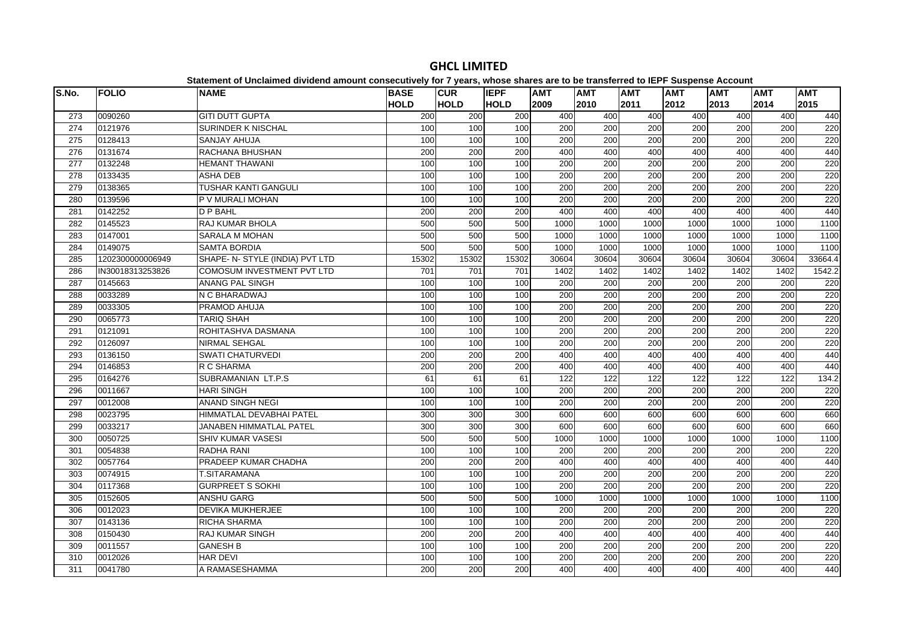| S.No. | <b>FOLIO</b>     | paromont or onorannou urritoriu amount concesumorf for 1 fourof mnoco charge are to<br><b>NAME</b> | <b>BASE</b> | <b>CUR</b>  | <b>IEPF</b> | <b>AMT</b>       | .<br><b>AMT</b>  | <b>AMT</b>       | $-$<br><b>AMT</b> | <b>AMT</b> | <b>AMT</b> | <b>AMT</b> |
|-------|------------------|----------------------------------------------------------------------------------------------------|-------------|-------------|-------------|------------------|------------------|------------------|-------------------|------------|------------|------------|
|       |                  |                                                                                                    | <b>HOLD</b> | <b>HOLD</b> | <b>HOLD</b> | 2009             | 2010             | 2011             | 2012              | 2013       | 2014       | 2015       |
| 273   | 0090260          | <b>GITI DUTT GUPTA</b>                                                                             | 200         | 200         | 200         | 400              | 400              | 400              | 400               | 400        | 400        | 440        |
| 274   | 0121976          | <b>SURINDER K NISCHAL</b>                                                                          | 100         | 100         | 100         | 200              | 200              | 200              | 200               | 200        | 200        | 220        |
| 275   | 0128413          | <b>SANJAY AHUJA</b>                                                                                | 100         | 100         | 100         | 200              | 200              | 200              | 200               | 200        | 200        | 220        |
| 276   | 0131674          | RACHANA BHUSHAN                                                                                    | 200         | 200         | 200         | 400              | 400              | 400              | 400               | 400        | 400        | 440        |
| 277   | 0132248          | HEMANT THAWANI                                                                                     | 100         | 100         | 100         | 200              | 200              | 200              | 200               | 200        | 200        | 220        |
| 278   | 0133435          | <b>ASHA DEB</b>                                                                                    | 100         | 100         | 100         | 200              | $\overline{200}$ | 200              | 200               | 200        | 200        | 220        |
| 279   | 0138365          | TUSHAR KANTI GANGULI                                                                               | 100         | 100         | 100         | 200              | 200              | $\overline{200}$ | 200               | 200        | 200        | 220        |
| 280   | 0139596          | P V MURALI MOHAN                                                                                   | 100         | 100         | 100         | 200              | 200              | 200              | 200               | 200        | 200        | 220        |
| 281   | 0142252          | D P BAHL                                                                                           | 200         | 200         | 200         | 400              | 400              | 400              | 400               | 400        | 400        | 440        |
| 282   | 0145523          | RAJ KUMAR BHOLA                                                                                    | 500         | 500         | 500         | 1000             | 1000             | 1000             | 1000              | 1000       | 1000       | 1100       |
| 283   | 0147001          | SARALA M MOHAN                                                                                     | 500         | 500         | 500         | 1000             | 1000             | 1000             | 1000              | 1000       | 1000       | 1100       |
| 284   | 0149075          | <b>SAMTA BORDIA</b>                                                                                | 500         | 500         | 500         | 1000             | 1000             | 1000             | 1000              | 1000       | 1000       | 1100       |
| 285   | 1202300000006949 | SHAPE- N- STYLE (INDIA) PVT LTD                                                                    | 15302       | 15302       | 15302       | 30604            | 30604            | 30604            | 30604             | 30604      | 30604      | 33664.4    |
| 286   | IN30018313253826 | COMOSUM INVESTMENT PVT LTD                                                                         | 701         | 701         | 701         | 1402             | 1402             | 1402             | 1402              | 1402       | 1402       | 1542.2     |
| 287   | 0145663          | ANANG PAL SINGH                                                                                    | 100         | 100         | 100         | 200              | 200              | 200              | 200               | 200        | 200        | 220        |
| 288   | 0033289          | N C BHARADWAJ                                                                                      | 100         | 100         | 100         | 200              | 200              | 200              | 200               | 200        | 200        | 220        |
| 289   | 0033305          | PRAMOD AHUJA                                                                                       | 100         | 100         | 100         | 200              | 200              | 200              | 200               | 200        | 200        | 220        |
| 290   | 0065773          | <b>TARIQ SHAH</b>                                                                                  | 100         | 100         | 100         | 200              | 200              | 200              | 200               | 200        | 200        | 220        |
| 291   | 0121091          | ROHITASHVA DASMANA                                                                                 | 100         | 100         | 100         | $\overline{200}$ | $\overline{200}$ | $\overline{200}$ | 200               | 200        | 200        | 220        |
| 292   | 0126097          | <b>NIRMAL SEHGAL</b>                                                                               | 100         | 100         | 100         | 200              | 200              | $\overline{200}$ | 200               | 200        | 200        | 220        |
| 293   | 0136150          | <b>SWATI CHATURVEDI</b>                                                                            | 200         | 200         | 200         | 400              | 400              | 400              | 400               | 400        | 400        | 440        |
| 294   | 0146853          | R C SHARMA                                                                                         | 200         | 200         | 200         | 400              | 400              | 400              | 400               | 400        | 400        | 440        |
| 295   | 0164276          | SUBRAMANIAN LT.P.S                                                                                 | 61          | 61          | 61          | 122              | 122              | 122              | 122               | 122        | 122        | 134.2      |
| 296   | 0011667          | <b>HARI SINGH</b>                                                                                  | 100         | 100         | 100         | 200              | 200              | 200              | 200               | 200        | 200        | 220        |
| 297   | 0012008          | <b>ANAND SINGH NEGI</b>                                                                            | 100         | 100         | 100         | $\overline{200}$ | 200              | $\overline{200}$ | $\overline{200}$  | 200        | 200        | 220        |
| 298   | 0023795          | HIMMATLAL DEVABHAI PATEL                                                                           | 300         | 300         | 300         | 600              | 600              | 600              | 600               | 600        | 600        | 660        |
| 299   | 0033217          | JANABEN HIMMATLAL PATEL                                                                            | 300         | 300         | 300         | 600              | 600              | 600              | 600               | 600        | 600        | 660        |
| 300   | 0050725          | SHIV KUMAR VASESI                                                                                  | 500         | 500         | 500         | 1000             | 1000             | 1000             | 1000              | 1000       | 1000       | 1100       |
| 301   | 0054838          | RADHA RANI                                                                                         | 100         | 100         | 100         | 200              | 200              | 200              | 200               | 200        | 200        | 220        |
| 302   | 0057764          | PRADEEP KUMAR CHADHA                                                                               | 200         | 200         | 200         | 400              | 400              | 400              | 400               | 400        | 400        | 440        |
| 303   | 0074915          | T.SITARAMANA                                                                                       | 100         | 100         | 100         | 200              | 200              | 200              | $\overline{200}$  | 200        | 200        | 220        |
| 304   | 0117368          | <b>GURPREET S SOKHI</b>                                                                            | 100         | 100         | 100         | 200              | $\overline{200}$ | 200              | 200               | 200        | 200        | 220        |
| 305   | 0152605          | <b>ANSHU GARG</b>                                                                                  | 500         | 500         | 500         | 1000             | 1000             | 1000             | 1000              | 1000       | 1000       | 1100       |
| 306   | 0012023          | <b>DEVIKA MUKHERJEE</b>                                                                            | 100         | 100         | 100         | 200              | 200              | 200              | 200               | 200        | 200        | 220        |
| 307   | 0143136          | RICHA SHARMA                                                                                       | 100         | 100         | 100         | 200              | 200              | 200              | 200               | 200        | 200        | 220        |
| 308   | 0150430          | <b>RAJ KUMAR SINGH</b>                                                                             | 200         | 200         | 200         | 400              | 400              | 400              | 400               | 400        | 400        | 440        |
| 309   | 0011557          | <b>GANESH B</b>                                                                                    | 100         | 100         | 100         | 200              | 200              | $\overline{200}$ | $\overline{200}$  | 200        | 200        | 220        |
| 310   | 0012026          | <b>HAR DEVI</b>                                                                                    | 100         | 100         | 100         | 200              | 200              | $\overline{200}$ | 200               | 200        | 200        | 220        |
| 311   | 0041780          | A RAMASESHAMMA                                                                                     | 200         | 200         | 200         | 400              | 400              | 400              | 400               | 400        | 400        | 440        |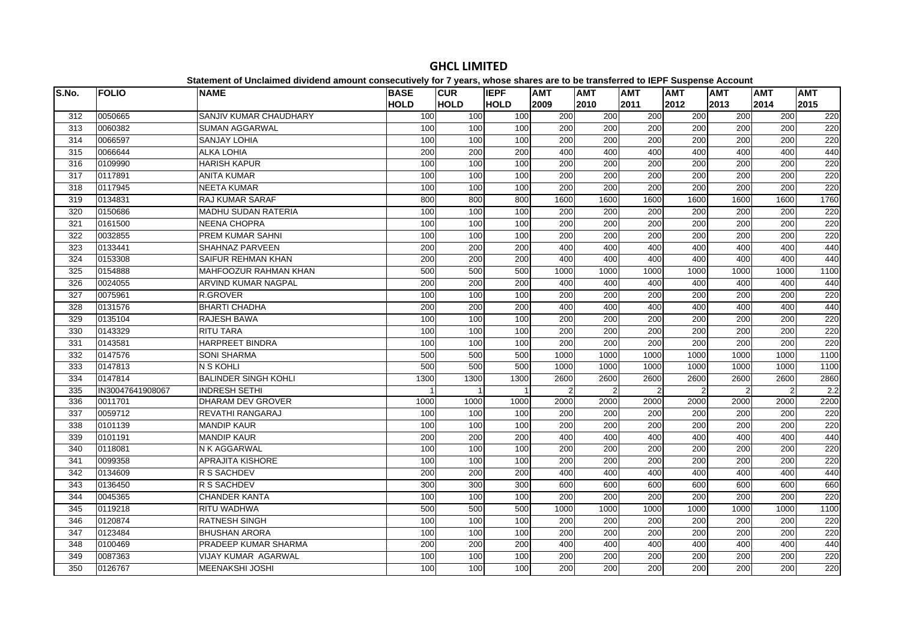| S.No. | <b>FOLIO</b>     | <b>NAME</b>                 | <b>BASE</b> | <b>CUR</b>       | <b>IEPF</b> | <b>AMT</b>    | <b>AMT</b>       | <b>AMT</b>     | <b>AMT</b>       | <b>AMT</b>       | <b>AMT</b>     | <b>AMT</b> |
|-------|------------------|-----------------------------|-------------|------------------|-------------|---------------|------------------|----------------|------------------|------------------|----------------|------------|
|       |                  |                             | <b>HOLD</b> | <b>HOLD</b>      | <b>HOLD</b> | 2009          | 2010             | 2011           | 2012             | 2013             | 2014           | 2015       |
| 312   | 0050665          | SANJIV KUMAR CHAUDHARY      | 100         | 100              | 100         | 200           | 200              | 200            | 200              | 200              | 200            | 220        |
| 313   | 0060382          | <b>SUMAN AGGARWAL</b>       | 100         | 100              | 100         | 200           | 200              | 200            | $\overline{200}$ | 200              | 200            | 220        |
| 314   | 0066597          | <b>SANJAY LOHIA</b>         | 100         | 100              | 100         | 200           | 200              | 200            | 200              | 200              | 200            | 220        |
| 315   | 0066644          | <b>ALKA LOHIA</b>           | 200         | 200              | 200         | 400           | 400              | 400            | 400              | 400              | 400            | 440        |
| 316   | 0109990          | <b>HARISH KAPUR</b>         | 100         | 100              | 100         | 200           | 200              | 200            | 200              | 200              | 200            | 220        |
| 317   | 0117891          | <b>ANITA KUMAR</b>          | 100         | 100              | 100         | 200           | $\overline{200}$ | 200            | $\overline{200}$ | $\overline{200}$ | 200            | 220        |
| 318   | 0117945          | <b>NEETA KUMAR</b>          | 100         | 100              | 100         | 200           | 200              | 200            | 200              | 200              | 200            | 220        |
| 319   | 0134831          | RAJ KUMAR SARAF             | 800         | 800              | 800         | 1600          | 1600             | 1600           | 1600             | 1600             | 1600           | 1760       |
| 320   | 0150686          | <b>MADHU SUDAN RATERIA</b>  | 100         | 100              | 100         | 200           | 200              | 200            | 200              | 200              | 200            | 220        |
| 321   | 0161500          | <b>NEENA CHOPRA</b>         | 100         | 100              | 100         | 200           | 200              | 200            | 200              | 200              | 200            | 220        |
| 322   | 0032855          | PREM KUMAR SAHNI            | 100         | 100              | 100         | 200           | 200              | 200            | 200              | 200              | 200            | 220        |
| 323   | 0133441          | <b>SHAHNAZ PARVEEN</b>      | 200         | 200              | 200         | 400           | 400              | 400            | 400              | 400              | 400            | 440        |
| 324   | 0153308          | SAIFUR REHMAN KHAN          | 200         | 200              | 200         | 400           | 400              | 400            | 400              | 400              | 400            | 440        |
| 325   | 0154888          | MAHFOOZUR RAHMAN KHAN       | 500         | 500              | 500         | 1000          | 1000             | 1000           | 1000             | 1000             | 1000           | 1100       |
| 326   | 0024055          | <b>ARVIND KUMAR NAGPAL</b>  | 200         | $\overline{200}$ | 200         | 400           | 400              | 400            | 400              | 400              | 400            | 440        |
| 327   | 0075961          | <b>R.GROVER</b>             | 100         | 100              | 100         | 200           | 200              | 200            | 200              | 200              | 200            | 220        |
| 328   | 0131576          | <b>BHARTI CHADHA</b>        | 200         | 200              | 200         | 400           | 400              | 400            | 400              | 400              | 400            | 440        |
| 329   | 0135104          | RAJESH BAWA                 | 100         | 100              | 100         | 200           | 200              | 200            | 200              | 200              | 200            | 220        |
| 330   | 0143329          | <b>RITU TARA</b>            | 100         | 100              | 100         | 200           | 200              | 200            | 200              | 200              | 200            | 220        |
| 331   | 0143581          | HARPREET BINDRA             | 100         | 100              | 100         | 200           | 200              | 200            | $\overline{200}$ | 200              | 200            | 220        |
| 332   | 0147576          | <b>SONI SHARMA</b>          | 500         | 500              | 500         | 1000          | 1000             | 1000           | 1000             | 1000             | 1000           | 1100       |
| 333   | 0147813          | N S KOHLI                   | 500         | 500              | 500         | 1000          | 1000             | 1000           | 1000             | 1000             | 1000           | 1100       |
| 334   | 0147814          | <b>BALINDER SINGH KOHLI</b> | 1300        | 1300             | 1300        | 2600          | 2600             | 2600           | 2600             | 2600             | 2600           | 2860       |
| 335   | IN30047641908067 | <b>INDRESH SETHI</b>        |             | $\overline{1}$   |             | $\mathcal{P}$ | $\overline{2}$   | $\overline{2}$ | $\mathfrak{D}$   | $\mathfrak{p}$   | $\mathfrak{p}$ | 2.2        |
| 336   | 0011701          | <b>DHARAM DEV GROVER</b>    | 1000        | 1000             | 1000        | 2000          | 2000             | 2000           | 2000             | 2000             | 2000           | 2200       |
| 337   | 0059712          | REVATHI RANGARAJ            | 100         | 100              | 100         | 200           | 200              | 200            | 200              | 200              | 200            | 220        |
| 338   | 0101139          | <b>MANDIP KAUR</b>          | 100         | 100              | 100         | 200           | 200              | 200            | 200              | 200              | 200            | 220        |
| 339   | 0101191          | <b>MANDIP KAUR</b>          | 200         | 200              | 200         | 400           | 400              | 400            | 400              | 400              | 400            | 440        |
| 340   | 0118081          | N K AGGARWAL                | 100         | 100              | 100         | 200           | 200              | 200            | 200              | 200              | 200            | 220        |
| 341   | 0099358          | <b>APRAJITA KISHORE</b>     | 100         | 100              | 100         | 200           | 200              | 200            | 200              | 200              | 200            | 220        |
| 342   | 0134609          | R S SACHDEV                 | 200         | 200              | 200         | 400           | 400              | 400            | 400              | 400              | 400            | 440        |
| 343   | 0136450          | R S SACHDEV                 | 300         | 300              | 300         | 600           | 600              | 600            | 600              | 600              | 600            | 660        |
| 344   | 0045365          | <b>CHANDER KANTA</b>        | 100         | 100              | 100         | 200           | 200              | 200            | 200              | 200              | 200            | 220        |
| 345   | 0119218          | RITU WADHWA                 | 500         | 500              | 500         | 1000          | 1000             | 1000           | 1000             | 1000             | 1000           | 1100       |
| 346   | 0120874          | <b>RATNESH SINGH</b>        | 100         | 100              | 100         | 200           | 200              | 200            | $\overline{200}$ | $\overline{200}$ | 200            | 220        |
| 347   | 0123484          | <b>BHUSHAN ARORA</b>        | 100         | 100              | 100         | 200           | 200              | 200            | 200              | 200              | 200            | 220        |
| 348   | 0100469          | PRADEEP KUMAR SHARMA        | 200         | 200              | 200         | 400           | 400              | 400            | 400              | 400              | 400            | 440        |
| 349   | 0087363          | VIJAY KUMAR AGARWAL         | 100         | 100              | 100         | 200           | 200              | 200            | 200              | 200              | 200            | 220        |
| 350   | 0126767          | <b>MEENAKSHI JOSHI</b>      | 100         | 100              | 100         | 200           | 200              | 200            | 200              | 200              | 200            | 220        |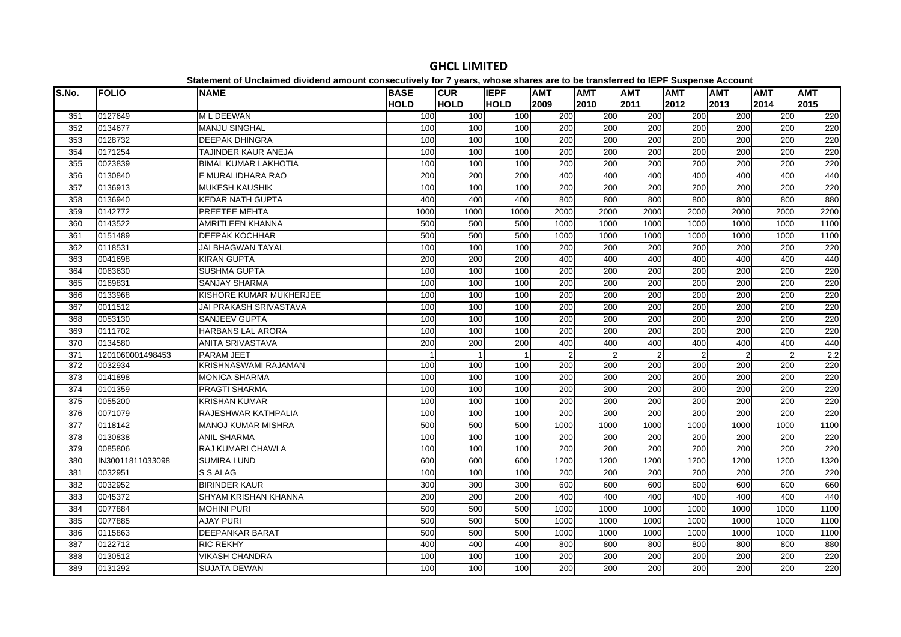| S.No. | <b>FOLIO</b>     | platomont or onolalmoa annaona amoant oonoodatroff for riffoaroj miooo onaroo aro t<br><b>NAME</b> | <b>BASE</b> | <b>CUR</b>     | <b>IEPF</b> | <b>AMT</b>    | <b>AMT</b>       | <b>AMT</b>     | <b>AMT</b>       | <b>AMT</b>       | <b>AMT</b>     | <b>AMT</b> |
|-------|------------------|----------------------------------------------------------------------------------------------------|-------------|----------------|-------------|---------------|------------------|----------------|------------------|------------------|----------------|------------|
|       |                  |                                                                                                    | <b>HOLD</b> | <b>HOLD</b>    | <b>HOLD</b> | 2009          | 2010             | 2011           | 2012             | 2013             | 2014           | 2015       |
| 351   | 0127649          | M L DEEWAN                                                                                         | 100         | 100            | 100         | 200           | 200              | 200            | 200              | 200              | 200            | 220        |
| 352   | 0134677          | <b>MANJU SINGHAL</b>                                                                               | 100         | 100            | 100         | 200           | 200              | 200            | 200              | 200              | 200            | 220        |
| 353   | 0128732          | <b>DEEPAK DHINGRA</b>                                                                              | 100         | 100            | 100         | 200           | 200              | 200            | 200              | 200              | 200            | 220        |
| 354   | 0171254          | TAJINDER KAUR ANEJA                                                                                | 100         | 100            | 100         | 200           | 200              | 200            | 200              | 200              | 200            | 220        |
| 355   | 0023839          | <b>BIMAL KUMAR LAKHOTIA</b>                                                                        | 100         | 100            | 100         | 200           | 200              | 200            | 200              | 200              | 200            | 220        |
| 356   | 0130840          | E MURALIDHARA RAO                                                                                  | 200         | 200            | 200         | 400           | 400              | 400            | 400              | 400              | 400            | 440        |
| 357   | 0136913          | <b>MUKESH KAUSHIK</b>                                                                              | 100         | 100            | 100         | 200           | 200              | 200            | 200              | 200              | 200            | 220        |
| 358   | 0136940          | <b>KEDAR NATH GUPTA</b>                                                                            | 400         | 400            | 400         | 800           | 800              | 800            | 800              | 800              | 800            | 880        |
| 359   | 0142772          | <b>PREETEE MEHTA</b>                                                                               | 1000        | 1000           | 1000        | 2000          | 2000             | 2000           | 2000             | 2000             | 2000           | 2200       |
| 360   | 0143522          | <b>AMRITLEEN KHANNA</b>                                                                            | 500         | 500            | 500         | 1000          | 1000             | 1000           | 1000             | 1000             | 1000           | 1100       |
| 361   | 0151489          | DEEPAK KOCHHAR                                                                                     | 500         | 500            | 500         | 1000          | 1000             | 1000           | 1000             | 1000             | 1000           | 1100       |
| 362   | 0118531          | <b>JAI BHAGWAN TAYAL</b>                                                                           | 100         | 100            | 100         | 200           | 200              | 200            | 200              | 200              | 200            | 220        |
| 363   | 0041698          | <b>KIRAN GUPTA</b>                                                                                 | 200         | 200            | 200         | 400           | 400              | 400            | 400              | 400              | 400            | 440        |
| 364   | 0063630          | <b>SUSHMA GUPTA</b>                                                                                | 100         | 100            | 100         | 200           | 200              | 200            | 200              | 200              | 200            | 220        |
| 365   | 0169831          | <b>SANJAY SHARMA</b>                                                                               | 100         | 100            | 100         | 200           | 200              | 200            | 200              | 200              | 200            | 220        |
| 366   | 0133968          | KISHORE KUMAR MUKHERJEE                                                                            | 100         | 100            | 100         | 200           | 200              | 200            | 200              | 200              | 200            | 220        |
| 367   | 0011512          | <b>JAI PRAKASH SRIVASTAVA</b>                                                                      | 100         | 100            | 100         | 200           | $\overline{200}$ | 200            | $\overline{200}$ | 200              | 200            | 220        |
| 368   | 0053130          | <b>SANJEEV GUPTA</b>                                                                               | 100         | 100            | 100         | 200           | 200              | 200            | 200              | 200              | 200            | 220        |
| 369   | 0111702          | <b>HARBANS LAL ARORA</b>                                                                           | 100         | 100            | 100         | 200           | 200              | 200            | 200              | 200              | 200            | 220        |
| 370   | 0134580          | <b>ANITA SRIVASTAVA</b>                                                                            | 200         | 200            | 200         | 400           | 400              | 400            | 400              | 400              | 400            | 440        |
| 371   | 1201060001498453 | <b>PARAM JEET</b>                                                                                  |             | $\overline{1}$ |             | $\mathcal{P}$ | $\overline{2}$   | $\overline{2}$ | $\mathfrak{p}$   | $\mathfrak{p}$   | $\overline{2}$ | 2.2        |
| 372   | 0032934          | <b>KRISHNASWAMI RAJAMAN</b>                                                                        | 100         | 100            | 100         | 200           | 200              | 200            | 200              | 200              | 200            | 220        |
| 373   | 0141898          | <b>MONICA SHARMA</b>                                                                               | 100         | 100            | 100         | 200           | 200              | 200            | 200              | 200              | 200            | 220        |
| 374   | 0101359          | PRAGTI SHARMA                                                                                      | 100         | 100            | 100         | 200           | 200              | 200            | 200              | 200              | 200            | 220        |
| 375   | 0055200          | <b>KRISHAN KUMAR</b>                                                                               | 100         | 100            | 100         | 200           | $\overline{200}$ | 200            | 200              | 200              | 200            | 220        |
| 376   | 0071079          | RAJESHWAR KATHPALIA                                                                                | 100         | 100            | 100         | 200           | 200              | 200            | $\overline{200}$ | $\overline{200}$ | 200            | 220        |
| 377   | 0118142          | <b>MANOJ KUMAR MISHRA</b>                                                                          | 500         | 500            | 500         | 1000          | 1000             | 1000           | 1000             | 1000             | 1000           | 1100       |
| 378   | 0130838          | <b>ANIL SHARMA</b>                                                                                 | 100         | 100            | 100         | 200           | 200              | 200            | 200              | 200              | 200            | 220        |
| 379   | 0085806          | <b>RAJ KUMARI CHAWLA</b>                                                                           | 100         | 100            | 100         | 200           | 200              | 200            | 200              | 200              | 200            | 220        |
| 380   | IN30011811033098 | <b>SUMIRA LUND</b>                                                                                 | 600         | 600            | 600         | 1200          | 1200             | 1200           | 1200             | 1200             | 1200           | 1320       |
| 381   | 0032951          | S S ALAG                                                                                           | 100         | 100            | 100         | 200           | 200              | 200            | 200              | 200              | 200            | 220        |
| 382   | 0032952          | <b>BIRINDER KAUR</b>                                                                               | 300         | 300            | 300         | 600           | 600              | 600            | 600              | 600              | 600            | 660        |
| 383   | 0045372          | <b>SHYAM KRISHAN KHANNA</b>                                                                        | 200         | 200            | 200         | 400           | 400              | 400            | 400              | 400              | 400            | 440        |
| 384   | 0077884          | <b>MOHINI PURI</b>                                                                                 | 500         | 500            | 500         | 1000          | 1000             | 1000           | 1000             | 1000             | 1000           | 1100       |
| 385   | 0077885          | <b>AJAY PURI</b>                                                                                   | 500         | 500            | 500         | 1000          | 1000             | 1000           | 1000             | 1000             | 1000           | 1100       |
| 386   | 0115863          | <b>DEEPANKAR BARAT</b>                                                                             | 500         | 500            | 500         | 1000          | 1000             | 1000           | 1000             | 1000             | 1000           | 1100       |
| 387   | 0122712          | <b>RIC REKHY</b>                                                                                   | 400         | 400            | 400         | 800           | 800              | 800            | 800              | 800              | 800            | 880        |
| 388   | 0130512          | <b>VIKASH CHANDRA</b>                                                                              | 100         | 100            | 100         | 200           | 200              | 200            | 200              | 200              | 200            | 220        |
| 389   | 0131292          | <b>SUJATA DEWAN</b>                                                                                | 100         | 100            | 100         | 200           | 200              | 200            | 200              | 200              | 200            | 220        |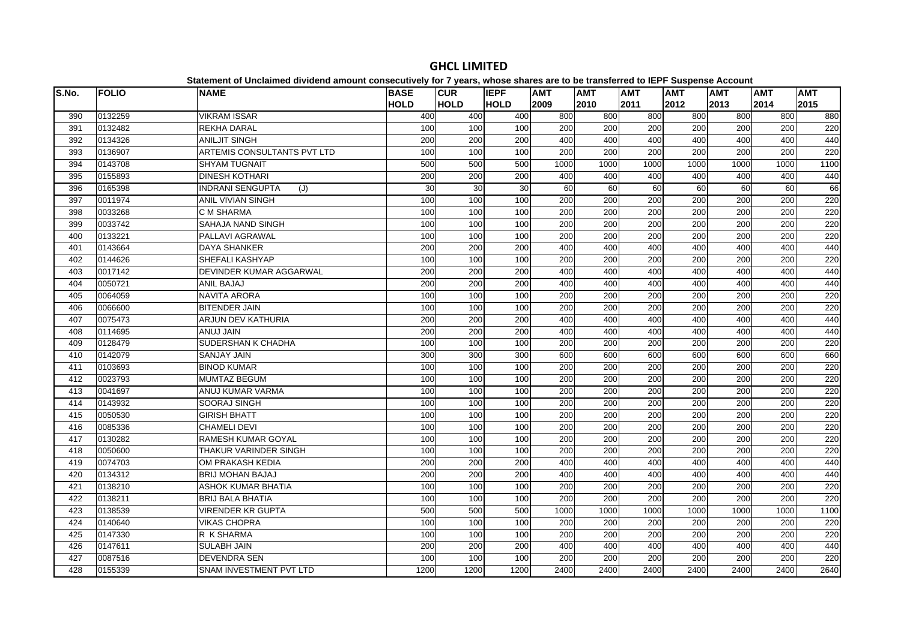| S.No. | <b>FOLIO</b> | platomont or onolalmoa annaona amount oonoodan lorj for rijparoj milood onarod are t<br><b>NAME</b> | <b>BASE</b>     | <b>CUR</b>  | <b>IEPF</b> | <b>AMT</b> | <b>AMT</b>       | <b>AMT</b> | <b>AMT</b>       | <b>AMT</b>       | <b>AMT</b> | <b>AMT</b> |
|-------|--------------|-----------------------------------------------------------------------------------------------------|-----------------|-------------|-------------|------------|------------------|------------|------------------|------------------|------------|------------|
|       |              |                                                                                                     | <b>HOLD</b>     | <b>HOLD</b> | <b>HOLD</b> | 2009       | 2010             | 2011       | 2012             | 2013             | 2014       | 2015       |
| 390   | 0132259      | <b>VIKRAM ISSAR</b>                                                                                 | 400             | 400         | 400         | 800        | 800              | 800        | 800              | 800              | 800        | 880        |
| 391   | 0132482      | <b>REKHA DARAL</b>                                                                                  | 100             | 100         | 100         | 200        | 200              | 200        | 200              | 200              | 200        | 220        |
| 392   | 0134326      | <b>ANILJIT SINGH</b>                                                                                | 200             | 200         | 200         | 400        | 400              | 400        | 400              | 400              | 400        | 440        |
| 393   | 0136907      | ARTEMIS CONSULTANTS PVT LTD                                                                         | 100             | 100         | 100         | 200        | 200              | 200        | 200              | 200              | 200        | 220        |
| 394   | 0143708      | <b>SHYAM TUGNAIT</b>                                                                                | 500             | 500         | 500         | 1000       | 1000             | 1000       | 1000             | 1000             | 1000       | 1100       |
| 395   | 0155893      | <b>DINESH KOTHARI</b>                                                                               | 200             | 200         | 200         | 400        | 400              | 400        | 400              | 400              | 400        | 440        |
| 396   | 0165398      | <b>INDRANI SENGUPTA</b><br>(J)                                                                      | $\overline{30}$ | 30          | 30          | 60         | 60               | 60         | 60               | 60               | 60         | 66         |
| 397   | 0011974      | <b>ANIL VIVIAN SINGH</b>                                                                            | 100             | 100         | 100         | 200        | 200              | 200        | 200              | 200              | 200        | 220        |
| 398   | 0033268      | C M SHARMA                                                                                          | 100             | 100         | 100         | 200        | 200              | 200        | 200              | 200              | 200        | 220        |
| 399   | 0033742      | SAHAJA NAND SINGH                                                                                   | 100             | 100         | 100         | 200        | 200              | 200        | 200              | 200              | 200        | 220        |
| 400   | 0133221      | PALLAVI AGRAWAL                                                                                     | 100             | 100         | 100         | 200        | 200              | 200        | 200              | 200              | 200        | 220        |
| 401   | 0143664      | <b>DAYA SHANKER</b>                                                                                 | 200             | 200         | 200         | 400        | 400              | 400        | 400              | 400              | 400        | 440        |
| 402   | 0144626      | SHEFALI KASHYAP                                                                                     | 100             | 100         | 100         | 200        | 200              | 200        | 200              | 200              | 200        | 220        |
| 403   | 0017142      | DEVINDER KUMAR AGGARWAL                                                                             | 200             | 200         | 200         | 400        | 400              | 400        | 400              | 400              | 400        | 440        |
| 404   | 0050721      | <b>ANIL BAJAJ</b>                                                                                   | 200             | 200         | 200         | 400        | 400              | 400        | 400              | 400              | 400        | 440        |
| 405   | 0064059      | <b>NAVITA ARORA</b>                                                                                 | 100             | 100         | 100         | 200        | 200              | 200        | 200              | 200              | 200        | 220        |
| 406   | 0066600      | <b>BITENDER JAIN</b>                                                                                | 100             | 100         | 100         | 200        | 200              | 200        | 200              | 200              | 200        | 220        |
| 407   | 0075473      | ARJUN DEV KATHURIA                                                                                  | 200             | 200         | 200         | 400        | 400              | 400        | 400              | 400              | 400        | 440        |
| 408   | 0114695      | ANUJ JAIN                                                                                           | 200             | 200         | 200         | 400        | 400              | 400        | 400              | 400              | 400        | 440        |
| 409   | 0128479      | SUDERSHAN K CHADHA                                                                                  | 100             | 100         | 100         | 200        | 200              | 200        | 200              | 200              | 200        | 220        |
| 410   | 0142079      | <b>SANJAY JAIN</b>                                                                                  | 300             | 300         | 300         | 600        | 600              | 600        | 600              | 600              | 600        | 660        |
| 411   | 0103693      | <b>BINOD KUMAR</b>                                                                                  | 100             | 100         | 100         | 200        | 200              | 200        | 200              | 200              | 200        | 220        |
| 412   | 0023793      | <b>MUMTAZ BEGUM</b>                                                                                 | 100             | 100         | 100         | 200        | 200              | 200        | 200              | 200              | 200        | 220        |
| 413   | 0041697      | ANUJ KUMAR VARMA                                                                                    | 100             | 100         | 100         | 200        | 200              | 200        | 200              | 200              | 200        | 220        |
| 414   | 0143932      | SOORAJ SINGH                                                                                        | 100             | 100         | 100         | 200        | 200              | 200        | $\overline{200}$ | 200              | 200        | 220        |
| 415   | 0050530      | <b>GIRISH BHATT</b>                                                                                 | 100             | 100         | 100         | 200        | 200              | 200        | $\overline{200}$ | 200              | 200        | 220        |
| 416   | 0085336      | <b>CHAMELI DEVI</b>                                                                                 | 100             | 100         | 100         | 200        | $\overline{200}$ | 200        | $\overline{200}$ | $\overline{200}$ | 200        | 220        |
| 417   | 0130282      | <b>RAMESH KUMAR GOYAL</b>                                                                           | 100             | 100         | 100         | 200        | 200              | 200        | 200              | 200              | 200        | 220        |
| 418   | 0050600      | THAKUR VARINDER SINGH                                                                               | 100             | 100         | 100         | 200        | 200              | 200        | 200              | 200              | 200        | 220        |
| 419   | 0074703      | OM PRAKASH KEDIA                                                                                    | 200             | 200         | 200         | 400        | 400              | 400        | 400              | 400              | 400        | 440        |
| 420   | 0134312      | <b>BRIJ MOHAN BAJAJ</b>                                                                             | 200             | 200         | 200         | 400        | 400              | 400        | 400              | 400              | 400        | 440        |
| 421   | 0138210      | <b>ASHOK KUMAR BHATIA</b>                                                                           | 100             | 100         | 100         | 200        | 200              | 200        | $\overline{200}$ | 200              | 200        | 220        |
| 422   | 0138211      | <b>BRIJ BALA BHATIA</b>                                                                             | 100             | 100         | 100         | 200        | $\overline{200}$ | 200        | $\overline{200}$ | $\overline{200}$ | 200        | 220        |
| 423   | 0138539      | <b>VIRENDER KR GUPTA</b>                                                                            | 500             | 500         | 500         | 1000       | 1000             | 1000       | 1000             | 1000             | 1000       | 1100       |
| 424   | 0140640      | <b>VIKAS CHOPRA</b>                                                                                 | 100             | 100         | 100         | 200        | 200              | 200        | 200              | 200              | 200        | 220        |
| 425   | 0147330      | R K SHARMA                                                                                          | 100             | 100         | 100         | 200        | 200              | 200        | 200              | 200              | 200        | 220        |
| 426   | 0147611      | <b>SULABH JAIN</b>                                                                                  | 200             | 200         | 200         | 400        | 400              | 400        | 400              | 400              | 400        | 440        |
| 427   | 0087516      | DEVENDRA SEN                                                                                        | 100             | 100         | 100         | 200        | 200              | 200        | 200              | 200              | 200        | 220        |
| 428   | 0155339      | SNAM INVESTMENT PVT LTD                                                                             | 1200            | 1200        | 1200        | 2400       | 2400             | 2400       | 2400             | 2400             | 2400       | 2640       |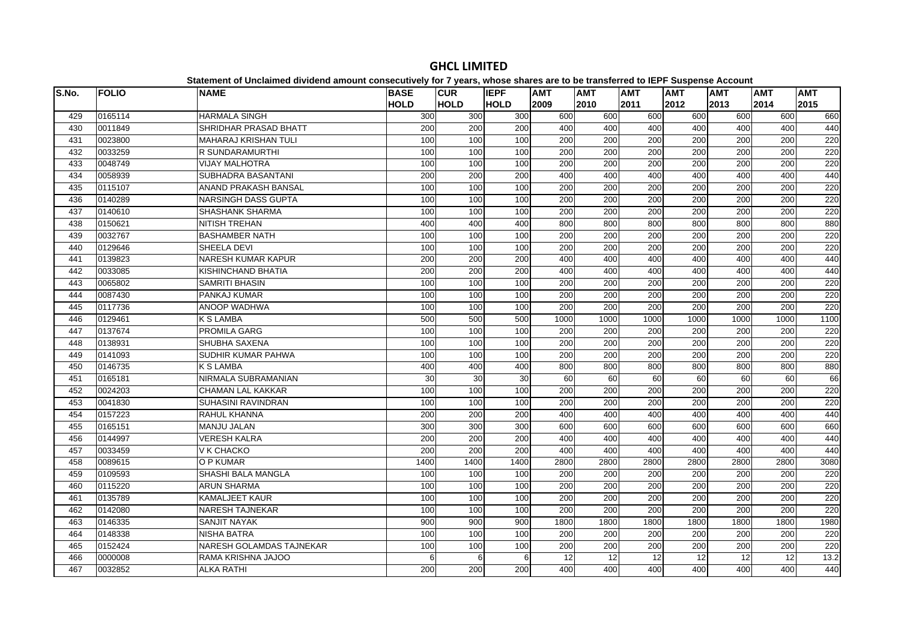| S.No. | <b>FOLIO</b> | platomont of onolalmoa arriaona amount concooutriory for Figuary, mnoco charge are to<br><b>NAME</b> | <b>BASE</b> | <b>CUR</b>       | <b>IEPF</b>      | <b>AMT</b>       | ~~~~~~~~~~~~~~~<br><b>AMT</b> | <b>AMT</b>       | <b>AMT</b> | $-$ 0.000 $-$ 0.000 $-$ 0.000 $-$ 0.000 $-$<br><b>AMT</b> | <b>AMT</b>       | <b>AMT</b> |
|-------|--------------|------------------------------------------------------------------------------------------------------|-------------|------------------|------------------|------------------|-------------------------------|------------------|------------|-----------------------------------------------------------|------------------|------------|
|       |              |                                                                                                      | <b>HOLD</b> | <b>HOLD</b>      | <b>HOLD</b>      | 2009             | 2010                          | 2011             | 2012       | 2013                                                      | 2014             | 2015       |
| 429   | 0165114      | <b>HARMALA SINGH</b>                                                                                 | 300         | 300              | 300              | 600              | 600                           | 600              | 600        | 600                                                       | 600              | 660        |
| 430   | 0011849      | SHRIDHAR PRASAD BHATT                                                                                | 200         | 200              | 200              | 400              | 400                           | 400              | 400        | 400                                                       | 400              | 440        |
| 431   | 0023800      | MAHARAJ KRISHAN TULI                                                                                 | 100         | 100              | 100              | 200              | 200                           | 200              | 200        | 200                                                       | 200              | 220        |
| 432   | 0033259      | R SUNDARAMURTHI                                                                                      | 100         | 100              | 100              | 200              | 200                           | $\overline{200}$ | 200        | 200                                                       | $\overline{200}$ | 220        |
| 433   | 0048749      | <b>VIJAY MALHOTRA</b>                                                                                | 100         | 100              | 100              | 200              | 200                           | 200              | 200        | 200                                                       | 200              | 220        |
| 434   | 0058939      | SUBHADRA BASANTANI                                                                                   | 200         | 200              | 200              | 400              | 400                           | 400              | 400        | 400                                                       | 400              | 440        |
| 435   | 0115107      | ANAND PRAKASH BANSAL                                                                                 | 100         | 100              | 100              | 200              | 200                           | 200              | 200        | 200                                                       | 200              | 220        |
| 436   | 0140289      | NARSINGH DASS GUPTA                                                                                  | 100         | 100              | 100              | 200              | 200                           | 200              | 200        | 200                                                       | 200              | 220        |
| 437   | 0140610      | <b>SHASHANK SHARMA</b>                                                                               | 100         | 100              | 100              | 200              | 200                           | 200              | 200        | 200                                                       | 200              | 220        |
| 438   | 0150621      | <b>NITISH TREHAN</b>                                                                                 | 400         | 400              | 400              | 800              | 800                           | 800              | 800        | 800                                                       | 800              | 880        |
| 439   | 0032767      | <b>BASHAMBER NATH</b>                                                                                | 100         | 100              | 100              | 200              | 200                           | 200              | 200        | 200                                                       | 200              | 220        |
| 440   | 0129646      | SHEELA DEVI                                                                                          | 100         | 100              | 100              | 200              | 200                           | 200              | 200        | 200                                                       | 200              | 220        |
| 441   | 0139823      | NARESH KUMAR KAPUR                                                                                   | 200         | 200              | 200              | 400              | 400                           | 400              | 400        | 400                                                       | 400              | 440        |
| 442   | 0033085      | KISHINCHAND BHATIA                                                                                   | 200         | $\overline{200}$ | $\overline{200}$ | 400              | 400                           | 400              | 400        | 400                                                       | 400              | 440        |
| 443   | 0065802      | <b>SAMRITI BHASIN</b>                                                                                | 100         | 100              | 100              | 200              | 200                           | 200              | 200        | 200                                                       | 200              | 220        |
| 444   | 0087430      | PANKAJ KUMAR                                                                                         | 100         | 100              | 100              | 200              | 200                           | 200              | 200        | 200                                                       | 200              | 220        |
| 445   | 0117736      | ANOOP WADHWA                                                                                         | 100         | 100              | 100              | 200              | 200                           | 200              | 200        | 200                                                       | 200              | 220        |
| 446   | 0129461      | <b>K S LAMBA</b>                                                                                     | 500         | 500              | 500              | 1000             | 1000                          | 1000             | 1000       | 1000                                                      | 1000             | 1100       |
| 447   | 0137674      | <b>PROMILA GARG</b>                                                                                  | 100         | 100              | 100              | 200              | 200                           | 200              | 200        | 200                                                       | 200              | 220        |
| 448   | 0138931      | <b>SHUBHA SAXENA</b>                                                                                 | 100         | 100              | 100              | 200              | 200                           | 200              | 200        | 200                                                       | 200              | 220        |
| 449   | 0141093      | SUDHIR KUMAR PAHWA                                                                                   | 100         | 100              | 100              | 200              | 200                           | 200              | 200        | 200                                                       | 200              | 220        |
| 450   | 0146735      | <b>K S LAMBA</b>                                                                                     | 400         | 400              | 400              | 800              | 800                           | 800              | 800        | 800                                                       | 800              | 880        |
| 451   | 0165181      | NIRMALA SUBRAMANIAN                                                                                  | 30          | 30               | 30               | 60               | 60                            | 60               | 60         | 60                                                        | 60               | 66         |
| 452   | 0024203      | <b>CHAMAN LAL KAKKAR</b>                                                                             | 100         | 100              | 100              | 200              | 200                           | 200              | 200        | 200                                                       | 200              | 220        |
| 453   | 0041830      | <b>SUHASINI RAVINDRAN</b>                                                                            | 100         | 100              | 100              | 200              | 200                           | 200              | 200        | 200                                                       | 200              | 220        |
| 454   | 0157223      | RAHUL KHANNA                                                                                         | 200         | 200              | 200              | 400              | 400                           | 400              | 400        | 400                                                       | 400              | 440        |
| 455   | 0165151      | <b>MANJU JALAN</b>                                                                                   | 300         | 300              | 300              | 600              | 600                           | 600              | 600        | 600                                                       | 600              | 660        |
| 456   | 0144997      | <b>VERESH KALRA</b>                                                                                  | 200         | $\overline{200}$ | 200              | 400              | 400                           | 400              | 400        | 400                                                       | 400              | 440        |
| 457   | 0033459      | V K CHACKO                                                                                           | 200         | 200              | 200              | 400              | 400                           | 400              | 400        | 400                                                       | 400              | 440        |
| 458   | 0089615      | O P KUMAR                                                                                            | 1400        | 1400             | 1400             | 2800             | 2800                          | 2800             | 2800       | 2800                                                      | 2800             | 3080       |
| 459   | 0109593      | SHASHI BALA MANGLA                                                                                   | 100         | 100              | 100              | 200              | 200                           | 200              | 200        | 200                                                       | 200              | 220        |
| 460   | 0115220      | <b>ARUN SHARMA</b>                                                                                   | 100         | 100              | 100              | 200              | 200                           | 200              | 200        | 200                                                       | 200              | 220        |
| 461   | 0135789      | <b>KAMALJEET KAUR</b>                                                                                | 100         | 100              | 100              | $\overline{200}$ | 200                           | $\overline{200}$ | 200        | 200                                                       | $\overline{200}$ | 220        |
| 462   | 0142080      | <b>NARESH TAJNEKAR</b>                                                                               | 100         | 100              | 100              | 200              | 200                           | 200              | 200        | 200                                                       | 200              | 220        |
| 463   | 0146335      | <b>SANJIT NAYAK</b>                                                                                  | 900         | 900              | 900              | 1800             | 1800                          | 1800             | 1800       | 1800                                                      | 1800             | 1980       |
| 464   | 0148338      | <b>NISHA BATRA</b>                                                                                   | 100         | 100              | 100              | 200              | 200                           | 200              | 200        | 200                                                       | 200              | 220        |
| 465   | 0152424      | NARESH GOLAMDAS TAJNEKAR                                                                             | 100         | 100              | 100              | 200              | 200                           | 200              | 200        | 200                                                       | 200              | 220        |
| 466   | 0000008      | RAMA KRISHNA JAJOO                                                                                   | 6           | 6                | 6                | 12               | 12                            | $\overline{12}$  | 12         | $\overline{12}$                                           | $\overline{12}$  | 13.2       |
| 467   | 0032852      | <b>ALKA RATHI</b>                                                                                    | 200         | 200              | 200              | 400              | 400                           | 400              | 400        | 400                                                       | 400              | 440        |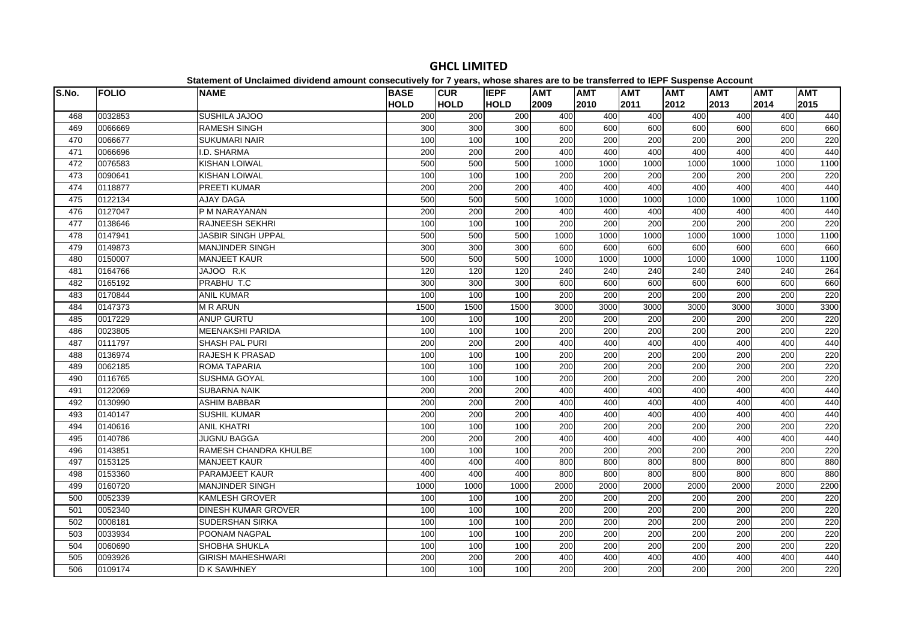| S.No. | <b>FOLIO</b> | platomont or onolalmoa annaona amoant oonoocatroff for 1 foarof mnooo onaroo aro ta<br><b>NAME</b> | <b>BASE</b> | <b>CUR</b>  | <b>IEPF</b> | <b>AMT</b>       | .<br><b>AMT</b>  | <b>AMT</b> | $- - -$<br><b>AMT</b> | <b>AMT</b> | <b>AMT</b> | <b>AMT</b> |
|-------|--------------|----------------------------------------------------------------------------------------------------|-------------|-------------|-------------|------------------|------------------|------------|-----------------------|------------|------------|------------|
|       |              |                                                                                                    | <b>HOLD</b> | <b>HOLD</b> | <b>HOLD</b> | 2009             | 2010             | 2011       | 2012                  | 2013       | 2014       | 2015       |
| 468   | 0032853      | SUSHILA JAJOO                                                                                      | 200         | 200         | 200         | 400              | 400              | 400        | 400                   | 400        | 400        | 440        |
| 469   | 0066669      | <b>RAMESH SINGH</b>                                                                                | 300         | 300         | 300         | 600              | 600              | 600        | 600                   | 600        | 600        | 660        |
| 470   | 0066677      | <b>SUKUMARI NAIR</b>                                                                               | 100         | 100         | 100         | 200              | 200              | 200        | 200                   | 200        | 200        | 220        |
| 471   | 0066696      | I.D. SHARMA                                                                                        | 200         | 200         | 200         | 400              | 400              | 400        | 400                   | 400        | 400        | 440        |
| 472   | 0076583      | <b>KISHAN LOIWAL</b>                                                                               | 500         | 500         | 500         | 1000             | 1000             | 1000       | 1000                  | 1000       | 1000       | 1100       |
| 473   | 0090641      | <b>KISHAN LOIWAL</b>                                                                               | 100         | 100         | 100         | 200              | 200              | 200        | 200                   | 200        | 200        | 220        |
| 474   | 0118877      | <b>PREETI KUMAR</b>                                                                                | 200         | 200         | 200         | 400              | 400              | 400        | 400                   | 400        | 400        | 440        |
| 475   | 0122134      | <b>AJAY DAGA</b>                                                                                   | 500         | 500         | 500         | 1000             | 1000             | 1000       | 1000                  | 1000       | 1000       | 1100       |
| 476   | 0127047      | P M NARAYANAN                                                                                      | 200         | 200         | 200         | 400              | 400              | 400        | 400                   | 400        | 400        | 440        |
| 477   | 0138646      | <b>RAJNEESH SEKHRI</b>                                                                             | 100         | 100         | 100         | 200              | 200              | 200        | 200                   | 200        | 200        | 220        |
| 478   | 0147941      | <b>JASBIR SINGH UPPAL</b>                                                                          | 500         | 500         | 500         | 1000             | 1000             | 1000       | 1000                  | 1000       | 1000       | 1100       |
| 479   | 0149873      | <b>MANJINDER SINGH</b>                                                                             | 300         | 300         | 300         | 600              | 600              | 600        | 600                   | 600        | 600        | 660        |
| 480   | 0150007      | <b>MANJEET KAUR</b>                                                                                | 500         | 500         | 500         | 1000             | 1000             | 1000       | 1000                  | 1000       | 1000       | 1100       |
| 481   | 0164766      | JAJOO R.K                                                                                          | 120         | 120         | 120         | $\overline{240}$ | 240              | 240        | 240                   | 240        | 240        | 264        |
| 482   | 0165192      | PRABHU T.C                                                                                         | 300         | 300         | 300         | 600              | 600              | 600        | 600                   | 600        | 600        | 660        |
| 483   | 0170844      | <b>ANIL KUMAR</b>                                                                                  | 100         | 100         | 100         | 200              | 200              | 200        | 200                   | 200        | 200        | 220        |
| 484   | 0147373      | <b>MRARUN</b>                                                                                      | 1500        | 1500        | 1500        | 3000             | 3000             | 3000       | 3000                  | 3000       | 3000       | 3300       |
| 485   | 0017229      | <b>ANUP GURTU</b>                                                                                  | 100         | 100         | 100         | 200              | 200              | 200        | 200                   | 200        | 200        | 220        |
| 486   | 0023805      | <b>MEENAKSHI PARIDA</b>                                                                            | 100         | 100         | 100         | 200              | 200              | 200        | 200                   | 200        | 200        | 220        |
| 487   | 0111797      | <b>SHASH PAL PURI</b>                                                                              | 200         | 200         | 200         | 400              | 400              | 400        | 400                   | 400        | 400        | 440        |
| 488   | 0136974      | RAJESH K PRASAD                                                                                    | 100         | 100         | 100         | 200              | 200              | 200        | 200                   | 200        | 200        | 220        |
| 489   | 0062185      | ROMA TAPARIA                                                                                       | 100         | 100         | 100         | 200              | 200              | 200        | 200                   | 200        | 200        | 220        |
| 490   | 0116765      | <b>SUSHMA GOYAL</b>                                                                                | 100         | 100         | 100         | 200              | $\overline{200}$ | 200        | 200                   | 200        | 200        | 220        |
| 491   | 0122069      | <b>SUBARNA NAIK</b>                                                                                | 200         | 200         | 200         | 400              | 400              | 400        | 400                   | 400        | 400        | 440        |
| 492   | 0130990      | <b>ASHIM BABBAR</b>                                                                                | 200         | 200         | 200         | 400              | 400              | 400        | 400                   | 400        | 400        | 440        |
| 493   | 0140147      | <b>SUSHIL KUMAR</b>                                                                                | 200         | 200         | 200         | 400              | 400              | 400        | 400                   | 400        | 400        | 440        |
| 494   | 0140616      | <b>ANIL KHATRI</b>                                                                                 | 100         | 100         | 100         | 200              | 200              | 200        | 200                   | 200        | 200        | 220        |
| 495   | 0140786      | <b>JUGNU BAGGA</b>                                                                                 | 200         | 200         | 200         | 400              | 400              | 400        | 400                   | 400        | 400        | 440        |
| 496   | 0143851      | RAMESH CHANDRA KHULBE                                                                              | 100         | 100         | 100         | 200              | 200              | 200        | 200                   | 200        | 200        | 220        |
| 497   | 0153125      | <b>MANJEET KAUR</b>                                                                                | 400         | 400         | 400         | 800              | 800              | 800        | 800                   | 800        | 800        | 880        |
| 498   | 0153360      | PARAMJEET KAUR                                                                                     | 400         | 400         | 400         | 800              | 800              | 800        | 800                   | 800        | 800        | 880        |
| 499   | 0160720      | <b>MANJINDER SINGH</b>                                                                             | 1000        | 1000        | 1000        | 2000             | 2000             | 2000       | 2000                  | 2000       | 2000       | 2200       |
| 500   | 0052339      | <b>KAMLESH GROVER</b>                                                                              | 100         | 100         | 100         | 200              | 200              | 200        | 200                   | 200        | 200        | 220        |
| 501   | 0052340      | <b>DINESH KUMAR GROVER</b>                                                                         | 100         | 100         | 100         | 200              | 200              | 200        | 200                   | 200        | 200        | 220        |
| 502   | 0008181      | SUDERSHAN SIRKA                                                                                    | 100         | 100         | 100         | 200              | 200              | 200        | 200                   | 200        | 200        | 220        |
| 503   | 0033934      | POONAM NAGPAL                                                                                      | 100         | 100         | 100         | 200              | 200              | 200        | 200                   | 200        | 200        | 220        |
| 504   | 0060690      | SHOBHA SHUKLA                                                                                      | 100         | 100         | 100         | 200              | 200              | 200        | 200                   | 200        | 200        | 220        |
| 505   | 0093926      | <b>GIRISH MAHESHWARI</b>                                                                           | 200         | 200         | 200         | 400              | 400              | 400        | 400                   | 400        | 400        | 440        |
| 506   | 0109174      | <b>D K SAWHNEY</b>                                                                                 | 100         | 100         | 100         | 200              | 200              | 200        | 200                   | 200        | 200        | 220        |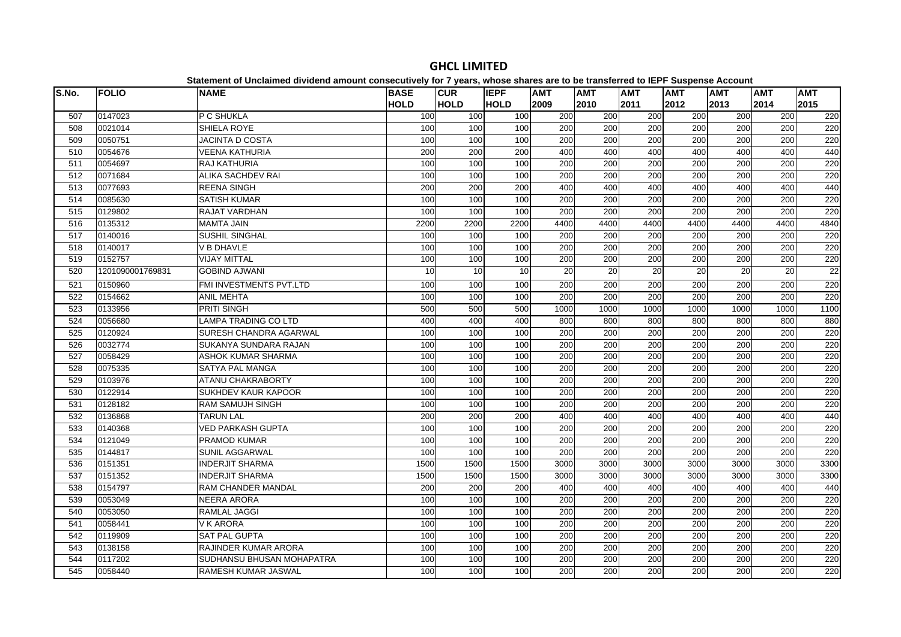| S.No. | <b>FOLIO</b>     | platomont or onolalmoa annaona amoant oonoocatroff for 1 foarof mnooo onaroo aro ta<br><b>NAME</b> | <b>BASE</b> | <b>CUR</b>  | <b>IEPF</b> | <b>AMT</b>       | .<br><b>AMT</b>  | <b>AMT</b>       | $- - -$<br><b>AMT</b> | <b>AMT</b> | <b>AMT</b>       | <b>AMT</b> |
|-------|------------------|----------------------------------------------------------------------------------------------------|-------------|-------------|-------------|------------------|------------------|------------------|-----------------------|------------|------------------|------------|
|       |                  |                                                                                                    | <b>HOLD</b> | <b>HOLD</b> | <b>HOLD</b> | 2009             | 2010             | 2011             | 2012                  | 2013       | 2014             | 2015       |
| 507   | 0147023          | P C SHUKLA                                                                                         | 100         | 100         | 100         | 200              | 200              | 200              | 200                   | 200        | 200              | 220        |
| 508   | 0021014          | SHIELA ROYE                                                                                        | 100         | 100         | 100         | 200              | 200              | 200              | 200                   | 200        | 200              | 220        |
| 509   | 0050751          | JACINTA D COSTA                                                                                    | 100         | 100         | 100         | 200              | 200              | 200              | 200                   | 200        | 200              | 220        |
| 510   | 0054676          | <b>VEENA KATHURIA</b>                                                                              | 200         | 200         | 200         | 400              | 400              | 400              | 400                   | 400        | 400              | 440        |
| 511   | 0054697          | RAJ KATHURIA                                                                                       | 100         | 100         | 100         | 200              | 200              | 200              | 200                   | 200        | 200              | 220        |
| 512   | 0071684          | <b>ALIKA SACHDEV RAI</b>                                                                           | 100         | 100         | 100         | 200              | 200              | 200              | 200                   | 200        | 200              | 220        |
| 513   | 0077693          | <b>REENA SINGH</b>                                                                                 | 200         | 200         | 200         | 400              | 400              | 400              | 400                   | 400        | 400              | 440        |
| 514   | 0085630          | <b>SATISH KUMAR</b>                                                                                | 100         | 100         | 100         | 200              | 200              | 200              | 200                   | 200        | 200              | 220        |
| 515   | 0129802          | RAJAT VARDHAN                                                                                      | 100         | 100         | 100         | 200              | 200              | 200              | 200                   | 200        | 200              | 220        |
| 516   | 0135312          | <b>MAMTA JAIN</b>                                                                                  | 2200        | 2200        | 2200        | 4400             | 4400             | 4400             | 4400                  | 4400       | 4400             | 4840       |
| 517   | 0140016          | <b>SUSHIL SINGHAL</b>                                                                              | 100         | 100         | 100         | 200              | 200              | 200              | 200                   | 200        | 200              | 220        |
| 518   | 0140017          | V B DHAVLE                                                                                         | 100         | 100         | 100         | 200              | 200              | 200              | 200                   | 200        | 200              | 220        |
| 519   | 0152757          | <b>VIJAY MITTAL</b>                                                                                | 100         | 100         | 100         | 200              | 200              | 200              | 200                   | 200        | 200              | 220        |
| 520   | 1201090001769831 | <b>GOBIND AJWANI</b>                                                                               | 10          | 10          | 10          | 20               | 20               | 20               | 20                    | 20         | 20               | 22         |
| 521   | 0150960          | FMI INVESTMENTS PVT.LTD                                                                            | 100         | 100         | 100         | $\overline{200}$ | $\overline{200}$ | $\overline{200}$ | 200                   | 200        | 200              | 220        |
| 522   | 0154662          | <b>ANIL MEHTA</b>                                                                                  | 100         | 100         | 100         | 200              | 200              | 200              | 200                   | 200        | 200              | 220        |
| 523   | 0133956          | PRITI SINGH                                                                                        | 500         | 500         | 500         | 1000             | 1000             | 1000             | 1000                  | 1000       | 1000             | 1100       |
| 524   | 0056680          | LAMPA TRADING CO LTD                                                                               | 400         | 400         | 400         | 800              | 800              | 800              | 800                   | 800        | 800              | 880        |
| 525   | 0120924          | SURESH CHANDRA AGARWAL                                                                             | 100         | 100         | 100         | 200              | 200              | 200              | 200                   | 200        | 200              | 220        |
| 526   | 0032774          | SUKANYA SUNDARA RAJAN                                                                              | 100         | 100         | 100         | 200              | 200              | 200              | 200                   | 200        | 200              | 220        |
| 527   | 0058429          | ASHOK KUMAR SHARMA                                                                                 | 100         | 100         | 100         | 200              | 200              | 200              | 200                   | 200        | 200              | 220        |
| 528   | 0075335          | SATYA PAL MANGA                                                                                    | 100         | 100         | 100         | 200              | 200              | 200              | 200                   | 200        | 200              | 220        |
| 529   | 0103976          | <b>ATANU CHAKRABORTY</b>                                                                           | 100         | 100         | 100         | 200              | 200              | 200              | 200                   | 200        | 200              | 220        |
| 530   | 0122914          | <b>SUKHDEV KAUR KAPOOR</b>                                                                         | 100         | 100         | 100         | $\overline{200}$ | $\overline{200}$ | $\overline{200}$ | 200                   | 200        | $\overline{200}$ | 220        |
| 531   | 0128182          | <b>RAM SAMUJH SINGH</b>                                                                            | 100         | 100         | 100         | 200              | 200              | 200              | 200                   | 200        | 200              | 220        |
| 532   | 0136868          | <b>TARUN LAL</b>                                                                                   | 200         | 200         | 200         | 400              | 400              | 400              | 400                   | 400        | 400              | 440        |
| 533   | 0140368          | <b>VED PARKASH GUPTA</b>                                                                           | 100         | 100         | 100         | 200              | 200              | 200              | 200                   | 200        | 200              | 220        |
| 534   | 0121049          | PRAMOD KUMAR                                                                                       | 100         | 100         | 100         | 200              | 200              | 200              | 200                   | 200        | 200              | 220        |
| 535   | 0144817          | <b>SUNIL AGGARWAL</b>                                                                              | 100         | 100         | 100         | 200              | 200              | 200              | 200                   | 200        | 200              | 220        |
| 536   | 0151351          | <b>INDERJIT SHARMA</b>                                                                             | 1500        | 1500        | 1500        | 3000             | 3000             | 3000             | 3000                  | 3000       | 3000             | 3300       |
| 537   | 0151352          | <b>INDERJIT SHARMA</b>                                                                             | 1500        | 1500        | 1500        | 3000             | 3000             | 3000             | 3000                  | 3000       | 3000             | 3300       |
| 538   | 0154797          | <b>RAM CHANDER MANDAL</b>                                                                          | 200         | 200         | 200         | 400              | 400              | 400              | 400                   | 400        | 400              | 440        |
| 539   | 0053049          | <b>NEERA ARORA</b>                                                                                 | 100         | 100         | 100         | 200              | 200              | 200              | 200                   | 200        | 200              | 220        |
| 540   | 0053050          | <b>RAMLAL JAGGI</b>                                                                                | 100         | 100         | 100         | 200              | 200              | 200              | 200                   | 200        | 200              | 220        |
| 541   | 0058441          | <b>V K ARORA</b>                                                                                   | 100         | 100         | 100         | 200              | 200              | 200              | 200                   | 200        | 200              | 220        |
| 542   | 0119909          | <b>SAT PAL GUPTA</b>                                                                               | 100         | 100         | 100         | 200              | 200              | 200              | 200                   | 200        | 200              | 220        |
| 543   | 0138158          | RAJINDER KUMAR ARORA                                                                               | 100         | 100         | 100         | 200              | 200              | 200              | 200                   | 200        | 200              | 220        |
| 544   | 0117202          | SUDHANSU BHUSAN MOHAPATRA                                                                          | 100         | 100         | 100         | 200              | 200              | 200              | $\overline{200}$      | 200        | $\overline{200}$ | 220        |
| 545   | 0058440          | RAMESH KUMAR JASWAL                                                                                | 100         | 100         | 100         | 200              | 200              | 200              | 200                   | 200        | 200              | 220        |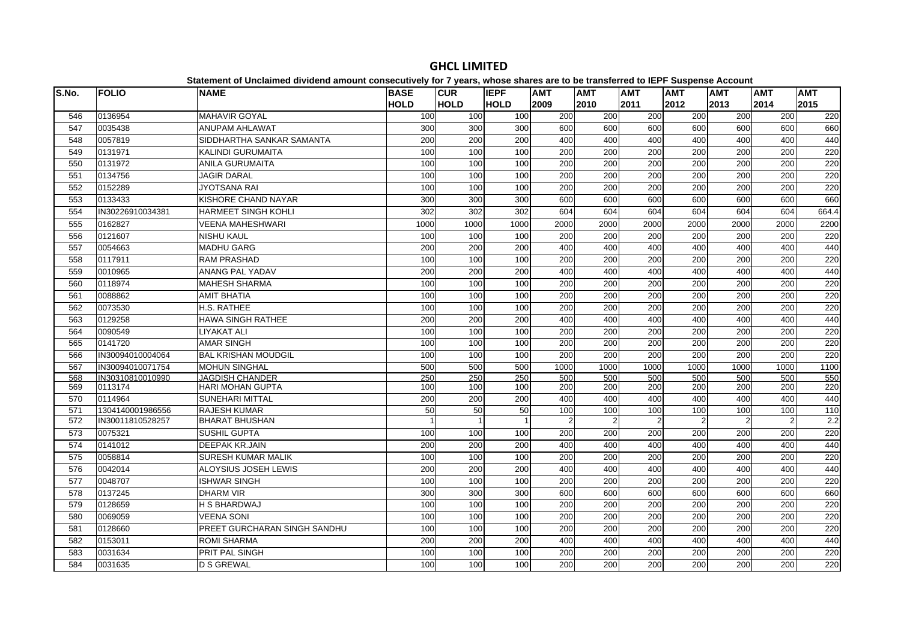| S.No. | <b>FOLIO</b>     | <b>NAME</b>                  | <b>BASE</b> | <b>CUR</b>   | <b>IEPF</b> | <b>AMT</b>       | <b>AMT</b>       | <b>AMT</b>       | <b>AMT</b>       | <b>AMT</b>     | <b>AMT</b>     | <b>AMT</b> |
|-------|------------------|------------------------------|-------------|--------------|-------------|------------------|------------------|------------------|------------------|----------------|----------------|------------|
|       |                  |                              | <b>HOLD</b> | <b>HOLD</b>  | <b>HOLD</b> | 2009             | 2010             | 2011             | 2012             | 2013           | 2014           | 2015       |
| 546   | 0136954          | <b>MAHAVIR GOYAL</b>         | 100         | 100          | 100         | 200              | 200              | 200              | 200              | 200            | 200            | 220        |
| 547   | 0035438          | <b>ANUPAM AHLAWAT</b>        | 300         | 300          | 300         | 600              | 600              | 600              | 600              | 600            | 600            | 660        |
| 548   | 0057819          | SIDDHARTHA SANKAR SAMANTA    | 200         | 200          | 200         | 400              | 400              | 400              | 400              | 400            | 400            | 440        |
| 549   | 0131971          | <b>KALINDI GURUMAITA</b>     | 100         | 100          | 100         | 200              | 200              | 200              | 200              | 200            | 200            | 220        |
| 550   | 0131972          | <b>ANILA GURUMAITA</b>       | 100         | 100          | 100         | 200              | $\overline{200}$ | 200              | $\overline{200}$ | 200            | 200            | 220        |
| 551   | 0134756          | <b>JAGIR DARAL</b>           | 100         | 100          | 100         | 200              | 200              | 200              | 200              | 200            | 200            | 220        |
| 552   | 0152289          | <b>JYOTSANA RAI</b>          | 100         | 100          | 100         | $\overline{200}$ | 200              | $\overline{200}$ | 200              | 200            | 200            | 220        |
| 553   | 0133433          | KISHORE CHAND NAYAR          | 300         | 300          | 300         | 600              | 600              | 600              | 600              | 600            | 600            | 660        |
| 554   | IN30226910034381 | <b>HARMEET SINGH KOHLI</b>   | 302         | 302          | 302         | 604              | 604              | 604              | 604              | 604            | 604            | 664.4      |
| 555   | 0162827          | <b>VEENA MAHESHWARI</b>      | 1000        | 1000         | 1000        | 2000             | 2000             | 2000             | 2000             | 2000           | 2000           | 2200       |
| 556   | 0121607          | <b>NISHU KAUL</b>            | 100         | 100          | 100         | 200              | 200              | 200              | 200              | 200            | 200            | 220        |
| 557   | 0054663          | <b>MADHU GARG</b>            | 200         | 200          | 200         | 400              | 400              | 400              | 400              | 400            | 400            | 440        |
| 558   | 0117911          | <b>RAM PRASHAD</b>           | 100         | 100          | 100         | 200              | 200              | 200              | 200              | 200            | 200            | 220        |
| 559   | 0010965          | ANANG PAL YADAV              | 200         | 200          | 200         | 400              | 400              | 400              | 400              | 400            | 400            | 440        |
| 560   | 0118974          | <b>MAHESH SHARMA</b>         | 100         | 100          | 100         | 200              | 200              | 200              | 200              | 200            | 200            | 220        |
| 561   | 0088862          | <b>AMIT BHATIA</b>           | 100         | 100          | 100         | 200              | 200              | 200              | 200              | 200            | 200            | 220        |
| 562   | 0073530          | H.S. RATHEE                  | 100         | 100          | 100         | 200              | 200              | 200              | 200              | 200            | 200            | 220        |
| 563   | 0129258          | <b>HAWA SINGH RATHEE</b>     | 200         | 200          | 200         | 400              | 400              | 400              | 400              | 400            | 400            | 440        |
| 564   | 0090549          | <b>LIYAKAT ALI</b>           | 100         | 100          | 100         | 200              | 200              | 200              | 200              | 200            | 200            | 220        |
| 565   | 0141720          | <b>AMAR SINGH</b>            | 100         | 100          | 100         | 200              | $\overline{200}$ | $\overline{200}$ | 200              | 200            | 200            | 220        |
| 566   | IN30094010004064 | <b>BAL KRISHAN MOUDGIL</b>   | 100         | 100          | 100         | 200              | 200              | 200              | 200              | 200            | 200            | 220        |
| 567   | IN30094010071754 | <b>MOHUN SINGHAL</b>         | 500         | 500          | 500         | 1000             | 1000             | 1000             | 1000             | 1000           | 1000           | 1100       |
| 568   | IN30310810010990 | <b>JAGDISH CHANDER</b>       | 250         | 250          | 250         | 500              | 500              | 500              | 500              | 500            | 500            | 550        |
| 569   | 0113174          | <b>HARI MOHAN GUPTA</b>      | 100         | 100          | 100         | 200              | 200              | 200              | 200              | 200            | 200            | 220        |
| 570   | 0114964          | <b>SUNEHARI MITTAL</b>       | 200         | 200          | 200         | 400              | 400              | 400              | 400              | 400            | 400            | 440        |
| 571   | 1304140001986556 | <b>RAJESH KUMAR</b>          | 50          | 50           | 50          | 100              | 100              | 100              | 100              | 100            | 100            | 110        |
| 572   | IN30011810528257 | <b>BHARAT BHUSHAN</b>        |             | $\mathbf{1}$ |             | $\overline{c}$   | 2                | $\overline{2}$   |                  | $\overline{2}$ | $\overline{2}$ | 2.2        |
| 573   | 0075321          | <b>SUSHIL GUPTA</b>          | 100         | 100          | 100         | $\overline{200}$ | $\overline{200}$ | $\overline{200}$ | $\overline{200}$ | 200            | 200            | 220        |
| 574   | 0141012          | <b>DEEPAK KR.JAIN</b>        | 200         | 200          | 200         | 400              | 400              | 400              | 400              | 400            | 400            | 440        |
| 575   | 0058814          | <b>SURESH KUMAR MALIK</b>    | 100         | 100          | 100         | 200              | 200              | 200              | 200              | 200            | 200            | 220        |
| 576   | 0042014          | ALOYSIUS JOSEH LEWIS         | 200         | 200          | 200         | 400              | 400              | 400              | 400              | 400            | 400            | 440        |
| 577   | 0048707          | <b>ISHWAR SINGH</b>          | 100         | 100          | 100         | 200              | 200              | 200              | 200              | 200            | 200            | 220        |
| 578   | 0137245          | <b>DHARM VIR</b>             | 300         | 300          | 300         | 600              | 600              | 600              | 600              | 600            | 600            | 660        |
| 579   | 0128659          | <b>H S BHARDWAJ</b>          | 100         | 100          | 100         | 200              | 200              | 200              | 200              | 200            | 200            | 220        |
| 580   | 0069059          | <b>VEENA SONI</b>            | 100         | 100          | 100         | 200              | 200              | 200              | 200              | 200            | 200            | 220        |
| 581   | 0128660          | PREET GURCHARAN SINGH SANDHU | 100         | 100          | 100         | 200              | 200              | 200              | 200              | 200            | 200            | 220        |
| 582   | 0153011          | <b>ROMI SHARMA</b>           | 200         | 200          | 200         | 400              | 400              | 400              | 400              | 400            | 400            | 440        |
| 583   | 0031634          | PRIT PAL SINGH               | 100         | 100          | 100         | 200              | 200              | 200              | 200              | 200            | 200            | 220        |
| 584   | 0031635          | <b>D S GREWAL</b>            | 100         | 100          | 100         | 200              | 200              | 200              | 200              | 200            | 200            | 220        |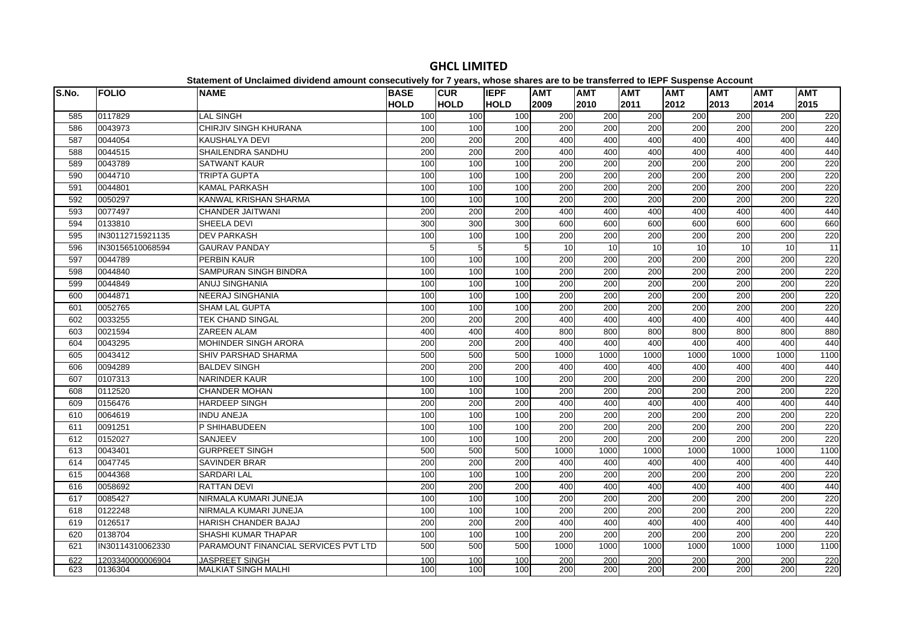| S.No. | <b>FOLIO</b>     | <b>NAME</b>                          | <b>BASE</b> | <b>CUR</b>  | <b>IEPF</b> | <b>AMT</b>       | <b>AMT</b>       | <b>AMT</b>       | <b>AMT</b>       | <b>AMT</b> | <b>AMT</b> | <b>AMT</b> |
|-------|------------------|--------------------------------------|-------------|-------------|-------------|------------------|------------------|------------------|------------------|------------|------------|------------|
|       |                  |                                      | <b>HOLD</b> | <b>HOLD</b> | <b>HOLD</b> | 2009             | 2010             | 2011             | 2012             | 2013       | 2014       | 2015       |
| 585   | 0117829          | <b>LAL SINGH</b>                     | 100         | 100         | 100         | 200              | 200              | 200              | 200              | 200        | 200        | 220        |
| 586   | 0043973          | CHIRJIV SINGH KHURANA                | 100         | 100         | 100         | 200              | 200              | 200              | 200              | 200        | 200        | 220        |
| 587   | 0044054          | <b>KAUSHALYA DEVI</b>                | 200         | 200         | 200         | 400              | 400              | 400              | 400              | 400        | 400        | 440        |
| 588   | 0044515          | SHAILENDRA SANDHU                    | 200         | 200         | 200         | 400              | 400              | 400              | 400              | 400        | 400        | 440        |
| 589   | 0043789          | <b>SATWANT KAUR</b>                  | 100         | 100         | 100         | 200              | 200              | 200              | 200              | 200        | 200        | 220        |
| 590   | 0044710          | <b>TRIPTA GUPTA</b>                  | 100         | 100         | 100         | 200              | 200              | 200              | 200              | 200        | 200        | 220        |
| 591   | 0044801          | <b>KAMAL PARKASH</b>                 | 100         | 100         | 100         | 200              | 200              | 200              | 200              | 200        | 200        | 220        |
| 592   | 0050297          | KANWAL KRISHAN SHARMA                | 100         | 100         | 100         | 200              | 200              | 200              | 200              | 200        | 200        | 220        |
| 593   | 0077497          | <b>CHANDER JAITWANI</b>              | 200         | 200         | 200         | 400              | 400              | 400              | 400              | 400        | 400        | 440        |
| 594   | 0133810          | SHEELA DEVI                          | 300         | 300         | 300         | 600              | 600              | 600              | 600              | 600        | 600        | 660        |
| 595   | IN30112715921135 | <b>DEV PARKASH</b>                   | 100         | 100         | 100         | 200              | $\overline{200}$ | $\overline{200}$ | 200              | 200        | 200        | 220        |
| 596   | IN30156510068594 | <b>GAURAV PANDAY</b>                 | 5           | 5           | 5           | 10               | 10               | $\overline{10}$  | $\overline{10}$  | 10         | 10         | 11         |
| 597   | 0044789          | <b>PERBIN KAUR</b>                   | 100         | 100         | 100         | 200              | 200              | 200              | 200              | 200        | 200        | 220        |
| 598   | 0044840          | SAMPURAN SINGH BINDRA                | 100         | 100         | 100         | 200              | 200              | 200              | 200              | 200        | 200        | 220        |
| 599   | 0044849          | <b>ANUJ SINGHANIA</b>                | 100         | 100         | 100         | 200              | 200              | $\overline{200}$ | $\overline{200}$ | 200        | 200        | 220        |
| 600   | 0044871          | <b>NEERAJ SINGHANIA</b>              | 100         | 100         | 100         | 200              | 200              | 200              | 200              | 200        | 200        | 220        |
| 601   | 0052765          | <b>SHAM LAL GUPTA</b>                | 100         | 100         | 100         | 200              | 200              | 200              | 200              | 200        | 200        | 220        |
| 602   | 0033255          | <b>TEK CHAND SINGAL</b>              | 200         | 200         | 200         | 400              | 400              | 400              | 400              | 400        | 400        | 440        |
| 603   | 0021594          | <b>ZAREEN ALAM</b>                   | 400         | 400         | 400         | 800              | 800              | 800              | 800              | 800        | 800        | 880        |
| 604   | 0043295          | <b>MOHINDER SINGH ARORA</b>          | 200         | 200         | 200         | 400              | 400              | 400              | 400              | 400        | 400        | 440        |
| 605   | 0043412          | <b>SHIV PARSHAD SHARMA</b>           | 500         | 500         | 500         | 1000             | 1000             | 1000             | 1000             | 1000       | 1000       | 1100       |
| 606   | 0094289          | <b>BALDEV SINGH</b>                  | 200         | 200         | 200         | 400              | 400              | 400              | 400              | 400        | 400        | 440        |
| 607   | 0107313          | <b>NARINDER KAUR</b>                 | 100         | 100         | 100         | 200              | 200              | $\overline{200}$ | 200              | 200        | 200        | 220        |
| 608   | 0112520          | <b>CHANDER MOHAN</b>                 | 100         | 100         | 100         | 200              | 200              | 200              | 200              | 200        | 200        | 220        |
| 609   | 0156476          | <b>HARDEEP SINGH</b>                 | 200         | 200         | 200         | 400              | 400              | 400              | 400              | 400        | 400        | 440        |
| 610   | 0064619          | <b>INDU ANEJA</b>                    | 100         | 100         | 100         | 200              | 200              | 200              | 200              | 200        | 200        | 220        |
| 611   | 0091251          | P SHIHABUDEEN                        | 100         | 100         | 100         | $\overline{200}$ | $\overline{200}$ | $\overline{200}$ | $\overline{200}$ | 200        | 200        | 220        |
| 612   | 0152027          | <b>SANJEEV</b>                       | 100         | 100         | 100         | 200              | 200              | 200              | 200              | 200        | 200        | 220        |
| 613   | 0043401          | <b>GURPREET SINGH</b>                | 500         | 500         | 500         | 1000             | 1000             | 1000             | 1000             | 1000       | 1000       | 1100       |
| 614   | 0047745          | <b>SAVINDER BRAR</b>                 | 200         | 200         | 200         | 400              | 400              | 400              | 400              | 400        | 400        | 440        |
| 615   | 0044368          | <b>SARDARI LAL</b>                   | 100         | 100         | 100         | 200              | 200              | 200              | 200              | 200        | 200        | 220        |
| 616   | 0058692          | <b>RATTAN DEVI</b>                   | 200         | 200         | 200         | 400              | 400              | 400              | 400              | 400        | 400        | 440        |
| 617   | 0085427          | NIRMALA KUMARI JUNEJA                | 100         | 100         | 100         | 200              | 200              | 200              | 200              | 200        | 200        | 220        |
| 618   | 0122248          | NIRMALA KUMARI JUNEJA                | 100         | 100         | 100         | 200              | 200              | 200              | 200              | 200        | 200        | 220        |
| 619   | 0126517          | <b>HARISH CHANDER BAJAJ</b>          | 200         | 200         | 200         | 400              | 400              | 400              | 400              | 400        | 400        | 440        |
| 620   | 0138704          | SHASHI KUMAR THAPAR                  | 100         | 100         | 100         | 200              | 200              | $\overline{200}$ | 200              | 200        | 200        | 220        |
| 621   | IN30114310062330 | PARAMOUNT FINANCIAL SERVICES PVT LTD | 500         | 500         | 500         | 1000             | 1000             | 1000             | 1000             | 1000       | 1000       | 1100       |
| 622   | 1203340000006904 | <b>JASPREET SINGH</b>                | 100         | 100         | 100         | 200              | 200              | 200              | 200              | 200        | 200        | 220        |
| 623   | 0136304          | <b>MALKIAT SINGH MALHI</b>           | 100         | 100         | 100         | 200              | 200              | 200              | 200              | 200        | 200        | 220        |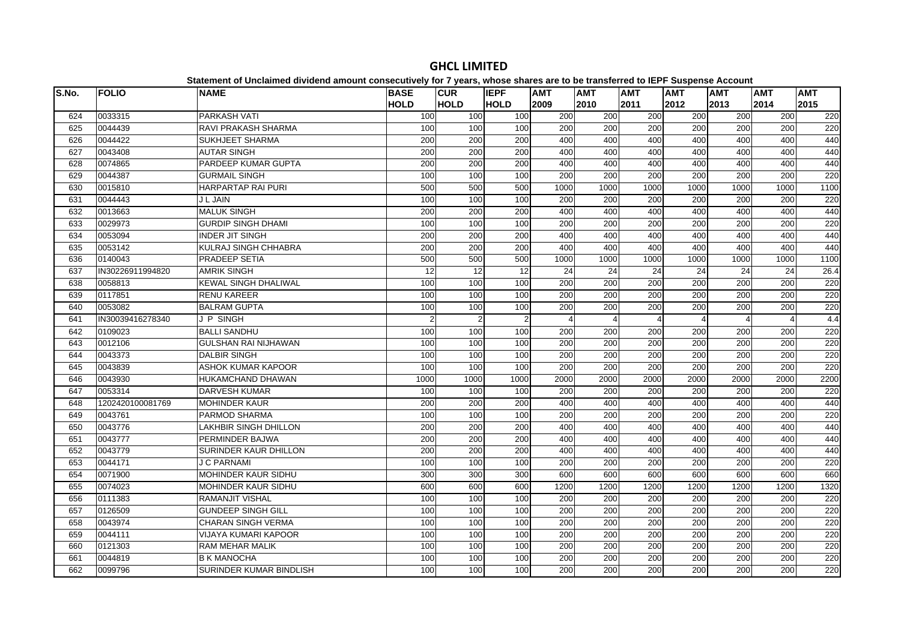| S.No. | <b>FOLIO</b>     | platomont or onolalmoa annaona amoant oonoooathoff for 1 foarof mnooo onaroo aro ta<br><b>NAME</b> | <b>BASE</b> | <b>CUR</b>     | <b>IEPF</b>    | <b>AMT</b>       | .<br><b>AMT</b>  | <b>AMT</b> | $- - -$<br><b>AMT</b> | <b>AMT</b>       | <b>AMT</b> | <b>AMT</b> |
|-------|------------------|----------------------------------------------------------------------------------------------------|-------------|----------------|----------------|------------------|------------------|------------|-----------------------|------------------|------------|------------|
|       |                  |                                                                                                    | <b>HOLD</b> | <b>HOLD</b>    | <b>HOLD</b>    | 2009             | 2010             | 2011       | 2012                  | 2013             | 2014       | 2015       |
| 624   | 0033315          | PARKASH VATI                                                                                       | 100         | 100            | 100            | 200              | 200              | 200        | 200                   | 200              | 200        | 220        |
| 625   | 0044439          | <b>RAVI PRAKASH SHARMA</b>                                                                         | 100         | 100            | 100            | 200              | 200              | 200        | 200                   | 200              | 200        | 220        |
| 626   | 0044422          | <b>SUKHJEET SHARMA</b>                                                                             | 200         | 200            | 200            | 400              | 400              | 400        | 400                   | 400              | 400        | 440        |
| 627   | 0043408          | <b>AUTAR SINGH</b>                                                                                 | 200         | 200            | 200            | 400              | 400              | 400        | 400                   | 400              | 400        | 440        |
| 628   | 0074865          | PARDEEP KUMAR GUPTA                                                                                | 200         | 200            | 200            | 400              | 400              | 400        | 400                   | 400              | 400        | 440        |
| 629   | 0044387          | <b>GURMAIL SINGH</b>                                                                               | 100         | 100            | 100            | $\overline{200}$ | $\overline{200}$ | 200        | 200                   | $\overline{200}$ | 200        | 220        |
| 630   | 0015810          | <b>HARPARTAP RAI PURI</b>                                                                          | 500         | 500            | 500            | 1000             | 1000             | 1000       | 1000                  | 1000             | 1000       | 1100       |
| 631   | 0044443          | <b>J L JAIN</b>                                                                                    | 100         | 100            | 100            | 200              | 200              | 200        | 200                   | 200              | 200        | 220        |
| 632   | 0013663          | <b>MALUK SINGH</b>                                                                                 | 200         | 200            | 200            | 400              | 400              | 400        | 400                   | 400              | 400        | 440        |
| 633   | 0029973          | <b>GURDIP SINGH DHAMI</b>                                                                          | 100         | 100            | 100            | 200              | 200              | 200        | 200                   | 200              | 200        | 220        |
| 634   | 0053094          | <b>INDER JIT SINGH</b>                                                                             | 200         | 200            | 200            | 400              | 400              | 400        | 400                   | 400              | 400        | 440        |
| 635   | 0053142          | <b>KULRAJ SINGH CHHABRA</b>                                                                        | 200         | 200            | 200            | 400              | 400              | 400        | 400                   | 400              | 400        | 440        |
| 636   | 0140043          | <b>PRADEEP SETIA</b>                                                                               | 500         | 500            | 500            | 1000             | 1000             | 1000       | 1000                  | 1000             | 1000       | 1100       |
| 637   | IN30226911994820 | <b>AMRIK SINGH</b>                                                                                 | 12          | 12             | 12             | 24               | 24               | 24         | 24                    | 24               | 24         | 26.4       |
| 638   | 0058813          | <b>KEWAL SINGH DHALIWAL</b>                                                                        | 100         | 100            | 100            | 200              | 200              | 200        | 200                   | 200              | 200        | 220        |
| 639   | 0117851          | <b>RENU KAREER</b>                                                                                 | 100         | 100            | 100            | 200              | 200              | 200        | 200                   | 200              | 200        | 220        |
| 640   | 0053082          | <b>BALRAM GUPTA</b>                                                                                | 100         | 100            | 100            | 200              | 200              | 200        | 200                   | 200              | 200        | 220        |
| 641   | IN30039416278340 | J P SINGH                                                                                          | 2           | $\overline{2}$ | $\overline{2}$ |                  |                  |            |                       |                  | $\Delta$   | 4.4        |
| 642   | 0109023          | <b>BALLI SANDHU</b>                                                                                | 100         | 100            | 100            | 200              | 200              | 200        | 200                   | 200              | 200        | 220        |
| 643   | 0012106          | <b>GULSHAN RAI NIJHAWAN</b>                                                                        | 100         | 100            | 100            | 200              | 200              | 200        | 200                   | 200              | 200        | 220        |
| 644   | 0043373          | <b>DALBIR SINGH</b>                                                                                | 100         | 100            | 100            | 200              | 200              | 200        | 200                   | 200              | 200        | 220        |
| 645   | 0043839          | <b>ASHOK KUMAR KAPOOR</b>                                                                          | 100         | 100            | 100            | 200              | 200              | 200        | 200                   | 200              | 200        | 220        |
| 646   | 0043930          | <b>HUKAMCHAND DHAWAN</b>                                                                           | 1000        | 1000           | 1000           | 2000             | 2000             | 2000       | 2000                  | 2000             | 2000       | 2200       |
| 647   | 0053314          | <b>DARVESH KUMAR</b>                                                                               | 100         | 100            | 100            | 200              | 200              | 200        | 200                   | 200              | 200        | 220        |
| 648   | 1202420100081769 | <b>MOHINDER KAUR</b>                                                                               | 200         | 200            | 200            | 400              | 400              | 400        | 400                   | 400              | 400        | 440        |
| 649   | 0043761          | PARMOD SHARMA                                                                                      | 100         | 100            | 100            | 200              | 200              | 200        | 200                   | 200              | 200        | 220        |
| 650   | 0043776          | LAKHBIR SINGH DHILLON                                                                              | 200         | 200            | 200            | 400              | 400              | 400        | 400                   | 400              | 400        | 440        |
| 651   | 0043777          | PERMINDER BAJWA                                                                                    | 200         | 200            | 200            | 400              | 400              | 400        | 400                   | 400              | 400        | 440        |
| 652   | 0043779          | SURINDER KAUR DHILLON                                                                              | 200         | 200            | 200            | 400              | 400              | 400        | 400                   | 400              | 400        | 440        |
| 653   | 0044171          | <b>J C PARNAMI</b>                                                                                 | 100         | 100            | 100            | 200              | 200              | 200        | 200                   | 200              | 200        | 220        |
| 654   | 0071900          | <b>MOHINDER KAUR SIDHU</b>                                                                         | 300         | 300            | 300            | 600              | 600              | 600        | 600                   | 600              | 600        | 660        |
| 655   | 0074023          | <b>MOHINDER KAUR SIDHU</b>                                                                         | 600         | 600            | 600            | 1200             | 1200             | 1200       | 1200                  | 1200             | 1200       | 1320       |
| 656   | 0111383          | <b>RAMANJIT VISHAL</b>                                                                             | 100         | 100            | 100            | 200              | 200              | 200        | 200                   | 200              | 200        | 220        |
| 657   | 0126509          | <b>GUNDEEP SINGH GILL</b>                                                                          | 100         | 100            | 100            | 200              | 200              | 200        | 200                   | 200              | 200        | 220        |
| 658   | 0043974          | <b>CHARAN SINGH VERMA</b>                                                                          | 100         | 100            | 100            | 200              | 200              | 200        | 200                   | 200              | 200        | 220        |
| 659   | 0044111          | VIJAYA KUMARI KAPOOR                                                                               | 100         | 100            | 100            | 200              | 200              | 200        | 200                   | 200              | 200        | 220        |
| 660   | 0121303          | RAM MEHAR MALIK                                                                                    | 100         | 100            | 100            | 200              | 200              | 200        | 200                   | 200              | 200        | 220        |
| 661   | 0044819          | <b>B K MANOCHA</b>                                                                                 | 100         | 100            | 100            | 200              | 200              | 200        | 200                   | 200              | 200        | 220        |
| 662   | 0099796          | SURINDER KUMAR BINDLISH                                                                            | 100         | 100            | 100            | 200              | 200              | 200        | 200                   | 200              | 200        | 220        |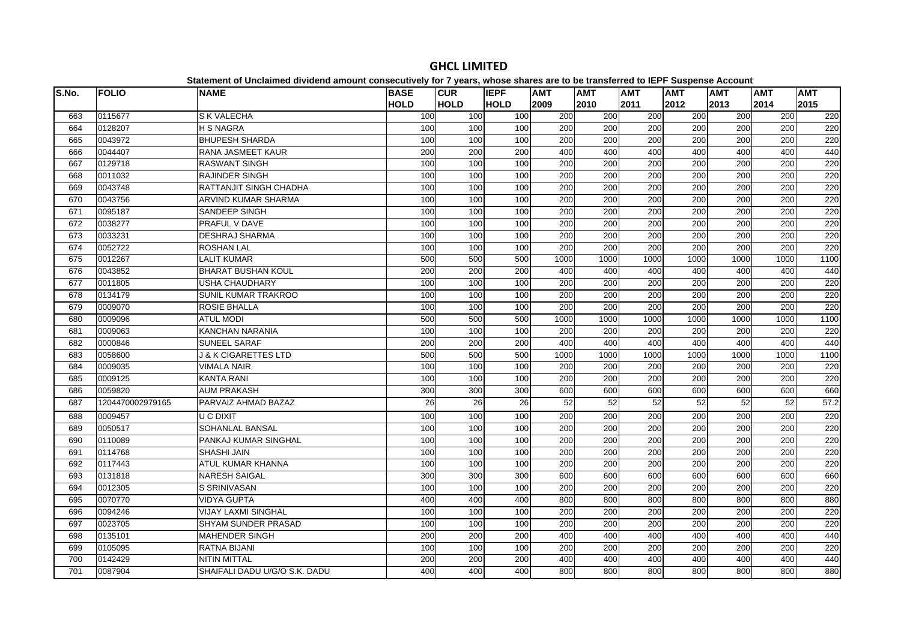| S.No. | <b>FOLIO</b>     | <b>NAME</b>                   | <b>BASE</b>     | <b>CUR</b>  | <b>IEPF</b> | <b>AMT</b>       | <b>AMT</b>       | <b>AMT</b>       | <b>AMT</b> | <b>AMT</b>       | <b>AMT</b>       | <b>AMT</b> |
|-------|------------------|-------------------------------|-----------------|-------------|-------------|------------------|------------------|------------------|------------|------------------|------------------|------------|
|       |                  |                               | <b>HOLD</b>     | <b>HOLD</b> | <b>HOLD</b> | 2009             | 2010             | 2011             | 2012       | 2013             | 2014             | 2015       |
| 663   | 0115677          | <b>S K VALECHA</b>            | 100             | 100         | 100         | 200              | 200              | 200              | 200        | 200              | 200              | 220        |
| 664   | 0128207          | <b>H S NAGRA</b>              | 100             | 100         | 100         | 200              | 200              | 200              | 200        | 200              | 200              | 220        |
| 665   | 0043972          | <b>BHUPESH SHARDA</b>         | 100             | 100         | 100         | 200              | 200              | 200              | 200        | 200              | 200              | 220        |
| 666   | 0044407          | <b>RANA JASMEET KAUR</b>      | 200             | 200         | 200         | 400              | 400              | 400              | 400        | 400              | 400              | 440        |
| 667   | 0129718          | <b>RASWANT SINGH</b>          | 100             | 100         | 100         | 200              | 200              | 200              | 200        | 200              | 200              | 220        |
| 668   | 0011032          | <b>RAJINDER SINGH</b>         | 100             | 100         | 100         | 200              | 200              | 200              | 200        | 200              | 200              | 220        |
| 669   | 0043748          | RATTANJIT SINGH CHADHA        | 100             | 100         | 100         | 200              | 200              | 200              | 200        | 200              | 200              | 220        |
| 670   | 0043756          | <b>ARVIND KUMAR SHARMA</b>    | 100             | 100         | 100         | 200              | 200              | 200              | 200        | 200              | 200              | 220        |
| 671   | 0095187          | SANDEEP SINGH                 | 100             | 100         | 100         | 200              | 200              | 200              | 200        | 200              | 200              | 220        |
| 672   | 0038277          | PRAFUL V DAVE                 | 100             | 100         | 100         | 200              | $\overline{200}$ | 200              | 200        | 200              | 200              | 220        |
| 673   | 0033231          | <b>DESHRAJ SHARMA</b>         | 100             | 100         | 100         | 200              | 200              | $\overline{200}$ | 200        | 200              | 200              | 220        |
| 674   | 0052722          | <b>ROSHAN LAL</b>             | 100             | 100         | 100         | 200              | 200              | 200              | 200        | 200              | 200              | 220        |
| 675   | 0012267          | <b>LALIT KUMAR</b>            | 500             | 500         | 500         | 1000             | 1000             | 1000             | 1000       | 1000             | 1000             | 1100       |
| 676   | 0043852          | <b>BHARAT BUSHAN KOUL</b>     | 200             | 200         | 200         | 400              | 400              | 400              | 400        | 400              | 400              | 440        |
| 677   | 0011805          | USHA CHAUDHARY                | 100             | 100         | 100         | 200              | 200              | 200              | 200        | 200              | 200              | 220        |
| 678   | 0134179          | SUNIL KUMAR TRAKROO           | 100             | 100         | 100         | 200              | 200              | 200              | 200        | 200              | 200              | 220        |
| 679   | 0009070          | <b>ROSIE BHALLA</b>           | 100             | 100         | 100         | $\overline{200}$ | $\overline{200}$ | $\overline{200}$ | 200        | 200              | 200              | 220        |
| 680   | 0009096          | <b>ATUL MODI</b>              | 500             | 500         | 500         | 1000             | 1000             | 1000             | 1000       | 1000             | 1000             | 1100       |
| 681   | 0009063          | <b>KANCHAN NARANIA</b>        | 100             | 100         | 100         | 200              | 200              | 200              | 200        | 200              | 200              | 220        |
| 682   | 0000846          | <b>SUNEEL SARAF</b>           | 200             | 200         | 200         | 400              | 400              | 400              | 400        | 400              | 400              | 440        |
| 683   | 0058600          | J & K CIGARETTES LTD          | 500             | 500         | 500         | 1000             | 1000             | 1000             | 1000       | 1000             | 1000             | 1100       |
| 684   | 0009035          | <b>VIMALA NAIR</b>            | 100             | 100         | 100         | 200              | 200              | 200              | 200        | 200              | 200              | 220        |
| 685   | 0009125          | <b>KANTA RANI</b>             | 100             | 100         | 100         | 200              | 200              | 200              | 200        | 200              | 200              | 220        |
| 686   | 0059820          | <b>AUM PRAKASH</b>            | 300             | 300         | 300         | 600              | 600              | 600              | 600        | 600              | 600              | 660        |
| 687   | 1204470002979165 | PARVAIZ AHMAD BAZAZ           | $\overline{26}$ | 26          | 26          | 52               | 52               | 52               | 52         | 52               | 52               | 57.2       |
| 688   | 0009457          | <b>U C DIXIT</b>              | 100             | 100         | 100         | 200              | 200              | 200              | 200        | 200              | 200              | 220        |
| 689   | 0050517          | SOHANLAL BANSAL               | 100             | 100         | 100         | 200              | 200              | 200              | 200        | 200              | 200              | 220        |
| 690   | 0110089          | PANKAJ KUMAR SINGHAL          | 100             | 100         | 100         | 200              | 200              | $\overline{200}$ | 200        | $\overline{200}$ | $\overline{200}$ | 220        |
| 691   | 0114768          | <b>SHASHI JAIN</b>            | 100             | 100         | 100         | 200              | 200              | 200              | 200        | 200              | 200              | 220        |
| 692   | 0117443          | ATUL KUMAR KHANNA             | 100             | 100         | 100         | 200              | 200              | $\overline{200}$ | 200        | 200              | $\overline{200}$ | 220        |
| 693   | 0131818          | <b>NARESH SAIGAL</b>          | 300             | 300         | 300         | 600              | 600              | 600              | 600        | 600              | 600              | 660        |
| 694   | 0012305          | S SRINIVASAN                  | 100             | 100         | 100         | 200              | 200              | 200              | 200        | 200              | 200              | 220        |
| 695   | 0070770          | <b>VIDYA GUPTA</b>            | 400             | 400         | 400         | 800              | 800              | 800              | 800        | 800              | 800              | 880        |
| 696   | 0094246          | <b>VIJAY LAXMI SINGHAL</b>    | 100             | 100         | 100         | 200              | 200              | 200              | 200        | 200              | 200              | 220        |
| 697   | 0023705          | SHYAM SUNDER PRASAD           | 100             | 100         | 100         | 200              | 200              | 200              | 200        | 200              | 200              | 220        |
| 698   | 0135101          | <b>MAHENDER SINGH</b>         | 200             | 200         | 200         | 400              | 400              | 400              | 400        | 400              | 400              | 440        |
| 699   | 0105095          | <b>RATNA BIJANI</b>           | 100             | 100         | 100         | 200              | 200              | 200              | 200        | 200              | 200              | 220        |
| 700   | 0142429          | <b>NITIN MITTAL</b>           | 200             | 200         | 200         | 400              | 400              | 400              | 400        | 400              | 400              | 440        |
| 701   | 0087904          | SHAIFALI DADU U/G/O S.K. DADU | 400             | 400         | 400         | 800              | 800              | 800              | 800        | 800              | 800              | 880        |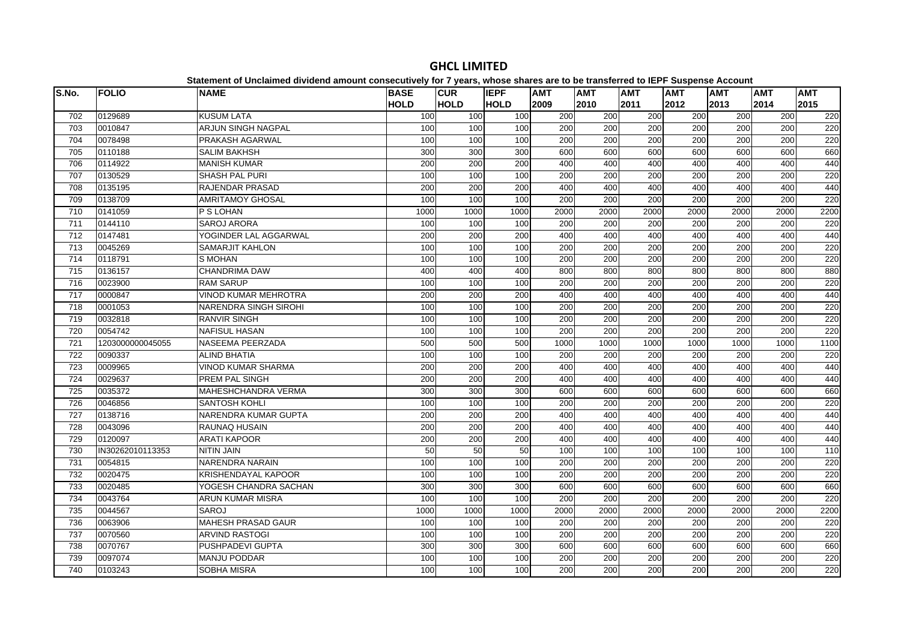| S.No. | <b>FOLIO</b>     | platomont or onolalmou antiuonu alliount oollooodinoly for 1 young mnooo onunco aro to<br><b>NAME</b> | <b>BASE</b> | <b>CUR</b>       | <b>IEPF</b>     | <b>AMT</b> | .<br><b>AMT</b>  | AMT              | $-$<br><b>AMT</b> | <b>AMT</b> | <b>AMT</b> | <b>AMT</b> |
|-------|------------------|-------------------------------------------------------------------------------------------------------|-------------|------------------|-----------------|------------|------------------|------------------|-------------------|------------|------------|------------|
|       |                  |                                                                                                       | <b>HOLD</b> | HOLD             | <b>HOLD</b>     | 2009       | 2010             | 2011             | 2012              | 2013       | 2014       | 2015       |
| 702   | 0129689          | <b>KUSUM LATA</b>                                                                                     | 100         | 100              | 100             | 200        | 200              | 200              | 200               | 200        | 200        | 220        |
| 703   | 0010847          | <b>ARJUN SINGH NAGPAL</b>                                                                             | 100         | 100              | 100             | 200        | 200              | 200              | 200               | 200        | 200        | 220        |
| 704   | 0078498          | PRAKASH AGARWAL                                                                                       | 100         | 100              | 100             | 200        | 200              | 200              | 200               | 200        | 200        | 220        |
| 705   | 0110188          | <b>SALIM BAKHSH</b>                                                                                   | 300         | 300              | 300             | 600        | 600              | 600              | 600               | 600        | 600        | 660        |
| 706   | 0114922          | <b>MANISH KUMAR</b>                                                                                   | 200         | 200              | 200             | 400        | 400              | 400              | 400               | 400        | 400        | 440        |
| 707   | 0130529          | SHASH PAL PURI                                                                                        | 100         | 100              | $\frac{1}{100}$ | 200        | 200              | 200              | 200               | 200        | 200        | 220        |
| 708   | 0135195          | <b>RAJENDAR PRASAD</b>                                                                                | 200         | 200              | 200             | 400        | 400              | 400              | 400               | 400        | 400        | 440        |
| 709   | 0138709          | <b>AMRITAMOY GHOSAL</b>                                                                               | 100         | 100              | 100             | 200        | 200              | 200              | 200               | 200        | 200        | 220        |
| 710   | 0141059          | P S LOHAN                                                                                             | 1000        | 1000             | 1000            | 2000       | 2000             | 2000             | 2000              | 2000       | 2000       | 2200       |
| 711   | 0144110          | <b>SAROJ ARORA</b>                                                                                    | 100         | 100              | 100             | 200        | 200              | 200              | 200               | 200        | 200        | 220        |
| 712   | 0147481          | YOGINDER LAL AGGARWAL                                                                                 | 200         | 200              | 200             | 400        | 400              | 400              | 400               | 400        | 400        | 440        |
| 713   | 0045269          | <b>SAMARJIT KAHLON</b>                                                                                | 100         | 100              | 100             | 200        | 200              | 200              | 200               | 200        | 200        | 220        |
| 714   | 0118791          | S MOHAN                                                                                               | 100         | 100              | 100             | 200        | 200              | 200              | 200               | 200        | 200        | 220        |
| 715   | 0136157          | <b>CHANDRIMA DAW</b>                                                                                  | 400         | 400              | 400             | 800        | 800              | 800              | 800               | 800        | 800        | 880        |
| 716   | 0023900          | <b>RAM SARUP</b>                                                                                      | 100         | 100              | 100             | 200        | $\overline{200}$ | $\overline{200}$ | 200               | 200        | 200        | 220        |
| 717   | 0000847          | <b>VINOD KUMAR MEHROTRA</b>                                                                           | 200         | 200              | 200             | 400        | 400              | 400              | 400               | 400        | 400        | 440        |
| 718   | 0001053          | <b>NARENDRA SINGH SIROHI</b>                                                                          | 100         | 100              | 100             | 200        | 200              | 200              | 200               | 200        | 200        | 220        |
| 719   | 0032818          | <b>RANVIR SINGH</b>                                                                                   | 100         | 100              | 100             | 200        | 200              | 200              | 200               | 200        | 200        | 220        |
| 720   | 0054742          | <b>NAFISUL HASAN</b>                                                                                  | 100         | 100              | 100             | 200        | 200              | 200              | 200               | 200        | 200        | 220        |
| 721   | 1203000000045055 | NASEEMA PEERZADA                                                                                      | 500         | 500              | 500             | 1000       | 1000             | 1000             | 1000              | 1000       | 1000       | 1100       |
| 722   | 0090337          | <b>ALIND BHATIA</b>                                                                                   | 100         | 100              | 100             | 200        | 200              | 200              | 200               | 200        | 200        | 220        |
| 723   | 0009965          | VINOD KUMAR SHARMA                                                                                    | 200         | 200              | 200             | 400        | 400              | 400              | 400               | 400        | 400        | 440        |
| 724   | 0029637          | PREM PAL SINGH                                                                                        | 200         | $\overline{200}$ | 200             | 400        | 400              | 400              | 400               | 400        | 400        | 440        |
| 725   | 0035372          | <b>MAHESHCHANDRA VERMA</b>                                                                            | 300         | 300              | 300             | 600        | 600              | 600              | 600               | 600        | 600        | 660        |
| 726   | 0046856          | <b>SANTOSH KOHLI</b>                                                                                  | 100         | 100              | 100             | 200        | 200              | 200              | 200               | 200        | 200        | 220        |
| 727   | 0138716          | NARENDRA KUMAR GUPTA                                                                                  | 200         | 200              | 200             | 400        | 400              | 400              | 400               | 400        | 400        | 440        |
| 728   | 0043096          | RAUNAQ HUSAIN                                                                                         | 200         | 200              | 200             | 400        | 400              | 400              | 400               | 400        | 400        | 440        |
| 729   | 0120097          | <b>ARATI KAPOOR</b>                                                                                   | 200         | 200              | 200             | 400        | 400              | 400              | 400               | 400        | 400        | 440        |
| 730   | IN30262010113353 | <b>NITIN JAIN</b>                                                                                     | 50          | 50               | 50              | 100        | 100              | 100              | 100               | 100        | 100        | 110        |
| 731   | 0054815          | <b>NARENDRA NARAIN</b>                                                                                | 100         | 100              | 100             | 200        | 200              | 200              | 200               | 200        | 200        | 220        |
| 732   | 0020475          | <b>KRISHENDAYAL KAPOOR</b>                                                                            | 100         | 100              | 100             | 200        | 200              | 200              | 200               | 200        | 200        | 220        |
| 733   | 0020485          | YOGESH CHANDRA SACHAN                                                                                 | 300         | $\overline{300}$ | 300             | 600        | 600              | 600              | 600               | 600        | 600        | 660        |
| 734   | 0043764          | <b>ARUN KUMAR MISRA</b>                                                                               | 100         | 100              | 100             | 200        | 200              | 200              | 200               | 200        | 200        | 220        |
| 735   | 0044567          | <b>SAROJ</b>                                                                                          | 1000        | 1000             | 1000            | 2000       | 2000             | 2000             | 2000              | 2000       | 2000       | 2200       |
| 736   | 0063906          | <b>MAHESH PRASAD GAUR</b>                                                                             | 100         | 100              | 100             | 200        | 200              | 200              | 200               | 200        | 200        | 220        |
| 737   | 0070560          | <b>ARVIND RASTOGI</b>                                                                                 | 100         | 100              | 100             | 200        | 200              | 200              | 200               | 200        | 200        | 220        |
| 738   | 0070767          | PUSHPADEVI GUPTA                                                                                      | 300         | 300              | 300             | 600        | 600              | 600              | 600               | 600        | 600        | 660        |
| 739   | 0097074          | <b>MANJU PODDAR</b>                                                                                   | 100         | 100              | 100             | 200        | 200              | 200              | 200               | 200        | 200        | 220        |
| 740   | 0103243          | <b>SOBHA MISRA</b>                                                                                    | 100         | 100              | 100             | 200        | 200              | 200              | 200               | 200        | 200        | 220        |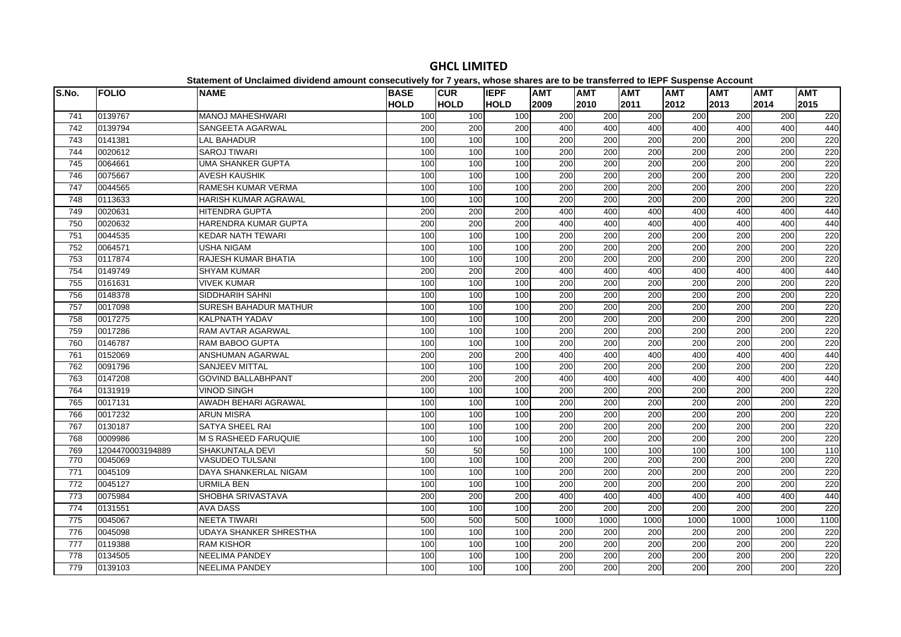| S.No.            | <b>FOLIO</b>     | platomont or onolalmoa arriaona amoant oonoooatirorj for 1 jouroj mnooo onaroo aro te<br><b>NAME</b> | <b>BASE</b> | <b>CUR</b>  | <b>IEPF</b> | <b>AMT</b>       | .<br><b>AMT</b>  | <b>AMT</b>       | $- -$<br><b>AMT</b> | <b>AMT</b>       | <b>AMT</b> | <b>AMT</b> |
|------------------|------------------|------------------------------------------------------------------------------------------------------|-------------|-------------|-------------|------------------|------------------|------------------|---------------------|------------------|------------|------------|
|                  |                  |                                                                                                      | <b>HOLD</b> | <b>HOLD</b> | <b>HOLD</b> | 2009             | 2010             | 2011             | 2012                | 2013             | 2014       | 2015       |
| 741              | 0139767          | <b>MANOJ MAHESHWARI</b>                                                                              | 100         | 100         | 100         | 200              | 200              | 200              | 200                 | 200              | 200        | 220        |
| 742              | 0139794          | SANGEETA AGARWAL                                                                                     | 200         | 200         | 200         | 400              | 400              | 400              | 400                 | 400              | 400        | 440        |
| 743              | 0141381          | <b>LAL BAHADUR</b>                                                                                   | 100         | 100         | 100         | 200              | 200              | 200              | 200                 | 200              | 200        | 220        |
| 744              | 0020612          | <b>SAROJ TIWARI</b>                                                                                  | 100         | 100         | 100         | 200              | 200              | 200              | 200                 | 200              | 200        | 220        |
| 745              | 0064661          | <b>UMA SHANKER GUPTA</b>                                                                             | 100         | 100         | 100         | 200              | 200              | 200              | 200                 | 200              | 200        | 220        |
| 746              | 0075667          | <b>AVESH KAUSHIK</b>                                                                                 | 100         | 100         | 100         | $\overline{200}$ | $\overline{200}$ | $\overline{200}$ | 200                 | 200              | 200        | 220        |
| 747              | 0044565          | <b>RAMESH KUMAR VERMA</b>                                                                            | 100         | 100         | 100         | 200              | 200              | $\overline{200}$ | 200                 | 200              | 200        | 220        |
| 748              | 0113633          | HARISH KUMAR AGRAWAL                                                                                 | 100         | 100         | 100         | 200              | 200              | 200              | 200                 | 200              | 200        | 220        |
| 749              | 0020631          | <b>HITENDRA GUPTA</b>                                                                                | 200         | 200         | 200         | 400              | 400              | 400              | 400                 | 400              | 400        | 440        |
| 750              | 0020632          | HARENDRA KUMAR GUPTA                                                                                 | 200         | 200         | 200         | 400              | 400              | 400              | 400                 | 400              | 400        | 440        |
| 751              | 0044535          | <b>KEDAR NATH TEWARI</b>                                                                             | 100         | 100         | 100         | 200              | 200              | 200              | $\overline{200}$    | 200              | 200        | 220        |
| 752              | 0064571          | USHA NIGAM                                                                                           | 100         | 100         | 100         | 200              | 200              | 200              | 200                 | 200              | 200        | 220        |
| 753              | 0117874          | <b>RAJESH KUMAR BHATIA</b>                                                                           | 100         | 100         | 100         | $\overline{200}$ | 200              | 200              | 200                 | 200              | 200        | 220        |
| 754              | 0149749          | <b>SHYAM KUMAR</b>                                                                                   | 200         | 200         | 200         | 400              | 400              | 400              | 400                 | 400              | 400        | 440        |
| 755              | 0161631          | <b>VIVEK KUMAR</b>                                                                                   | 100         | 100         | 100         | 200              | 200              | 200              | 200                 | 200              | 200        | 220        |
| 756              | 0148378          | SIDDHARIH SAHNI                                                                                      | 100         | 100         | 100         | 200              | 200              | 200              | 200                 | 200              | 200        | 220        |
| $\overline{757}$ | 0017098          | <b>SURESH BAHADUR MATHUR</b>                                                                         | 100         | 100         | 100         | 200              | $\overline{200}$ | 200              | 200                 | $\overline{200}$ | 200        | 220        |
| 758              | 0017275          | <b>KALPNATH YADAV</b>                                                                                | 100         | 100         | 100         | 200              | 200              | $\overline{200}$ | $\overline{200}$    | 200              | 200        | 220        |
| 759              | 0017286          | RAM AVTAR AGARWAL                                                                                    | 100         | 100         | 100         | 200              | 200              | 200              | 200                 | 200              | 200        | 220        |
| 760              | 0146787          | <b>RAM BABOO GUPTA</b>                                                                               | 100         | 100         | 100         | 200              | 200              | 200              | 200                 | 200              | 200        | 220        |
| 761              | 0152069          | ANSHUMAN AGARWAL                                                                                     | 200         | 200         | 200         | 400              | 400              | 400              | 400                 | 400              | 400        | 440        |
| 762              | 0091796          | <b>SANJEEV MITTAL</b>                                                                                | 100         | 100         | 100         | 200              | 200              | 200              | 200                 | 200              | 200        | 220        |
| 763              | 0147208          | <b>GOVIND BALLABHPANT</b>                                                                            | 200         | 200         | 200         | 400              | 400              | 400              | 400                 | 400              | 400        | 440        |
| 764              | 0131919          | <b>VINOD SINGH</b>                                                                                   | 100         | 100         | 100         | $\overline{200}$ | $\overline{200}$ | 200              | $\overline{200}$    | 200              | 200        | 220        |
| 765              | 0017131          | AWADH BEHARI AGRAWAL                                                                                 | 100         | 100         | 100         | 200              | 200              | $\overline{200}$ | $\overline{200}$    | 200              | 200        | 220        |
| 766              | 0017232          | <b>ARUN MISRA</b>                                                                                    | 100         | 100         | 100         | 200              | 200              | 200              | 200                 | 200              | 200        | 220        |
| 767              | 0130187          | SATYA SHEEL RAI                                                                                      | 100         | 100         | 100         | 200              | 200              | 200              | 200                 | 200              | 200        | 220        |
| 768              | 0009986          | <b>M S RASHEED FARUQUIE</b>                                                                          | 100         | 100         | 100         | 200              | 200              | 200              | 200                 | 200              | 200        | 220        |
| 769              | 1204470003194889 | <b>SHAKUNTALA DEVI</b>                                                                               | 50          | 50          | 50          | 100              | 100              | 100              | 100                 | 100              | 100        | 110        |
| 770              | 0045069          | VASUDEO TULSANI                                                                                      | 100         | 100         | 100         | 200              | 200              | 200              | 200                 | 200              | 200        | 220        |
| 771              | 0045109          | DAYA SHANKERLAL NIGAM                                                                                | 100         | 100         | 100         | 200              | 200              | 200              | 200                 | 200              | 200        | 220        |
| 772              | 0045127          | URMILA BEN                                                                                           | 100         | 100         | 100         | 200              | 200              | 200              | 200                 | 200              | 200        | 220        |
| 773              | 0075984          | SHOBHA SRIVASTAVA                                                                                    | 200         | 200         | 200         | 400              | 400              | 400              | 400                 | 400              | 400        | 440        |
| 774              | 0131551          | <b>AVA DASS</b>                                                                                      | 100         | 100         | 100         | 200              | 200              | 200              | 200                 | 200              | 200        | 220        |
| 775              | 0045067          | <b>NEETA TIWARI</b>                                                                                  | 500         | 500         | 500         | 1000             | 1000             | 1000             | 1000                | 1000             | 1000       | 1100       |
| 776              | 0045098          | <b>UDAYA SHANKER SHRESTHA</b>                                                                        | 100         | 100         | 100         | 200              | 200              | 200              | $\overline{200}$    | 200              | 200        | 220        |
| 777              | 0119388          | <b>RAM KISHOR</b>                                                                                    | 100         | 100         | 100         | 200              | 200              | 200              | 200                 | 200              | 200        | 220        |
| 778              | 0134505          | <b>NEELIMA PANDEY</b>                                                                                | 100         | 100         | 100         | 200              | 200              | 200              | 200                 | 200              | 200        | 220        |
| 779              | 0139103          | <b>NEELIMA PANDEY</b>                                                                                | 100         | 100         | 100         | 200              | 200              | 200              | 200                 | 200              | 200        | 220        |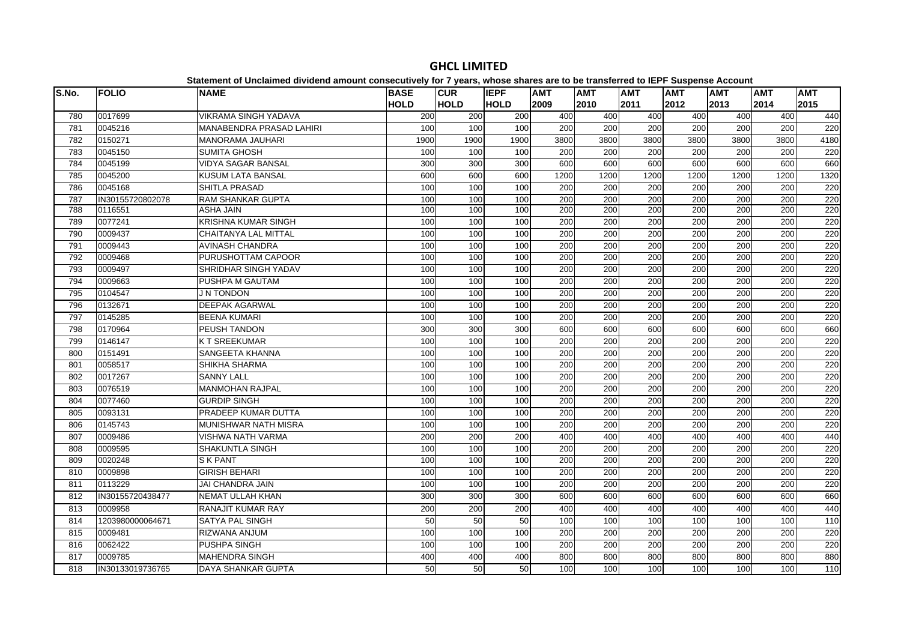| S.No.      | <b>FOLIO</b>       | <b>NAME</b>                                                    | <b>BASE</b> | <b>CUR</b><br><b>HOLD</b> | <b>IEPF</b> | <b>AMT</b>       | <b>AMT</b>              | <b>AMT</b>              | <b>AMT</b><br>2012      | <b>AMT</b> | <b>AMT</b> | <b>AMT</b>       |
|------------|--------------------|----------------------------------------------------------------|-------------|---------------------------|-------------|------------------|-------------------------|-------------------------|-------------------------|------------|------------|------------------|
|            |                    |                                                                | <b>HOLD</b> |                           | <b>HOLD</b> | 2009             | 2010                    | 2011                    |                         | 2013       | 2014       | 2015             |
| 780        | 0017699<br>0045216 | <b>VIKRAMA SINGH YADAVA</b><br><b>MANABENDRA PRASAD LAHIRI</b> | 200<br>100  | 200<br>100                | 200<br>100  | 400<br>200       | 400<br>$\overline{200}$ | 400<br>$\overline{200}$ | 400<br>$\overline{200}$ | 400<br>200 | 400<br>200 | 440<br>220       |
| 781<br>782 | 0150271            | <b>MANORAMA JAUHARI</b>                                        | 1900        | 1900                      | 1900        | 3800             | 3800                    | 3800                    | 3800                    | 3800       | 3800       | 4180             |
| 783        | 0045150            | <b>SUMITA GHOSH</b>                                            | 100         | 100                       | 100         | 200              | $\overline{200}$        | $\overline{200}$        | $\overline{200}$        | 200        | 200        | 220              |
| 784        | 0045199            | <b>VIDYA SAGAR BANSAL</b>                                      | 300         | 300                       | 300         | 600              | 600                     | 600                     | 600                     | 600        | 600        | 660              |
| 785        | 0045200            | <b>KUSUM LATA BANSAL</b>                                       | 600         | 600                       | 600         | 1200             | 1200                    | 1200                    | 1200                    | 1200       | 1200       | 1320             |
| 786        | 0045168            | <b>SHITLA PRASAD</b>                                           | 100         | 100                       | 100         | 200              | 200                     | $\overline{200}$        | $\overline{200}$        | 200        | 200        | 220              |
| 787        | IN30155720802078   | <b>RAM SHANKAR GUPTA</b>                                       | 100         | 100                       | 100         | 200              | 200                     | 200                     | 200                     | 200        | 200        | 220              |
| 788        | 0116551            | <b>ASHA JAIN</b>                                               | 100         | 100                       | 100         | 200              | 200                     | 200                     | 200                     | 200        | 200        | 220              |
| 789        | 0077241            | <b>KRISHNA KUMAR SINGH</b>                                     | 100         | 100                       | 100         | 200              | 200                     | 200                     | 200                     | 200        | 200        | 220              |
| 790        | 0009437            | <b>CHAITANYA LAL MITTAL</b>                                    | 100         | 100                       | 100         | 200              | 200                     | $\overline{200}$        | 200                     | 200        | 200        | 220              |
| 791        | 0009443            | <b>AVINASH CHANDRA</b>                                         | 100         | 100                       | 100         | 200              | 200                     | 200                     | 200                     | 200        | 200        | 220              |
| 792        | 0009468            | <b>PURUSHOTTAM CAPOOR</b>                                      | 100         | 100                       | 100         | $\overline{200}$ | $\overline{200}$        | $\overline{200}$        | $\overline{200}$        | 200        | 200        | 220              |
| 793        | 0009497            | SHRIDHAR SINGH YADAV                                           | 100         | 100                       | 100         | 200              | 200                     | 200                     | 200                     | 200        | 200        | 220              |
| 794        | 0009663            | PUSHPA M GAUTAM                                                | 100         | 100                       | 100         | 200              | 200                     | 200                     | 200                     | 200        | 200        | 220              |
| 795        | 0104547            | J N TONDON                                                     | 100         | 100                       | 100         | 200              | $\overline{200}$        | 200                     | $\overline{200}$        | 200        | 200        | 220              |
| 796        | 0132671            | <b>DEEPAK AGARWAL</b>                                          | 100         | 100                       | 100         | 200              | 200                     | 200                     | 200                     | 200        | 200        | 220              |
| 797        | 0145285            | <b>BEENA KUMARI</b>                                            | 100         | 100                       | 100         | 200              | 200                     | 200                     | 200                     | 200        | 200        | 220              |
| 798        | 0170964            | PEUSH TANDON                                                   | 300         | 300                       | 300         | 600              | 600                     | 600                     | 600                     | 600        | 600        | 660              |
| 799        | 0146147            | <b>KT SREEKUMAR</b>                                            | 100         | 100                       | 100         | 200              | 200                     | 200                     | 200                     | 200        | 200        | 220              |
| 800        | 0151491            | SANGEETA KHANNA                                                | 100         | 100                       | 100         | 200              | 200                     | 200                     | 200                     | 200        | 200        | 220              |
| 801        | 0058517            | SHIKHA SHARMA                                                  | 100         | 100                       | 100         | 200              | 200                     | $\overline{200}$        | $\overline{200}$        | 200        | 200        | 220              |
| 802        | 0017267            | <b>SANNY LALL</b>                                              | 100         | 100                       | 100         | 200              | 200                     | 200                     | 200                     | 200        | 200        | 220              |
| 803        | 0076519            | <b>MANMOHAN RAJPAL</b>                                         | 100         | 100                       | 100         | $\overline{200}$ | $\overline{200}$        | 200                     | 200                     | 200        | 200        | 220              |
| 804        | 0077460            | <b>GURDIP SINGH</b>                                            | 100         | 100                       | 100         | 200              | $\overline{200}$        | $\overline{200}$        | $\overline{200}$        | 200        | 200        | 220              |
| 805        | 0093131            | PRADEEP KUMAR DUTTA                                            | 100         | 100                       | 100         | 200              | 200                     | 200                     | 200                     | 200        | 200        | 220              |
| 806        | 0145743            | <b>MUNISHWAR NATH MISRA</b>                                    | 100         | 100                       | 100         | $\overline{200}$ | $\overline{200}$        | 200                     | 200                     | 200        | 200        | 220              |
| 807        | 0009486            | <b>VISHWA NATH VARMA</b>                                       | 200         | 200                       | 200         | 400              | 400                     | 400                     | 400                     | 400        | 400        | 440              |
| 808        | 0009595            | <b>SHAKUNTLA SINGH</b>                                         | 100         | 100                       | 100         | 200              | 200                     | 200                     | 200                     | 200        | 200        | 220              |
| 809        | 0020248            | <b>S K PANT</b>                                                | 100         | 100                       | 100         | 200              | 200                     | 200                     | $\overline{200}$        | 200        | 200        | 220              |
| 810        | 0009898            | <b>GIRISH BEHARI</b>                                           | 100         | 100                       | 100         | 200              | $\overline{200}$        | 200                     | $\overline{200}$        | 200        | 200        | 220              |
| 811        | 0113229            | <b>JAI CHANDRA JAIN</b>                                        | 100         | 100                       | 100         | 200              | 200                     | 200                     | 200                     | 200        | 200        | 220              |
| 812        | IN30155720438477   | NEMAT ULLAH KHAN                                               | 300         | $\overline{300}$          | 300         | 600              | 600                     | 600                     | 600                     | 600        | 600        | 660              |
| 813        | 0009958            | <b>RANAJIT KUMAR RAY</b>                                       | 200         | 200                       | 200         | 400              | 400                     | 400                     | 400                     | 400        | 400        | 440              |
| 814        | 1203980000064671   | <b>SATYA PAL SINGH</b>                                         | 50          | 50                        | 50          | 100              | 100                     | 100                     | 100                     | 100        | 100        | $\frac{110}{10}$ |
| 815        | 0009481            | <b>RIZWANA ANJUM</b>                                           | 100         | 100                       | 100         | $\overline{200}$ | $\overline{200}$        | $\overline{200}$        | 200                     | 200        | 200        | 220              |
| 816        | 0062422            | <b>PUSHPA SINGH</b>                                            | 100         | 100                       | 100         | 200              | 200                     | 200                     | 200                     | 200        | 200        | 220              |
| 817        | 0009785            | <b>MAHENDRA SINGH</b>                                          | 400         | 400                       | 400         | 800              | 800                     | 800                     | 800                     | 800        | 800        | 880              |
| 818        | IN30133019736765   | DAYA SHANKAR GUPTA                                             | 50          | 50                        | 50          | 100              | 100                     | 100                     | 100                     | 100        | 100        | 110              |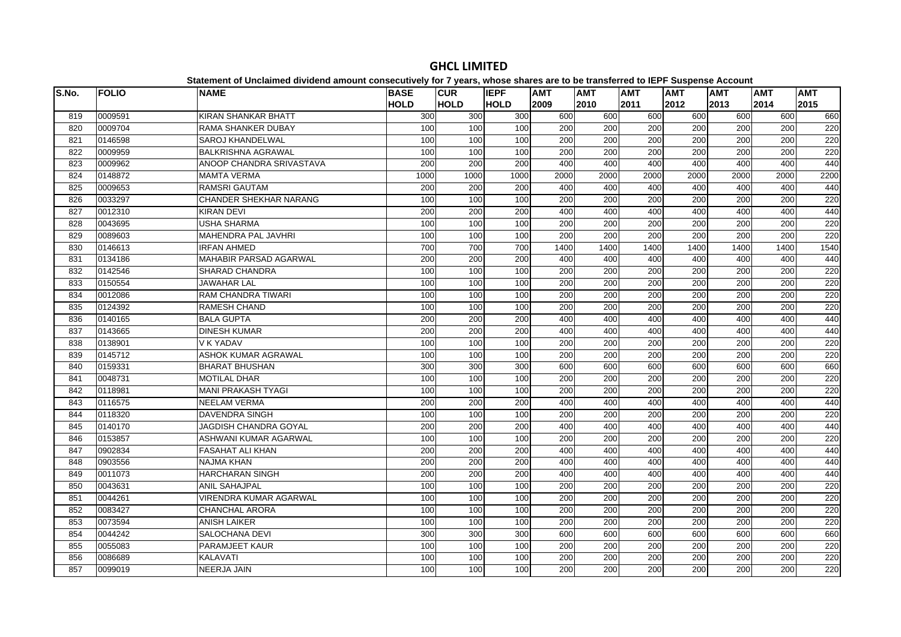| S.No. | <b>FOLIO</b> | platomont or onolalmoa arriaona amoant oonoooativoly for 1 youroj mnooo onaroo aro te<br><b>NAME</b> | <b>BASE</b> | <b>CUR</b>  | <b>IEPF</b> | <b>AMT</b>       | .<br><b>AMT</b>  | <b>AMT</b>       | $- - -$<br><b>AMT</b> | <b>AMT</b> | <b>AMT</b> | <b>AMT</b> |
|-------|--------------|------------------------------------------------------------------------------------------------------|-------------|-------------|-------------|------------------|------------------|------------------|-----------------------|------------|------------|------------|
|       |              |                                                                                                      | <b>HOLD</b> | <b>HOLD</b> | <b>HOLD</b> | 2009             | 2010             | 2011             | 2012                  | 2013       | 2014       | 2015       |
| 819   | 0009591      | <b>KIRAN SHANKAR BHATT</b>                                                                           | 300         | 300         | 300         | 600              | 600              | 600              | 600                   | 600        | 600        | 660        |
| 820   | 0009704      | <b>RAMA SHANKER DUBAY</b>                                                                            | 100         | 100         | 100         | 200              | 200              | 200              | 200                   | 200        | 200        | 220        |
| 821   | 0146598      | <b>SAROJ KHANDELWAL</b>                                                                              | 100         | 100         | 100         | 200              | 200              | 200              | 200                   | 200        | 200        | 220        |
| 822   | 0009959      | <b>BALKRISHNA AGRAWAL</b>                                                                            | 100         | 100         | 100         | 200              | 200              | 200              | 200                   | 200        | 200        | 220        |
| 823   | 0009962      | ANOOP CHANDRA SRIVASTAVA                                                                             | 200         | 200         | 200         | 400              | 400              | 400              | 400                   | 400        | 400        | 440        |
| 824   | 0148872      | <b>MAMTA VERMA</b>                                                                                   | 1000        | 1000        | 1000        | 2000             | 2000             | 2000             | 2000                  | 2000       | 2000       | 2200       |
| 825   | 0009653      | <b>RAMSRI GAUTAM</b>                                                                                 | 200         | 200         | 200         | 400              | 400              | 400              | 400                   | 400        | 400        | 440        |
| 826   | 0033297      | <b>CHANDER SHEKHAR NARANG</b>                                                                        | 100         | 100         | 100         | 200              | 200              | 200              | 200                   | 200        | 200        | 220        |
| 827   | 0012310      | <b>KIRAN DEVI</b>                                                                                    | 200         | 200         | 200         | 400              | 400              | 400              | 400                   | 400        | 400        | 440        |
| 828   | 0043695      | <b>USHA SHARMA</b>                                                                                   | 100         | 100         | 100         | 200              | 200              | 200              | 200                   | 200        | 200        | 220        |
| 829   | 0089603      | MAHENDRA PAL JAVHRI                                                                                  | 100         | 100         | 100         | 200              | 200              | 200              | 200                   | 200        | 200        | 220        |
| 830   | 0146613      | <b>IRFAN AHMED</b>                                                                                   | 700         | 700         | 700         | 1400             | 1400             | 1400             | 1400                  | 1400       | 1400       | 1540       |
| 831   | 0134186      | <b>MAHABIR PARSAD AGARWAL</b>                                                                        | 200         | 200         | 200         | 400              | 400              | 400              | 400                   | 400        | 400        | 440        |
| 832   | 0142546      | SHARAD CHANDRA                                                                                       | 100         | 100         | 100         | 200              | 200              | 200              | 200                   | 200        | 200        | 220        |
| 833   | 0150554      | <b>JAWAHAR LAL</b>                                                                                   | 100         | 100         | 100         | 200              | 200              | 200              | 200                   | 200        | 200        | 220        |
| 834   | 0012086      | <b>RAM CHANDRA TIWARI</b>                                                                            | 100         | 100         | 100         | 200              | 200              | 200              | 200                   | 200        | 200        | 220        |
| 835   | 0124392      | RAMESH CHAND                                                                                         | 100         | 100         | 100         | 200              | 200              | 200              | 200                   | 200        | 200        | 220        |
| 836   | 0140165      | <b>BALA GUPTA</b>                                                                                    | 200         | 200         | 200         | 400              | 400              | 400              | 400                   | 400        | 400        | 440        |
| 837   | 0143665      | <b>DINESH KUMAR</b>                                                                                  | 200         | 200         | 200         | 400              | 400              | 400              | 400                   | 400        | 400        | 440        |
| 838   | 0138901      | V K YADAV                                                                                            | 100         | 100         | 100         | 200              | 200              | 200              | 200                   | 200        | 200        | 220        |
| 839   | 0145712      | ASHOK KUMAR AGRAWAL                                                                                  | 100         | 100         | 100         | 200              | 200              | 200              | 200                   | 200        | 200        | 220        |
| 840   | 0159331      | <b>BHARAT BHUSHAN</b>                                                                                | 300         | 300         | 300         | 600              | 600              | 600              | 600                   | 600        | 600        | 660        |
| 841   | 0048731      | <b>MOTILAL DHAR</b>                                                                                  | 100         | 100         | 100         | 200              | 200              | 200              | 200                   | 200        | 200        | 220        |
| 842   | 0118981      | <b>MANI PRAKASH TYAGI</b>                                                                            | 100         | 100         | 100         | 200              | 200              | 200              | 200                   | 200        | 200        | 220        |
| 843   | 0116575      | <b>NEELAM VERMA</b>                                                                                  | 200         | 200         | 200         | 400              | 400              | 400              | 400                   | 400        | 400        | 440        |
| 844   | 0118320      | <b>DAVENDRA SINGH</b>                                                                                | 100         | 100         | 100         | 200              | 200              | 200              | 200                   | 200        | 200        | 220        |
| 845   | 0140170      | JAGDISH CHANDRA GOYAL                                                                                | 200         | 200         | 200         | 400              | 400              | 400              | 400                   | 400        | 400        | 440        |
| 846   | 0153857      | ASHWANI KUMAR AGARWAL                                                                                | 100         | 100         | 100         | 200              | 200              | 200              | 200                   | 200        | 200        | 220        |
| 847   | 0902834      | <b>FASAHAT ALI KHAN</b>                                                                              | 200         | 200         | 200         | 400              | 400              | 400              | 400                   | 400        | 400        | 440        |
| 848   | 0903556      | NAJMA KHAN                                                                                           | 200         | 200         | 200         | 400              | 400              | 400              | 400                   | 400        | 400        | 440        |
| 849   | 0011073      | <b>HARCHARAN SINGH</b>                                                                               | 200         | 200         | 200         | 400              | 400              | 400              | 400                   | 400        | 400        | 440        |
| 850   | 0043631      | <b>ANIL SAHAJPAL</b>                                                                                 | 100         | 100         | 100         | $\overline{200}$ | $\overline{200}$ | $\overline{200}$ | 200                   | 200        | 200        | 220        |
| 851   | 0044261      | <b>VIRENDRA KUMAR AGARWAL</b>                                                                        | 100         | 100         | 100         | 200              | $\overline{200}$ | $\overline{200}$ | 200                   | 200        | 200        | 220        |
| 852   | 0083427      | <b>CHANCHAL ARORA</b>                                                                                | 100         | 100         | 100         | 200              | 200              | 200              | 200                   | 200        | 200        | 220        |
| 853   | 0073594      | <b>ANISH LAIKER</b>                                                                                  | 100         | 100         | 100         | 200              | 200              | 200              | 200                   | 200        | 200        | 220        |
| 854   | 0044242      | SALOCHANA DEVI                                                                                       | 300         | 300         | 300         | 600              | 600              | 600              | 600                   | 600        | 600        | 660        |
| 855   | 0055083      | PARAMJEET KAUR                                                                                       | 100         | 100         | 100         | 200              | 200              | $\overline{200}$ | 200                   | 200        | 200        | 220        |
| 856   | 0086689      | <b>KALAVATI</b>                                                                                      | 100         | 100         | 100         | 200              | 200              | $\overline{200}$ | $\overline{200}$      | 200        | 200        | 220        |
| 857   | 0099019      | <b>NEERJA JAIN</b>                                                                                   | 100         | 100         | 100         | 200              | 200              | 200              | 200                   | 200        | 200        | 220        |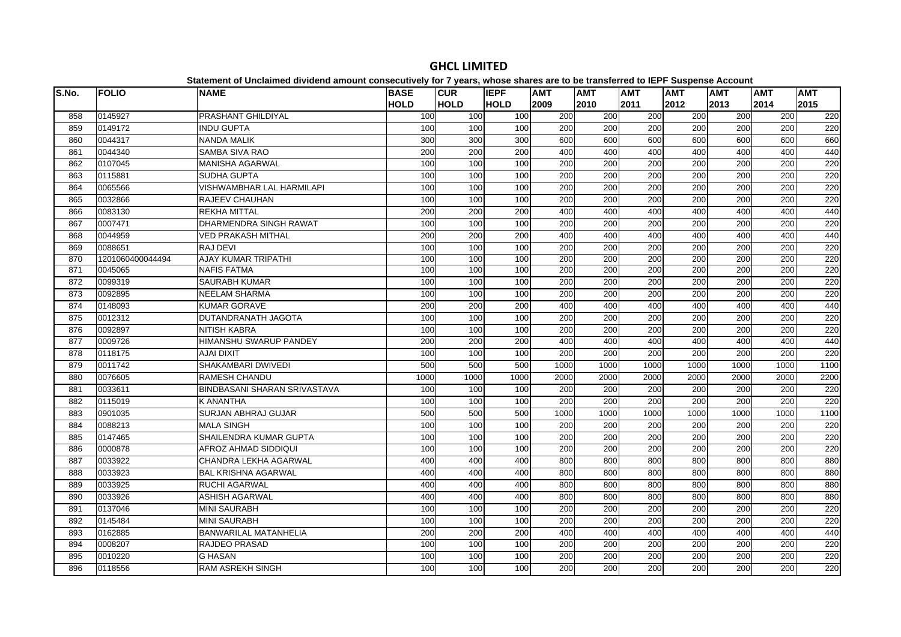| S.No. | <b>FOLIO</b>     | platomont or onolalmoa arriaona amoant oonoooativoly for 1 youroj mnooo onaroo aro te<br><b>NAME</b> | <b>BASE</b> | <b>CUR</b>  | <b>IEPF</b> | <b>AMT</b>       | .<br><b>AMT</b>  | <b>AMT</b>       | <b>AMT</b>       | $-200$<br><b>AMT</b> | <b>AMT</b> | <b>AMT</b> |
|-------|------------------|------------------------------------------------------------------------------------------------------|-------------|-------------|-------------|------------------|------------------|------------------|------------------|----------------------|------------|------------|
|       |                  |                                                                                                      | <b>HOLD</b> | <b>HOLD</b> | <b>HOLD</b> | 2009             | 2010             | 2011             | 2012             | 2013                 | 2014       | 2015       |
| 858   | 0145927          | PRASHANT GHILDIYAL                                                                                   | 100         | 100         | 100         | 200              | 200              | 200              | 200              | 200                  | 200        | 220        |
| 859   | 0149172          | <b>INDU GUPTA</b>                                                                                    | 100         | 100         | 100         | 200              | 200              | 200              | 200              | 200                  | 200        | 220        |
| 860   | 0044317          | <b>NANDA MALIK</b>                                                                                   | 300         | 300         | 300         | 600              | 600              | 600              | 600              | 600                  | 600        | 660        |
| 861   | 0044340          | <b>SAMBA SIVA RAO</b>                                                                                | 200         | 200         | 200         | 400              | 400              | 400              | 400              | 400                  | 400        | 440        |
| 862   | 0107045          | MANISHA AGARWAL                                                                                      | 100         | 100         | 100         | 200              | 200              | 200              | 200              | 200                  | 200        | 220        |
| 863   | 0115881          | <b>SUDHA GUPTA</b>                                                                                   | 100         | 100         | 100         | $\overline{200}$ | $\overline{200}$ | $\overline{200}$ | 200              | 200                  | 200        | 220        |
| 864   | 0065566          | VISHWAMBHAR LAL HARMILAPI                                                                            | 100         | 100         | 100         | 200              | 200              | $\overline{200}$ | 200              | 200                  | 200        | 220        |
| 865   | 0032866          | <b>RAJEEV CHAUHAN</b>                                                                                | 100         | 100         | 100         | 200              | 200              | 200              | 200              | 200                  | 200        | 220        |
| 866   | 0083130          | <b>REKHA MITTAL</b>                                                                                  | 200         | 200         | 200         | 400              | 400              | 400              | 400              | 400                  | 400        | 440        |
| 867   | 0007471          | <b>DHARMENDRA SINGH RAWAT</b>                                                                        | 100         | 100         | 100         | 200              | 200              | 200              | 200              | 200                  | 200        | 220        |
| 868   | 0044959          | <b>VED PRAKASH MITHAL</b>                                                                            | 200         | 200         | 200         | 400              | 400              | 400              | 400              | 400                  | 400        | 440        |
| 869   | 0088651          | <b>RAJ DEVI</b>                                                                                      | 100         | 100         | 100         | 200              | 200              | 200              | 200              | 200                  | 200        | 220        |
| 870   | 1201060400044494 | <b>AJAY KUMAR TRIPATHI</b>                                                                           | 100         | 100         | 100         | $\overline{200}$ | 200              | 200              | 200              | 200                  | 200        | 220        |
| 871   | 0045065          | <b>NAFIS FATMA</b>                                                                                   | 100         | 100         | 100         | 200              | 200              | 200              | 200              | 200                  | 200        | 220        |
| 872   | 0099319          | <b>SAURABH KUMAR</b>                                                                                 | 100         | 100         | 100         | 200              | 200              | 200              | 200              | 200                  | 200        | 220        |
| 873   | 0092895          | <b>NEELAM SHARMA</b>                                                                                 | 100         | 100         | 100         | 200              | 200              | 200              | 200              | 200                  | 200        | 220        |
| 874   | 0148093          | <b>KUMAR GORAVE</b>                                                                                  | 200         | 200         | 200         | 400              | 400              | 400              | 400              | 400                  | 400        | 440        |
| 875   | 0012312          | DUTANDRANATH JAGOTA                                                                                  | 100         | 100         | 100         | 200              | 200              | 200              | 200              | 200                  | 200        | 220        |
| 876   | 0092897          | <b>NITISH KABRA</b>                                                                                  | 100         | 100         | 100         | 200              | 200              | 200              | 200              | 200                  | 200        | 220        |
| 877   | 0009726          | <b>HIMANSHU SWARUP PANDEY</b>                                                                        | 200         | 200         | 200         | 400              | 400              | 400              | 400              | 400                  | 400        | 440        |
| 878   | 0118175          | <b>AJAI DIXIT</b>                                                                                    | 100         | 100         | 100         | $\overline{200}$ | $\overline{200}$ | $\overline{200}$ | $\overline{200}$ | 200                  | 200        | 220        |
| 879   | 0011742          | SHAKAMBARI DWIVEDI                                                                                   | 500         | 500         | 500         | 1000             | 1000             | 1000             | 1000             | 1000                 | 1000       | 1100       |
| 880   | 0076605          | <b>RAMESH CHANDU</b>                                                                                 | 1000        | 1000        | 1000        | 2000             | 2000             | 2000             | 2000             | 2000                 | 2000       | 2200       |
| 881   | 0033611          | <b>BINDBASANI SHARAN SRIVASTAVA</b>                                                                  | 100         | 100         | 100         | $\overline{200}$ | 200              | 200              | $\overline{200}$ | 200                  | 200        | 220        |
| 882   | 0115019          | <b>K ANANTHA</b>                                                                                     | 100         | 100         | 100         | 200              | 200              | 200              | 200              | 200                  | 200        | 220        |
| 883   | 0901035          | <b>SURJAN ABHRAJ GUJAR</b>                                                                           | 500         | 500         | 500         | 1000             | 1000             | 1000             | 1000             | 1000                 | 1000       | 1100       |
| 884   | 0088213          | <b>MALA SINGH</b>                                                                                    | 100         | 100         | 100         | 200              | 200              | 200              | 200              | 200                  | 200        | 220        |
| 885   | 0147465          | SHAILENDRA KUMAR GUPTA                                                                               | 100         | 100         | 100         | 200              | $\overline{200}$ | 200              | $\overline{200}$ | 200                  | 200        | 220        |
| 886   | 0000878          | <b>AFROZ AHMAD SIDDIQUI</b>                                                                          | 100         | 100         | 100         | 200              | 200              | 200              | 200              | 200                  | 200        | 220        |
| 887   | 0033922          | CHANDRA LEKHA AGARWAL                                                                                | 400         | 400         | 400         | 800              | 800              | 800              | 800              | 800                  | 800        | 880        |
| 888   | 0033923          | <b>BAL KRISHNA AGARWAL</b>                                                                           | 400         | 400         | 400         | 800              | 800              | 800              | 800              | 800                  | 800        | 880        |
| 889   | 0033925          | <b>RUCHI AGARWAL</b>                                                                                 | 400         | 400         | 400         | 800              | 800              | 800              | 800              | 800                  | 800        | 880        |
| 890   | 0033926          | <b>ASHISH AGARWAL</b>                                                                                | 400         | 400         | 400         | 800              | 800              | 800              | 800              | 800                  | 800        | 880        |
| 891   | 0137046          | <b>MINI SAURABH</b>                                                                                  | 100         | 100         | 100         | 200              | 200              | 200              | 200              | 200                  | 200        | 220        |
| 892   | 0145484          | <b>MINI SAURABH</b>                                                                                  | 100         | 100         | 100         | $\overline{200}$ | 200              | $\overline{200}$ | 200              | 200                  | 200        | 220        |
| 893   | 0162885          | <b>BANWARILAL MATANHELIA</b>                                                                         | 200         | 200         | 200         | 400              | 400              | 400              | 400              | 400                  | 400        | 440        |
| 894   | 0008207          | RAJDEO PRASAD                                                                                        | 100         | 100         | 100         | 200              | 200              | 200              | 200              | 200                  | 200        | 220        |
| 895   | 0010220          | <b>G HASAN</b>                                                                                       | 100         | 100         | 100         | 200              | 200              | 200              | 200              | 200                  | 200        | 220        |
| 896   | 0118556          | <b>RAM ASREKH SINGH</b>                                                                              | 100         | 100         | 100         | 200              | $\overline{200}$ | 200              | $\overline{200}$ | 200                  | 200        | 220        |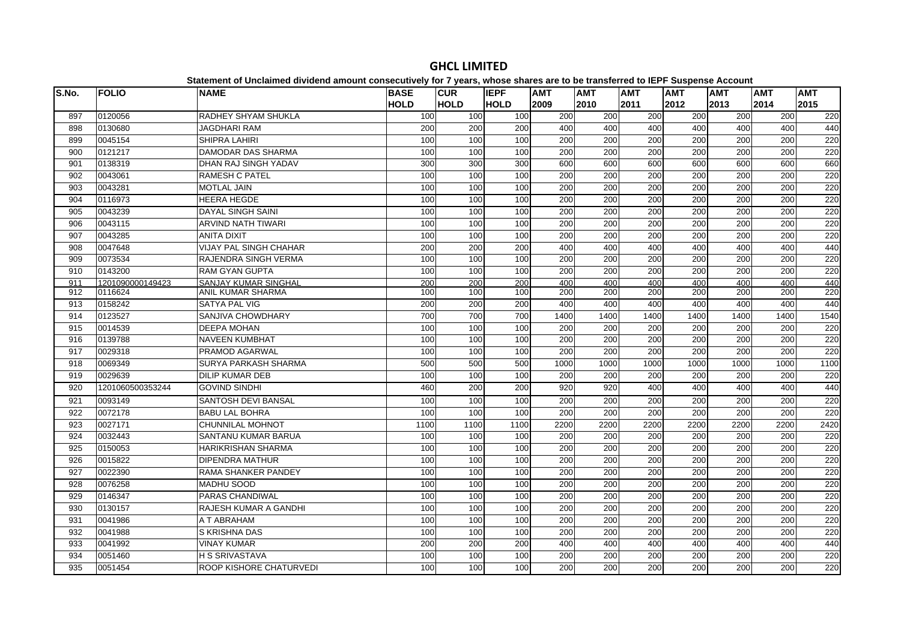| S.No. | <b>FOLIO</b>     | <b>NAME</b>                   | <b>BASE</b> | <b>CUR</b>  | <b>IEPF</b> | <b>AMT</b>       | <b>AMT</b>       | <b>AMT</b>       | <b>AMT</b>       | <b>AMT</b> | <b>AMT</b> | <b>AMT</b> |
|-------|------------------|-------------------------------|-------------|-------------|-------------|------------------|------------------|------------------|------------------|------------|------------|------------|
|       |                  |                               | <b>HOLD</b> | <b>HOLD</b> | <b>HOLD</b> | 2009             | 2010             | 2011             | 2012             | 2013       | 2014       | 2015       |
| 897   | 0120056          | RADHEY SHYAM SHUKLA           | 100         | 100         | 100         | 200              | 200              | 200              | 200              | 200        | 200        | 220        |
| 898   | 0130680          | <b>JAGDHARI RAM</b>           | 200         | 200         | 200         | 400              | 400              | 400              | 400              | 400        | 400        | 440        |
| 899   | 0045154          | <b>SHIPRA LAHIRI</b>          | 100         | 100         | 100         | 200              | 200              | 200              | 200              | 200        | 200        | 220        |
| 900   | 0121217          | <b>DAMODAR DAS SHARMA</b>     | 100         | 100         | 100         | 200              | 200              | 200              | 200              | 200        | 200        | 220        |
| 901   | 0138319          | DHAN RAJ SINGH YADAV          | 300         | 300         | 300         | 600              | 600              | 600              | 600              | 600        | 600        | 660        |
| 902   | 0043061          | <b>RAMESH C PATEL</b>         | 100         | 100         | 100         | 200              | $\overline{200}$ | $\overline{200}$ | 200              | 200        | 200        | 220        |
| 903   | 0043281          | <b>MOTLAL JAIN</b>            | 100         | 100         | 100         | 200              | 200              | 200              | 200              | 200        | 200        | 220        |
| 904   | 0116973          | <b>HEERA HEGDE</b>            | 100         | 100         | 100         | 200              | 200              | 200              | 200              | 200        | 200        | 220        |
| 905   | 0043239          | <b>DAYAL SINGH SAINI</b>      | 100         | 100         | 100         | 200              | 200              | 200              | 200              | 200        | 200        | 220        |
| 906   | 0043115          | <b>ARVIND NATH TIWARI</b>     | 100         | 100         | 100         | 200              | 200              | 200              | 200              | 200        | 200        | 220        |
| 907   | 0043285          | <b>ANITA DIXIT</b>            | 100         | 100         | 100         | 200              | $\overline{200}$ | $\overline{200}$ | 200              | 200        | 200        | 220        |
| 908   | 0047648          | <b>VIJAY PAL SINGH CHAHAR</b> | 200         | 200         | 200         | 400              | 400              | 400              | 400              | 400        | 400        | 440        |
| 909   | 0073534          | RAJENDRA SINGH VERMA          | 100         | 100         | 100         | 200              | 200              | 200              | 200              | 200        | 200        | 220        |
| 910   | 0143200          | <b>RAM GYAN GUPTA</b>         | 100         | 100         | 100         | $\overline{200}$ | $\overline{200}$ | $\overline{200}$ | 200              | 200        | 200        | 220        |
| 911   | 1201090000149423 | <b>SANJAY KUMAR SINGHAI</b>   | 200         | 200         | 200         | 400              | 400              | 400              | 400              | 400        | 400        | 440        |
| 912   | 0116624          | <b>ANIL KUMAR SHARMA</b>      | 100         | 100         | 100         | 200              | 200              | 200              | 200              | 200        | 200        | 220        |
| 913   | 0158242          | <b>SATYA PAL VIG</b>          | 200         | 200         | 200         | 400              | 400              | 400              | 400              | 400        | 400        | 440        |
| 914   | 0123527          | SANJIVA CHOWDHARY             | 700         | 700         | 700         | 1400             | 1400             | 1400             | 1400             | 1400       | 1400       | 1540       |
| 915   | 0014539          | <b>DEEPA MOHAN</b>            | 100         | 100         | 100         | 200              | 200              | 200              | 200              | 200        | 200        | 220        |
| 916   | 0139788          | <b>NAVEEN KUMBHAT</b>         | 100         | 100         | 100         | $\overline{200}$ | $\overline{200}$ | $\overline{200}$ | 200              | 200        | 200        | 220        |
| 917   | 0029318          | <b>PRAMOD AGARWAL</b>         | 100         | 100         | 100         | 200              | $\overline{200}$ | 200              | 200              | 200        | 200        | 220        |
| 918   | 0069349          | <b>SURYA PARKASH SHARMA</b>   | 500         | 500         | 500         | 1000             | 1000             | 1000             | 1000             | 1000       | 1000       | 1100       |
| 919   | 0029639          | <b>DILIP KUMAR DEB</b>        | 100         | 100         | 100         | 200              | 200              | 200              | 200              | 200        | 200        | 220        |
| 920   | 1201060500353244 | <b>GOVIND SINDHI</b>          | 460         | 200         | 200         | 920              | 920              | 400              | 400              | 400        | 400        | 440        |
| 921   | 0093149          | <b>SANTOSH DEVI BANSAL</b>    | 100         | 100         | 100         | 200              | 200              | 200              | 200              | 200        | 200        | 220        |
| 922   | 0072178          | <b>BABU LAL BOHRA</b>         | 100         | 100         | 100         | 200              | 200              | 200              | 200              | 200        | 200        | 220        |
| 923   | 0027171          | CHUNNILAL MOHNOT              | 1100        | 1100        | 1100        | 2200             | 2200             | 2200             | 2200             | 2200       | 2200       | 2420       |
| 924   | 0032443          | SANTANU KUMAR BARUA           | 100         | 100         | 100         | 200              | 200              | 200              | 200              | 200        | 200        | 220        |
| 925   | 0150053          | <b>HARIKRISHAN SHARMA</b>     | 100         | 100         | 100         | $\overline{200}$ | $\overline{200}$ | 200              | 200              | 200        | 200        | 220        |
| 926   | 0015822          | <b>DIPENDRA MATHUR</b>        | 100         | 100         | 100         | 200              | 200              | $\overline{200}$ | $\overline{200}$ | 200        | 200        | 220        |
| 927   | 0022390          | RAMA SHANKER PANDEY           | 100         | 100         | 100         | 200              | 200              | 200              | 200              | 200        | 200        | 220        |
| 928   | 0076258          | <b>MADHU SOOD</b>             | 100         | 100         | 100         | 200              | 200              | 200              | 200              | 200        | 200        | 220        |
| 929   | 0146347          | <b>PARAS CHANDIWAL</b>        | 100         | 100         | 100         | 200              | $\overline{200}$ | 200              | 200              | 200        | 200        | 220        |
| 930   | 0130157          | RAJESH KUMAR A GANDHI         | 100         | 100         | 100         | 200              | 200              | 200              | 200              | 200        | 200        | 220        |
| 931   | 0041986          | A T ABRAHAM                   | 100         | 100         | 100         | 200              | 200              | 200              | 200              | 200        | 200        | 220        |
| 932   | 0041988          | S KRISHNA DAS                 | 100         | 100         | 100         | 200              | 200              | 200              | $\overline{200}$ | 200        | 200        | 220        |
| 933   | 0041992          | <b>VINAY KUMAR</b>            | 200         | 200         | 200         | 400              | 400              | 400              | 400              | 400        | 400        | 440        |
| 934   | 0051460          | <b>H S SRIVASTAVA</b>         | 100         | 100         | 100         | 200              | 200              | 200              | 200              | 200        | 200        | 220        |
| 935   | 0051454          | ROOP KISHORE CHATURVEDI       | 100         | 100         | 100         | 200              | $\overline{200}$ | 200              | 200              | 200        | 200        | 220        |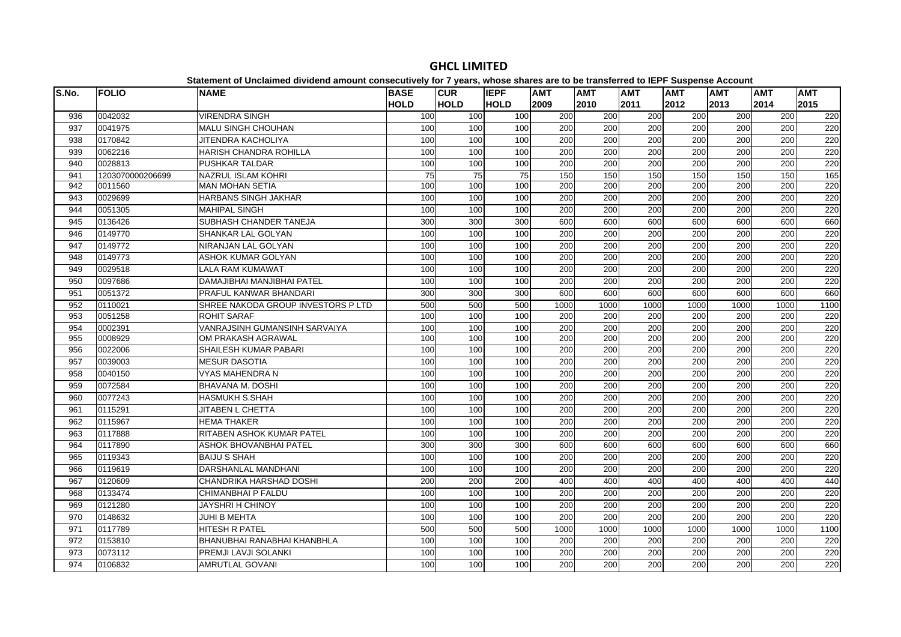| S.No. | <b>FOLIO</b>     | <b>NAME</b>                        | <b>BASE</b> | <b>CUR</b>  | <b>IEPF</b> | <b>AMT</b>       | <b>AMT</b> | <b>AMT</b>       | <b>AMT</b> | AMT  | <b>AMT</b> | <b>AMT</b> |
|-------|------------------|------------------------------------|-------------|-------------|-------------|------------------|------------|------------------|------------|------|------------|------------|
|       |                  |                                    | <b>HOLD</b> | <b>HOLD</b> | <b>HOLD</b> | 2009             | 2010       | 2011             | 2012       | 2013 | 2014       | 2015       |
| 936   | 0042032          | <b>VIRENDRA SINGH</b>              | 100         | 100         | 100         | 200              | 200        | 200              | 200        | 200  | 200        | 220        |
| 937   | 0041975          | <b>MALU SINGH CHOUHAN</b>          | 100         | 100         | 100         | 200              | 200        | 200              | 200        | 200  | 200        | 220        |
| 938   | 0170842          | JITENDRA KACHOLIYA                 | 100         | 100         | 100         | 200              | 200        | 200              | 200        | 200  | 200        | 220        |
| 939   | 0062216          | HARISH CHANDRA ROHILLA             | 100         | 100         | 100         | 200              | 200        | $\overline{200}$ | 200        | 200  | 200        | 220        |
| 940   | 0028813          | PUSHKAR TALDAR                     | 100         | 100         | 100         | 200              | 200        | 200              | 200        | 200  | 200        | 220        |
| 941   | 1203070000206699 | NAZRUL ISLAM KOHRI                 | 75          | 75          | 75          | 150              | 150        | 150              | 150        | 150  | 150        | 165        |
| 942   | 0011560          | <b>MAN MOHAN SETIA</b>             | 100         | 100         | 100         | 200              | 200        | 200              | 200        | 200  | 200        | 220        |
| 943   | 0029699          | <b>HARBANS SINGH JAKHAR</b>        | 100         | 100         | 100         | 200              | 200        | $\overline{200}$ | 200        | 200  | 200        | 220        |
| 944   | 0051305          | MAHIPAL SINGH                      | 100         | 100         | 100         | 200              | 200        | 200              | 200        | 200  | 200        | 220        |
| 945   | 0136426          | SUBHASH CHANDER TANEJA             | 300         | 300         | 300         | 600              | 600        | 600              | 600        | 600  | 600        | 660        |
| 946   | 0149770          | SHANKAR LAL GOLYAN                 | 100         | 100         | 100         | 200              | 200        | 200              | 200        | 200  | 200        | 220        |
| 947   | 0149772          | NIRANJAN LAL GOLYAN                | 100         | 100         | 100         | 200              | 200        | 200              | 200        | 200  | 200        | 220        |
| 948   | 0149773          | ASHOK KUMAR GOLYAN                 | 100         | 100         | 100         | 200              | 200        | 200              | 200        | 200  | 200        | 220        |
| 949   | 0029518          | <b>LALA RAM KUMAWAT</b>            | 100         | 100         | 100         | 200              | 200        | 200              | 200        | 200  | 200        | 220        |
| 950   | 0097686          | DAMAJIBHAI MANJIBHAI PATEL         | 100         | 100         | 100         | 200              | 200        | 200              | 200        | 200  | 200        | 220        |
| 951   | 0051372          | PRAFUL KANWAR BHANDARI             | 300         | 300         | 300         | 600              | 600        | 600              | 600        | 600  | 600        | 660        |
| 952   | 0110021          | SHREE NAKODA GROUP INVESTORS P LTD | 500         | 500         | 500         | 1000             | 1000       | 1000             | 1000       | 1000 | 1000       | 1100       |
| 953   | 0051258          | <b>ROHIT SARAF</b>                 | 100         | 100         | 100         | 200              | 200        | 200              | 200        | 200  | 200        | 220        |
| 954   | 0002391          | VANRAJSINH GUMANSINH SARVAIYA      | 100         | 100         | 100         | 200              | 200        | 200              | 200        | 200  | 200        | 220        |
| 955   | 0008929          | OM PRAKASH AGRAWAL                 | 100         | 100         | 100         | 200              | 200        | 200              | 200        | 200  | 200        | 220        |
| 956   | 0022006          | SHAILESH KUMAR PABARI              | 100         | 100         | 100         | 200              | 200        | 200              | 200        | 200  | 200        | 220        |
| 957   | 0039003          | <b>MESUR DASOTIA</b>               | 100         | 100         | 100         | 200              | 200        | 200              | 200        | 200  | 200        | 220        |
| 958   | 0040150          | VYAS MAHENDRA N                    | 100         | 100         | 100         | 200              | 200        | 200              | 200        | 200  | 200        | 220        |
| 959   | 0072584          | BHAVANA M. DOSHI                   | 100         | 100         | 100         | $\overline{200}$ | 200        | $\overline{200}$ | 200        | 200  | 200        | 220        |
| 960   | 0077243          | HASMUKH S.SHAH                     | 100         | 100         | 100         | 200              | 200        | 200              | 200        | 200  | 200        | 220        |
| 961   | 0115291          | <b>JITABEN L CHETTA</b>            | 100         | 100         | 100         | 200              | 200        | 200              | 200        | 200  | 200        | 220        |
| 962   | 0115967          | <b>HEMA THAKER</b>                 | 100         | 100         | 100         | 200              | 200        | 200              | 200        | 200  | 200        | 220        |
| 963   | 0117888          | RITABEN ASHOK KUMAR PATEL          | 100         | 100         | 100         | 200              | 200        | 200              | 200        | 200  | 200        | 220        |
| 964   | 0117890          | ASHOK BHOVANBHAI PATEL             | 300         | 300         | 300         | 600              | 600        | 600              | 600        | 600  | 600        | 660        |
| 965   | 0119343          | <b>BAIJU S SHAH</b>                | 100         | 100         | 100         | 200              | 200        | 200              | 200        | 200  | 200        | 220        |
| 966   | 0119619          | DARSHANLAL MANDHANI                | 100         | 100         | 100         | 200              | 200        | 200              | 200        | 200  | 200        | 220        |
| 967   | 0120609          | CHANDRIKA HARSHAD DOSHI            | 200         | 200         | 200         | 400              | 400        | 400              | 400        | 400  | 400        | 440        |
| 968   | 0133474          | CHIMANBHAI P FALDU                 | 100         | 100         | 100         | 200              | 200        | $\overline{200}$ | 200        | 200  | 200        | 220        |
| 969   | 0121280          | JAYSHRI H CHINOY                   | 100         | 100         | 100         | $\overline{200}$ | 200        | 200              | 200        | 200  | 200        | 220        |
| 970   | 0148632          | <b>JUHI B MEHTA</b>                | 100         | 100         | 100         | 200              | 200        | 200              | 200        | 200  | 200        | 220        |
| 971   | 0117789          | HITESH R PATEL                     | 500         | 500         | 500         | 1000             | 1000       | 1000             | 1000       | 1000 | 1000       | 1100       |
| 972   | 0153810          | BHANUBHAI RANABHAI KHANBHLA        | 100         | 100         | 100         | 200              | 200        | 200              | 200        | 200  | 200        | 220        |
| 973   | 0073112          | PREMJI LAVJI SOLANKI               | 100         | 100         | 100         | 200              | 200        | 200              | 200        | 200  | 200        | 220        |
| 974   | 0106832          | <b>AMRUTLAL GOVANI</b>             | 100         | 100         | 100         | 200              | 200        | 200              | 200        | 200  | 200        | 220        |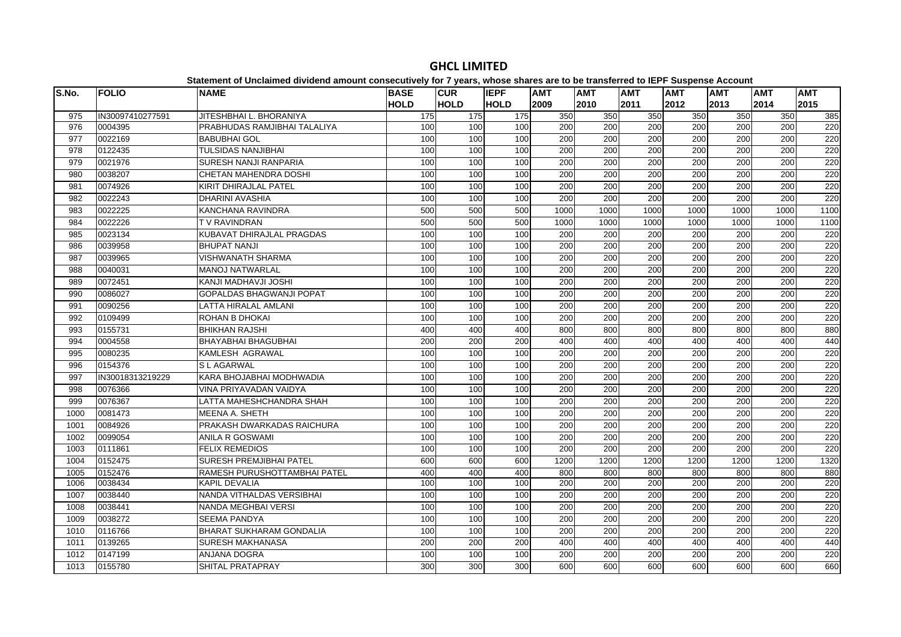#### **S.No. FOLIO NAME BASE HOLDCUR HOLDIEPF HOLDAMT AMT AMT AMT AMT AMT AMT** 975 |IN30097410277591 |JITESHBHAI L. BHORANIYA | 175 175 175 350 350 350 350 350 350 350 385 0004395 PRABHUDAS RAMJIBHAI TALALIYA 100 100 100 200 200 200 200 200 200 220 0022169 BABUBHAI GOL 100 100 100 200 200 200 200 200 200 220 0122435 TULSIDAS NANJIBHAI 100 100 100 200 200 200 200 200 200 220 0021976 SURESH NANJI RANPARIA 100 100 100 200 200 200 200 200 200 220 0038207 CHETAN MAHENDRA DOSHI 100 100 100 200 200 200 200 200 200 220 0074926 KIRIT DHIRAJLAL PATEL 100 100 100 200 200 200 200 200 200 220 0022243 DHARINI AVASHIA 100 100 100 200 200 200 200 200 200 220 0022225 KANCHANA RAVINDRA 500 500 500 1000 1000 1000 1000 1000 1000 1100 0022226 T V RAVINDRAN 500 500 500 1000 1000 1000 1000 1000 1000 1100 0023134 KUBAVAT DHIRAJLAL PRAGDAS 100 100 100 200 200 200 200 200 200 220 0039958 BHUPAT NANJI 100 100 100 200 200 200 200 200 200 220 0039965 VISHWANATH SHARMA 100 100 100 200 200 200 200 200 200 220 0040031 MANOJ NATWARLAL 100 100 100 200 200 200 200 200 200 220 0072451 KANJI MADHAVJI JOSHI 100 100 100 200 200 200 200 200 200 220 0086027 GOPALDAS BHAGWANJI POPAT 100 100 100 200 200 200 200 200 200 220 0090256 LATTA HIRALAL AMLANI 100 100 100 200 200 200 200 200 200 220 0109499 ROHAN B DHOKAI 100 100 100 200 200 200 200 200 200 220993 |0155731 |BHIKHAN RAJSHI | 400| 400| 400| 800| 800| 800| 800| 880 0004558 BHAYABHAI BHAGUBHAI 200 200 200 400 400 400 400 400 400 440 0080235 KAMLESH AGRAWAL 100 100 100 200 200 200 200 200 200 220996 |0154376 IS LAGARWAL 100 100 200 200 200 200 200 200 220 220 IN30018313219229 KARA BHOJABHAI MODHWADIA 100 100 100 200 200 200 200 200 200 220 0076366 VINA PRIYAVADAN VAIDYA 100 100 100 200 200 200 200 200 200 220 0076367 LATTA MAHESHCHANDRA SHAH 100 100 100 200 200 200 200 200 200 220 0081473 MEENA A. SHETH 100 100 100 200 200 200 200 200 200 220 0084926 PRAKASH DWARKADAS RAICHURA 100 100 100 200 200 200 200 200 200 220 0099054 ANILA R GOSWAMI 100 100 100 200 200 200 200 200 200 2201003 |0111861 |FFLIX RFMFDIOS | 100| 100| 100| 200| 200| 200| 200| 220<br>1003 |0111861 |FFLIX RFMFDIOS 0152475 SURESH PREMJIBHAI PATEL 600 600 600 1200 1200 1200 1200 1200 1200 1320 0152476 RAMESH PURUSHOTTAMBHAI PATEL 400 400 400 800 800 800 800 800 800 880 0038434 KAPIL DEVALIA 100 100 100 200 200 200 200 200 200 220 0038440 NANDA VITHALDAS VERSIBHAI 100 100 100 200 200 200 200 200 200 220 0038441 NANDA MEGHBAI VERSI 100 100 100 200 200 200 200 200 200 220 0038272 SEEMA PANDYA 100 100 100 200 200 200 200 200 200 220 $\overline{220}$  0116766 BHARAT SUKHARAM GONDALIA 100 100 100 200 200 200 200 200 200 220 0139265 SURESH MAKHANASA 200 200 200 400 400 400 400 400 400 440 0147199 ANJANA DOGRA 100 100 100 200 200 200 200 200 200 2200155780 SHITAL PRATAPRAY 300 300 300 600 600 600 600 600 600 660

## **GHCL LIMITED**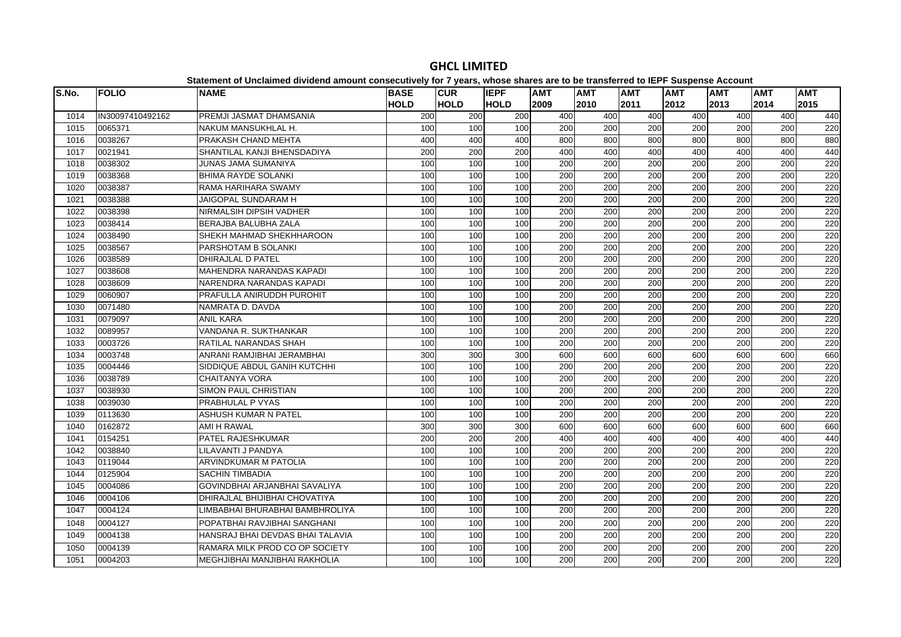#### **S.No. FOLIO NAME BASE HOLDCUR HOLDIEPF HOLDAMT AMT AMT AMT AMT AMT AMT**  IN30097410492162 PREMJI JASMAT DHAMSANIA 200 200 200 400 400 400 400 400 400 440 0065371 NAKUM MANSUKHLAL H. 100 100 100 200 200 200 200 200 200 220 0038267 PRAKASH CHAND MEHTA 400 400 400 800 800 800 800 800 800 880 0021941 SHANTILAL KANJI BHENSDADIYA 200 200 200 400 400 400 400 400 400 440 0038302 JUNAS JAMA SUMANIYA 100 100 100 200 200 200 200 200 200 220 0038368 BHIMA RAYDE SOLANKI 100 100 100 200 200 200 200 200 200 220 0038387 RAMA HARIHARA SWAMY 100 100 100 200 200 200 200 200 200 220 0038388 JAIGOPAL SUNDARAM H 100 100 100 200 200 200 200 200 200 220 0038398 NIRMALSIH DIPSIH VADHER 100 100 100 200 200 200 200 200 200 220 0038414 BERAJBA BALUBHA ZALA 100 100 100 200 200 200 200 200 200 220 0038490 SHEKH MAHMAD SHEKHHAROON 100 100 100 200 200 200 200 200 200 220 0038567 PARSHOTAM B SOLANKI 100 100 100 200 200 200 200 200 200 2201026 10038589 IDHIRAJLAL D PATEL 100 1001 2001 2001 2001 2001 200 0038608 MAHENDRA NARANDAS KAPADI 100 100 100 200 200 200 200 200 200 220 0038609 NARENDRA NARANDAS KAPADI 100 100 100 200 200 200 200 200 200 220 0060907 PRAFULLA ANIRUDDH PUROHIT 100 100 100 200 200 200 200 200 200 220 0071480 NAMRATA D. DAVDA 100 100 100 200 200 200 200 200 200 220 0079097 ANIL KARA 100 100 100 200 200 200 200 200 200 220 0089957 VANDANA R. SUKTHANKAR 100 100 100 200 200 200 200 200 200 220 0003726 RATILAL NARANDAS SHAH 100 100 100 200 200 200 200 200 200 220 0003748 ANRANI RAMJIBHAI JERAMBHAI 300 300 300 600 600 600 600 600 600 660 0004446 SIDDIQUE ABDUL GANIH KUTCHHI 100 100 100 200 200 200 200 200 200 220 0038789 CHAITANYA VORA 100 100 100 200 200 200 200 200 200 220 0038930 SIMON PAUL CHRISTIAN 100 100 100 200 200 200 200 200 200 220 0039030 PRABHULAL P VYAS 100 100 100 200 200 200 200 200 200 220 0113630 ASHUSH KUMAR N PATEL 100 100 100 200 200 200 200 200 200 2201040 |0162872 |AMI+H RAWAL | 300| 300| 600| 600| 600| 600| 600| 660 0154251 PATEL RAJESHKUMAR 200 200 200 400 400 400 400 400 400 440 0038840 LILAVANTI J PANDYA 100 100 100 200 200 200 200 200 200 220 0119044 ARVINDKUMAR M PATOLIA 100 100 100 200 200 200 200 200 200 2201044 |0125904 |SACHIN TIMBADIA | 100| 100| 100| 200| 200| 200| 200| 220| 220 0004086 GOVINDBHAI ARJANBHAI SAVALIYA 100 100 100 200 200 200 200 200 200 220 0004106 DHIRAJLAL BHIJIBHAI CHOVATIYA 100 100 100 200 200 200 200 200 200 220 0004124 LIMBABHAI BHURABHAI BAMBHROLIYA 100 100 100 200 200 200 200 200 200 220 $\overline{220}$ 1048 |0004127 |POPATBHAI RAVJIBHAI SANGHANI | 100| 100| 100| 200| 200| 200| 200| 200<br>100 0004138 HANSRAJ BHAI DEVDAS BHAI TALAVIA 100 100 100 200 200 200 200 200 200 220 0004139 RAMARA MILK PROD CO OP SOCIETY 100 100 100 200 200 200 200 200 200 2200004203 MEGHJIBHAI MANJIBHAI RAKHOLIA 100 100 100 200 200 200 200 200 200 220

# **GHCL LIMITED**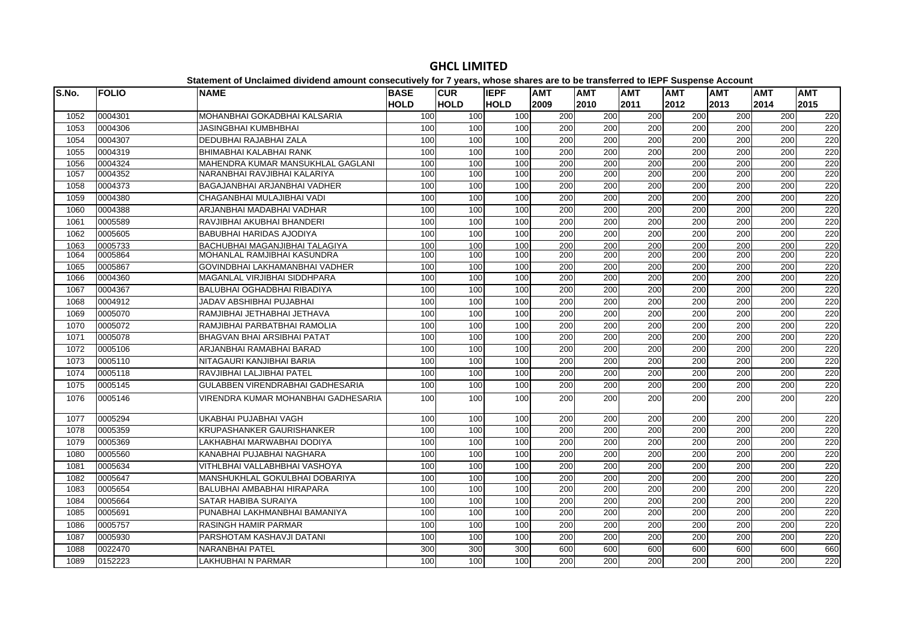|       |              | Statement of Unclaimed dividend amount consecutively for 7 years, whose shares are to be transferred to IEPF Suspense Account |             |             |             |      |                  |                  |                  |                  |            |            |
|-------|--------------|-------------------------------------------------------------------------------------------------------------------------------|-------------|-------------|-------------|------|------------------|------------------|------------------|------------------|------------|------------|
| S.No. | <b>FOLIO</b> | <b>NAME</b>                                                                                                                   | <b>BASE</b> | <b>CUR</b>  | <b>IEPF</b> | AMT  | <b>AMT</b>       | AMT              | <b>AMT</b>       | <b>AMT</b>       | <b>AMT</b> | <b>AMT</b> |
|       |              |                                                                                                                               | <b>HOLD</b> | <b>HOLD</b> | <b>HOLD</b> | 2009 | 2010             | 2011             | 2012             | 2013             | 2014       | 2015       |
| 1052  | 0004301      | MOHANBHAI GOKADBHAI KALSARIA                                                                                                  | 100         | 100         | 100         | 200  | 200              | 200              | 200              | 200              | 200        | 220        |
| 1053  | 0004306      | <b>JASINGBHAI KUMBHBHAI</b>                                                                                                   | 100         | 100         | 100         | 200  | 200              | 200              | $\overline{200}$ | 200              | 200        | 220        |
| 1054  | 0004307      | DEDUBHAI RAJABHAI ZALA                                                                                                        | 100         | 100         | 100         | 200  | 200              | 200              | 200              | 200              | 200        | 220        |
| 1055  | 0004319      | BHIMABHAI KALABHAI RANK                                                                                                       | 100         | 100         | 100         | 200  | $\overline{200}$ | 200              | 200              | $\overline{200}$ | 200        | 220        |
| 1056  | 0004324      | MAHENDRA KUMAR MANSUKHLAL GAGLANI                                                                                             | 100         | 100         | 100         | 200  | 200              | 200              | 200              | 200              | 200        | 220        |
| 1057  | 0004352      | NARANBHAI RAVJIBHAI KALARIYA                                                                                                  | 100         | 100         | 100         | 200  | 200              | 200              | 200              | 200              | 200        | 220        |
| 1058  | 0004373      | BAGAJANBHAI ARJANBHAI VADHER                                                                                                  | 100         | 100         | 100         | 200  | 200              | 200              | $\overline{200}$ | 200              | 200        | 220        |
| 1059  | 0004380      | CHAGANBHAI MULAJIBHAI VADI                                                                                                    | 100         | 100         | 100         | 200  | 200              | 200              | 200              | 200              | 200        | 220        |
| 1060  | 0004388      | ARJANBHAI MADABHAI VADHAR                                                                                                     | 100         | 100         | 100         | 200  | $\overline{200}$ | $\overline{200}$ | 200              | $\overline{200}$ | 200        | 220        |
| 1061  | 0005589      | RAVJIBHAI AKUBHAI BHANDERI                                                                                                    | 100         | 100         | 100         | 200  | 200              | 200              | 200              | 200              | 200        | 220        |
| 1062  | 0005605      | <b>BABUBHAI HARIDAS AJODIYA</b>                                                                                               | 100         | 100         | 100         | 200  | 200              | 200              | 200              | 200              | 200        | 220        |
| 1063  | 0005733      | BACHUBHAI MAGANJIBHAI TALAGIYA                                                                                                | 100         | 100         | 100         | 200  | 200              | 200              | 200              | 200              | 200        | 220        |
| 1064  | 0005864      | MOHANLAL RAMJIBHAI KASUNDRA                                                                                                   | 100         | 100         | 100         | 200  | 200              | 200              | 200              | 200              | 200        | 220        |
| 1065  | 0005867      | GOVINDBHAI LAKHAMANBHAI VADHER                                                                                                | 100         | 100         | 100         | 200  | 200              | 200              | 200              | 200              | 200        | 220        |
| 1066  | 0004360      | MAGANLAL VIRJIBHAI SIDDHPARA                                                                                                  | 100         | 100         | 100         | 200  | $\overline{200}$ | $\overline{200}$ | 200              | $\overline{200}$ | 200        | 220        |
| 1067  | 0004367      | BALUBHAI OGHADBHAI RIBADIYA                                                                                                   | 100         | 100         | 100         | 200  | 200              | 200              | $\overline{200}$ | 200              | 200        | 220        |
| 1068  | 0004912      | JADAV ABSHIBHAI PUJABHAI                                                                                                      | 100         | 100         | 100         | 200  | 200              | 200              | 200              | 200              | 200        | 220        |
| 1069  | 0005070      | RAMJIBHAI JETHABHAI JETHAVA                                                                                                   | 100         | 100         | 100         | 200  | 200              | $\overline{200}$ | 200              | $\overline{200}$ | 200        | 220        |
| 1070  | 0005072      | RAMJIBHAI PARBATBHAI RAMOLIA                                                                                                  | 100         | 100         | 100         | 200  | 200              | 200              | 200              | 200              | 200        | 220        |
| 1071  | 0005078      | <b>BHAGVAN BHAI ARSIBHAI PATAT</b>                                                                                            | 100         | 100         | 100         | 200  | 200              | 200              | 200              | 200              | 200        | 220        |
| 1072  | 0005106      | ARJANBHAI RAMABHAI BARAD                                                                                                      | 100         | 100         | 100         | 200  | 200              | 200              | 200              | 200              | 200        | 220        |
| 1073  | 0005110      | NITAGAURI KANJIBHAI BARIA                                                                                                     | 100         | 100         | 100         | 200  | 200              | 200              | 200              | 200              | 200        | 220        |
| 1074  | 0005118      | RAVJIBHAI LALJIBHAI PATEL                                                                                                     | 100         | 100         | 100         | 200  | 200              | 200              | 200              | 200              | 200        | 220        |
| 1075  | 0005145      | GULABBEN VIRENDRABHAI GADHESARIA                                                                                              | 100         | 100         | 100         | 200  | 200              | 200              | 200              | $\overline{200}$ | 200        | 220        |
| 1076  | 0005146      | VIRENDRA KUMAR MOHANBHAI GADHESARIA                                                                                           | 100         | 100         | 100         | 200  | 200              | 200              | 200              | $\overline{200}$ | 200        | 220        |
| 1077  | 0005294      | UKABHAI PUJABHAI VAGH                                                                                                         | 100         | 100         | 100         | 200  | 200              | 200              | 200              | 200              | 200        | 220        |
| 1078  | 0005359      | KRUPASHANKER GAURISHANKER                                                                                                     | 100         | 100         | 100         | 200  | 200              | 200              | 200              | 200              | 200        | 220        |
| 1079  | 0005369      | LAKHABHAI MARWABHAI DODIYA                                                                                                    | 100         | 100         | 100         | 200  | 200              | 200              | 200              | 200              | 200        | 220        |
| 1080  | 0005560      | KANABHAI PUJABHAI NAGHARA                                                                                                     | 100         | 100         | 100         | 200  | $\overline{200}$ | 200              | 200              | 200              | 200        | 220        |
| 1081  | 0005634      | VITHLBHAI VALLABHBHAI VASHOYA                                                                                                 | 100         | 100         | 100         | 200  | 200              | 200              | 200              | 200              | 200        | 220        |
| 1082  | 0005647      | MANSHUKHLAL GOKULBHAI DOBARIYA                                                                                                | 100         | 100         | 100         | 200  | $\overline{200}$ | 200              | 200              | $\overline{200}$ | 200        | 220        |
| 1083  | 0005654      | BALUBHAI AMBABHAI HIRAPARA                                                                                                    | 100         | 100         | 100         | 200  | 200              | 200              | 200              | 200              | 200        | 220        |
| 1084  | 0005664      | SATAR HABIBA SURAIYA                                                                                                          | 100         | 100         | 100         | 200  | 200              | 200              | 200              | 200              | 200        | 220        |
| 1085  | 0005691      | PUNABHAI LAKHMANBHAI BAMANIYA                                                                                                 | 100         | 100         | 100         | 200  | 200              | $\overline{200}$ | $\overline{200}$ | 200              | 200        | 220        |
| 1086  | 0005757      | RASINGH HAMIR PARMAR                                                                                                          | 100         | 100         | 100         | 200  | 200              | 200              | 200              | 200              | 200        | 220        |
| 1087  | 0005930      | PARSHOTAM KASHAVJI DATANI                                                                                                     | 100         | 100         | 100         | 200  | 200              | 200              | 200              | 200              | 200        | 220        |
| 1088  | 0022470      | NARANBHAI PATEL                                                                                                               | 300         | 300         | 300         | 600  | 600              | 600              | 600              | 600              | 600        | 660        |
| 1089  | 0152223      | <b>LAKHUBHAI N PARMAR</b>                                                                                                     | 100         | 100         | 100         | 200  | 200              | 200              | 200              | 200              | 200        | 220        |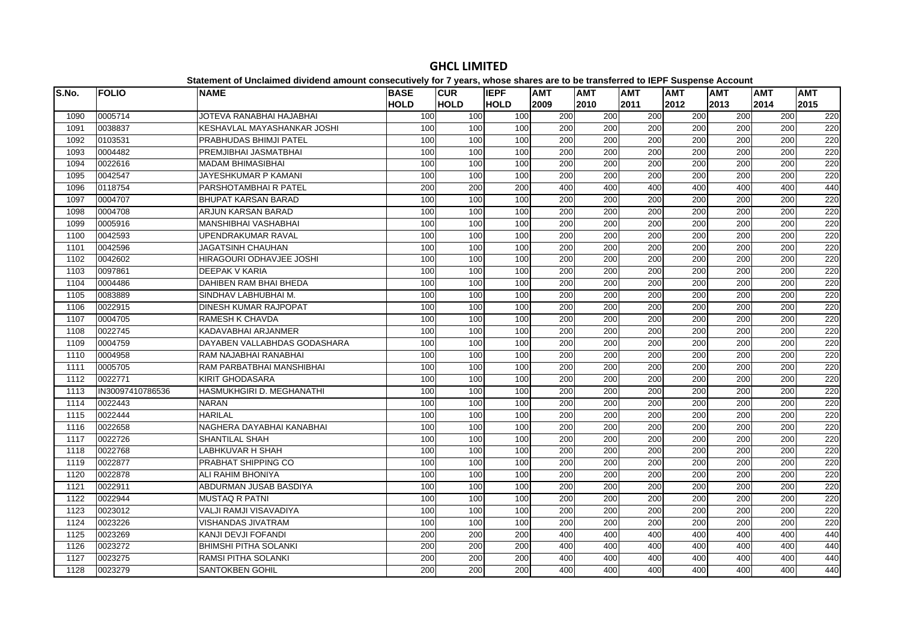| S.No. | <b>FOLIO</b>     | <b>NAME</b>                  | <b>BASE</b> | <b>CUR</b>  | <b>IEPF</b> | <b>AMT</b> | <b>AMT</b>       | <b>AMT</b>       | <b>AMT</b> | <b>AMT</b> | <b>AMT</b> | <b>AMT</b> |
|-------|------------------|------------------------------|-------------|-------------|-------------|------------|------------------|------------------|------------|------------|------------|------------|
|       |                  |                              | <b>HOLD</b> | <b>HOLD</b> | <b>HOLD</b> | 2009       | 2010             | 2011             | 2012       | 2013       | 2014       | 2015       |
| 1090  | 0005714          | JOTEVA RANABHAI HAJABHAI     | 100         | 100         | 100         | 200        | 200              | 200              | 200        | 200        | 200        | 220        |
| 1091  | 0038837          | KESHAVLAL MAYASHANKAR JOSHI  | 100         | 100         | 100         | 200        | 200              | 200              | 200        | 200        | 200        | 220        |
| 1092  | 0103531          | PRABHUDAS BHIMJI PATEL       | 100         | 100         | 100         | 200        | 200              | 200              | 200        | 200        | 200        | 220        |
| 1093  | 0004482          | PREMJIBHAI JASMATBHAI        | 100         | 100         | 100         | 200        | 200              | 200              | 200        | 200        | 200        | 220        |
| 1094  | 0022616          | <b>MADAM BHIMASIBHAI</b>     | 100         | 100         | 100         | 200        | 200              | 200              | 200        | 200        | 200        | 220        |
| 1095  | 0042547          | JAYESHKUMAR P KAMANI         | 100         | 100         | 100         | 200        | 200              | 200              | 200        | 200        | 200        | 220        |
| 1096  | 0118754          | PARSHOTAMBHAI R PATEL        | 200         | 200         | 200         | 400        | 400              | 400              | 400        | 400        | 400        | 440        |
| 1097  | 0004707          | <b>BHUPAT KARSAN BARAD</b>   | 100         | 100         | 100         | 200        | 200              | 200              | 200        | 200        | 200        | 220        |
| 1098  | 0004708          | ARJUN KARSAN BARAD           | 100         | 100         | 100         | 200        | 200              | 200              | 200        | 200        | 200        | 220        |
| 1099  | 0005916          | MANSHIBHAI VASHABHAI         | 100         | 100         | 100         | 200        | 200              | 200              | 200        | 200        | 200        | 220        |
| 1100  | 0042593          | UPENDRAKUMAR RAVAL           | 100         | 100         | 100         | 200        | 200              | 200              | 200        | 200        | 200        | 220        |
| 1101  | 0042596          | <b>JAGATSINH CHAUHAN</b>     | 100         | 100         | 100         | 200        | 200              | 200              | 200        | 200        | 200        | 220        |
| 1102  | 0042602          | HIRAGOURI ODHAVJEE JOSHI     | 100         | 100         | 100         | 200        | 200              | 200              | 200        | 200        | 200        | 220        |
| 1103  | 0097861          | <b>DEEPAK V KARIA</b>        | 100         | 100         | 100         | 200        | 200              | $\overline{200}$ | 200        | 200        | 200        | 220        |
| 1104  | 0004486          | DAHIBEN RAM BHAI BHEDA       | 100         | 100         | 100         | 200        | 200              | 200              | 200        | 200        | 200        | 220        |
| 1105  | 0083889          | SINDHAV LABHUBHAI M.         | 100         | 100         | 100         | 200        | 200              | 200              | 200        | 200        | 200        | 220        |
| 1106  | 0022915          | DINESH KUMAR RAJPOPAT        | 100         | 100         | 100         | 200        | 200              | 200              | 200        | 200        | 200        | 220        |
| 1107  | 0004705          | RAMESH K CHAVDA              | 100         | 100         | 100         | 200        | 200              | 200              | 200        | 200        | 200        | 220        |
| 1108  | 0022745          | KADAVABHAI ARJANMER          | 100         | 100         | 100         | 200        | 200              | 200              | 200        | 200        | 200        | 220        |
| 1109  | 0004759          | DAYABEN VALLABHDAS GODASHARA | 100         | 100         | 100         | 200        | 200              | 200              | 200        | 200        | 200        | 220        |
| 1110  | 0004958          | RAM NAJABHAI RANABHAI        | 100         | 100         | 100         | 200        | 200              | 200              | 200        | 200        | 200        | 220        |
| 1111  | 0005705          | RAM PARBATBHAI MANSHIBHAI    | 100         | 100         | 100         | 200        | 200              | 200              | 200        | 200        | 200        | 220        |
| 1112  | 0022771          | <b>KIRIT GHODASARA</b>       | 100         | 100         | 100         | 200        | 200              | 200              | 200        | 200        | 200        | 220        |
| 1113  | IN30097410786536 | HASMUKHGIRI D. MEGHANATHI    | 100         | 100         | 100         | 200        | 200              | 200              | 200        | 200        | 200        | 220        |
| 1114  | 0022443          | <b>NARAN</b>                 | 100         | 100         | 100         | 200        | 200              | 200              | 200        | 200        | 200        | 220        |
| 1115  | 0022444          | <b>HARILAL</b>               | 100         | 100         | 100         | 200        | 200              | 200              | 200        | 200        | 200        | 220        |
| 1116  | 0022658          | NAGHERA DAYABHAI KANABHAI    | 100         | 100         | 100         | 200        | 200              | 200              | 200        | 200        | 200        | 220        |
| 1117  | 0022726          | SHANTILAL SHAH               | 100         | 100         | 100         | 200        | 200              | 200              | 200        | 200        | 200        | 220        |
| 1118  | 0022768          | <b>LABHKUVAR H SHAH</b>      | 100         | 100         | 100         | 200        | 200              | 200              | 200        | 200        | 200        | 220        |
| 1119  | 0022877          | PRABHAT SHIPPING CO          | 100         | 100         | 100         | 200        | 200              | 200              | 200        | 200        | 200        | 220        |
| 1120  | 0022878          | ALI RAHIM BHONIYA            | 100         | 100         | 100         | 200        | 200              | 200              | 200        | 200        | 200        | 220        |
| 1121  | 0022911          | ABDURMAN JUSAB BASDIYA       | 100         | 100         | 100         | 200        | 200              | 200              | 200        | 200        | 200        | 220        |
| 1122  | 0022944          | <b>MUSTAQ R PATNI</b>        | 100         | 100         | 100         | 200        | 200              | 200              | 200        | 200        | 200        | 220        |
| 1123  | 0023012          | VALJI RAMJI VISAVADIYA       | 100         | 100         | 100         | 200        | 200              | 200              | 200        | 200        | 200        | 220        |
| 1124  | 0023226          | VISHANDAS JIVATRAM           | 100         | 100         | 100         | 200        | 200              | 200              | 200        | 200        | 200        | 220        |
| 1125  | 0023269          | KANJI DEVJI FOFANDI          | 200         | 200         | 200         | 400        | 400              | 400              | 400        | 400        | 400        | 440        |
| 1126  | 0023272          | <b>BHIMSHI PITHA SOLANKI</b> | 200         | 200         | 200         | 400        | 400              | 400              | 400        | 400        | 400        | 440        |
| 1127  | 0023275          | <b>RAMSI PITHA SOLANKI</b>   | 200         | 200         | 200         | 400        | 400              | 400              | 400        | 400        | 400        | 440        |
| 1128  | 0023279          | <b>SANTOKBEN GOHIL</b>       | 200         | 200         | 200         | 400        | $\overline{400}$ | 400              | 400        | 400        | 400        | 440        |

**GHCL LIMITED**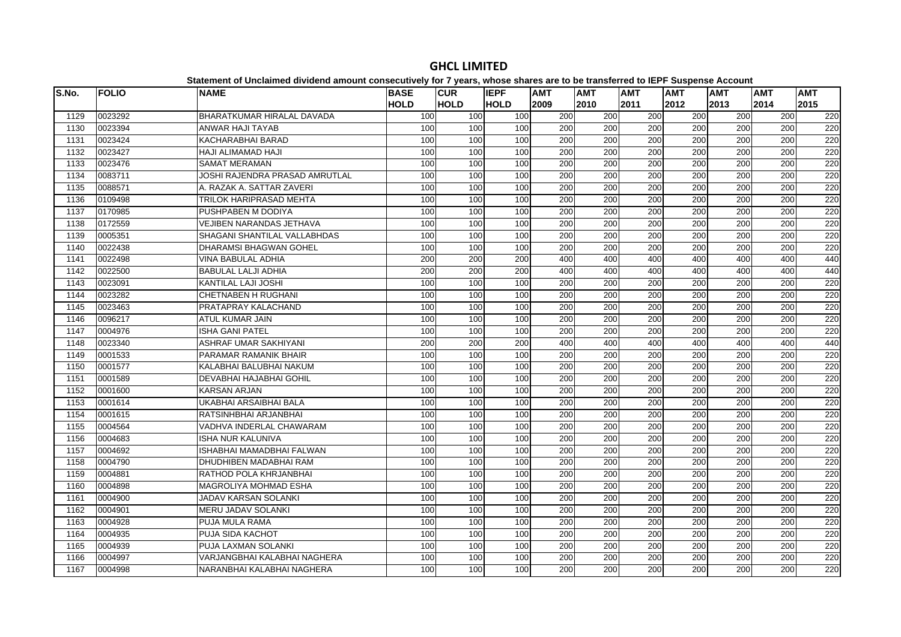#### **S.No. FOLIO NAME BASE HOLDCUR HOLDIEPF HOLDAMT AMT AMT AMT AMT AMT AMT**  0023292 BHARATKUMAR HIRALAL DAVADA 100 100 100 200 200 200 200 200 200 220 0023394 ANWAR HAJI TAYAB 100 100 100 200 200 200 200 200 200 220 0023424 KACHARABHAI BARAD 100 100 100 200 200 200 200 200 200 220 0023427 HAJI ALIMAMAD HAJI 100 100 100 200 200 200 200 200 200 2201133 10023476 ISAMAT MERAMAN 1001 1001 2001 2001 2001 2001 2001 220 0083711 JOSHI RAJENDRA PRASAD AMRUTLAL 100 100 100 200 200 200 200 200 200 220 0088571 A. RAZAK A. SATTAR ZAVERI 100 100 100 200 200 200 200 200 200 220 0109498 TRILOK HARIPRASAD MEHTA 100 100 100 200 200 200 200 200 200 220 0170985 PUSHPABEN M DODIYA 100 100 100 200 200 200 200 200 200 220 0172559 VEJIBEN NARANDAS JETHAVA 100 100 100 200 200 200 200 200 200 220 0005351 SHAGANI SHANTILAL VALLABHDAS 100 100 100 200 200 200 200 200 200 220 0022438 DHARAMSI BHAGWAN GOHEL 100 100 100 200 200 200 200 200 200 220 0022498 VINA BABULAL ADHIA 200 200 200 400 400 400 400 400 400 440 0022500 BABULAL LALJI ADHIA 200 200 200 400 400 400 400 400 400 440 0023091 KANTILAL LAJI JOSHI 100 100 100 200 200 200 200 200 200 220 0023282 CHETNABEN H RUGHANI 100 100 100 200 200 200 200 200 200 220 0023463 PRATAPRAY KALACHAND 100 100 100 200 200 200 200 200 200 220 0096217 ATUL KUMAR JAIN 100 100 100 200 200 200 200 200 200 220 0004976 ISHA GANI PATEL 100 100 100 200 200 200 200 200 200 220 0023340 ASHRAF UMAR SAKHIYANI 200 200 200 400 400 400 400 400 400 440 0001533 PARAMAR RAMANIK BHAIR 100 100 100 200 200 200 200 200 200 220 0001577 KALABHAI BALUBHAI NAKUM 100 100 100 200 200 200 200 200 200 220 0001589 DEVABHAI HAJABHAI GOHIL 100 100 100 200 200 200 200 200 200 220 0001600 KARSAN ARJAN 100 100 100 200 200 200 200 200 200 220 0001614 UKABHAI ARSAIBHAI BALA 100 100 100 200 200 200 200 200 200 220 0001615 RATSINHBHAI ARJANBHAI 100 100 100 200 200 200 200 200 200 220 0004564 VADHVA INDERLAL CHAWARAM 100 100 100 200 200 200 200 200 200 220 0004683 ISHA NUR KALUNIVA 100 100 100 200 200 200 200 200 200 220 0004692 ISHABHAI MAMADBHAI FALWAN 100 100 100 200 200 200 200 200 200 220 0004790 DHUDHIBEN MADABHAI RAM 100 100 100 200 200 200 200 200 200 220 0004881 RATHOD POLA KHRJANBHAI 100 100 100 200 200 200 200 200 200 220 0004898 MAGROLIYA MOHMAD ESHA 100 100 100 200 200 200 200 200 200 220 0004900 JADAV KARSAN SOLANKI 100 100 100 200 200 200 200 200 200 220 0004901 MERU JADAV SOLANKI 100 100 100 200 200 200 200 200 200 2201163 |0004928 |PUJA MULA RAMA | 100| 100| 100| 200| 200| 200| 200| 220<br>1163 |0004928 |PUJA MULA RAMA 0004935 PUJA SIDA KACHOT 100 100 100 200 200 200 200 200 200 220 0004939 PUJA LAXMAN SOLANKI 100 100 100 200 200 200 200 200 200 220 0004997 VARJANGBHAI KALABHAI NAGHERA 100 100 100 200 200 200 200 200 200 2200004998 NARANBHAI KALABHAI NAGHERA 100 100 100 200 200 200 200 200 200 220

#### **GHCL LIMITED**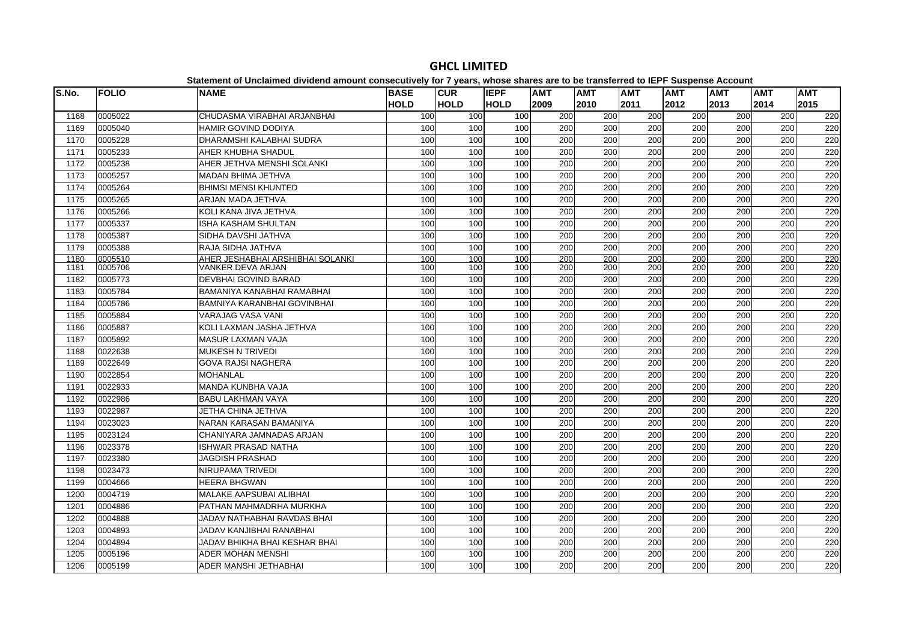| S.No. | <b>FOLIO</b> | <b>NAME</b>                          | <b>BASE</b> | <b>CUR</b>  | <b>IEPF</b> | <b>AMT</b>       | <b>AMT</b>       | <b>AMT</b>       | <b>AMT</b>       | <b>AMT</b>       | <b>AMT</b> | <b>AMT</b> |
|-------|--------------|--------------------------------------|-------------|-------------|-------------|------------------|------------------|------------------|------------------|------------------|------------|------------|
|       |              |                                      | <b>HOLD</b> | <b>HOLD</b> | <b>HOLD</b> | 2009             | 2010             | 2011             | 2012             | 2013             | 2014       | 2015       |
| 1168  | 0005022      | CHUDASMA VIRABHAI ARJANBHAI          | 100         | 100         | 100         | 200              | 200              | 200              | 200              | 200              | 200        | 220        |
| 1169  | 0005040      | HAMIR GOVIND DODIYA                  | 100         | 100         | 100         | 200              | 200              | 200              | 200              | 200              | 200        | 220        |
| 1170  | 0005228      | DHARAMSHI KALABHAI SUDRA             | 100         | 100         | 100         | 200              | 200              | 200              | 200              | 200              | 200        | 220        |
| 1171  | 0005233      | AHER KHUBHA SHADUL                   | 100         | 100         | 100         | $\overline{200}$ | $\overline{200}$ | 200              | 200              | $\overline{200}$ | 200        | 220        |
| 1172  | 0005238      | AHER JETHVA MENSHI SOLANKI           | 100         | 100         | 100         | 200              | 200              | 200              | 200              | 200              | 200        | 220        |
| 1173  | 0005257      | MADAN BHIMA JETHVA                   | 100         | 100         | 100         | 200              | 200              | 200              | 200              | 200              | 200        | 220        |
| 1174  | 0005264      | <b>BHIMSI MENSI KHUNTED</b>          | 100         | 100         | 100         | 200              | 200              | 200              | 200              | 200              | 200        | 220        |
| 1175  | 0005265      | ARJAN MADA JETHVA                    | 100         | 100         | 100         | 200              | 200              | 200              | 200              | 200              | 200        | 220        |
| 1176  | 0005266      | KOLI KANA JIVA JETHVA                | 100         | 100         | 100         | 200              | 200              | 200              | 200              | 200              | 200        | 220        |
| 1177  | 0005337      | ISHA KASHAM SHULTAN                  | 100         | 100         | 100         | 200              | 200              | 200              | 200              | 200              | 200        | 220        |
| 1178  | 0005387      | SIDHA DAVSHI JATHVA                  | 100         | 100         | 100         | 200              | 200              | 200              | 200              | 200              | 200        | 220        |
| 1179  | 0005388      | RAJA SIDHA JATHVA                    | 100         | 100         | 100         | 200              | 200              | 200              | 200              | 200              | 200        | 220        |
| 1180  | 0005510      | AHER JESHABHAI ARSHIBHAI SOLANKI     | 100         | 100         | 100         | 200              | 200              | 200              | 200              | 200              | 200        | 220        |
| 1181  | 0005706      | VANKER DEVA ARJAN                    | 100         | 100         | 100         | 200              | 200              | 200              | 200              | 200              | 200        | 220        |
| 1182  | 0005773      | DEVBHAI GOVIND BARAD                 | 100         | 100         | 100         | 200              | 200              | 200              | 200              | 200              | 200        | 220        |
| 1183  | 0005784      | BAMANIYA KANABHAI RAMABHAI           | 100         | 100         | 100         | $\overline{200}$ | $\overline{200}$ | $\overline{200}$ | 200              | $\overline{200}$ | 200        | 220        |
| 1184  | 0005786      | BAMNIYA KARANBHAI GOVINBHAI          | 100         | 100         | 100         | 200              | 200              | 200              | 200              | 200              | 200        | 220        |
| 1185  | 0005884      | <b>VARAJAG VASA VANI</b>             | 100         | 100         | 100         | 200              | 200              | 200              | 200              | 200              | 200        | 220        |
| 1186  | 0005887      | KOLI LAXMAN JASHA JETHVA             | 100         | 100         | 100         | 200              | 200              | 200              | 200              | 200              | 200        | 220        |
| 1187  | 0005892      | <b>MASUR LAXMAN VAJA</b>             | 100         | 100         | 100         | 200              | 200              | 200              | 200              | 200              | 200        | 220        |
| 1188  | 0022638      | <b>MUKESH N TRIVEDI</b>              | 100         | 100         | 100         | 200              | 200              | 200              | 200              | 200              | 200        | 220        |
| 1189  | 0022649      | <b>GOVA RAJSI NAGHERA</b>            | 100         | 100         | 100         | 200              | 200              | 200              | 200              | 200              | 200        | 220        |
| 1190  | 0022854      | <b>MOHANLAL</b>                      | 100         | 100         | 100         | 200              | 200              | 200              | 200              | 200              | 200        | 220        |
| 1191  | 0022933      | <b>MANDA KUNBHA VAJA</b>             | 100         | 100         | 100         | 200              | 200              | 200              | 200              | 200              | 200        | 220        |
| 1192  | 0022986      | <b>BABU LAKHMAN VAYA</b>             | 100         | 100         | 100         | 200              | 200              | $\overline{200}$ | $\overline{200}$ | 200              | 200        | 220        |
| 1193  | 0022987      | JETHA CHINA JETHVA                   | 100         | 100         | 100         | $\overline{200}$ | $\overline{200}$ | 200              | 200              | $\overline{200}$ | 200        | 220        |
| 1194  | 0023023      | NARAN KARASAN BAMANIYA               | 100         | 100         | 100         | 200              | 200              | 200              | 200              | 200              | 200        | 220        |
| 1195  | 0023124      | CHANIYARA JAMNADAS ARJAN             | 100         | 100         | 100         | 200              | 200              | 200              | 200              | 200              | 200        | 220        |
| 1196  | 0023378      | <b>ISHWAR PRASAD NATHA</b>           | 100         | 100         | 100         | 200              | 200              | 200              | 200              | 200              | 200        | 220        |
| 1197  | 0023380      | <b>JAGDISH PRASHAD</b>               | 100         | 100         | 100         | 200              | 200              | 200              | 200              | 200              | 200        | 220        |
| 1198  | 0023473      | NIRUPAMA TRIVEDI                     | 100         | 100         | 100         | $\overline{200}$ | $\overline{200}$ | 200              | 200              | $\overline{200}$ | 200        | 220        |
| 1199  | 0004666      | <b>HEERA BHGWAN</b>                  | 100         | 100         | 100         | 200              | 200              | 200              | 200              | 200              | 200        | 220        |
| 1200  | 0004719      | <b>MALAKE AAPSUBAI ALIBHAI</b>       | 100         | 100         | 100         | 200              | 200              | 200              | 200              | 200              | 200        | 220        |
| 1201  | 0004886      | PATHAN MAHMADRHA MURKHA              | 100         | 100         | 100         | 200              | 200              | 200              | 200              | 200              | 200        | 220        |
| 1202  | 0004888      | JADAV NATHABHAI RAVDAS BHAI          | 100         | 100         | 100         | 200              | 200              | $\overline{200}$ | 200              | 200              | 200        | 220        |
| 1203  | 0004893      | JADAV KANJIBHAI RANABHAI             | 100         | 100         | 100         | $\overline{200}$ | $\overline{200}$ | 200              | 200              | $\overline{200}$ | 200        | 220        |
| 1204  | 0004894      | <b>JADAV BHIKHA BHAI KESHAR BHAI</b> | 100         | 100         | 100         | 200              | 200              | 200              | 200              | 200              | 200        | 220        |
| 1205  | 0005196      | <b>ADER MOHAN MENSHI</b>             | 100         | 100         | 100         | 200              | 200              | $\overline{200}$ | 200              | 200              | 200        | 220        |
| 1206  | 0005199      | <b>ADER MANSHI JETHABHAI</b>         | 100         | 100         | 100         | 200              | 200              | 200              | 200              | 200              | 200        | 220        |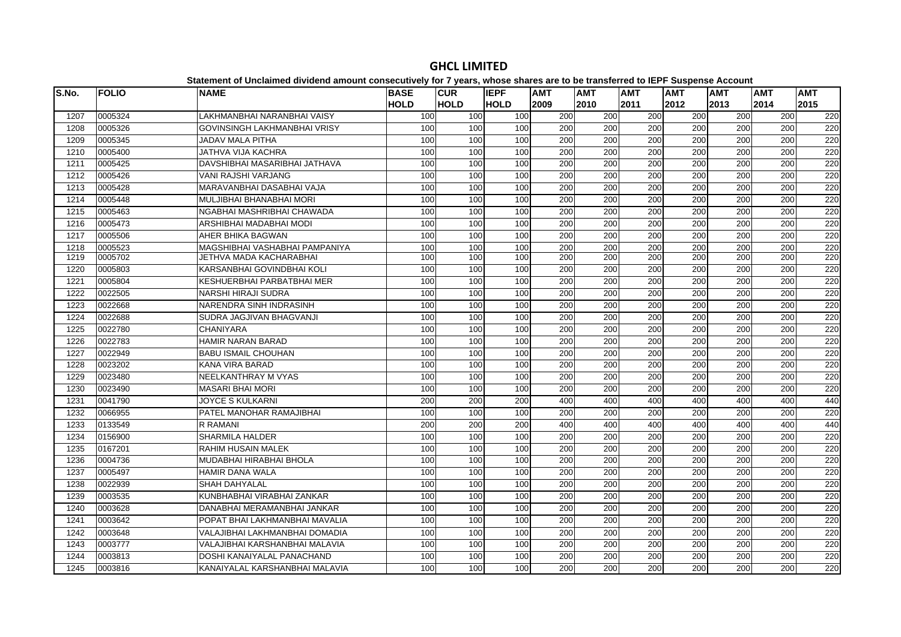| S.No. | <b>FOLIO</b> | <b>NAME</b>                     | <b>BASE</b><br><b>HOLD</b> | <b>CUR</b><br><b>HOLD</b> | <b>IEPF</b><br><b>HOLD</b> | <b>AMT</b><br>2009 | <b>AMT</b><br>2010 | <b>AMT</b><br>2011 | AMT<br>2012 | <b>AMT</b><br>2013 | <b>AMT</b><br>2014 | <b>AMT</b><br>2015 |
|-------|--------------|---------------------------------|----------------------------|---------------------------|----------------------------|--------------------|--------------------|--------------------|-------------|--------------------|--------------------|--------------------|
| 1207  | 0005324      | LAKHMANBHAI NARANBHAI VAISY     | 100                        | 100                       | 100                        | 200                | 200                | 200                | 200         | 200                | 200                | 220                |
| 1208  | 0005326      | GOVINSINGH LAKHMANBHAI VRISY    | 100                        | 100                       | 100                        | 200                | 200                | 200                | 200         | 200                | 200                | 220                |
| 1209  | 0005345      | <b>JADAV MALA PITHA</b>         | 100                        | 100                       | 100                        | 200                | 200                | 200                | 200         | 200                | 200                | 220                |
| 1210  | 0005400      | JATHVA VIJA KACHRA              | 100                        | 100                       | 100                        | 200                | 200                | 200                | 200         | 200                | 200                | 220                |
| 1211  | 0005425      | DAVSHIBHAI MASARIBHAI JATHAVA   | 100                        | 100                       | 100                        | 200                | 200                | 200                | 200         | 200                | 200                | 220                |
| 1212  | 0005426      | <b>VANI RAJSHI VARJANG</b>      | 100                        | 100                       | 100                        | 200                | 200                | 200                | 200         | 200                | 200                | 220                |
| 1213  | 0005428      | MARAVANBHAI DASABHAI VAJA       | 100                        | 100                       | 100                        | 200                | 200                | 200                | 200         | 200                | 200                | 220                |
| 1214  | 0005448      | MULJIBHAI BHANABHAI MORI        | 100                        | 100                       | 100                        | 200                | 200                | 200                | 200         | 200                | 200                | 220                |
| 1215  | 0005463      | NGABHAI MASHRIBHAI CHAWADA      | 100                        | 100                       | 100                        | 200                | 200                | 200                | 200         | 200                | 200                | 220                |
| 1216  | 0005473      | ARSHIBHAI MADABHAI MODI         | 100                        | 100                       | 100                        | 200                | 200                | 200                | 200         | 200                | 200                | 220                |
| 1217  | 0005506      | AHER BHIKA BAGWAN               | 100                        | 100                       | 100                        | 200                | 200                | 200                | 200         | 200                | 200                | 220                |
| 1218  | 0005523      | MAGSHIBHAI VASHABHAI PAMPANIYA  | 100                        | 100                       | 100                        | 200                | 200                | 200                | 200         | 200                | 200                | 220                |
| 1219  | 0005702      | JETHVA MADA KACHARABHAI         | 100                        | 100                       | 100                        | 200                | 200                | 200                | 200         | 200                | 200                | 220                |
| 1220  | 0005803      | KARSANBHAI GOVINDBHAI KOLI      | 100                        | 100                       | 100                        | 200                | 200                | 200                | 200         | 200                | 200                | 220                |
| 1221  | 0005804      | KESHUERBHAI PARBATBHAI MER      | 100                        | 100                       | 100                        | 200                | 200                | 200                | 200         | 200                | 200                | 220                |
| 1222  | 0022505      | NARSHI HIRAJI SUDRA             | 100                        | 100                       | 100                        | 200                | 200                | 200                | 200         | 200                | 200                | 220                |
| 1223  | 0022668      | NARENDRA SINH INDRASINH         | 100                        | 100                       | 100                        | 200                | 200                | 200                | 200         | 200                | 200                | 220                |
| 1224  | 0022688      | SUDRA JAGJIVAN BHAGVANJI        | 100                        | 100                       | 100                        | 200                | 200                | $\overline{200}$   | 200         | $\overline{200}$   | $\overline{200}$   | 220                |
| 1225  | 0022780      | <b>CHANIYARA</b>                | 100                        | 100                       | 100                        | 200                | 200                | 200                | 200         | 200                | 200                | 220                |
| 1226  | 0022783      | <b>HAMIR NARAN BARAD</b>        | 100                        | 100                       | 100                        | 200                | 200                | 200                | 200         | 200                | 200                | 220                |
| 1227  | 0022949      | <b>BABU ISMAIL CHOUHAN</b>      | 100                        | 100                       | 100                        | 200                | 200                | 200                | 200         | 200                | 200                | 220                |
| 1228  | 0023202      | <b>KANA VIRA BARAD</b>          | 100                        | 100                       | 100                        | 200                | 200                | 200                | 200         | 200                | 200                | 220                |
| 1229  | 0023480      | NEELKANTHRAY M VYAS             | 100                        | 100                       | 100                        | 200                | 200                | 200                | 200         | 200                | 200                | 220                |
| 1230  | 0023490      | <b>MASARI BHAI MORI</b>         | 100                        | 100                       | 100                        | 200                | 200                | 200                | 200         | 200                | 200                | 220                |
| 1231  | 0041790      | <b>JOYCE S KULKARNI</b>         | 200                        | 200                       | 200                        | 400                | 400                | 400                | 400         | 400                | 400                | 440                |
| 1232  | 0066955      | PATEL MANOHAR RAMAJIBHAI        | 100                        | 100                       | 100                        | 200                | 200                | 200                | 200         | 200                | 200                | 220                |
| 1233  | 0133549      | <b>R RAMANI</b>                 | 200                        | 200                       | 200                        | 400                | 400                | 400                | 400         | 400                | 400                | 440                |
| 1234  | 0156900      | <b>SHARMILA HALDER</b>          | 100                        | 100                       | 100                        | 200                | 200                | 200                | 200         | 200                | 200                | 220                |
| 1235  | 0167201      | RAHIM HUSAIN MALEK              | 100                        | 100                       | 100                        | 200                | 200                | 200                | 200         | 200                | 200                | 220                |
| 1236  | 0004736      | MUDABHAI HIRABHAI BHOLA         | 100                        | 100                       | 100                        | 200                | 200                | 200                | 200         | 200                | 200                | 220                |
| 1237  | 0005497      | <b>HAMIR DANA WALA</b>          | 100                        | 100                       | 100                        | 200                | 200                | 200                | 200         | 200                | 200                | 220                |
| 1238  | 0022939      | <b>SHAH DAHYALAL</b>            | 100                        | 100                       | 100                        | 200                | 200                | 200                | 200         | 200                | 200                | 220                |
| 1239  | 0003535      | KUNBHABHAI VIRABHAI ZANKAR      | 100                        | 100                       | 100                        | 200                | 200                | 200                | 200         | 200                | 200                | 220                |
| 1240  | 0003628      | DANABHAI MERAMANBHAI JANKAR     | 100                        | 100                       | 100                        | 200                | 200                | 200                | 200         | 200                | 200                | 220                |
| 1241  | 0003642      | POPAT BHAI LAKHMANBHAI MAVALIA  | 100                        | 100                       | 100                        | 200                | 200                | 200                | 200         | 200                | 200                | 220                |
| 1242  | 0003648      | VALAJIBHAI LAKHMANBHAI DOMADIA  | 100                        | 100                       | 100                        | 200                | 200                | $\overline{200}$   | 200         | 200                | $\overline{200}$   | 220                |
| 1243  | 0003777      | VALAJIBHAI KARSHANBHAI MALAVIA  | 100                        | 100                       | 100                        | 200                | 200                | 200                | 200         | 200                | 200                | 220                |
| 1244  | 0003813      | DOSHI KANAIYALAL PANACHAND      | 100                        | 100                       | 100                        | 200                | 200                | 200                | 200         | 200                | 200                | 220                |
| 1245  | 0003816      | KANAIYAI AL KARSHANRHAI MALAVIA | 100                        | 100                       | 100                        | 200                | 200                | 200                | 200         | 200                | 200                | 220                |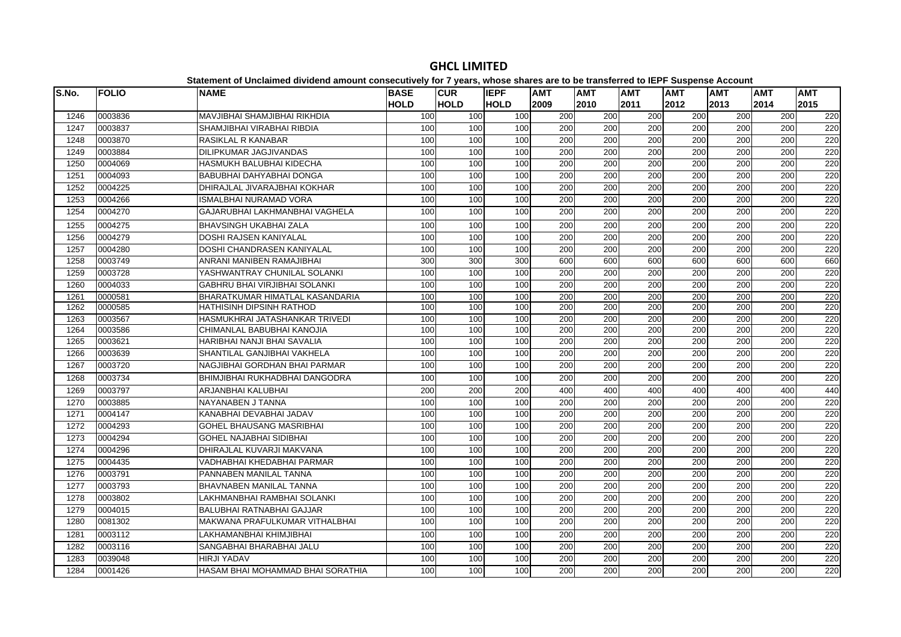#### **S.No. FOLIO NAME BASE HOLDCUR HOLDIEPF HOLDAMT AMT AMT AMT AMT AMT AMT**  0003836 MAVJIBHAI SHAMJIBHAI RIKHDIA 100 100 100 200 200 200 200 200 200 220 0003837 SHAMJIBHAI VIRABHAI RIBDIA 100 100 100 200 200 200 200 200 200 220 0003870 RASIKLAL R KANABAR 100 100 100 200 200 200 200 200 200 220 0003884 DILIPKUMAR JAGJIVANDAS 100 100 100 200 200 200 200 200 200 220 0004069 HASMUKH BALUBHAI KIDECHA 100 100 100 200 200 200 200 200 200 220 0004093 BABUBHAI DAHYABHAI DONGA 100 100 100 200 200 200 200 200 200 220 0004225 DHIRAJLAL JIVARAJBHAI KOKHAR 100 100 100 200 200 200 200 200 200 220 0004266 ISMALBHAI NURAMAD VORA 100 100 100 200 200 200 200 200 200 220 0004270 GAJARUBHAI LAKHMANBHAI VAGHELA 100 100 100 200 200 200 200 200 200 220 0004275 BHAVSINGH UKABHAI ZALA 100 100 100 200 200 200 200 200 200 220 0004279 DOSHI RAJSEN KANIYALAL 100 100 100 200 200 200 200 200 200 220 0004280 DOSHI CHANDRASEN KANIYALAL 100 100 100 200 200 200 200 200 200 220 0003749 ANRANI MANIBEN RAMAJIBHAI 300 300 300 600 600 600 600 600 600 660 0003728 YASHWANTRAY CHUNILAL SOLANKI 100 100 100 200 200 200 200 200 200 220 0004033 GABHRU BHAI VIRJIBHAI SOLANKI 100 100 100 200 200 200 200 200 200 220 0000581 BHARATKUMAR HIMATLAL KASANDARIA 100 100 100 200 200 200 200 200 200 220 0000585 HATHISINH DIPSINH RATHOD 100 100 100 200 200 200 200 200 200 220 0003567 HASMUKHRAI JATASHANKAR TRIVEDI 100 100 100 200 200 200 200 200 200 220 0003586 CHIMANLAL BABUBHAI KANOJIA 100 100 100 200 200 200 200 200 200 220 0003621 HARIBHAI NANJI BHAI SAVALIA 100 100 100 200 200 200 200 200 200 220 0003639 SHANTILAL GANJIBHAI VAKHELA 100 100 100 200 200 200 200 200 200 220 0003720 NAGJIBHAI GORDHAN BHAI PARMAR 100 100 100 200 200 200 200 200 200 220 0003734 BHIMJIBHAI RUKHADBHAI DANGODRA 100 100 100 200 200 200 200 200 200 220 0003797 ARJANBHAI KALUBHAI 200 200 200 400 400 400 400 400 400 440 0003885 NAYANABEN J TANNA 100 100 100 200 200 200 200 200 200 220 0004147 KANABHAI DEVABHAI JADAV 100 100 100 200 200 200 200 200 200 220 0004293 GOHEL BHAUSANG MASRIBHAI 100 100 100 200 200 200 200 200 200 220 0004294 GOHEL NAJABHAI SIDIBHAI 100 100 100 200 200 200 200 200 200 220 0004296 DHIRAJLAL KUVARJI MAKVANA 100 100 100 200 200 200 200 200 200 220 0004435 VADHABHAI KHEDABHAI PARMAR 100 100 100 200 200 200 200 200 200 220 0003791 PANNABEN MANILAL TANNA 100 100 100 200 200 200 200 200 200 220 $\overline{220}$  0003793 BHAVNABEN MANILAL TANNA 100 100 100 200 200 200 200 200 200 220 0003802 LAKHMANBHAI RAMBHAI SOLANKI 100 100 100 200 200 200 200 200 200 220 0004015 BALUBHAI RATNABHAI GAJJAR 100 100 100 200 200 200 200 200 200 220 0081302 MAKWANA PRAFULKUMAR VITHALBHAI 100 100 100 200 200 200 200 200 200 220 0003112 LAKHAMANBHAI KHIMJIBHAI 100 100 100 200 200 200 200 200 200 220 0003116 SANGABHAI BHARABHAI JALU 100 100 100 200 200 200 200 200 200 220 0039048 HIRJI YADAV 100 100 100 200 200 200 200 200 200 2200001426 HASAM BHAI MOHAMMAD BHAI SORATHIA 100 100 100 200 200 200 200 200 200 220

## **GHCL LIMITED**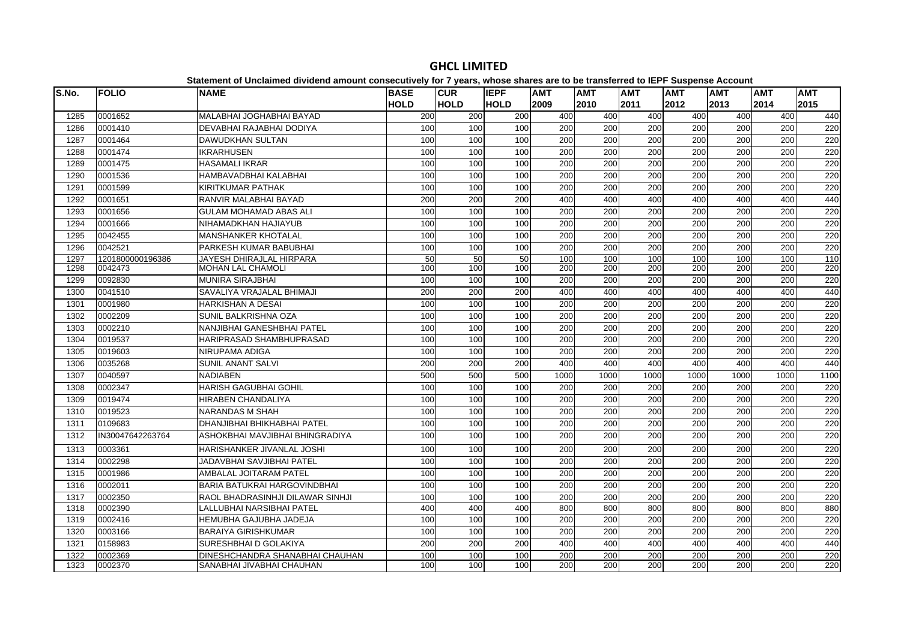| S.No. | <b>FOLIO</b>     | <b>NAME</b>                         | <b>BASE</b> | <b>CUR</b>  | <b>IEPF</b> | <b>AMT</b>       | <b>AMT</b>       | <b>AMT</b>       | <b>AMT</b> | <b>AMT</b> | <b>AMT</b>       | <b>AMT</b> |
|-------|------------------|-------------------------------------|-------------|-------------|-------------|------------------|------------------|------------------|------------|------------|------------------|------------|
|       |                  |                                     | <b>HOLD</b> | <b>HOLD</b> | <b>HOLD</b> | 2009             | 2010             | 2011             | 2012       | 2013       | 2014             | 2015       |
| 1285  | 0001652          | MALABHAI JOGHABHAI BAYAD            | 200         | 200         | 200         | 400              | 400              | 400              | 400        | 400        | 400              | 440        |
| 1286  | 0001410          | DEVABHAI RAJABHAI DODIYA            | 100         | 100         | 100         | $\overline{200}$ | $\overline{200}$ | $\overline{200}$ | 200        | 200        | $\overline{200}$ | 220        |
| 1287  | 0001464          | <b>DAWUDKHAN SULTAN</b>             | 100         | 100         | 100         | 200              | 200              | 200              | 200        | 200        | 200              | 220        |
| 1288  | 0001474          | <b>IKRARHUSEN</b>                   | 100         | 100         | 100         | 200              | 200              | $\overline{200}$ | 200        | 200        | $\overline{200}$ | 220        |
| 1289  | 0001475          | <b>HASAMALI IKRAR</b>               | 100         | 100         | 100         | 200              | 200              | 200              | 200        | 200        | 200              | 220        |
| 1290  | 0001536          | HAMBAVADBHAI KALABHAI               | 100         | 100         | 100         | $\overline{200}$ | 200              | 200              | 200        | 200        | $\overline{200}$ | 220        |
| 1291  | 0001599          | <b>KIRITKUMAR PATHAK</b>            | 100         | 100         | 100         | 200              | 200              | 200              | 200        | 200        | 200              | 220        |
| 1292  | 0001651          | RANVIR MALABHAI BAYAD               | 200         | 200         | 200         | 400              | 400              | 400              | 400        | 400        | 400              | 440        |
| 1293  | 0001656          | <b>GULAM MOHAMAD ABAS ALI</b>       | 100         | 100         | 100         | 200              | 200              | 200              | 200        | 200        | 200              | 220        |
| 1294  | 0001666          | NIHAMADKHAN HAJIAYUB                | 100         | 100         | 100         | 200              | 200              | $\overline{200}$ | 200        | 200        | 200              | 220        |
| 1295  | 0042455          | <b>MANSHANKER KHOTALAL</b>          | 100         | 100         | 100         | 200              | 200              | 200              | 200        | 200        | 200              | 220        |
| 1296  | 0042521          | PARKESH KUMAR BABUBHAI              | 100         | 100         | 100         | 200              | 200              | 200              | 200        | 200        | 200              | 220        |
| 1297  | 1201800000196386 | <b>JAYESH DHIRAJLAL HIRPARA</b>     | 50          | 50          | 50          | 100              | 100              | 100              | 100        | 100        | 100              | 110        |
| 1298  | 0042473          | <b>MOHAN LAL CHAMOLI</b>            | 100         | 100         | 100         | 200              | 200              | 200              | 200        | 200        | 200              | 220        |
| 1299  | 0092830          | <b>MUNIRA SIRAJBHAI</b>             | 100         | 100         | 100         | 200              | $\overline{200}$ | 200              | 200        | 200        | $\overline{200}$ | 220        |
| 1300  | 0041510          | SAVALIYA VRAJALAL BHIMAJI           | 200         | 200         | 200         | 400              | 400              | 400              | 400        | 400        | 400              | 440        |
| 1301  | 0001980          | <b>HARKISHAN A DESAI</b>            | 100         | 100         | 100         | 200              | $\overline{200}$ | 200              | 200        | 200        | $\overline{200}$ | 220        |
| 1302  | 0002209          | SUNIL BALKRISHNA OZA                | 100         | 100         | 100         | 200              | 200              | 200              | 200        | 200        | 200              | 220        |
| 1303  | 0002210          | NANJIBHAI GANESHBHAI PATEL          | 100         | 100         | 100         | 200              | 200              | 200              | 200        | 200        | 200              | 220        |
| 1304  | 0019537          | HARIPRASAD SHAMBHUPRASAD            | 100         | 100         | 100         | 200              | 200              | 200              | 200        | 200        | 200              | 220        |
| 1305  | 0019603          | NIRUPAMA ADIGA                      | 100         | 100         | 100         | $\overline{200}$ | 200              | 200              | 200        | 200        | $\overline{200}$ | 220        |
| 1306  | 0035268          | <b>SUNIL ANANT SALVI</b>            | 200         | 200         | 200         | 400              | 400              | 400              | 400        | 400        | 400              | 440        |
| 1307  | 0040597          | <b>NADIABEN</b>                     | 500         | 500         | 500         | 1000             | 1000             | 1000             | 1000       | 1000       | 1000             | 1100       |
| 1308  | 0002347          | <b>HARISH GAGUBHAI GOHIL</b>        | 100         | 100         | 100         | 200              | 200              | $\overline{200}$ | 200        | 200        | 200              | 220        |
| 1309  | 0019474          | <b>HIRABEN CHANDALIYA</b>           | 100         | 100         | 100         | 200              | 200              | 200              | 200        | 200        | 200              | 220        |
| 1310  | 0019523          | <b>NARANDAS M SHAH</b>              | 100         | 100         | 100         | 200              | $\overline{200}$ | $\overline{200}$ | 200        | 200        | 200              | 220        |
| 1311  | 0109683          | DHANJIBHAI BHIKHABHAI PATEL         | 100         | 100         | 100         | 200              | 200              | 200              | 200        | 200        | 200              | 220        |
| 1312  | IN30047642263764 | ASHOKBHAI MAVJIBHAI BHINGRADIYA     | 100         | 100         | 100         | 200              | 200              | $\overline{200}$ | 200        | 200        | $\overline{200}$ | 220        |
| 1313  | 0003361          | HARISHANKER JIVANLAL JOSHI          | 100         | 100         | 100         | 200              | 200              | 200              | 200        | 200        | 200              | 220        |
| 1314  | 0002298          | <b>JADAVBHAI SAVJIBHAI PATEL</b>    | 100         | 100         | 100         | 200              | 200              | 200              | 200        | 200        | 200              | 220        |
| 1315  | 0001986          | AMBALAL JOITARAM PATEL              | 100         | 100         | 100         | 200              | 200              | 200              | 200        | 200        | 200              | 220        |
| 1316  | 0002011          | <b>BARIA BATUKRAI HARGOVINDBHAI</b> | 100         | 100         | 100         | 200              | 200              | $\overline{200}$ | 200        | 200        | 200              | 220        |
| 1317  | 0002350          | RAOL BHADRASINHJI DILAWAR SINHJI    | 100         | 100         | 100         | 200              | 200              | 200              | 200        | 200        | 200              | 220        |
| 1318  | 0002390          | LALLUBHAI NARSIBHAI PATEL           | 400         | 400         | 400         | 800              | 800              | 800              | 800        | 800        | 800              | 880        |
| 1319  | 0002416          | HEMUBHA GAJUBHA JADEJA              | 100         | 100         | 100         | 200              | 200              | 200              | 200        | 200        | 200              | 220        |
| 1320  | 0003166          | <b>BARAIYA GIRISHKUMAR</b>          | 100         | 100         | 100         | 200              | 200              | 200              | 200        | 200        | 200              | 220        |
| 1321  | 0158983          | SURESHBHAI D GOLAKIYA               | 200         | 200         | 200         | 400              | 400              | 400              | 400        | 400        | 400              | 440        |
| 1322  | 0002369          | DINESHCHANDRA SHANABHAI CHAUHAN     | 100         | 100         | 100         | 200              | 200              | 200              | 200        | 200        | 200              | 220        |
| 1323  | 0002370          | SANABHAI JIVABHAI CHAUHAN           | 100         | 100         | 100         | 200              | 200              | 200              | 200        | 200        | 200              | 220        |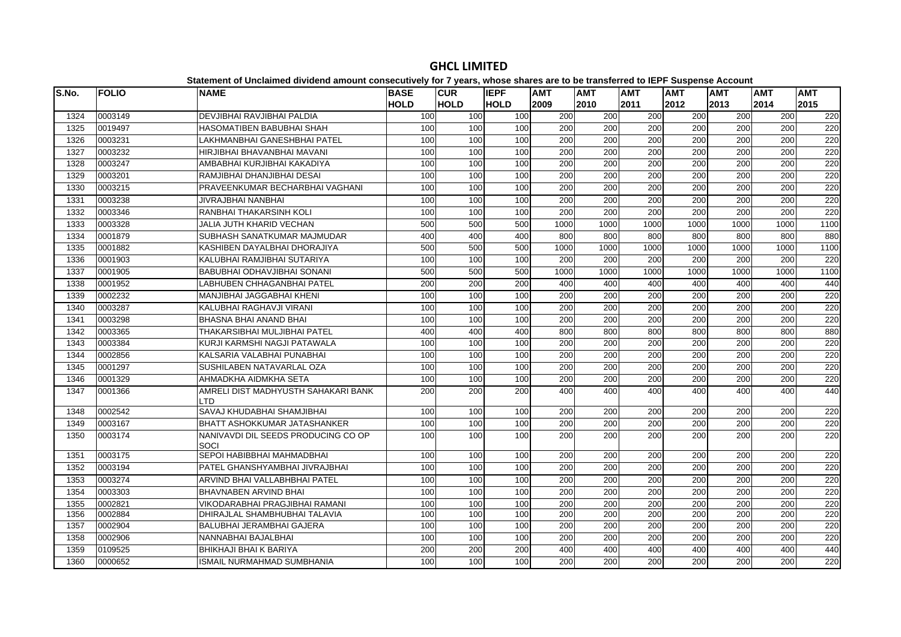|       |              | Statement of Unclaimed dividend amount consecutively for 7 years, whose shares are to be transferred to lEFF Suspense Account |                  |             |             |                  |      |                  |                  |                  |                  |                  |
|-------|--------------|-------------------------------------------------------------------------------------------------------------------------------|------------------|-------------|-------------|------------------|------|------------------|------------------|------------------|------------------|------------------|
| S.No. | <b>FOLIO</b> | <b>NAME</b>                                                                                                                   | <b>BASE</b>      | <b>CUR</b>  | <b>IEPF</b> | <b>AMT</b>       | AMT  | <b>AMT</b>       | <b>AMT</b>       | <b>AMT</b>       | <b>AMT</b>       | <b>AMT</b>       |
|       |              |                                                                                                                               | <b>HOLD</b>      | <b>HOLD</b> | <b>HOLD</b> | 2009             | 2010 | 2011             | 2012             | 2013             | 2014             | 2015             |
| 1324  | 0003149      | DEVJIBHAI RAVJIBHAI PALDIA                                                                                                    | 100              | 100         | 100         | 200              | 200  | 200              | 200              | 200              | 200              | 220              |
| 1325  | 0019497      | HASOMATIBEN BABUBHAI SHAH                                                                                                     | 100              | 100         | 100         | 200              | 200  | 200              | $\overline{200}$ | 200              | 200              | 220              |
| 1326  | 0003231      | LAKHMANBHAI GANESHBHAI PATEL                                                                                                  | 100              | 100         | 100         | 200              | 200  | 200              | 200              | 200              | 200              | 220              |
| 1327  | 0003232      | HIRJIBHAI BHAVANBHAI MAVANI                                                                                                   | 100              | 100         | 100         | 200              | 200  | 200              | 200              | 200              | 200              | 220              |
| 1328  | 0003247      | AMBABHAI KURJIBHAI KAKADIYA                                                                                                   | 100              | 100         | 100         | 200              | 200  | $\overline{200}$ | 200              | 200              | $\overline{200}$ | 220              |
| 1329  | 0003201      | RAMJIBHAI DHANJIBHAI DESAI                                                                                                    | 100              | 100         | 100         | 200              | 200  | 200              | 200              | 200              | $\overline{200}$ | 220              |
| 1330  | 0003215      | PRAVEENKUMAR BECHARBHAI VAGHANI                                                                                               | 100              | 100         | 100         | 200              | 200  | 200              | 200              | 200              | 200              | 220              |
| 1331  | 0003238      | JIVRAJBHAI NANBHAI                                                                                                            | 100              | 100         | 100         | 200              | 200  | 200              | 200              | 200              | 200              | 220              |
| 1332  | 0003346      | RANBHAI THAKARSINH KOLI                                                                                                       | 100              | 100         | 100         | 200              | 200  | 200              | 200              | 200              | 200              | 220              |
| 1333  | 0003328      | <b>JALIA JUTH KHARID VECHAN</b>                                                                                               | 500              | 500         | 500         | 1000             | 1000 | 1000             | 1000             | 1000             | 1000             | 1100             |
| 1334  | 0001879      | SUBHASH SANATKUMAR MAJMUDAR                                                                                                   | 400              | 400         | 400         | 800              | 800  | 800              | 800              | 800              | 800              | 880              |
| 1335  | 0001882      | KASHIBEN DAYALBHAI DHORAJIYA                                                                                                  | 500              | 500         | 500         | 1000             | 1000 | 1000             | 1000             | 1000             | 1000             | 1100             |
| 1336  | 0001903      | KALUBHAI RAMJIBHAI SUTARIYA                                                                                                   | 100              | 100         | 100         | 200              | 200  | 200              | 200              | 200              | 200              | 220              |
| 1337  | 0001905      | BABUBHAI ODHAVJIBHAI SONANI                                                                                                   | 500              | 500         | 500         | 1000             | 1000 | 1000             | 1000             | 1000             | 1000             | 1100             |
| 1338  | 0001952      | <b>LABHUBEN CHHAGANBHAI PATEL</b>                                                                                             | 200              | 200         | 200         | 400              | 400  | 400              | 400              | 400              | 400              | 440              |
| 1339  | 0002232      | MANJIBHAI JAGGABHAI KHENI                                                                                                     | 100              | 100         | 100         | 200              | 200  | 200              | 200              | 200              | 200              | 220              |
| 1340  | 0003287      | KALUBHAI RAGHAVJI VIRANI                                                                                                      | 100              | 100         | 100         | 200              | 200  | $\overline{200}$ | 200              | 200              | 200              | 220              |
| 1341  | 0003298      | <b>BHASNA BHAI ANAND BHAI</b>                                                                                                 | 100              | 100         | 100         | 200              | 200  | 200              | 200              | 200              | 200              | 220              |
| 1342  | 0003365      | THAKARSIBHAI MULJIBHAI PATEL                                                                                                  | 400              | 400         | 400         | 800              | 800  | 800              | 800              | 800              | 800              | 880              |
| 1343  | 0003384      | KURJI KARMSHI NAGJI PATAWALA                                                                                                  | 100              | 100         | 100         | 200              | 200  | 200              | $\overline{200}$ | $\overline{200}$ | $\overline{200}$ | 220              |
| 1344  | 0002856      | KALSARIA VALABHAI PUNABHAI                                                                                                    | 100              | 100         | 100         | 200              | 200  | 200              | 200              | 200              | 200              | 220              |
| 1345  | 0001297      | SUSHILABEN NATAVARLAL OZA                                                                                                     | 100              | 100         | 100         | 200              | 200  | 200              | 200              | 200              | 200              | 220              |
| 1346  | 0001329      | AHMADKHA AIDMKHA SETA                                                                                                         | 100              | 100         | 100         | 200              | 200  | $\overline{200}$ | $\overline{200}$ | 200              | $\overline{200}$ | 220              |
| 1347  | 0001366      | AMRELI DIST MADHYUSTH SAHAKARI BANK<br>LTD                                                                                    | 200              | 200         | 200         | 400              | 400  | 400              | 400              | 400              | 400              | 440              |
| 1348  | 0002542      | SAVAJ KHUDABHAI SHAMJIBHAI                                                                                                    | 100              | 100         | 100         | 200              | 200  | 200              | 200              | 200              | 200              | 220              |
| 1349  | 0003167      | BHATT ASHOKKUMAR JATASHANKER                                                                                                  | 100              | 100         | 100         | 200              | 200  | 200              | 200              | 200              | 200              | 220              |
| 1350  | 0003174      | NANIVAVDI DIL SEEDS PRODUCING CO OP<br>SOCI                                                                                   | 100              | 100         | 100         | 200              | 200  | 200              | 200              | 200              | $\overline{200}$ | 220              |
| 1351  | 0003175      | SEPOI HABIBBHAI MAHMADBHAI                                                                                                    | 100              | 100         | 100         | 200              | 200  | 200              | 200              | 200              | 200              | 220              |
| 1352  | 0003194      | PATEL GHANSHYAMBHAI JIVRAJBHAI                                                                                                | 100              | 100         | 100         | 200              | 200  | 200              | 200              | 200              | 200              | 220              |
| 1353  | 0003274      | ARVIND BHAI VALLABHBHAI PATEL                                                                                                 | 100              | 100         | 100         | 200              | 200  | 200              | 200              | 200              | 200              | 220              |
| 1354  | 0003303      | BHAVNABEN ARVIND BHAI                                                                                                         | 100              | 100         | 100         | 200              | 200  | $\overline{200}$ | 200              | 200              | $\overline{200}$ | 220              |
| 1355  | 0002821      | <b>VIKODARABHAI PRAGJIBHAI RAMANI</b>                                                                                         | 100              | 100         | 100         | $\overline{200}$ | 200  | $\overline{200}$ | $\overline{200}$ | 200              | $\overline{200}$ | $\overline{220}$ |
| 1356  | 0002884      | DHIRAJLAL SHAMBHUBHAI TALAVIA                                                                                                 | 100              | 100         | 100         | 200              | 200  | 200              | 200              | 200              | 200              | 220              |
| 1357  | 0002904      | BALUBHAI JERAMBHAI GAJERA                                                                                                     | 100              | 100         | 100         | 200              | 200  | 200              | 200              | 200              | 200              | 220              |
| 1358  | 0002906      | NANNABHAI BAJALBHAI                                                                                                           | 100              | 100         | 100         | 200              | 200  | 200              | 200              | 200              | 200              | 220              |
| 1359  | 0109525      | <b>BHIKHAJI BHAI K BARIYA</b>                                                                                                 | $\overline{200}$ | 200         | 200         | 400              | 400  | 400              | 400              | 400              | 400              | 440              |
| 1360  | 0000652      | <b>ISMAIL NURMAHMAD SUMBHANIA</b>                                                                                             | 100              | 100         | 100         | 200              | 200  | $\overline{200}$ | $\overline{200}$ | 200              | 200              | 220              |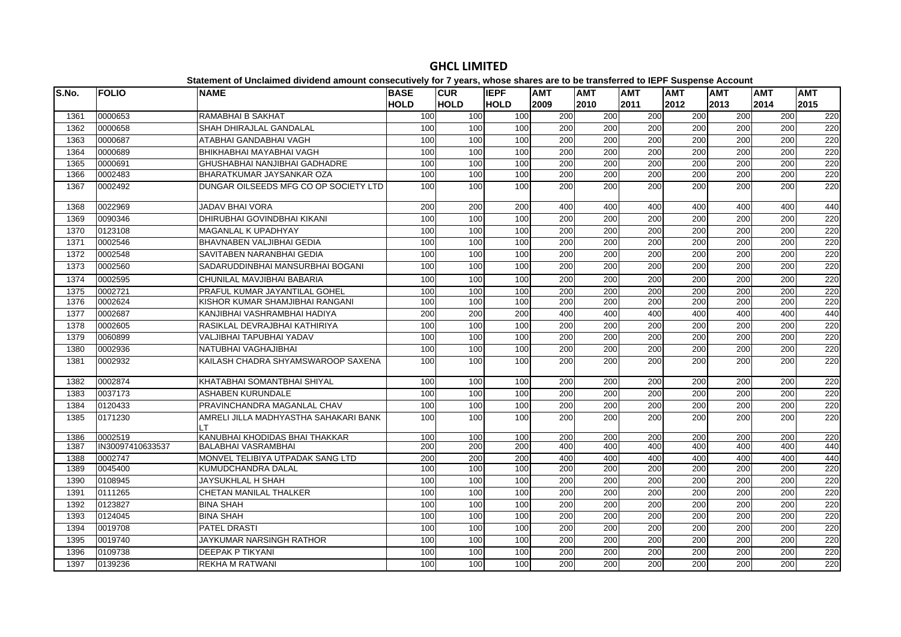| S.No. | <b>FOLIO</b>     | platomont of onolamiou antiuonu amount oonoooutroff for riffourof mnooo onuroo aro th<br><b>NAME</b> | <b>BASE</b> | <b>CUR</b>  | <b>IEPF</b> | <b>AMT</b>       | .<br><b>AMT</b>  | <b>AMT</b>       | $- - -$<br><b>AMT</b> | <b>AMT</b>       | <b>AMT</b>       | <b>AMT</b> |
|-------|------------------|------------------------------------------------------------------------------------------------------|-------------|-------------|-------------|------------------|------------------|------------------|-----------------------|------------------|------------------|------------|
|       |                  |                                                                                                      | <b>HOLD</b> | <b>HOLD</b> | <b>HOLD</b> | 2009             | 2010             | 2011             | 2012                  | 2013             | 2014             | 2015       |
| 1361  | 0000653          | RAMABHAI B SAKHAT                                                                                    | 100         | 100         | 100         | 200              | 200              | 200              | 200                   | 200              | 200              | 220        |
| 1362  | 0000658          | SHAH DHIRAJLAL GANDALAL                                                                              | 100         | 100         | 100         | $\overline{200}$ | $\overline{200}$ | $\overline{200}$ | 200                   | $\overline{200}$ | $\overline{200}$ | 220        |
| 1363  | 0000687          | ATABHAI GANDABHAI VAGH                                                                               | 100         | 100         | 100         | 200              | 200              | 200              | 200                   | 200              | 200              | 220        |
| 1364  | 0000689          | BHIKHABHAI MAYABHAI VAGH                                                                             | 100         | 100         | 100         | $\overline{200}$ | 200              | $\overline{200}$ | 200                   | 200              | $\overline{200}$ | 220        |
| 1365  | 0000691          | GHUSHABHAI NANJIBHAI GADHADRE                                                                        | 100         | 100         | 100         | 200              | 200              | 200              | 200                   | 200              | 200              | 220        |
| 1366  | 0002483          | BHARATKUMAR JAYSANKAR OZA                                                                            | 100         | 100         | 100         | $\overline{200}$ | $\overline{200}$ | $\overline{200}$ | 200                   | $\overline{200}$ | $\overline{200}$ | 220        |
| 1367  | 0002492          | DUNGAR OILSEEDS MFG CO OP SOCIETY LTD                                                                | 100         | 100         | 100         | 200              | 200              | 200              | 200                   | 200              | 200              | 220        |
| 1368  | 0022969          | <b>JADAV BHAI VORA</b>                                                                               | 200         | 200         | 200         | 400              | 400              | 400              | 400                   | 400              | 400              | 440        |
| 1369  | 0090346          | DHIRUBHAI GOVINDBHAI KIKANI                                                                          | 100         | 100         | 100         | 200              | 200              | 200              | 200                   | 200              | 200              | 220        |
| 1370  | 0123108          | <b>MAGANLAL K UPADHYAY</b>                                                                           | 100         | 100         | 100         | 200              | 200              | $\overline{200}$ | 200                   | 200              | $\overline{200}$ | 220        |
| 1371  | 0002546          | BHAVNABEN VALJIBHAI GEDIA                                                                            | 100         | 100         | 100         | 200              | 200              | 200              | 200                   | 200              | 200              | 220        |
| 1372  | 0002548          | SAVITABEN NARANBHAI GEDIA                                                                            | 100         | 100         | 100         | 200              | $\overline{200}$ | $\overline{200}$ | 200                   | 200              | 200              | 220        |
| 1373  | 0002560          | SADARUDDINBHAI MANSURBHAI BOGANI                                                                     | 100         | 100         | 100         | 200              | 200              | 200              | 200                   | 200              | 200              | 220        |
| 1374  | 0002595          | CHUNILAL MAVJIBHAI BABARIA                                                                           | 100         | 100         | 100         | 200              | 200              | 200              | 200                   | 200              | 200              | 220        |
| 1375  | 0002721          | PRAFUL KUMAR JAYANTILAL GOHEL                                                                        | 100         | 100         | 100         | 200              | 200              | 200              | 200                   | 200              | 200              | 220        |
| 1376  | 0002624          | KISHOR KUMAR SHAMJIBHAI RANGANI                                                                      | 100         | 100         | 100         | 200              | 200              | $\overline{200}$ | 200                   | 200              | $\overline{200}$ | 220        |
| 1377  | 0002687          | KANJIBHAI VASHRAMBHAI HADIYA                                                                         | 200         | 200         | 200         | 400              | 400              | 400              | 400                   | 400              | 400              | 440        |
| 1378  | 0002605          | RASIKLAL DEVRAJBHAI KATHIRIYA                                                                        | 100         | 100         | 100         | 200              | 200              | 200              | 200                   | 200              | 200              | 220        |
| 1379  | 0060899          | VALJIBHAI TAPUBHAI YADAV                                                                             | 100         | 100         | 100         | 200              | 200              | 200              | 200                   | 200              | 200              | 220        |
| 1380  | 0002936          | NATUBHAI VAGHAJIBHAI                                                                                 | 100         | 100         | 100         | 200              | 200              | 200              | 200                   | 200              | 200              | 220        |
| 1381  | 0002932          | KAILASH CHADRA SHYAMSWAROOP SAXENA                                                                   | 100         | 100         | 100         | 200              | 200              | 200              | 200                   | 200              | 200              | 220        |
| 1382  | 0002874          | KHATABHAI SOMANTBHAI SHIYAL                                                                          | 100         | 100         | 100         | 200              | 200              | 200              | 200                   | 200              | 200              | 220        |
| 1383  | 0037173          | <b>ASHABEN KURUNDALE</b>                                                                             | 100         | 100         | 100         | 200              | 200              | 200              | 200                   | 200              | 200              | 220        |
| 1384  | 0120433          | PRAVINCHANDRA MAGANLAL CHAV                                                                          | 100         | 100         | 100         | 200              | 200              | 200              | 200                   | 200              | 200              | 220        |
| 1385  | 0171230          | AMRELI JILLA MADHYASTHA SAHAKARI BANK<br>LT                                                          | 100         | 100         | 100         | 200              | 200              | 200              | 200                   | 200              | 200              | 220        |
| 1386  | 0002519          | KANUBHAI KHODIDAS BHAI THAKKAR                                                                       | 100         | 100         | 100         | 200              | 200              | 200              | 200                   | 200              | 200              | 220        |
| 1387  | IN30097410633537 | BALABHAI VASRAMBHAI                                                                                  | 200         | 200         | 200         | 400              | 400              | 400              | 400                   | 400              | 400              | 440        |
| 1388  | 0002747          | MONVEL TELIBIYA UTPADAK SANG LTD                                                                     | 200         | 200         | 200         | 400              | 400              | 400              | 400                   | 400              | 400              | 440        |
| 1389  | 0045400          | KUMUDCHANDRA DALAL                                                                                   | 100         | 100         | 100         | 200              | 200              | 200              | 200                   | 200              | 200              | 220        |
| 1390  | 0108945          | JAYSUKHLAL H SHAH                                                                                    | 100         | 100         | 100         | 200              | 200              | 200              | 200                   | 200              | 200              | 220        |
| 1391  | 0111265          | CHETAN MANILAL THALKER                                                                               | 100         | 100         | 100         | 200              | 200              | 200              | 200                   | 200              | 200              | 220        |
| 1392  | 0123827          | <b>BINA SHAH</b>                                                                                     | 100         | 100         | 100         | 200              | 200              | 200              | 200                   | 200              | 200              | 220        |
| 1393  | 0124045          | <b>BINA SHAH</b>                                                                                     | 100         | 100         | 100         | $\overline{200}$ | 200              | $\overline{200}$ | 200                   | $\overline{200}$ | $\overline{200}$ | 220        |
| 1394  | 0019708          | <b>PATEL DRASTI</b>                                                                                  | 100         | 100         | 100         | 200              | 200              | 200              | 200                   | 200              | 200              | 220        |
| 1395  | 0019740          | <b>JAYKUMAR NARSINGH RATHOR</b>                                                                      | 100         | 100         | 100         | 200              | 200              | 200              | 200                   | 200              | 200              | 220        |
| 1396  | 0109738          | DEEPAK P TIKYANI                                                                                     | 100         | 100         | 100         | 200              | 200              | 200              | 200                   | 200              | 200              | 220        |
| 1397  | 0139236          | <b>REKHA M RATWANI</b>                                                                               | 100         | 100         | 100         | 200              | 200              | $\overline{200}$ | 200                   | 200              | $\overline{200}$ | 220        |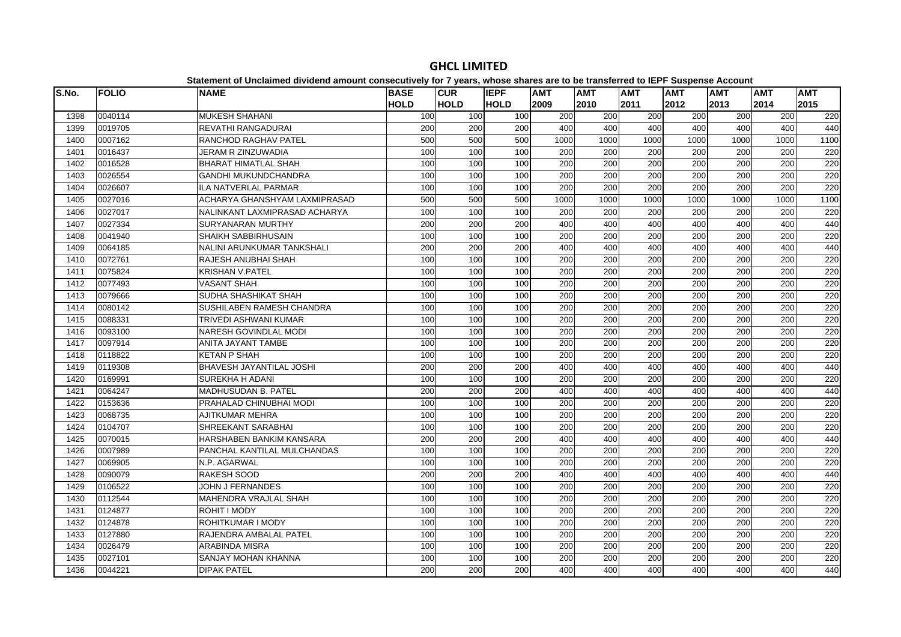| S.No. | <b>FOLIO</b> | <b>NAME</b>                       | <b>BASE</b> | <b>CUR</b>  | <b>IEPF</b> | <b>AMT</b> | AMT              | <b>AMT</b>       | <b>AMT</b>       | <b>AMT</b>       | <b>AMT</b> | <b>AMT</b> |
|-------|--------------|-----------------------------------|-------------|-------------|-------------|------------|------------------|------------------|------------------|------------------|------------|------------|
|       |              |                                   | <b>HOLD</b> | <b>HOLD</b> | <b>HOLD</b> | 2009       | 2010             | 2011             | 2012             | 2013             | 2014       | 2015       |
| 1398  | 0040114      | <b>MUKESH SHAHANI</b>             | 100         | 100         | 100         | 200        | 200              | 200              | 200              | 200              | 200        | 220        |
| 1399  | 0019705      | <b>REVATHI RANGADURAI</b>         | 200         | 200         | 200         | 400        | 400              | 400              | 400              | 400              | 400        | 440        |
| 1400  | 0007162      | RANCHOD RAGHAV PATEL              | 500         | 500         | 500         | 1000       | 1000             | 1000             | 1000             | 1000             | 1000       | 1100       |
| 1401  | 0016437      | JERAM R ZINZUWADIA                | 100         | 100         | 100         | 200        | 200              | 200              | 200              | 200              | 200        | 220        |
| 1402  | 0016528      | <b>BHARAT HIMATLAL SHAH</b>       | 100         | 100         | 100         | 200        | 200              | 200              | 200              | 200              | 200        | 220        |
| 1403  | 0026554      | GANDHI MUKUNDCHANDRA              | 100         | 100         | 100         | 200        | 200              | 200              | 200              | 200              | 200        | 220        |
| 1404  | 0026607      | ILA NATVERLAL PARMAR              | 100         | 100         | 100         | 200        | 200              | 200              | 200              | 200              | 200        | 220        |
| 1405  | 0027016      | ACHARYA GHANSHYAM LAXMIPRASAD     | 500         | 500         | 500         | 1000       | 1000             | 1000             | 1000             | 1000             | 1000       | 1100       |
| 1406  | 0027017      | NALINKANT LAXMIPRASAD ACHARYA     | 100         | 100         | 100         | 200        | 200              | 200              | 200              | 200              | 200        | 220        |
| 1407  | 0027334      | <b>SURYANARAN MURTHY</b>          | 200         | 200         | 200         | 400        | 400              | 400              | 400              | 400              | 400        | 440        |
| 1408  | 0041940      | SHAIKH SABBIRHUSAIN               | 100         | 100         | 100         | 200        | 200              | 200              | 200              | 200              | 200        | 220        |
| 1409  | 0064185      | <b>NALINI ARUNKUMAR TANKSHALI</b> | 200         | 200         | 200         | 400        | 400              | 400              | 400              | 400              | 400        | 440        |
| 1410  | 0072761      | RAJESH ANUBHAI SHAH               | 100         | 100         | 100         | 200        | 200              | 200              | 200              | 200              | 200        | 220        |
| 1411  | 0075824      | <b>KRISHAN V.PATEL</b>            | 100         | 100         | 100         | 200        | 200              | 200              | 200              | 200              | 200        | 220        |
| 1412  | 0077493      | <b>VASANT SHAH</b>                | 100         | 100         | 100         | 200        | 200              | 200              | 200              | 200              | 200        | 220        |
| 1413  | 0079666      | SUDHA SHASHIKAT SHAH              | 100         | 100         | 100         | 200        | 200              | 200              | 200              | 200              | 200        | 220        |
| 1414  | 0080142      | SUSHILABEN RAMESH CHANDRA         | 100         | 100         | 100         | 200        | 200              | 200              | 200              | 200              | 200        | 220        |
| 1415  | 0088331      | TRIVEDI ASHWANI KUMAR             | 100         | 100         | 100         | 200        | 200              | 200              | 200              | 200              | 200        | 220        |
| 1416  | 0093100      | <b>NARESH GOVINDLAL MODI</b>      | 100         | 100         | 100         | 200        | 200              | $\overline{200}$ | 200              | 200              | 200        | 220        |
| 1417  | 0097914      | ANITA JAYANT TAMBE                | 100         | 100         | 100         | 200        | $\overline{200}$ | 200              | 200              | 200              | 200        | 220        |
| 1418  | 0118822      | <b>KETAN P SHAH</b>               | 100         | 100         | 100         | 200        | 200              | 200              | $\overline{200}$ | $\overline{200}$ | 200        | 220        |
| 1419  | 0119308      | <b>BHAVESH JAYANTILAL JOSHI</b>   | 200         | 200         | 200         | 400        | 400              | 400              | 400              | 400              | 400        | 440        |
| 1420  | 0169991      | <b>SUREKHA H ADANI</b>            | 100         | 100         | 100         | 200        | 200              | $\overline{200}$ | 200              | $\overline{200}$ | 200        | 220        |
| 1421  | 0064247      | <b>MADHUSUDAN B. PATEL</b>        | 200         | 200         | 200         | 400        | 400              | 400              | 400              | 400              | 400        | 440        |
| 1422  | 0153636      | PRAHALAD CHINUBHAI MODI           | 100         | 100         | 100         | 200        | 200              | 200              | 200              | 200              | 200        | 220        |
| 1423  | 0068735      | <b>AJITKUMAR MEHRA</b>            | 100         | 100         | 100         | 200        | 200              | 200              | $\overline{200}$ | $\overline{200}$ | 200        | 220        |
| 1424  | 0104707      | SHREEKANT SARABHAI                | 100         | 100         | 100         | 200        | 200              | 200              | 200              | 200              | 200        | 220        |
| 1425  | 0070015      | HARSHABEN BANKIM KANSARA          | 200         | 200         | 200         | 400        | 400              | 400              | 400              | 400              | 400        | 440        |
| 1426  | 0007989      | PANCHAL KANTILAL MULCHANDAS       | 100         | 100         | 100         | 200        | 200              | 200              | 200              | 200              | 200        | 220        |
| 1427  | 0069905      | N.P. AGARWAL                      | 100         | 100         | 100         | 200        | 200              | 200              | 200              | 200              | 200        | 220        |
| 1428  | 0090079      | RAKESH SOOD                       | 200         | 200         | 200         | 400        | 400              | 400              | 400              | 400              | 400        | 440        |
| 1429  | 0106522      | JOHN J FERNANDES                  | 100         | 100         | 100         | 200        | 200              | 200              | 200              | 200              | 200        | 220        |
| 1430  | 0112544      | MAHENDRA VRAJLAL SHAH             | 100         | 100         | 100         | 200        | 200              | 200              | 200              | 200              | 200        | 220        |
| 1431  | 0124877      | ROHIT I MODY                      | 100         | 100         | 100         | 200        | 200              | 200              | 200              | 200              | 200        | 220        |
| 1432  | 0124878      | ROHITKUMAR I MODY                 | 100         | 100         | 100         | 200        | 200              | 200              | 200              | 200              | 200        | 220        |
| 1433  | 0127880      | RAJENDRA AMBALAL PATEL            | 100         | 100         | 100         | 200        | 200              | 200              | 200              | 200              | 200        | 220        |
| 1434  | 0026479      | <b>ARABINDA MISRA</b>             | 100         | 100         | 100         | 200        | 200              | 200              | 200              | 200              | 200        | 220        |
| 1435  | 0027101      | SANJAY MOHAN KHANNA               | 100         | 100         | 100         | 200        | 200              | 200              | 200              | 200              | 200        | 220        |
| 1436  | 0044221      | <b>DIPAK PATEL</b>                | 200         | 200         | 200         | 400        | 400              | 400              | 400              | 400              | 400        | 440        |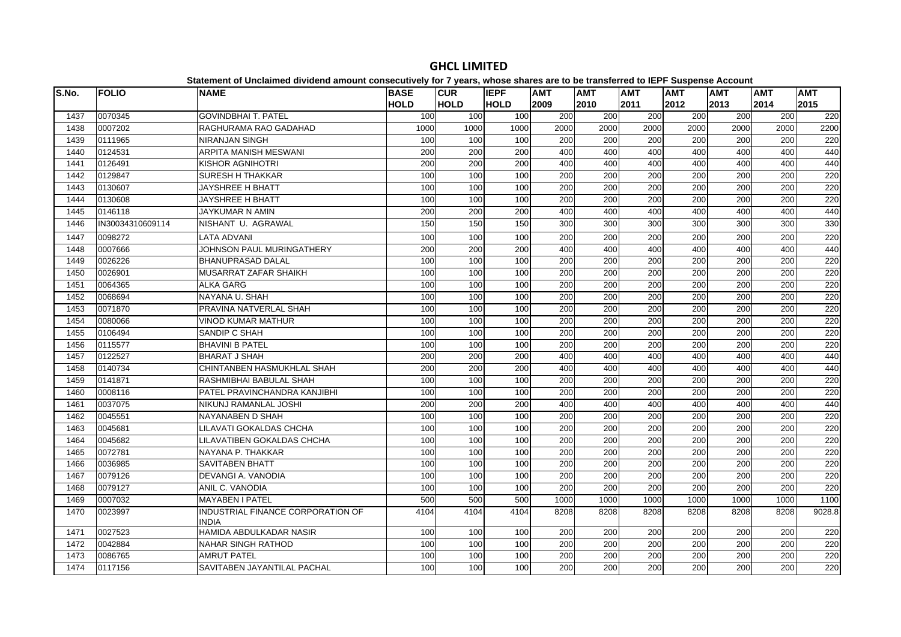| S.No. | <b>FOLIO</b>     | <b>NAME</b>                                    | <b>BASE</b> | <b>CUR</b>  | <b>IEPF</b> | <b>AMT</b>       | .<br><b>AMT</b>  | <b>AMT</b>       | $- -$<br><b>AMT</b> | <b>AMT</b> | AMT              | <b>AMT</b> |
|-------|------------------|------------------------------------------------|-------------|-------------|-------------|------------------|------------------|------------------|---------------------|------------|------------------|------------|
|       |                  |                                                | <b>HOLD</b> | <b>HOLD</b> | <b>HOLD</b> | 2009             | 2010             | 2011             | 2012                | 2013       | 2014             | 2015       |
| 1437  | 0070345          | <b>GOVINDBHAI T. PATEL</b>                     | 100         | 100         | 100         | 200              | 200              | 200              | 200                 | 200        | 200              | 220        |
| 1438  | 0007202          | <b>RAGHURAMA RAO GADAHAD</b>                   | 1000        | 1000        | 1000        | 2000             | 2000             | 2000             | 2000                | 2000       | 2000             | 2200       |
| 1439  | 0111965          | <b>NIRANJAN SINGH</b>                          | 100         | 100         | 100         | 200              | 200              | 200              | 200                 | 200        | 200              | 220        |
| 1440  | 0124531          | <b>ARPITA MANISH MESWANI</b>                   | 200         | 200         | 200         | 400              | 400              | 400              | 400                 | 400        | 400              | 440        |
| 1441  | 0126491          | KISHOR AGNIHOTRI                               | 200         | 200         | 200         | 400              | 400              | 400              | 400                 | 400        | 400              | 440        |
| 1442  | 0129847          | <b>SURESH H THAKKAR</b>                        | 100         | 100         | 100         | 200              | 200              | 200              | 200                 | 200        | 200              | 220        |
| 1443  | 0130607          | <b>JAYSHREE H BHATT</b>                        | 100         | 100         | 100         | 200              | 200              | 200              | 200                 | 200        | 200              | 220        |
| 1444  | 0130608          | <b>JAYSHREE H BHATT</b>                        | 100         | 100         | 100         | 200              | 200              | 200              | 200                 | 200        | 200              | 220        |
| 1445  | 0146118          | <b>JAYKUMAR N AMIN</b>                         | 200         | 200         | 200         | 400              | 400              | 400              | 400                 | 400        | 400              | 440        |
| 1446  | IN30034310609114 | NISHANT U. AGRAWAL                             | 150         | 150         | 150         | 300              | 300              | 300              | 300                 | 300        | 300              | 330        |
| 1447  | 0098272          | <b>LATA ADVANI</b>                             | 100         | 100         | 100         | 200              | 200              | 200              | 200                 | 200        | 200              | 220        |
| 1448  | 0007666          | JOHNSON PAUL MURINGATHERY                      | 200         | 200         | 200         | 400              | 400              | 400              | 400                 | 400        | 400              | 440        |
| 1449  | 0026226          | <b>BHANUPRASAD DALAL</b>                       | 100         | 100         | 100         | 200              | 200              | 200              | 200                 | 200        | 200              | 220        |
| 1450  | 0026901          | MUSARRAT ZAFAR SHAIKH                          | 100         | 100         | 100         | 200              | 200              | 200              | 200                 | 200        | 200              | 220        |
| 1451  | 0064365          | <b>ALKA GARG</b>                               | 100         | 100         | 100         | 200              | 200              | 200              | 200                 | 200        | 200              | 220        |
| 1452  | 0068694          | NAYANA U. SHAH                                 | 100         | 100         | 100         | 200              | 200              | 200              | 200                 | 200        | 200              | 220        |
| 1453  | 0071870          | PRAVINA NATVERLAL SHAH                         | 100         | 100         | 100         | 200              | 200              | 200              | 200                 | 200        | 200              | 220        |
| 1454  | 0080066          | <b>VINOD KUMAR MATHUR</b>                      | 100         | 100         | 100         | 200              | 200              | 200              | 200                 | 200        | 200              | 220        |
| 1455  | 0106494          | <b>SANDIP C SHAH</b>                           | 100         | 100         | 100         | 200              | 200              | 200              | 200                 | 200        | 200              | 220        |
| 1456  | 0115577          | <b>BHAVINI B PATEL</b>                         | 100         | 100         | 100         | 200              | 200              | 200              | 200                 | 200        | 200              | 220        |
| 1457  | 0122527          | <b>BHARAT J SHAH</b>                           | 200         | 200         | 200         | 400              | 400              | 400              | 400                 | 400        | 400              | 440        |
| 1458  | 0140734          | CHINTANBEN HASMUKHLAL SHAH                     | 200         | 200         | 200         | 400              | 400              | 400              | 400                 | 400        | 400              | 440        |
| 1459  | 0141871          | <b>IRASHMIBHAI BABULAL SHAH</b>                | 100         | 100         | 100         | 200              | 200              | 200              | 200                 | 200        | 200              | 220        |
| 1460  | 0008116          | PATEL PRAVINCHANDRA KANJIBHI                   | 100         | 100         | 100         | 200              | $\overline{200}$ | $\overline{200}$ | 200                 | 200        | $\overline{200}$ | 220        |
| 1461  | 0037075          | İNIKUNJ RAMANLAL JOSHI                         | 200         | 200         | 200         | 400              | 400              | 400              | 400                 | 400        | 400              | 440        |
| 1462  | 0045551          | NAYANABEN D SHAH                               | 100         | 100         | 100         | 200              | 200              | 200              | 200                 | 200        | 200              | 220        |
| 1463  | 0045681          | ILILAVATI GOKALDAS CHCHA                       | 100         | 100         | 100         | 200              | 200              | $\overline{200}$ | 200                 | 200        | 200              | 220        |
| 1464  | 0045682          | LILAVATIBEN GOKALDAS CHCHA                     | 100         | 100         | 100         | 200              | 200              | 200              | 200                 | 200        | 200              | 220        |
| 1465  | 0072781          | NAYANA P. THAKKAR                              | 100         | 100         | 100         | 200              | 200              | 200              | 200                 | 200        | 200              | 220        |
| 1466  | 0036985          | <b>SAVITABEN BHATT</b>                         | 100         | 100         | 100         | $\overline{200}$ | $\overline{200}$ | $\overline{200}$ | 200                 | 200        | $\overline{200}$ | 220        |
| 1467  | 0079126          | <b>DEVANGI A. VANODIA</b>                      | 100         | 100         | 100         | 200              | 200              | 200              | 200                 | 200        | 200              | 220        |
| 1468  | 0079127          | ANIL C. VANODIA                                | 100         | 100         | 100         | 200              | 200              | 200              | 200                 | 200        | 200              | 220        |
| 1469  | 0007032          | <b>MAYABEN I PATEL</b>                         | 500         | 500         | 500         | 1000             | 1000             | 1000             | 1000                | 1000       | 1000             | 1100       |
| 1470  | 0023997          | IINDUSTRIAL FINANCE CORPORATION OF             | 4104        | 4104        | 4104        | 8208             | 8208             | 8208             | 8208                | 8208       | 8208             | 9028.8     |
| 1471  | 0027523          | <b>INDIA</b><br><b>HAMIDA ABDULKADAR NASIR</b> | 100         | 100         | 100         | 200              | 200              | 200              | 200                 | 200        | 200              | 220        |
| 1472  | 0042884          | <b>NAHAR SINGH RATHOD</b>                      | 100         |             |             | 200              | 200              | 200              | 200                 |            | 200              | 220        |
| 1473  | 0086765          | <b>AMRUT PATEL</b>                             | 100         | 100<br>100  | 100<br>100  | 200              | 200              | 200              | 200                 | 200<br>200 | 200              | 220        |
|       |                  |                                                |             |             |             |                  |                  |                  |                     |            |                  |            |
| 1474  | 0117156          | SAVITABEN JAYANTILAL PACHAL                    | 100         | 100         | 100         | 200              | 200              | 200              | $\overline{200}$    | 200        | 200              | 220        |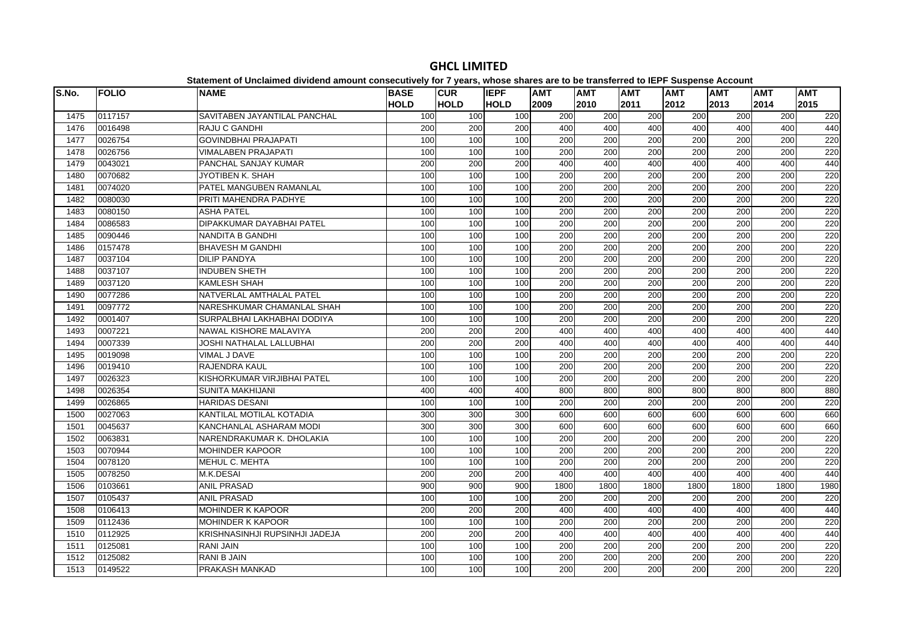| S.No. | <b>FOLIO</b> | <b>NAME</b>                    | <b>BASE</b><br><b>HOLD</b> | <b>CUR</b><br><b>HOLD</b> | <b>IEPF</b><br><b>HOLD</b> | <b>AMT</b><br>2009 | <b>AMT</b><br>2010 | <b>AMT</b><br>2011 | <b>AMT</b><br>2012 | <b>AMT</b><br>2013 | <b>AMT</b><br>2014 | <b>AMT</b><br>2015 |
|-------|--------------|--------------------------------|----------------------------|---------------------------|----------------------------|--------------------|--------------------|--------------------|--------------------|--------------------|--------------------|--------------------|
| 1475  | 0117157      | SAVITABEN JAYANTILAL PANCHAL   | 100                        | 100                       | 100                        | 200                | 200                | 200                | 200                | 200                | 200                | 220                |
| 1476  | 0016498      | <b>RAJU C GANDHI</b>           | 200                        | 200                       | 200                        | 400                | 400                | 400                | 400                | 400                | 400                | 440                |
| 1477  | 0026754      | <b>GOVINDBHAI PRAJAPATI</b>    | 100                        | 100                       | 100                        | 200                | 200                | 200                | 200                | 200                | 200                | 220                |
| 1478  | 0026756      | <b>VIMALABEN PRAJAPATI</b>     | 100                        | 100                       | 100                        | 200                | 200                | 200                | 200                | 200                | 200                | 220                |
| 1479  | 0043021      | PANCHAL SANJAY KUMAR           | 200                        | 200                       | 200                        | 400                | 400                | 400                | 400                | 400                | 400                | 440                |
| 1480  | 0070682      | JYOTIBEN K. SHAH               | 100                        | 100                       | 100                        | $\overline{200}$   | 200                | 200                | 200                | 200                | 200                | 220                |
| 1481  | 0074020      | PATEL MANGUBEN RAMANLAL        | 100                        | 100                       | 100                        | $\overline{200}$   | 200                | $\overline{200}$   | 200                | 200                | 200                | 220                |
| 1482  | 0080030      | PRITI MAHENDRA PADHYE          | 100                        | 100                       | 100                        | 200                | 200                | 200                | 200                | 200                | 200                | 220                |
| 1483  | 0080150      | <b>ASHA PATEL</b>              | 100                        | 100                       | 100                        | 200                | 200                | 200                | 200                | 200                | 200                | 220                |
| 1484  | 0086583      | DIPAKKUMAR DAYABHAI PATEL      | 100                        | 100                       | 100                        | 200                | 200                | 200                | 200                | 200                | 200                | 220                |
| 1485  | 0090446      | NANDITA B GANDHI               | 100                        | 100                       | 100                        | 200                | 200                | 200                | 200                | 200                | 200                | 220                |
| 1486  | 0157478      | <b>BHAVESH M GANDHI</b>        | 100                        | 100                       | 100                        | 200                | 200                | 200                | 200                | 200                | 200                | 220                |
| 1487  | 0037104      | <b>DILIP PANDYA</b>            | 100                        | 100                       | 100                        | 200                | 200                | 200                | 200                | 200                | 200                | 220                |
| 1488  | 0037107      | <b>INDUBEN SHETH</b>           | 100                        | 100                       | 100                        | 200                | 200                | $\overline{200}$   | 200                | 200                | 200                | 220                |
| 1489  | 0037120      | <b>KAMLESH SHAH</b>            | 100                        | 100                       | 100                        | 200                | 200                | 200                | 200                | 200                | 200                | 220                |
| 1490  | 0077286      | NATVERLAL AMTHALAL PATEL       | 100                        | 100                       | 100                        | 200                | 200                | 200                | 200                | 200                | 200                | 220                |
| 1491  | 0097772      | NARESHKUMAR CHAMANLAL SHAH     | 100                        | 100                       | 100                        | 200                | 200                | 200                | 200                | 200                | 200                | 220                |
| 1492  | 0001407      | SURPALBHAI LAKHABHAI DODIYA    | 100                        | 100                       | 100                        | 200                | 200                | 200                | 200                | 200                | 200                | 220                |
| 1493  | 0007221      | <b>NAWAL KISHORE MALAVIYA</b>  | 200                        | 200                       | 200                        | 400                | 400                | 400                | 400                | 400                | 400                | 440                |
| 1494  | 0007339      | JOSHI NATHALAL LALLUBHAI       | 200                        | 200                       | 200                        | 400                | 400                | 400                | 400                | 400                | 400                | 440                |
| 1495  | 0019098      | VIMAL J DAVE                   | 100                        | 100                       | 100                        | 200                | 200                | 200                | 200                | 200                | 200                | 220                |
| 1496  | 0019410      | RAJENDRA KAUL                  | 100                        | 100                       | 100                        | 200                | 200                | 200                | 200                | 200                | 200                | 220                |
| 1497  | 0026323      | KISHORKUMAR VIRJIBHAI PATEL    | 100                        | 100                       | 100                        | 200                | 200                | 200                | 200                | 200                | 200                | 220                |
| 1498  | 0026354      | <b>SUNITA MAKHIJANI</b>        | 400                        | 400                       | 400                        | 800                | 800                | 800                | 800                | 800                | 800                | 880                |
| 1499  | 0026865      | <b>HARIDAS DESANI</b>          | 100                        | 100                       | 100                        | 200                | 200                | $\overline{200}$   | $\overline{200}$   | 200                | 200                | 220                |
| 1500  | 0027063      | KANTILAL MOTILAL KOTADIA       | 300                        | 300                       | 300                        | 600                | 600                | 600                | 600                | 600                | 600                | 660                |
| 1501  | 0045637      | KANCHANLAL ASHARAM MODI        | 300                        | 300                       | 300                        | 600                | 600                | 600                | 600                | 600                | 600                | 660                |
| 1502  | 0063831      | NARENDRAKUMAR K. DHOLAKIA      | 100                        | 100                       | 100                        | 200                | 200                | 200                | 200                | 200                | 200                | 220                |
| 1503  | 0070944      | <b>MOHINDER KAPOOR</b>         | 100                        | 100                       | 100                        | 200                | 200                | 200                | 200                | 200                | 200                | 220                |
| 1504  | 0078120      | MEHUL C. MEHTA                 | 100                        | 100                       | 100                        | 200                | 200                | 200                | 200                | 200                | 200                | 220                |
| 1505  | 0078250      | M.K.DESAI                      | 200                        | 200                       | 200                        | 400                | 400                | 400                | 400                | 400                | 400                | 440                |
| 1506  | 0103661      | <b>ANIL PRASAD</b>             | 900                        | 900                       | 900                        | 1800               | 1800               | 1800               | 1800               | 1800               | 1800               | 1980               |
| 1507  | 0105437      | <b>ANIL PRASAD</b>             | 100                        | 100                       | 100                        | 200                | 200                | $\overline{200}$   | $\overline{200}$   | 200                | 200                | 220                |
| 1508  | 0106413      | <b>MOHINDER K KAPOOR</b>       | 200                        | 200                       | 200                        | 400                | 400                | 400                | 400                | 400                | 400                | 440                |
| 1509  | 0112436      | <b>MOHINDER K KAPOOR</b>       | 100                        | 100                       | 100                        | 200                | 200                | 200                | 200                | 200                | 200                | 220                |
| 1510  | 0112925      | KRISHNASINHJI RUPSINHJI JADEJA | 200                        | 200                       | 200                        | 400                | 400                | 400                | 400                | 400                | 400                | 440                |
| 1511  | 0125081      | <b>RANI JAIN</b>               | 100                        | 100                       | 100                        | 200                | 200                | 200                | 200                | 200                | 200                | 220                |
| 1512  | 0125082      | RANI B JAIN                    | 100                        | 100                       | 100                        | 200                | 200                | 200                | $\overline{200}$   | 200                | 200                | 220                |
| 1513  | 0149522      | PRAKASH MANKAD                 | 100                        | 100                       | 100                        | 200                | 200                | 200                | 200                | 200                | 200                | 220                |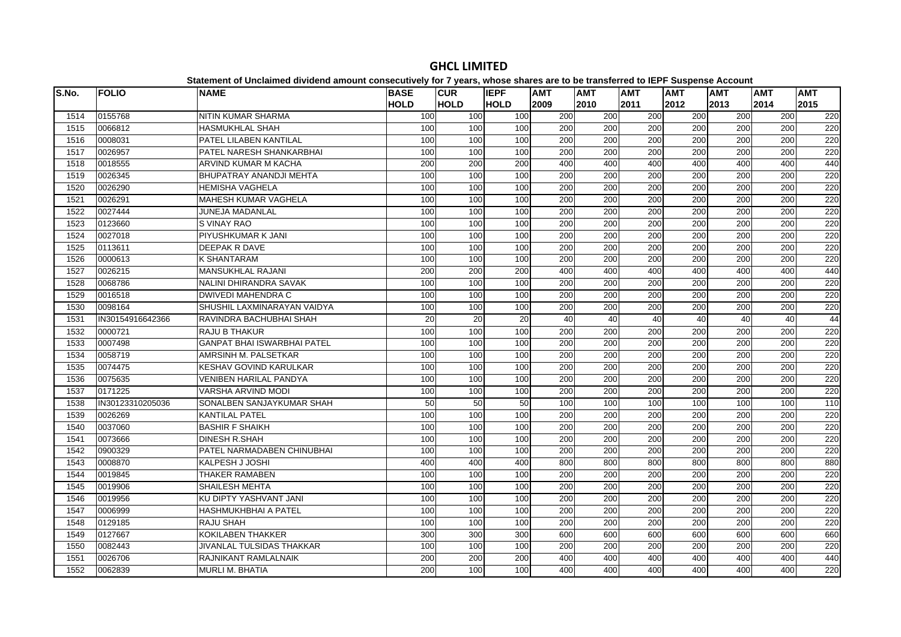| S.No. | <b>FOLIO</b>     | platomont of onolamiou urritoriu umount concocutriory for Figure, impose charge uro te<br><b>NAME</b> | <b>BASE</b> | <b>CUR</b>  | <b>IEPF</b> | <b>AMT</b>       | .<br><b>AMT</b>  | <b>AMT</b>       | $-$<br><b>AMT</b> | <b>AMT</b> | <b>AMT</b>       | <b>AMT</b> |
|-------|------------------|-------------------------------------------------------------------------------------------------------|-------------|-------------|-------------|------------------|------------------|------------------|-------------------|------------|------------------|------------|
|       |                  |                                                                                                       | <b>HOLD</b> | <b>HOLD</b> | <b>HOLD</b> | 2009             | 2010             | 2011             | 2012              | 2013       | 2014             | 2015       |
| 1514  | 0155768          | NITIN KUMAR SHARMA                                                                                    | 100         | 100         | 100         | 200              | 200              | 200              | 200               | 200        | 200              | 220        |
| 1515  | 0066812          | <b>HASMUKHLAL SHAH</b>                                                                                | 100         | 100         | 100         | 200              | 200              | 200              | 200               | 200        | 200              | 220        |
| 1516  | 0008031          | PATEL LILABEN KANTILAL                                                                                | 100         | 100         | 100         | 200              | 200              | 200              | 200               | 200        | 200              | 220        |
| 1517  | 0026957          | PATEL NARESH SHANKARBHAI                                                                              | 100         | 100         | 100         | 200              | 200              | 200              | 200               | 200        | 200              | 220        |
| 1518  | 0018555          | ARVIND KUMAR M KACHA                                                                                  | 200         | 200         | 200         | 400              | 400              | 400              | 400               | 400        | 400              | 440        |
| 1519  | 0026345          | BHUPATRAY ANANDJI MEHTA                                                                               | 100         | 100         | 100         | $\overline{200}$ | $\overline{200}$ | 200              | 200               | 200        | 200              | 220        |
| 1520  | 0026290          | <b>HEMISHA VAGHELA</b>                                                                                | 100         | 100         | 100         | 200              | 200              | 200              | 200               | 200        | 200              | 220        |
| 1521  | 0026291          | <b>MAHESH KUMAR VAGHELA</b>                                                                           | 100         | 100         | 100         | 200              | 200              | 200              | 200               | 200        | 200              | 220        |
| 1522  | 0027444          | JUNEJA MADANLAL                                                                                       | 100         | 100         | 100         | 200              | 200              | 200              | 200               | 200        | 200              | 220        |
| 1523  | 0123660          | S VINAY RAO                                                                                           | 100         | 100         | 100         | 200              | 200              | 200              | 200               | 200        | 200              | 220        |
| 1524  | 0027018          | PIYUSHKUMAR K JANI                                                                                    | 100         | 100         | 100         | 200              | 200              | 200              | 200               | 200        | 200              | 220        |
| 1525  | 0113611          | <b>DEEPAK R DAVE</b>                                                                                  | 100         | 100         | 100         | 200              | 200              | 200              | 200               | 200        | 200              | 220        |
| 1526  | 0000613          | <b>K SHANTARAM</b>                                                                                    | 100         | 100         | 100         | 200              | 200              | 200              | 200               | 200        | 200              | 220        |
| 1527  | 0026215          | <b>MANSUKHLAL RAJANI</b>                                                                              | 200         | 200         | 200         | 400              | 400              | 400              | 400               | 400        | 400              | 440        |
| 1528  | 0068786          | NALINI DHIRANDRA SAVAK                                                                                | 100         | 100         | 100         | 200              | 200              | 200              | 200               | 200        | 200              | 220        |
| 1529  | 0016518          | <b>DWIVEDI MAHENDRA C</b>                                                                             | 100         | 100         | 100         | 200              | 200              | 200              | 200               | 200        | 200              | 220        |
| 1530  | 0098164          | SHUSHIL LAXMINARAYAN VAIDYA                                                                           | 100         | 100         | 100         | 200              | 200              | 200              | 200               | 200        | 200              | 220        |
| 1531  | IN30154916642366 | RAVINDRA BACHUBHAI SHAH                                                                               | 20          | 20          | 20          | 40               | 40               | 40               | 40                | 40         | 40               | 44         |
| 1532  | 0000721          | <b>RAJU B THAKUR</b>                                                                                  | 100         | 100         | 100         | 200              | 200              | 200              | 200               | 200        | 200              | 220        |
| 1533  | 0007498          | <b>GANPAT BHAI ISWARBHAI PATEL</b>                                                                    | 100         | 100         | 100         | 200              | 200              | 200              | 200               | 200        | 200              | 220        |
| 1534  | 0058719          | AMRSINH M. PALSETKAR                                                                                  | 100         | 100         | 100         | 200              | 200              | 200              | 200               | 200        | 200              | 220        |
| 1535  | 0074475          | <b>KESHAV GOVIND KARULKAR</b>                                                                         | 100         | 100         | 100         | 200              | 200              | 200              | 200               | 200        | 200              | 220        |
| 1536  | 0075635          | <b>VENIBEN HARILAL PANDYA</b>                                                                         | 100         | 100         | 100         | 200              | 200              | 200              | 200               | 200        | 200              | 220        |
| 1537  | 0171225          | <b>VARSHA ARVIND MODI</b>                                                                             | 100         | 100         | 100         | 200              | 200              | 200              | 200               | 200        | 200              | 220        |
| 1538  | IN30123310205036 | SONALBEN SANJAYKUMAR SHAH                                                                             | 50          | 50          | 50          | 100              | 100              | 100              | 100               | 100        | 100              | 110        |
| 1539  | 0026269          | <b>KANTILAL PATEL</b>                                                                                 | 100         | 100         | 100         | 200              | 200              | 200              | 200               | 200        | 200              | 220        |
| 1540  | 0037060          | <b>BASHIR F SHAIKH</b>                                                                                | 100         | 100         | 100         | 200              | 200              | $\overline{200}$ | 200               | 200        | $\overline{200}$ | 220        |
| 1541  | 0073666          | <b>DINESH R.SHAH</b>                                                                                  | 100         | 100         | 100         | 200              | 200              | 200              | 200               | 200        | 200              | 220        |
| 1542  | 0900329          | PATEL NARMADABEN CHINUBHAI                                                                            | 100         | 100         | 100         | 200              | 200              | 200              | 200               | 200        | 200              | 220        |
| 1543  | 0008870          | KALPESH J JOSHI                                                                                       | 400         | 400         | 400         | 800              | 800              | 800              | 800               | 800        | 800              | 880        |
| 1544  | 0019845          | <b>THAKER RAMABEN</b>                                                                                 | 100         | 100         | 100         | 200              | 200              | 200              | 200               | 200        | 200              | 220        |
| 1545  | 0019906          | <b>SHAILESH MEHTA</b>                                                                                 | 100         | 100         | 100         | 200              | $\overline{200}$ | 200              | 200               | 200        | $\overline{200}$ | 220        |
| 1546  | 0019956          | KU DIPTY YASHVANT JANI                                                                                | 100         | 100         | 100         | 200              | 200              | $\overline{200}$ | 200               | 200        | 200              | 220        |
| 1547  | 0006999          | <b>HASHMUKHBHAI A PATEL</b>                                                                           | 100         | 100         | 100         | 200              | 200              | 200              | 200               | 200        | 200              | 220        |
| 1548  | 0129185          | <b>RAJU SHAH</b>                                                                                      | 100         | 100         | 100         | 200              | 200              | 200              | 200               | 200        | 200              | 220        |
| 1549  | 0127667          | <b>KOKILABEN THAKKER</b>                                                                              | 300         | 300         | 300         | 600              | 600              | 600              | 600               | 600        | 600              | 660        |
| 1550  | 0082443          | JIVANLAL TULSIDAS THAKKAR                                                                             | 100         | 100         | 100         | 200              | 200              | 200              | 200               | 200        | 200              | 220        |
| 1551  | 0026706          | RAJNIKANT RAMLALNAIK                                                                                  | 200         | 200         | 200         | 400              | 400              | 400              | 400               | 400        | 400              | 440        |
| 1552  | 0062839          | <b>MURLI M. BHATIA</b>                                                                                | 200         | 100         | 100         | 400              | 400              | 400              | 400               | 400        | 400              | 220        |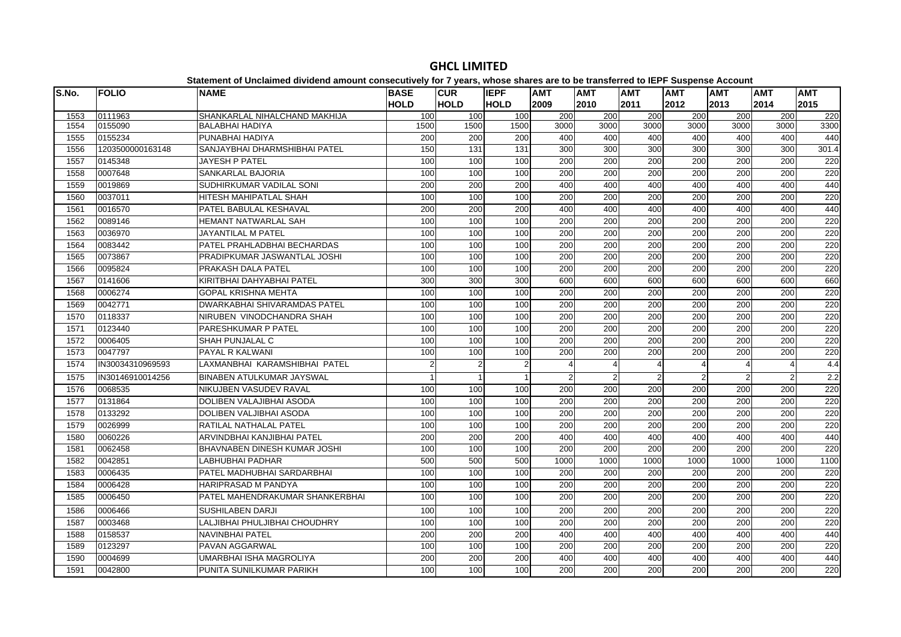#### **S.No. FOLIO NAME BASE HOLDCUR HOLDIEPF HOLDAMT AMT AMT AMT AMT AMT AMT**  0111963 SHANKARLAL NIHALCHAND MAKHIJA 100 100 100 200 200 200 200 200 200 220 0155090 BALABHAI HADIYA 1500 1500 1500 3000 3000 3000 3000 3000 3000 3300 0155234 PUNABHAI HADIYA 200 200 200 400 400 400 400 400 400 440 1203500000163148 SANJAYBHAI DHARMSHIBHAI PATEL 150 131 131 300 300 300 300 300 300 301.4 0145348 JAYESH P PATEL 100 100 100 200 200 200 200 200 200 220 0007648 SANKARLAL BAJORIA 100 100 100 200 200 200 200 200 200 220 0019869 SUDHIRKUMAR VADILAL SONI 200 200 200 400 400 400 400 400 400 440 0037011 HITESH MAHIPATLAL SHAH 100 100 100 200 200 200 200 200 200 220 0016570 PATEL BABULAL KESHAVAL 200 200 200 400 400 400 400 400 400 440 0089146 HEMANT NATWARLAL SAH 100 100 100 200 200 200 200 200 200 220 0036970 JAYANTILAL M PATEL 100 100 100 200 200 200 200 200 200 2201564 |0083442 |PATEL PRAHLADBHAI BECHARDAS | 100| 100| 100| 200| 200| 200| 200| 200| 220 0073867 PRADIPKUMAR JASWANTLAL JOSHI 100 100 100 200 200 200 200 200 200 220 0095824 PRAKASH DALA PATEL 100 100 100 200 200 200 200 200 200 220 0141606 KIRITBHAI DAHYABHAI PATEL 300 300 300 600 600 600 600 600 600 660 0006274 GOPAL KRISHNA MEHTA 100 100 100 200 200 200 200 200 200 220 0042771 DWARKABHAI SHIVARAMDAS PATEL 100 100 100 200 200 200 200 200 200 220 0118337 NIRUBEN VINODCHANDRA SHAH 100 100 100 200 200 200 200 200 200 220 0123440 PARESHKUMAR P PATEL 100 100 100 200 200 200 200 200 200 220 0006405 SHAH PUNJALAL C 100 100 100 200 200 200 200 200 200 2201573 |0047797 |PAYAL\_R\_KALWANI | 100| 100| 100| 200| 200| 200| 200| 220| 220 IN30034310969593 LAXMANBHAI KARAMSHIBHAI PATEL 2 22 2 4 4 4 4 4 4 4 4 4 1575 IN30146910014256 BINABEN ATULKUMAR JAYSWAL 1575 IN30146910014256 1 1 2 2 2 2 2 2 2 2 2 0068535 NIKUJBEN VASUDEV RAVAL 100 100 100 200 200 200 200 200 200 220 0131864 DOLIBEN VALAJIBHAI ASODA 100 100 100 200 200 200 200 200 200 220 0133292 DOLIBEN VALJIBHAI ASODA 100 100 100 200 200 200 200 200 200 220 0026999 RATILAL NATHALAL PATEL 100 100 100 200 200 200 200 200 200 220 0060226 ARVINDBHAI KANJIBHAI PATEL 200 200 200 400 400 400 400 400 400 440 0062458 BHAVNABEN DINESH KUMAR JOSHI 100 100 100 200 200 200 200 200 200 220 0042851 LABHUBHAI PADHAR 500 500 500 1000 1000 1000 1000 1000 1000 1100 0006435 PATEL MADHUBHAI SARDARBHAI 100 100 100 200 200 200 200 200 200 220 0006428 HARIPRASAD M PANDYA 100 100 100 200 200 200 200 200 200 220 0006450 PATEL MAHENDRAKUMAR SHANKERBHAI 100 100 100 200 200 200 200 200 200 2201586 10006466 ISUSHII\_ABEN\_DAR.II 1001 1001 2001 2001 2001 2001 2001 2200 0003468 LALJIBHAI PHULJIBHAI CHOUDHRY 100 100 100 200 200 200 200 200 200 220 0158537 NAVINBHAI PATEL 200 200 200 400 400 400 400 400 400 440 0123297 PAVAN AGGARWAL 100 100 100 200 200 200 200 200 200 220 0004699 UMARBHAI ISHA MAGROLIYA 200 200 200 400 400 400 400 400 400 4400042800 PUNITA SUNILKUMAR PARIKH 100 100 100 200 200 200 200 200 200 220

## **GHCL LIMITED**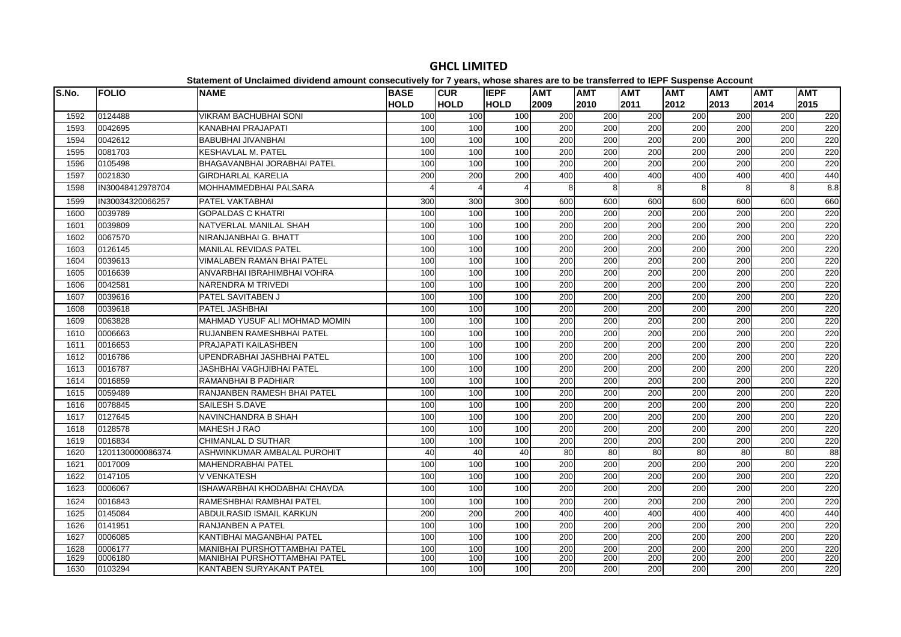| IS.No. | <b>FOLIO</b>     | Unanimon or Unividimoa urriadha amoant consecutivoly for 1 years, whose shares are to be transferred to lEFT Ouspense Account<br><b>NAME</b> | <b>BASE</b> | <b>CUR</b>     | <b>IEPF</b> | <b>AMT</b> | <b>AMT</b> | <b>AMT</b> | AMT              | <b>AMT</b>       | <b>AMT</b>       | <b>AMT</b> |
|--------|------------------|----------------------------------------------------------------------------------------------------------------------------------------------|-------------|----------------|-------------|------------|------------|------------|------------------|------------------|------------------|------------|
|        |                  |                                                                                                                                              | <b>HOLD</b> | <b>HOLD</b>    | <b>HOLD</b> | 2009       | 2010       | 2011       | 2012             | 2013             | 2014             | 2015       |
| 1592   | 0124488          | <b>VIKRAM BACHUBHAI SONI</b>                                                                                                                 | 100         | 100            | 100         | 200        | 200        | 200        | 200              | 200              | 200              | 220        |
| 1593   | 0042695          | KANABHAI PRAJAPATI                                                                                                                           | 100         | 100            | 100         | 200        | 200        | 200        | 200              | 200              | 200              | 220        |
| 1594   | 0042612          | <b>BABUBHAI JIVANBHAI</b>                                                                                                                    | 100         | 100            | 100         | 200        | 200        | 200        | 200              | 200              | 200              | 220        |
| 1595   | 0081703          | KESHAVLAL M. PATEL                                                                                                                           | 100         | 100            | 100         | 200        | 200        | 200        | 200              | 200              | 200              | 220        |
| 1596   | 0105498          | BHAGAVANBHAI JORABHAI PATEL                                                                                                                  | 100         | 100            | 100         | 200        | 200        | 200        | 200              | 200              | 200              | 220        |
| 1597   | 0021830          | <b>GIRDHARLAL KARELIA</b>                                                                                                                    | 200         | 200            | 200         | 400        | 400        | 400        | 400              | 400              | 400              | 440        |
| 1598   | IN30048412978704 | MOHHAMMEDBHAI PALSARA                                                                                                                        |             | $\overline{4}$ |             | 8          | 8          | 8          | 8                | 8                | 8                | 8.8        |
| 1599   | IN30034320066257 | PATEL VAKTABHAI                                                                                                                              | 300         | 300            | 300         | 600        | 600        | 600        | 600              | 600              | 600              | 660        |
| 1600   | 0039789          | <b>GOPALDAS C KHATRI</b>                                                                                                                     | 100         | 100            | 100         | 200        | 200        | 200        | 200              | 200              | 200              | 220        |
| 1601   | 0039809          | NATVERLAL MANILAL SHAH                                                                                                                       | 100         | 100            | 100         | 200        | 200        | 200        | 200              | 200              | 200              | 220        |
| 1602   | 0067570          | NIRANJANBHAI G. BHATT                                                                                                                        | 100         | 100            | 100         | 200        | 200        | 200        | 200              | 200              | 200              | 220        |
| 1603   | 0126145          | MANILAL REVIDAS PATEL                                                                                                                        | 100         | 100            | 100         | 200        | 200        | 200        | 200              | 200              | 200              | 220        |
| 1604   | 0039613          | VIMALABEN RAMAN BHAI PATEL                                                                                                                   | 100         | 100            | 100         | 200        | 200        | 200        | 200              | 200              | 200              | 220        |
| 1605   | 0016639          | ANVARBHAI IBRAHIMBHAI VOHRA                                                                                                                  | 100         | 100            | 100         | 200        | 200        | 200        | 200              | 200              | 200              | 220        |
| 1606   | 0042581          | NARENDRA M TRIVEDI                                                                                                                           | 100         | 100            | 100         | 200        | 200        | 200        | 200              | 200              | 200              | 220        |
| 1607   | 0039616          | PATEL SAVITABEN J                                                                                                                            | 100         | 100            | 100         | 200        | 200        | 200        | 200              | 200              | 200              | 220        |
| 1608   | 0039618          | PATEL JASHBHAI                                                                                                                               | 100         | 100            | 100         | 200        | 200        | 200        | 200              | 200              | 200              | 220        |
| 1609   | 0063828          | MAHMAD YUSUF ALI MOHMAD MOMIN                                                                                                                | 100         | 100            | 100         | 200        | 200        | 200        | 200              | 200              | 200              | 220        |
| 1610   | 0006663          | RUJANBEN RAMESHBHAI PATEL                                                                                                                    | 100         | 100            | 100         | 200        | 200        | 200        | 200              | 200              | 200              | 220        |
| 1611   | 0016653          | PRAJAPATI KAILASHBEN                                                                                                                         | 100         | 100            | 100         | 200        | 200        | 200        | 200              | 200              | 200              | 220        |
| 1612   | 0016786          | UPENDRABHAI JASHBHAI PATEL                                                                                                                   | 100         | 100            | 100         | 200        | 200        | 200        | 200              | 200              | 200              | 220        |
| 1613   | 0016787          | JASHBHAI VAGHJIBHAI PATEL                                                                                                                    | 100         | 100            | 100         | 200        | 200        | 200        | 200              | 200              | 200              | 220        |
| 1614   | 0016859          | RAMANBHAI B PADHIAR                                                                                                                          | 100         | 100            | 100         | 200        | 200        | 200        | 200              | 200              | 200              | 220        |
| 1615   | 0059489          | RANJANBEN RAMESH BHAI PATEL                                                                                                                  | 100         | 100            | 100         | 200        | 200        | 200        | 200              | 200              | 200              | 220        |
| 1616   | 0078845          | SAILESH S.DAVE                                                                                                                               | 100         | 100            | 100         | 200        | 200        | 200        | 200              | 200              | 200              | 220        |
| 1617   | 0127645          | NAVINCHANDRA B SHAH                                                                                                                          | 100         | 100            | 100         | 200        | 200        | 200        | $\overline{200}$ | 200              | 200              | 220        |
| 1618   | 0128578          | <b>MAHESH J RAO</b>                                                                                                                          | 100         | 100            | 100         | 200        | 200        | 200        | 200              | 200              | 200              | 220        |
| 1619   | 0016834          | <b>CHIMANLAL D SUTHAR</b>                                                                                                                    | 100         | 100            | 100         | 200        | 200        | 200        | $\overline{200}$ | $\overline{200}$ | $\overline{200}$ | 220        |
| 1620   | 1201130000086374 | ASHWINKUMAR AMBALAL PUROHIT                                                                                                                  | 40          | 40             | 40          | 80         | 80         | 80         | 80               | 80               | 80               | 88         |
| 1621   | 0017009          | MAHENDRABHAI PATEL                                                                                                                           | 100         | 100            | 100         | 200        | 200        | 200        | 200              | 200              | 200              | 220        |
| 1622   | 0147105          | V VENKATESH                                                                                                                                  | 100         | 100            | 100         | 200        | 200        | 200        | 200              | 200              | 200              | 220        |
| 1623   | 0006067          | ISHAWARBHAI KHODABHAI CHAVDA                                                                                                                 | 100         | 100            | 100         | 200        | 200        | 200        | 200              | 200              | 200              | 220        |
| 1624   | 0016843          | RAMESHBHAI RAMBHAI PATEL                                                                                                                     | 100         | 100            | 100         | 200        | 200        | 200        | 200              | 200              | 200              | 220        |
| 1625   | 0145084          | ABDULRASID ISMAIL KARKUN                                                                                                                     | 200         | 200            | 200         | 400        | 400        | 400        | 400              | 400              | 400              | 440        |
| 1626   | 0141951          | RANJANBEN A PATEL                                                                                                                            | 100         | 100            | 100         | 200        | 200        | 200        | 200              | 200              | 200              | 220        |
| 1627   | 0006085          | KANTIBHAI MAGANBHAI PATEL                                                                                                                    | 100         | 100            | 100         | 200        | 200        | 200        | 200              | 200              | 200              | 220        |
| 1628   | 0006177          | <b>MANIBHAI PURSHOTTAMBHAI PATEL</b>                                                                                                         | 100         | 100            | 100         | 200        | 200        | 200        | 200              | 200              | 200              | 220        |
| 1629   | 0006180          | MANIBHAI PURSHOTTAMBHAI PATEL                                                                                                                | 100         | 100            | 100         | 200        | 200        | 200        | 200              | 200              | 200              | 220        |
| 1630   | 0103294          | KANTABEN SURYAKANT PATEL                                                                                                                     | 100         | 100            | 100         | 200        | 200        | 200        | 200              | 200              | 200              | 220        |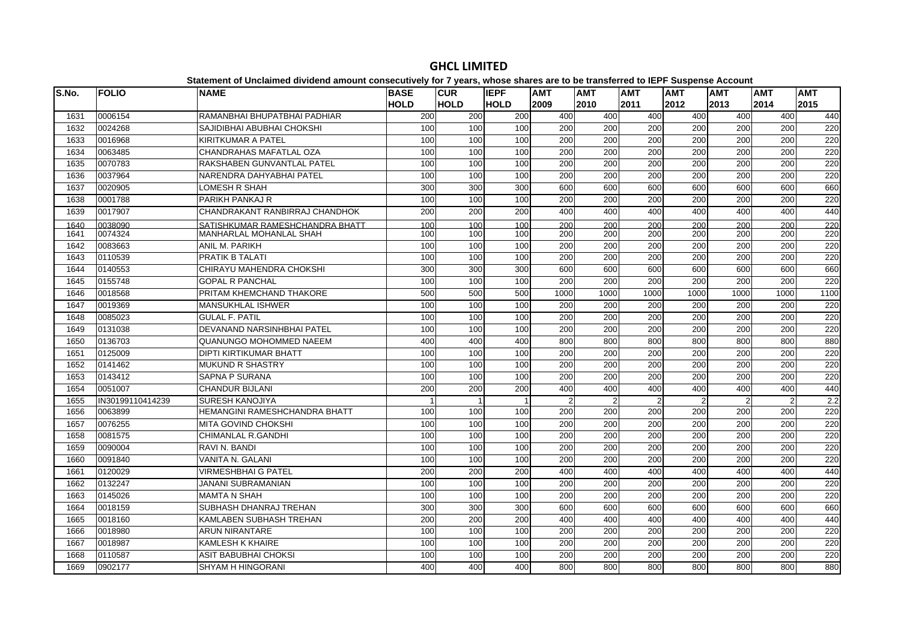| lS.No. | <b>FOLIO</b>     | <b>NAME</b>                     | <b>BASE</b> | <b>CUR</b>  | <b>IEPF</b> | <b>AMT</b>     | <b>AMT</b>       | <b>AMT</b> | <b>AMT</b>       | <b>AMT</b>       | <b>AMT</b>     | <b>AMT</b> |
|--------|------------------|---------------------------------|-------------|-------------|-------------|----------------|------------------|------------|------------------|------------------|----------------|------------|
|        |                  |                                 | <b>HOLD</b> | <b>HOLD</b> | <b>HOLD</b> | 2009           | 2010             | 2011       | 2012             | 2013             | 2014           | 2015       |
| 1631   | 0006154          | RAMANBHAI BHUPATBHAI PADHIAR    | 200         | 200         | 200         | 400            | 400              | 400        | 400              | 400              | 400            | 440        |
| 1632   | 0024268          | SAJIDIBHAI ABUBHAI CHOKSHI      | 100         | 100         | 100         | 200            | 200              | 200        | 200              | 200              | 200            | 220        |
| 1633   | 0016968          | KIRITKUMAR A PATEL              | 100         | 100         | 100         | 200            | 200              | 200        | 200              | 200              | 200            | 220        |
| 1634   | 0063485          | CHANDRAHAS MAFATLAL OZA         | 100         | 100         | 100         | 200            | 200              | 200        | 200              | 200              | 200            | 220        |
| 1635   | 0070783          | RAKSHABEN GUNVANTLAL PATEL      | 100         | 100         | 100         | 200            | 200              | 200        | 200              | 200              | 200            | 220        |
| 1636   | 0037964          | NARENDRA DAHYABHAI PATEL        | 100         | 100         | 100         | 200            | 200              | 200        | 200              | $\overline{200}$ | 200            | 220        |
| 1637   | 0020905          | LOMESH R SHAH                   | 300         | 300         | 300         | 600            | 600              | 600        | 600              | 600              | 600            | 660        |
| 1638   | 0001788          | PARIKH PANKAJ R                 | 100         | 100         | 100         | 200            | 200              | 200        | 200              | 200              | 200            | 220        |
| 1639   | 0017907          | CHANDRAKANT RANBIRRAJ CHANDHOK  | 200         | 200         | 200         | 400            | 400              | 400        | 400              | 400              | 400            | 440        |
| 1640   | 0038090          | SATISHKUMAR RAMESHCHANDRA BHATT | 100         | 100         | 100         | 200            | 200              | 200        | 200              | 200              | 200            | 220        |
| 1641   | 0074324          | <b>MANHARLAL MOHANLAL SHAH</b>  | 100         | 100         | 100         | 200            | 200              | 200        | 200              | 200              | 200            | 220        |
| 1642   | 0083663          | ANIL M. PARIKH                  | 100         | 100         | 100         | 200            | 200              | 200        | 200              | 200              | 200            | 220        |
| 1643   | 0110539          | PRATIK B TALATI                 | 100         | 100         | 100         | 200            | 200              | 200        | 200              | 200              | 200            | 220        |
| 1644   | 0140553          | CHIRAYU MAHENDRA CHOKSHI        | 300         | 300         | 300         | 600            | 600              | 600        | 600              | 600              | 600            | 660        |
| 1645   | 0155748          | <b>GOPAL R PANCHAL</b>          | 100         | 100         | 100         | 200            | 200              | 200        | 200              | 200              | 200            | 220        |
| 1646   | 0018568          | PRITAM KHEMCHAND THAKORE        | 500         | 500         | 500         | 1000           | 1000             | 1000       | 1000             | 1000             | 1000           | 1100       |
| 1647   | 0019369          | <b>MANSUKHLAL ISHWER</b>        | 100         | 100         | 100         | 200            | 200              | 200        | 200              | 200              | 200            | 220        |
| 1648   | 0085023          | <b>GULAL F. PATIL</b>           | 100         | 100         | 100         | 200            | 200              | 200        | 200              | 200              | 200            | 220        |
| 1649   | 0131038          | DEVANAND NARSINHBHAI PATEL      | 100         | 100         | 100         | 200            | 200              | 200        | 200              | 200              | 200            | 220        |
| 1650   | 0136703          | QUANUNGO MOHOMMED NAEEM         | 400         | 400         | 400         | 800            | 800              | 800        | 800              | 800              | 800            | 880        |
| 1651   | 0125009          | DIPTI KIRTIKUMAR BHATT          | 100         | 100         | 100         | 200            | 200              | 200        | $\overline{200}$ | 200              | 200            | 220        |
| 1652   | 0141462          | <b>MUKUND R SHASTRY</b>         | 100         | 100         | 100         | 200            | $\overline{200}$ | 200        | $\overline{200}$ | 200              | 200            | 220        |
| 1653   | 0143412          | <b>SAPNA P SURANA</b>           | 100         | 100         | 100         | 200            | 200              | 200        | 200              | 200              | 200            | 220        |
| 1654   | 0051007          | <b>CHANDUR BIJLANI</b>          | 200         | 200         | 200         | 400            | 400              | 400        | 400              | 400              | 400            | 440        |
| 1655   | IN30199110414239 | <b>SURESH KANOJIYA</b>          |             |             |             | $\overline{2}$ | $\overline{2}$   |            |                  |                  | $\overline{2}$ | 2.2        |
| 1656   | 0063899          | HEMANGINI RAMESHCHANDRA BHATT   | 100         | 100         | 100         | 200            | 200              | 200        | 200              | 200              | 200            | 220        |
| 1657   | 0076255          | <b>MITA GOVIND CHOKSHI</b>      | 100         | 100         | 100         | 200            | 200              | 200        | $\overline{200}$ | $\overline{200}$ | 200            | 220        |
| 1658   | 0081575          | CHIMANLAL R.GANDHI              | 100         | 100         | 100         | 200            | 200              | 200        | 200              | 200              | 200            | 220        |
| 1659   | 0090004          | RAVI N. BANDI                   | 100         | 100         | 100         | 200            | 200              | 200        | 200              | 200              | 200            | 220        |
| 1660   | 0091840          | VANITA N. GALANI                | 100         | 100         | 100         | 200            | 200              | 200        | 200              | 200              | 200            | 220        |
| 1661   | 0120029          | <b>VIRMESHBHAI G PATEL</b>      | 200         | 200         | 200         | 400            | 400              | 400        | 400              | 400              | 400            | 440        |
| 1662   | 0132247          | JANANI SUBRAMANIAN              | 100         | 100         | 100         | 200            | 200              | 200        | $\overline{200}$ | 200              | 200            | 220        |
| 1663   | 0145026          | <b>MAMTA N SHAH</b>             | 100         | 100         | 100         | 200            | 200              | 200        | 200              | 200              | 200            | 220        |
| 1664   | 0018159          | SUBHASH DHANRAJ TREHAN          | 300         | 300         | 300         | 600            | 600              | 600        | 600              | 600              | 600            | 660        |
| 1665   | 0018160          | KAMLABEN SUBHASH TREHAN         | 200         | 200         | 200         | 400            | 400              | 400        | 400              | 400              | 400            | 440        |
| 1666   | 0018980          | <b>ARUN NIRANTARE</b>           | 100         | 100         | 100         | 200            | 200              | 200        | 200              | 200              | 200            | 220        |
| 1667   | 0018987          | <b>KAMLESH K KHAIRE</b>         | 100         | 100         | 100         | 200            | 200              | 200        | 200              | 200              | 200            | 220        |
| 1668   | 0110587          | ASIT BABUBHAI CHOKSI            | 100         | 100         | 100         | 200            | 200              | 200        | 200              | 200              | 200            | 220        |
| 1669   | 0902177          | <b>SHYAM H HINGORANI</b>        | 400         | 400         | 400         | 800            | 800              | 800        | 800              | 800              | 800            | 880        |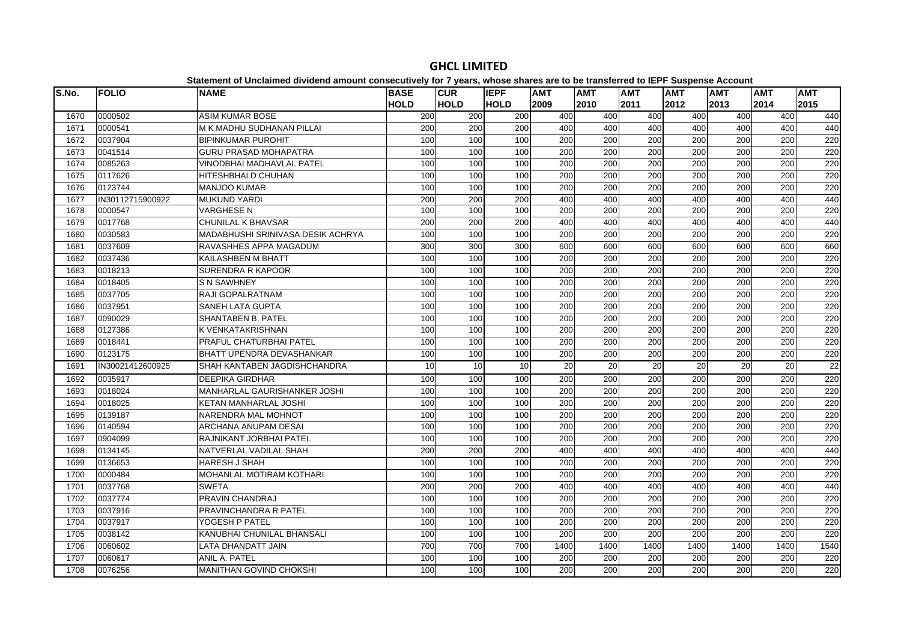| S.No. | <b>FOLIO</b>     | <b>NAME</b>                       | <b>BASE</b> | <b>CUR</b>  | <b>IEPF</b> | AMT  | <b>AMT</b> | <b>AMT</b> | <b>AMT</b> | <b>AMT</b> | <b>AMT</b> | <b>AMT</b>      |
|-------|------------------|-----------------------------------|-------------|-------------|-------------|------|------------|------------|------------|------------|------------|-----------------|
|       |                  |                                   | <b>HOLD</b> | <b>HOLD</b> | <b>HOLD</b> | 2009 | 2010       | 2011       | 2012       | 2013       | 2014       | 2015            |
| 1670  | 0000502          | <b>ASIM KUMAR BOSE</b>            | 200         | 200         | 200         | 400  | 400        | 400        | 400        | 400        | 400        | 440             |
| 1671  | 0000541          | IM K MADHU SUDHANAN PILLAI        | 200         | 200         | 200         | 400  | 400        | 400        | 400        | 400        | 400        | 440             |
| 1672  | 0037904          | <b>BIPINKUMAR PUROHIT</b>         | 100         | 100         | 100         | 200  | 200        | 200        | 200        | 200        | 200        | 220             |
| 1673  | 0041514          | <b>GURU PRASAD MOHAPATRA</b>      | 100         | 100         | 100         | 200  | 200        | 200        | 200        | 200        | 200        | 220             |
| 1674  | 0085263          | VINODBHAI MADHAVLAL PATEL         | 100         | 100         | 100         | 200  | 200        | 200        | 200        | 200        | 200        | 220             |
| 1675  | 0117626          | HITESHBHAI D CHUHAN               | 100         | 100         | 100         | 200  | 200        | 200        | 200        | 200        | 200        | 220             |
| 1676  | 0123744          | <b>MANJOO KUMAR</b>               | 100         | 100         | 100         | 200  | 200        | 200        | 200        | 200        | 200        | 220             |
| 1677  | IN30112715900922 | <b>MUKUND YARDI</b>               | 200         | 200         | 200         | 400  | 400        | 400        | 400        | 400        | 400        | 440             |
| 1678  | 0000547          | <b>VARGHESE N</b>                 | 100         | 100         | 100         | 200  | 200        | 200        | 200        | 200        | 200        | 220             |
| 1679  | 0017768          | <b>CHUNILAL K BHAVSAR</b>         | 200         | 200         | 200         | 400  | 400        | 400        | 400        | 400        | 400        | 440             |
| 1680  | 0030583          | MADABHUSHI SRINIVASA DESIK ACHRYA | 100         | 100         | 100         | 200  | 200        | 200        | 200        | 200        | 200        | 220             |
| 1681  | 0037609          | RAVASHHES APPA MAGADUM            | 300         | 300         | 300         | 600  | 600        | 600        | 600        | 600        | 600        | 660             |
| 1682  | 0037436          | <b>KAILASHBEN M BHATT</b>         | 100         | 100         | 100         | 200  | 200        | 200        | 200        | 200        | 200        | 220             |
| 1683  | 0018213          | <b>SURENDRA R KAPOOR</b>          | 100         | 100         | 100         | 200  | 200        | 200        | 200        | 200        | 200        | 220             |
| 1684  | 0018405          | <b>S N SAWHNEY</b>                | 100         | 100         | 100         | 200  | 200        | 200        | 200        | 200        | 200        | 220             |
| 1685  | 0037705          | <b>RAJI GOPALRATNAM</b>           | 100         | 100         | 100         | 200  | 200        | 200        | 200        | 200        | 200        | 220             |
| 1686  | 0037951          | <b>SANEH LATA GUPTA</b>           | 100         | 100         | 100         | 200  | 200        | 200        | 200        | 200        | 200        | 220             |
| 1687  | 0090029          | SHANTABEN B. PATEL                | 100         | 100         | 100         | 200  | 200        | 200        | 200        | 200        | 200        | 220             |
| 1688  | 0127386          | K VENKATAKRISHNAN                 | 100         | 100         | 100         | 200  | 200        | 200        | 200        | 200        | 200        | 220             |
| 1689  | 0018441          | PRAFUL CHATURBHAI PATEL           | 100         | 100         | 100         | 200  | 200        | 200        | 200        | 200        | 200        | 220             |
| 1690  | 0123175          | <b>BHATT UPENDRA DEVASHANKAR</b>  | 100         | 100         | 100         | 200  | 200        | 200        | 200        | 200        | 200        | 220             |
| 1691  | IN30021412600925 | SHAH KANTABEN JAGDISHCHANDRA      | 10          | 10          | 10          | 20   | 20         | 20         | 20         | 20         | 20         | $\overline{22}$ |
| 1692  | 0035917          | <b>DEEPIKA GIRDHAR</b>            | 100         | 100         | 100         | 200  | 200        | 200        | 200        | 200        | 200        | 220             |
| 1693  | 0018024          | MANHARLAL GAURISHANKER JOSHI      | 100         | 100         | 100         | 200  | 200        | 200        | 200        | 200        | 200        | 220             |
| 1694  | 0018025          | KETAN MANHARLAL JOSHI             | 100         | 100         | 100         | 200  | 200        | 200        | 200        | 200        | 200        | 220             |
| 1695  | 0139187          | NARENDRA MAL MOHNOT               | 100         | 100         | 100         | 200  | 200        | 200        | 200        | 200        | 200        | 220             |
| 1696  | 0140594          | <b>ARCHANA ANUPAM DESAI</b>       | 100         | 100         | 100         | 200  | 200        | 200        | 200        | 200        | 200        | 220             |
| 1697  | 0904099          | İRAJNIKANT JORBHAI PATEL          | 100         | 100         | 100         | 200  | 200        | 200        | 200        | 200        | 200        | 220             |
| 1698  | 0134145          | NATVERLAL VADILAL SHAH            | 200         | 200         | 200         | 400  | 400        | 400        | 400        | 400        | 400        | 440             |
| 1699  | 0136653          | <b>HARESH J SHAH</b>              | 100         | 100         | 100         | 200  | 200        | 200        | 200        | 200        | 200        | 220             |
| 1700  | 0000484          | MOHANLAL MOTIRAM KOTHARI          | 100         | 100         | 100         | 200  | 200        | 200        | 200        | 200        | 200        | 220             |
| 1701  | 0037768          | <b>SWETA</b>                      | 200         | 200         | 200         | 400  | 400        | 400        | 400        | 400        | 400        | 440             |
| 1702  | 0037774          | <b>PRAVIN CHANDRAJ</b>            | 100         | 100         | 100         | 200  | 200        | 200        | 200        | 200        | 200        | 220             |
| 1703  | 0037916          | PRAVINCHANDRA R PATEL             | 100         | 100         | 100         | 200  | 200        | 200        | 200        | 200        | 200        | 220             |
| 1704  | 0037917          | YOGESH P PATEL                    | 100         | 100         | 100         | 200  | 200        | 200        | 200        | 200        | 200        | 220             |
| 1705  | 0038142          | KANUBHAI CHUNILAL BHANSALI        | 100         | 100         | 100         | 200  | 200        | 200        | 200        | 200        | 200        | 220             |
| 1706  | 0060602          | LATA DHANDATT JAIN                | 700         | 700         | 700         | 1400 | 1400       | 1400       | 1400       | 1400       | 1400       | 1540            |
| 1707  | 0060617          | ANIL A. PATEL                     | 100         | 100         | 100         | 200  | 200        | 200        | 200        | 200        | 200        | 220             |
| 1708  | 0076256          | <b>MANITHAN GOVIND CHOKSHI</b>    | 100         | 100         | 100         | 200  | 200        | 200        | 200        | 200        | 200        | 220             |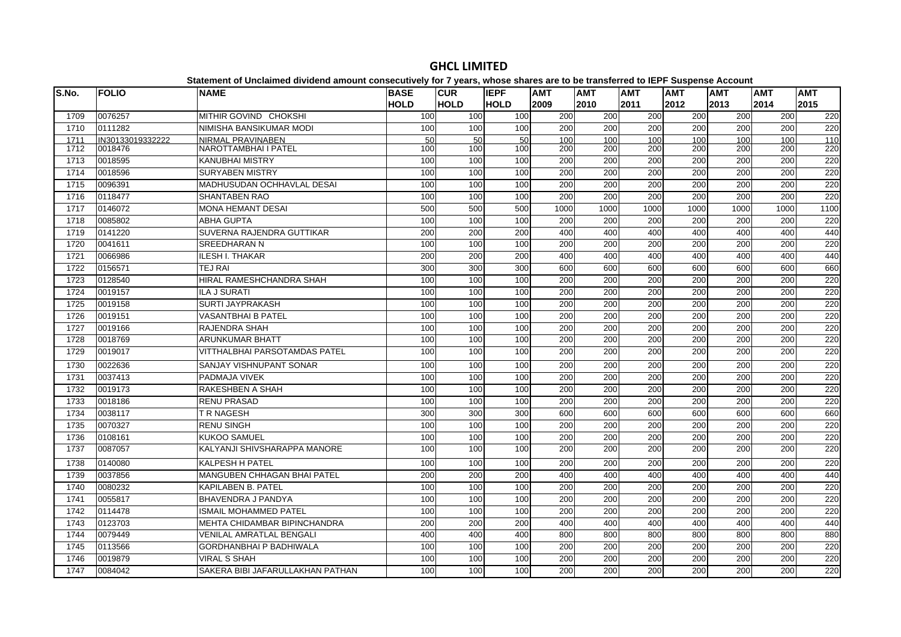| S.No. | <b>FOLIO</b>     | <b>NAME</b>                          | <b>BASE</b> | <b>CUR</b>       | <b>IEPF</b> | <b>AMT</b> | <b>AMT</b>       | <b>AMT</b>       | <b>AMT</b> | <b>AMT</b> | <b>AMT</b>       | <b>AMT</b>          |
|-------|------------------|--------------------------------------|-------------|------------------|-------------|------------|------------------|------------------|------------|------------|------------------|---------------------|
|       |                  |                                      | <b>HOLD</b> | <b>HOLD</b>      | <b>HOLD</b> | 2009       | 2010             | 2011             | 2012       | 2013       | 2014             | 2015                |
| 1709  | 0076257          | MITHIR GOVIND CHOKSHI                | 100         | 100              | 100         | 200        | 200              | 200              | 200        | 200        | 200              | 220                 |
| 1710  | 0111282          | NIMISHA BANSIKUMAR MODI              | 100         | 100              | 100         | 200        | 200              | 200              | 200        | 200        | 200              | 220                 |
| 1711  | IN30133019332222 | NIRMAL PRAVINABEN                    | 50          | 50               | 50          | 100        | 100              | 100              | 100        | 100        | 100              | 110                 |
| 1712  | 0018476          | NAROTTAMBHAI I PATEL                 | 100         | 100              | 100         | 200        | 200              | 200              | 200        | 200        | 200              | 220                 |
| 1713  | 0018595          | <b>KANUBHAI MISTRY</b>               | 100         | 100              | 100         | 200        | 200              | 200              | 200        | 200        | 200              | 220                 |
| 1714  | 0018596          | <b>SURYABEN MISTRY</b>               | 100         | 100              | 100         | 200        | 200              | 200              | 200        | 200        | 200              | 220                 |
| 1715  | 0096391          | <b>MADHUSUDAN OCHHAVLAL DESAI</b>    | 100         | 100              | 100         | 200        | 200              | 200              | 200        | 200        | 200              | 220                 |
| 1716  | 0118477          | <b>SHANTABEN RAO</b>                 | 100         | 100              | 100         | 200        | 200              | 200              | 200        | 200        | 200              | 220                 |
| 1717  | 0146072          | <b>MONA HEMANT DESAI</b>             | 500         | 500              | 500         | 1000       | 1000             | 1000             | 1000       | 1000       | 1000             | $\frac{1100}{1100}$ |
| 1718  | 0085802          | <b>ABHA GUPTA</b>                    | 100         | 100              | 100         | 200        | 200              | 200              | 200        | 200        | 200              | 220                 |
| 1719  | 0141220          | SUVERNA RAJENDRA GUTTIKAR            | 200         | 200              | 200         | 400        | 400              | 400              | 400        | 400        | 400              | 440                 |
| 1720  | 0041611          | <b>SREEDHARAN N</b>                  | 100         | 100              | 100         | 200        | 200              | 200              | 200        | 200        | 200              | 220                 |
| 1721  | 0066986          | ILESH I. THAKAR                      | 200         | 200              | 200         | 400        | 400              | 400              | 400        | 400        | 400              | 440                 |
| 1722  | 0156571          | <b>TEJ RAI</b>                       | 300         | 300              | 300         | 600        | 600              | 600              | 600        | 600        | 600              | 660                 |
| 1723  | 0128540          | <b>HIRAL RAMESHCHANDRA SHAH</b>      | 100         | 100              | 100         | 200        | 200              | 200              | 200        | 200        | 200              | 220                 |
| 1724  | 0019157          | <b>ILA J SURATI</b>                  | 100         | 100              | 100         | 200        | 200              | 200              | 200        | 200        | $\overline{200}$ | 220                 |
| 1725  | 0019158          | <b>SURTI JAYPRAKASH</b>              | 100         | 100              | 100         | 200        | 200              | 200              | 200        | 200        | 200              | 220                 |
| 1726  | 0019151          | <b>VASANTBHAI B PATEL</b>            | 100         | 100              | 100         | 200        | 200              | 200              | 200        | 200        | 200              | 220                 |
| 1727  | 0019166          | RAJENDRA SHAH                        | 100         | 100              | 100         | 200        | 200              | 200              | 200        | 200        | 200              | 220                 |
| 1728  | 0018769          | <b>ARUNKUMAR BHATT</b>               | 100         | 100              | 100         | 200        | 200              | $\overline{200}$ | 200        | 200        | $\overline{200}$ | 220                 |
| 1729  | 0019017          | <b>VITTHALBHAI PARSOTAMDAS PATEL</b> | 100         | 100              | 100         | 200        | 200              | 200              | 200        | 200        | 200              | 220                 |
| 1730  | 0022636          | <b>SANJAY VISHNUPANT SONAR</b>       | 100         | 100              | 100         | 200        | 200              | 200              | 200        | 200        | 200              | 220                 |
| 1731  | 0037413          | PADMAJA VIVEK                        | 100         | 100              | 100         | 200        | 200              | 200              | 200        | 200        | 200              | 220                 |
| 1732  | 0019173          | RAKESHBEN A SHAH                     | 100         | 100              | 100         | 200        | 200              | 200              | 200        | 200        | 200              | 220                 |
| 1733  | 0018186          | RENU PRASAD                          | 100         | 100              | 100         | 200        | 200              | 200              | 200        | 200        | 200              | 220                 |
| 1734  | 0038117          | T R NAGESH                           | 300         | $\overline{300}$ | 300         | 600        | 600              | 600              | 600        | 600        | 600              | 660                 |
| 1735  | 0070327          | <b>RENU SINGH</b>                    | 100         | 100              | 100         | 200        | 200              | 200              | 200        | 200        | 200              | 220                 |
| 1736  | 0108161          | <b>KUKOO SAMUEL</b>                  | 100         | 100              | 100         | 200        | 200              | 200              | 200        | 200        | 200              | 220                 |
| 1737  | 0087057          | KALYANJI SHIVSHARAPPA MANORE         | 100         | 100              | 100         | 200        | 200              | 200              | 200        | 200        | 200              | 220                 |
| 1738  | 0140080          | <b>KALPESH H PATEL</b>               | 100         | 100              | 100         | 200        | $\overline{200}$ | $\overline{200}$ | 200        | 200        | $\overline{200}$ | 220                 |
| 1739  | 0037856          | MANGUBEN CHHAGAN BHAI PATEL          | 200         | 200              | 200         | 400        | 400              | 400              | 400        | 400        | 400              | 440                 |
| 1740  | 0080232          | <b>KAPILABEN B. PATEL</b>            | 100         | 100              | 100         | 200        | 200              | 200              | 200        | 200        | 200              | 220                 |
| 1741  | 0055817          | BHAVENDRA J PANDYA                   | 100         | 100              | 100         | 200        | 200              | 200              | 200        | 200        | 200              | 220                 |
| 1742  | 0114478          | <b>ISMAIL MOHAMMED PATEL</b>         | 100         | 100              | 100         | 200        | 200              | $\overline{200}$ | 200        | 200        | $\overline{200}$ | 220                 |
| 1743  | 0123703          | <b>MEHTA CHIDAMBAR BIPINCHANDRA</b>  | 200         | 200              | 200         | 400        | 400              | 400              | 400        | 400        | 400              | 440                 |
| 1744  | 0079449          | <b>VENILAL AMRATLAL BENGALI</b>      | 400         | 400              | 400         | 800        | 800              | 800              | 800        | 800        | 800              | 880                 |
| 1745  | 0113566          | <b>GORDHANBHAI P BADHIWALA</b>       | 100         | 100              | 100         | 200        | 200              | 200              | 200        | 200        | 200              | 220                 |
| 1746  | 0019879          | <b>VIRAL S SHAH</b>                  | 100         | 100              | 100         | 200        | 200              | 200              | 200        | 200        | 200              | 220                 |
| 1747  | 0084042          | SAKERA BIBI JAFARULLAKHAN PATHAN     | 100         | 100              | 100         | 200        | 200              | 200              | 200        | 200        | 200              | 220                 |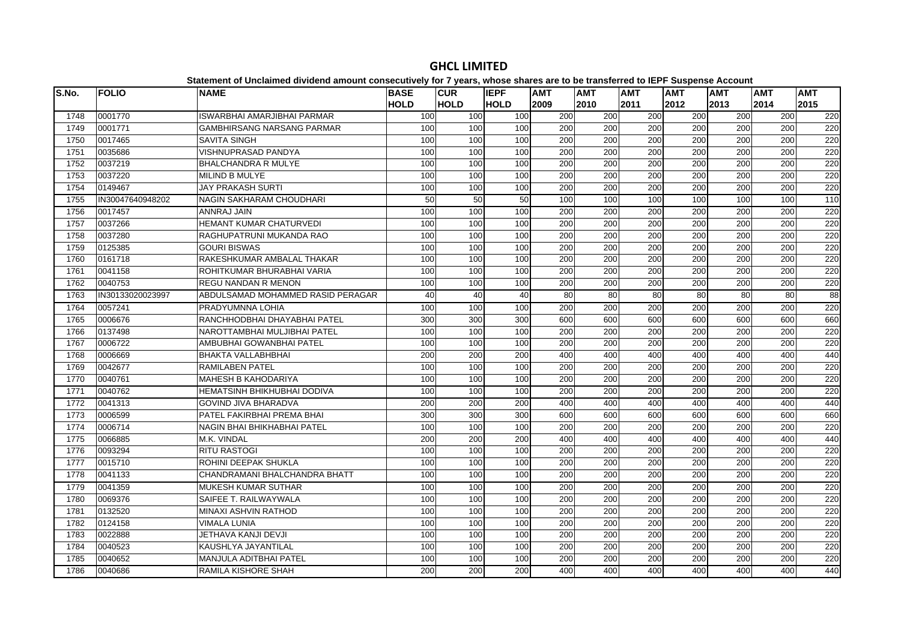| S.No. | <b>FOLIO</b>     | <b>NAME</b>                       | <b>BASE</b> | <b>CUR</b>  | <b>IEPF</b> | <b>AMT</b>       | <b>AMT</b>       | <b>AMT</b>       | <b>AMT</b>       | <b>AMT</b>      | <b>AMT</b> | <b>AMT</b> |
|-------|------------------|-----------------------------------|-------------|-------------|-------------|------------------|------------------|------------------|------------------|-----------------|------------|------------|
|       |                  |                                   | <b>HOLD</b> | <b>HOLD</b> | <b>HOLD</b> | 2009             | 2010             | 2011             | 2012             | 2013            | 2014       | 2015       |
| 1748  | 0001770          | ISWARBHAI AMARJIBHAI PARMAR       | 100         | 100         | 100         | 200              | 200              | 200              | 200              | 200             | 200        | 220        |
| 1749  | 0001771          | <b>GAMBHIRSANG NARSANG PARMAR</b> | 100         | 100         | 100         | 200              | 200              | 200              | 200              | 200             | 200        | 220        |
| 1750  | 0017465          | <b>SAVITA SINGH</b>               | 100         | 100         | 100         | 200              | 200              | 200              | 200              | 200             | 200        | 220        |
| 1751  | 0035686          | <b>VISHNUPRASAD PANDYA</b>        | 100         | 100         | 100         | 200              | $\overline{200}$ | $\overline{200}$ | 200              | 200             | 200        | 220        |
| 1752  | 0037219          | <b>BHALCHANDRA R MULYE</b>        | 100         | 100         | 100         | 200              | 200              | $\overline{200}$ | 200              | 200             | 200        | 220        |
| 1753  | 0037220          | <b>MILIND B MULYE</b>             | 100         | 100         | 100         | 200              | 200              | $\overline{200}$ | 200              | 200             | 200        | 220        |
| 1754  | 0149467          | <b>JAY PRAKASH SURTI</b>          | 100         | 100         | 100         | 200              | 200              | 200              | 200              | 200             | 200        | 220        |
| 1755  | IN30047640948202 | NAGIN SAKHARAM CHOUDHARI          | 50          | 50          | 50          | 100              | 100              | 100              | 100              | 100             | 100        | 110        |
| 1756  | 0017457          | ANNRAJ JAIN                       | 100         | 100         | 100         | 200              | 200              | 200              | 200              | 200             | 200        | 220        |
| 1757  | 0037266          | HEMANT KUMAR CHATURVEDI           | 100         | 100         | 100         | 200              | 200              | 200              | 200              | 200             | 200        | 220        |
| 1758  | 0037280          | RAGHUPATRUNI MUKANDA RAO          | 100         | 100         | 100         | $\overline{200}$ | $\overline{200}$ | $\overline{200}$ | 200              | 200             | 200        | 220        |
| 1759  | 0125385          | <b>GOURI BISWAS</b>               | 100         | 100         | 100         | 200              | 200              | 200              | 200              | 200             | 200        | 220        |
| 1760  | 0161718          | RAKESHKUMAR AMBALAL THAKAR        | 100         | 100         | 100         | 200              | 200              | 200              | 200              | 200             | 200        | 220        |
| 1761  | 0041158          | ROHITKUMAR BHURABHAI VARIA        | 100         | 100         | 100         | 200              | 200              | 200              | 200              | 200             | 200        | 220        |
| 1762  | 0040753          | <b>REGU NANDAN R MENON</b>        | 100         | 100         | 100         | 200              | $\overline{200}$ | $\overline{200}$ | 200              | 200             | 200        | 220        |
| 1763  | IN30133020023997 | ABDULSAMAD MOHAMMED RASID PERAGAR | 40          | 40          | 40          | 80               | 80               | $\overline{80}$  | 80               | 80              | 80         | 88         |
| 1764  | 0057241          | PRADYUMNNA LOHIA                  | 100         | 100         | 100         | 200              | 200              | $\overline{200}$ | 200              | 200             | 200        | 220        |
| 1765  | 0006676          | RANCHHODBHAI DHAYABHAI PATEL      | 300         | 300         | 300         | 600              | 600              | 600              | 600              | 600             | 600        | 660        |
| 1766  | 0137498          | NAROTTAMBHAI MULJIBHAI PATEL      | 100         | 100         | 100         | 200              | 200              | 200              | 200              | 200             | 200        | 220        |
| 1767  | 0006722          | AMBUBHAI GOWANBHAI PATEL          | 100         | 100         | 100         | 200              | 200              | 200              | 200              | 200             | 200        | 220        |
| 1768  | 0006669          | <b>BHAKTA VALLABHBHAI</b>         | 200         | 200         | 200         | 400              | 400              | 400              | 400              | 400             | 400        | 440        |
| 1769  | 0042677          | <b>RAMILABEN PATEL</b>            | 100         | 100         | 100         | 200              | 200              | 200              | 200              | 200             | 200        | 220        |
| 1770  | 0040761          | <b>MAHESH B KAHODARIYA</b>        | 100         | 100         | 100         | 200              | 200              | 200              | 200              | 200             | 200        | 220        |
| 1771  | 0040762          | HEMATSINH BHIKHUBHAI DODIVA       | 100         | 100         | 100         | 200              | 200              | 200              | 200              | 200             | 200        | 220        |
| 1772  | 0041313          | <b>GOVIND JIVA BHARADVA</b>       | 200         | 200         | 200         | 400              | 400              | 400              | 400              | 400             | 400        | 440        |
| 1773  | 0006599          | PATEL FAKIRBHAI PREMA BHAI        | 300         | 300         | 300         | 600              | 600              | 600              | 600              | 600             | 600        | 660        |
| 1774  | 0006714          | NAGIN BHAI BHIKHABHAI PATEL       | 100         | 100         | 100         | $\overline{200}$ | $\overline{200}$ | $\overline{200}$ | 200              | 200             | 200        | 220        |
| 1775  | 0066885          | M.K. VINDAL                       | 200         | 200         | 200         | 400              | 400              | 400              | 400              | 40 <sub>C</sub> | 400        | 440        |
| 1776  | 0093294          | <b>RITU RASTOGI</b>               | 100         | 100         | 100         | 200              | 200              | 200              | 200              | 200             | 200        | 220        |
| 1777  | 0015710          | ROHINI DEEPAK SHUKLA              | 100         | 100         | 100         | 200              | 200              | 200              | 200              | 200             | 200        | 220        |
| 1778  | 0041133          | CHANDRAMANI BHALCHANDRA BHATT     | 100         | 100         | 100         | 200              | 200              | 200              | 200              | 200             | 200        | 220        |
| 1779  | 0041359          | <b>MUKESH KUMAR SUTHAR</b>        | 100         | 100         | 100         | 200              | 200              | 200              | 200              | 200             | 200        | 220        |
| 1780  | 0069376          | SAIFEE T. RAILWAYWALA             | 100         | 100         | 100         | 200              | 200              | $\overline{200}$ | $\overline{200}$ | 200             | 200        | 220        |
| 1781  | 0132520          | <b>MINAXI ASHVIN RATHOD</b>       | 100         | 100         | 100         | 200              | $\overline{200}$ | $\overline{200}$ | 200              | 200             | 200        | 220        |
| 1782  | 0124158          | <b>VIMALA LUNIA</b>               | 100         | 100         | 100         | 200              | 200              | 200              | 200              | 200             | 200        | 220        |
| 1783  | 0022888          | JETHAVA KANJI DEVJI               | 100         | 100         | 100         | 200              | 200              | 200              | 200              | 200             | 200        | 220        |
| 1784  | 0040523          | KAUSHLYA JAYANTILAL               | 100         | 100         | 100         | 200              | 200              | 200              | 200              | 200             | 200        | 220        |
| 1785  | 0040652          | <b>MANJULA ADITBHAI PATEL</b>     | 100         | 100         | 100         | $\overline{200}$ | 200              | $\overline{200}$ | $\overline{200}$ | 200             | 200        | 220        |
| 1786  | 0040686          | RAMILA KISHORE SHAH               | 200         | 200         | 200         | 400              | 400              | 400              | 400              | 400             | 400        | 440        |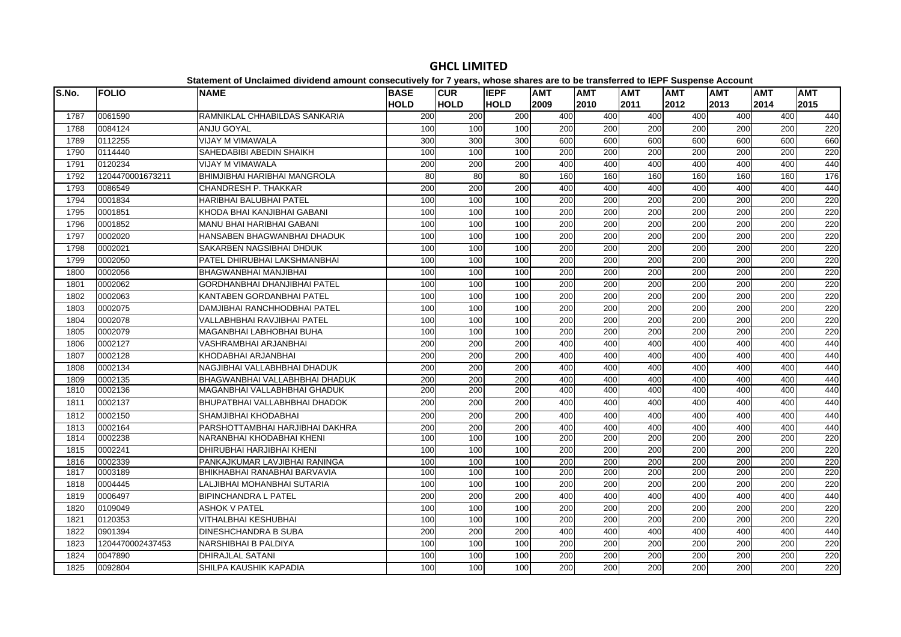#### **S.No. FOLIO NAME BASE HOLDCUR HOLDIEPF HOLDAMT AMT AMT AMT AMT AMT AMT**  0061590 RAMNIKLAL CHHABILDAS SANKARIA 200 200 200 400 400 400 400 400 400 440 0084124 ANJU GOYAL 100 100 100 200 200 200 200 200 200 220 0112255 VIJAY M VIMAWALA 300 300 300 600 600 600 600 600 600 660 0114440 SAHEDABIBI ABEDIN SHAIKH 100 100 100 200 200 200 200 200 200 220 0120234 VIJAY M VIMAWALA 200 200 200 400 400 400 400 400 400 440 1204470001673211 BHIMJIBHAI HARIBHAI MANGROLA 80 80 80 160 160 160 160 160 160 176 0086549 CHANDRESH P. THAKKAR 200 200 200 400 400 400 400 400 400 440 0001834 HARIBHAI BALUBHAI PATEL 100 100 100 200 200 200 200 200 200 220 0001851 KHODA BHAI KANJIBHAI GABANI 100 100 100 200 200 200 200 200 200 220 0001852 MANU BHAI HARIBHAI GABANI 100 100 100 200 200 200 200 200 200 220 0002020 HANSABEN BHAGWANBHAI DHADUK 100 100 100 200 200 200 200 200 200 220 0002021 SAKARBEN NAGSIBHAI DHDUK 100 100 100 200 200 200 200 200 200 220 0002050 PATEL DHIRUBHAI LAKSHMANBHAI 100 100 100 200 200 200 200 200 200 220 0002056 BHAGWANBHAI MANJIBHAI 100 100 100 200 200 200 200 200 200 220 0002062 GORDHANBHAI DHANJIBHAI PATEL 100 100 100 200 200 200 200 200 200 220 0002063 KANTABEN GORDANBHAI PATEL 100 100 100 200 200 200 200 200 200 220 0002075 DAMJIBHAI RANCHHODBHAI PATEL 100 100 100 200 200 200 200 200 200 220 0002078 VALLABHBHAI RAVJIBHAI PATEL 100 100 100 200 200 200 200 200 200 220 0002079 MAGANBHAI LABHOBHAI BUHA 100 100 100 200 200 200 200 200 200 220 0002127 VASHRAMBHAI ARJANBHAI 200 200 200 400 400 400 400 400 400 440 0002128 KHODABHAI ARJANBHAI 200 200 200 400 400 400 400 400 400 440 0002134 NAGJIBHAI VALLABHBHAI DHADUK 200 200 200 400 400 400 400 400 400 440 0002135 BHAGWANBHAI VALLABHBHAI DHADUK 200 200 200 400 400 400 400 400 400 440 0002136 MAGANBHAI VALLABHBHAI GHADUK 200 200 200 400 400 400 400 400 400 440 0002137 BHUPATBHAI VALLABHBHAI DHADOK 200 200 200 400 400 400 400 400 400 440 0002150 SHAMJIBHAI KHODABHAI 200 200 200 400 400 400 400 400 400 440 0002164 PARSHOTTAMBHAI HARJIBHAI DAKHRA 200 200 200 400 400 400 400 400 400 440 0002238 NARANBHAI KHODABHAI KHENI 100 100 100 200 200 200 200 200 200 220 0002241 DHIRUBHAI HARJIBHAI KHENI 100 100 100 200 200 200 200 200 200 220 0002339 PANKAJKUMAR LAVJIBHAI RANINGA 100 100 100 200 200 200 200 200 200 220 0003189 BHIKHABHAI RANABHAI BARVAVIA 100 100 100 200 200 200 200 200 200 220 0004445 LALJIBHAI MOHANBHAI SUTARIA 100 100 100 200 200 200 200 200 200 220 0006497 BIPINCHANDRA L PATEL 200 200 200 400 400 400 400 400 400 440 0109049 ASHOK V PATEL 100 100 100 200 200 200 200 200 200 220 0120353 VITHALBHAI KESHUBHAI 100 100 100 200 200 200 200 200 200 220 0901394 DINESHCHANDRA B SUBA 200 200 200 400 400 400 400 400 400 440 1204470002437453 NARSHIBHAI B PALDIYA 100 100 100 200 200 200 200 200 200 220 0047890 DHIRAJLAL SATANI 100 100 100 200 200 200 200 200 200 2200092804 SHILPA KAUSHIK KAPADIA 100 100 100 200 200 200 200 200 200 220

# **GHCL LIMITED**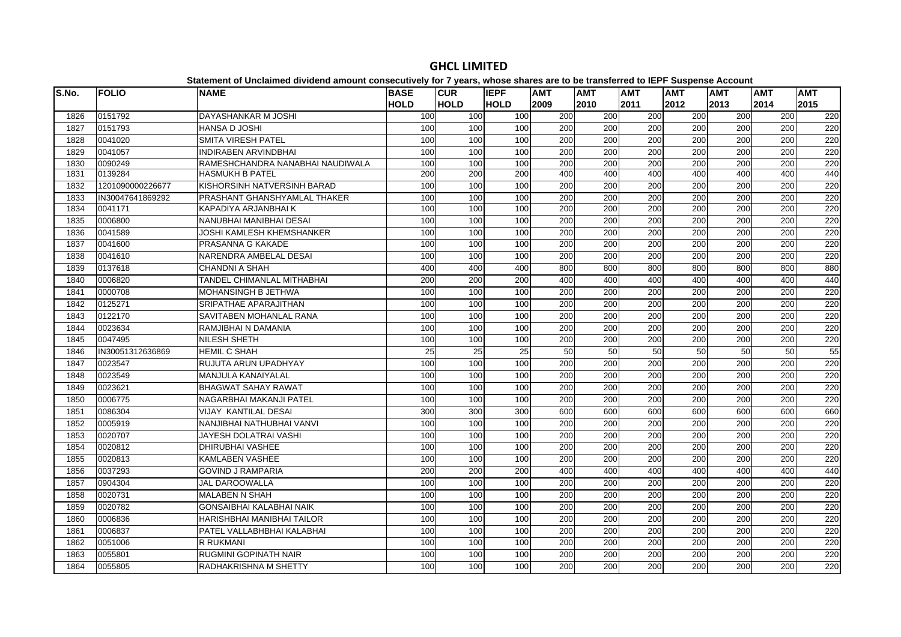#### **S.No. FOLIO NAME BASE HOLDCUR HOLDIEPF HOLDAMT AMT AMT AMT AMT AMT AMT**  0151792 DAYASHANKAR M JOSHI 100 100 100 200 200 200 200 200 200 220 0151793 HANSA D JOSHI 100 100 100 200 200 200 200 200 200 220 0041020 SMITA VIRESH PATEL 100 100 100 200 200 200 200 200 200 220 0041057 INDIRABEN ARVINDBHAI 100 100 100 200 200 200 200 200 200 220 0090249 RAMESHCHANDRA NANABHAI NAUDIWALA 100 100 100 200 200 200 200 200 200 2201831 10139284 HASMUKH B PATEL 2001 2001 4001 4001 4001 4001 4001 440 1201090000226677 KISHORSINH NATVERSINH BARAD 100 100 100 200 200 200 200 200 200 220 IN30047641869292 PRASHANT GHANSHYAMLAL THAKER 100 100 100 200 200 200 200 200 200 220 0041171 KAPADIYA ARJANBHAI K 100 100 100 200 200 200 200 200 200 220 0006800 NANUBHAI MANIBHAI DESAI 100 100 100 200 200 200 200 200 200 220 0041589 JOSHI KAMLESH KHEMSHANKER 100 100 100 200 200 200 200 200 200 220 0041600 PRASANNA G KAKADE 100 100 100 200 200 200 200 200 200 220 0041610 NARENDRA AMBELAL DESAI 100 100 100 200 200 200 200 200 200 220 0137618 CHANDNI A SHAH 400 400 400 800 800 800 800 800 800 880 0006820 TANDEL CHIMANLAL MITHABHAI 200 200 200 400 400 400 400 400 400 440 0000708 MOHANSINGH B JETHWA 100 100 100 200 200 200 200 200 200 220 0125271 SRIPATHAE APARAJITHAN 100 100 100 200 200 200 200 200 200 220 0122170 SAVITABEN MOHANLAL RANA 100 100 100 200 200 200 200 200 200 220 0023634 RAMJIBHAI N DAMANIA 100 100 100 200 200 200 200 200 200 220 0047495 NILESH SHETH 100 100 100 200 200 200 200 200 200 220 IN30051312636869 HEMIL C SHAH 25 25 25 50 50 50 50 50 50 55 0023547 RUJUTA ARUN UPADHYAY 100 100 100 200 200 200 200 200 200 220 0023549 MANJULA KANAIYALAL 100 100 100 200 200 200 200 200 200 220 0023621 BHAGWAT SAHAY RAWAT 100 100 100 200 200 200 200 200 200 220 0006775 NAGARBHAI MAKANJI PATEL 100 100 100 200 200 200 200 200 200 220 0086304 VIJAY KANTILAL DESAI 300 300 300 600 600 600 600 600 600 660 0005919 NANJIBHAI NATHUBHAI VANVI 100 100 100 200 200 200 200 200 200 2201853 |0020707 |JAYESH DOLATRAI VASHI | 100| 100| 100| 200| 200| 200| 200| 200 0020812 DHIRUBHAI VASHEE 100 100 100 200 200 200 200 200 200 220 0020813 KAMLABEN VASHEE 100 100 100 200 200 200 200 200 200 220 0037293 GOVIND J RAMPARIA 200 200 200 400 400 400 400 400 400 4401857 10904304 lJAL DAROOWALLA 1001 1001 2001 2001 2000 2001 2001 220 0020731 MALABEN N SHAH 100 100 100 200 200 200 200 200 200 220 0020782 GONSAIBHAI KALABHAI NAIK 100 100 100 200 200 200 200 200 200 220 0006836 HARISHBHAI MANIBHAI TAILOR 100 100 100 200 200 200 200 200 200 220 $\overline{220}$ 1861 |0006837 |PATEL VALLABHBHAI KALABHAI | 100| 100| 100| 200| 200| 200| 200| 200| 1862 |0051006 |R.RUKMANI | 100| 100| 100| 200| 200| 200| 200| 200| 220 1863 |0055801 |RUGMINI GOPINATH NAIR | 100| 100| 100| 200| 200| 200| 200| 200| 20 0055805 RADHAKRISHNA M SHETTY 100 100 100 200 200 200 200 200 200 220

# **GHCL LIMITED**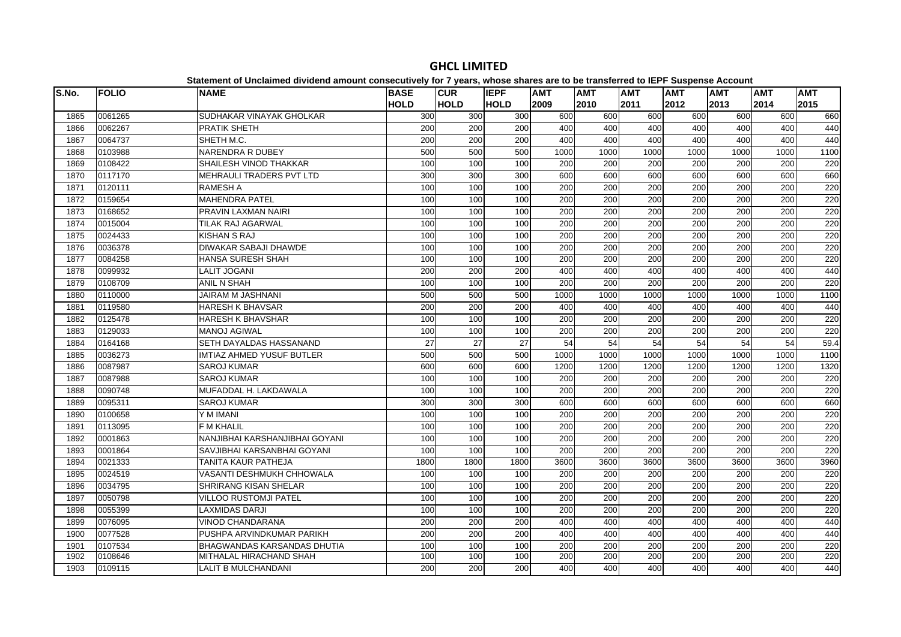| S.No. | <b>FOLIO</b> | <b>NAME</b>                      | <b>BASE</b><br><b>HOLD</b> | <b>CUR</b><br><b>HOLD</b> | <b>IEPF</b><br><b>HOLD</b> | <b>AMT</b><br>2009 | <b>AMT</b><br>2010 | <b>AMT</b><br>2011 | <b>AMT</b><br>2012 | <b>AMT</b><br>2013 | <b>AMT</b><br>2014 | <b>AMT</b><br>2015 |
|-------|--------------|----------------------------------|----------------------------|---------------------------|----------------------------|--------------------|--------------------|--------------------|--------------------|--------------------|--------------------|--------------------|
| 1865  | 0061265      | SUDHAKAR VINAYAK GHOLKAR         | 300                        | 300                       | 300                        | 600                | 600                | 600                | 600                | 600                | 600                | 660                |
| 1866  | 0062267      | PRATIK SHETH                     | 200                        | 200                       | 200                        | 400                | 400                | 400                | 400                | 400                | 400                | 440                |
| 1867  | 0064737      | SHETH M.C.                       | 200                        | 200                       | 200                        | 400                | 400                | 400                | 400                | 400                | 400                | 440                |
| 1868  | 0103988      | NARENDRA R DUBEY                 | 500                        | 500                       | 500                        | 1000               | 1000               | 1000               | 1000               | 1000               | 1000               | 1100               |
| 1869  | 0108422      | SHAILESH VINOD THAKKAR           | 100                        | 100                       | 100                        | 200                | 200                | 200                | 200                | 200                | 200                | 220                |
| 1870  | 0117170      | MEHRAULI TRADERS PVT LTD         | 300                        | 300                       | 300                        | 600                | 600                | 600                | 600                | 600                | 600                | 660                |
| 1871  | 0120111      | <b>RAMESH A</b>                  | 100                        | 100                       | 100                        | 200                | 200                | 200                | 200                | 200                | 200                | 220                |
| 1872  | 0159654      | <b>MAHENDRA PATEL</b>            | 100                        | 100                       | 100                        | 200                | 200                | 200                | 200                | 200                | 200                | 220                |
| 1873  | 0168652      | PRAVIN LAXMAN NAIRI              | 100                        | 100                       | 100                        | 200                | 200                | 200                | 200                | 200                | 200                | 220                |
| 1874  | 0015004      | <b>TILAK RAJ AGARWAL</b>         | 100                        | 100                       | 100                        | 200                | 200                | 200                | 200                | 200                | 200                | 220                |
| 1875  | 0024433      | KISHAN S RAJ                     | 100                        | 100                       | 100                        | 200                | 200                | 200                | 200                | 200                | 200                | 220                |
| 1876  | 0036378      | <b>DIWAKAR SABAJI DHAWDE</b>     | 100                        | 100                       | 100                        | 200                | 200                | 200                | 200                | 200                | 200                | 220                |
| 1877  | 0084258      | <b>HANSA SURESH SHAH</b>         | 100                        | 100                       | 100                        | 200                | 200                | 200                | 200                | 200                | 200                | 220                |
| 1878  | 0099932      | <b>LALIT JOGANI</b>              | 200                        | 200                       | 200                        | 400                | 400                | 400                | 400                | 400                | 400                | 440                |
| 1879  | 0108709      | <b>ANIL N SHAH</b>               | 100                        | 100                       | 100                        | 200                | 200                | 200                | 200                | 200                | 200                | 220                |
| 1880  | 0110000      | <b>JAIRAM M JASHNANI</b>         | 500                        | 500                       | 500                        | 1000               | 1000               | 1000               | 1000               | 1000               | 1000               | 1100               |
| 1881  | 0119580      | <b>HARESH K BHAVSAR</b>          | 200                        | 200                       | 200                        | 400                | 400                | 400                | 400                | 400                | 400                | 440                |
| 1882  | 0125478      | <b>HARESH K BHAVSHAR</b>         | 100                        | 100                       | 100                        | 200                | 200                | 200                | 200                | 200                | 200                | 220                |
| 1883  | 0129033      | <b>MANOJ AGIWAL</b>              | 100                        | 100                       | 100                        | 200                | 200                | 200                | 200                | 200                | 200                | 220                |
| 1884  | 0164168      | SETH DAYALDAS HASSANAND          | 27                         | $\overline{27}$           | 27                         | 54                 | 54                 | $\overline{54}$    | 54                 | 54                 | 54                 | 59.4               |
| 1885  | 0036273      | <b>IMTIAZ AHMED YUSUF BUTLER</b> | 500                        | 500                       | 500                        | 1000               | 1000               | 1000               | 1000               | 1000               | 1000               | 1100               |
| 1886  | 0087987      | <b>SAROJ KUMAR</b>               | 600                        | 600                       | 600                        | 1200               | 1200               | 1200               | 1200               | 1200               | 1200               | 1320               |
| 1887  | 0087988      | <b>SAROJ KUMAR</b>               | 100                        | 100                       | 100                        | 200                | 200                | 200                | 200                | 200                | 200                | 220                |
| 1888  | 0090748      | MUFADDAL H. LAKDAWALA            | 100                        | 100                       | 100                        | 200                | $\overline{200}$   | $\overline{200}$   | 200                | 200                | 200                | 220                |
| 1889  | 0095311      | <b>SAROJ KUMAR</b>               | 300                        | 300                       | 300                        | 600                | 600                | 600                | 600                | 600                | 600                | 660                |
| 1890  | 0100658      | Y M IMANI                        | 100                        | 100                       | 100                        | 200                | 200                | 200                | 200                | 200                | 200                | 220                |
| 1891  | 0113095      | <b>F M KHALIL</b>                | 100                        | 100                       | 100                        | 200                | 200                | 200                | 200                | 200                | 200                | 220                |
| 1892  | 0001863      | NANJIBHAI KARSHANJIBHAI GOYANI   | 100                        | 100                       | 100                        | $\overline{200}$   | 200                | $\overline{200}$   | 200                | 200                | $\overline{200}$   | 220                |
| 1893  | 0001864      | SAVJIBHAI KARSANBHAI GOYANI      | 100                        | 100                       | 100                        | 200                | 200                | 200                | 200                | 200                | 200                | 220                |
| 1894  | 0021333      | <b>TANITA KAUR PATHEJA</b>       | 1800                       | 1800                      | 1800                       | 3600               | 3600               | 3600               | 3600               | 3600               | 3600               | 3960               |
| 1895  | 0024519      | <b>VASANTI DESHMUKH CHHOWALA</b> | 100                        | 100                       | 100                        | 200                | 200                | 200                | 200                | 200                | 200                | 220                |
| 1896  | 0034795      | <b>SHRIRANG KISAN SHELAR</b>     | 100                        | 100                       | 100                        | 200                | 200                | 200                | 200                | 200                | 200                | 220                |
| 1897  | 0050798      | <b>VILLOO RUSTOMJI PATEL</b>     | 100                        | 100                       | 100                        | 200                | 200                | 200                | 200                | 200                | 200                | 220                |
| 1898  | 0055399      | <b>LAXMIDAS DARJI</b>            | 100                        | 100                       | 100                        | 200                | 200                | 200                | 200                | 200                | 200                | 220                |
| 1899  | 0076095      | <b>VINOD CHANDARANA</b>          | 200                        | 200                       | 200                        | 400                | 400                | 400                | 400                | 400                | 400                | 440                |
| 1900  | 0077528      | PUSHPA ARVINDKUMAR PARIKH        | 200                        | 200                       | 200                        | 400                | 400                | 400                | 400                | 400                | 400                | 440                |
| 1901  | 0107534      | BHAGWANDAS KARSANDAS DHUTIA      | 100                        | 100                       | 100                        | 200                | 200                | 200                | 200                | 200                | 200                | 220                |
| 1902  | 0108646      | MITHALAL HIRACHAND SHAH          | 100                        | 100                       | 100                        | 200                | 200                | 200                | 200                | 200                | 200                | 220                |
| 1903  | 0109115      | <b>LALIT B MULCHANDANI</b>       | 200                        | 200                       | 200                        | 400                | 400                | 400                | 400                | 400                | 400                | 440                |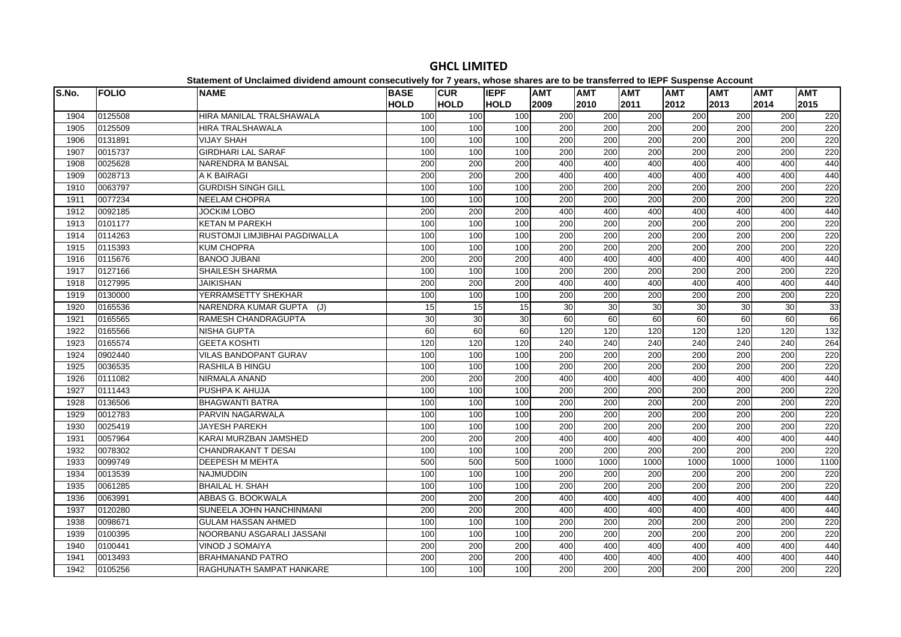| S.No. | <b>FOLIO</b> | platomont or onolalmoa arriaona amoant oonoodatroff for 1 foarof mnooo onaroo aro t<br><b>NAME</b> | <b>BASE</b>      | <b>CUR</b>       | <b>IEPF</b> | <b>AMT</b>       | <b>AMT</b>       | <b>AMT</b>       | $- -$<br><b>AMT</b> | <b>AMT</b> | <b>AMT</b> | <b>AMT</b> |
|-------|--------------|----------------------------------------------------------------------------------------------------|------------------|------------------|-------------|------------------|------------------|------------------|---------------------|------------|------------|------------|
|       |              |                                                                                                    | <b>HOLD</b>      | <b>HOLD</b>      | <b>HOLD</b> | 2009             | 2010             | 2011             | 2012                | 2013       | 2014       | 2015       |
| 1904  | 0125508      | HIRA MANILAL TRALSHAWALA                                                                           | 100              | 100              | 100         | 200              | 200              | 200              | 200                 | 200        | 200        | 220        |
| 1905  | 0125509      | <b>HIRA TRALSHAWALA</b>                                                                            | 100              | 100              | 100         | 200              | 200              | 200              | 200                 | 200        | 200        | 220        |
| 1906  | 0131891      | <b>VIJAY SHAH</b>                                                                                  | 100              | 100              | 100         | 200              | 200              | 200              | 200                 | 200        | 200        | 220        |
| 1907  | 0015737      | <b>GIRDHARI LAL SARAF</b>                                                                          | 100              | 100              | 100         | 200              | 200              | $\overline{200}$ | $\overline{200}$    | 200        | 200        | 220        |
| 1908  | 0025628      | <b>NARENDRA M BANSAL</b>                                                                           | 200              | 200              | 200         | 400              | 400              | 400              | 400                 | 400        | 400        | 440        |
| 1909  | 0028713      | A K BAIRAGI                                                                                        | 200              | 200              | 200         | 400              | 400              | 400              | 400                 | 400        | 400        | 440        |
| 1910  | 0063797      | <b>GURDISH SINGH GILL</b>                                                                          | 100              | 100              | 100         | 200              | 200              | 200              | 200                 | 200        | 200        | 220        |
| 1911  | 0077234      | NEELAM CHOPRA                                                                                      | 100              | 100              | 100         | 200              | 200              | 200              | 200                 | 200        | 200        | 220        |
| 1912  | 0092185      | <b>JOCKIM LOBO</b>                                                                                 | 200              | 200              | 200         | 400              | 400              | 400              | 400                 | 400        | 400        | 440        |
| 1913  | 0101177      | <b>KETAN M PAREKH</b>                                                                              | 100              | 100              | 100         | 200              | 200              | 200              | $\overline{200}$    | 200        | 200        | 220        |
| 1914  | 0114263      | RUSTOMJI LIMJIBHAI PAGDIWALLA                                                                      | 100              | 100              | 100         | 200              | 200              | 200              | 200                 | 200        | 200        | 220        |
| 1915  | 0115393      | <b>KUM CHOPRA</b>                                                                                  | 100              | 100              | 100         | 200              | 200              | 200              | 200                 | 200        | 200        | 220        |
| 1916  | 0115676      | <b>BANOO JUBANI</b>                                                                                | 200              | 200              | 200         | 400              | 400              | 400              | 400                 | 400        | 400        | 440        |
| 1917  | 0127166      | <b>SHAILESH SHARMA</b>                                                                             | 100              | 100              | 100         | $\overline{200}$ | $\overline{200}$ | $\overline{200}$ | 200                 | 200        | 200        | 220        |
| 1918  | 0127995      | <b>JAIKISHAN</b>                                                                                   | 200              | 200              | 200         | 400              | 400              | 400              | 400                 | 400        | 400        | 440        |
| 1919  | 0130000      | YERRAMSETTY SHEKHAR                                                                                | 100              | 100              | 100         | 200              | 200              | 200              | 200                 | 200        | 200        | 220        |
| 1920  | 0165536      | NARENDRA KUMAR GUPTA (J)                                                                           | 15               | 15               | 15          | 30               | 30               | 30               | 30                  | 30         | 30         | 33         |
| 1921  | 0165565      | RAMESH CHANDRAGUPTA                                                                                | 30               | 30               | 30          | 60               | 60               | 60               | 60                  | 60         | 60         | 66         |
| 1922  | 0165566      | <b>NISHA GUPTA</b>                                                                                 | 60               | 60               | 60          | 120              | 120              | 120              | 120                 | 120        | 120        | 132        |
| 1923  | 0165574      | <b>GEETA KOSHTI</b>                                                                                | 120              | 120              | 120         | 240              | 240              | 240              | 240                 | 240        | 240        | 264        |
| 1924  | 0902440      | <b>VILAS BANDOPANT GURAV</b>                                                                       | 100              | 100              | 100         | 200              | 200              | 200              | 200                 | 200        | 200        | 220        |
| 1925  | 0036535      | RASHILA B HINGU                                                                                    | 100              | 100              | 100         | 200              | 200              | 200              | 200                 | 200        | 200        | 220        |
| 1926  | 0111082      | <b>NIRMALA ANAND</b>                                                                               | 200              | 200              | 200         | 400              | 400              | 400              | 400                 | 400        | 400        | 440        |
| 1927  | 0111443      | PUSHPA K AHUJA                                                                                     | 100              | 100              | 100         | 200              | 200              | 200              | 200                 | 200        | 200        | 220        |
| 1928  | 0136506      | <b>BHAGWANTI BATRA</b>                                                                             | 100              | 100              | 100         | 200              | 200              | 200              | $\overline{200}$    | 200        | 200        | 220        |
| 1929  | 0012783      | PARVIN NAGARWALA                                                                                   | 100              | 100              | 100         | 200              | 200              | 200              | 200                 | 200        | 200        | 220        |
| 1930  | 0025419      | <b>JAYESH PAREKH</b>                                                                               | 100              | 100              | 100         | 200              | 200              | 200              | 200                 | 200        | 200        | 220        |
| 1931  | 0057964      | KARAI MURZBAN JAMSHED                                                                              | 200              | $\overline{200}$ | 200         | 400              | 400              | 400              | 400                 | 400        | 400        | 440        |
| 1932  | 0078302      | <b>CHANDRAKANT T DESAI</b>                                                                         | 100              | 100              | 100         | 200              | 200              | 200              | 200                 | 200        | 200        | 220        |
| 1933  | 0099749      | <b>DEEPESH M MEHTA</b>                                                                             | 500              | 500              | 500         | 1000             | 1000             | 1000             | 1000                | 1000       | 1000       | 1100       |
| 1934  | 0013539      | <b>NAJMUDDIN</b>                                                                                   | 100              | 100              | 100         | 200              | 200              | 200              | 200                 | 200        | 200        | 220        |
| 1935  | 0061285      | <b>BHAILAL H. SHAH</b>                                                                             | 100              | 100              | 100         | 200              | 200              | 200              | 200                 | 200        | 200        | 220        |
| 1936  | 0063991      | ABBAS G. BOOKWALA                                                                                  | 200              | 200              | 200         | 400              | 400              | 400              | 400                 | 400        | 400        | 440        |
| 1937  | 0120280      | SUNEELA JOHN HANCHINMANI                                                                           | 200              | 200              | 200         | 400              | 400              | 400              | 400                 | 400        | 400        | 440        |
| 1938  | 0098671      | <b>GULAM HASSAN AHMED</b>                                                                          | 100              | 100              | 100         | 200              | 200              | $\overline{200}$ | $\overline{200}$    | 200        | 200        | 220        |
| 1939  | 0100395      | NOORBANU ASGARALI JASSANI                                                                          | 100              | 100              | 100         | 200              | 200              | 200              | 200                 | 200        | 200        | 220        |
| 1940  | 0100441      | VINOD J SOMAIYA                                                                                    | 200              | 200              | 200         | 400              | 400              | 400              | 400                 | 400        | 400        | 440        |
| 1941  | 0013493      | <b>BRAHMANAND PATRO</b>                                                                            | $\overline{200}$ | 200              | 200         | 400              | 400              | 400              | 400                 | 400        | 400        | 440        |
| 1942  | 0105256      | RAGHUNATH SAMPAT HANKARE                                                                           | 100              | 100              | 100         | 200              | 200              | 200              | 200                 | 200        | 200        | 220        |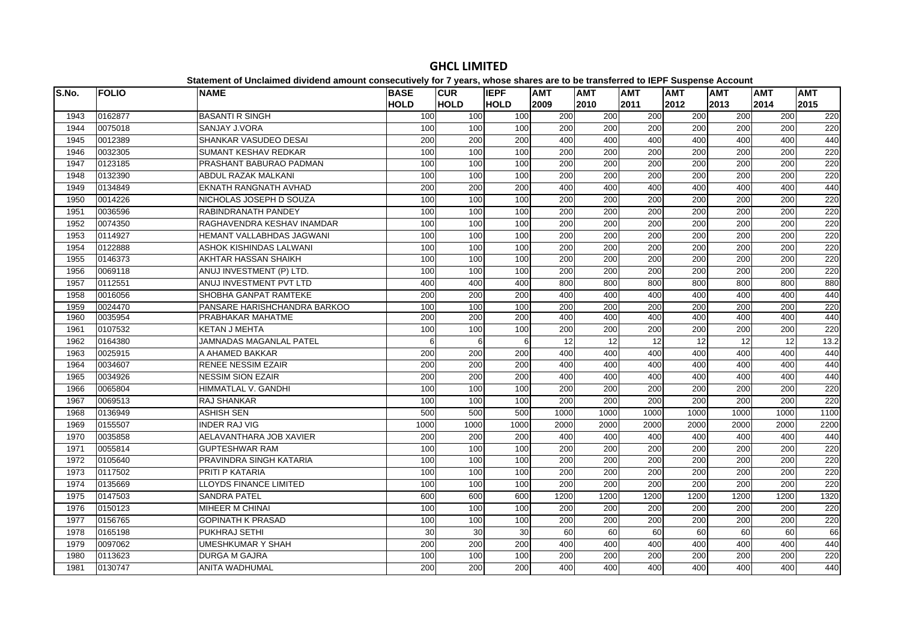| S.No. | <b>FOLIO</b> | <b>NAME</b>                   | <b>BASE</b>      | <b>CUR</b>  | <b>IEPF</b> | <b>AMT</b> | <b>AMT</b>       | <b>AMT</b>       | <b>AMT</b>       | <b>AMT</b> | <b>AMT</b> | <b>AMT</b> |
|-------|--------------|-------------------------------|------------------|-------------|-------------|------------|------------------|------------------|------------------|------------|------------|------------|
|       |              |                               | <b>HOLD</b>      | <b>HOLD</b> | <b>HOLD</b> | 2009       | 2010             | 2011             | 2012             | 2013       | 2014       | 2015       |
| 1943  | 0162877      | <b>BASANTI R SINGH</b>        | 100              | 100         | 100         | 200        | 200              | 200              | 200              | 200        | 200        | 220        |
| 1944  | 0075018      | <b>SANJAY J.VORA</b>          | 100              | 100         | 100         | 200        | 200              | 200              | 200              | 200        | 200        | 220        |
| 1945  | 0012389      | <b>SHANKAR VASUDEO DESAI</b>  | 200              | 200         | 200         | 400        | 400              | 400              | 400              | 400        | 400        | 440        |
| 1946  | 0032305      | SUMANT KESHAV REDKAR          | 100              | 100         | 100         | 200        | 200              | 200              | 200              | 200        | 200        | 220        |
| 1947  | 0123185      | PRASHANT BABURAO PADMAN       | 100              | 100         | 100         | 200        | 200              | 200              | 200              | 200        | 200        | 220        |
| 1948  | 0132390      | <b>ABDUL RAZAK MALKANI</b>    | 100              | 100         | 100         | 200        | 200              | $\overline{200}$ | 200              | 200        | 200        | 220        |
| 1949  | 0134849      | EKNATH RANGNATH AVHAD         | 200              | 200         | 200         | 400        | 400              | 400              | 400              | 400        | 400        | 440        |
| 1950  | 0014226      | NICHOLAS JOSEPH D SOUZA       | 100              | 100         | 100         | 200        | 200              | 200              | 200              | 200        | 200        | 220        |
| 1951  | 0036596      | <b>RABINDRANATH PANDEY</b>    | 100              | 100         | 100         | 200        | 200              | 200              | $\overline{200}$ | 200        | 200        | 220        |
| 1952  | 0074350      | RAGHAVENDRA KESHAV INAMDAR    | 100              | 100         | 100         | 200        | 200              | 200              | 200              | 200        | 200        | 220        |
| 1953  | 0114927      | HEMANT VALLABHDAS JAGWANI     | 100              | 100         | 100         | 200        | $\overline{200}$ | $\overline{200}$ | 200              | 200        | 200        | 220        |
| 1954  | 0122888      | ASHOK KISHINDAS LALWANI       | 100              | 100         | 100         | 200        | 200              | 200              | 200              | 200        | 200        | 220        |
| 1955  | 0146373      | AKHTAR HASSAN SHAIKH          | 100              | 100         | 100         | 200        | 200              | 200              | 200              | 200        | 200        | 220        |
| 1956  | 0069118      | ANUJ INVESTMENT (P) LTD.      | 100              | 100         | 100         | 200        | 200              | 200              | 200              | 200        | 200        | 220        |
| 1957  | 0112551      | ANUJ INVESTMENT PVT LTD       | 400              | 400         | 400         | 800        | 800              | 800              | 800              | 800        | 800        | 880        |
| 1958  | 0016056      | SHOBHA GANPAT RAMTEKE         | 200              | 200         | 200         | 400        | 400              | 400              | 400              | 400        | 400        | 440        |
| 1959  | 0024470      | PANSARE HARISHCHANDRA BARKOO  | 100              | 100         | 100         | 200        | $\overline{200}$ | 200              | 200              | 200        | 200        | 220        |
| 1960  | 0035954      | PRABHAKAR MAHATME             | 200              | 200         | 200         | 400        | 400              | 400              | 400              | 400        | 400        | 440        |
| 1961  | 0107532      | <b>KETAN J MEHTA</b>          | 100              | 100         | 100         | 200        | 200              | 200              | 200              | 200        | 200        | 220        |
| 1962  | 0164380      | JAMNADAS MAGANLAL PATEL       | 6                | 6           | 6           | 12         | 12               | 12               | 12               | 12         | 12         | 13.2       |
| 1963  | 0025915      | A AHAMED BAKKAR               | $\overline{200}$ | 200         | 200         | 400        | 400              | 400              | 400              | 400        | 400        | 440        |
| 1964  | 0034607      | <b>RENEE NESSIM EZAIR</b>     | 200              | 200         | 200         | 400        | 400              | 400              | 400              | 400        | 400        | 440        |
| 1965  | 0034926      | <b>NESSIM SION EZAIR</b>      | 200              | 200         | 200         | 400        | 400              | 400              | 400              | 400        | 400        | 440        |
| 1966  | 0065804      | HIMMATLAL V. GANDHI           | 100              | 100         | 100         | 200        | 200              | 200              | $\overline{200}$ | 200        | 200        | 220        |
| 1967  | 0069513      | <b>RAJ SHANKAR</b>            | 100              | 100         | 100         | 200        | 200              | 200              | 200              | 200        | 200        | 220        |
| 1968  | 0136949      | <b>ASHISH SEN</b>             | 500              | 500         | 500         | 1000       | 1000             | 1000             | 1000             | 1000       | 1000       | 1100       |
| 1969  | 0155507      | <b>INDER RAJ VIG</b>          | 1000             | 1000        | 1000        | 2000       | 2000             | 2000             | 2000             | 2000       | 2000       | 2200       |
| 1970  | 0035858      | AELAVANTHARA JOB XAVIER       | 200              | 200         | 200         | 400        | 400              | 400              | 400              | 400        | 400        | 440        |
| 1971  | 0055814      | <b>GUPTESHWAR RAM</b>         | 100              | 100         | 100         | 200        | $\overline{200}$ | 200              | 200              | 200        | 200        | 220        |
| 1972  | 0105640      | PRAVINDRA SINGH KATARIA       | 100              | 100         | 100         | 200        | $\overline{200}$ | 200              | $\overline{200}$ | 200        | 200        | 220        |
| 1973  | 0117502      | PRITI P KATARIA               | 100              | 100         | 100         | 200        | 200              | 200              | 200              | 200        | 200        | 220        |
| 1974  | 0135669      | <b>LLOYDS FINANCE LIMITED</b> | 100              | 100         | 100         | 200        | 200              | 200              | 200              | 200        | 200        | 220        |
| 1975  | 0147503      | <b>SANDRA PATEL</b>           | 600              | 600         | 600         | 1200       | 1200             | 1200             | 1200             | 1200       | 1200       | 1320       |
| 1976  | 0150123      | <b>MIHEER M CHINAI</b>        | 100              | 100         | 100         | 200        | 200              | 200              | 200              | 200        | 200        | 220        |
| 1977  | 0156765      | <b>GOPINATH K PRASAD</b>      | 100              | 100         | 100         | 200        | 200              | 200              | 200              | 200        | 200        | 220        |
| 1978  | 0165198      | PUKHRAJ SETHI                 | 30               | 30          | 30          | 60         | 60               | 60               | 60               | 60         | 60         | 66         |
| 1979  | 0097062      | <b>UMESHKUMAR Y SHAH</b>      | 200              | 200         | 200         | 400        | 400              | 400              | 400              | 400        | 400        | 440        |
| 1980  | 0113623      | <b>DURGA M GAJRA</b>          | 100              | 100         | 100         | 200        | 200              | 200              | 200              | 200        | 200        | 220        |
| 1981  | 0130747      | <b>ANITA WADHUMAL</b>         | 200              | 200         | 200         | 400        | 400              | 400              | 400              | 400        | 400        | 440        |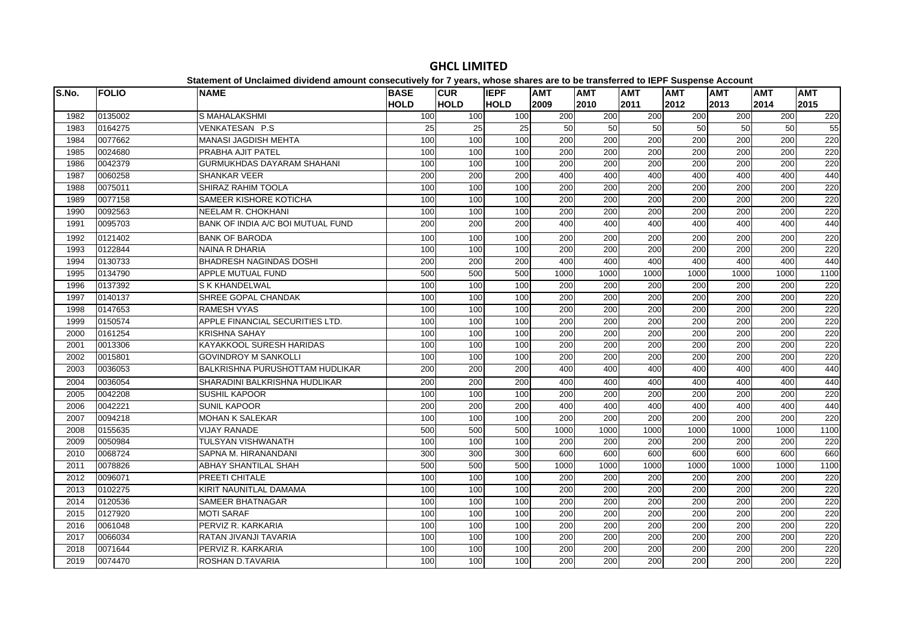| S.No. | <b>FOLIO</b> | platomont of onolalmoa arriaona amount concooutriory for Figuard, miloco onaroe are to<br><b>NAME</b> | <b>BASE</b>     | <b>CUR</b>  | <b>IEPF</b>     | <b>AMT</b>       | ~~   ~~ .~ .=. .<br><b>AMT</b> | <b>AMT</b>       | <b>AMT</b> | $-$ 0.000 $-$ 0.000 $-$ 0.000 $-$ 0.000 $-$<br><b>AMT</b> | <b>AMT</b>       | <b>AMT</b> |
|-------|--------------|-------------------------------------------------------------------------------------------------------|-----------------|-------------|-----------------|------------------|--------------------------------|------------------|------------|-----------------------------------------------------------|------------------|------------|
|       |              |                                                                                                       | <b>HOLD</b>     | <b>HOLD</b> | <b>HOLD</b>     | 2009             | 2010                           | 2011             | 2012       | 2013                                                      | 2014             | 2015       |
| 1982  | 0135002      | S MAHALAKSHMI                                                                                         | 100             | 100         | 100             | 200              | 200                            | 200              | 200        | 200                                                       | 200              | 220        |
| 1983  | 0164275      | VENKATESAN P.S                                                                                        | $\overline{25}$ | 25          | $\overline{25}$ | 50               | 50                             | 50               | 50         | 50                                                        | 50               | 55         |
| 1984  | 0077662      | <b>MANASI JAGDISH MEHTA</b>                                                                           | 100             | 100         | 100             | 200              | 200                            | 200              | 200        | 200                                                       | 200              | 220        |
| 1985  | 0024680      | PRABHA AJIT PATEL                                                                                     | 100             | 100         | 100             | 200              | 200                            | $\overline{200}$ | 200        | 200                                                       | $\overline{200}$ | 220        |
| 1986  | 0042379      | <b>GURMUKHDAS DAYARAM SHAHANI</b>                                                                     | 100             | 100         | 100             | $\overline{200}$ | 200                            | $\overline{200}$ | 200        | 200                                                       | $\overline{200}$ | 220        |
| 1987  | 0060258      | <b>SHANKAR VEER</b>                                                                                   | 200             | 200         | 200             | 400              | 400                            | 400              | 400        | 400                                                       | 400              | 440        |
| 1988  | 0075011      | SHIRAZ RAHIM TOOLA                                                                                    | 100             | 100         | 100             | 200              | 200                            | 200              | 200        | 200                                                       | 200              | 220        |
| 1989  | 0077158      | SAMEER KISHORE KOTICHA                                                                                | 100             | 100         | 100             | 200              | 200                            | 200              | 200        | 200                                                       | 200              | 220        |
| 1990  | 0092563      | <b>NEELAM R. CHOKHANI</b>                                                                             | 100             | 100         | 100             | $\overline{200}$ | 200                            | 200              | 200        | 200                                                       | $\overline{200}$ | 220        |
| 1991  | 0095703      | BANK OF INDIA A/C BOI MUTUAL FUND                                                                     | 200             | 200         | 200             | 400              | 400                            | 400              | 400        | 400                                                       | 400              | 440        |
| 1992  | 0121402      | <b>BANK OF BARODA</b>                                                                                 | 100             | 100         | 100             | 200              | 200                            | 200              | 200        | 200                                                       | 200              | 220        |
| 1993  | 0122844      | <b>NAINA R DHARIA</b>                                                                                 | 100             | 100         | 100             | 200              | $\overline{200}$               | $\overline{200}$ | 200        | 200                                                       | 200              | 220        |
| 1994  | 0130733      | <b>BHADRESH NAGINDAS DOSHI</b>                                                                        | 200             | 200         | 200             | 400              | 400                            | 400              | 400        | 400                                                       | 400              | 440        |
| 1995  | 0134790      | APPLE MUTUAL FUND                                                                                     | 500             | 500         | 500             | 1000             | 1000                           | 1000             | 1000       | 1000                                                      | 1000             | 1100       |
| 1996  | 0137392      | <b>S K KHANDELWAL</b>                                                                                 | 100             | 100         | 100             | 200              | $\overline{200}$               | 200              | 200        | 200                                                       | 200              | 220        |
| 1997  | 0140137      | SHREE GOPAL CHANDAK                                                                                   | 100             | 100         | 100             | $\overline{200}$ | $\overline{200}$               | 200              | 200        | 200                                                       | 200              | 220        |
| 1998  | 0147653      | <b>RAMESH VYAS</b>                                                                                    | 100             | 100         | 100             | 200              | 200                            | 200              | 200        | 200                                                       | 200              | 220        |
| 1999  | 0150574      | APPLE FINANCIAL SECURITIES LTD.                                                                       | 100             | 100         | 100             | 200              | 200                            | $\overline{200}$ | 200        | 200                                                       | $\overline{200}$ | 220        |
| 2000  | 0161254      | <b>KRISHNA SAHAY</b>                                                                                  | 100             | 100         | 100             | 200              | 200                            | $\overline{200}$ | 200        | 200                                                       | $\overline{200}$ | 220        |
| 2001  | 0013306      | KAYAKKOOL SURESH HARIDAS                                                                              | 100             | 100         | 100             | 200              | 200                            | 200              | 200        | 200                                                       | 200              | 220        |
| 2002  | 0015801      | <b>GOVINDROY M SANKOLLI</b>                                                                           | 100             | 100         | 100             | 200              | 200                            | 200              | 200        | 200                                                       | 200              | 220        |
| 2003  | 0036053      | BALKRISHNA PURUSHOTTAM HUDLIKAR                                                                       | 200             | 200         | 200             | 400              | 400                            | 400              | 400        | 400                                                       | 400              | 440        |
| 2004  | 0036054      | SHARADINI BALKRISHNA HUDLIKAR                                                                         | 200             | 200         | 200             | 400              | 400                            | 400              | 400        | 400                                                       | 400              | 440        |
| 2005  | 0042208      | <b>SUSHIL KAPOOR</b>                                                                                  | 100             | 100         | 100             | 200              | 200                            | 200              | 200        | 200                                                       | 200              | 220        |
| 2006  | 0042221      | <b>SUNIL KAPOOR</b>                                                                                   | 200             | 200         | 200             | 400              | 400                            | 400              | 400        | 400                                                       | 400              | 440        |
| 2007  | 0094218      | <b>MOHAN K SALEKAR</b>                                                                                | 100             | 100         | 100             | 200              | 200                            | 200              | 200        | 200                                                       | 200              | 220        |
| 2008  | 0155635      | <b>VIJAY RANADE</b>                                                                                   | 500             | 500         | 500             | 1000             | 1000                           | 1000             | 1000       | 1000                                                      | 1000             | 1100       |
| 2009  | 0050984      | <b>TULSYAN VISHWANATH</b>                                                                             | 100             | 100         | 100             | 200              | 200                            | 200              | 200        | 200                                                       | 200              | 220        |
| 2010  | 0068724      | SAPNA M. HIRANANDANI                                                                                  | 300             | 300         | 300             | 600              | 600                            | 600              | 600        | 600                                                       | 600              | 660        |
| 2011  | 0078826      | <b>ABHAY SHANTILAL SHAH</b>                                                                           | 500             | 500         | 500             | 1000             | 1000                           | 1000             | 1000       | 1000                                                      | 1000             | 1100       |
| 2012  | 0096071      | PREETI CHITALE                                                                                        | 100             | 100         | 100             | 200              | 200                            | 200              | 200        | 200                                                       | 200              | 220        |
| 2013  | 0102275      | KIRIT NAUNITLAL DAMAMA                                                                                | 100             | 100         | 100             | 200              | 200                            | 200              | 200        | 200                                                       | 200              | 220        |
| 2014  | 0120536      | <b>SAMEER BHATNAGAR</b>                                                                               | 100             | 100         | 100             | 200              | 200                            | 200              | 200        | 200                                                       | 200              | 220        |
| 2015  | 0127920      | <b>MOTI SARAF</b>                                                                                     | 100             | 100         | 100             | $\overline{200}$ | 200                            | $\overline{200}$ | 200        | 200                                                       | 200              | 220        |
| 2016  | 0061048      | PERVIZ R. KARKARIA                                                                                    | 100             | 100         | 100             | 200              | 200                            | 200              | 200        | 200                                                       | 200              | 220        |
| 2017  | 0066034      | RATAN JIVANJI TAVARIA                                                                                 | 100             | 100         | 100             | 200              | 200                            | 200              | 200        | 200                                                       | 200              | 220        |
| 2018  | 0071644      | PERVIZ R. KARKARIA                                                                                    | 100             | 100         | 100             | 200              | 200                            | 200              | 200        | 200                                                       | 200              | 220        |
| 2019  | 0074470      | <b>ROSHAN D.TAVARIA</b>                                                                               | 100             | 100         | 100             | $\overline{200}$ | 200                            | 200              | 200        | $\overline{200}$                                          | 200              | 220        |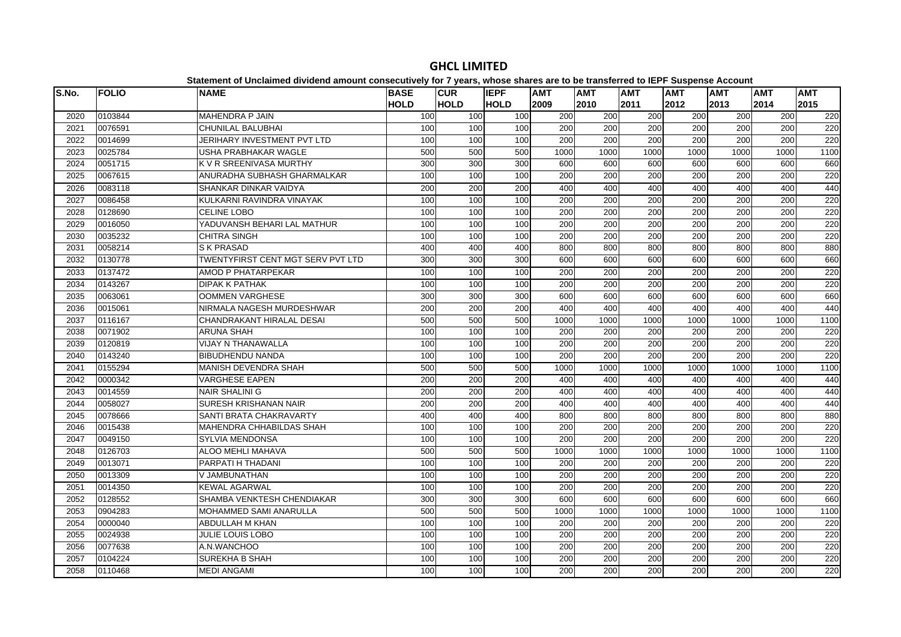| S.No. | <b>FOLIO</b> | <b>NAME</b>                              | <b>BASE</b> | <b>CUR</b>       | <b>IEPF</b>      | <b>AMT</b>       | <b>AMT</b>       | <b>AMT</b>       | <b>AMT</b> | <b>AMT</b> | <b>AMT</b>       | <b>AMT</b> |
|-------|--------------|------------------------------------------|-------------|------------------|------------------|------------------|------------------|------------------|------------|------------|------------------|------------|
|       |              |                                          | <b>HOLD</b> | <b>HOLD</b>      | <b>HOLD</b>      | 2009             | 2010             | 2011             | 2012       | 2013       | 2014             | 2015       |
| 2020  | 0103844      | <b>MAHENDRA P JAIN</b>                   | 100         | 100              | 100              | 200              | 200              | 200              | 200        | 200        | 200              | 220        |
| 2021  | 0076591      | <b>CHUNILAL BALUBHAI</b>                 | 100         | 100              | 100              | 200              | 200              | 200              | 200        | 200        | 200              | 220        |
| 2022  | 0014699      | <b>JERIHARY INVESTMENT PVT LTD</b>       | 100         | 100              | 100              | 200              | 200              | 200              | 200        | 200        | 200              | 220        |
| 2023  | 0025784      | USHA PRABHAKAR WAGLE                     | 500         | 500              | 500              | 1000             | 1000             | 1000             | 1000       | 1000       | 1000             | 1100       |
| 2024  | 0051715      | K V R SREENIVASA MURTHY                  | 300         | 300              | 300              | 600              | 600              | 600              | 600        | 600        | 600              | 660        |
| 2025  | 0067615      | ANURADHA SUBHASH GHARMALKAR              | 100         | 100              | 100              | 200              | 200              | 200              | 200        | 200        | 200              | 220        |
| 2026  | 0083118      | SHANKAR DINKAR VAIDYA                    | 200         | 200              | 200              | 400              | 400              | 400              | 400        | 400        | 400              | 440        |
| 2027  | 0086458      | KULKARNI RAVINDRA VINAYAK                | 100         | 100              | 100              | 200              | 200              | 200              | 200        | 200        | 200              | 220        |
| 2028  | 0128690      | <b>CELINE LOBO</b>                       | 100         | 100              | 100              | 200              | 200              | 200              | 200        | 200        | 200              | 220        |
| 2029  | 0016050      | YADUVANSH BEHARI LAL MATHUR              | 100         | 100              | 100              | 200              | $\overline{200}$ | 200              | 200        | 200        | 200              | 220        |
| 2030  | 0035232      | <b>CHITRA SINGH</b>                      | 100         | 100              | 100              | $\overline{200}$ | 200              | 200              | 200        | 200        | 200              | 220        |
| 2031  | 0058214      | <b>SK PRASAD</b>                         | 400         | 400              | 400              | 800              | 800              | 800              | 800        | 800        | 800              | 880        |
| 2032  | 0130778      | <b>TWENTYFIRST CENT MGT SERV PVT LTD</b> | 300         | 300              | 300              | 600              | 600              | 600              | 600        | 600        | 600              | 660        |
| 2033  | 0137472      | AMOD P PHATARPEKAR                       | 100         | 100              | 100              | 200              | 200              | 200              | 200        | 200        | 200              | 220        |
| 2034  | 0143267      | <b>DIPAK K PATHAK</b>                    | 100         | 100              | 100              | 200              | 200              | 200              | 200        | 200        | 200              | 220        |
| 2035  | 0063061      | <b>OOMMEN VARGHESE</b>                   | 300         | 300              | 300              | 600              | 600              | 600              | 600        | 600        | 600              | 660        |
| 2036  | 0015061      | NIRMALA NAGESH MURDESHWAR                | 200         | $\overline{200}$ | $\overline{200}$ | 400              | 400              | 400              | 400        | 400        | 400              | 440        |
| 2037  | 0116167      | CHANDRAKANT HIRALAL DESAI                | 500         | 500              | 500              | 1000             | 1000             | 1000             | 1000       | 1000       | 1000             | 1100       |
| 2038  | 0071902      | <b>ARUNA SHAH</b>                        | 100         | 100              | 100              | 200              | 200              | 200              | 200        | 200        | 200              | 220        |
| 2039  | 0120819      | VIJAY N THANAWALLA                       | 100         | 100              | 100              | 200              | 200              | 200              | 200        | 200        | 200              | 220        |
| 2040  | 0143240      | <b>BIBUDHENDU NANDA</b>                  | 100         | 100              | 100              | 200              | $\overline{200}$ | 200              | 200        | 200        | $\overline{200}$ | 220        |
| 2041  | 0155294      | <b>MANISH DEVENDRA SHAH</b>              | 500         | 500              | 500              | 1000             | 1000             | 1000             | 1000       | 1000       | 1000             | 1100       |
| 2042  | 0000342      | <b>VARGHESE EAPEN</b>                    | 200         | $\overline{200}$ | 200              | 400              | 400              | 400              | 400        | 400        | 400              | 440        |
| 2043  | 0014559      | <b>NAIR SHALINI G</b>                    | 200         | 200              | 200              | 400              | 400              | 400              | 400        | 400        | 400              | 440        |
| 2044  | 0058027      | SURESH KRISHANAN NAIR                    | 200         | 200              | 200              | 400              | 400              | 400              | 400        | 400        | 400              | 440        |
| 2045  | 0078666      | SANTI BRATA CHAKRAVARTY                  | 400         | 400              | 400              | 800              | 800              | 800              | 800        | 800        | 800              | 880        |
| 2046  | 0015438      | MAHENDRA CHHABILDAS SHAH                 | 100         | 100              | 100              | 200              | 200              | 200              | 200        | 200        | 200              | 220        |
| 2047  | 0049150      | <b>SYLVIA MENDONSA</b>                   | 100         | 100              | 100              | 200              | 200              | 200              | 200        | 200        | 200              | 220        |
| 2048  | 0126703      | <b>ALOO MEHLI MAHAVA</b>                 | 500         | 500              | 500              | 1000             | 1000             | 1000             | 1000       | 1000       | 1000             | 1100       |
| 2049  | 0013071      | PARPATI H THADANI                        | 100         | 100              | 100              | 200              | 200              | 200              | 200        | 200        | 200              | 220        |
| 2050  | 0013309      | V JAMBUNATHAN                            | 100         | 100              | 100              | 200              | 200              | 200              | 200        | 200        | 200              | 220        |
| 2051  | 0014350      | <b>KEWAL AGARWAL</b>                     | 100         | 100              | 100              | 200              | 200              | 200              | 200        | 200        | 200              | 220        |
| 2052  | 0128552      | SHAMBA VENKTESH CHENDIAKAR               | 300         | 300              | 300              | 600              | 600              | 600              | 600        | 600        | 600              | 660        |
| 2053  | 0904283      | <b>MOHAMMED SAMI ANARULLA</b>            | 500         | 500              | 500              | 1000             | 1000             | 1000             | 1000       | 1000       | 1000             | 1100       |
| 2054  | 0000040      | ABDULLAH M KHAN                          | 100         | 100              | 100              | 200              | 200              | 200              | 200        | 200        | 200              | 220        |
| 2055  | 0024938      | <b>JULIE LOUIS LOBO</b>                  | 100         | 100              | 100              | 200              | 200              | 200              | 200        | 200        | 200              | 220        |
| 2056  | 0077638      | A.N.WANCHOO                              | 100         | 100              | 100              | 200              | 200              | 200              | 200        | 200        | 200              | 220        |
| 2057  | 0104224      | SUREKHA B SHAH                           | 100         | 100              | 100              | $\overline{200}$ | $\overline{200}$ | $\overline{200}$ | 200        | 200        | $\overline{200}$ | 220        |
| 2058  | 0110468      | <b>MEDI ANGAMI</b>                       | 100         | 100              | 100              | 200              | 200              | 200              | 200        | 200        | 200              | 220        |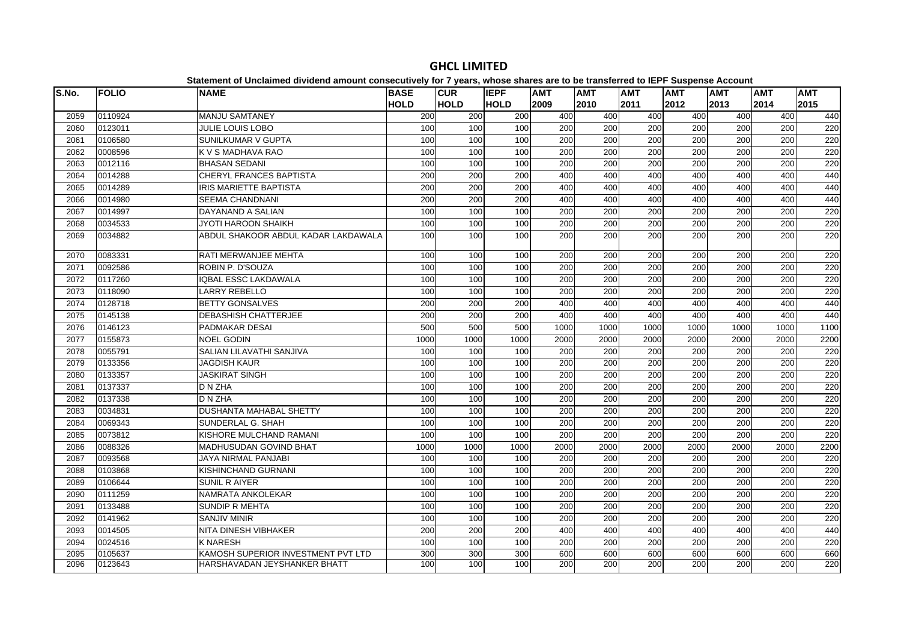| S.No. | <b>FOLIO</b> | <b>NAME</b>                         | <b>BASE</b> | <b>CUR</b>  | <b>IEPF</b>      | <b>AMT</b> | <b>AMT</b>       | <b>AMT</b> | <b>AMT</b> | AMT  | <b>AMT</b>       | <b>AMT</b> |
|-------|--------------|-------------------------------------|-------------|-------------|------------------|------------|------------------|------------|------------|------|------------------|------------|
|       |              |                                     | <b>HOLD</b> | <b>HOLD</b> | <b>HOLD</b>      | 2009       | 2010             | 2011       | 2012       | 2013 | 2014             | 2015       |
| 2059  | 0110924      | <b>MANJU SAMTANEY</b>               | 200         | 200         | 200              | 400        | 400              | 400        | 400        | 400  | 400              | 440        |
| 2060  | 0123011      | <b>JULIE LOUIS LOBO</b>             | 100         | 100         | 100              | 200        | 200              | 200        | 200        | 200  | 200              | 220        |
| 2061  | 0106580      | <b>SUNILKUMAR V GUPTA</b>           | 100         | 100         | 100              | 200        | 200              | 200        | 200        | 200  | 200              | 220        |
| 2062  | 0008596      | K V S MADHAVA RAO                   | 100         | 100         | 100              | 200        | 200              | 200        | 200        | 200  | 200              | 220        |
| 2063  | 0012116      | <b>BHASAN SEDANI</b>                | 100         | 100         | 100              | 200        | 200              | 200        | 200        | 200  | 200              | 220        |
| 2064  | 0014288      | CHERYL FRANCES BAPTISTA             | 200         | 200         | 200              | 400        | 400              | 400        | 400        | 400  | 400              | 440        |
| 2065  | 0014289      | <b>IRIS MARIETTE BAPTISTA</b>       | 200         | 200         | $\overline{200}$ | 400        | 400              | 400        | 400        | 400  | 400              | 440        |
| 2066  | 0014980      | <b>SEEMA CHANDNANI</b>              | 200         | 200         | 200              | 400        | 400              | 400        | 400        | 400  | 400              | 440        |
| 2067  | 0014997      | DAYANAND A SALIAN                   | 100         | 100         | 100              | 200        | 200              | 200        | 200        | 200  | 200              | 220        |
| 2068  | 0034533      | JYOTI HAROON SHAIKH                 | 100         | 100         | 100              | 200        | 200              | 200        | 200        | 200  | 200              | 220        |
| 2069  | 0034882      | ABDUL SHAKOOR ABDUL KADAR LAKDAWALA | 100         | 100         | 100              | 200        | 200              | 200        | 200        | 200  | 200              | 220        |
| 2070  | 0083331      | <b>RATI MERWANJEE MEHTA</b>         | 100         | 100         | 100              | 200        | 200              | 200        | 200        | 200  | 200              | 220        |
| 2071  | 0092586      | ROBIN P. D'SOUZA                    | 100         | 100         | 100              | 200        | 200              | 200        | 200        | 200  | $\overline{200}$ | 220        |
| 2072  | 0117260      | <b>IQBAL ESSC LAKDAWALA</b>         | 100         | 100         | 100              | 200        | 200              | 200        | 200        | 200  | 200              | 220        |
| 2073  | 0118090      | <b>LARRY REBELLO</b>                | 100         | 100         | 100              | 200        | 200              | 200        | 200        | 200  | 200              | 220        |
| 2074  | 0128718      | <b>BETTY GONSALVES</b>              | 200         | 200         | 200              | 400        | 400              | 400        | 400        | 400  | 400              | 440        |
| 2075  | 0145138      | <b>DEBASHISH CHATTERJEE</b>         | 200         | 200         | 200              | 400        | 400              | 400        | 400        | 400  | 400              | 440        |
| 2076  | 0146123      | PADMAKAR DESAI                      | 500         | 500         | 500              | 1000       | 1000             | 1000       | 1000       | 1000 | 1000             | 1100       |
| 2077  | 0155873      | <b>NOEL GODIN</b>                   | 1000        | 1000        | 1000             | 2000       | 2000             | 2000       | 2000       | 2000 | 2000             | 2200       |
| 2078  | 0055791      | SALIAN LILAVATHI SANJIVA            | 100         | 100         | 100              | 200        | 200              | 200        | 200        | 200  | 200              | 220        |
| 2079  | 0133356      | <b>JAGDISH KAUR</b>                 | 100         | 100         | 100              | 200        | 200              | 200        | 200        | 200  | $\overline{200}$ | 220        |
| 2080  | 0133357      | <b>JASKIRAT SINGH</b>               | 100         | 100         | 100              | 200        | 200              | 200        | 200        | 200  | 200              | 220        |
| 2081  | 0137337      | D N ZHA                             | 100         | 100         | 100              | 200        | 200              | 200        | 200        | 200  | 200              | 220        |
| 2082  | 0137338      | D N ZHA                             | 100         | 100         | 100              | 200        | 200              | 200        | 200        | 200  | 200              | 220        |
| 2083  | 0034831      | <b>DUSHANTA MAHABAL SHETTY</b>      | 100         | 100         | 100              | 200        | 200              | 200        | 200        | 200  | 200              | 220        |
| 2084  | 0069343      | SUNDERLAL G. SHAH                   | 100         | 100         | 100              | 200        | $\overline{200}$ | 200        | 200        | 200  | $\overline{200}$ | 220        |
| 2085  | 0073812      | KISHORE MULCHAND RAMANI             | 100         | 100         | 100              | 200        | 200              | 200        | 200        | 200  | 200              | 220        |
| 2086  | 0088326      | <b>MADHUSUDAN GOVIND BHAT</b>       | 1000        | 1000        | 1000             | 2000       | 2000             | 2000       | 2000       | 2000 | 2000             | 2200       |
| 2087  | 0093568      | JAYA NIRMAL PANJABI                 | 100         | 100         | 100              | 200        | 200              | 200        | 200        | 200  | 200              | 220        |
| 2088  | 0103868      | <b>KISHINCHAND GURNANI</b>          | 100         | 100         | 100              | 200        | 200              | 200        | 200        | 200  | 200              | 220        |
| 2089  | 0106644      | <b>SUNIL R AIYER</b>                | 100         | 100         | 100              | 200        | 200              | 200        | 200        | 200  | 200              | 220        |
| 2090  | 0111259      | NAMRATA ANKOLEKAR                   | 100         | 100         | 100              | 200        | 200              | 200        | 200        | 200  | 200              | 220        |
| 2091  | 0133488      | <b>SUNDIP R MEHTA</b>               | 100         | 100         | 100              | 200        | 200              | 200        | 200        | 200  | 200              | 220        |
| 2092  | 0141962      | <b>SANJIV MINIR</b>                 | 100         | 100         | 100              | 200        | 200              | 200        | 200        | 200  | $\overline{200}$ | 220        |
| 2093  | 0014505      | NITA DINESH VIBHAKER                | 200         | 200         | 200              | 400        | 400              | 400        | 400        | 400  | 400              | 440        |
| 2094  | 0024516      | <b>K NARESH</b>                     | 100         | 100         | 100              | 200        | 200              | 200        | 200        | 200  | 200              | 220        |
| 2095  | 0105637      | KAMOSH SUPERIOR INVESTMENT PVT LTD  | 300         | 300         | 300              | 600        | 600              | 600        | 600        | 600  | 600              | 660        |
| 2096  | 0123643      | HARSHAVADAN JEYSHANKER BHATT        | 100         | 100         | 100              | 200        | 200              | 200        | 200        | 200  | 200              | 220        |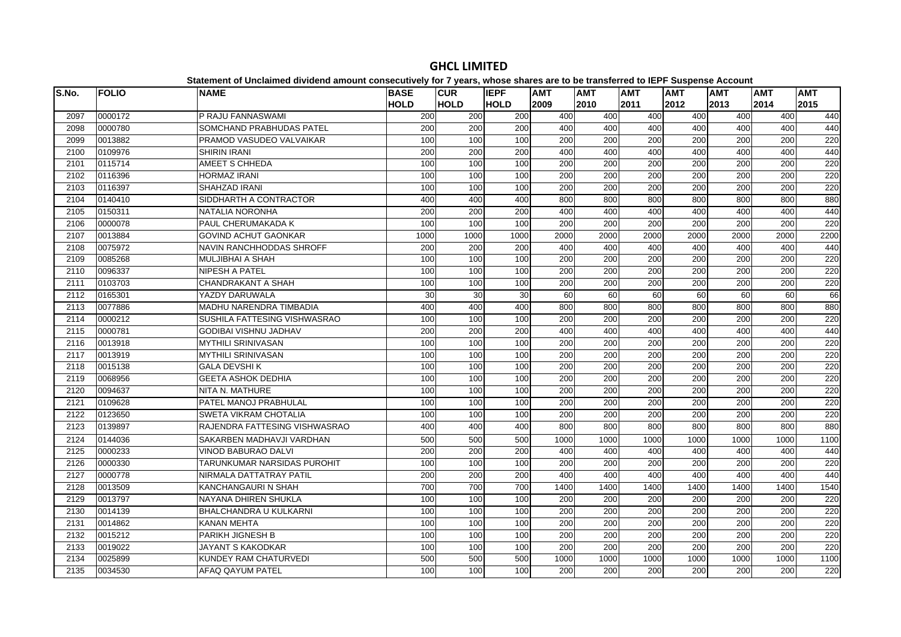| S.No. | <b>FOLIO</b> | platomont or onolalmoa arriaona amoant oonoodatroff for 1 foarof mnooo onaroo aro t<br><b>NAME</b> | <b>BASE</b> | <b>CUR</b>  | <b>IEPF</b>      | <b>AMT</b>       | .<br><b>AMT</b> | <b>AMT</b>       | $- -$<br><b>AMT</b> | <b>AMT</b> | <b>AMT</b>       | <b>AMT</b> |
|-------|--------------|----------------------------------------------------------------------------------------------------|-------------|-------------|------------------|------------------|-----------------|------------------|---------------------|------------|------------------|------------|
|       |              |                                                                                                    | <b>HOLD</b> | <b>HOLD</b> | <b>HOLD</b>      | 2009             | 2010            | 2011             | 2012                | 2013       | 2014             | 2015       |
| 2097  | 0000172      | P RAJU FANNASWAMI                                                                                  | 200         | 200         | 200              | 400              | 400             | 400              | 400                 | 400        | 400              | 440        |
| 2098  | 0000780      | SOMCHAND PRABHUDAS PATEL                                                                           | 200         | 200         | 200              | 400              | 400             | 400              | 400                 | 400        | 400              | 440        |
| 2099  | 0013882      | PRAMOD VASUDEO VALVAIKAR                                                                           | 100         | 100         | 100              | 200              | 200             | 200              | 200                 | 200        | 200              | 220        |
| 2100  | 0109976      | <b>SHIRIN IRANI</b>                                                                                | 200         | 200         | 200              | 400              | 400             | 400              | 400                 | 400        | 400              | 440        |
| 2101  | 0115714      | AMEET S CHHEDA                                                                                     | 100         | 100         | 100              | 200              | 200             | 200              | 200                 | 200        | 200              | 220        |
| 2102  | 0116396      | <b>HORMAZ IRANI</b>                                                                                | 100         | 100         | 100              | $\overline{200}$ | 200             | 200              | 200                 | 200        | 200              | 220        |
| 2103  | 0116397      | <b>SHAHZAD IRANI</b>                                                                               | 100         | 100         | 100              | 200              | 200             | 200              | 200                 | 200        | 200              | 220        |
| 2104  | 0140410      | SIDDHARTH A CONTRACTOR                                                                             | 400         | 400         | 400              | 800              | 800             | 800              | 800                 | 800        | 800              | 880        |
| 2105  | 0150311      | NATALIA NORONHA                                                                                    | 200         | 200         | 200              | 400              | 400             | 400              | 400                 | 400        | 400              | 440        |
| 2106  | 0000078      | PAUL CHERUMAKADA K                                                                                 | 100         | 100         | 100              | 200              | 200             | 200              | 200                 | 200        | 200              | 220        |
| 2107  | 0013884      | <b>GOVIND ACHUT GAONKAR</b>                                                                        | 1000        | 1000        | 1000             | 2000             | 2000            | 2000             | 2000                | 2000       | 2000             | 2200       |
| 2108  | 0075972      | NAVIN RANCHHODDAS SHROFF                                                                           | 200         | 200         | 200              | 400              | 400             | 400              | 400                 | 400        | 400              | 440        |
| 2109  | 0085268      | <b>MULJIBHAI A SHAH</b>                                                                            | 100         | 100         | 100              | 200              | 200             | 200              | 200                 | 200        | 200              | 220        |
| 2110  | 0096337      | <b>NIPESH A PATEL</b>                                                                              | 100         | 100         | 100              | 200              | 200             | 200              | 200                 | 200        | 200              | 220        |
| 2111  | 0103703      | <b>CHANDRAKANT A SHAH</b>                                                                          | 100         | 100         | 100              | 200              | 200             | 200              | 200                 | 200        | 200              | 220        |
| 2112  | 0165301      | YAZDY DARUWALA                                                                                     | 30          | 30          | 30               | 60               | 60              | 60               | 60                  | 60         | 60               | 66         |
| 2113  | 0077886      | MADHU NARENDRA TIMBADIA                                                                            | 400         | 400         | 400              | 800              | 800             | 800              | 800                 | 800        | 800              | 880        |
| 2114  | 0000212      | SUSHILA FATTESING VISHWASRAO                                                                       | 100         | 100         | 100              | 200              | 200             | 200              | 200                 | 200        | 200              | 220        |
| 2115  | 0000781      | <b>GODIBAI VISHNU JADHAV</b>                                                                       | 200         | 200         | 200              | 400              | 400             | 400              | 400                 | 400        | 400              | 440        |
| 2116  | 0013918      | <b>MYTHILI SRINIVASAN</b>                                                                          | 100         | 100         | 100              | 200              | 200             | 200              | 200                 | 200        | 200              | 220        |
| 2117  | 0013919      | <b>MYTHILI SRINIVASAN</b>                                                                          | 100         | 100         | 100              | 200              | 200             | 200              | 200                 | 200        | 200              | 220        |
| 2118  | 0015138      | <b>GALA DEVSHIK</b>                                                                                | 100         | 100         | 100              | 200              | 200             | 200              | 200                 | 200        | 200              | 220        |
| 2119  | 0068956      | <b>GEETA ASHOK DEDHIA</b>                                                                          | 100         | 100         | 100              | 200              | 200             | 200              | 200                 | 200        | 200              | 220        |
| 2120  | 0094637      | NITA N. MATHURE                                                                                    | 100         | 100         | 100              | 200              | 200             | 200              | 200                 | 200        | 200              | 220        |
| 2121  | 0109628      | PATEL MANOJ PRABHULAL                                                                              | 100         | 100         | 100              | 200              | 200             | $\overline{200}$ | 200                 | 200        | $\overline{200}$ | 220        |
| 2122  | 0123650      | <b>SWETA VIKRAM CHOTALIA</b>                                                                       | 100         | 100         | 100              | 200              | 200             | 200              | 200                 | 200        | 200              | 220        |
| 2123  | 0139897      | RAJENDRA FATTESING VISHWASRAO                                                                      | 400         | 400         | 400              | 800              | 800             | 800              | 800                 | 800        | 800              | 880        |
| 2124  | 0144036      | SAKARBEN MADHAVJI VARDHAN                                                                          | 500         | 500         | 500              | 1000             | 1000            | 1000             | 1000                | 1000       | 1000             | 1100       |
| 2125  | 0000233      | <b>VINOD BABURAO DALVI</b>                                                                         | 200         | 200         | 200              | 400              | 400             | 400              | 400                 | 400        | 400              | 440        |
| 2126  | 0000330      | TARUNKUMAR NARSIDAS PUROHIT                                                                        | 100         | 100         | 100              | 200              | 200             | 200              | 200                 | 200        | 200              | 220        |
| 2127  | 0000778      | NIRMALA DATTATRAY PATIL                                                                            | 200         | 200         | $\overline{200}$ | 400              | 400             | 400              | 400                 | 400        | 400              | 440        |
| 2128  | 0013509      | KANCHANGAURI N SHAH                                                                                | 700         | 700         | 700              | 1400             | 1400            | 1400             | 1400                | 1400       | 1400             | 1540       |
| 2129  | 0013797      | NAYANA DHIREN SHUKLA                                                                               | 100         | 100         | 100              | 200              | 200             | $\overline{200}$ | 200                 | 200        | 200              | 220        |
| 2130  | 0014139      | <b>BHALCHANDRA U KULKARNI</b>                                                                      | 100         | 100         | 100              | 200              | 200             | 200              | 200                 | 200        | 200              | 220        |
| 2131  | 0014862      | <b>KANAN MEHTA</b>                                                                                 | 100         | 100         | 100              | 200              | 200             | 200              | 200                 | 200        | 200              | 220        |
| 2132  | 0015212      | PARIKH JIGNESH B                                                                                   | 100         | 100         | 100              | 200              | 200             | 200              | 200                 | 200        | 200              | 220        |
| 2133  | 0019022      | JAYANT S KAKODKAR                                                                                  | 100         | 100         | 100              | 200              | 200             | 200              | 200                 | 200        | 200              | 220        |
| 2134  | 0025899      | KUNDEY RAM CHATURVEDI                                                                              | 500         | 500         | 500              | 1000             | 1000            | 1000             | 1000                | 1000       | 1000             | 1100       |
| 2135  | 0034530      | <b>AFAQ QAYUM PATEL</b>                                                                            | 100         | 100         | 100              | 200              | 200             | 200              | 200                 | 200        | 200              | 220        |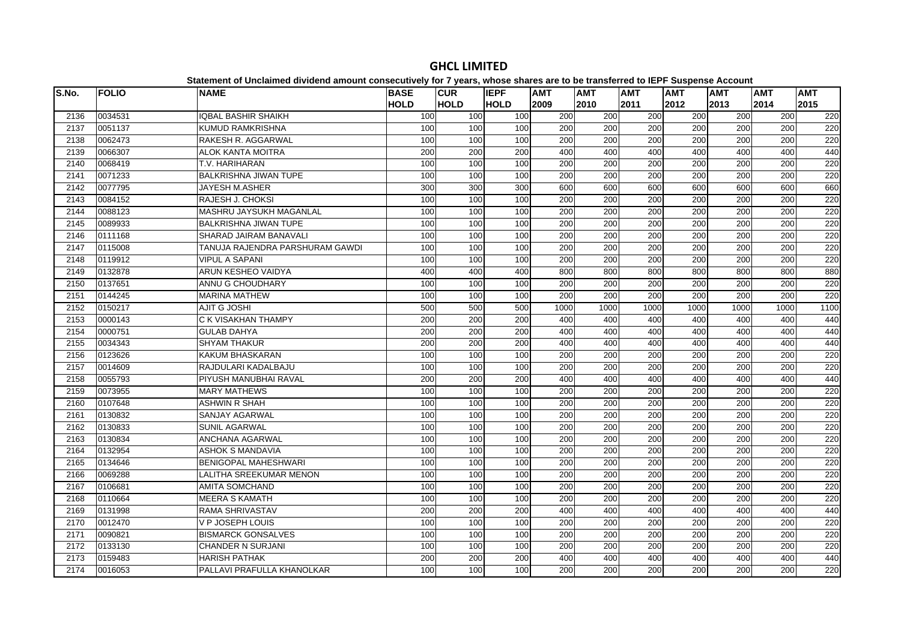| S.No. | <b>FOLIO</b> | <b>NAME</b>                     | <b>BASE</b> | <b>CUR</b>  | <b>IEPF</b> | <b>AMT</b>       | <b>AMT</b>       | <b>AMT</b>       | <b>AMT</b> | <b>AMT</b> | <b>AMT</b>       | <b>AMT</b> |
|-------|--------------|---------------------------------|-------------|-------------|-------------|------------------|------------------|------------------|------------|------------|------------------|------------|
|       |              |                                 | <b>HOLD</b> | <b>HOLD</b> | <b>HOLD</b> | 2009             | 2010             | 2011             | 2012       | 2013       | 2014             | 2015       |
| 2136  | 0034531      | <b>IQBAL BASHIR SHAIKH</b>      | 100         | 100         | 100         | 200              | 200              | 200              | 200        | 200        | 200              | 220        |
| 2137  | 0051137      | <b>KUMUD RAMKRISHNA</b>         | 100         | 100         | 100         | 200              | 200              | 200              | 200        | 200        | 200              | 220        |
| 2138  | 0062473      | RAKESH R. AGGARWAL              | 100         | 100         | 100         | 200              | 200              | 200              | 200        | 200        | 200              | 220        |
| 2139  | 0066307      | <b>ALOK KANTA MOITRA</b>        | 200         | 200         | 200         | 400              | 400              | 400              | 400        | 400        | 400              | 440        |
| 2140  | 0068419      | T.V. HARIHARAN                  | 100         | 100         | 100         | 200              | 200              | $\overline{200}$ | 200        | 200        | $\overline{200}$ | 220        |
| 2141  | 0071233      | <b>BALKRISHNA JIWAN TUPE</b>    | 100         | 100         | 100         | 200              | 200              | $\overline{200}$ | 200        | 200        | 200              | 220        |
| 2142  | 0077795      | <b>JAYESH M.ASHER</b>           | 300         | 300         | 300         | 600              | 600              | 600              | 600        | 600        | 600              | 660        |
| 2143  | 0084152      | RAJESH J. CHOKSI                | 100         | 100         | 100         | 200              | 200              | 200              | 200        | 200        | 200              | 220        |
| 2144  | 0088123      | MASHRU JAYSUKH MAGANLAL         | 100         | 100         | 100         | 200              | 200              | 200              | 200        | 200        | 200              | 220        |
| 2145  | 0089933      | <b>BALKRISHNA JIWAN TUPE</b>    | 100         | 100         | 100         | 200              | 200              | 200              | 200        | 200        | 200              | 220        |
| 2146  | 0111168      | SHARAD JAIRAM BANAVALI          | 100         | 100         | 100         | $\overline{200}$ | $\overline{200}$ | $\overline{200}$ | 200        | 200        | $\overline{200}$ | 220        |
| 2147  | 0115008      | TANUJA RAJENDRA PARSHURAM GAWDI | 100         | 100         | 100         | 200              | 200              | 200              | 200        | 200        | 200              | 220        |
| 2148  | 0119912      | <b>VIPUL A SAPANI</b>           | 100         | 100         | 100         | 200              | 200              | 200              | 200        | 200        | 200              | 220        |
| 2149  | 0132878      | <b>ARUN KESHEO VAIDYA</b>       | 400         | 400         | 400         | 800              | 800              | 800              | 800        | 800        | 800              | 880        |
| 2150  | 0137651      | ANNU G CHOUDHARY                | 100         | 100         | 100         | 200              | 200              | 200              | 200        | 200        | 200              | 220        |
| 2151  | 0144245      | <b>MARINA MATHEW</b>            | 100         | 100         | 100         | 200              | 200              | 200              | 200        | 200        | 200              | 220        |
| 2152  | 0150217      | <b>AJIT G JOSHI</b>             | 500         | 500         | 500         | 1000             | 1000             | 1000             | 1000       | 1000       | 1000             | 1100       |
| 2153  | 0000143      | C K VISAKHAN THAMPY             | 200         | 200         | 200         | 400              | 400              | 400              | 400        | 400        | 400              | 440        |
| 2154  | 0000751      | <b>GULAB DAHYA</b>              | 200         | 200         | 200         | 400              | 400              | 400              | 400        | 400        | 400              | 440        |
| 2155  | 0034343      | <b>SHYAM THAKUR</b>             | 200         | 200         | 200         | 400              | 400              | 400              | 400        | 400        | 400              | 440        |
| 2156  | 0123626      | KAKUM BHASKARAN                 | 100         | 100         | 100         | 200              | 200              | 200              | 200        | 200        | 200              | 220        |
| 2157  | 0014609      | RAJDULARI KADALBAJU             | 100         | 100         | 100         | 200              | 200              | 200              | 200        | 200        | 200              | 220        |
| 2158  | 0055793      | PIYUSH MANUBHAI RAVAL           | 200         | 200         | 200         | 400              | 400              | 400              | 400        | 400        | 400              | 440        |
| 2159  | 0073955      | <b>MARY MATHEWS</b>             | 100         | 100         | 100         | 200              | 200              | 200              | 200        | 200        | 200              | 220        |
| 2160  | 0107648      | <b>ASHWIN R SHAH</b>            | 100         | 100         | 100         | 200              | 200              | 200              | 200        | 200        | 200              | 220        |
| 2161  | 0130832      | SANJAY AGARWAL                  | 100         | 100         | 100         | 200              | 200              | 200              | 200        | 200        | 200              | 220        |
| 2162  | 0130833      | <b>SUNIL AGARWAL</b>            | 100         | 100         | 100         | $\overline{200}$ | $\overline{200}$ | $\overline{200}$ | 200        | 200        | $\overline{200}$ | 220        |
| 2163  | 0130834      | <b>ANCHANA AGARWAL</b>          | 100         | 100         | 100         | 200              | 200              | 200              | 200        | 200        | 200              | 220        |
| 2164  | 0132954      | <b>ASHOK S MANDAVIA</b>         | 100         | 100         | 100         | 200              | 200              | 200              | 200        | 200        | 200              | 220        |
| 2165  | 0134646      | <b>BENIGOPAL MAHESHWARI</b>     | 100         | 100         | 100         | 200              | 200              | 200              | 200        | 200        | 200              | 220        |
| 2166  | 0069288      | LALITHA SREEKUMAR MENON         | 100         | 100         | 100         | 200              | 200              | 200              | 200        | 200        | 200              | 220        |
| 2167  | 0106681      | <b>AMITA SOMCHAND</b>           | 100         | 100         | 100         | $\overline{200}$ | $\overline{200}$ | 200              | 200        | 200        | $\overline{200}$ | 220        |
| 2168  | 0110664      | <b>MEERA S KAMATH</b>           | 100         | 100         | 100         | 200              | 200              | $\overline{200}$ | 200        | 200        | $\overline{200}$ | 220        |
| 2169  | 0131998      | <b>RAMA SHRIVASTAV</b>          | 200         | 200         | 200         | 400              | 400              | 400              | 400        | 400        | 400              | 440        |
| 2170  | 0012470      | V P JOSEPH LOUIS                | 100         | 100         | 100         | 200              | 200              | 200              | 200        | 200        | 200              | 220        |
| 2171  | 0090821      | <b>BISMARCK GONSALVES</b>       | 100         | 100         | 100         | 200              | 200              | 200              | 200        | 200        | 200              | 220        |
| 2172  | 0133130      | CHANDER N SURJANI               | 100         | 100         | 100         | 200              | 200              | 200              | 200        | 200        | 200              | 220        |
| 2173  | 0159483      | <b>HARISH PATHAK</b>            | 200         | 200         | 200         | 400              | 400              | 400              | 400        | 400        | 400              | 440        |
| 2174  | 0016053      | PALLAVI PRAFULLA KHANOLKAR      | 100         | 100         | 100         | 200              | 200              | 200              | 200        | 200        | 200              | 220        |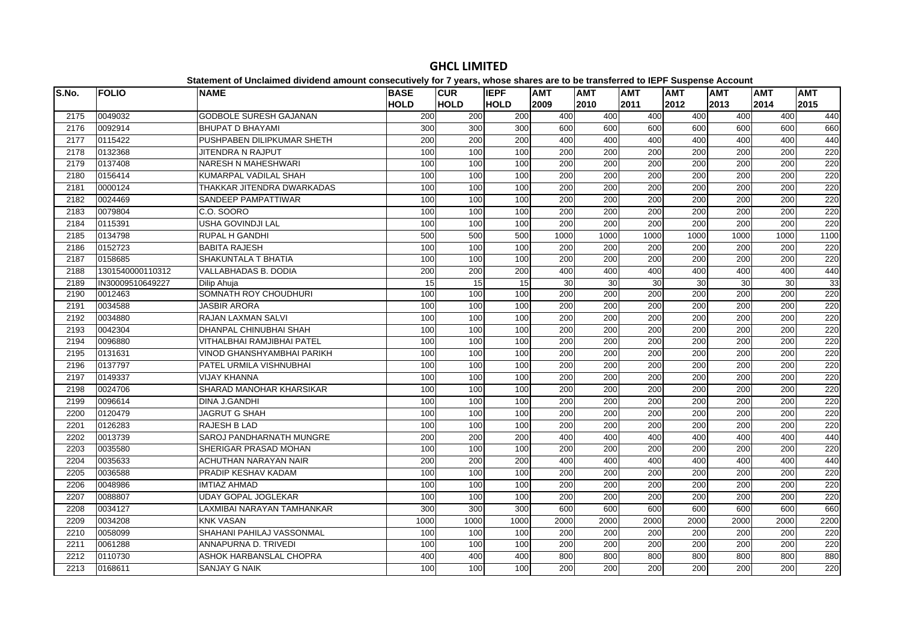| S.No. | <b>FOLIO</b>     | platomont or onolalmoa arriaona amoant concocativity for r-yourof mnoco charge are t<br><b>NAME</b> | <b>BASE</b> | <b>CUR</b>  | <b>IEPF</b> | <b>AMT</b>       | .<br><b>AMT</b>  | <b>AMT</b>       | $- -$<br><b>AMT</b> | <b>AMT</b> | <b>AMT</b> | <b>AMT</b> |
|-------|------------------|-----------------------------------------------------------------------------------------------------|-------------|-------------|-------------|------------------|------------------|------------------|---------------------|------------|------------|------------|
|       |                  |                                                                                                     | <b>HOLD</b> | <b>HOLD</b> | <b>HOLD</b> | 2009             | 2010             | 2011             | 2012                | 2013       | 2014       | 2015       |
| 2175  | 0049032          | <b>GODBOLE SURESH GAJANAN</b>                                                                       | 200         | 200         | 200         | 400              | 400              | 400              | 400                 | 400        | 400        | 440        |
| 2176  | 0092914          | <b>BHUPAT D BHAYAMI</b>                                                                             | 300         | 300         | 300         | 600              | 600              | 600              | 600                 | 600        | 600        | 660        |
| 2177  | 0115422          | PUSHPABEN DILIPKUMAR SHETH                                                                          | 200         | 200         | 200         | 400              | 400              | 400              | 400                 | 400        | 400        | 440        |
| 2178  | 0132368          | <b>JITENDRA N RAJPUT</b>                                                                            | 100         | 100         | 100         | 200              | 200              | 200              | 200                 | 200        | 200        | 220        |
| 2179  | 0137408          | NARESH N MAHESHWARI                                                                                 | 100         | 100         | 100         | 200              | 200              | 200              | 200                 | 200        | 200        | 220        |
| 2180  | 0156414          | KUMARPAL VADILAL SHAH                                                                               | 100         | 100         | 100         | $\overline{200}$ | $\overline{200}$ | $\overline{200}$ | $\overline{200}$    | 200        | 200        | 220        |
| 2181  | 0000124          | THAKKAR JITENDRA DWARKADAS                                                                          | 100         | 100         | 100         | 200              | 200              | $\overline{200}$ | 200                 | 200        | 200        | 220        |
| 2182  | 0024469          | SANDEEP PAMPATTIWAR                                                                                 | 100         | 100         | 100         | 200              | 200              | 200              | 200                 | 200        | 200        | 220        |
| 2183  | 0079804          | C.O. SOORO                                                                                          | 100         | 100         | 100         | 200              | 200              | 200              | 200                 | 200        | 200        | 220        |
| 2184  | 0115391          | USHA GOVINDJI LAL                                                                                   | 100         | 100         | 100         | 200              | 200              | 200              | $\overline{200}$    | 200        | 200        | 220        |
| 2185  | 0134798          | <b>RUPAL H GANDHI</b>                                                                               | 500         | 500         | 500         | 1000             | 1000             | 1000             | 1000                | 1000       | 1000       | 1100       |
| 2186  | 0152723          | <b>BABITA RAJESH</b>                                                                                | 100         | 100         | 100         | 200              | 200              | 200              | 200                 | 200        | 200        | 220        |
| 2187  | 0158685          | SHAKUNTALA T BHATIA                                                                                 | 100         | 100         | 100         | $\overline{200}$ | $\overline{200}$ | $\overline{200}$ | 200                 | 200        | 200        | 220        |
| 2188  | 1301540000110312 | <b>VALLABHADAS B. DODIA</b>                                                                         | 200         | 200         | 200         | 400              | 400              | 400              | 400                 | 400        | 400        | 440        |
| 2189  | IN30009510649227 | Dilip Ahuja                                                                                         | 15          | 15          | 15          | 30               | 30               | 30               | 30                  | 30         | 30         | 33         |
| 2190  | 0012463          | SOMNATH ROY CHOUDHURI                                                                               | 100         | 100         | 100         | 200              | 200              | 200              | 200                 | 200        | 200        | 220        |
| 2191  | 0034588          | <b>JASBIR ARORA</b>                                                                                 | 100         | 100         | 100         | 200              | 200              | 200              | $\overline{200}$    | 200        | 200        | 220        |
| 2192  | 0034880          | RAJAN LAXMAN SALVI                                                                                  | 100         | 100         | 100         | 200              | 200              | 200              | 200                 | 200        | 200        | 220        |
| 2193  | 0042304          | DHANPAL CHINUBHAI SHAH                                                                              | 100         | 100         | 100         | 200              | 200              | 200              | 200                 | 200        | 200        | 220        |
| 2194  | 0096880          | VITHALBHAI RAMJIBHAI PATEL                                                                          | 100         | 100         | 100         | 200              | 200              | 200              | 200                 | 200        | 200        | 220        |
| 2195  | 0131631          | VINOD GHANSHYAMBHAI PARIKH                                                                          | 100         | 100         | 100         | $\overline{200}$ | $\overline{200}$ | $\overline{200}$ | $\overline{200}$    | 200        | 200        | 220        |
| 2196  | 0137797          | PATEL URMILA VISHNUBHAI                                                                             | 100         | 100         | 100         | 200              | 200              | 200              | 200                 | 200        | 200        | 220        |
| 2197  | 0149337          | <b>VIJAY KHANNA</b>                                                                                 | 100         | 100         | 100         | 200              | 200              | 200              | 200                 | 200        | 200        | 220        |
| 2198  | 0024706          | SHARAD MANOHAR KHARSIKAR                                                                            | 100         | 100         | 100         | 200              | 200              | $\overline{200}$ | 200                 | 200        | 200        | 220        |
| 2199  | 0096614          | <b>DINA J.GANDHI</b>                                                                                | 100         | 100         | 100         | 200              | 200              | 200              | 200                 | 200        | 200        | 220        |
| 2200  | 0120479          | <b>JAGRUT G SHAH</b>                                                                                | 100         | 100         | 100         | 200              | 200              | 200              | 200                 | 200        | 200        | 220        |
| 2201  | 0126283          | RAJESH B LAD                                                                                        | 100         | 100         | 100         | 200              | 200              | 200              | 200                 | 200        | 200        | 220        |
| 2202  | 0013739          | <b>SAROJ PANDHARNATH MUNGRE</b>                                                                     | 200         | 200         | 200         | 400              | 400              | 400              | 400                 | 400        | 400        | 440        |
| 2203  | 0035580          | SHERIGAR PRASAD MOHAN                                                                               | 100         | 100         | 100         | 200              | 200              | 200              | 200                 | 200        | 200        | 220        |
| 2204  | 0035633          | ACHUTHAN NARAYAN NAIR                                                                               | 200         | 200         | 200         | 400              | 400              | 400              | 400                 | 400        | 400        | 440        |
| 2205  | 0036588          | PRADIP KESHAV KADAM                                                                                 | 100         | 100         | 100         | 200              | $\overline{200}$ | $\overline{200}$ | 200                 | 200        | 200        | 220        |
| 2206  | 0048986          | <b>IMTIAZ AHMAD</b>                                                                                 | 100         | 100         | 100         | $\overline{200}$ | 200              | $\overline{200}$ | 200                 | 200        | 200        | 220        |
| 2207  | 0088807          | <b>UDAY GOPAL JOGLEKAR</b>                                                                          | 100         | 100         | 100         | 200              | 200              | 200              | 200                 | 200        | 200        | 220        |
| 2208  | 0034127          | LAXMIBAI NARAYAN TAMHANKAR                                                                          | 300         | 300         | 300         | 600              | 600              | 600              | 600                 | 600        | 600        | 660        |
| 2209  | 0034208          | <b>KNK VASAN</b>                                                                                    | 1000        | 1000        | 1000        | 2000             | 2000             | 2000             | 2000                | 2000       | 2000       | 2200       |
| 2210  | 0058099          | SHAHANI PAHILAJ VASSONMAL                                                                           | 100         | 100         | 100         | 200              | 200              | 200              | 200                 | 200        | 200        | 220        |
| 2211  | 0061288          | ANNAPURNA D. TRIVEDI                                                                                | 100         | 100         | 100         | 200              | 200              | 200              | 200                 | 200        | 200        | 220        |
| 2212  | 0110730          | ASHOK HARBANSLAL CHOPRA                                                                             | 400         | 400         | 400         | 800              | 800              | 800              | 800                 | 800        | 800        | 880        |
| 2213  | 0168611          | <b>SANJAY G NAIK</b>                                                                                | 100         | 100         | 100         | 200              | 200              | 200              | $\overline{200}$    | 200        | 200        | 220        |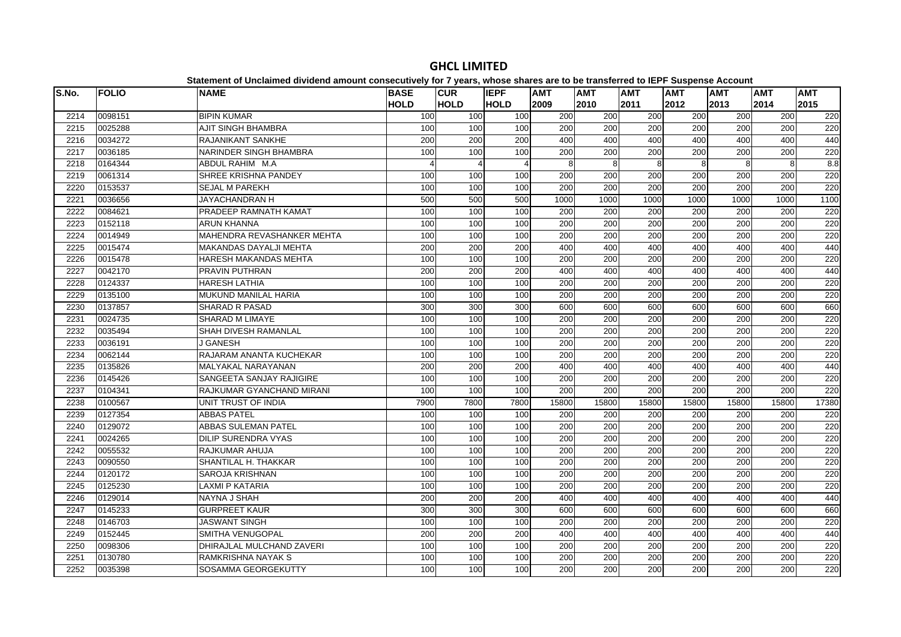| S.No. | <b>FOLIO</b> | <b>NAME</b>                   | <b>BASE</b> | <b>CUR</b>            | <b>IEPF</b> | <b>AMT</b>       | <b>AMT</b>       | <b>AMT</b>       | <b>AMT</b>       | <b>AMT</b>       | <b>AMT</b> | <b>AMT</b> |
|-------|--------------|-------------------------------|-------------|-----------------------|-------------|------------------|------------------|------------------|------------------|------------------|------------|------------|
|       |              |                               | <b>HOLD</b> | <b>HOLD</b>           | <b>HOLD</b> | 2009             | 2010             | 2011             | 2012             | 2013             | 2014       | 2015       |
| 2214  | 0098151      | <b>BIPIN KUMAR</b>            | 100         | 100                   | 100         | 200              | 200              | 200              | 200              | 200              | 200        | 220        |
| 2215  | 0025288      | <b>AJIT SINGH BHAMBRA</b>     | 100         | 100                   | 100         | 200              | 200              | 200              | 200              | 200              | 200        | 220        |
| 2216  | 0034272      | <b>RAJANIKANT SANKHE</b>      | 200         | 200                   | 200         | 400              | 400              | 400              | 400              | 400              | 400        | 440        |
| 2217  | 0036185      | NARINDER SINGH BHAMBRA        | 100         | 100                   | 100         | 200              | 200              | 200              | 200              | 200              | 200        | 220        |
| 2218  | 0164344      | ABDUL RAHIM M.A               |             | $\boldsymbol{\Delta}$ | 4           | 8                | 8                | 8                | 8                | 8                | 8          | 8.8        |
| 2219  | 0061314      | SHREE KRISHNA PANDEY          | 100         | 100                   | 100         | 200              | 200              | $\overline{200}$ | 200              | 200              | 200        | 220        |
| 2220  | 0153537      | <b>SEJAL M PAREKH</b>         | 100         | 100                   | 100         | 200              | 200              | 200              | 200              | 200              | 200        | 220        |
| 2221  | 0036656      | JAYACHANDRAN H                | 500         | 500                   | 500         | 1000             | 1000             | 1000             | 1000             | 1000             | 1000       | 1100       |
| 2222  | 0084621      | PRADEEP RAMNATH KAMAT         | 100         | 100                   | 100         | 200              | 200              | 200              | 200              | 200              | 200        | 220        |
| 2223  | 0152118      | <b>ARUN KHANNA</b>            | 100         | 100                   | 100         | 200              | 200              | 200              | 200              | 200              | 200        | 220        |
| 2224  | 0014949      | MAHENDRA REVASHANKER MEHTA    | 100         | 100                   | 100         | $\overline{200}$ | $\overline{200}$ | $\overline{200}$ | 200              | 200              | 200        | 220        |
| 2225  | 0015474      | <b>MAKANDAS DAYALJI MEHTA</b> | 200         | 200                   | 200         | 400              | 400              | 400              | 400              | 400              | 400        | 440        |
| 2226  | 0015478      | HARESH MAKANDAS MEHTA         | 100         | 100                   | 100         | 200              | 200              | 200              | 200              | 200              | 200        | 220        |
| 2227  | 0042170      | PRAVIN PUTHRAN                | 200         | 200                   | 200         | 400              | 400              | 400              | 400              | 400              | 400        | 440        |
| 2228  | 0124337      | <b>HARESH LATHIA</b>          | 100         | 100                   | 100         | 200              | $\overline{200}$ | $\overline{200}$ | 200              | 200              | 200        | 220        |
| 2229  | 0135100      | <b>MUKUND MANILAL HARIA</b>   | 100         | 100                   | 100         | 200              | 200              | $\overline{200}$ | 200              | 200              | 200        | 220        |
| 2230  | 0137857      | <b>SHARAD R PASAD</b>         | 300         | 300                   | 300         | 600              | 600              | 600              | 600              | 600              | 600        | 660        |
| 2231  | 0024735      | <b>SHARAD M LIMAYE</b>        | 100         | 100                   | 100         | 200              | 200              | 200              | 200              | 200              | 200        | 220        |
| 2232  | 0035494      | SHAH DIVESH RAMANLAL          | 100         | 100                   | 100         | 200              | 200              | 200              | 200              | 200              | 200        | 220        |
| 2233  | 0036191      | J GANESH                      | 100         | 100                   | 100         | 200              | 200              | 200              | 200              | 200              | 200        | 220        |
| 2234  | 0062144      | RAJARAM ANANTA KUCHEKAR       | 100         | 100                   | 100         | 200              | 200              | 200              | 200              | 200              | 200        | 220        |
| 2235  | 0135826      | <b>MALYAKAL NARAYANAN</b>     | 200         | 200                   | 200         | 400              | 400              | 400              | 400              | 400              | 400        | 440        |
| 2236  | 0145426      | SANGEETA SANJAY RAJIGIRE      | 100         | 100                   | 100         | 200              | 200              | 200              | 200              | 200              | 200        | 220        |
| 2237  | 0104341      | RAJKUMAR GYANCHAND MIRANI     | 100         | 100                   | 100         | 200              | 200              | 200              | 200              | 200              | 200        | 220        |
| 2238  | 0100567      | UNIT TRUST OF INDIA           | 7900        | 7800                  | 7800        | 15800            | 15800            | 15800            | 15800            | 15800            | 15800      | 17380      |
| 2239  | 0127354      | <b>ABBAS PATEL</b>            | 100         | 100                   | 100         | 200              | 200              | 200              | 200              | 200              | 200        | 220        |
| 2240  | 0129072      | <b>ABBAS SULEMAN PATEL</b>    | 100         | 100                   | 100         | 200              | 200              | 200              | 200              | 200              | 200        | 220        |
| 2241  | 0024265      | <b>DILIP SURENDRA VYAS</b>    | 100         | 100                   | 100         | 200              | 200              | $\overline{200}$ | 200              | 200              | 200        | 220        |
| 2242  | 0055532      | RAJKUMAR AHUJA                | 100         | 100                   | 100         | 200              | 200              | 200              | 200              | 200              | 200        | 220        |
| 2243  | 0090550      | SHANTILAL H. THAKKAR          | 100         | 100                   | 100         | 200              | 200              | 200              | 200              | 200              | 200        | 220        |
| 2244  | 0120172      | SAROJA KRISHNAN               | 100         | 100                   | 100         | 200              | 200              | 200              | 200              | 200              | 200        | 220        |
| 2245  | 0125230      | LAXMI P KATARIA               | 100         | 100                   | 100         | $\overline{200}$ | $\overline{200}$ | 200              | 200              | $\overline{200}$ | 200        | 220        |
| 2246  | 0129014      | NAYNA J SHAH                  | 200         | 200                   | 200         | 400              | 400              | 400              | 400              | 400              | 400        | 440        |
| 2247  | 0145233      | <b>GURPREET KAUR</b>          | 300         | 300                   | 300         | 600              | 600              | 600              | 600              | 600              | 600        | 660        |
| 2248  | 0146703      | <b>JASWANT SINGH</b>          | 100         | 100                   | 100         | 200              | 200              | 200              | 200              | 200              | 200        | 220        |
| 2249  | 0152445      | SMITHA VENUGOPAL              | 200         | 200                   | 200         | 400              | 400              | 400              | 400              | 400              | 400        | 440        |
| 2250  | 0098306      | DHIRAJLAL MULCHAND ZAVERI     | 100         | 100                   | 100         | 200              | 200              | 200              | 200              | 200              | 200        | 220        |
| 2251  | 0130780      | RAMKRISHNA NAYAK S            | 100         | 100                   | 100         | 200              | 200              | $\overline{200}$ | $\overline{200}$ | 200              | 200        | 220        |
| 2252  | 0035398      | SOSAMMA GEORGEKUTTY           | 100         | 100                   | 100         | 200              | 200              | 200              | 200              | 200              | 200        | 220        |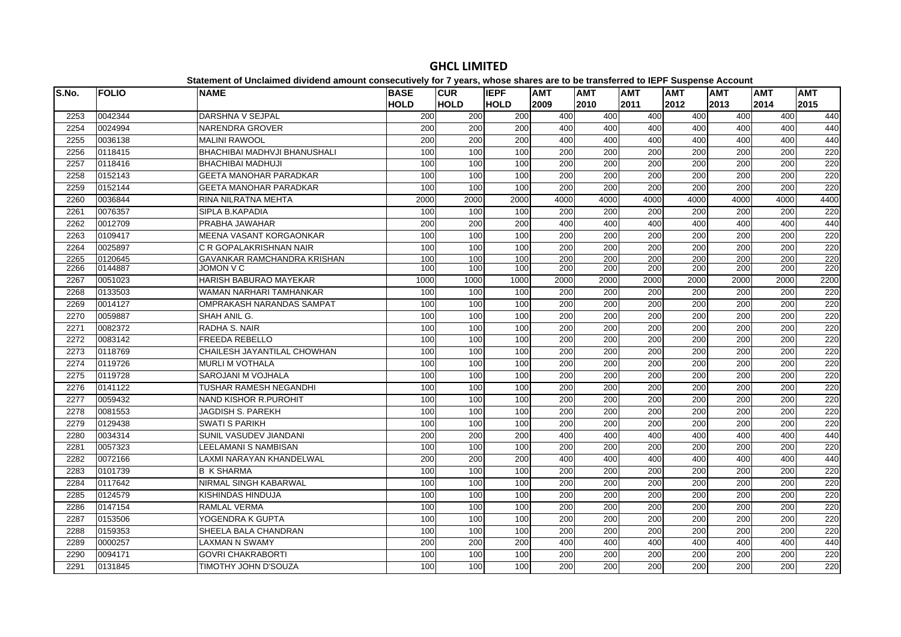| S.No. | <b>FOLIO</b> | <b>NAME</b>                     | <b>BASE</b> | <b>CUR</b>  | <b>IEPF</b> | <b>AMT</b>       | <b>AMT</b>       | <b>AMT</b>       | <b>AMT</b> | <b>AMT</b> | <b>AMT</b>       | <b>AMT</b> |
|-------|--------------|---------------------------------|-------------|-------------|-------------|------------------|------------------|------------------|------------|------------|------------------|------------|
|       |              |                                 | <b>HOLD</b> | <b>HOLD</b> | <b>HOLD</b> | 2009             | 2010             | 2011             | 2012       | 2013       | 2014             | 2015       |
| 2253  | 0042344      | DARSHNA V SEJPAL                | 200         | 200         | 200         | 400              | 400              | 400              | 400        | 400        | 400              | 440        |
| 2254  | 0024994      | <b>NARENDRA GROVER</b>          | 200         | 200         | 200         | 400              | 400              | 400              | 400        | 400        | 400              | 440        |
| 2255  | 0036138      | <b>MALINI RAWOOL</b>            | 200         | 200         | 200         | 400              | 400              | 400              | 400        | 400        | 400              | 440        |
| 2256  | 0118415      | BHACHIBAI MADHVJI BHANUSHALI    | 100         | 100         | 100         | 200              | 200              | $\overline{200}$ | 200        | 200        | $\overline{200}$ | 220        |
| 2257  | 0118416      | <b>BHACHIBAI MADHUJI</b>        | 100         | 100         | 100         | 200              | 200              | 200              | 200        | 200        | 200              | 220        |
| 2258  | 0152143      | <b>GEETA MANOHAR PARADKAR</b>   | 100         | 100         | 100         | $\overline{200}$ | $\overline{200}$ | $\overline{200}$ | 200        | 200        | $\overline{200}$ | 220        |
| 2259  | 0152144      | <b>GEETA MANOHAR PARADKAR</b>   | 100         | 100         | 100         | $\overline{200}$ | 200              | $\overline{200}$ | 200        | 200        | $\overline{200}$ | 220        |
| 2260  | 0036844      | RINA NILRATNA MEHTA             | 2000        | 2000        | 2000        | 4000             | 4000             | 4000             | 4000       | 4000       | 4000             | 4400       |
| 2261  | 0076357      | SIPLA B.KAPADIA                 | 100         | 100         | 100         | 200              | 200              | 200              | 200        | 200        | 200              | 220        |
| 2262  | 0012709      | PRABHA JAWAHAR                  | 200         | 200         | 200         | 400              | 400              | 400              | 400        | 400        | 400              | 440        |
| 2263  | 0109417      | <b>MEENA VASANT KORGAONKAR</b>  | 100         | 100         | 100         | 200              | 200              | 200              | 200        | 200        | 200              | 220        |
| 2264  | 0025897      | C R GOPALAKRISHNAN NAIR         | 100         | 100         | 100         | 200              | 200              | 200              | 200        | 200        | 200              | 220        |
| 2265  | 0120645      | GAVANKAR RAMCHANDRA KRISHAN     | 100         | 100         | 100         | 200              | 200              | 200              | 200        | 200        | 200              | 220        |
| 2266  | 0144887      | JOMON V C                       | 100         | 100         | 100         | 200              | 200              | 200              | 200        | 200        | 200              | 220        |
| 2267  | 0051023      | HARISH BABURAO MAYEKAR          | 1000        | 1000        | 1000        | 2000             | 2000             | 2000             | 2000       | 2000       | 2000             | 2200       |
| 2268  | 0133503      | WAMAN NARHARI TAMHANKAR         | 100         | 100         | 100         | 200              | 200              | 200              | 200        | 200        | 200              | 220        |
| 2269  | 0014127      | OMPRAKASH NARANDAS SAMPAT       | 100         | 100         | 100         | 200              | 200              | 200              | 200        | 200        | 200              | 220        |
| 2270  | 0059887      | SHAH ANIL G.                    | 100         | 100         | 100         | 200              | 200              | 200              | 200        | 200        | 200              | 220        |
| 2271  | 0082372      | RADHA S. NAIR                   | 100         | 100         | 100         | 200              | $\overline{200}$ | 200              | 200        | 200        | 200              | 220        |
| 2272  | 0083142      | <b>FREEDA REBELLO</b>           | 100         | 100         | 100         | 200              | 200              | 200              | 200        | 200        | 200              | 220        |
| 2273  | 0118769      | CHAILESH JAYANTILAL CHOWHAN     | 100         | 100         | 100         | $\overline{200}$ | $\overline{200}$ | $\overline{200}$ | 200        | 200        | $\overline{200}$ | 220        |
| 2274  | 0119726      | <b>MURLI M VOTHALA</b>          | 100         | 100         | 100         | 200              | 200              | 200              | 200        | 200        | 200              | 220        |
| 2275  | 0119728      | SAROJANI M VOJHALA              | 100         | 100         | 100         | 200              | 200              | 200              | 200        | 200        | 200              | 220        |
| 2276  | 0141122      | TUSHAR RAMESH NEGANDHI          | 100         | 100         | 100         | 200              | 200              | $\overline{200}$ | 200        | 200        | $\overline{200}$ | 220        |
| 2277  | 0059432      | NAND KISHOR R.PUROHIT           | 100         | 100         | 100         | 200              | 200              | 200              | 200        | 200        | 200              | 220        |
| 2278  | 0081553      | <b>JAGDISH S. PAREKH</b>        | 100         | 100         | 100         | $\overline{200}$ | 200              | 200              | 200        | 200        | $\overline{200}$ | 220        |
| 2279  | 0129438      | <b>SWATI S PARIKH</b>           | 100         | 100         | 100         | 200              | 200              | 200              | 200        | 200        | 200              | 220        |
| 2280  | 0034314      | SUNIL VASUDEV JIANDANI          | 200         | 200         | 200         | 400              | 400              | 400              | 400        | 400        | 400              | 440        |
| 2281  | 0057323      | <b>LEELAMANI S NAMBISAN</b>     | 100         | 100         | 100         | $\overline{200}$ | 200              | $\overline{200}$ | 200        | 200        | $\overline{200}$ | 220        |
| 2282  | 0072166      | <b>LAXMI NARAYAN KHANDELWAL</b> | 200         | 200         | 200         | 400              | 400              | 400              | 400        | 400        | 400              | 440        |
| 2283  | 0101739      | <b>B K SHARMA</b>               | 100         | 100         | 100         | 200              | 200              | 200              | 200        | 200        | 200              | 220        |
| 2284  | 0117642      | <b>NIRMAL SINGH KABARWAL</b>    | 100         | 100         | 100         | $\overline{200}$ | 200              | $\overline{200}$ | 200        | 200        | 200              | 220        |
| 2285  | 0124579      | KISHINDAS HINDUJA               | 100         | 100         | 100         | 200              | 200              | 200              | 200        | 200        | 200              | 220        |
| 2286  | 0147154      | <b>RAMLAL VERMA</b>             | 100         | 100         | 100         | 200              | 200              | 200              | 200        | 200        | 200              | 220        |
| 2287  | 0153506      | YOGENDRA K GUPTA                | 100         | 100         | 100         | 200              | 200              | 200              | 200        | 200        | 200              | 220        |
| 2288  | 0159353      | SHEELA BALA CHANDRAN            | 100         | 100         | 100         | 200              | $\overline{200}$ | $\overline{200}$ | 200        | 200        | 200              | 220        |
| 2289  | 0000257      | <b>LAXMAN N SWAMY</b>           | 200         | 200         | 200         | 400              | 400              | 400              | 400        | 400        | 400              | 440        |
| 2290  | 0094171      | <b>GOVRI CHAKRABORTI</b>        | 100         | 100         | 100         | 200              | 200              | 200              | 200        | 200        | 200              | 220        |
| 2291  | 0131845      | TIMOTHY JOHN D'SOUZA            | 100         | 100         | 100         | 200              | 200              | 200              | 200        | 200        | $\overline{200}$ | 220        |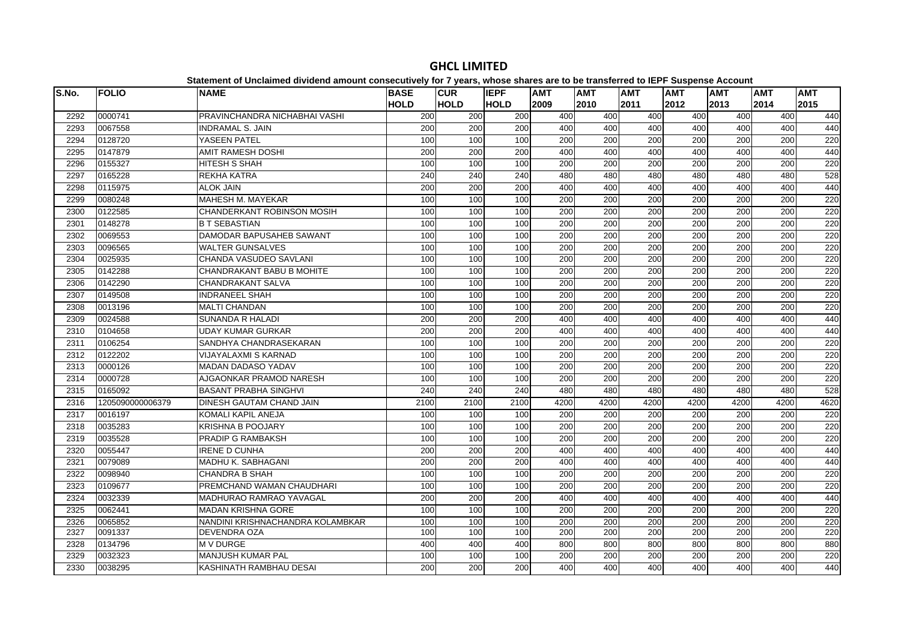| S.No. | <b>FOLIO</b>     | platomont of onolamiou urritoriu umount concocutriory for Figure, impose charge uro te<br><b>NAME</b> | <b>BASE</b> | <b>CUR</b>       | <b>IEPF</b> | <b>AMT</b>       | .<br><b>AMT</b>  | <b>AMT</b> | $- - -$<br><b>AMT</b> | <b>AMT</b> | <b>AMT</b>       | <b>AMT</b> |
|-------|------------------|-------------------------------------------------------------------------------------------------------|-------------|------------------|-------------|------------------|------------------|------------|-----------------------|------------|------------------|------------|
|       |                  |                                                                                                       | <b>HOLD</b> | <b>HOLD</b>      | <b>HOLD</b> | 2009             | 2010             | 2011       | 2012                  | 2013       | 2014             | 2015       |
| 2292  | 0000741          | PRAVINCHANDRA NICHABHAI VASHI                                                                         | 200         | 200              | 200         | 400              | 400              | 400        | 400                   | 400        | 400              | 440        |
| 2293  | 0067558          | <b>INDRAMAL S. JAIN</b>                                                                               | 200         | 200              | 200         | 400              | 400              | 400        | 400                   | 400        | 400              | 440        |
| 2294  | 0128720          | YASEEN PATEL                                                                                          | 100         | 100              | 100         | 200              | 200              | 200        | 200                   | 200        | 200              | 220        |
| 2295  | 0147879          | <b>AMIT RAMESH DOSHI</b>                                                                              | 200         | 200              | 200         | 400              | 400              | 400        | 400                   | 400        | 400              | 440        |
| 2296  | 0155327          | HITESH S SHAH                                                                                         | 100         | 100              | 100         | 200              | 200              | 200        | 200                   | 200        | 200              | 220        |
| 2297  | 0165228          | <b>REKHA KATRA</b>                                                                                    | 240         | 240              | 240         | 480              | 480              | 480        | 480                   | 480        | 480              | 528        |
| 2298  | 0115975          | <b>ALOK JAIN</b>                                                                                      | 200         | 200              | 200         | 400              | 400              | 400        | 400                   | 400        | 400              | 440        |
| 2299  | 0080248          | MAHESH M. MAYEKAR                                                                                     | 100         | 100              | 100         | 200              | 200              | 200        | 200                   | 200        | 200              | 220        |
| 2300  | 0122585          | CHANDERKANT ROBINSON MOSIH                                                                            | 100         | 100              | 100         | 200              | 200              | 200        | 200                   | 200        | 200              | 220        |
| 2301  | 0148278          | <b>B T SEBASTIAN</b>                                                                                  | 100         | 100              | 100         | 200              | 200              | 200        | 200                   | 200        | 200              | 220        |
| 2302  | 0069553          | <b>DAMODAR BAPUSAHEB SAWANT</b>                                                                       | 100         | 100              | 100         | 200              | 200              | 200        | 200                   | 200        | 200              | 220        |
| 2303  | 0096565          | <b>WALTER GUNSALVES</b>                                                                               | 100         | 100              | 100         | 200              | 200              | 200        | 200                   | 200        | 200              | 220        |
| 2304  | 0025935          | CHANDA VASUDEO SAVLANI                                                                                | 100         | 100              | 100         | $\overline{200}$ | 200              | 200        | 200                   | 200        | $\overline{200}$ | 220        |
| 2305  | 0142288          | CHANDRAKANT BABU B MOHITE                                                                             | 100         | 100              | 100         | 200              | 200              | 200        | 200                   | 200        | 200              | 220        |
| 2306  | 0142290          | <b>CHANDRAKANT SALVA</b>                                                                              | 100         | 100              | 100         | 200              | 200              | 200        | 200                   | 200        | 200              | 220        |
| 2307  | 0149508          | <b>INDRANEEL SHAH</b>                                                                                 | 100         | 100              | 100         | 200              | 200              | 200        | 200                   | 200        | 200              | 220        |
| 2308  | 0013196          | <b>MALTI CHANDAN</b>                                                                                  | 100         | 100              | 100         | $\overline{200}$ | $\overline{200}$ | 200        | 200                   | 200        | 200              | 220        |
| 2309  | 0024588          | <b>SUNANDA R HALADI</b>                                                                               | 200         | 200              | 200         | 400              | 400              | 400        | 400                   | 400        | 400              | 440        |
| 2310  | 0104658          | <b>UDAY KUMAR GURKAR</b>                                                                              | 200         | 200              | 200         | 400              | 400              | 400        | 400                   | 400        | 400              | 440        |
| 2311  | 0106254          | SANDHYA CHANDRASEKARAN                                                                                | 100         | 100              | 100         | 200              | 200              | 200        | 200                   | 200        | 200              | 220        |
| 2312  | 0122202          | <b>VIJAYALAXMI S KARNAD</b>                                                                           | 100         | 100              | 100         | 200              | 200              | 200        | 200                   | 200        | 200              | 220        |
| 2313  | 0000126          | <b>MADAN DADASO YADAV</b>                                                                             | 100         | 100              | 100         | 200              | 200              | 200        | 200                   | 200        | 200              | 220        |
| 2314  | 0000728          | AJGAONKAR PRAMOD NARESH                                                                               | 100         | 100              | 100         | 200              | 200              | 200        | 200                   | 200        | 200              | 220        |
| 2315  | 0165092          | <b>BASANT PRABHA SINGHVI</b>                                                                          | 240         | $\overline{240}$ | 240         | 480              | 480              | 480        | 480                   | 480        | 480              | 528        |
| 2316  | 1205090000006379 | <b>DINESH GAUTAM CHAND JAIN</b>                                                                       | 2100        | 2100             | 2100        | 4200             | 4200             | 4200       | 4200                  | 4200       | 4200             | 4620       |
| 2317  | 0016197          | KOMALI KAPIL ANEJA                                                                                    | 100         | 100              | 100         | 200              | 200              | 200        | 200                   | 200        | 200              | 220        |
| 2318  | 0035283          | <b>KRISHNA B POOJARY</b>                                                                              | 100         | 100              | 100         | 200              | 200              | 200        | 200                   | 200        | 200              | 220        |
| 2319  | 0035528          | PRADIP G RAMBAKSH                                                                                     | 100         | 100              | 100         | $\overline{200}$ | 200              | 200        | 200                   | 200        | 200              | 220        |
| 2320  | 0055447          | <b>IRENE D CUNHA</b>                                                                                  | 200         | 200              | 200         | 400              | 400              | 400        | 400                   | 400        | 400              | 440        |
| 2321  | 0079089          | MADHU K. SABHAGANI                                                                                    | 200         | 200              | 200         | 400              | 400              | 400        | 400                   | 400        | 400              | 440        |
| 2322  | 0098940          | <b>CHANDRA B SHAH</b>                                                                                 | 100         | 100              | 100         | 200              | 200              | 200        | 200                   | 200        | 200              | 220        |
| 2323  | 0109677          | PREMCHAND WAMAN CHAUDHARI                                                                             | 100         | 100              | 100         | 200              | $\overline{200}$ | 200        | 200                   | 200        | 200              | 220        |
| 2324  | 0032339          | MADHURAO RAMRAO YAVAGAL                                                                               | 200         | 200              | 200         | 400              | 400              | 400        | 400                   | 400        | 400              | 440        |
| 2325  | 0062441          | <b>MADAN KRISHNA GORE</b>                                                                             | 100         | 100              | 100         | 200              | 200              | 200        | 200                   | 200        | 200              | 220        |
| 2326  | 0065852          | NANDINI KRISHNACHANDRA KOLAMBKAR                                                                      | 100         | 100              | 100         | 200              | 200              | 200        | 200                   | 200        | 200              | 220        |
| 2327  | 0091337          | <b>DEVENDRA OZA</b>                                                                                   | 100         | 100              | 100         | 200              | 200              | 200        | 200                   | 200        | 200              | 220        |
| 2328  | 0134796          | <b>MV DURGE</b>                                                                                       | 400         | 400              | 400         | 800              | 800              | 800        | 800                   | 800        | 800              | 880        |
| 2329  | 0032323          | MANJUSH KUMAR PAL                                                                                     | 100         | 100              | 100         | 200              | 200              | 200        | 200                   | 200        | 200              | 220        |
| 2330  | 0038295          | KASHINATH RAMBHAU DESAI                                                                               | 200         | 200              | 200         | 400              | 400              | 400        | 400                   | 400        | 400              | 440        |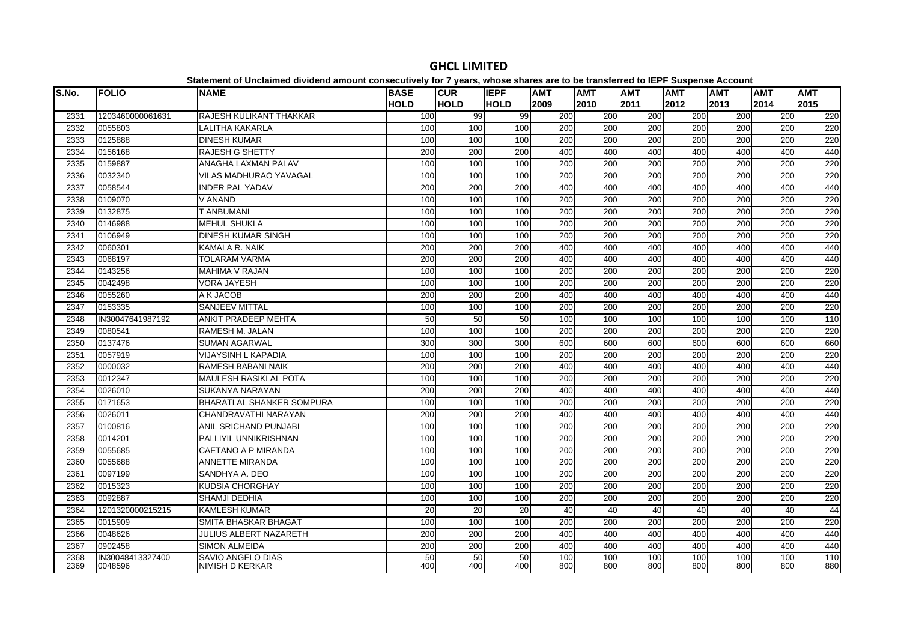| S.No. | <b>FOLIO</b>     | <b>NAME</b>                      | <b>BASE</b>     | <b>CUR</b>  | <b>IEPF</b> | <b>AMT</b> | <b>AMT</b>       | <b>AMT</b> | $- - -$<br><b>AMT</b> | <b>AMT</b> | <b>AMT</b> | <b>AMT</b>       |
|-------|------------------|----------------------------------|-----------------|-------------|-------------|------------|------------------|------------|-----------------------|------------|------------|------------------|
|       |                  |                                  | <b>HOLD</b>     | <b>HOLD</b> | <b>HOLD</b> | 2009       | 2010             | 2011       | 2012                  | 2013       | 2014       | 2015             |
| 2331  | 1203460000061631 | <b>RAJESH KULIKANT THAKKAR</b>   | 100             | 99          | 99          | 200        | 200              | 200        | 200                   | 200        | 200        | 220              |
| 2332  | 0055803          | <b>LALITHA KAKARLA</b>           | 100             | 100         | 100         | 200        | 200              | 200        | 200                   | 200        | 200        | 220              |
| 2333  | 0125888          | <b>DINESH KUMAR</b>              | 100             | 100         | 100         | 200        | 200              | 200        | 200                   | 200        | 200        | 220              |
| 2334  | 0156168          | <b>RAJESH G SHETTY</b>           | 200             | 200         | 200         | 400        | 400              | 400        | 400                   | 400        | 400        | 440              |
| 2335  | 0159887          | <b>ANAGHA LAXMAN PALAV</b>       | 100             | 100         | 100         | 200        | 200              | 200        | 200                   | 200        | 200        | 220              |
| 2336  | 0032340          | <b>VILAS MADHURAO YAVAGAL</b>    | 100             | 100         | 100         | 200        | 200              | 200        | 200                   | 200        | 200        | 220              |
| 2337  | 0058544          | <b>INDER PAL YADAV</b>           | 200             | 200         | 200         | 400        | 400              | 400        | 400                   | 400        | 400        | 440              |
| 2338  | 0109070          | V ANAND                          | 100             | 100         | 100         | 200        | 200              | 200        | 200                   | 200        | 200        | 220              |
| 2339  | 0132875          | T ANBUMANI                       | 100             | 100         | 100         | 200        | 200              | 200        | 200                   | 200        | 200        | 220              |
| 2340  | 0146988          | <b>MEHUL SHUKLA</b>              | 100             | 100         | 100         | 200        | 200              | 200        | 200                   | 200        | 200        | 220              |
| 2341  | 0106949          | <b>DINESH KUMAR SINGH</b>        | 100             | 100         | 100         | 200        | $\overline{200}$ | 200        | $\overline{200}$      | 200        | 200        | 220              |
| 2342  | 0060301          | KAMALA R. NAIK                   | 200             | 200         | 200         | 400        | 400              | 400        | 400                   | 400        | 400        | 440              |
| 2343  | 0068197          | <b>TOLARAM VARMA</b>             | 200             | 200         | 200         | 400        | 400              | 400        | 400                   | 400        | 400        | 440              |
| 2344  | 0143256          | <b>MAHIMA V RAJAN</b>            | 100             | 100         | 100         | 200        | 200              | 200        | 200                   | 200        | 200        | 220              |
| 2345  | 0042498          | <b>VORA JAYESH</b>               | 100             | 100         | 100         | 200        | 200              | 200        | 200                   | 200        | 200        | 220              |
| 2346  | 0055260          | A K JACOB                        | 200             | 200         | 200         | 400        | 400              | 400        | 400                   | 400        | 400        | 440              |
| 2347  | 0153335          | <b>SANJEEV MITTAL</b>            | 100             | 100         | 100         | 200        | 200              | 200        | 200                   | 200        | 200        | 220              |
| 2348  | IN30047641987192 | ANKIT PRADEEP MEHTA              | 50              | 50          | 50          | 100        | 100              | 100        | 100                   | 100        | 100        | $\frac{110}{10}$ |
| 2349  | 0080541          | <b>RAMESH M. JALAN</b>           | 100             | 100         | 100         | 200        | 200              | 200        | 200                   | 200        | 200        | 220              |
| 2350  | 0137476          | <b>SUMAN AGARWAL</b>             | 300             | 300         | 300         | 600        | 600              | 600        | 600                   | 600        | 600        | 660              |
| 2351  | 0057919          | <b>VIJAYSINH L KAPADIA</b>       | 100             | 100         | 100         | 200        | 200              | 200        | 200                   | 200        | 200        | 220              |
| 2352  | 0000032          | <b>RAMESH BABANI NAIK</b>        | 200             | 200         | 200         | 400        | 400              | 400        | 400                   | 400        | 400        | 440              |
| 2353  | 0012347          | <b>MAULESH RASIKLAL POTA</b>     | 100             | 100         | 100         | 200        | 200              | 200        | 200                   | 200        | 200        | 220              |
| 2354  | 0026010          | <b>SUKANYA NARAYAN</b>           | 200             | 200         | 200         | 400        | 400              | 400        | 400                   | 400        | 400        | 440              |
| 2355  | 0171653          | <b>BHARATLAL SHANKER SOMPURA</b> | 100             | 100         | 100         | 200        | 200              | 200        | 200                   | 200        | 200        | 220              |
| 2356  | 0026011          | CHANDRAVATHI NARAYAN             | 200             | 200         | 200         | 400        | 400              | 400        | 400                   | 400        | 400        | 440              |
| 2357  | 0100816          | <b>ANIL SRICHAND PUNJABI</b>     | 100             | 100         | 100         | 200        | 200              | 200        | $\overline{200}$      | 200        | 200        | 220              |
| 2358  | 0014201          | PALLIYIL UNNIKRISHNAN            | 100             | 100         | 100         | 200        | 200              | 200        | 200                   | 200        | 200        | 220              |
| 2359  | 0055685          | <b>CAETANO A P MIRANDA</b>       | 100             | 100         | 100         | 200        | 200              | 200        | 200                   | 200        | 200        | 220              |
| 2360  | 0055688          | <b>ANNETTE MIRANDA</b>           | 100             | 100         | 100         | 200        | 200              | 200        | 200                   | 200        | 200        | 220              |
| 2361  | 0097199          | SANDHYA A. DEO                   | 100             | 100         | 100         | 200        | 200              | 200        | 200                   | 200        | 200        | 220              |
| 2362  | 0015323          | <b>KUDSIA CHORGHAY</b>           | 100             | 100         | 100         | 200        | 200              | 200        | 200                   | 200        | 200        | 220              |
| 2363  | 0092887          | <b>SHAMJI DEDHIA</b>             | 100             | 100         | 100         | 200        | 200              | 200        | 200                   | 200        | 200        | 220              |
| 2364  | 1201320000215215 | <b>KAMLESH KUMAR</b>             | 20              | 20          | 20          | 40         | 40               | 40         | 40                    | 40         | 40         | 44               |
| 2365  | 0015909          | SMITA BHASKAR BHAGAT             | 100             | 100         | 100         | 200        | 200              | 200        | 200                   | 200        | 200        | 220              |
| 2366  | 0048626          | <b>JULIUS ALBERT NAZARETH</b>    | 200             | 200         | 200         | 400        | 400              | 400        | 400                   | 400        | 400        | 440              |
| 2367  | 0902458          | <b>SIMON ALMEIDA</b>             | 200             | 200         | 200         | 400        | 400              | 400        | 400                   | 400        | 400        | 440              |
| 2368  | IN30048413327400 | SAVIO ANGELO DIAS                | $\overline{50}$ | 50          | 50          | 100        | 100              | 100        | 100                   | 100        | 100        | 110              |
| 2369  | 0048596          | <b>NIMISH D KERKAR</b>           | 400             | 400         | 400         | 800        | 800              | 800        | 800                   | 800        | 800        | 880              |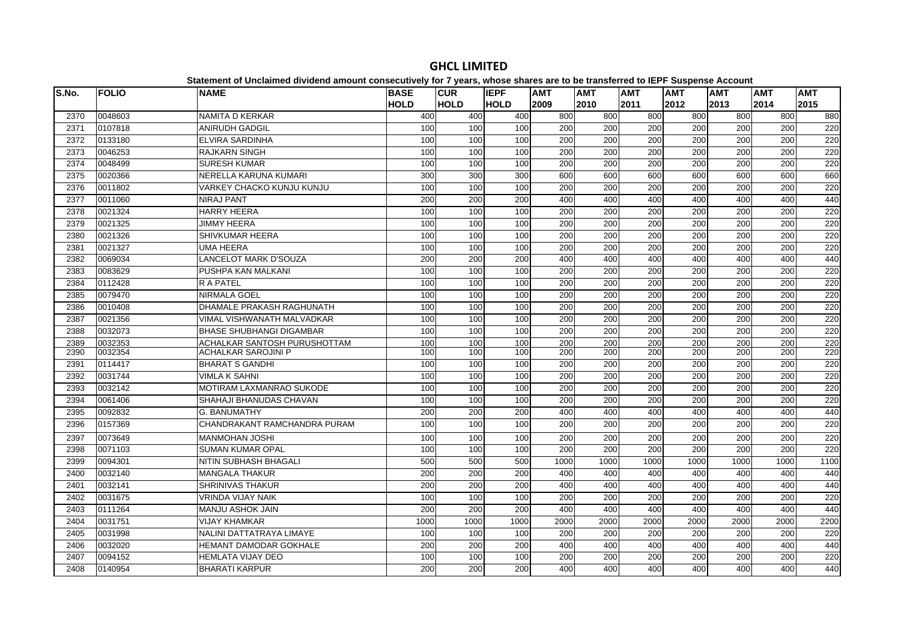| S.No. | <b>FOLIO</b> | <b>NAME</b>                     | <b>BASE</b><br><b>HOLD</b> | <b>CUR</b><br><b>HOLD</b> | <b>IEPF</b><br><b>HOLD</b> | <b>AMT</b><br>2009 | <b>AMT</b><br>2010 | <b>AMT</b><br>2011 | <b>AMT</b><br>2012 | <b>AMT</b><br>2013 | <b>AMT</b><br>2014 | <b>AMT</b><br>2015 |
|-------|--------------|---------------------------------|----------------------------|---------------------------|----------------------------|--------------------|--------------------|--------------------|--------------------|--------------------|--------------------|--------------------|
| 2370  | 0048603      | <b>NAMITA D KERKAR</b>          | 400                        | 400                       | 400                        | 800                | 800                | 800                | 800                | 800                | 800                | 880                |
| 2371  | 0107818      | <b>ANIRUDH GADGIL</b>           | 100                        | 100                       | 100                        | 200                | 200                | 200                | 200                | 200                | 200                | 220                |
| 2372  | 0133180      | <b>ELVIRA SARDINHA</b>          | 100                        | 100                       | 100                        | 200                | 200                | 200                | 200                | 200                | 200                | 220                |
| 2373  | 0046253      | <b>RAJKARN SINGH</b>            | 100                        | 100                       | 100                        | 200                | 200                | $\overline{200}$   | $\overline{200}$   | 200                | 200                | 220                |
| 2374  | 0048499      | <b>SURESH KUMAR</b>             | 100                        | 100                       | 100                        | 200                | 200                | 200                | 200                | 200                | 200                | 220                |
| 2375  | 0020366      | NERELLA KARUNA KUMARI           | 300                        | 300                       | 300                        | 600                | 600                | 600                | 600                | 600                | 600                | 660                |
| 2376  | 0011802      | VARKEY CHACKO KUNJU KUNJU       | 100                        | 100                       | 100                        | 200                | 200                | 200                | 200                | 200                | 200                | 220                |
| 2377  | 0011060      | <b>NIRAJ PANT</b>               | 200                        | 200                       | 200                        | 400                | 400                | 400                | 400                | 400                | 400                | 440                |
| 2378  | 0021324      | <b>HARRY HEERA</b>              | 100                        | 100                       | 100                        | 200                | 200                | $\overline{200}$   | $\overline{200}$   | 200                | 200                | 220                |
| 2379  | 0021325      | <b>JIMMY HEERA</b>              | 100                        | 100                       | 100                        | 200                | 200                | 200                | 200                | 200                | 200                | 220                |
| 2380  | 0021326      | SHIVKUMAR HEERA                 | 100                        | 100                       | 100                        | 200                | 200                | 200                | 200                | 200                | 200                | 220                |
| 2381  | 0021327      | <b>UMA HEERA</b>                | 100                        | 100                       | 100                        | 200                | 200                | 200                | 200                | 200                | 200                | 220                |
| 2382  | 0069034      | <b>LANCELOT MARK D'SOUZA</b>    | 200                        | 200                       | 200                        | 400                | 400                | 400                | 400                | 400                | 400                | 440                |
| 2383  | 0083629      | PUSHPA KAN MALKANI              | 100                        | 100                       | 100                        | 200                | 200                | 200                | 200                | 200                | 200                | 220                |
| 2384  | 0112428      | <b>RAPATEL</b>                  | 100                        | 100                       | 100                        | 200                | 200                | 200                | 200                | 200                | 200                | 220                |
| 2385  | 0079470      | NIRMALA GOEL                    | 100                        | 100                       | 100                        | 200                | 200                | 200                | 200                | 200                | 200                | 220                |
| 2386  | 0010408      | DHAMALE PRAKASH RAGHUNATH       | 100                        | 100                       | 100                        | $\overline{200}$   | $\overline{200}$   | $\overline{200}$   | $\overline{200}$   | 200                | 200                | 220                |
| 2387  | 0021356      | VIMAL VISHWANATH MALVADKAR      | 100                        | 100                       | 100                        | 200                | 200                | 200                | $\overline{200}$   | 200                | 200                | 220                |
| 2388  | 0032073      | <b>BHASE SHUBHANGI DIGAMBAR</b> | 100                        | 100                       | 100                        | 200                | 200                | 200                | 200                | 200                | 200                | 220                |
| 2389  | 0032353      | ACHALKAR SANTOSH PURUSHOTTAM    | 100                        | 100                       | 100                        | 200                | 200                | 200                | 200                | 200                | 200                | 220                |
| 2390  | 0032354      | <b>ACHALKAR SAROJINI P</b>      | 100                        | 100                       | 100                        | 200                | 200                | 200                | 200                | 200                | 200                | 220                |
| 2391  | 0114417      | <b>BHARAT S GANDHI</b>          | 100                        | 100                       | 100                        | 200                | 200                | 200                | 200                | 200                | 200                | 220                |
| 2392  | 0031744      | <b>VIMLA K SAHNI</b>            | 100                        | 100                       | 100                        | 200                | 200                | 200                | 200                | 200                | 200                | 220                |
| 2393  | 0032142      | MOTIRAM LAXMANRAO SUKODE        | 100                        | 100                       | 100                        | 200                | 200                | 200                | 200                | 200                | 200                | 220                |
| 2394  | 0061406      | SHAHAJI BHANUDAS CHAVAN         | 100                        | 100                       | 100                        | 200                | 200                | 200                | 200                | 200                | 200                | 220                |
| 2395  | 0092832      | G. BANUMATHY                    | 200                        | 200                       | 200                        | 400                | 400                | 400                | 400                | 400                | 400                | 440                |
| 2396  | 0157369      | CHANDRAKANT RAMCHANDRA PURAM    | 100                        | 100                       | 100                        | 200                | 200                | 200                | 200                | 200                | 200                | 220                |
| 2397  | 0073649      | <b>MANMOHAN JOSHI</b>           | 100                        | 100                       | 100                        | 200                | 200                | 200                | 200                | 200                | 200                | 220                |
| 2398  | 0071103      | <b>SUMAN KUMAR OPAL</b>         | 100                        | 100                       | 100                        | 200                | 200                | 200                | 200                | 200                | 200                | 220                |
| 2399  | 0094301      | <b>NITIN SUBHASH BHAGALI</b>    | 500                        | 500                       | 500                        | 1000               | 1000               | 1000               | 1000               | 1000               | 1000               | 1100               |
| 2400  | 0032140      | <b>MANGALA THAKUR</b>           | 200                        | 200                       | 200                        | 400                | 400                | 400                | 400                | 400                | 400                | 440                |
| 2401  | 0032141      | <b>SHRINIVAS THAKUR</b>         | 200                        | 200                       | 200                        | 400                | 400                | 400                | 400                | 400                | 400                | 440                |
| 2402  | 0031675      | <b>VRINDA VIJAY NAIK</b>        | 100                        | 100                       | 100                        | 200                | 200                | 200                | 200                | 200                | 200                | 220                |
| 2403  | 0111264      | <b>MANJU ASHOK JAIN</b>         | 200                        | 200                       | 200                        | 400                | 400                | 400                | 400                | 400                | 400                | 440                |
| 2404  | 0031751      | <b>VIJAY KHAMKAR</b>            | 1000                       | 1000                      | 1000                       | 2000               | 2000               | 2000               | 2000               | 2000               | 2000               | 2200               |
| 2405  | 0031998      | NALINI DATTATRAYA LIMAYE        | 100                        | 100                       | 100                        | 200                | 200                | 200                | 200                | 200                | 200                | 220                |
| 2406  | 0032020      | HEMANT DAMODAR GOKHALE          | 200                        | 200                       | 200                        | 400                | 400                | 400                | 400                | 400                | 400                | 440                |
| 2407  | 0094152      | <b>HEMLATA VIJAY DEO</b>        | 100                        | 100                       | 100                        | $\overline{200}$   | $\overline{200}$   | $\overline{200}$   | $\overline{200}$   | 200                | 200                | 220                |
| 2408  | 0140954      | <b>BHARATI KARPUR</b>           | 200                        | 200                       | 200                        | 400                | 400                | 400                | 400                | 400                | 400                | 440                |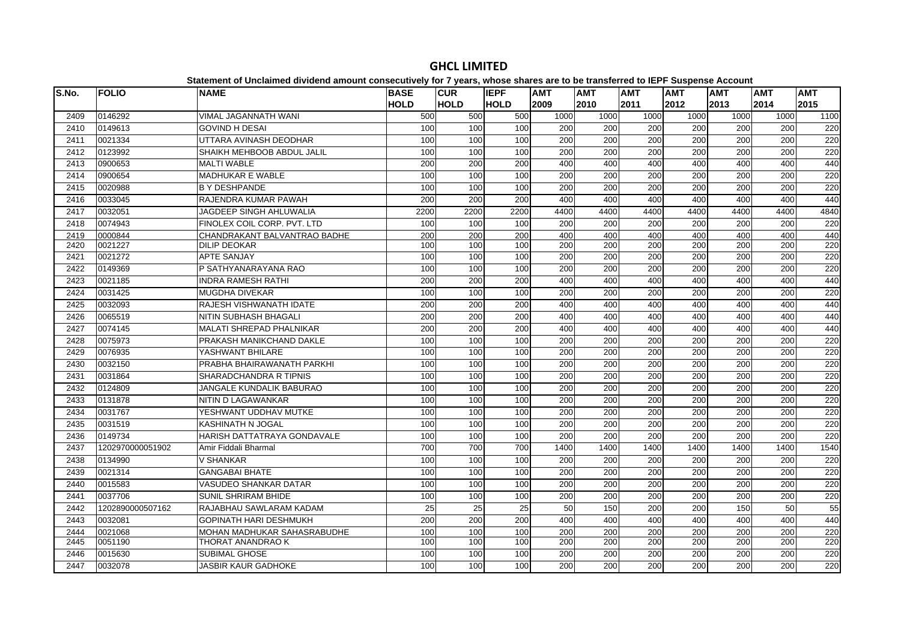| S.No. | <b>FOLIO</b>     | <b>NAME</b>                    | <b>BASE</b>     | <b>CUR</b>      | <b>IEPF</b>     | <b>AMT</b>       | .<br><b>AMT</b>  | <b>AMT</b>       | ----<br><b>AMT</b> | <b>AMT</b> | <b>AMT</b> | <b>AMT</b> |
|-------|------------------|--------------------------------|-----------------|-----------------|-----------------|------------------|------------------|------------------|--------------------|------------|------------|------------|
|       |                  |                                | <b>HOLD</b>     | <b>HOLD</b>     | <b>HOLD</b>     | 2009             | 2010             | 2011             | 2012               | 2013       | 2014       | 2015       |
| 2409  | 0146292          | <b>VIMAL JAGANNATH WANI</b>    | 500             | 500             | 500             | 1000             | 1000             | 1000             | 1000               | 1000       | 1000       | 1100       |
| 2410  | 0149613          | <b>GOVIND H DESAI</b>          | 100             | 100             | 100             | 200              | 200              | 200              | 200                | 200        | 200        | 220        |
| 2411  | 0021334          | UTTARA AVINASH DEODHAR         | 100             | 100             | 100             | 200              | 200              | 200              | 200                | 200        | 200        | 220        |
| 2412  | 0123992          | SHAIKH MEHBOOB ABDUL JALIL     | 100             | 100             | 100             | 200              | 200              | $\overline{200}$ | 200                | 200        | 200        | 220        |
| 2413  | 0900653          | <b>MALTI WABLE</b>             | 200             | 200             | 200             | 400              | 400              | 400              | 400                | 400        | 400        | 440        |
| 2414  | 0900654          | <b>MADHUKAR E WABLE</b>        | 100             | 100             | 100             | 200              | 200              | $\overline{200}$ | $\overline{200}$   | 200        | 200        | 220        |
| 2415  | 0020988          | <b>B Y DESHPANDE</b>           | 100             | 100             | 100             | 200              | 200              | 200              | 200                | 200        | 200        | 220        |
| 2416  | 0033045          | RAJENDRA KUMAR PAWAH           | 200             | 200             | 200             | 400              | 400              | 400              | 400                | 400        | 400        | 440        |
| 2417  | 0032051          | <b>JAGDEEP SINGH AHLUWALIA</b> | 2200            | 2200            | 2200            | 4400             | 4400             | 4400             | 4400               | 4400       | 4400       | 4840       |
| 2418  | 0074943          | FINOLEX COIL CORP. PVT. LTD    | 100             | 100             | 100             | 200              | 200              | 200              | 200                | 200        | 200        | 220        |
| 2419  | 0000844          | CHANDRAKANT BALVANTRAO BADHE   | 200             | 200             | 200             | 400              | 400              | 400              | 400                | 400        | 400        | 440        |
| 2420  | 0021227          | <b>DILIP DEOKAR</b>            | 100             | 100             | 100             | 200              | 200              | 200              | 200                | 200        | 200        | 220        |
| 2421  | 0021272          | <b>APTE SANJAY</b>             | 100             | 100             | 100             | 200              | 200              | $\overline{200}$ | $\overline{200}$   | 200        | 200        | 220        |
| 2422  | 0149369          | P SATHYANARAYANA RAO           | 100             | 100             | 100             | 200              | 200              | 200              | 200                | 200        | 200        | 220        |
| 2423  | 0021185          | <b>INDRA RAMESH RATHI</b>      | 200             | 200             | 200             | 400              | 400              | 400              | 400                | 400        | 400        | 440        |
| 2424  | 0031425          | <b>MUGDHA DIVEKAR</b>          | 100             | 100             | 100             | 200              | 200              | 200              | 200                | 200        | 200        | 220        |
| 2425  | 0032093          | RAJESH VISHWANATH IDATE        | 200             | 200             | 200             | 400              | 400              | 400              | 400                | 400        | 400        | 440        |
| 2426  | 0065519          | <b>NITIN SUBHASH BHAGALI</b>   | 200             | 200             | 200             | 400              | 400              | 400              | 400                | 400        | 400        | 440        |
| 2427  | 0074145          | MALATI SHREPAD PHALNIKAR       | 200             | 200             | 200             | 400              | 400              | 400              | 400                | 400        | 400        | 440        |
| 2428  | 0075973          | PRAKASH MANIKCHAND DAKLE       | 100             | 100             | 100             | 200              | 200              | 200              | 200                | 200        | 200        | 220        |
| 2429  | 0076935          | YASHWANT BHILARE               | 100             | 100             | 100             | 200              | 200              | 200              | 200                | 200        | 200        | 220        |
| 2430  | 0032150          | PRABHA BHAIRAWANATH PARKHI     | 100             | 100             | 100             | $\overline{200}$ | 200              | $\overline{200}$ | $\overline{200}$   | 200        | 200        | 220        |
| 2431  | 0031864          | SHARADCHANDRA R TIPNIS         | 100             | 100             | 100             | 200              | 200              | $\overline{200}$ | $\overline{200}$   | 200        | 200        | 220        |
| 2432  | 0124809          | JANGALE KUNDALIK BABURAO       | 100             | 100             | 100             | 200              | 200              | 200              | 200                | 200        | 200        | 220        |
| 2433  | 0131878          | NITIN D LAGAWANKAR             | 100             | 100             | 100             | 200              | 200              | 200              | 200                | 200        | 200        | 220        |
| 2434  | 0031767          | YESHWANT UDDHAV MUTKE          | 100             | 100             | 100             | 200              | 200              | 200              | 200                | 200        | 200        | 220        |
| 2435  | 0031519          | <b>KASHINATH N JOGAL</b>       | 100             | 100             | 100             | $\overline{200}$ | 200              | $\overline{200}$ | $\overline{200}$   | 200        | 200        | 220        |
| 2436  | 0149734          | HARISH DATTATRAYA GONDAVALE    | 100             | 100             | 100             | 200              | 200              | $\overline{200}$ | 200                | 200        | 200        | 220        |
| 2437  | 1202970000051902 | Amir Fiddali Bharmal           | 700             | 700             | 700             | 1400             | 1400             | 1400             | 1400               | 1400       | 1400       | 1540       |
| 2438  | 0134990          | <b>V SHANKAR</b>               | 100             | 100             | 100             | 200              | 200              | 200              | 200                | 200        | 200        | 220        |
| 2439  | 0021314          | <b>GANGABAI BHATE</b>          | 100             | 100             | 100             | 200              | 200              | 200              | 200                | 200        | 200        | 220        |
| 2440  | 0015583          | <b>VASUDEO SHANKAR DATAR</b>   | 100             | 100             | 100             | 200              | $\overline{200}$ | $\overline{200}$ | $\overline{200}$   | 200        | 200        | 220        |
| 2441  | 0037706          | <b>SUNIL SHRIRAM BHIDE</b>     | 100             | 100             | 100             | 200              | 200              | $\overline{200}$ | 200                | 200        | 200        | 220        |
| 2442  | 1202890000507162 | RAJABHAU SAWLARAM KADAM        | $\overline{25}$ | $\overline{25}$ | $\overline{25}$ | 50               | 150              | $\overline{200}$ | $\overline{200}$   | 150        | 50         | 55         |
| 2443  | 0032081          | <b>GOPINATH HARI DESHMUKH</b>  | 200             | 200             | 200             | 400              | 400              | 400              | 400                | 400        | 400        | 440        |
| 2444  | 0021068          | MOHAN MADHUKAR SAHASRABUDHE    | 100             | 100             | 100             | 200              | 200              | 200              | 200                | 200        | 200        | 220        |
| 2445  | 0051190          | THORAT ANANDRAO K              | 100             | 100             | 100             | 200              | 200              | 200              | 200                | 200        | 200        | 220        |
| 2446  | 0015630          | SUBIMAL GHOSE                  | 100             | 100             | 100             | 200              | 200              | 200              | 200                | 200        | 200        | 220        |
| 2447  | 0032078          | <b>JASBIR KAUR GADHOKE</b>     | 100             | 100             | 100             | 200              | 200              | 200              | $\overline{200}$   | 200        | 200        | 220        |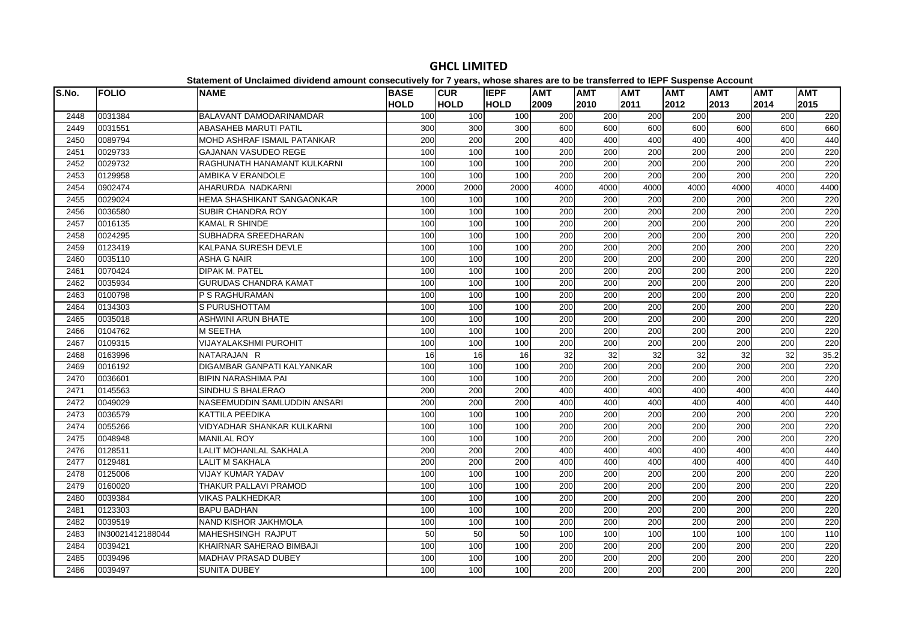| S.No. | <b>FOLIO</b>     | <b>NAME</b>                  | <b>BASE</b> | <b>CUR</b>  | <b>IEPF</b> | <b>AMT</b>       | <b>AMT</b> | <b>AMT</b>       | <b>AMT</b>       | <b>AMT</b> | <b>AMT</b> | <b>AMT</b> |
|-------|------------------|------------------------------|-------------|-------------|-------------|------------------|------------|------------------|------------------|------------|------------|------------|
|       |                  |                              | <b>HOLD</b> | <b>HOLD</b> | <b>HOLD</b> | 2009             | 2010       | 2011             | 2012             | 2013       | 2014       | 2015       |
| 2448  | 0031384          | BALAVANT DAMODARINAMDAR      | 100         | 100         | 100         | 200              | 200        | 200              | 200              | 200        | 200        | 220        |
| 2449  | 0031551          | <b>ABASAHEB MARUTI PATIL</b> | 300         | 300         | 300         | 600              | 600        | 600              | 600              | 600        | 600        | 660        |
| 2450  | 0089794          | MOHD ASHRAF ISMAIL PATANKAR  | 200         | 200         | 200         | 400              | 400        | 400              | 400              | 400        | 400        | 440        |
| 2451  | 0029733          | <b>GAJANAN VASUDEO REGE</b>  | 100         | 100         | 100         | $\overline{200}$ | 200        | 200              | 200              | 200        | 200        | 220        |
| 2452  | 0029732          | RAGHUNATH HANAMANT KULKARNI  | 100         | 100         | 100         | $\overline{200}$ | 200        | 200              | $\overline{200}$ | 200        | 200        | 220        |
| 2453  | 0129958          | AMBIKA V ERANDOLE            | 100         | 100         | 100         | 200              | 200        | 200              | 200              | 200        | 200        | 220        |
| 2454  | 0902474          | AHARURDA NADKARNI            | 2000        | 2000        | 2000        | 4000             | 4000       | 4000             | 4000             | 4000       | 4000       | 4400       |
| 2455  | 0029024          | HEMA SHASHIKANT SANGAONKAR   | 100         | 100         | 100         | 200              | 200        | 200              | 200              | 200        | 200        | 220        |
| 2456  | 0036580          | SUBIR CHANDRA ROY            | 100         | 100         | 100         | 200              | 200        | 200              | 200              | 200        | 200        | 220        |
| 2457  | 0016135          | <b>KAMAL R SHINDE</b>        | 100         | 100         | 100         | 200              | 200        | 200              | 200              | 200        | 200        | 220        |
| 2458  | 0024295          | SUBHADRA SREEDHARAN          | 100         | 100         | 100         | 200              | 200        | $\overline{200}$ | 200              | 200        | 200        | 220        |
| 2459  | 0123419          | KALPANA SURESH DEVLE         | 100         | 100         | 100         | 200              | 200        | 200              | 200              | 200        | 200        | 220        |
| 2460  | 0035110          | <b>ASHA G NAIR</b>           | 100         | 100         | 100         | 200              | 200        | 200              | 200              | 200        | 200        | 220        |
| 2461  | 0070424          | <b>DIPAK M. PATEL</b>        | 100         | 100         | 100         | 200              | 200        | 200              | 200              | 200        | 200        | 220        |
| 2462  | 0035934          | <b>GURUDAS CHANDRA KAMAT</b> | 100         | 100         | 100         | 200              | 200        | 200              | 200              | 200        | 200        | 220        |
| 2463  | 0100798          | P S RAGHURAMAN               | 100         | 100         | 100         | 200              | 200        | 200              | 200              | 200        | 200        | 220        |
| 2464  | 0134303          | S PURUSHOTTAM                | 100         | 100         | 100         | 200              | 200        | 200              | 200              | 200        | 200        | 220        |
| 2465  | 0035018          | <b>ASHWINI ARUN BHATE</b>    | 100         | 100         | 100         | 200              | 200        | 200              | 200              | 200        | 200        | 220        |
| 2466  | 0104762          | <b>M SEETHA</b>              | 100         | 100         | 100         | 200              | 200        | 200              | 200              | 200        | 200        | 220        |
| 2467  | 0109315          | VIJAYALAKSHMI PUROHIT        | 100         | 100         | 100         | 200              | 200        | 200              | 200              | 200        | 200        | 220        |
| 2468  | 0163996          | NATARAJAN R                  | 16          | 16          | 16          | 32               | 32         | 32               | $\overline{32}$  | 32         | 32         | 35.2       |
| 2469  | 0016192          | DIGAMBAR GANPATI KALYANKAR   | 100         | 100         | 100         | 200              | 200        | 200              | 200              | 200        | 200        | 220        |
| 2470  | 0036601          | <b>BIPIN NARASHIMA PAI</b>   | 100         | 100         | 100         | 200              | 200        | 200              | 200              | 200        | 200        | 220        |
| 2471  | 0145563          | SINDHU S BHALERAO            | 200         | 200         | 200         | 400              | 400        | 400              | 400              | 400        | 400        | 440        |
| 2472  | 0049029          | NASEEMUDDIN SAMLUDDIN ANSARI | 200         | 200         | 200         | 400              | 400        | 400              | 400              | 400        | 400        | 440        |
| 2473  | 0036579          | KATTILA PEEDIKA              | 100         | 100         | 100         | 200              | 200        | 200              | 200              | 200        | 200        | 220        |
| 2474  | 0055266          | VIDYADHAR SHANKAR KULKARNI   | 100         | 100         | 100         | 200              | 200        | 200              | 200              | 200        | 200        | 220        |
| 2475  | 0048948          | <b>MANILAL ROY</b>           | 100         | 100         | 100         | 200              | 200        | 200              | 200              | 200        | 200        | 220        |
| 2476  | 0128511          | LALIT MOHANLAL SAKHALA       | 200         | 200         | 200         | 400              | 400        | 400              | 400              | 400        | 400        | 440        |
| 2477  | 0129481          | <b>LALIT M SAKHALA</b>       | 200         | 200         | 200         | 400              | 400        | 400              | 400              | 400        | 400        | 440        |
| 2478  | 0125006          | <b>VIJAY KUMAR YADAV</b>     | 100         | 100         | 100         | 200              | 200        | 200              | 200              | 200        | 200        | 220        |
| 2479  | 0160020          | THAKUR PALLAVI PRAMOD        | 100         | 100         | 100         | 200              | 200        | 200              | 200              | 200        | 200        | 220        |
| 2480  | 0039384          | <b>VIKAS PALKHEDKAR</b>      | 100         | 100         | 100         | 200              | 200        | 200              | 200              | 200        | 200        | 220        |
| 2481  | 0123303          | <b>BAPU BADHAN</b>           | 100         | 100         | 100         | 200              | 200        | 200              | 200              | 200        | 200        | 220        |
| 2482  | 0039519          | NAND KISHOR JAKHMOLA         | 100         | 100         | 100         | 200              | 200        | 200              | 200              | 200        | 200        | 220        |
| 2483  | IN30021412188044 | <b>MAHESHSINGH RAJPUT</b>    | 50          | 50          | 50          | 100              | 100        | 100              | 100              | 100        | 100        | 110        |
| 2484  | 0039421          | KHAIRNAR SAHERAO BIMBAJI     | 100         | 100         | 100         | 200              | 200        | 200              | 200              | 200        | 200        | 220        |
| 2485  | 0039496          | <b>MADHAV PRASAD DUBEY</b>   | 100         | 100         | 100         | 200              | 200        | $\overline{200}$ | 200              | 200        | 200        | 220        |
| 2486  | 0039497          | <b>SUNITA DUBEY</b>          | 100         | 100         | 100         | 200              | 200        | 200              | 200              | 200        | 200        | 220        |

**GHCL LIMITED**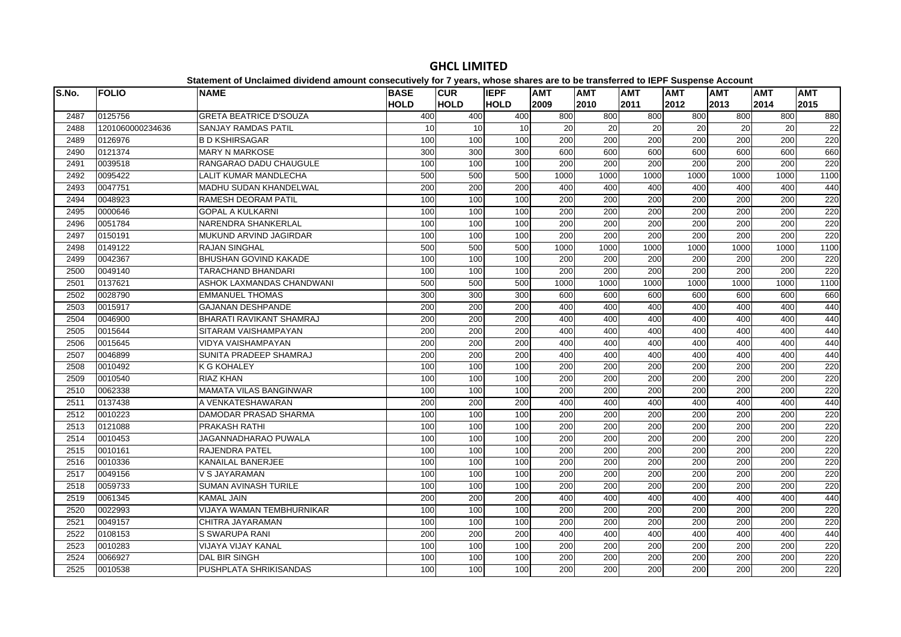| S.No. | <b>FOLIO</b>     | <b>NAME</b>                      | <b>BASE</b> | <b>CUR</b>  | <b>IEPF</b> | <b>AMT</b>       | .<br><b>AMT</b> | <b>AMT</b>       | $- - -$<br><b>AMT</b> | <b>AMT</b> | <b>AMT</b>       | <b>AMT</b> |
|-------|------------------|----------------------------------|-------------|-------------|-------------|------------------|-----------------|------------------|-----------------------|------------|------------------|------------|
|       |                  |                                  | <b>HOLD</b> | <b>HOLD</b> | <b>HOLD</b> | 2009             | 2010            | 2011             | 2012                  | 2013       | 2014             | 2015       |
| 2487  | 0125756          | <b>GRETA BEATRICE D'SOUZA</b>    | 400         | 400         | 400         | 800              | 800             | 800              | 800                   | 800        | 800              | 880        |
| 2488  | 1201060000234636 | <b>SANJAY RAMDAS PATIL</b>       | 10          | 10          | 10          | 20               | 20              | 20               | 20                    | 20         | 20               | 22         |
| 2489  | 0126976          | <b>B D KSHIRSAGAR</b>            | 100         | 100         | 100         | 200              | 200             | 200              | 200                   | 200        | 200              | 220        |
| 2490  | 0121374          | <b>MARY N MARKOSE</b>            | 300         | 300         | 300         | 600              | 600             | 600              | 600                   | 600        | 600              | 660        |
| 2491  | 0039518          | RANGARAO DADU CHAUGULE           | 100         | 100         | 100         | 200              | 200             | 200              | 200                   | 200        | 200              | 220        |
| 2492  | 0095422          | <b>LALIT KUMAR MANDLECHA</b>     | 500         | 500         | 500         | 1000             | 1000            | 1000             | 1000                  | 1000       | 1000             | 1100       |
| 2493  | 0047751          | MADHU SUDAN KHANDELWAL           | 200         | 200         | 200         | 400              | 400             | 400              | 400                   | 400        | 400              | 440        |
| 2494  | 0048923          | RAMESH DEORAM PATIL              | 100         | 100         | 100         | 200              | 200             | 200              | 200                   | 200        | 200              | 220        |
| 2495  | 0000646          | <b>GOPAL A KULKARNI</b>          | 100         | 100         | 100         | 200              | 200             | 200              | 200                   | 200        | 200              | 220        |
| 2496  | 0051784          | NARENDRA SHANKERLAL              | 100         | 100         | 100         | 200              | 200             | 200              | 200                   | 200        | 200              | 220        |
| 2497  | 0150191          | MUKUND ARVIND JAGIRDAR           | 100         | 100         | 100         | 200              | 200             | 200              | 200                   | 200        | 200              | 220        |
| 2498  | 0149122          | <b>RAJAN SINGHAL</b>             | 500         | 500         | 500         | 1000             | 1000            | 1000             | 1000                  | 1000       | 1000             | 1100       |
| 2499  | 0042367          | BHUSHAN GOVIND KAKADE            | 100         | 100         | 100         | 200              | 200             | 200              | 200                   | 200        | 200              | 220        |
| 2500  | 0049140          | <b>TARACHAND BHANDARI</b>        | 100         | 100         | 100         | $\overline{200}$ | 200             | $\overline{200}$ | 200                   | 200        | $\overline{200}$ | 220        |
| 2501  | 0137621          | ASHOK LAXMANDAS CHANDWANI        | 500         | 500         | 500         | 1000             | 1000            | 1000             | 1000                  | 1000       | 1000             | 1100       |
| 2502  | 0028790          | <b>EMMANUEL THOMAS</b>           | 300         | 300         | 300         | 600              | 600             | 600              | 600                   | 600        | 600              | 660        |
| 2503  | 0015917          | <b>GAJANAN DESHPANDE</b>         | 200         | 200         | 200         | 400              | 400             | 400              | 400                   | 400        | 400              | 440        |
| 2504  | 0046900          | BHARATI RAVIKANT SHAMRAJ         | 200         | 200         | 200         | 400              | 400             | 400              | 400                   | 400        | 400              | 440        |
| 2505  | 0015644          | SITARAM VAISHAMPAYAN             | 200         | 200         | 200         | 400              | 400             | 400              | 400                   | 400        | 400              | 440        |
| 2506  | 0015645          | <b>VIDYA VAISHAMPAYAN</b>        | 200         | 200         | 200         | 400              | 400             | 400              | 400                   | 400        | 400              | 440        |
| 2507  | 0046899          | SUNITA PRADEEP SHAMRAJ           | 200         | 200         | 200         | 400              | 400             | 400              | 400                   | 400        | 400              | 440        |
| 2508  | 0010492          | <b>K G KOHALEY</b>               | 100         | 100         | 100         | 200              | 200             | 200              | 200                   | 200        | 200              | 220        |
| 2509  | 0010540          | <b>RIAZ KHAN</b>                 | 100         | 100         | 100         | 200              | 200             | 200              | 200                   | 200        | 200              | 220        |
| 2510  | 0062338          | <b>MAMATA VILAS BANGINWAR</b>    | 100         | 100         | 100         | 200              | 200             | 200              | 200                   | 200        | 200              | 220        |
| 2511  | 0137438          | A VENKATESHAWARAN                | 200         | 200         | 200         | 400              | 400             | 400              | 400                   | 400        | 400              | 440        |
| 2512  | 0010223          | DAMODAR PRASAD SHARMA            | 100         | 100         | 100         | 200              | 200             | 200              | 200                   | 200        | 200              | 220        |
| 2513  | 0121088          | PRAKASH RATHI                    | 100         | 100         | 100         | 200              | 200             | 200              | 200                   | 200        | 200              | 220        |
| 2514  | 0010453          | <b>JAGANNADHARAO PUWALA</b>      | 100         | 100         | 100         | $\overline{200}$ | 200             | $\overline{200}$ | 200                   | 200        | $\overline{200}$ | 220        |
| 2515  | 0010161          | <b>RAJENDRA PATEL</b>            | 100         | 100         | 100         | 200              | 200             | 200              | 200                   | 200        | 200              | 220        |
| 2516  | 0010336          | KANAILAL BANERJEE                | 100         | 100         | 100         | 200              | 200             | 200              | 200                   | 200        | 200              | 220        |
| 2517  | 0049156          | V S JAYARAMAN                    | 100         | 100         | 100         | 200              | 200             | 200              | 200                   | 200        | 200              | 220        |
| 2518  | 0059733          | <b>SUMAN AVINASH TURILE</b>      | 100         | 100         | 100         | 200              | 200             | 200              | 200                   | 200        | 200              | 220        |
| 2519  | 0061345          | <b>KAMAL JAIN</b>                | 200         | 200         | 200         | 400              | 400             | 400              | 400                   | 400        | 400              | 440        |
| 2520  | 0022993          | <b>VIJAYA WAMAN TEMBHURNIKAR</b> | 100         | 100         | 100         | 200              | 200             | 200              | 200                   | 200        | 200              | 220        |
| 2521  | 0049157          | CHITRA JAYARAMAN                 | 100         | 100         | 100         | 200              | 200             | 200              | 200                   | 200        | 200              | 220        |
| 2522  | 0108153          | <b>S SWARUPA RANI</b>            | 200         | 200         | 200         | 400              | 400             | 400              | 400                   | 400        | 400              | 440        |
| 2523  | 0010283          | VIJAYA VIJAY KANAL               | 100         | 100         | 100         | 200              | 200             | 200              | 200                   | 200        | 200              | 220        |
| 2524  | 0066927          | <b>DAL BIR SINGH</b>             | 100         | 100         | 100         | 200              | 200             | $\overline{200}$ | 200                   | 200        | $\overline{200}$ | 220        |
| 2525  | 0010538          | PUSHPLATA SHRIKISANDAS           | 100         | 100         | 100         | 200              | 200             | 200              | 200                   | 200        | 200              | 220        |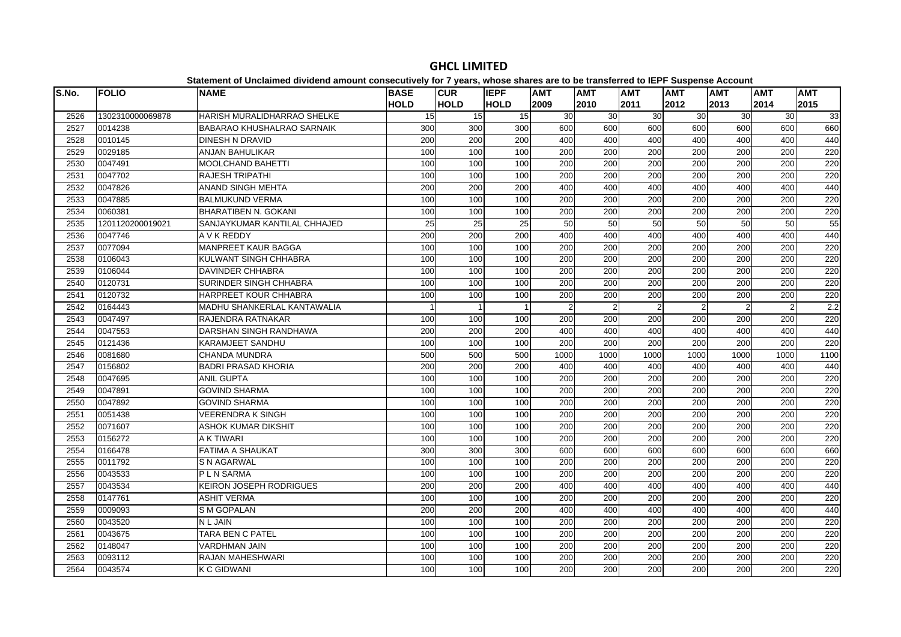| S.No. | <b>FOLIO</b>     | <b>NAME</b>                        | <b>BASE</b> | <b>CUR</b>       | <b>IEPF</b>    | <b>AMT</b>       | <b>AMT</b>       | <b>AMT</b>       | <b>AMT</b>       | <b>AMT</b>     | <b>AMT</b> | <b>AMT</b> |
|-------|------------------|------------------------------------|-------------|------------------|----------------|------------------|------------------|------------------|------------------|----------------|------------|------------|
|       |                  |                                    | <b>HOLD</b> | <b>HOLD</b>      | <b>HOLD</b>    | 2009             | 2010             | 2011             | 2012             | 2013           | 2014       | 2015       |
| 2526  | 1302310000069878 | HARISH MURALIDHARRAO SHELKE        | 15          | 15               | 15             | 30               | 30               | 30               | 30               | 30             | 30         | 33         |
| 2527  | 0014238          | <b>BABARAO KHUSHALRAO SARNAIK</b>  | 300         | 300              | 300            | 600              | 600              | 600              | 600              | 600            | 600        | 660        |
| 2528  | 0010145          | <b>DINESH N DRAVID</b>             | 200         | 200              | 200            | 400              | 400              | 400              | 400              | 400            | 400        | 440        |
| 2529  | 0029185          | <b>ANJAN BAHULIKAR</b>             | 100         | 100              | 100            | 200              | 200              | 200              | $\overline{200}$ | 200            | 200        | 220        |
| 2530  | 0047491          | <b>MOOLCHAND BAHETTI</b>           | 100         | 100              | 100            | 200              | 200              | $\overline{200}$ | $\overline{200}$ | 200            | 200        | 220        |
| 2531  | 0047702          | <b>RAJESH TRIPATHI</b>             | 100         | 100              | 100            | 200              | $\overline{200}$ | $\overline{200}$ | 200              | 200            | 200        | 220        |
| 2532  | 0047826          | <b>ANAND SINGH MEHTA</b>           | 200         | 200              | 200            | 400              | 400              | 400              | 400              | 400            | 400        | 440        |
| 2533  | 0047885          | <b>BALMUKUND VERMA</b>             | 100         | 100              | 100            | 200              | 200              | 200              | 200              | 200            | 200        | 220        |
| 2534  | 0060381          | <b>BHARATIBEN N. GOKANI</b>        | 100         | 100              | 100            | 200              | 200              | 200              | 200              | 200            | 200        | 220        |
| 2535  | 1201120200019021 | SANJAYKUMAR KANTILAL CHHAJED       | 25          | 25               | 25             | 50               | 50               | 50               | 50               | 50             | 50         | 55         |
| 2536  | 0047746          | A V K REDDY                        | 200         | 200              | 200            | 400              | 400              | 400              | 400              | 400            | 400        | 440        |
| 2537  | 0077094          | <b>MANPREET KAUR BAGGA</b>         | 100         | 100              | 100            | 200              | 200              | 200              | 200              | 200            | 200        | 220        |
| 2538  | 0106043          | KULWANT SINGH CHHABRA              | 100         | 100              | 100            | 200              | 200              | 200              | 200              | 200            | 200        | 220        |
| 2539  | 0106044          | <b>DAVINDER CHHABRA</b>            | 100         | 100              | 100            | 200              | 200              | 200              | 200              | 200            | 200        | 220        |
| 2540  | 0120731          | <b>SURINDER SINGH CHHABRA</b>      | 100         | 100              | 100            | 200              | $\overline{200}$ | 200              | 200              | 200            | 200        | 220        |
| 2541  | 0120732          | HARPREET KOUR CHHABRA              | 100         | 100              | 100            | $\overline{200}$ | 200              | $\overline{200}$ | 200              | 200            | 200        | 220        |
| 2542  | 0164443          | <b>MADHU SHANKERLAL KANTAWALIA</b> |             | 1                | $\overline{1}$ | 2                | 2                | $\overline{2}$   | $\mathcal{P}$    | $\mathfrak{p}$ | 2          | 2.2        |
| 2543  | 0047497          | RAJENDRA RATNAKAR                  | 100         | 100              | 100            | 200              | 200              | 200              | 200              | 200            | 200        | 220        |
| 2544  | 0047553          | DARSHAN SINGH RANDHAWA             | 200         | 200              | 200            | 400              | 400              | 400              | 400              | 400            | 400        | 440        |
| 2545  | 0121436          | KARAMJEET SANDHU                   | 100         | 100              | 100            | 200              | 200              | 200              | 200              | 200            | 200        | 220        |
| 2546  | 0081680          | <b>CHANDA MUNDRA</b>               | 500         | 500              | 500            | 1000             | 1000             | 1000             | 1000             | 1000           | 1000       | 1100       |
| 2547  | 0156802          | <b>BADRI PRASAD KHORIA</b>         | 200         | 200              | 200            | 400              | 400              | 400              | 400              | 400            | 400        | 440        |
| 2548  | 0047695          | <b>ANIL GUPTA</b>                  | 100         | 100              | 100            | 200              | 200              | 200              | 200              | 200            | 200        | 220        |
| 2549  | 0047891          | <b>GOVIND SHARMA</b>               | 100         | 100              | 100            | 200              | 200              | 200              | 200              | 200            | 200        | 220        |
| 2550  | 0047892          | <b>GOVIND SHARMA</b>               | 100         | 100              | 100            | 200              | 200              | 200              | 200              | 200            | 200        | 220        |
| 2551  | 0051438          | <b>VEERENDRAK SINGH</b>            | 100         | 100              | 100            | 200              | 200              | 200              | 200              | 200            | 200        | 220        |
| 2552  | 0071607          | <b>ASHOK KUMAR DIKSHIT</b>         | 100         | 100              | 100            | 200              | 200              | $\overline{200}$ | 200              | 200            | 200        | 220        |
| 2553  | 0156272          | A K TIWARI                         | 100         | 100              | 100            | 200              | 200              | $\overline{200}$ | $\overline{200}$ | 200            | 200        | 220        |
| 2554  | 0166478          | <b>FATIMA A SHAUKAT</b>            | 300         | 300              | 300            | 600              | 600              | 600              | 600              | 600            | 600        | 660        |
| 2555  | 0011792          | S N AGARWAL                        | 100         | 100              | 100            | 200              | 200              | 200              | 200              | 200            | 200        | 220        |
| 2556  | 0043533          | P L N SARMA                        | 100         | 100              | 100            | 200              | 200              | 200              | 200              | 200            | 200        | 220        |
| 2557  | 0043534          | <b>KEIRON JOSEPH RODRIGUES</b>     | 200         | $\overline{200}$ | 200            | 400              | 400              | 400              | 400              | 400            | 400        | 440        |
| 2558  | 0147761          | <b>ASHIT VERMA</b>                 | 100         | 100              | 100            | 200              | 200              | 200              | 200              | 200            | 200        | 220        |
| 2559  | 0009093          | <b>SM GOPALAN</b>                  | 200         | 200              | 200            | 400              | 400              | 400              | 400              | 400            | 400        | 440        |
| 2560  | 0043520          | N L JAIN                           | 100         | 100              | 100            | 200              | 200              | 200              | 200              | 200            | 200        | 220        |
| 2561  | 0043675          | <b>TARA BEN C PATEL</b>            | 100         | 100              | 100            | 200              | 200              | 200              | 200              | 200            | 200        | 220        |
| 2562  | 0148047          | <b>VARDHMAN JAIN</b>               | 100         | 100              | 100            | 200              | 200              | 200              | 200              | 200            | 200        | 220        |
| 2563  | 0093112          | <b>RAJAN MAHESHWARI</b>            | 100         | 100              | 100            | 200              | 200              | $\overline{200}$ | $\overline{200}$ | 200            | 200        | 220        |
| 2564  | 0043574          | <b>K C GIDWANI</b>                 | 100         | 100              | 100            | 200              | 200              | 200              | 200              | 200            | 200        | 220        |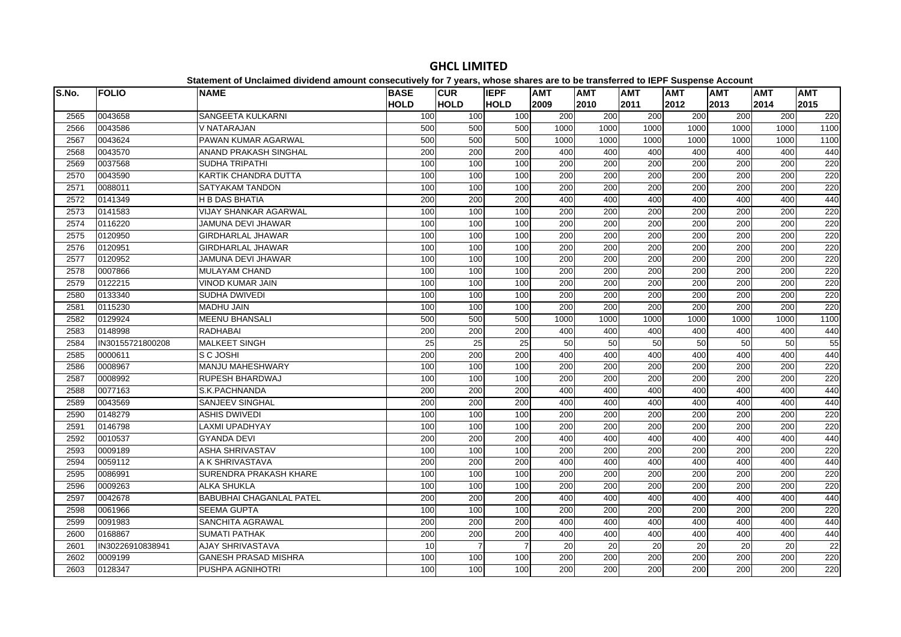| <b>HOLD</b><br><b>HOLD</b><br>2012<br><b>HOLD</b><br>2009<br>2010<br>2011<br>2013<br>2014<br>2015<br>0043658<br>SANGEETA KULKARNI<br>100<br>100<br>200<br>200<br>200<br>200<br>200<br>200<br>220<br>2565<br>100<br>0043586<br>2566<br>V NATARAJAN<br>500<br>500<br>500<br>1000<br>1000<br>1000<br>1000<br>1000<br>1000<br>1100<br>PAWAN KUMAR AGARWAL<br>1000<br>2567<br>0043624<br>500<br>500<br>500<br>1000<br>1000<br>1000<br>1000<br>1000<br>1100<br>2568<br>0043570<br>ANAND PRAKASH SINGHAL<br>200<br>200<br>200<br>400<br>400<br>400<br>400<br>400<br>400<br>440<br>200<br>2569<br>0037568<br><b>SUDHA TRIPATHI</b><br>100<br>100<br>200<br>200<br>200<br>200<br>200<br>220<br>100<br>100<br>200<br>200<br>200<br>200<br>200<br>0043590<br>100<br>100<br>200<br>220<br>2570<br>KARTIK CHANDRA DUTTA<br>200<br>200<br>200<br>200<br>200<br>200<br>220<br>2571<br>0088011<br>SATYAKAM TANDON<br>100<br>100<br>100<br>0141349<br>200<br>400<br>400<br>400<br>400<br>400<br>400<br>2572<br><b>H B DAS BHATIA</b><br>200<br>200<br>440<br>2573<br>0141583<br><b>VIJAY SHANKAR AGARWAL</b><br>100<br>200<br>200<br>200<br>200<br>220<br>100<br>100<br>200<br>200<br>0116220<br>200<br>200<br>200<br>2574<br>JAMUNA DEVI JHAWAR<br>100<br>100<br>100<br>200<br>200<br>200<br>220<br>100<br>200<br>$\overline{200}$<br>200<br>200<br>$\overline{200}$<br>200<br>0120950<br><b>GIRDHARLAL JHAWAR</b><br>100<br>100<br>220<br>2575<br>0120951<br><b>GIRDHARLAL JHAWAR</b><br>100<br>100<br>100<br>200<br>200<br>200<br>200<br>200<br>200<br>220<br>2576<br>0120952<br><b>JAMUNA DEVI JHAWAR</b><br>200<br>200<br>200<br>200<br>200<br>200<br>220<br>2577<br>100<br>100<br>100<br>200<br>200<br>200<br>220<br>2578<br>0007866<br>MULAYAM CHAND<br>100<br>100<br>100<br>200<br>200<br>200<br>200<br>200<br>220<br>2579<br>0122215<br><b>VINOD KUMAR JAIN</b><br>100<br>100<br>100<br>200<br>200<br>200<br>200<br>$\overline{200}$<br>$\overline{200}$<br>0133340<br>SUDHA DWIVEDI<br>100<br>100<br>100<br>200<br>200<br>200<br>200<br>220<br>2580<br>$\overline{200}$<br>200<br>0115230<br><b>MADHU JAIN</b><br>100<br>100<br>100<br>200<br>200<br>200<br>200<br>220<br>2581<br>0129924<br><b>MEENU BHANSALI</b><br>1000<br>1000<br>2582<br>500<br>500<br>500<br>1000<br>1000<br>1000<br>1000<br>1100<br>200<br>400<br>400<br>400<br>2583<br>0148998<br><b>RADHABAI</b><br>200<br>200<br>400<br>400<br>400<br>440<br>50<br>2584<br>IN30155721800208<br><b>MALKEET SINGH</b><br>25<br>25<br>25<br>50<br>50<br>50<br>50<br>50<br>55<br>400<br>400<br>400<br>2585<br>0000611<br>200<br>200<br>200<br>400<br>400<br>400<br>440<br>S C JOSHI<br>0008967<br>100<br>200<br>$\overline{200}$<br>200<br>200<br>200<br>2586<br><b>MANJU MAHESHWARY</b><br>100<br>100<br>200<br>220 |
|---------------------------------------------------------------------------------------------------------------------------------------------------------------------------------------------------------------------------------------------------------------------------------------------------------------------------------------------------------------------------------------------------------------------------------------------------------------------------------------------------------------------------------------------------------------------------------------------------------------------------------------------------------------------------------------------------------------------------------------------------------------------------------------------------------------------------------------------------------------------------------------------------------------------------------------------------------------------------------------------------------------------------------------------------------------------------------------------------------------------------------------------------------------------------------------------------------------------------------------------------------------------------------------------------------------------------------------------------------------------------------------------------------------------------------------------------------------------------------------------------------------------------------------------------------------------------------------------------------------------------------------------------------------------------------------------------------------------------------------------------------------------------------------------------------------------------------------------------------------------------------------------------------------------------------------------------------------------------------------------------------------------------------------------------------------------------------------------------------------------------------------------------------------------------------------------------------------------------------------------------------------------------------------------------------------------------------------------------------------------------------------------------------------------------------------------------------------------------------------------------------------------------------------------------------------------------------------------------------------------------------------------------------------------------------------------------------------------------------------------------------------------|
|                                                                                                                                                                                                                                                                                                                                                                                                                                                                                                                                                                                                                                                                                                                                                                                                                                                                                                                                                                                                                                                                                                                                                                                                                                                                                                                                                                                                                                                                                                                                                                                                                                                                                                                                                                                                                                                                                                                                                                                                                                                                                                                                                                                                                                                                                                                                                                                                                                                                                                                                                                                                                                                                                                                                                                     |
|                                                                                                                                                                                                                                                                                                                                                                                                                                                                                                                                                                                                                                                                                                                                                                                                                                                                                                                                                                                                                                                                                                                                                                                                                                                                                                                                                                                                                                                                                                                                                                                                                                                                                                                                                                                                                                                                                                                                                                                                                                                                                                                                                                                                                                                                                                                                                                                                                                                                                                                                                                                                                                                                                                                                                                     |
|                                                                                                                                                                                                                                                                                                                                                                                                                                                                                                                                                                                                                                                                                                                                                                                                                                                                                                                                                                                                                                                                                                                                                                                                                                                                                                                                                                                                                                                                                                                                                                                                                                                                                                                                                                                                                                                                                                                                                                                                                                                                                                                                                                                                                                                                                                                                                                                                                                                                                                                                                                                                                                                                                                                                                                     |
|                                                                                                                                                                                                                                                                                                                                                                                                                                                                                                                                                                                                                                                                                                                                                                                                                                                                                                                                                                                                                                                                                                                                                                                                                                                                                                                                                                                                                                                                                                                                                                                                                                                                                                                                                                                                                                                                                                                                                                                                                                                                                                                                                                                                                                                                                                                                                                                                                                                                                                                                                                                                                                                                                                                                                                     |
|                                                                                                                                                                                                                                                                                                                                                                                                                                                                                                                                                                                                                                                                                                                                                                                                                                                                                                                                                                                                                                                                                                                                                                                                                                                                                                                                                                                                                                                                                                                                                                                                                                                                                                                                                                                                                                                                                                                                                                                                                                                                                                                                                                                                                                                                                                                                                                                                                                                                                                                                                                                                                                                                                                                                                                     |
|                                                                                                                                                                                                                                                                                                                                                                                                                                                                                                                                                                                                                                                                                                                                                                                                                                                                                                                                                                                                                                                                                                                                                                                                                                                                                                                                                                                                                                                                                                                                                                                                                                                                                                                                                                                                                                                                                                                                                                                                                                                                                                                                                                                                                                                                                                                                                                                                                                                                                                                                                                                                                                                                                                                                                                     |
|                                                                                                                                                                                                                                                                                                                                                                                                                                                                                                                                                                                                                                                                                                                                                                                                                                                                                                                                                                                                                                                                                                                                                                                                                                                                                                                                                                                                                                                                                                                                                                                                                                                                                                                                                                                                                                                                                                                                                                                                                                                                                                                                                                                                                                                                                                                                                                                                                                                                                                                                                                                                                                                                                                                                                                     |
|                                                                                                                                                                                                                                                                                                                                                                                                                                                                                                                                                                                                                                                                                                                                                                                                                                                                                                                                                                                                                                                                                                                                                                                                                                                                                                                                                                                                                                                                                                                                                                                                                                                                                                                                                                                                                                                                                                                                                                                                                                                                                                                                                                                                                                                                                                                                                                                                                                                                                                                                                                                                                                                                                                                                                                     |
|                                                                                                                                                                                                                                                                                                                                                                                                                                                                                                                                                                                                                                                                                                                                                                                                                                                                                                                                                                                                                                                                                                                                                                                                                                                                                                                                                                                                                                                                                                                                                                                                                                                                                                                                                                                                                                                                                                                                                                                                                                                                                                                                                                                                                                                                                                                                                                                                                                                                                                                                                                                                                                                                                                                                                                     |
|                                                                                                                                                                                                                                                                                                                                                                                                                                                                                                                                                                                                                                                                                                                                                                                                                                                                                                                                                                                                                                                                                                                                                                                                                                                                                                                                                                                                                                                                                                                                                                                                                                                                                                                                                                                                                                                                                                                                                                                                                                                                                                                                                                                                                                                                                                                                                                                                                                                                                                                                                                                                                                                                                                                                                                     |
|                                                                                                                                                                                                                                                                                                                                                                                                                                                                                                                                                                                                                                                                                                                                                                                                                                                                                                                                                                                                                                                                                                                                                                                                                                                                                                                                                                                                                                                                                                                                                                                                                                                                                                                                                                                                                                                                                                                                                                                                                                                                                                                                                                                                                                                                                                                                                                                                                                                                                                                                                                                                                                                                                                                                                                     |
|                                                                                                                                                                                                                                                                                                                                                                                                                                                                                                                                                                                                                                                                                                                                                                                                                                                                                                                                                                                                                                                                                                                                                                                                                                                                                                                                                                                                                                                                                                                                                                                                                                                                                                                                                                                                                                                                                                                                                                                                                                                                                                                                                                                                                                                                                                                                                                                                                                                                                                                                                                                                                                                                                                                                                                     |
|                                                                                                                                                                                                                                                                                                                                                                                                                                                                                                                                                                                                                                                                                                                                                                                                                                                                                                                                                                                                                                                                                                                                                                                                                                                                                                                                                                                                                                                                                                                                                                                                                                                                                                                                                                                                                                                                                                                                                                                                                                                                                                                                                                                                                                                                                                                                                                                                                                                                                                                                                                                                                                                                                                                                                                     |
|                                                                                                                                                                                                                                                                                                                                                                                                                                                                                                                                                                                                                                                                                                                                                                                                                                                                                                                                                                                                                                                                                                                                                                                                                                                                                                                                                                                                                                                                                                                                                                                                                                                                                                                                                                                                                                                                                                                                                                                                                                                                                                                                                                                                                                                                                                                                                                                                                                                                                                                                                                                                                                                                                                                                                                     |
|                                                                                                                                                                                                                                                                                                                                                                                                                                                                                                                                                                                                                                                                                                                                                                                                                                                                                                                                                                                                                                                                                                                                                                                                                                                                                                                                                                                                                                                                                                                                                                                                                                                                                                                                                                                                                                                                                                                                                                                                                                                                                                                                                                                                                                                                                                                                                                                                                                                                                                                                                                                                                                                                                                                                                                     |
|                                                                                                                                                                                                                                                                                                                                                                                                                                                                                                                                                                                                                                                                                                                                                                                                                                                                                                                                                                                                                                                                                                                                                                                                                                                                                                                                                                                                                                                                                                                                                                                                                                                                                                                                                                                                                                                                                                                                                                                                                                                                                                                                                                                                                                                                                                                                                                                                                                                                                                                                                                                                                                                                                                                                                                     |
|                                                                                                                                                                                                                                                                                                                                                                                                                                                                                                                                                                                                                                                                                                                                                                                                                                                                                                                                                                                                                                                                                                                                                                                                                                                                                                                                                                                                                                                                                                                                                                                                                                                                                                                                                                                                                                                                                                                                                                                                                                                                                                                                                                                                                                                                                                                                                                                                                                                                                                                                                                                                                                                                                                                                                                     |
|                                                                                                                                                                                                                                                                                                                                                                                                                                                                                                                                                                                                                                                                                                                                                                                                                                                                                                                                                                                                                                                                                                                                                                                                                                                                                                                                                                                                                                                                                                                                                                                                                                                                                                                                                                                                                                                                                                                                                                                                                                                                                                                                                                                                                                                                                                                                                                                                                                                                                                                                                                                                                                                                                                                                                                     |
|                                                                                                                                                                                                                                                                                                                                                                                                                                                                                                                                                                                                                                                                                                                                                                                                                                                                                                                                                                                                                                                                                                                                                                                                                                                                                                                                                                                                                                                                                                                                                                                                                                                                                                                                                                                                                                                                                                                                                                                                                                                                                                                                                                                                                                                                                                                                                                                                                                                                                                                                                                                                                                                                                                                                                                     |
|                                                                                                                                                                                                                                                                                                                                                                                                                                                                                                                                                                                                                                                                                                                                                                                                                                                                                                                                                                                                                                                                                                                                                                                                                                                                                                                                                                                                                                                                                                                                                                                                                                                                                                                                                                                                                                                                                                                                                                                                                                                                                                                                                                                                                                                                                                                                                                                                                                                                                                                                                                                                                                                                                                                                                                     |
|                                                                                                                                                                                                                                                                                                                                                                                                                                                                                                                                                                                                                                                                                                                                                                                                                                                                                                                                                                                                                                                                                                                                                                                                                                                                                                                                                                                                                                                                                                                                                                                                                                                                                                                                                                                                                                                                                                                                                                                                                                                                                                                                                                                                                                                                                                                                                                                                                                                                                                                                                                                                                                                                                                                                                                     |
|                                                                                                                                                                                                                                                                                                                                                                                                                                                                                                                                                                                                                                                                                                                                                                                                                                                                                                                                                                                                                                                                                                                                                                                                                                                                                                                                                                                                                                                                                                                                                                                                                                                                                                                                                                                                                                                                                                                                                                                                                                                                                                                                                                                                                                                                                                                                                                                                                                                                                                                                                                                                                                                                                                                                                                     |
|                                                                                                                                                                                                                                                                                                                                                                                                                                                                                                                                                                                                                                                                                                                                                                                                                                                                                                                                                                                                                                                                                                                                                                                                                                                                                                                                                                                                                                                                                                                                                                                                                                                                                                                                                                                                                                                                                                                                                                                                                                                                                                                                                                                                                                                                                                                                                                                                                                                                                                                                                                                                                                                                                                                                                                     |
| 0008992<br><b>RUPESH BHARDWAJ</b><br>200<br>200<br>200<br>100<br>100<br>100<br>200<br>200<br>200<br>220<br>2587                                                                                                                                                                                                                                                                                                                                                                                                                                                                                                                                                                                                                                                                                                                                                                                                                                                                                                                                                                                                                                                                                                                                                                                                                                                                                                                                                                                                                                                                                                                                                                                                                                                                                                                                                                                                                                                                                                                                                                                                                                                                                                                                                                                                                                                                                                                                                                                                                                                                                                                                                                                                                                                     |
| 0077163<br>200<br>400<br>400<br>400<br>400<br>400<br>2588<br>S.K.PACHNANDA<br>200<br>200<br>400<br>440                                                                                                                                                                                                                                                                                                                                                                                                                                                                                                                                                                                                                                                                                                                                                                                                                                                                                                                                                                                                                                                                                                                                                                                                                                                                                                                                                                                                                                                                                                                                                                                                                                                                                                                                                                                                                                                                                                                                                                                                                                                                                                                                                                                                                                                                                                                                                                                                                                                                                                                                                                                                                                                              |
| 2589<br>0043569<br>200<br>200<br>200<br>400<br>400<br>400<br>SANJEEV SINGHAL<br>400<br>400<br>400<br>440                                                                                                                                                                                                                                                                                                                                                                                                                                                                                                                                                                                                                                                                                                                                                                                                                                                                                                                                                                                                                                                                                                                                                                                                                                                                                                                                                                                                                                                                                                                                                                                                                                                                                                                                                                                                                                                                                                                                                                                                                                                                                                                                                                                                                                                                                                                                                                                                                                                                                                                                                                                                                                                            |
| 0148279<br>200<br>200<br>200<br>220<br>2590<br><b>ASHIS DWIVEDI</b><br>100<br>100<br>100<br>200<br>200<br>200                                                                                                                                                                                                                                                                                                                                                                                                                                                                                                                                                                                                                                                                                                                                                                                                                                                                                                                                                                                                                                                                                                                                                                                                                                                                                                                                                                                                                                                                                                                                                                                                                                                                                                                                                                                                                                                                                                                                                                                                                                                                                                                                                                                                                                                                                                                                                                                                                                                                                                                                                                                                                                                       |
| 100<br>200<br>200<br>200<br>200<br>0146798<br><b>LAXMI UPADHYAY</b><br>100<br>100<br>200<br>200<br>220<br>2591                                                                                                                                                                                                                                                                                                                                                                                                                                                                                                                                                                                                                                                                                                                                                                                                                                                                                                                                                                                                                                                                                                                                                                                                                                                                                                                                                                                                                                                                                                                                                                                                                                                                                                                                                                                                                                                                                                                                                                                                                                                                                                                                                                                                                                                                                                                                                                                                                                                                                                                                                                                                                                                      |
| 400<br>0010537<br><b>GYANDA DEVI</b><br>200<br>200<br>200<br>400<br>400<br>400<br>400<br>400<br>440<br>2592                                                                                                                                                                                                                                                                                                                                                                                                                                                                                                                                                                                                                                                                                                                                                                                                                                                                                                                                                                                                                                                                                                                                                                                                                                                                                                                                                                                                                                                                                                                                                                                                                                                                                                                                                                                                                                                                                                                                                                                                                                                                                                                                                                                                                                                                                                                                                                                                                                                                                                                                                                                                                                                         |
| 0009189<br><b>ASHA SHRIVASTAV</b><br>200<br>200<br>200<br>200<br>200<br>200<br>220<br>2593<br>100<br>100<br>100                                                                                                                                                                                                                                                                                                                                                                                                                                                                                                                                                                                                                                                                                                                                                                                                                                                                                                                                                                                                                                                                                                                                                                                                                                                                                                                                                                                                                                                                                                                                                                                                                                                                                                                                                                                                                                                                                                                                                                                                                                                                                                                                                                                                                                                                                                                                                                                                                                                                                                                                                                                                                                                     |
| 2594<br>0059112<br>A K SHRIVASTAVA<br>200<br>200<br>200<br>400<br>400<br>400<br>400<br>440<br>400<br>400                                                                                                                                                                                                                                                                                                                                                                                                                                                                                                                                                                                                                                                                                                                                                                                                                                                                                                                                                                                                                                                                                                                                                                                                                                                                                                                                                                                                                                                                                                                                                                                                                                                                                                                                                                                                                                                                                                                                                                                                                                                                                                                                                                                                                                                                                                                                                                                                                                                                                                                                                                                                                                                            |
| 200<br>0086991<br>SURENDRA PRAKASH KHARE<br>100<br>200<br>200<br>200<br>200<br>220<br>2595<br>100<br>100<br>200                                                                                                                                                                                                                                                                                                                                                                                                                                                                                                                                                                                                                                                                                                                                                                                                                                                                                                                                                                                                                                                                                                                                                                                                                                                                                                                                                                                                                                                                                                                                                                                                                                                                                                                                                                                                                                                                                                                                                                                                                                                                                                                                                                                                                                                                                                                                                                                                                                                                                                                                                                                                                                                     |
| 200<br>200<br>100<br>100<br>200<br>200<br>200<br>200<br>220<br>2596<br>0009263<br><b>ALKA SHUKLA</b><br>100                                                                                                                                                                                                                                                                                                                                                                                                                                                                                                                                                                                                                                                                                                                                                                                                                                                                                                                                                                                                                                                                                                                                                                                                                                                                                                                                                                                                                                                                                                                                                                                                                                                                                                                                                                                                                                                                                                                                                                                                                                                                                                                                                                                                                                                                                                                                                                                                                                                                                                                                                                                                                                                         |
| <b>BABUBHAI CHAGANLAL PATEL</b><br>400<br>2597<br>0042678<br>200<br>200<br>200<br>400<br>400<br>400<br>400<br>400<br>440                                                                                                                                                                                                                                                                                                                                                                                                                                                                                                                                                                                                                                                                                                                                                                                                                                                                                                                                                                                                                                                                                                                                                                                                                                                                                                                                                                                                                                                                                                                                                                                                                                                                                                                                                                                                                                                                                                                                                                                                                                                                                                                                                                                                                                                                                                                                                                                                                                                                                                                                                                                                                                            |
| 0061966<br><b>SEEMA GUPTA</b><br>200<br>200<br>200<br>200<br>200<br>220<br>2598<br>100<br>100<br>100<br>200                                                                                                                                                                                                                                                                                                                                                                                                                                                                                                                                                                                                                                                                                                                                                                                                                                                                                                                                                                                                                                                                                                                                                                                                                                                                                                                                                                                                                                                                                                                                                                                                                                                                                                                                                                                                                                                                                                                                                                                                                                                                                                                                                                                                                                                                                                                                                                                                                                                                                                                                                                                                                                                         |
| 200<br>200<br>400<br>400<br>400<br>400<br>400<br>2599<br>0091983<br>SANCHITA AGRAWAL<br>200<br>400<br>440                                                                                                                                                                                                                                                                                                                                                                                                                                                                                                                                                                                                                                                                                                                                                                                                                                                                                                                                                                                                                                                                                                                                                                                                                                                                                                                                                                                                                                                                                                                                                                                                                                                                                                                                                                                                                                                                                                                                                                                                                                                                                                                                                                                                                                                                                                                                                                                                                                                                                                                                                                                                                                                           |
| 400<br>400<br>2600<br>0168867<br><b>SUMATI PATHAK</b><br>200<br>200<br>200<br>400<br>400<br>400<br>400<br>440                                                                                                                                                                                                                                                                                                                                                                                                                                                                                                                                                                                                                                                                                                                                                                                                                                                                                                                                                                                                                                                                                                                                                                                                                                                                                                                                                                                                                                                                                                                                                                                                                                                                                                                                                                                                                                                                                                                                                                                                                                                                                                                                                                                                                                                                                                                                                                                                                                                                                                                                                                                                                                                       |
| 20<br>20<br>22<br>2601<br>IN30226910838941<br><b>AJAY SHRIVASTAVA</b><br>10<br>$\overline{7}$<br>$\overline{7}$<br>20<br>20<br>20<br>20                                                                                                                                                                                                                                                                                                                                                                                                                                                                                                                                                                                                                                                                                                                                                                                                                                                                                                                                                                                                                                                                                                                                                                                                                                                                                                                                                                                                                                                                                                                                                                                                                                                                                                                                                                                                                                                                                                                                                                                                                                                                                                                                                                                                                                                                                                                                                                                                                                                                                                                                                                                                                             |
| 200<br>2602<br>0009199<br><b>GANESH PRASAD MISHRA</b><br>100<br>100<br>100<br>200<br>200<br>200<br>200<br>200<br>220                                                                                                                                                                                                                                                                                                                                                                                                                                                                                                                                                                                                                                                                                                                                                                                                                                                                                                                                                                                                                                                                                                                                                                                                                                                                                                                                                                                                                                                                                                                                                                                                                                                                                                                                                                                                                                                                                                                                                                                                                                                                                                                                                                                                                                                                                                                                                                                                                                                                                                                                                                                                                                                |
| 2603<br>0128347<br>PUSHPA AGNIHOTRI<br>100<br>100<br>100<br>200<br>200<br>200<br>200<br>200<br>200<br>220                                                                                                                                                                                                                                                                                                                                                                                                                                                                                                                                                                                                                                                                                                                                                                                                                                                                                                                                                                                                                                                                                                                                                                                                                                                                                                                                                                                                                                                                                                                                                                                                                                                                                                                                                                                                                                                                                                                                                                                                                                                                                                                                                                                                                                                                                                                                                                                                                                                                                                                                                                                                                                                           |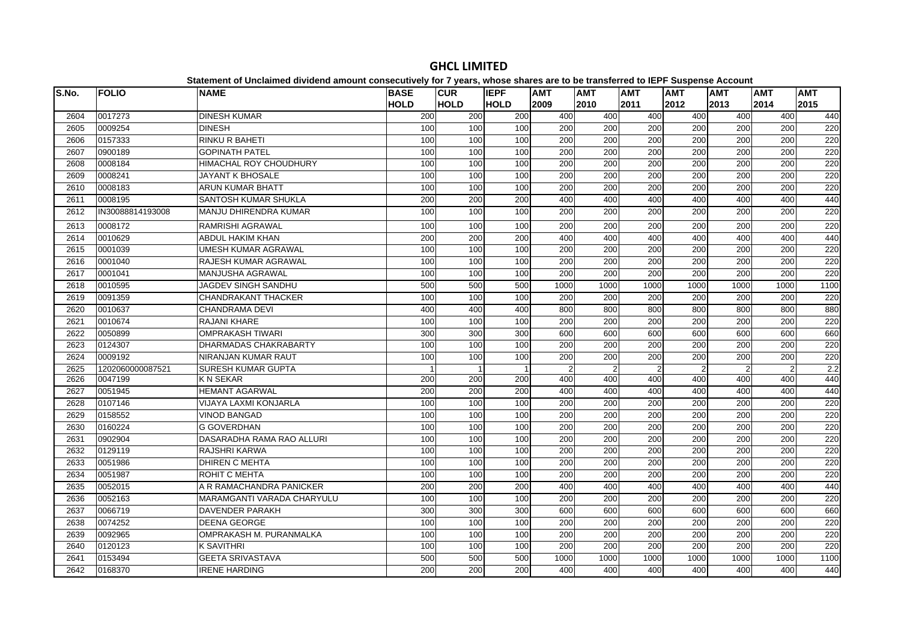| S.No. | <b>FOLIO</b>     | <b>NAME</b>                   | <b>BASE</b> | <b>CUR</b>     | <b>IEPF</b> | <b>AMT</b>       | <b>AMT</b>       | <b>AMT</b>       | <b>AMT</b>    | <b>AMT</b>     | <b>AMT</b>       | <b>AMT</b> |
|-------|------------------|-------------------------------|-------------|----------------|-------------|------------------|------------------|------------------|---------------|----------------|------------------|------------|
|       |                  |                               | <b>HOLD</b> | <b>HOLD</b>    | <b>HOLD</b> | 2009             | 2010             | 2011             | 2012          | 2013           | 2014             | 2015       |
| 2604  | 0017273          | <b>DINESH KUMAR</b>           | 200         | 200            | 200         | 400              | 400              | 400              | 400           | 400            | 400              | 440        |
| 2605  | 0009254          | <b>DINESH</b>                 | 100         | 100            | 100         | 200              | 200              | 200              | 200           | 200            | 200              | 220        |
| 2606  | 0157333          | <b>RINKU R BAHETI</b>         | 100         | 100            | 100         | 200              | 200              | 200              | 200           | 200            | 200              | 220        |
| 2607  | 0900189          | <b>GOPINATH PATEL</b>         | 100         | 100            | 100         | 200              | 200              | 200              | 200           | 200            | 200              | 220        |
| 2608  | 0008184          | <b>HIMACHAL ROY CHOUDHURY</b> | 100         | 100            | 100         | $\overline{200}$ | $\overline{200}$ | $\overline{200}$ | 200           | 200            | $\overline{200}$ | 220        |
| 2609  | 0008241          | <b>JAYANT K BHOSALE</b>       | 100         | 100            | 100         | 200              | 200              | 200              | 200           | 200            | 200              | 220        |
| 2610  | 0008183          | <b>ARUN KUMAR BHATT</b>       | 100         | 100            | 100         | 200              | 200              | 200              | 200           | 200            | 200              | 220        |
| 2611  | 0008195          | SANTOSH KUMAR SHUKLA          | 200         | 200            | 200         | 400              | 400              | 400              | 400           | 400            | 400              | 440        |
| 2612  | IN30088814193008 | MANJU DHIRENDRA KUMAR         | 100         | 100            | 100         | 200              | 200              | 200              | 200           | 200            | 200              | 220        |
| 2613  | 0008172          | RAMRISHI AGRAWAL              | 100         | 100            | 100         | 200              | 200              | 200              | 200           | 200            | 200              | 220        |
| 2614  | 0010629          | <b>ABDUL HAKIM KHAN</b>       | 200         | 200            | 200         | 400              | 400              | 400              | 400           | 400            | 400              | 440        |
| 2615  | 0001039          | <b>UMESH KUMAR AGRAWAL</b>    | 100         | 100            | 100         | 200              | 200              | 200              | 200           | 200            | 200              | 220        |
| 2616  | 0001040          | RAJESH KUMAR AGRAWAL          | 100         | 100            | 100         | 200              | 200              | 200              | 200           | 200            | 200              | 220        |
| 2617  | 0001041          | <b>MANJUSHA AGRAWAL</b>       | 100         | 100            | 100         | 200              | 200              | 200              | 200           | 200            | 200              | 220        |
| 2618  | 0010595          | JAGDEV SINGH SANDHU           | 500         | 500            | 500         | 1000             | 1000             | 1000             | 1000          | 1000           | 1000             | 1100       |
| 2619  | 0091359          | <b>CHANDRAKANT THACKER</b>    | 100         | 100            | 100         | 200              | 200              | 200              | 200           | 200            | 200              | 220        |
| 2620  | 0010637          | CHANDRAMA DEVI                | 400         | 400            | 400         | 800              | 800              | 800              | 800           | 800            | 800              | 880        |
| 2621  | 0010674          | <b>RAJANI KHARE</b>           | 100         | 100            | 100         | $\overline{200}$ | 200              | $\overline{200}$ | 200           | 200            | $\overline{200}$ | 220        |
| 2622  | 0050899          | <b>OMPRAKASH TIWARI</b>       | 300         | 300            | 300         | 600              | 600              | 600              | 600           | 600            | 600              | 660        |
| 2623  | 0124307          | DHARMADAS CHAKRABARTY         | 100         | 100            | 100         | 200              | 200              | 200              | 200           | 200            | 200              | 220        |
| 2624  | 0009192          | NIRANJAN KUMAR RAUT           | 100         | 100            | 100         | 200              | 200              | 200              | 200           | 200            | 200              | 220        |
| 2625  | 1202060000087521 | <b>SURESH KUMAR GUPTA</b>     | -1          | $\overline{1}$ |             | $\overline{2}$   | $\mathcal{P}$    | $\overline{2}$   | $\mathcal{P}$ | $\overline{2}$ | $\overline{2}$   | 2.2        |
| 2626  | 0047199          | <b>KN SEKAR</b>               | 200         | 200            | 200         | 400              | 400              | 400              | 400           | 400            | 400              | 440        |
| 2627  | 0051945          | <b>HEMANT AGARWAL</b>         | 200         | 200            | 200         | 400              | 400              | 400              | 400           | 400            | 400              | 440        |
| 2628  | 0107146          | VIJAYA LAXMI KONJARLA         | 100         | 100            | 100         | 200              | 200              | 200              | 200           | 200            | 200              | 220        |
| 2629  | 0158552          | <b>VINOD BANGAD</b>           | 100         | 100            | 100         | 200              | 200              | 200              | 200           | 200            | 200              | 220        |
| 2630  | 0160224          | <b>G GOVERDHAN</b>            | 100         | 100            | 100         | $\overline{200}$ | 200              | $\overline{200}$ | 200           | 200            | $\overline{200}$ | 220        |
| 2631  | 0902904          | DASARADHA RAMA RAO ALLURI     | 100         | 100            | 100         | 200              | 200              | 200              | 200           | 200            | 200              | 220        |
| 2632  | 0129119          | <b>RAJSHRI KARWA</b>          | 100         | 100            | 100         | 200              | 200              | 200              | 200           | 200            | 200              | 220        |
| 2633  | 0051986          | <b>DHIREN C MEHTA</b>         | 100         | 100            | 100         | 200              | 200              | 200              | 200           | 200            | 200              | 220        |
| 2634  | 0051987          | <b>ROHIT C MEHTA</b>          | 100         | 100            | 100         | 200              | 200              | 200              | 200           | 200            | 200              | 220        |
| 2635  | 0052015          | A R RAMACHANDRA PANICKER      | 200         | 200            | 200         | 400              | 400              | 400              | 400           | 400            | 400              | 440        |
| 2636  | 0052163          | MARAMGANTI VARADA CHARYULU    | 100         | 100            | 100         | 200              | 200              | $\overline{200}$ | 200           | 200            | $\overline{200}$ | 220        |
| 2637  | 0066719          | <b>DAVENDER PARAKH</b>        | 300         | 300            | 300         | 600              | 600              | 600              | 600           | 600            | 600              | 660        |
| 2638  | 0074252          | <b>DEENA GEORGE</b>           | 100         | 100            | 100         | 200              | 200              | 200              | 200           | 200            | 200              | 220        |
| 2639  | 0092965          | OMPRAKASH M. PURANMALKA       | 100         | 100            | 100         | 200              | 200              | 200              | 200           | 200            | 200              | 220        |
| 2640  | 0120123          | K SAVITHRI                    | 100         | 100            | 100         | 200              | 200              | 200              | 200           | 200            | 200              | 220        |
| 2641  | 0153494          | <b>GEETA SRIVASTAVA</b>       | 500         | 500            | 500         | 1000             | 1000             | 1000             | 1000          | 1000           | 1000             | 1100       |
| 2642  | 0168370          | <b>IRENE HARDING</b>          | 200         | 200            | 200         | 400              | 400              | 400              | 400           | 400            | 400              | 440        |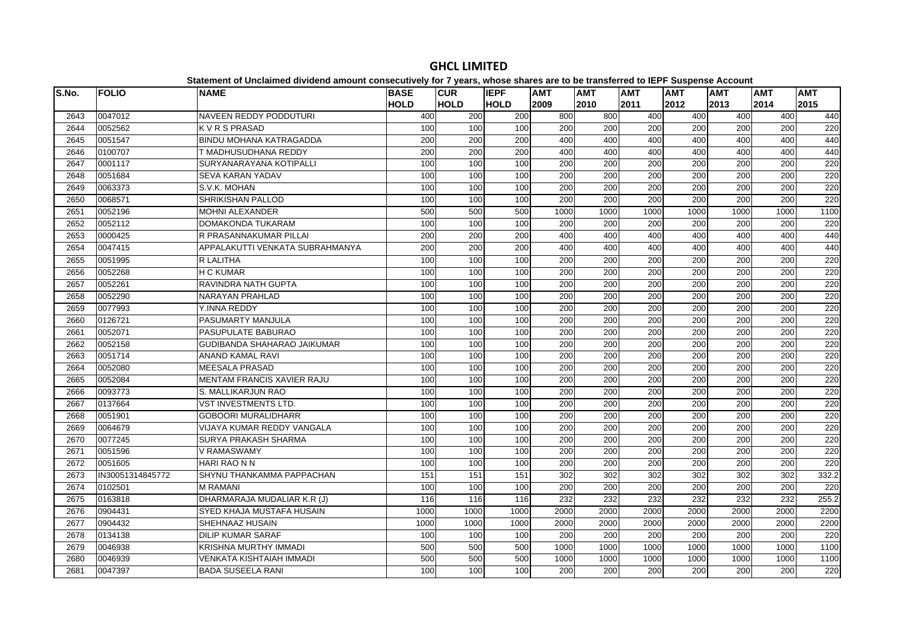| S.No. | <b>FOLIO</b>     | <b>NAME</b>                       | <b>BASE</b> | <b>CUR</b>  | <b>IEPF</b> | <b>AMT</b> | <b>AMT</b>       | <b>AMT</b>       | <b>AMT</b>       | <b>AMT</b>       | <b>AMT</b>       | <b>AMT</b> |
|-------|------------------|-----------------------------------|-------------|-------------|-------------|------------|------------------|------------------|------------------|------------------|------------------|------------|
|       |                  |                                   | <b>HOLD</b> | <b>HOLD</b> | <b>HOLD</b> | 2009       | 2010             | 2011             | 2012             | 2013             | 2014             | 2015       |
| 2643  | 0047012          | NAVEEN REDDY PODDUTURI            | 400         | 200         | 200         | 800        | 800              | 400              | 400              | 400              | 400              | 440        |
| 2644  | 0052562          | <b>KVRSPRASAD</b>                 | 100         | 100         | 100         | 200        | 200              | 200              | 200              | 200              | 200              | 220        |
| 2645  | 0051547          | <b>BINDU MOHANA KATRAGADDA</b>    | 200         | 200         | 200         | 400        | 400              | 400              | 400              | 400              | 400              | 440        |
| 2646  | 0100707          | T MADHUSUDHANA REDDY              | 200         | 200         | 200         | 400        | 400              | 400              | 400              | 400              | 400              | 440        |
| 2647  | 0001117          | SURYANARAYANA KOTIPALLI           | 100         | 100         | 100         | 200        | 200              | $\overline{200}$ | 200              | 200              | $\overline{200}$ | 220        |
| 2648  | 0051684          | <b>SEVA KARAN YADAV</b>           | 100         | 100         | 100         | 200        | 200              | $\overline{200}$ | 200              | 200              | 200              | 220        |
| 2649  | 0063373          | S.V.K. MOHAN                      | 100         | 100         | 100         | 200        | $\overline{200}$ | 200              | 200              | 200              | 200              | 220        |
| 2650  | 0068571          | SHRIKISHAN PALLOD                 | 100         | 100         | 100         | 200        | 200              | 200              | 200              | 200              | 200              | 220        |
| 2651  | 0052196          | MOHNI ALEXANDER                   | 500         | 500         | 500         | 1000       | 1000             | 1000             | 1000             | 1000             | 1000             | 1100       |
| 2652  | 0052112          | DOMAKONDA TUKARAM                 | 100         | 100         | 100         | 200        | 200              | 200              | 200              | 200              | 200              | 220        |
| 2653  | 0000425          | R PRASANNAKUMAR PILLAI            | 200         | 200         | 200         | 400        | 400              | 400              | 400              | 400              | 400              | 440        |
| 2654  | 0047415          | APPALAKUTTI VENKATA SUBRAHMANYA   | 200         | 200         | 200         | 400        | 400              | 400              | 400              | 400              | 400              | 440        |
| 2655  | 0051995          | R LALITHA                         | 100         | 100         | 100         | 200        | 200              | 200              | 200              | 200              | $\overline{200}$ | 220        |
| 2656  | 0052268          | <b>H C KUMAR</b>                  | 100         | 100         | 100         | 200        | 200              | 200              | 200              | 200              | 200              | 220        |
| 2657  | 0052261          | <b>RAVINDRA NATH GUPTA</b>        | 100         | 100         | 100         | 200        | 200              | 200              | 200              | 200              | 200              | 220        |
| 2658  | 0052290          | NARAYAN PRAHLAD                   | 100         | 100         | 100         | 200        | 200              | 200              | 200              | 200              | 200              | 220        |
| 2659  | 0077993          | Y.INNA REDDY                      | 100         | 100         | 100         | 200        | 200              | 200              | 200              | 200              | 200              | 220        |
| 2660  | 0126721          | <b>PASUMARTY MANJULA</b>          | 100         | 100         | 100         | 200        | 200              | 200              | 200              | 200              | 200              | 220        |
| 2661  | 0052071          | PASUPULATE BABURAO                | 100         | 100         | 100         | 200        | $\overline{200}$ | $\overline{200}$ | 200              | 200              | $\overline{200}$ | 220        |
| 2662  | 0052158          | GUDIBANDA SHAHARAO JAIKUMAR       | 100         | 100         | 100         | 200        | 200              | 200              | 200              | 200              | 200              | 220        |
| 2663  | 0051714          | ANAND KAMAL RAVI                  | 100         | 100         | 100         | 200        | 200              | 200              | 200              | 200              | 200              | 220        |
| 2664  | 0052080          | <b>MEESALA PRASAD</b>             | 100         | 100         | 100         | 200        | 200              | 200              | 200              | 200              | 200              | 220        |
| 2665  | 0052084          | <b>MENTAM FRANCIS XAVIER RAJU</b> | 100         | 100         | 100         | 200        | 200              | 200              | 200              | 200              | 200              | 220        |
| 2666  | 0093773          | S. MALLIKARJUN RAO                | 100         | 100         | 100         | 200        | 200              | 200              | 200              | 200              | 200              | 220        |
| 2667  | 0137664          | <b>VST INVESTMENTS LTD.</b>       | 100         | 100         | 100         | 200        | 200              | 200              | 200              | 200              | 200              | 220        |
| 2668  | 0051901          | <b>GOBOORI MURALIDHARR</b>        | 100         | 100         | 100         | 200        | 200              | 200              | 200              | 200              | 200              | 220        |
| 2669  | 0064679          | VIJAYA KUMAR REDDY VANGALA        | 100         | 100         | 100         | 200        | 200              | 200              | 200              | 200              | 200              | 220        |
| 2670  | 0077245          | <b>SURYA PRAKASH SHARMA</b>       | 100         | 100         | 100         | 200        | 200              | 200              | 200              | 200              | 200              | 220        |
| 2671  | 0051596          | V RAMASWAMY                       | 100         | 100         | 100         | 200        | 200              | 200              | 200              | 200              | 200              | 220        |
| 2672  | 0051605          | HARI RAO N N                      | 100         | 100         | 100         | 200        | 200              | 200              | 200              | 200              | 200              | 220        |
| 2673  | IN30051314845772 | SHYNU THANKAMMA PAPPACHAN         | 151         | 151         | 151         | 302        | 302              | 302              | $\overline{302}$ | 302              | 302              | 332.2      |
| 2674  | 0102501          | <b>M RAMANI</b>                   | 100         | 100         | 100         | 200        | 200              | 200              | 200              | 200              | 200              | 220        |
| 2675  | 0163818          | DHARMARAJA MUDALIAR K.R (J)       | 116         | 116         | 116         | 232        | 232              | 232              | 232              | $\overline{232}$ | 232              | 255.2      |
| 2676  | 0904431          | SYED KHAJA MUSTAFA HUSAIN         | 1000        | 1000        | 1000        | 2000       | 2000             | 2000             | 2000             | 2000             | 2000             | 2200       |
| 2677  | 0904432          | SHEHNAAZ HUSAIN                   | 1000        | 1000        | 1000        | 2000       | 2000             | 2000             | 2000             | 2000             | 2000             | 2200       |
| 2678  | 0134138          | <b>DILIP KUMAR SARAF</b>          | 100         | 100         | 100         | 200        | 200              | 200              | 200              | 200              | 200              | 220        |
| 2679  | 0046938          | KRISHNA MURTHY IMMADI             | 500         | 500         | 500         | 1000       | 1000             | 1000             | 1000             | 1000             | 1000             | 1100       |
| 2680  | 0046939          | VENKATA KISHTAIAH IMMADI          | 500         | 500         | 500         | 1000       | 1000             | 1000             | 1000             | 1000             | 1000             | 1100       |
| 2681  | 0047397          | <b>BADA SUSEELA RANI</b>          | 100         | 100         | 100         | 200        | 200              | 200              | 200              | 200              | 200              | 220        |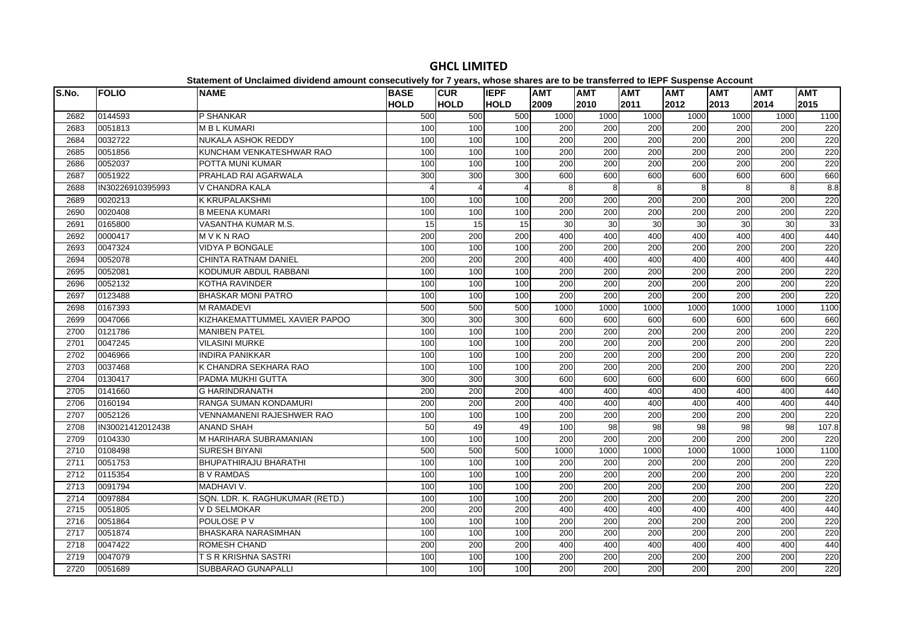| S.No. | <b>FOLIO</b>     | <b>NAME</b>                      | <b>BASE</b><br><b>HOLD</b> | <b>CUR</b><br><b>HOLD</b> | <b>IEPF</b><br><b>HOLD</b> | <b>AMT</b><br>2009 | <b>AMT</b><br>2010 | <b>AMT</b><br>2011 | <b>AMT</b><br>2012 | <b>AMT</b><br>2013 | <b>AMT</b><br>2014 | <b>AMT</b><br>2015 |
|-------|------------------|----------------------------------|----------------------------|---------------------------|----------------------------|--------------------|--------------------|--------------------|--------------------|--------------------|--------------------|--------------------|
| 2682  | 0144593          | P SHANKAR                        | 500                        | 500                       | 500                        | 1000               | 1000               | 1000               | 1000               | 1000               | 1000               | 1100               |
| 2683  | 0051813          | <b>MBLKUMARI</b>                 | 100                        | 100                       | 100                        | 200                | 200                | 200                | 200                | 200                | 200                | 220                |
| 2684  | 0032722          | <b>NUKALA ASHOK REDDY</b>        | 100                        | 100                       | 100                        | 200                | 200                | 200                | 200                | 200                | 200                | 220                |
| 2685  | 0051856          | KUNCHAM VENKATESHWAR RAO         | 100                        | 100                       | 100                        | 200                | 200                | $\overline{200}$   | 200                | 200                | 200                | 220                |
| 2686  | 0052037          | POTTA MUNI KUMAR                 | 100                        | 100                       | 100                        | 200                | 200                | 200                | 200                | 200                | 200                | 220                |
| 2687  | 0051922          | PRAHLAD RAI AGARWALA             | 300                        | 300                       | 300                        | 600                | 600                | 600                | 600                | 600                | 600                | 660                |
| 2688  | IN30226910395993 | V CHANDRA KALA                   | $\Delta$                   | $\overline{4}$            | Δ                          | 8                  | 8                  | 8                  | 8                  | 8                  | 8                  | 8.8                |
| 2689  | 0020213          | <b>K KRUPALAKSHMI</b>            | 100                        | 100                       | 100                        | 200                | 200                | 200                | 200                | 200                | 200                | 220                |
| 2690  | 0020408          | <b>B MEENA KUMARI</b>            | 100                        | 100                       | 100                        | 200                | 200                | 200                | 200                | 200                | 200                | 220                |
| 2691  | 0165800          | VASANTHA KUMAR M.S.              | 15                         | 15                        | 15                         | 30                 | 30                 | 30                 | 30                 | 30                 | 30                 | 33                 |
| 2692  | 0000417          | <b>MVKNRAO</b>                   | 200                        | 200                       | 200                        | 400                | 400                | 400                | 400                | 400                | 400                | 440                |
| 2693  | 0047324          | <b>VIDYA P BONGALE</b>           | 100                        | 100                       | 100                        | $\overline{200}$   | 200                | 200                | 200                | 200                | 200                | 220                |
| 2694  | 0052078          | <b>CHINTA RATNAM DANIEL</b>      | 200                        | 200                       | 200                        | 400                | 400                | 400                | 400                | 400                | 400                | 440                |
| 2695  | 0052081          | KODUMUR ABDUL RABBANI            | 100                        | 100                       | 100                        | 200                | 200                | 200                | 200                | 200                | 200                | 220                |
| 2696  | 0052132          | <b>KOTHA RAVINDER</b>            | 100                        | 100                       | 100                        | 200                | 200                | 200                | 200                | 200                | 200                | 220                |
| 2697  | 0123488          | <b>BHASKAR MONI PATRO</b>        | 100                        | 100                       | 100                        | 200                | 200                | 200                | 200                | 200                | 200                | 220                |
| 2698  | 0167393          | <b>M RAMADEVI</b>                | 500                        | 500                       | 500                        | 1000               | 1000               | 1000               | 1000               | 1000               | 1000               | 1100               |
| 2699  | 0047066          | KIZHAKEMATTUMMEL XAVIER PAPOO    | 300                        | 300                       | 300                        | 600                | 600                | 600                | 600                | 600                | 600                | 660                |
| 2700  | 0121786          | <b>MANIBEN PATEL</b>             | 100                        | 100                       | 100                        | 200                | 200                | 200                | 200                | 200                | 200                | 220                |
| 2701  | 0047245          | <b>VILASINI MURKE</b>            | 100                        | 100                       | 100                        | 200                | 200                | 200                | 200                | 200                | 200                | 220                |
| 2702  | 0046966          | <b>INDIRA PANIKKAR</b>           | 100                        | 100                       | 100                        | $\overline{200}$   | 200                | 200                | $\overline{200}$   | 200                | 200                | 220                |
| 2703  | 0037468          | K CHANDRA SEKHARA RAO            | 100                        | 100                       | 100                        | 200                | 200                | 200                | 200                | 200                | 200                | 220                |
| 2704  | 0130417          | PADMA MUKHI GUTTA                | 300                        | 300                       | 300                        | 600                | 600                | 600                | 600                | 600                | 600                | 660                |
| 2705  | 0141660          | <b>G HARINDRANATH</b>            | 200                        | 200                       | 200                        | 400                | 400                | 400                | 400                | 400                | 400                | 440                |
| 2706  | 0160194          | <b>RANGA SUMAN KONDAMURI</b>     | 200                        | 200                       | 200                        | 400                | 400                | 400                | 400                | 400                | 400                | 440                |
| 2707  | 0052126          | <b>VENNAMANENI RAJESHWER RAO</b> | 100                        | 100                       | 100                        | 200                | 200                | 200                | 200                | 200                | 200                | 220                |
| 2708  | IN30021412012438 | <b>ANAND SHAH</b>                | 50                         | 49                        | 49                         | 100                | 98                 | 98                 | 98                 | 98                 | 98                 | 107.8              |
| 2709  | 0104330          | M HARIHARA SUBRAMANIAN           | 100                        | 100                       | 100                        | 200                | 200                | 200                | 200                | 200                | 200                | 220                |
| 2710  | 0108498          | <b>SURESH BIYANI</b>             | 500                        | 500                       | 500                        | 1000               | 1000               | 1000               | 1000               | 1000               | 1000               | 1100               |
| 2711  | 0051753          | <b>BHUPATHIRAJU BHARATHI</b>     | 100                        | 100                       | 100                        | 200                | 200                | 200                | 200                | 200                | 200                | 220                |
| 2712  | 0115354          | <b>B V RAMDAS</b>                | 100                        | 100                       | 100                        | 200                | 200                | 200                | 200                | 200                | 200                | 220                |
| 2713  | 0091794          | MADHAVI V.                       | 100                        | 100                       | 100                        | 200                | 200                | 200                | 200                | 200                | 200                | 220                |
| 2714  | 0097884          | SQN. LDR. K. RAGHUKUMAR (RETD.)  | 100                        | 100                       | 100                        | 200                | 200                | 200                | 200                | 200                | 200                | 220                |
| 2715  | 0051805          | V D SELMOKAR                     | 200                        | $\overline{200}$          | 200                        | 400                | 400                | 400                | 400                | 400                | 400                | 440                |
| 2716  | 0051864          | POULOSE P V                      | 100                        | 100                       | 100                        | 200                | 200                | $\overline{200}$   | 200                | 200                | 200                | 220                |
| 2717  | 0051874          | <b>BHASKARA NARASIMHAN</b>       | 100                        | 100                       | 100                        | 200                | 200                | 200                | 200                | 200                | 200                | 220                |
| 2718  | 0047422          | ROMESH CHAND                     | 200                        | 200                       | 200                        | 400                | 400                | 400                | 400                | 400                | 400                | 440                |
| 2719  | 0047079          | T S R KRISHNA SASTRI             | 100                        | 100                       | 100                        | $\overline{200}$   | 200                | $\overline{200}$   | $\overline{200}$   | 200                | 200                | 220                |
| 2720  | 0051689          | <b>SUBBARAO GUNAPALLI</b>        | 100                        | 100                       | 100                        | 200                | 200                | 200                | 200                | 200                | 200                | 220                |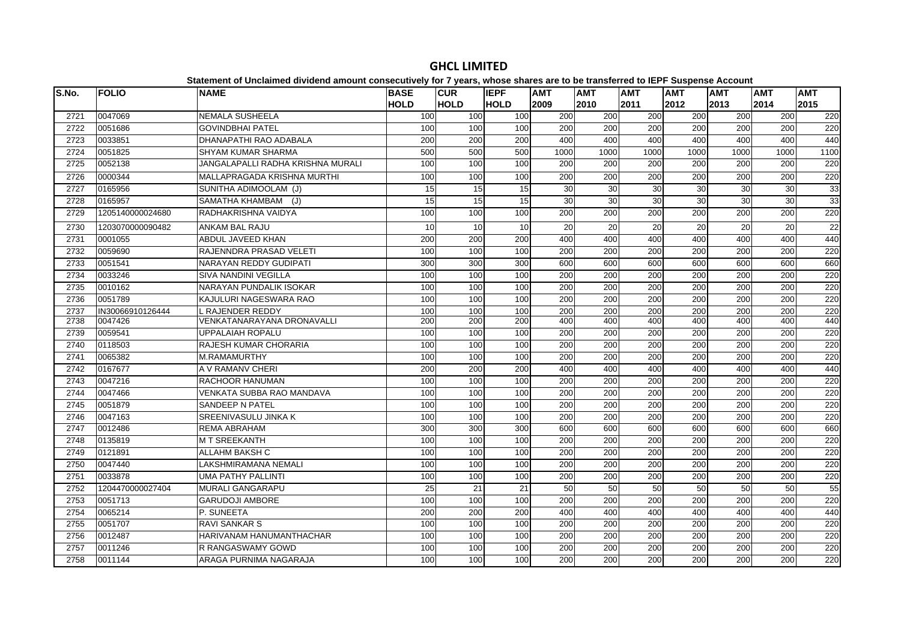| S.No. | <b>FOLIO</b>     | platomont or onolalmoa annaona amoant oonoooathoff for 1 foarof mnooo onaroo aro ta<br><b>NAME</b> | <b>BASE</b> | <b>CUR</b>       | <b>IEPF</b> | <b>AMT</b>       | <b>AMT</b>       | <b>AMT</b>       | <b>AMT</b> | <b>AMT</b>       | <b>AMT</b>       | <b>AMT</b> |
|-------|------------------|----------------------------------------------------------------------------------------------------|-------------|------------------|-------------|------------------|------------------|------------------|------------|------------------|------------------|------------|
|       |                  |                                                                                                    | <b>HOLD</b> | <b>HOLD</b>      | <b>HOLD</b> | 2009             | 2010             | 2011             | 2012       | 2013             | 2014             | 2015       |
| 2721  | 0047069          | NEMALA SUSHEELA                                                                                    | 100         | 100              | 100         | 200              | 200              | 200              | 200        | 200              | 200              | 220        |
| 2722  | 0051686          | <b>GOVINDBHAI PATEL</b>                                                                            | 100         | 100              | 100         | $\overline{200}$ | 200              | $\overline{200}$ | 200        | $\overline{200}$ | $\overline{200}$ | 220        |
| 2723  | 0033851          | DHANAPATHI RAO ADABALA                                                                             | 200         | 200              | 200         | 400              | 400              | 400              | 400        | 400              | 400              | 440        |
| 2724  | 0051825          | <b>SHYAM KUMAR SHARMA</b>                                                                          | 500         | 500              | 500         | 1000             | 1000             | 1000             | 1000       | 1000             | 1000             | 1100       |
| 2725  | 0052138          | JANGALAPALLI RADHA KRISHNA MURALI                                                                  | 100         | 100              | 100         | 200              | 200              | 200              | 200        | $\overline{200}$ | $\overline{200}$ | 220        |
| 2726  | 0000344          | MALLAPRAGADA KRISHNA MURTHI                                                                        | 100         | 100              | 100         | 200              | 200              | 200              | 200        | 200              | 200              | 220        |
| 2727  | 0165956          | SUNITHA ADIMOOLAM (J)                                                                              | 15          | 15               | 15          | 30               | 30               | 30               | 30         | 30               | 30               | 33         |
| 2728  | 0165957          | SAMATHA KHAMBAM (J)                                                                                | 15          | 15               | 15          | 30               | 30               | 30               | 30         | $\overline{30}$  | 30               | 33         |
| 2729  | 1205140000024680 | RADHAKRISHNA VAIDYA                                                                                | 100         | 100              | 100         | 200              | 200              | 200              | 200        | 200              | 200              | 220        |
| 2730  | 1203070000090482 | <b>ANKAM BAL RAJU</b>                                                                              | 10          | 10               | 10          | 20               | 20               | $\overline{20}$  | 20         | 20               | 20               | 22         |
| 2731  | 0001055          | ABDUL JAVEED KHAN                                                                                  | 200         | 200              | 200         | 400              | 400              | 400              | 400        | 400              | 400              | 440        |
| 2732  | 0059690          | RAJENNDRA PRASAD VELETI                                                                            | 100         | 100              | 100         | 200              | 200              | 200              | 200        | 200              | 200              | 220        |
| 2733  | 0051541          | NARAYAN REDDY GUDIPATI                                                                             | 300         | 300              | 300         | 600              | 600              | 600              | 600        | 600              | 600              | 660        |
| 2734  | 0033246          | SIVA NANDINI VEGILLA                                                                               | 100         | 100              | 100         | 200              | 200              | $\overline{200}$ | 200        | 200              | 200              | 220        |
| 2735  | 0010162          | NARAYAN PUNDALIK ISOKAR                                                                            | 100         | 100              | 100         | $\overline{200}$ | 200              | 200              | 200        | $\overline{200}$ | $\overline{200}$ | 220        |
| 2736  | 0051789          | KAJULURI NAGESWARA RAO                                                                             | 100         | 100              | 100         | 200              | 200              | 200              | 200        | 200              | 200              | 220        |
| 2737  | IN30066910126444 | L RAJENDER REDDY                                                                                   | 100         | 100              | 100         | 200              | $\overline{200}$ | $\overline{200}$ | 200        | 200              | 200              | 220        |
| 2738  | 0047426          | VENKATANARAYANA DRONAVALLI                                                                         | 200         | $\overline{200}$ | 200         | 400              | 400              | 400              | 400        | 400              | 400              | 440        |
| 2739  | 0059541          | UPPALAIAH ROPALU                                                                                   | 100         | 100              | 100         | 200              | 200              | 200              | 200        | 200              | 200              | 220        |
| 2740  | 0118503          | RAJESH KUMAR CHORARIA                                                                              | 100         | 100              | 100         | 200              | $\overline{200}$ | $\overline{200}$ | 200        | 200              | 200              | 220        |
| 2741  | 0065382          | M.RAMAMURTHY                                                                                       | 100         | 100              | 100         | 200              | 200              | 200              | 200        | 200              | 200              | 220        |
| 2742  | 0167677          | A V RAMANV CHERI                                                                                   | 200         | 200              | 200         | 400              | 400              | 400              | 400        | 400              | 400              | 440        |
| 2743  | 0047216          | RACHOOR HANUMAN                                                                                    | 100         | 100              | 100         | 200              | 200              | 200              | 200        | 200              | 200              | 220        |
| 2744  | 0047466          | VENKATA SUBBA RAO MANDAVA                                                                          | 100         | 100              | 100         | 200              | 200              | 200              | 200        | 200              | 200              | 220        |
| 2745  | 0051879          | <b>SANDEEP N PATEL</b>                                                                             | 100         | 100              | 100         | 200              | 200              | 200              | 200        | 200              | 200              | 220        |
| 2746  | 0047163          | SREENIVASULU JINKA K                                                                               | 100         | 100              | 100         | 200              | 200              | 200              | 200        | 200              | 200              | 220        |
| 2747  | 0012486          | REMA ABRAHAM                                                                                       | 300         | 300              | 300         | 600              | 600              | 600              | 600        | 600              | 600              | 660        |
| 2748  | 0135819          | <b>MT SREEKANTH</b>                                                                                | 100         | 100              | 100         | 200              | 200              | $\overline{200}$ | 200        | 200              | 200              | 220        |
| 2749  | 0121891          | <b>ALLAHM BAKSH C</b>                                                                              | 100         | 100              | 100         | 200              | 200              | 200              | 200        | 200              | 200              | 220        |
| 2750  | 0047440          | LAKSHMIRAMANA NEMALI                                                                               | 100         | 100              | 100         | 200              | 200              | $\overline{200}$ | 200        | 200              | $\overline{200}$ | 220        |
| 2751  | 0033878          | <b>UMA PATHY PALLINTI</b>                                                                          | 100         | 100              | 100         | 200              | 200              | 200              | 200        | 200              | 200              | 220        |
| 2752  | 1204470000027404 | <b>MURALI GANGARAPU</b>                                                                            | 25          | 21               | 21          | 50               | 50               | 50               | 50         | 50               | 50               | 55         |
| 2753  | 0051713          | <b>GARUDOJI AMBORE</b>                                                                             | 100         | 100              | 100         | 200              | $\overline{200}$ | $\overline{200}$ | 200        | $\overline{200}$ | $\overline{200}$ | 220        |
| 2754  | 0065214          | P. SUNEETA                                                                                         | 200         | 200              | 200         | 400              | 400              | 400              | 400        | 400              | 400              | 440        |
| 2755  | 0051707          | <b>RAVI SANKAR S</b>                                                                               | 100         | 100              | 100         | 200              | 200              | 200              | 200        | 200              | 200              | 220        |
| 2756  | 0012487          | HARIVANAM HANUMANTHACHAR                                                                           | 100         | 100              | 100         | 200              | 200              | 200              | 200        | 200              | 200              | 220        |
| 2757  | 0011246          | R RANGASWAMY GOWD                                                                                  | 100         | 100              | 100         | 200              | 200              | 200              | 200        | 200              | 200              | 220        |
| 2758  | 0011144          | ARAGA PURNIMA NAGARAJA                                                                             | 100         | 100              | 100         | 200              | 200              | 200              | 200        | 200              | 200              | 220        |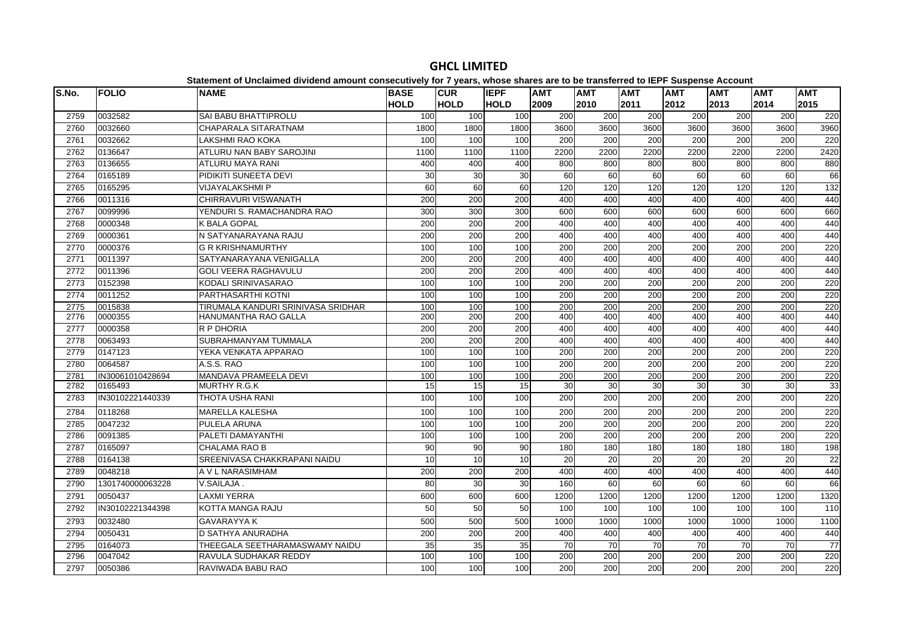| S.No. | <b>FOLIO</b>     | platomont of onolamiou antiuonu amount concooutivoly for Figure, impose onuros are to<br><b>NAME</b> | <b>BASE</b> | <b>CUR</b>      | <b>IEPF</b>      | <b>AMT</b>       | .<br><b>AMT</b> | <b>AMT</b>       | $-$<br><b>AMT</b> | <b>AMT</b> | <b>AMT</b>       | <b>AMT</b> |
|-------|------------------|------------------------------------------------------------------------------------------------------|-------------|-----------------|------------------|------------------|-----------------|------------------|-------------------|------------|------------------|------------|
|       |                  |                                                                                                      | <b>HOLD</b> | <b>HOLD</b>     | <b>HOLD</b>      | 2009             | 2010            | 2011             | 2012              | 2013       | 2014             | 2015       |
| 2759  | 0032582          | SAI BABU BHATTIPROLU                                                                                 | 100         | 100             | 100              | 200              | 200             | 200              | 200               | 200        | 200              | 220        |
| 2760  | 0032660          | CHAPARALA SITARATNAM                                                                                 | 1800        | 1800            | 1800             | 3600             | 3600            | 3600             | 3600              | 3600       | 3600             | 3960       |
| 2761  | 0032662          | <b>LAKSHMI RAO KOKA</b>                                                                              | 100         | 100             | 100              | 200              | 200             | 200              | 200               | 200        | 200              | 220        |
| 2762  | 0136647          | <b>ATLURU NAN BABY SAROJINI</b>                                                                      | 1100        | 1100            | 1100             | 2200             | 2200            | 2200             | 2200              | 2200       | 2200             | 2420       |
| 2763  | 0136655          | ATLURU MAYA RANI                                                                                     | 400         | 400             | 400              | 800              | 800             | 800              | 800               | 800        | 800              | 880        |
| 2764  | 0165189          | PIDIKITI SUNEETA DEVI                                                                                | 30          | 30              | 30               | 60               | 60              | 60               | 60                | 60         | 60               | 66         |
| 2765  | 0165295          | <b>VIJAYALAKSHMI P</b>                                                                               | 60          | $\overline{60}$ | $\overline{60}$  | 120              | 120             | 120              | 120               | 120        | 120              | 132        |
| 2766  | 0011316          | CHIRRAVURI VISWANATH                                                                                 | 200         | 200             | 200              | 400              | 400             | 400              | 400               | 400        | 400              | 440        |
| 2767  | 0099996          | YENDURI S. RAMACHANDRA RAO                                                                           | 300         | 300             | 300              | 600              | 600             | 600              | 600               | 600        | 600              | 660        |
| 2768  | 0000348          | K BALA GOPAL                                                                                         | 200         | 200             | 200              | 400              | 400             | 400              | 400               | 400        | 400              | 440        |
| 2769  | 0000361          | N SATYANARAYANA RAJU                                                                                 | 200         | 200             | 200              | 400              | 400             | 400              | 400               | 400        | 400              | 440        |
| 2770  | 0000376          | <b>G R KRISHNAMURTHY</b>                                                                             | 100         | 100             | 100              | 200              | 200             | 200              | 200               | 200        | 200              | 220        |
| 2771  | 0011397          | SATYANARAYANA VENIGALLA                                                                              | 200         | 200             | $\overline{200}$ | 400              | 400             | 400              | 400               | 400        | 400              | 440        |
| 2772  | 0011396          | <b>GOLI VEERA RAGHAVULU</b>                                                                          | 200         | 200             | 200              | 400              | 400             | 400              | 400               | 400        | 400              | 440        |
| 2773  | 0152398          | KODALI SRINIVASARAO                                                                                  | 100         | 100             | 100              | 200              | 200             | 200              | 200               | 200        | 200              | 220        |
| 2774  | 0011252          | PARTHASARTHI KOTNI                                                                                   | 100         | 100             | 100              | 200              | 200             | 200              | 200               | 200        | 200              | 220        |
| 2775  | 0015838          | TIRUMALA KANDURI SRINIVASA SRIDHAR                                                                   | 100         | 100             | 100              | $\overline{200}$ | 200             | 200              | 200               | 200        | $\overline{200}$ | 220        |
| 2776  | 0000355          | HANUMANTHA RAO GALLA                                                                                 | 200         | 200             | 200              | 400              | 400             | 400              | 400               | 400        | 400              | 440        |
| 2777  | 0000358          | R P DHORIA                                                                                           | 200         | 200             | 200              | 400              | 400             | 400              | 400               | 400        | 400              | 440        |
| 2778  | 0063493          | SUBRAHMANYAM TUMMALA                                                                                 | 200         | 200             | 200              | 400              | 400             | 400              | 400               | 400        | 400              | 440        |
| 2779  | 0147123          | YEKA VENKATA APPARAO                                                                                 | 100         | 100             | 100              | 200              | 200             | $\overline{200}$ | 200               | 200        | $\overline{200}$ | 220        |
| 2780  | 0064587          | A.S.S. RAO                                                                                           | 100         | 100             | 100              | 200              | 200             | 200              | 200               | 200        | 200              | 220        |
| 2781  | IN30061010428694 | MANDAVA PRAMEELA DEVI                                                                                | 100         | 100             | 100              | 200              | 200             | 200              | 200               | 200        | 200              | 220        |
| 2782  | 0165493          | <b>MURTHY R.G.K</b>                                                                                  | 15          | 15              | 15 <sup>1</sup>  | 30               | 30              | 30               | 30                | 30         | 30               | 33         |
| 2783  | IN30102221440339 | THOTA USHA RANI                                                                                      | 100         | 100             | 100              | 200              | 200             | 200              | 200               | 200        | 200              | 220        |
| 2784  | 0118268          | <b>MARELLA KALESHA</b>                                                                               | 100         | 100             | 100              | 200              | 200             | 200              | 200               | 200        | 200              | 220        |
| 2785  | 0047232          | PULELA ARUNA                                                                                         | 100         | 100             | 100              | 200              | 200             | 200              | 200               | 200        | 200              | 220        |
| 2786  | 0091385          | PALETI DAMAYANTHI                                                                                    | 100         | 100             | 100              | 200              | 200             | 200              | 200               | 200        | 200              | 220        |
| 2787  | 0165097          | <b>CHALAMA RAO B</b>                                                                                 | 90          | $\overline{90}$ | 90               | 180              | 180             | 180              | 180               | 180        | 180              | 198        |
| 2788  | 0164138          | SREENIVASA CHAKKRAPANI NAIDU                                                                         | 10          | $\overline{10}$ | $\overline{10}$  | 20               | 20              | 20               | 20                | 20         | 20               | 22         |
| 2789  | 0048218          | A V L NARASIMHAM                                                                                     | 200         | 200             | 200              | 400              | 400             | 400              | 400               | 400        | 400              | 440        |
| 2790  | 1301740000063228 | V.SAILAJA.                                                                                           | 80          | 30              | 30               | 160              | 60              | 60               | 60                | 60         | 60               | 66         |
| 2791  | 0050437          | <b>LAXMI YERRA</b>                                                                                   | 600         | 600             | 600              | 1200             | 1200            | 1200             | 1200              | 1200       | 1200             | 1320       |
| 2792  | IN30102221344398 | KOTTA MANGA RAJU                                                                                     | 50          | 50              | 50               | 100              | 100             | 100              | 100               | 100        | 100              | 110        |
| 2793  | 0032480          | <b>GAVARAYYA K</b>                                                                                   | 500         | 500             | 500              | 1000             | 1000            | 1000             | 1000              | 1000       | 1000             | 1100       |
| 2794  | 0050431          | D SATHYA ANURADHA                                                                                    | 200         | 200             | 200              | 400              | 400             | 400              | 400               | 400        | 400              | 440        |
| 2795  | 0164073          | THEEGALA SEETHARAMASWAMY NAIDU                                                                       | 35          | 35              | 35               | 70               | 70              | 70               | 70                | 70         | 70               | 77         |
| 2796  | 0047042          | RAVULA SUDHAKAR REDDY                                                                                | 100         | 100             | 100              | 200              | 200             | 200              | 200               | 200        | 200              | 220        |
| 2797  | 0050386          | RAVIWADA BABU RAO                                                                                    | 100         | 100             | 100              | 200              | 200             | 200              | 200               | 200        | $\overline{200}$ | 220        |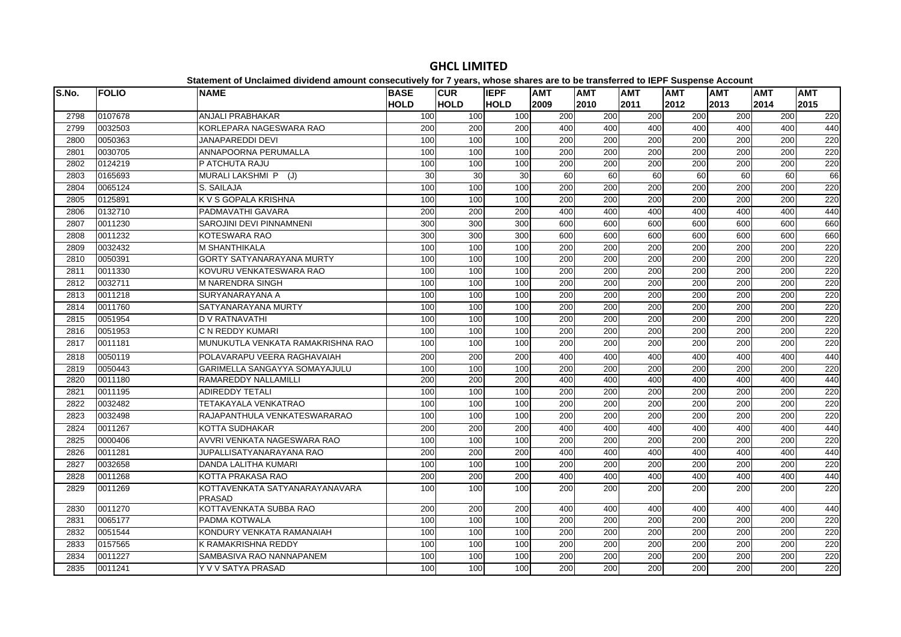| S.No. | <b>FOLIO</b> | <b>NAME</b>                                     | <b>BASE</b> | <b>CUR</b>  | <b>IEPF</b>     | <b>AMT</b>       | <b>AMT</b>       | <b>AMT</b>       | <b>AMT</b> | <b>AMT</b> | <b>AMT</b>       | <b>AMT</b> |
|-------|--------------|-------------------------------------------------|-------------|-------------|-----------------|------------------|------------------|------------------|------------|------------|------------------|------------|
|       |              |                                                 | <b>HOLD</b> | <b>HOLD</b> | <b>HOLD</b>     | 2009             | 2010             | 2011             | 2012       | 2013       | 2014             | 2015       |
| 2798  | 0107678      | ANJALI PRABHAKAR                                | 100         | 100         | 100             | 200              | 200              | 200              | 200        | 200        | 200              | 220        |
| 2799  | 0032503      | KORLEPARA NAGESWARA RAO                         | 200         | 200         | 200             | 400              | 400              | 400              | 400        | 400        | 400              | 440        |
| 2800  | 0050363      | <b>JANAPAREDDI DEVI</b>                         | 100         | 100         | 100             | 200              | 200              | 200              | 200        | 200        | 200              | 220        |
| 2801  | 0030705      | ANNAPOORNA PERUMALLA                            | 100         | 100         | 100             | 200              | 200              | 200              | 200        | 200        | 200              | 220        |
| 2802  | 0124219      | P ATCHUTA RAJU                                  | 100         | 100         | 100             | 200              | 200              | 200              | 200        | 200        | 200              | 220        |
| 2803  | 0165693      | MURALI LAKSHMI P (J)                            | 30          | 30          | $\overline{30}$ | 60               | 60               | 60               | 60         | 60         | 60               | 66         |
| 2804  | 0065124      | S. SAILAJA                                      | 100         | 100         | 100             | 200              | 200              | 200              | 200        | 200        | 200              | 220        |
| 2805  | 0125891      | K V S GOPALA KRISHNA                            | 100         | 100         | 100             | 200              | 200              | 200              | 200        | 200        | 200              | 220        |
| 2806  | 0132710      | PADMAVATHI GAVARA                               | 200         | 200         | 200             | 400              | 400              | 400              | 400        | 400        | 400              | 440        |
| 2807  | 0011230      | SAROJINI DEVI PINNAMNENI                        | 300         | 300         | 300             | 600              | 600              | 600              | 600        | 600        | 600              | 660        |
| 2808  | 0011232      | <b>KOTESWARA RAO</b>                            | 300         | 300         | 300             | 600              | 600              | 600              | 600        | 600        | 600              | 660        |
| 2809  | 0032432      | <b>M SHANTHIKALA</b>                            | 100         | 100         | 100             | 200              | 200              | 200              | 200        | 200        | 200              | 220        |
| 2810  | 0050391      | <b>GORTY SATYANARAYANA MURTY</b>                | 100         | 100         | 100             | 200              | 200              | 200              | 200        | 200        | 200              | 220        |
| 2811  | 0011330      | KOVURU VENKATESWARA RAO                         | 100         | 100         | 100             | 200              | 200              | 200              | 200        | 200        | 200              | 220        |
| 2812  | 0032711      | <b>M NARENDRA SINGH</b>                         | 100         | 100         | 100             | $\overline{200}$ | 200              | $\overline{200}$ | 200        | 200        | $\overline{200}$ | 220        |
| 2813  | 0011218      | SURYANARAYANA A                                 | 100         | 100         | 100             | 200              | 200              | 200              | 200        | 200        | 200              | 220        |
| 2814  | 0011760      | SATYANARAYANA MURTY                             | 100         | 100         | 100             | 200              | 200              | 200              | 200        | 200        | 200              | 220        |
| 2815  | 0051954      | <b>D V RATNAVATHI</b>                           | 100         | 100         | 100             | 200              | 200              | 200              | 200        | 200        | 200              | 220        |
| 2816  | 0051953      | C N REDDY KUMARI                                | 100         | 100         | 100             | 200              | 200              | 200              | 200        | 200        | 200              | 220        |
| 2817  | 0011181      | MUNUKUTLA VENKATA RAMAKRISHNA RAO               | 100         | 100         | 100             | 200              | 200              | 200              | 200        | 200        | 200              | 220        |
| 2818  | 0050119      | POLAVARAPU VEERA RAGHAVAIAH                     | 200         | 200         | 200             | 400              | 400              | 400              | 400        | 400        | 400              | 440        |
| 2819  | 0050443      | GARIMELLA SANGAYYA SOMAYAJULU                   | 100         | 100         | 100             | 200              | 200              | 200              | 200        | 200        | 200              | 220        |
| 2820  | 0011180      | RAMAREDDY NALLAMILLI                            | 200         | 200         | 200             | 400              | 400              | 400              | 400        | 400        | 400              | 440        |
| 2821  | 0011195      | <b>ADIREDDY TETALI</b>                          | 100         | 100         | 100             | 200              | 200              | 200              | 200        | 200        | 200              | 220        |
| 2822  | 0032482      | TETAKAYALA VENKATRAO                            | 100         | 100         | 100             | 200              | 200              | 200              | 200        | 200        | 200              | 220        |
| 2823  | 0032498      | RAJAPANTHULA VENKATESWARARAO                    | 100         | 100         | 100             | $\overline{200}$ | 200              | $\overline{200}$ | 200        | 200        | $\overline{200}$ | 220        |
| 2824  | 0011267      | <b>KOTTA SUDHAKAR</b>                           | 200         | 200         | 200             | 400              | 400              | 400              | 400        | 400        | 400              | 440        |
| 2825  | 0000406      | AVVRI VENKATA NAGESWARA RAO                     | 100         | 100         | 100             | 200              | 200              | 200              | 200        | 200        | 200              | 220        |
| 2826  | 0011281      | JUPALLISATYANARAYANA RAO                        | 200         | 200         | 200             | 400              | 400              | 400              | 400        | 400        | 400              | 440        |
| 2827  | 0032658      | <b>DANDA LALITHA KUMARI</b>                     | 100         | 100         | 100             | 200              | $\overline{200}$ | $\overline{200}$ | 200        | 200        | $\overline{200}$ | 220        |
| 2828  | 0011268      | KOTTA PRAKASA RAO                               | 200         | 200         | 200             | 400              | 400              | 400              | 400        | 400        | 400              | 440        |
| 2829  | 0011269      | KOTTAVENKATA SATYANARAYANAVARA<br><b>PRASAD</b> | 100         | 100         | 100             | 200              | 200              | 200              | 200        | 200        | 200              | 220        |
| 2830  | 0011270      | KOTTAVENKATA SUBBA RAO                          | 200         | 200         | 200             | 400              | 400              | 400              | 400        | 400        | 400              | 440        |
| 2831  | 0065177      | PADMA KOTWALA                                   | 100         | 100         | 100             | $\overline{200}$ | 200              | $\overline{200}$ | 200        | 200        | $\overline{200}$ | 220        |
| 2832  | 0051544      | KONDURY VENKATA RAMANAIAH                       | 100         | 100         | 100             | 200              | 200              | 200              | 200        | 200        | 200              | 220        |
| 2833  | 0157565      | K RAMAKRISHNA REDDY                             | 100         | 100         | 100             | 200              | 200              | 200              | 200        | 200        | 200              | 220        |
| 2834  | 0011227      | SAMBASIVA RAO NANNAPANEM                        | 100         | 100         | 100             | 200              | 200              | 200              | 200        | 200        | 200              | 220        |
| 2835  | 0011241      | Y V V SATYA PRASAD                              | 100         | 100         | 100             | 200              | 200              | 200              | 200        | 200        | 200              | 220        |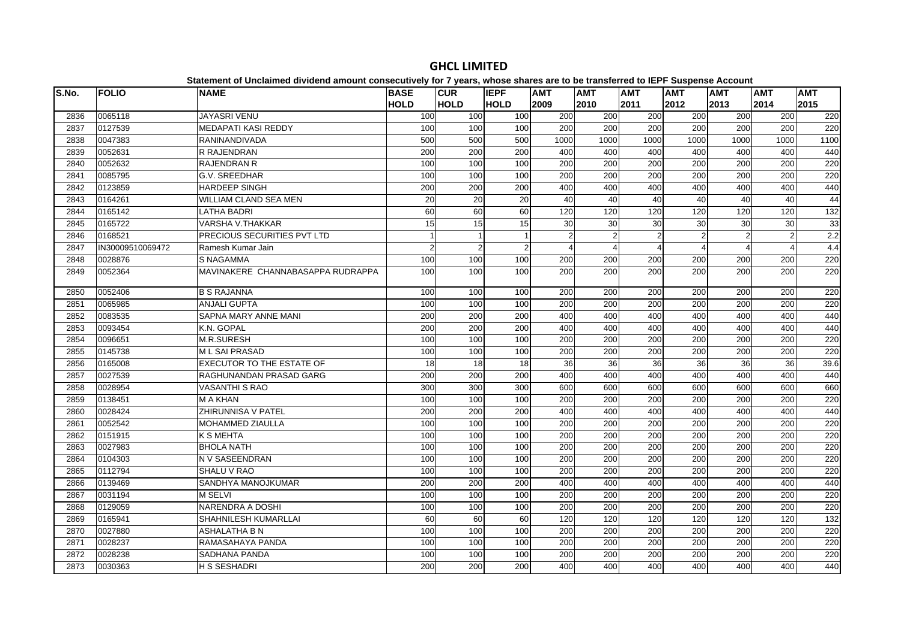| S.No. | <b>FOLIO</b>     | platomont of onolamiou antiuonu amount concooutivoly for Figure, impose onuros are to<br><b>NAME</b> | <b>BASE</b>    | <b>CUR</b>      | <b>IEPF</b>     | <b>AMT</b>      | .<br><b>AMT</b>  | <b>AMT</b>      | $-$<br><b>AMT</b>     | <b>AMT</b>              | <b>AMT</b>       | <b>AMT</b> |
|-------|------------------|------------------------------------------------------------------------------------------------------|----------------|-----------------|-----------------|-----------------|------------------|-----------------|-----------------------|-------------------------|------------------|------------|
|       |                  |                                                                                                      | <b>HOLD</b>    | <b>HOLD</b>     | <b>HOLD</b>     | 2009            | 2010             | 2011            | 2012                  | 2013                    | 2014             | 2015       |
| 2836  | 0065118          | <b>JAYASRI VENU</b>                                                                                  | 100            | 100             | 100             | 200             | 200              | 200             | 200                   | 200                     | 200              | 220        |
| 2837  | 0127539          | <b>MEDAPATI KASI REDDY</b>                                                                           | 100            | 100             | 100             | 200             | $\overline{200}$ | 200             | 200                   | 200                     | 200              | 220        |
| 2838  | 0047383          | RANINANDIVADA                                                                                        | 500            | 500             | 500             | 1000            | 1000             | 1000            | 1000                  | 1000                    | 1000             | 1100       |
| 2839  | 0052631          | <b>R RAJENDRAN</b>                                                                                   | 200            | 200             | 200             | 400             | 400              | 400             | 400                   | 400                     | 400              | 440        |
| 2840  | 0052632          | <b>RAJENDRAN R</b>                                                                                   | 100            | 100             | 100             | 200             | 200              | 200             | 200                   | 200                     | 200              | 220        |
| 2841  | 0085795          | <b>G.V. SREEDHAR</b>                                                                                 | 100            | 100             | 100             | 200             | 200              | 200             | 200                   | 200                     | 200              | 220        |
| 2842  | 0123859          | <b>HARDEEP SINGH</b>                                                                                 | 200            | 200             | 200             | 400             | 400              | 400             | 400                   | 400                     | 400              | 440        |
| 2843  | 0164261          | <b>WILLIAM CLAND SEA MEN</b>                                                                         | 20             | 20              | 20              | 40              | 40               | 40              | 40                    | 40                      | 40               | 44         |
| 2844  | 0165142          | <b>LATHA BADRI</b>                                                                                   | 60             | 60              | 60              | 120             | 120              | 120             | 120                   | 120                     | 120              | 132        |
| 2845  | 0165722          | <b>VARSHA V.THAKKAR</b>                                                                              | 15             | 15              | 15              | 30              | 30               | 30              | 30                    | 30                      | 30               | 33         |
| 2846  | 0168521          | PRECIOUS SECURITIES PVT LTD                                                                          |                | $\mathbf{1}$    |                 | $\overline{2}$  | 2                | $\overline{2}$  | 2                     | $\overline{2}$          | $\overline{2}$   | 2.2        |
| 2847  | IN30009510069472 | Ramesh Kumar Jain                                                                                    | $\overline{2}$ | $\overline{c}$  | $\overline{2}$  |                 | $\Delta$         | $\overline{4}$  | $\boldsymbol{\Delta}$ | $\overline{\mathbf{A}}$ | $\overline{4}$   | 4.4        |
| 2848  | 0028876          | <b>S NAGAMMA</b>                                                                                     | 100            | 100             | 100             | 200             | 200              | 200             | 200                   | 200                     | 200              | 220        |
| 2849  | 0052364          | MAVINAKERE CHANNABASAPPA RUDRAPPA                                                                    | 100            | 100             | 100             | 200             | 200              | 200             | 200                   | 200                     | 200              | 220        |
| 2850  | 0052406          | <b>B S RAJANNA</b>                                                                                   | 100            | 100             | 100             | 200             | 200              | 200             | 200                   | 200                     | 200              | 220        |
| 2851  | 0065985          | <b>ANJALI GUPTA</b>                                                                                  | 100            | 100             | 100             | 200             | 200              | 200             | 200                   | 200                     | 200              | 220        |
| 2852  | 0083535          | SAPNA MARY ANNE MANI                                                                                 | 200            | 200             | 200             | 400             | 400              | 400             | 400                   | 400                     | 400              | 440        |
| 2853  | 0093454          | K.N. GOPAL                                                                                           | 200            | 200             | 200             | 400             | 400              | 400             | 400                   | 400                     | 400              | 440        |
| 2854  | 0096651          | M.R.SURESH                                                                                           | 100            | 100             | 100             | 200             | 200              | 200             | 200                   | 200                     | 200              | 220        |
| 2855  | 0145738          | <b>ML SAI PRASAD</b>                                                                                 | 100            | 100             | 100             | 200             | 200              | 200             | 200                   | 200                     | 200              | 220        |
| 2856  | 0165008          | <b>EXECUTOR TO THE ESTATE OF</b>                                                                     | 18             | $\overline{18}$ | $\overline{18}$ | $\overline{36}$ | 36               | $\overline{36}$ | 36                    | $\overline{36}$         | 36               | 39.6       |
| 2857  | 0027539          | RAGHUNANDAN PRASAD GARG                                                                              | 200            | 200             | 200             | 400             | 400              | 400             | 400                   | 400                     | 400              | 440        |
| 2858  | 0028954          | <b>VASANTHI S RAO</b>                                                                                | 300            | 300             | 300             | 600             | 600              | 600             | 600                   | 600                     | 600              | 660        |
| 2859  | 0138451          | <b>MAKHAN</b>                                                                                        | 100            | 100             | 100             | 200             | 200              | 200             | 200                   | 200                     | 200              | 220        |
| 2860  | 0028424          | <b>ZHIRUNNISA V PATEL</b>                                                                            | 200            | 200             | 200             | 400             | 400              | 400             | 400                   | 400                     | 400              | 440        |
| 2861  | 0052542          | <b>MOHAMMED ZIAULLA</b>                                                                              | 100            | 100             | 100             | 200             | 200              | 200             | 200                   | 200                     | 200              | 220        |
| 2862  | 0151915          | <b>K S MEHTA</b>                                                                                     | 100            | 100             | 100             | 200             | 200              | 200             | 200                   | 200                     | $\overline{200}$ | 220        |
| 2863  | 0027983          | <b>BHOLA NATH</b>                                                                                    | 100            | 100             | 100             | 200             | 200              | 200             | 200                   | 200                     | 200              | 220        |
| 2864  | 0104303          | N V SASEENDRAN                                                                                       | 100            | 100             | 100             | 200             | 200              | 200             | 200                   | 200                     | 200              | 220        |
| 2865  | 0112794          | SHALU V RAO                                                                                          | 100            | 100             | 100             | 200             | 200              | 200             | 200                   | 200                     | 200              | 220        |
| 2866  | 0139469          | SANDHYA MANOJKUMAR                                                                                   | 200            | 200             | 200             | 400             | 400              | 400             | 400                   | 400                     | 400              | 440        |
| 2867  | 0031194          | <b>M SELVI</b>                                                                                       | 100            | 100             | 100             | 200             | $\overline{200}$ | 200             | 200                   | 200                     | $\overline{200}$ | 220        |
| 2868  | 0129059          | NARENDRA A DOSHI                                                                                     | 100            | 100             | 100             | 200             | 200              | 200             | 200                   | 200                     | 200              | 220        |
| 2869  | 0165941          | SHAHNILESH KUMARLLAI                                                                                 | 60             | 60              | 60              | 120             | 120              | 120             | 120                   | 120                     | 120              | 132        |
| 2870  | 0027880          | ASHALATHA B N                                                                                        | 100            | 100             | 100             | 200             | 200              | 200             | 200                   | 200                     | 200              | 220        |
| 2871  | 0028237          | RAMASAHAYA PANDA                                                                                     | 100            | 100             | 100             | 200             | 200              | 200             | 200                   | 200                     | 200              | 220        |
| 2872  | 0028238          | SADHANA PANDA                                                                                        | 100            | 100             | 100             | 200             | 200              | 200             | 200                   | 200                     | 200              | 220        |
| 2873  | 0030363          | <b>H S SESHADRI</b>                                                                                  | 200            | 200             | 200             | 400             | 400              | 400             | 400                   | 400                     | 400              | 440        |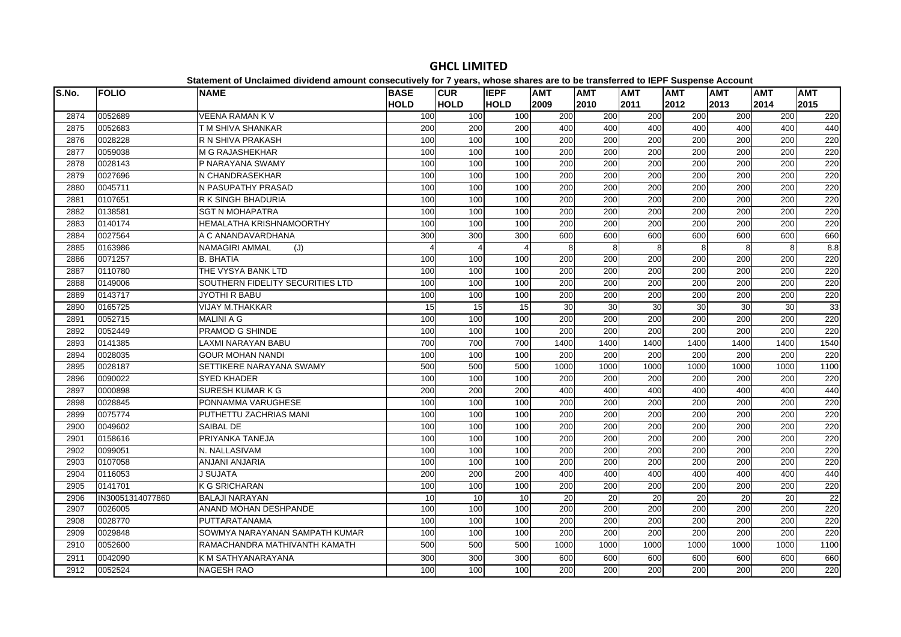| S.No. | <b>FOLIO</b>     | <b>NAME</b>                      | <b>BASE</b><br><b>HOLD</b> | <b>CUR</b><br><b>HOLD</b> | <b>IEPF</b><br><b>HOLD</b> | <b>AMT</b><br>2009 | <b>AMT</b><br>2010 | <b>AMT</b><br>2011 | <b>AMT</b><br>2012 | <b>AMT</b><br>2013 | <b>AMT</b><br>2014 | <b>AMT</b><br>2015 |
|-------|------------------|----------------------------------|----------------------------|---------------------------|----------------------------|--------------------|--------------------|--------------------|--------------------|--------------------|--------------------|--------------------|
| 2874  | 0052689          | <b>VEENA RAMAN KV</b>            | 100                        | 100                       | 100                        | 200                | 200                | 200                | 200                | 200                | 200                | 220                |
| 2875  | 0052683          | T M SHIVA SHANKAR                | 200                        | 200                       | 200                        | 400                | 400                | 400                | 400                | 400                | 400                | 440                |
| 2876  | 0028228          | R N SHIVA PRAKASH                | 100                        | 100                       | 100                        | 200                | 200                | 200                | 200                | 200                | 200                | 220                |
| 2877  | 0059038          | M G RAJASHEKHAR                  | 100                        | 100                       | 100                        | 200                | 200                | 200                | 200                | 200                | 200                | 220                |
| 2878  | 0028143          | P NARAYANA SWAMY                 | 100                        | 100                       | 100                        | 200                | 200                | 200                | 200                | 200                | 200                | 220                |
| 2879  | 0027696          | N CHANDRASEKHAR                  | 100                        | 100                       | 100                        | 200                | 200                | 200                | 200                | 200                | 200                | 220                |
| 2880  | 0045711          | N PASUPATHY PRASAD               | 100                        | 100                       | 100                        | $\overline{200}$   | 200                | $\overline{200}$   | 200                | 200                | $\overline{200}$   | 220                |
| 2881  | 0107651          | <b>R K SINGH BHADURIA</b>        | 100                        | 100                       | 100                        | 200                | 200                | 200                | 200                | 200                | 200                | 220                |
| 2882  | 0138581          | <b>SGT N MOHAPATRA</b>           | 100                        | 100                       | 100                        | 200                | 200                | 200                | 200                | 200                | 200                | 220                |
| 2883  | 0140174          | HEMALATHA KRISHNAMOORTHY         | 100                        | 100                       | 100                        | 200                | 200                | 200                | 200                | 200                | 200                | 220                |
| 2884  | 0027564          | A C ANANDAVARDHANA               | 300                        | 300                       | 300                        | 600                | 600                | 600                | 600                | 600                | 600                | 660                |
| 2885  | 0163986          | NAMAGIRI AMMAL<br>(J)            | $\Delta$                   | $\overline{4}$            | 4                          | 8                  | 8                  | 8                  | 8                  | 8                  | 8                  | 8.8                |
| 2886  | 0071257          | <b>B. BHATIA</b>                 | 100                        | 100                       | 100                        | 200                | 200                | 200                | 200                | 200                | 200                | 220                |
| 2887  | 0110780          | THE VYSYA BANK LTD               | 100                        | 100                       | 100                        | $\overline{200}$   | 200                | 200                | 200                | 200                | $\overline{200}$   | 220                |
| 2888  | 0149006          | SOUTHERN FIDELITY SECURITIES LTD | 100                        | 100                       | 100                        | 200                | 200                | 200                | 200                | 200                | 200                | 220                |
| 2889  | 0143717          | JYOTHI R BABU                    | 100                        | 100                       | 100                        | 200                | 200                | 200                | 200                | 200                | 200                | 220                |
| 2890  | 0165725          | <b>VIJAY M.THAKKAR</b>           | 15                         | 15                        | 15                         | 30                 | 30                 | 30                 | 30                 | 30                 | 30                 | 33                 |
| 2891  | 0052715          | <b>MALINI A G</b>                | 100                        | 100                       | 100                        | 200                | 200                | 200                | 200                | 200                | 200                | 220                |
| 2892  | 0052449          | PRAMOD G SHINDE                  | 100                        | 100                       | 100                        | 200                | 200                | 200                | 200                | 200                | 200                | 220                |
| 2893  | 0141385          | LAXMI NARAYAN BABU               | 700                        | 700                       | 700                        | 1400               | 1400               | 1400               | 1400               | 1400               | 1400               | 1540               |
| 2894  | 0028035          | <b>GOUR MOHAN NANDI</b>          | 100                        | 100                       | 100                        | 200                | 200                | 200                | 200                | 200                | 200                | 220                |
| 2895  | 0028187          | SETTIKERE NARAYANA SWAMY         | 500                        | 500                       | 500                        | 1000               | 1000               | 1000               | 1000               | 1000               | 1000               | 1100               |
| 2896  | 0090022          | <b>SYED KHADER</b>               | 100                        | 100                       | 100                        | 200                | $\overline{200}$   | 200                | 200                | 200                | 200                | 220                |
| 2897  | 0000898          | SURESH KUMAR K G                 | 200                        | 200                       | 200                        | 400                | 400                | 400                | 400                | 400                | 400                | 440                |
| 2898  | 0028845          | PONNAMMA VARUGHESE               | 100                        | 100                       | 100                        | 200                | 200                | 200                | 200                | 200                | 200                | 220                |
| 2899  | 0075774          | PUTHETTU ZACHRIAS MANI           | 100                        | 100                       | 100                        | 200                | 200                | 200                | 200                | 200                | 200                | 220                |
| 2900  | 0049602          | SAIBAL DE                        | 100                        | 100                       | 100                        | 200                | 200                | 200                | 200                | 200                | 200                | 220                |
| 2901  | 0158616          | PRIYANKA TANEJA                  | 100                        | 100                       | 100                        | 200                | 200                | 200                | 200                | 200                | 200                | 220                |
| 2902  | 0099051          | N. NALLASIVAM                    | 100                        | 100                       | 100                        | 200                | 200                | 200                | 200                | 200                | 200                | 220                |
| 2903  | 0107058          | <b>ANJANI ANJARIA</b>            | 100                        | 100                       | 100                        | 200                | 200                | 200                | 200                | 200                | 200                | 220                |
| 2904  | 0116053          | J SUJATA                         | 200                        | 200                       | 200                        | 400                | 400                | 400                | 400                | 400                | 400                | 440                |
| 2905  | 0141701          | <b>K G SRICHARAN</b>             | 100                        | 100                       | 100                        | 200                | $\overline{200}$   | $\overline{200}$   | 200                | 200                | 200                | 220                |
| 2906  | IN30051314077860 | <b>BALAJI NARAYAN</b>            | 10                         | 10                        | 10                         | $\overline{20}$    | 20                 | 20                 | 20                 | 20                 | 20                 | $\overline{22}$    |
| 2907  | 0026005          | ANAND MOHAN DESHPANDE            | 100                        | 100                       | 100                        | 200                | 200                | 200                | 200                | 200                | 200                | 220                |
| 2908  | 0028770          | PUTTARATANAMA                    | 100                        | 100                       | 100                        | 200                | 200                | 200                | 200                | 200                | 200                | 220                |
| 2909  | 0029848          | SOWMYA NARAYANAN SAMPATH KUMAR   | 100                        | 100                       | 100                        | 200                | 200                | 200                | 200                | 200                | 200                | 220                |
| 2910  | 0052600          | RAMACHANDRA MATHIVANTH KAMATH    | 500                        | 500                       | 500                        | 1000               | 1000               | 1000               | 1000               | 1000               | 1000               | 1100               |
| 2911  | 0042090          | K M SATHYANARAYANA               | 300                        | 300                       | 300                        | 600                | 600                | 600                | 600                | 600                | 600                | 660                |
| 2912  | 0052524          | <b>NAGESH RAO</b>                | 100                        | 100                       | 100                        | 200                | 200                | 200                | 200                | 200                | 200                | 220                |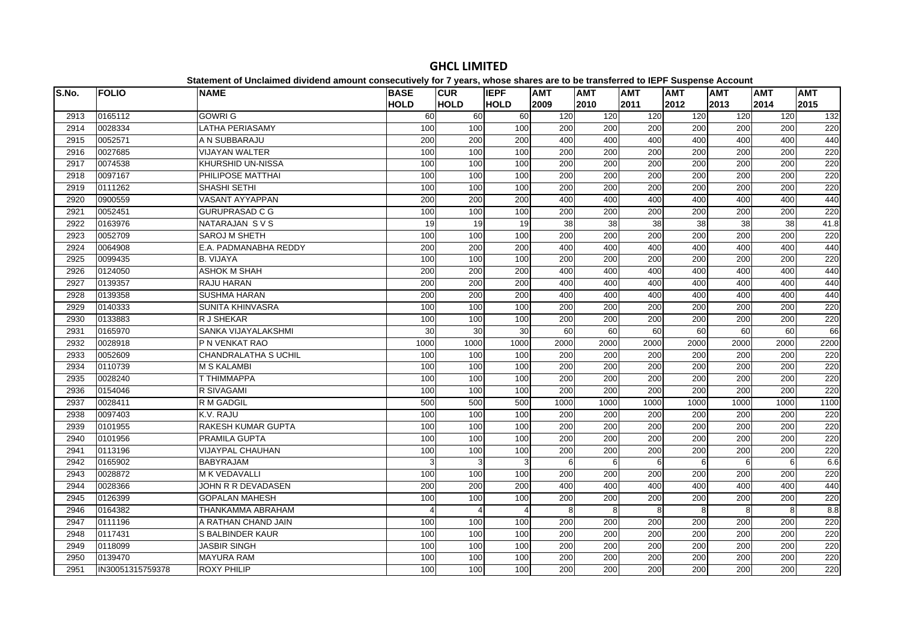| S.No. | <b>FOLIO</b>     | platomont or onolalmoa annaona amoant oonoodatroff for riffoaroj miooo onaroo aro t<br><b>NAME</b> | <b>BASE</b> | <b>CUR</b>              | <b>IEPF</b>           | <b>AMT</b>       | .<br><b>AMT</b> | <b>AMT</b>       | $- - -$<br><b>AMT</b> | <b>AMT</b> | <b>AMT</b>       | <b>AMT</b> |
|-------|------------------|----------------------------------------------------------------------------------------------------|-------------|-------------------------|-----------------------|------------------|-----------------|------------------|-----------------------|------------|------------------|------------|
|       |                  |                                                                                                    | <b>HOLD</b> | <b>HOLD</b>             | <b>HOLD</b>           | 2009             | 2010            | 2011             | 2012                  | 2013       | 2014             | 2015       |
| 2913  | 0165112          | <b>GOWRI G</b>                                                                                     | 60          | $\overline{60}$         | $\overline{60}$       | 120              | 120             | 120              | 120                   | 120        | 120              | 132        |
| 2914  | 0028334          | <b>LATHA PERIASAMY</b>                                                                             | 100         | 100                     | 100                   | 200              | 200             | 200              | 200                   | 200        | 200              | 220        |
| 2915  | 0052571          | A N SUBBARAJU                                                                                      | 200         | 200                     | 200                   | 400              | 400             | 400              | 400                   | 400        | 400              | 440        |
| 2916  | 0027685          | <b>VIJAYAN WALTER</b>                                                                              | 100         | 100                     | 100                   | 200              | 200             | 200              | 200                   | 200        | 200              | 220        |
| 2917  | 0074538          | KHURSHID UN-NISSA                                                                                  | 100         | 100                     | 100                   | 200              | 200             | 200              | 200                   | 200        | 200              | 220        |
| 2918  | 0097167          | PHILIPOSE MATTHAI                                                                                  | 100         | 100                     | 100                   | 200              | 200             | 200              | 200                   | 200        | 200              | 220        |
| 2919  | 0111262          | SHASHI SETHI                                                                                       | 100         | 100                     | 100                   | 200              | 200             | 200              | 200                   | 200        | 200              | 220        |
| 2920  | 0900559          | <b>VASANT AYYAPPAN</b>                                                                             | 200         | 200                     | 200                   | 400              | 400             | 400              | 400                   | 400        | 400              | 440        |
| 2921  | 0052451          | <b>GURUPRASAD C G</b>                                                                              | 100         | 100                     | 100                   | 200              | 200             | 200              | 200                   | 200        | 200              | 220        |
| 2922  | 0163976          | NATARAJAN SVS                                                                                      | 19          | 19                      | 19                    | 38               | 38              | $\overline{38}$  | 38                    | 38         | 38               | 41.8       |
| 2923  | 0052709          | SAROJ M SHETH                                                                                      | 100         | 100                     | 100                   | 200              | 200             | 200              | 200                   | 200        | 200              | 220        |
| 2924  | 0064908          | E.A. PADMANABHA REDDY                                                                              | 200         | 200                     | 200                   | 400              | 400             | 400              | 400                   | 400        | 400              | 440        |
| 2925  | 0099435          | <b>B. VIJAYA</b>                                                                                   | 100         | 100                     | 100                   | 200              | 200             | 200              | 200                   | 200        | 200              | 220        |
| 2926  | 0124050          | <b>ASHOK M SHAH</b>                                                                                | 200         | 200                     | 200                   | 400              | 400             | 400              | 400                   | 400        | 400              | 440        |
| 2927  | 0139357          | <b>RAJU HARAN</b>                                                                                  | 200         | 200                     | 200                   | 400              | 400             | 400              | 400                   | 400        | 400              | 440        |
| 2928  | 0139358          | <b>SUSHMA HARAN</b>                                                                                | 200         | 200                     | 200                   | 400              | 400             | 400              | 400                   | 400        | 400              | 440        |
| 2929  | 0140333          | SUNITA KHINVASRA                                                                                   | 100         | 100                     | 100                   | 200              | 200             | $\overline{200}$ | 200                   | 200        | $\overline{200}$ | 220        |
| 2930  | 0133883          | R J SHEKAR                                                                                         | 100         | 100                     | 100                   | 200              | 200             | 200              | 200                   | 200        | 200              | 220        |
| 2931  | 0165970          | SANKA VIJAYALAKSHMI                                                                                | 30          | 30                      | 30                    | 60               | 60              | 60               | 60                    | 60         | 60               | 66         |
| 2932  | 0028918          | P N VENKAT RAO                                                                                     | 1000        | 1000                    | 1000                  | 2000             | 2000            | 2000             | 2000                  | 2000       | 2000             | 2200       |
| 2933  | 0052609          | <b>CHANDRALATHA S UCHIL</b>                                                                        | 100         | 100                     | 100                   | 200              | 200             | 200              | 200                   | 200        | 200              | 220        |
| 2934  | 0110739          | <b>M S KALAMBI</b>                                                                                 | 100         | 100                     | 100                   | $\overline{200}$ | 200             | $\overline{200}$ | 200                   | 200        | $\overline{200}$ | 220        |
| 2935  | 0028240          | T THIMMAPPA                                                                                        | 100         | 100                     | 100                   | 200              | 200             | 200              | 200                   | 200        | 200              | 220        |
| 2936  | 0154046          | R SIVAGAMI                                                                                         | 100         | 100                     | 100                   | 200              | 200             | 200              | 200                   | 200        | 200              | 220        |
| 2937  | 0028411          | <b>R M GADGIL</b>                                                                                  | 500         | 500                     | 500                   | 1000             | 1000            | 1000             | 1000                  | 1000       | 1000             | 1100       |
| 2938  | 0097403          | K.V. RAJU                                                                                          | 100         | 100                     | 100                   | 200              | 200             | 200              | 200                   | 200        | 200              | 220        |
| 2939  | 0101955          | RAKESH KUMAR GUPTA                                                                                 | 100         | 100                     | 100                   | 200              | 200             | 200              | 200                   | 200        | 200              | 220        |
| 2940  | 0101956          | <b>PRAMILA GUPTA</b>                                                                               | 100         | 100                     | 100                   | 200              | 200             | 200              | 200                   | 200        | 200              | 220        |
| 2941  | 0113196          | <b>VIJAYPAL CHAUHAN</b>                                                                            | 100         | 100                     | 100                   | 200              | 200             | 200              | 200                   | 200        | 200              | 220        |
| 2942  | 0165902          | <b>BABYRAJAM</b>                                                                                   | 3           | 3                       | 3                     | 6                | 6               | 6                | 6                     | 6          | 6                | 6.6        |
| 2943  | 0028872          | <b>MK VEDAVALLI</b>                                                                                | 100         | 100                     | 100                   | 200              | 200             | 200              | 200                   | 200        | 200              | 220        |
| 2944  | 0028366          | JOHN R R DEVADASEN                                                                                 | 200         | 200                     | 200                   | 400              | 400             | 400              | 400                   | 400        | 400              | 440        |
| 2945  | 0126399          | <b>GOPALAN MAHESH</b>                                                                              | 100         | 100                     | 100                   | 200              | 200             | 200              | 200                   | 200        | 200              | 220        |
| 2946  | 0164382          | <b>THANKAMMA ABRAHAM</b>                                                                           |             | $\overline{\mathbf{A}}$ | $\boldsymbol{\Delta}$ | 8                | 8               | 8                | -8                    | 8          | 8                | 8.8        |
| 2947  | 0111196          | A RATHAN CHAND JAIN                                                                                | 100         | 100                     | 100                   | 200              | 200             | 200              | 200                   | 200        | 200              | 220        |
| 2948  | 0117431          | <b>S BALBINDER KAUR</b>                                                                            | 100         | 100                     | 100                   | 200              | 200             | 200              | 200                   | 200        | 200              | 220        |
| 2949  | 0118099          | <b>JASBIR SINGH</b>                                                                                | 100         | 100                     | 100                   | 200              | 200             | 200              | 200                   | 200        | 200              | 220        |
| 2950  | 0139470          | <b>MAYURA RAM</b>                                                                                  | 100         | 100                     | 100                   | 200              | 200             | 200              | 200                   | 200        | 200              | 220        |
| 2951  | IN30051315759378 | <b>ROXY PHILIP</b>                                                                                 | 100         | 100                     | 100                   | 200              | 200             | 200              | 200                   | 200        | 200              | 220        |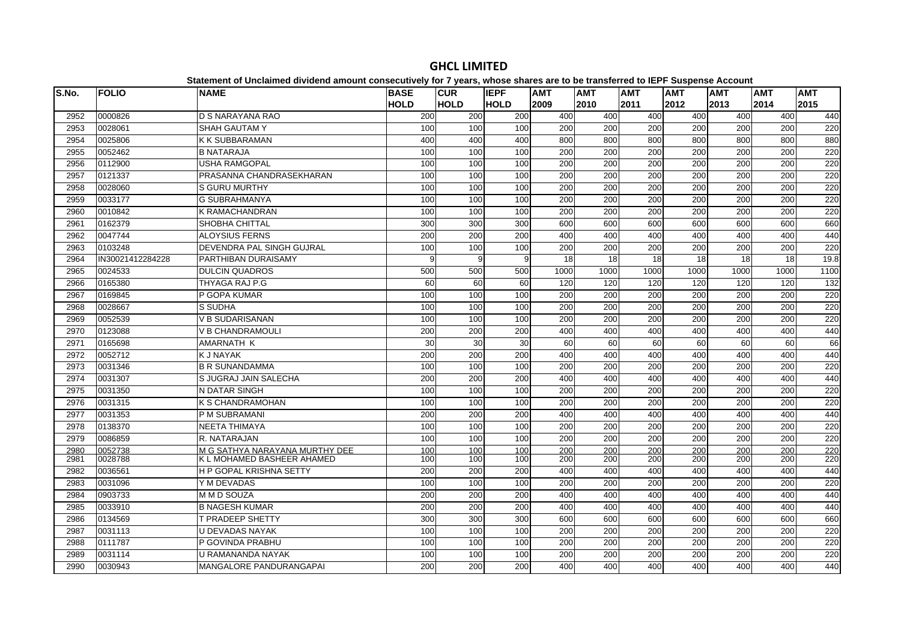| S.No. | <b>FOLIO</b>     | <b>NAME</b>                    | <b>BASE</b> | <b>CUR</b>  | <b>IEPF</b> | <b>AMT</b>       | <b>AMT</b>       | <b>AMT</b>       | <b>AMT</b>       | <b>AMT</b> | <b>AMT</b> | <b>AMT</b> |
|-------|------------------|--------------------------------|-------------|-------------|-------------|------------------|------------------|------------------|------------------|------------|------------|------------|
|       |                  |                                | <b>HOLD</b> | <b>HOLD</b> | <b>HOLD</b> | 2009             | 2010             | 2011             | 2012             | 2013       | 2014       | 2015       |
| 2952  | 0000826          | D S NARAYANA RAO               | 200         | 200         | 200         | 400              | 400              | 400              | 400              | 400        | 400        | 440        |
| 2953  | 0028061          | <b>SHAH GAUTAM Y</b>           | 100         | 100         | 100         | 200              | 200              | 200              | 200              | 200        | 200        | 220        |
| 2954  | 0025806          | <b>K K SUBBARAMAN</b>          | 400         | 400         | 400         | 800              | 800              | 800              | 800              | 800        | 800        | 880        |
| 2955  | 0052462          | <b>B NATARAJA</b>              | 100         | 100         | 100         | 200              | 200              | $\overline{200}$ | $\overline{200}$ | 200        | 200        | 220        |
| 2956  | 0112900          | <b>USHA RAMGOPAL</b>           | 100         | 100         | 100         | 200              | 200              | 200              | 200              | 200        | 200        | 220        |
| 2957  | 0121337          | PRASANNA CHANDRASEKHARAN       | 100         | 100         | 100         | 200              | 200              | $\overline{200}$ | $\overline{200}$ | 200        | 200        | 220        |
| 2958  | 0028060          | <b>S GURU MURTHY</b>           | 100         | 100         | 100         | 200              | 200              | 200              | 200              | 200        | 200        | 220        |
| 2959  | 0033177          | <b>G SUBRAHMANYA</b>           | 100         | 100         | 100         | 200              | 200              | 200              | 200              | 200        | 200        | 220        |
| 2960  | 0010842          | <b>K RAMACHANDRAN</b>          | 100         | 100         | 100         | 200              | 200              | 200              | 200              | 200        | 200        | 220        |
| 2961  | 0162379          | SHOBHA CHITTAL                 | 300         | 300         | 300         | 600              | 600              | 600              | 600              | 600        | 600        | 660        |
| 2962  | 0047744          | <b>ALOYSIUS FERNS</b>          | 200         | 200         | 200         | 400              | 400              | 400              | 400              | 400        | 400        | 440        |
| 2963  | 0103248          | DEVENDRA PAL SINGH GUJRAL      | 100         | 100         | 100         | 200              | 200              | 200              | 200              | 200        | 200        | 220        |
| 2964  | IN30021412284228 | <b>PARTHIBAN DURAISAMY</b>     | 9           | 9           | 9           | 18               | 18               | 18               | 18               | 18         | 18         | 19.8       |
| 2965  | 0024533          | <b>DULCIN QUADROS</b>          | 500         | 500         | 500         | 1000             | 1000             | 1000             | 1000             | 1000       | 1000       | 1100       |
| 2966  | 0165380          | THYAGA RAJ P.G                 | 60          | 60          | 60          | 120              | 120              | 120              | 120              | 120        | 120        | 132        |
| 2967  | 0169845          | P GOPA KUMAR                   | 100         | 100         | 100         | 200              | 200              | 200              | 200              | 200        | 200        | 220        |
| 2968  | 0028667          | S SUDHA                        | 100         | 100         | 100         | 200              | 200              | 200              | 200              | 200        | 200        | 220        |
| 2969  | 0052539          | <b>V B SUDARISANAN</b>         | 100         | 100         | 100         | 200              | 200              | 200              | 200              | 200        | 200        | 220        |
| 2970  | 0123088          | <b>V B CHANDRAMOULI</b>        | 200         | 200         | 200         | 400              | 400              | 400              | 400              | 400        | 400        | 440        |
| 2971  | 0165698          | <b>AMARNATH K</b>              | 30          | 30          | 30          | 60               | 60               | 60               | 60               | 60         | 60         | 66         |
| 2972  | 0052712          | <b>K J NAYAK</b>               | 200         | 200         | 200         | 400              | 400              | 400              | 400              | 400        | 400        | 440        |
| 2973  | 0031346          | <b>B R SUNANDAMMA</b>          | 100         | 100         | 100         | 200              | 200              | 200              | 200              | 200        | 200        | 220        |
| 2974  | 0031307          | S JUGRAJ JAIN SALECHA          | 200         | 200         | 200         | 400              | 400              | 400              | 400              | 400        | 400        | 440        |
| 2975  | 0031350          | N DATAR SINGH                  | 100         | 100         | 100         | 200              | 200              | 200              | 200              | 200        | 200        | 220        |
| 2976  | 0031315          | <b>K S CHANDRAMOHAN</b>        | 100         | 100         | 100         | 200              | $\overline{200}$ | $\overline{200}$ | $\overline{200}$ | 200        | 200        | 220        |
| 2977  | 0031353          | P M SUBRAMANI                  | 200         | 200         | 200         | 400              | 400              | 400              | 400              | 400        | 400        | 440        |
| 2978  | 0138370          | <b>NEETA THIMAYA</b>           | 100         | 100         | 100         | $\overline{200}$ | 200              | $\overline{200}$ | $\overline{200}$ | 200        | 200        | 220        |
| 2979  | 0086859          | R. NATARAJAN                   | 100         | 100         | 100         | 200              | 200              | 200              | 200              | 200        | 200        | 220        |
| 2980  | 0052738          | M G SATHYA NARAYANA MURTHY DEE | 100         | 100         | 100         | 200              | 200              | 200              | 200              | 200        | 200        | 220        |
| 2981  | 0028788          | K L MOHAMED BASHEER AHAMED     | 100         | 100         | 100         | 200              | 200              | 200              | 200              | 200        | 200        | 220        |
| 2982  | 0036561          | H P GOPAL KRISHNA SETTY        | 200         | 200         | 200         | 400              | 400              | 400              | 400              | 400        | 400        | 440        |
| 2983  | 0031096          | Y M DEVADAS                    | 100         | 100         | 100         | 200              | $\overline{200}$ | $\overline{200}$ | $\overline{200}$ | 200        | 200        | 220        |
| 2984  | 0903733          | M M D SOUZA                    | 200         | 200         | 200         | 400              | 400              | 400              | 400              | 400        | 400        | 440        |
| 2985  | 0033910          | <b>B NAGESH KUMAR</b>          | 200         | 200         | 200         | 400              | 400              | 400              | 400              | 400        | 400        | 440        |
| 2986  | 0134569          | T PRADEEP SHETTY               | 300         | 300         | 300         | 600              | 600              | 600              | 600              | 600        | 600        | 660        |
| 2987  | 0031113          | U DEVADAS NAYAK                | 100         | 100         | 100         | 200              | 200              | 200              | 200              | 200        | 200        | 220        |
| 2988  | 0111787          | P GOVINDA PRABHU               | 100         | 100         | 100         | 200              | 200              | 200              | 200              | 200        | 200        | 220        |
| 2989  | 0031114          | U RAMANANDA NAYAK              | 100         | 100         | 100         | 200              | 200              | 200              | 200              | 200        | 200        | 220        |
| 2990  | 0030943          | <b>MANGALORE PANDURANGAPAI</b> | 200         | 200         | 200         | 400              | 400              | 400              | 400              | 400        | 400        | 440        |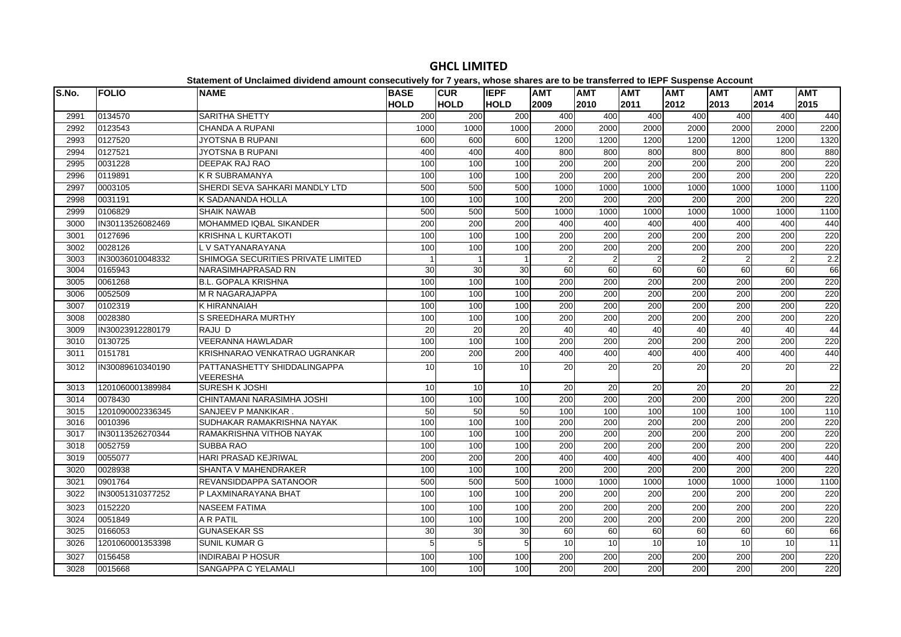| S.No. | <b>FOLIO</b>     | platomont of onolamiou antiuonu amount concooutivoly for Figure, impose onuros are to<br><b>NAME</b> | <b>BASE</b> | <b>CUR</b>      | <b>IEPF</b> | <b>AMT</b>       | .<br><b>AMT</b>  | <b>AMT</b>       | $-$<br><b>AMT</b> | <b>AMT</b>     | <b>AMT</b>       | <b>AMT</b>       |
|-------|------------------|------------------------------------------------------------------------------------------------------|-------------|-----------------|-------------|------------------|------------------|------------------|-------------------|----------------|------------------|------------------|
|       |                  |                                                                                                      | <b>HOLD</b> | <b>HOLD</b>     | <b>HOLD</b> | 2009             | 2010             | 2011             | 2012              | 2013           | 2014             | 2015             |
| 2991  | 0134570          | SARITHA SHETTY                                                                                       | 200         | 200             | 200         | 400              | 400              | 400              | 400               | 400            | 400              | 440              |
| 2992  | 0123543          | <b>CHANDA A RUPANI</b>                                                                               | 1000        | 1000            | 1000        | 2000             | 2000             | 2000             | 2000              | 2000           | 2000             | 2200             |
| 2993  | 0127520          | <b>JYOTSNA B RUPANI</b>                                                                              | 600         | 600             | 600         | 1200             | 1200             | 1200             | 1200              | 1200           | 1200             | 1320             |
| 2994  | 0127521          | <b>JYOTSNA B RUPANI</b>                                                                              | 400         | 400             | 400         | 800              | 800              | 800              | 800               | 800            | 800              | 880              |
| 2995  | 0031228          | DEEPAK RAJ RAO                                                                                       | 100         | 100             | 100         | 200              | 200              | 200              | 200               | 200            | 200              | 220              |
| 2996  | 0119891          | <b>K R SUBRAMANYA</b>                                                                                | 100         | 100             | 100         | $\overline{200}$ | 200              | $\overline{200}$ | 200               | 200            | $\overline{200}$ | 220              |
| 2997  | 0003105          | SHERDI SEVA SAHKARI MANDLY LTD                                                                       | 500         | 500             | 500         | 1000             | 1000             | 1000             | 1000              | 1000           | 1000             | 1100             |
| 2998  | 0031191          | K SADANANDA HOLLA                                                                                    | 100         | 100             | 100         | 200              | 200              | 200              | 200               | 200            | 200              | 220              |
| 2999  | 0106829          | <b>SHAIK NAWAB</b>                                                                                   | 500         | 500             | 500         | 1000             | 1000             | 1000             | 1000              | 1000           | 1000             | 1100             |
| 3000  | IN30113526082469 | <b>MOHAMMED IQBAL SIKANDER</b>                                                                       | 200         | 200             | 200         | 400              | 400              | 400              | 400               | 400            | 400              | 440              |
| 3001  | 0127696          | <b>KRISHNA L KURTAKOTI</b>                                                                           | 100         | 100             | 100         | 200              | 200              | 200              | 200               | 200            | 200              | 220              |
| 3002  | 0028126          | L V SATYANARAYANA                                                                                    | 100         | 100             | 100         | 200              | 200              | 200              | 200               | 200            | 200              | 220              |
| 3003  | IN30036010048332 | SHIMOGA SECURITIES PRIVATE LIMITED                                                                   |             | $\mathbf{1}$    |             | $\mathfrak{p}$   | 2                | $\overline{2}$   | $\overline{2}$    | $\overline{2}$ | $\overline{2}$   | $\overline{2.2}$ |
| 3004  | 0165943          | NARASIMHAPRASAD RN                                                                                   | 30          | 30              | 30          | 60               | 60               | 60               | 60                | 60             | 60               | 66               |
| 3005  | 0061268          | <b>B.L. GOPALA KRISHNA</b>                                                                           | 100         | 100             | 100         | 200              | 200              | 200              | 200               | 200            | 200              | 220              |
| 3006  | 0052509          | M R NAGARAJAPPA                                                                                      | 100         | 100             | 100         | 200              | 200              | 200              | 200               | 200            | 200              | 220              |
| 3007  | 0102319          | K HIRANNAIAH                                                                                         | 100         | 100             | 100         | 200              | 200              | 200              | 200               | 200            | 200              | 220              |
| 3008  | 0028380          | S SREEDHARA MURTHY                                                                                   | 100         | 100             | 100         | 200              | 200              | 200              | 200               | 200            | 200              | 220              |
| 3009  | IN30023912280179 | RAJU D                                                                                               | 20          | $\overline{20}$ | 20          | 40               | 40               | 40               | 40                | 40             | 40               | 44               |
| 3010  | 0130725          | <b>VEERANNA HAWLADAR</b>                                                                             | 100         | 100             | 100         | 200              | 200              | 200              | 200               | 200            | 200              | 220              |
| 3011  | 0151781          | KRISHNARAO VENKATRAO UGRANKAR                                                                        | 200         | 200             | 200         | 400              | 400              | 400              | 400               | 400            | 400              | 440              |
| 3012  | IN30089610340190 | PATTANASHETTY SHIDDALINGAPPA<br>VEERESHA                                                             | 10          | 10              | 10          | 20               | 20               | 20               | 20                | 20             | 20               | 22               |
| 3013  | 1201060001389984 | <b>SURESH K JOSHI</b>                                                                                | 10          | 10              | 10          | 20               | 20               | 20               | 20                | 20             | 20               | 22               |
| 3014  | 0078430          | CHINTAMANI NARASIMHA JOSHI                                                                           | 100         | 100             | 100         | 200              | 200              | 200              | 200               | 200            | 200              | 220              |
| 3015  | 1201090002336345 | SANJEEV P MANKIKAR.                                                                                  | 50          | 50              | 50          | 100              | 100              | 100              | 100               | 100            | 100              | 110              |
| 3016  | 0010396          | SUDHAKAR RAMAKRISHNA NAYAK                                                                           | 100         | 100             | 100         | $\overline{200}$ | $\overline{200}$ | $\overline{200}$ | 200               | 200            | $\overline{200}$ | 220              |
| 3017  | IN30113526270344 | RAMAKRISHNA VITHOB NAYAK                                                                             | 100         | 100             | 100         | 200              | 200              | 200              | 200               | 200            | 200              | 220              |
| 3018  | 0052759          | <b>SUBBA RAO</b>                                                                                     | 100         | 100             | 100         | 200              | 200              | 200              | 200               | 200            | 200              | 220              |
| 3019  | 0055077          | HARI PRASAD KEJRIWAL                                                                                 | 200         | 200             | 200         | 400              | 400              | 400              | 400               | 400            | 400              | 440              |
| 3020  | 0028938          | SHANTA V MAHENDRAKER                                                                                 | 100         | 100             | 100         | $\overline{200}$ | $\overline{200}$ | $\overline{200}$ | 200               | 200            | $\overline{200}$ | 220              |
| 3021  | 0901764          | REVANSIDDAPPA SATANOOR                                                                               | 500         | 500             | 500         | 1000             | 1000             | 1000             | 1000              | 1000           | 1000             | 1100             |
| 3022  | IN30051310377252 | P LAXMINARAYANA BHAT                                                                                 | 100         | 100             | 100         | 200              | 200              | 200              | 200               | 200            | 200              | 220              |
| 3023  | 0152220          | <b>NASEEM FATIMA</b>                                                                                 | 100         | 100             | 100         | 200              | 200              | 200              | 200               | 200            | 200              | 220              |
| 3024  | 0051849          | A R PATIL                                                                                            | 100         | 100             | 100         | 200              | $\overline{200}$ | 200              | 200               | 200            | 200              | 220              |
| 3025  | 0166053          | <b>GUNASEKAR SS</b>                                                                                  | 30          | 30              | 30          | 60               | 60               | 60               | 60                | 60             | 60               | 66               |
| 3026  | 1201060001353398 | <b>SUNIL KUMAR G</b>                                                                                 | 5           | 5               | 5           | 10               | 10               | 10               | 10                | 10             | 10               | 11               |
| 3027  | 0156458          | <b>INDIRABAI P HOSUR</b>                                                                             | 100         | 100             | 100         | 200              | 200              | 200              | 200               | 200            | 200              | 220              |
| 3028  | 0015668          | SANGAPPA C YELAMALI                                                                                  | 100         | 100             | 100         | 200              | 200              | 200              | 200               | 200            | 200              | 220              |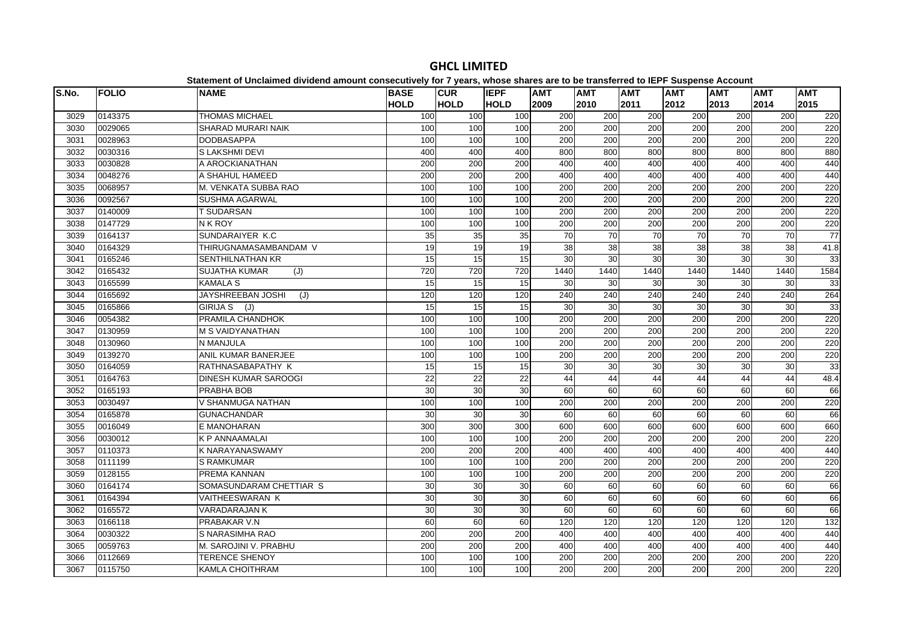| S.No. | <b>FOLIO</b> | <b>NAME</b>                     | <b>BASE</b>     | <b>CUR</b>  | <b>IEPF</b>     | <b>AMT</b>       | <b>AMT</b>       | <b>AMT</b>       | <b>AMT</b> | <b>AMT</b> | <b>AMT</b>       | <b>AMT</b> |
|-------|--------------|---------------------------------|-----------------|-------------|-----------------|------------------|------------------|------------------|------------|------------|------------------|------------|
|       |              |                                 | <b>HOLD</b>     | <b>HOLD</b> | <b>HOLD</b>     | 2009             | 2010             | 2011             | 2012       | 2013       | 2014             | 2015       |
| 3029  | 0143375      | <b>THOMAS MICHAEL</b>           | 100             | 100         | 100             | 200              | 200              | 200              | 200        | 200        | 200              | 220        |
| 3030  | 0029065      | SHARAD MURARI NAIK              | 100             | 100         | 100             | 200              | 200              | 200              | 200        | 200        | 200              | 220        |
| 3031  | 0028963      | <b>DODBASAPPA</b>               | 100             | 100         | 100             | 200              | 200              | 200              | 200        | 200        | 200              | 220        |
| 3032  | 0030316      | S LAKSHMI DEVI                  | 400             | 400         | 400             | 800              | 800              | 800              | 800        | 800        | 800              | 880        |
| 3033  | 0030828      | A AROCKIANATHAN                 | 200             | 200         | 200             | 400              | 400              | 400              | 400        | 400        | 400              | 440        |
| 3034  | 0048276      | A SHAHUL HAMEED                 | 200             | 200         | 200             | 400              | 400              | 400              | 400        | 400        | 400              | 440        |
| 3035  | 0068957      | M. VENKATA SUBBA RAO            | 100             | 100         | 100             | 200              | 200              | 200              | 200        | 200        | 200              | 220        |
| 3036  | 0092567      | <b>SUSHMA AGARWAL</b>           | 100             | 100         | 100             | 200              | 200              | 200              | 200        | 200        | 200              | 220        |
| 3037  | 0140009      | <b>T SUDARSAN</b>               | 100             | 100         | 100             | 200              | 200              | 200              | 200        | 200        | 200              | 220        |
| 3038  | 0147729      | N K ROY                         | 100             | 100         | 100             | 200              | 200              | 200              | 200        | 200        | 200              | 220        |
| 3039  | 0164137      | SUNDARAIYER K.C                 | 35              | 35          | 35              | 70               | $\overline{70}$  | $\overline{70}$  | 70         | 70         | 70               | 77         |
| 3040  | 0164329      | THIRUGNAMASAMBANDAM V           | 19              | 19          | 19              | 38               | 38               | 38               | 38         | 38         | 38               | 41.8       |
| 3041  | 0165246      | <b>SENTHILNATHAN KR</b>         | 15              | 15          | 15              | 30               | 30               | $\overline{30}$  | 30         | 30         | 30               | 33         |
| 3042  | 0165432      | <b>SUJATHA KUMAR</b><br>(J)     | 720             | 720         | 720             | 1440             | 1440             | 1440             | 1440       | 1440       | 1440             | 1584       |
| 3043  | 0165599      | <b>KAMALA S</b>                 | 15              | 15          | 15              | 30               | 30               | 30               | 30         | 30         | 30               | 33         |
| 3044  | 0165692      | <b>JAYSHREEBAN JOSHI</b><br>(J) | 120             | 120         | 120             | $\overline{240}$ | 240              | 240              | 240        | 240        | 240              | 264        |
| 3045  | 0165866      | GIRIJA S (J)                    | 15              | 15          | 15              | 30               | 30               | 30               | 30         | 30         | 30               | 33         |
| 3046  | 0054382      | PRAMILA CHANDHOK                | 100             | 100         | 100             | 200              | 200              | 200              | 200        | 200        | 200              | 220        |
| 3047  | 0130959      | <b>M S VAIDYANATHAN</b>         | 100             | 100         | 100             | 200              | 200              | 200              | 200        | 200        | 200              | 220        |
| 3048  | 0130960      | N MANJULA                       | 100             | 100         | 100             | 200              | 200              | 200              | 200        | 200        | 200              | 220        |
| 3049  | 0139270      | ANIL KUMAR BANERJEE             | 100             | 100         | 100             | 200              | 200              | 200              | 200        | 200        | 200              | 220        |
| 3050  | 0164059      | RATHNASABAPATHY K               | 15              | 15          | 15              | 30               | 30               | 30               | 30         | 30         | 30               | 33         |
| 3051  | 0164763      | <b>DINESH KUMAR SAROOGI</b>     | 22              | 22          | $\overline{22}$ | 44               | 44               | 44               | 44         | 44         | 44               | 48.4       |
| 3052  | 0165193      | PRABHA BOB                      | 30              | 30          | 30              | 60               | 60               | 60               | 60         | 60         | $\overline{60}$  | 66         |
| 3053  | 0030497      | V SHANMUGA NATHAN               | 100             | 100         | 100             | $\overline{200}$ | 200              | $\overline{200}$ | 200        | 200        | $\overline{200}$ | 220        |
| 3054  | 0165878      | <b>GUNACHANDAR</b>              | 30              | 30          | 30              | 60               | 60               | 60               | 60         | 60         | 60               | 66         |
| 3055  | 0016049      | E MANOHARAN                     | 300             | 300         | 300             | 600              | 600              | 600              | 600        | 600        | 600              | 660        |
| 3056  | 0030012      | <b>K P ANNAAMALAI</b>           | 100             | 100         | 100             | 200              | 200              | 200              | 200        | 200        | 200              | 220        |
| 3057  | 0110373      | <b>K NARAYANASWAMY</b>          | 200             | 200         | 200             | 400              | 400              | 400              | 400        | 400        | 400              | 440        |
| 3058  | 0111199      | <b>S RAMKUMAR</b>               | 100             | 100         | 100             | 200              | 200              | 200              | 200        | 200        | 200              | 220        |
| 3059  | 0128155      | PREMA KANNAN                    | 100             | 100         | 100             | 200              | 200              | 200              | 200        | 200        | 200              | 220        |
| 3060  | 0164174      | SOMASUNDARAM CHETTIAR S         | 30              | 30          | 30              | 60               | 60               | 60               | 60         | 60         | $\overline{60}$  | 66         |
| 3061  | 0164394      | VAITHEESWARAN K                 | $\overline{30}$ | 30          | 30              | 60               | 60               | 60               | 60         | 60         | $\overline{60}$  | 66         |
| 3062  | 0165572      | <b>VARADARAJAN K</b>            | 30              | 30          | 30              | 60               | 60               | 60               | 60         | 60         | 60               | 66         |
| 3063  | 0166118      | PRABAKAR V.N                    | 60              | 60          | 60              | 120              | 120              | 120              | 120        | 120        | 120              | 132        |
| 3064  | 0030322      | S NARASIMHA RAO                 | 200             | 200         | 200             | 400              | 400              | 400              | 400        | 400        | 400              | 440        |
| 3065  | 0059763      | M. SAROJINI V. PRABHU           | 200             | 200         | 200             | 400              | 400              | 400              | 400        | 400        | 400              | 440        |
| 3066  | 0112669      | <b>TERENCE SHENOY</b>           | 100             | 100         | 100             | $\overline{200}$ | $\overline{200}$ | $\overline{200}$ | 200        | 200        | $\overline{200}$ | 220        |
| 3067  | 0115750      | <b>KAMLA CHOITHRAM</b>          | 100             | 100         | 100             | 200              | 200              | 200              | 200        | 200        | $\overline{200}$ | 220        |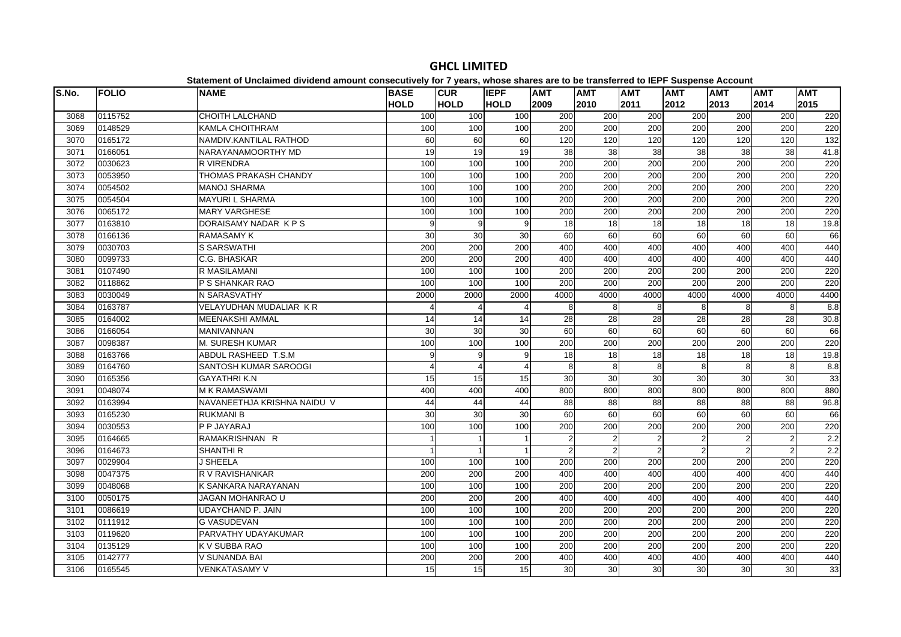| S.No. | <b>FOLIO</b> | <b>NAME</b>                 | <b>BASE</b> | <b>CUR</b>       | <b>IEPF</b>    | <b>AMT</b> | <b>AMT</b>     | <b>AMT</b>      | <b>AMT</b>       | <b>AMT</b>     | <b>AMT</b>     | <b>AMT</b>    |
|-------|--------------|-----------------------------|-------------|------------------|----------------|------------|----------------|-----------------|------------------|----------------|----------------|---------------|
|       |              |                             | <b>HOLD</b> | <b>HOLD</b>      | <b>HOLD</b>    | 2009       | 2010           | 2011            | 2012             | 2013           | 2014           | 2015          |
| 3068  | 0115752      | <b>CHOITH LALCHAND</b>      | 100         | 100              | 100            | 200        | 200            | 200             | 200              | 200            | 200            | 220           |
| 3069  | 0148529      | <b>KAMLA CHOITHRAM</b>      | 100         | 100              | 100            | 200        | 200            | 200             | 200              | 200            | 200            | 220           |
| 3070  | 0165172      | NAMDIV.KANTILAL RATHOD      | 60          | 60               | 60             | 120        | 120            | 120             | 120              | 120            | 120            | 132           |
| 3071  | 0166051      | NARAYANAMOORTHY MD          | 19          | 19               | 19             | 38         | 38             | $\overline{38}$ | $\overline{38}$  | 38             | 38             | 41.8          |
| 3072  | 0030623      | <b>R VIRENDRA</b>           | 100         | 100              | 100            | 200        | 200            | 200             | 200              | 200            | 200            | 220           |
| 3073  | 0053950      | THOMAS PRAKASH CHANDY       | 100         | 100              | 100            | 200        | 200            | 200             | 200              | 200            | 200            | 220           |
| 3074  | 0054502      | <b>MANOJ SHARMA</b>         | 100         | 100              | 100            | 200        | 200            | 200             | 200              | 200            | 200            | 220           |
| 3075  | 0054504      | <b>MAYURI L SHARMA</b>      | 100         | 100              | 100            | 200        | 200            | 200             | 200              | 200            | 200            | 220           |
| 3076  | 0065172      | <b>MARY VARGHESE</b>        | 100         | 100              | 100            | 200        | 200            | 200             | $\overline{200}$ | 200            | 200            | 220           |
| 3077  | 0163810      | DORAISAMY NADAR KPS         | 9           | 9                | 9              | 18         | 18             | 18              | 18               | 18             | 18             | 19.8          |
| 3078  | 0166136      | <b>RAMASAMY K</b>           | 30          | 30               | 30             | 60         | 60             | 60              | 60               | 60             | 60             | 66            |
| 3079  | 0030703      | S SARSWATHI                 | 200         | 200              | 200            | 400        | 400            | 400             | 400              | 400            | 400            | 440           |
| 3080  | 0099733      | C.G. BHASKAR                | 200         | 200              | 200            | 400        | 400            | 400             | 400              | 400            | 400            | 440           |
| 3081  | 0107490      | <b>R MASILAMANI</b>         | 100         | 100              | 100            | 200        | 200            | 200             | $\overline{200}$ | 200            | 200            | 220           |
| 3082  | 0118862      | P S SHANKAR RAO             | 100         | 100              | 100            | 200        | 200            | 200             | $\overline{200}$ | 200            | 200            | 220           |
| 3083  | 0030049      | N SARASVATHY                | 2000        | 2000             | 2000           | 4000       | 4000           | 4000            | 4000             | 4000           | 4000           | 4400          |
| 3084  | 0163787      | VELAYUDHAN MUDALIAR KR      |             | $\overline{4}$   |                | 8          | 8              | 8               | 8                | 8              | 8              | $\frac{8}{8}$ |
| 3085  | 0164002      | <b>MEENAKSHI AMMAL</b>      | 14          | 14               | 14             | 28         | 28             | 28              | 28               | 28             | 28             | 30.8          |
| 3086  | 0166054      | <b>MANIVANNAN</b>           | 30          | 30               | 30             | 60         | 60             | 60              | 60               | 60             | 60             | 66            |
| 3087  | 0098387      | M. SURESH KUMAR             | 100         | 100              | 100            | 200        | 200            | 200             | 200              | 200            | 200            | 220           |
| 3088  | 0163766      | ABDUL RASHEED T.S.M         | 9           | 9                | 9              | 18         | 18             | 18              | 18               | 18             | 18             | 19.8          |
| 3089  | 0164760      | SANTOSH KUMAR SAROOGI       | 4           | $\overline{4}$   | $\Delta$       | 8          | 8              | 8               | 8                | 8              | 8              | 8.8           |
| 3090  | 0165356      | <b>GAYATHRIK.N</b>          | 15          | 15               | 15             | 30         | 30             | 30              | $\overline{30}$  | 30             | 30             | 33            |
| 3091  | 0048074      | <b>M K RAMASWAMI</b>        | 400         | 400              | 400            | 800        | 800            | 800             | 800              | 800            | 800            | 880           |
| 3092  | 0163994      | NAVANEETHJA KRISHNA NAIDU V | 44          | 44               | 44             | 88         | 88             | 88              | 88               | 88             | 88             | 96.8          |
| 3093  | 0165230      | <b>RUKMANI B</b>            | 30          | 30               | 30             | 60         | 60             | 60              | 60               | 60             | 60             | 66            |
| 3094  | 0030553      | P P JAYARAJ                 | 100         | 100              | 100            | 200        | 200            | 200             | 200              | 200            | 200            | 220           |
| 3095  | 0164665      | RAMAKRISHNAN R              |             | 1                | $\overline{1}$ | 2          | $\overline{2}$ | $\overline{2}$  | $\overline{2}$   | $\overline{2}$ | $\overline{2}$ | 2.2           |
| 3096  | 0164673      | <b>SHANTHI R</b>            |             | $\overline{1}$   |                | 2          | 2              | $\overline{2}$  |                  | $\mathfrak{p}$ | 2              | 2.2           |
| 3097  | 0029904      | <b>J SHEELA</b>             | 100         | 100              | 100            | 200        | 200            | 200             | 200              | 200            | 200            | 220           |
| 3098  | 0047375      | R V RAVISHANKAR             | 200         | 200              | 200            | 400        | 400            | 400             | 400              | 400            | 400            | 440           |
| 3099  | 0048068      | K SANKARA NARAYANAN         | 100         | 100              | 100            | 200        | 200            | 200             | 200              | 200            | 200            | 220           |
| 3100  | 0050175      | JAGAN MOHANRAO U            | 200         | $\overline{200}$ | 200            | 400        | 400            | 400             | 400              | 400            | 400            | 440           |
| 3101  | 0086619      | <b>UDAYCHAND P. JAIN</b>    | 100         | 100              | 100            | 200        | 200            | 200             | 200              | 200            | 200            | 220           |
| 3102  | 0111912      | <b>G VASUDEVAN</b>          | 100         | 100              | 100            | 200        | 200            | 200             | 200              | 200            | 200            | 220           |
| 3103  | 0119620      | PARVATHY UDAYAKUMAR         | 100         | 100              | 100            | 200        | 200            | 200             | 200              | 200            | 200            | 220           |
| 3104  | 0135129      | K V SUBBA RAO               | 100         | 100              | 100            | 200        | 200            | 200             | 200              | 200            | 200            | 220           |
| 3105  | 0142777      | <b>V SUNANDA BAI</b>        | 200         | 200              | 200            | 400        | 400            | 400             | 400              | 400            | 400            | 440           |
| 3106  | 0165545      | <b>VENKATASAMY V</b>        | 15          | 15               | 15             | 30         | 30             | 30              | 30               | 30             | 30             | 33            |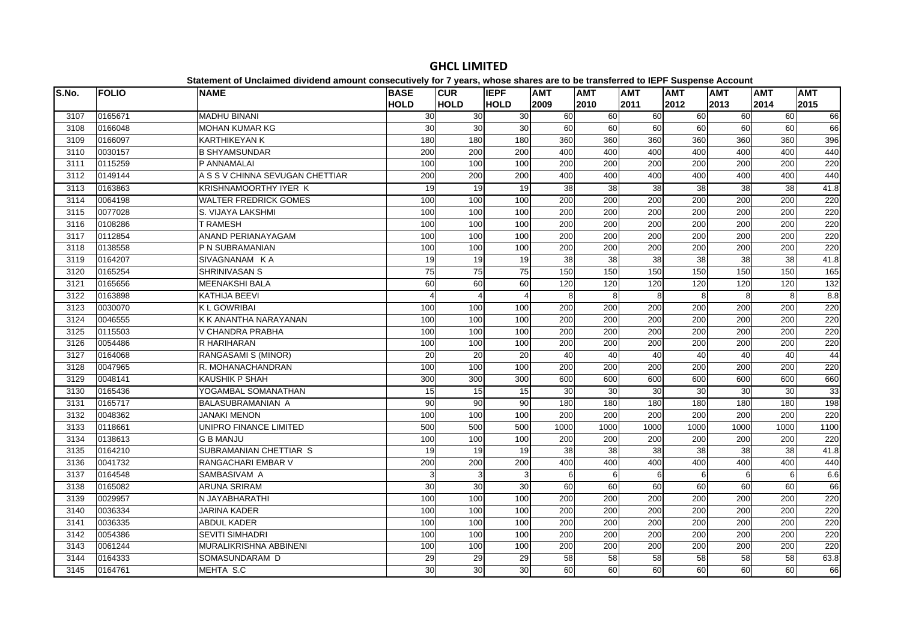| S.No. | <b>FOLIO</b> | <b>NAME</b>                     | <b>BASE</b>     | <b>CUR</b>      | <b>IEPF</b> | <b>AMT</b>       | <b>AMT</b>       | <b>AMT</b>       | <b>AMT</b> | <b>AMT</b> | <b>AMT</b>       | <b>AMT</b> |
|-------|--------------|---------------------------------|-----------------|-----------------|-------------|------------------|------------------|------------------|------------|------------|------------------|------------|
|       |              |                                 | <b>HOLD</b>     | <b>HOLD</b>     | <b>HOLD</b> | 2009             | 2010             | 2011             | 2012       | 2013       | 2014             | 2015       |
| 3107  | 0165671      | <b>MADHU BINANI</b>             | 30              | 30              | 30          | 60               | 60               | $\overline{60}$  | 60         | 60         | $\overline{60}$  | 66         |
| 3108  | 0166048      | <b>MOHAN KUMAR KG</b>           | 30              | 30              | 30          | 60               | 60               | 60               | 60         | 60         | 60               | 66         |
| 3109  | 0166097      | <b>KARTHIKEYAN K</b>            | 180             | 180             | 180         | 360              | 360              | 360              | 360        | 360        | 360              | 396        |
| 3110  | 0030157      | <b>B SHYAMSUNDAR</b>            | 200             | 200             | 200         | 400              | 400              | 400              | 400        | 400        | 400              | 440        |
| 3111  | 0115259      | P ANNAMALAI                     | 100             | 100             | 100         | 200              | $\overline{200}$ | $\overline{200}$ | 200        | 200        | $\overline{200}$ | 220        |
| 3112  | 0149144      | A S S V CHINNA SEVUGAN CHETTIAR | 200             | 200             | 200         | 400              | 400              | 400              | 400        | 400        | 400              | 440        |
| 3113  | 0163863      | KRISHNAMOORTHY IYER K           | 19              | 19              | 19          | 38               | 38               | 38               | 38         | 38         | 38               | 41.8       |
| 3114  | 0064198      | <b>WALTER FREDRICK GOMES</b>    | 100             | 100             | 100         | 200              | 200              | 200              | 200        | 200        | 200              | 220        |
| 3115  | 0077028      | S. VIJAYA LAKSHMI               | 100             | 100             | 100         | 200              | 200              | 200              | 200        | 200        | 200              | 220        |
| 3116  | 0108286      | <b>T RAMESH</b>                 | 100             | 100             | 100         | $\overline{200}$ | 200              | 200              | 200        | 200        | 200              | 220        |
| 3117  | 0112854      | ANAND PERIANAYAGAM              | 100             | 100             | 100         | $\overline{200}$ | $\overline{200}$ | 200              | 200        | 200        | $\overline{200}$ | 220        |
| 3118  | 0138558      | P N SUBRAMANIAN                 | 100             | 100             | 100         | $\overline{200}$ | 200              | $\overline{200}$ | 200        | 200        | $\overline{200}$ | 220        |
| 3119  | 0164207      | SIVAGNANAM KA                   | 19              | 19              | 19          | 38               | 38               | 38               | 38         | 38         | 38               | 41.8       |
| 3120  | 0165254      | <b>SHRINIVASAN S</b>            | $\overline{75}$ | 75              | 75          | 150              | 150              | 150              | 150        | 150        | 150              | 165        |
| 3121  | 0165656      | <b>MEENAKSHI BALA</b>           | 60              | 60              | 60          | 120              | 120              | 120              | 120        | 120        | 120              | 132        |
| 3122  | 0163898      | <b>KATHIJA BEEVI</b>            |                 | 4               | 4           | 8                | 8                | 8                | 8          | 8          | 8                | 8.8        |
| 3123  | 0030070      | <b>KL GOWRIBAI</b>              | 100             | 100             | 100         | $\overline{200}$ | 200              | $\overline{200}$ | 200        | 200        | $\overline{200}$ | 220        |
| 3124  | 0046555      | K K ANANTHA NARAYANAN           | 100             | 100             | 100         | 200              | 200              | 200              | 200        | 200        | 200              | 220        |
| 3125  | 0115503      | V CHANDRA PRABHA                | 100             | 100             | 100         | 200              | 200              | 200              | 200        | 200        | 200              | 220        |
| 3126  | 0054486      | R HARIHARAN                     | 100             | 100             | 100         | 200              | 200              | 200              | 200        | 200        | 200              | 220        |
| 3127  | 0164068      | RANGASAMI S (MINOR)             | 20              | 20              | 20          | 40               | 40               | 40               | 40         | 40         | 40               | 44         |
| 3128  | 0047965      | R. MOHANACHANDRAN               | 100             | 100             | 100         | 200              | 200              | 200              | 200        | 200        | 200              | 220        |
| 3129  | 0048141      | <b>KAUSHIK P SHAH</b>           | 300             | 300             | 300         | 600              | 600              | 600              | 600        | 600        | 600              | 660        |
| 3130  | 0165436      | YOGAMBAL SOMANATHAN             | 15              | 15              | 15          | 30               | 30               | 30               | 30         | 30         | 30               | 33         |
| 3131  | 0165717      | BALASUBRAMANIAN A               | 90              | 90              | 90          | 180              | 180              | 180              | 180        | 180        | 180              | 198        |
| 3132  | 0048362      | <b>JANAKI MENON</b>             | 100             | 100             | 100         | 200              | 200              | 200              | 200        | 200        | 200              | 220        |
| 3133  | 0118661      | UNIPRO FINANCE LIMITED          | 500             | 500             | 500         | 1000             | 1000             | 1000             | 1000       | 1000       | 1000             | 1100       |
| 3134  | 0138613      | <b>G B MANJU</b>                | 100             | 100             | 100         | 200              | 200              | 200              | 200        | 200        | 200              | 220        |
| 3135  | 0164210      | SUBRAMANIAN CHETTIAR S          | 19              | 19              | 19          | 38               | 38               | 38               | 38         | 38         | 38               | 41.8       |
| 3136  | 0041732      | RANGACHARI EMBAR V              | 200             | 200             | 200         | 400              | 400              | 400              | 400        | 400        | 400              | 440        |
| 3137  | 0164548      | SAMBASIVAM A                    | 3               | 3               | 3           | 6                | 6                | 6                | 6          | 6          | 6                | 6.6        |
| 3138  | 0165082      | <b>ARUNA SRIRAM</b>             | 30              | $\overline{30}$ | 30          | 60               | 60               | 60               | 60         | 60         | 60               | 66         |
| 3139  | 0029957      | N JAYABHARATHI                  | 100             | 100             | 100         | 200              | 200              | $\overline{200}$ | 200        | 200        | 200              | 220        |
| 3140  | 0036334      | <b>JARINA KADER</b>             | 100             | 100             | 100         | 200              | 200              | 200              | 200        | 200        | 200              | 220        |
| 3141  | 0036335      | <b>ABDUL KADER</b>              | 100             | 100             | 100         | 200              | 200              | 200              | 200        | 200        | 200              | 220        |
| 3142  | 0054386      | <b>SEVITI SIMHADRI</b>          | 100             | 100             | 100         | 200              | 200              | 200              | 200        | 200        | 200              | 220        |
| 3143  | 0061244      | MURALIKRISHNA ABBINENI          | 100             | 100             | 100         | 200              | 200              | 200              | 200        | 200        | 200              | 220        |
| 3144  | 0164333      | SOMASUNDARAM D                  | 29              | 29              | 29          | 58               | 58               | 58               | 58         | 58         | 58               | 63.8       |
| 3145  | 0164761      | MEHTA S.C                       | 30              | 30              | 30          | 60               | 60               | 60               | 60         | 60         | 60               | 66         |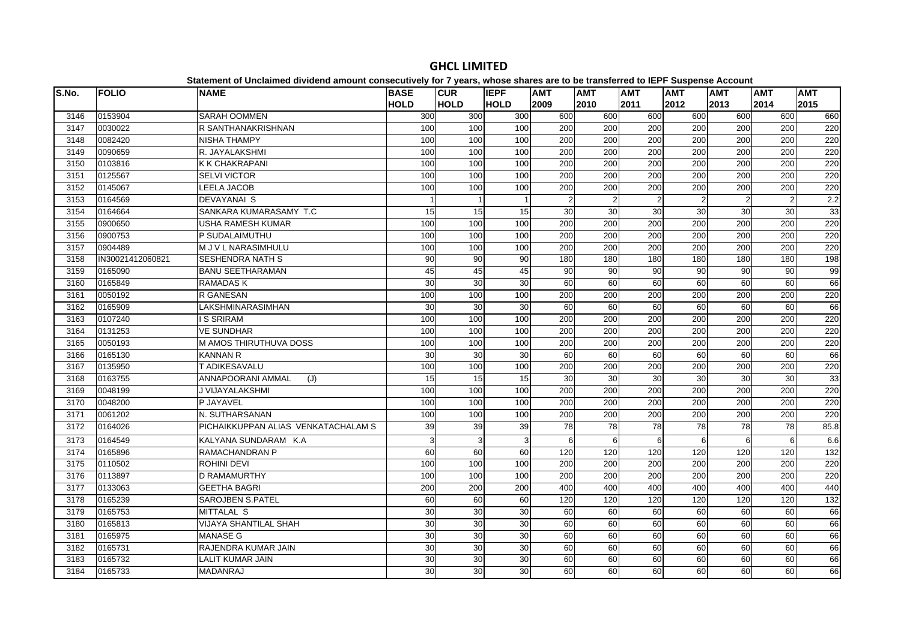| S.No. | <b>FOLIO</b>     | <b>NAME</b>                         | <b>BASE</b> | <b>CUR</b>      | <b>IEPF</b> | <b>AMT</b>       | <b>AMT</b>       | <b>AMT</b>       | <b>AMT</b>     | <b>AMT</b>     | <b>AMT</b>       | <b>AMT</b>       |
|-------|------------------|-------------------------------------|-------------|-----------------|-------------|------------------|------------------|------------------|----------------|----------------|------------------|------------------|
|       |                  |                                     | <b>HOLD</b> | <b>HOLD</b>     | <b>HOLD</b> | 2009             | 2010             | 2011             | 2012           | 2013           | 2014             | 2015             |
| 3146  | 0153904          | <b>SARAH OOMMEN</b>                 | 300         | 300             | 300         | 600              | 600              | 600              | 600            | 600            | 600              | 660              |
| 3147  | 0030022          | R SANTHANAKRISHNAN                  | 100         | 100             | 100         | 200              | 200              | 200              | 200            | 200            | 200              | 220              |
| 3148  | 0082420          | <b>NISHA THAMPY</b>                 | 100         | 100             | 100         | 200              | 200              | 200              | 200            | 200            | 200              | 220              |
| 3149  | 0090659          | R. JAYALAKSHMI                      | 100         | 100             | 100         | 200              | 200              | 200              | 200            | 200            | 200              | 220              |
| 3150  | 0103816          | <b>K K CHAKRAPANI</b>               | 100         | 100             | 100         | 200              | 200              | 200              | 200            | 200            | 200              | 220              |
| 3151  | 0125567          | <b>SELVI VICTOR</b>                 | 100         | 100             | 100         | 200              | 200              | 200              | 200            | 200            | 200              | 220              |
| 3152  | 0145067          | <b>LEELA JACOB</b>                  | 100         | 100             | 100         | 200              | 200              | 200              | 200            | 200            | 200              | 220              |
| 3153  | 0164569          | <b>DEVAYANAI S</b>                  |             | $\overline{1}$  |             | $\mathfrak{p}$   | 2                | $\overline{2}$   | $\overline{2}$ | $\overline{2}$ | $\overline{2}$   | 2.2              |
| 3154  | 0164664          | SANKARA KUMARASAMY T.C              | 15          | 15              | 15          | 30               | 30               | 30               | 30             | 30             | 30               | 33               |
| 3155  | 0900650          | USHA RAMESH KUMAR                   | 100         | 100             | 100         | 200              | 200              | 200              | 200            | 200            | 200              | 220              |
| 3156  | 0900753          | P SUDALAIMUTHU                      | 100         | 100             | 100         | 200              | 200              | 200              | 200            | 200            | 200              | 220              |
| 3157  | 0904489          | M J V L NARASIMHULU                 | 100         | 100             | 100         | 200              | 200              | 200              | 200            | 200            | 200              | 220              |
| 3158  | IN30021412060821 | <b>SESHENDRA NATH S</b>             | 90          | 90              | 90          | 180              | 180              | 180              | 180            | 180            | 180              | 198              |
| 3159  | 0165090          | <b>BANU SEETHARAMAN</b>             | 45          | 45              | 45          | 90               | 90               | 90               | 90             | 90             | 90               | 99               |
| 3160  | 0165849          | <b>RAMADASK</b>                     | 30          | 30              | 30          | 60               | 60               | 60               | 60             | 60             | 60               | 66               |
| 3161  | 0050192          | R GANESAN                           | 100         | 100             | 100         | 200              | 200              | 200              | 200            | 200            | 200              | 220              |
| 3162  | 0165909          | LAKSHMINARASIMHAN                   | 30          | 30              | 30          | 60               | 60               | 60               | 60             | 60             | 60               | 66               |
| 3163  | 0107240          | <b>IS SRIRAM</b>                    | 100         | 100             | 100         | 200              | 200              | 200              | 200            | 200            | 200              | 220              |
| 3164  | 0131253          | <b>VE SUNDHAR</b>                   | 100         | 100             | 100         | 200              | 200              | 200              | 200            | 200            | 200              | 220              |
| 3165  | 0050193          | M AMOS THIRUTHUVA DOSS              | 100         | 100             | 100         | 200              | 200              | 200              | 200            | 200            | 200              | 220              |
| 3166  | 0165130          | <b>KANNAN R</b>                     | 30          | 30              | 30          | 60               | 60               | 60               | 60             | 60             | 60               | 66               |
| 3167  | 0135950          | T ADIKESAVALU                       | 100         | 100             | 100         | 200              | 200              | 200              | 200            | 200            | 200              | 220              |
| 3168  | 0163755          | <b>ANNAPOORANI AMMAL</b><br>(J)     | 15          | 15              | 15          | 30               | 30               | 30               | 30             | 30             | 30               | 33               |
| 3169  | 0048199          | J VIJAYALAKSHMI                     | 100         | 100             | 100         | $\overline{200}$ | $\overline{200}$ | $\overline{200}$ | 200            | 200            | $\overline{200}$ | 220              |
| 3170  | 0048200          | P JAYAVEL                           | 100         | 100             | 100         | 200              | 200              | 200              | 200            | 200            | 200              | 220              |
| 3171  | 0061202          | N. SUTHARSANAN                      | 100         | 100             | 100         | 200              | 200              | 200              | 200            | 200            | 200              | 220              |
| 3172  | 0164026          | PICHAIKKUPPAN ALIAS VENKATACHALAM S | 39          | 39              | 39          | 78               | 78               | 78               | 78             | 78             | 78               | 85.8             |
| 3173  | 0164549          | KALYANA SUNDARAM K.A                | 3           | 3               | 3           | 6                | 6                | 6                | 6              | 6              | 6                | 6.6              |
| 3174  | 0165896          | RAMACHANDRAN P                      | 60          | $\overline{60}$ | 60          | 120              | 120              | 120              | 120            | 120            | 120              | 132              |
| 3175  | 0110502          | <b>ROHINI DEVI</b>                  | 100         | 100             | 100         | 200              | 200              | 200              | 200            | 200            | 200              | 220              |
| 3176  | 0113897          | <b>D RAMAMURTHY</b>                 | 100         | 100             | 100         | 200              | 200              | 200              | 200            | 200            | 200              | 220              |
| 3177  | 0133063          | <b>GEETHA BAGRI</b>                 | 200         | 200             | 200         | 400              | 400              | 400              | 400            | 400            | 400              | 440              |
| 3178  | 0165239          | <b>SAROJBEN S.PATEL</b>             | 60          | $\overline{60}$ | 60          | 120              | 120              | 120              | 120            | 120            | 120              | $\overline{132}$ |
| 3179  | 0165753          | <b>MITTALAL S</b>                   | 30          | 30              | 30          | 60               | 60               | 60               | 60             | 60             | $\overline{60}$  | 66               |
| 3180  | 0165813          | VIJAYA SHANTILAL SHAH               | 30          | 30              | 30          | 60               | 60               | 60               | 60             | 60             | 60               | 66               |
| 3181  | 0165975          | <b>MANASE G</b>                     | 30          | 30              | 30          | 60               | 60               | 60               | 60             | 60             | 60               | 66               |
| 3182  | 0165731          | RAJENDRA KUMAR JAIN                 | 30          | 30              | 30          | 60               | 60               | 60               | 60             | 60             | 60               | 66               |
| 3183  | 0165732          | LALIT KUMAR JAIN                    | 30          | 30              | 30          | 60               | 60               | 60               | 60             | 60             | 60               | 66               |
| 3184  | 0165733          | <b>MADANRAJ</b>                     | 30          | 30              | 30          | 60               | 60               | 60               | 60             | 60             | 60               | 66               |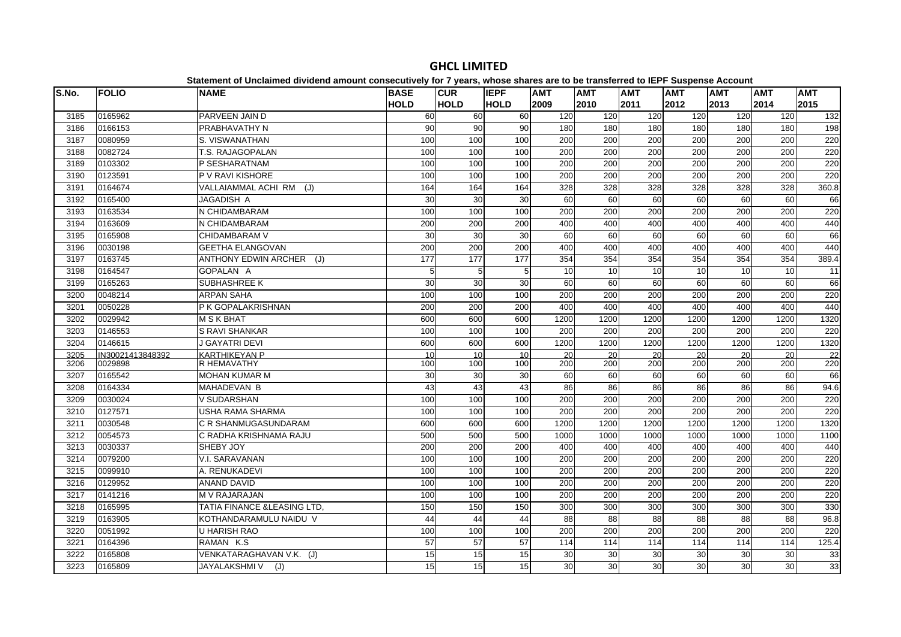| S.No. | <b>FOLIO</b>     | platomont or onolalmoa annaona amoant concectation non il young mnocolemance and t<br><b>NAME</b> | <b>BASE</b>    | <b>CUR</b>      | <b>IEPF</b> | <b>AMT</b>       | .<br><b>AMT</b>  | <b>AMT</b>       | $- -$<br><b>AMT</b> | <b>AMT</b>       | <b>AMT</b>       | <b>AMT</b> |
|-------|------------------|---------------------------------------------------------------------------------------------------|----------------|-----------------|-------------|------------------|------------------|------------------|---------------------|------------------|------------------|------------|
|       |                  |                                                                                                   | <b>HOLD</b>    | <b>HOLD</b>     | <b>HOLD</b> | 2009             | 2010             | 2011             | 2012                | 2013             | 2014             | 2015       |
| 3185  | 0165962          | PARVEEN JAIN D                                                                                    | 60             | 60              | 60          | 120              | 120              | 120              | 120                 | 120              | 120              | 132        |
| 3186  | 0166153          | PRABHAVATHY N                                                                                     | 90             | $\overline{90}$ | 90          | 180              | 180              | 180              | 180                 | 180              | 180              | 198        |
| 3187  | 0080959          | S. VISWANATHAN                                                                                    | 100            | 100             | 100         | 200              | 200              | 200              | 200                 | 200              | 200              | 220        |
| 3188  | 0082724          | T.S. RAJAGOPALAN                                                                                  | 100            | 100             | 100         | 200              | 200              | 200              | 200                 | 200              | 200              | 220        |
| 3189  | 0103302          | P SESHARATNAM                                                                                     | 100            | 100             | 100         | 200              | 200              | 200              | 200                 | 200              | 200              | 220        |
| 3190  | 0123591          | P V RAVI KISHORE                                                                                  | 100            | 100             | 100         | $\overline{200}$ | $\overline{200}$ | $\overline{200}$ | 200                 | $\overline{200}$ | $\overline{200}$ | 220        |
| 3191  | 0164674          | VALLAIAMMAL ACHI RM<br>(J)                                                                        | 164            | 164             | 164         | 328              | 328              | 328              | 328                 | 328              | 328              | 360.8      |
| 3192  | 0165400          | JAGADISH A                                                                                        | 30             | 30              | 30          | 60               | 60               | 60               | 60                  | 60               | 60               | 66         |
| 3193  | 0163534          | N CHIDAMBARAM                                                                                     | 100            | 100             | 100         | 200              | 200              | 200              | 200                 | 200              | 200              | 220        |
| 3194  | 0163609          | N CHIDAMBARAM                                                                                     | 200            | 200             | 200         | 400              | 400              | 400              | 400                 | 400              | 400              | 440        |
| 3195  | 0165908          | CHIDAMBARAM V                                                                                     | 30             | 30              | 30          | 60               | 60               | 60               | 60                  | 60               | 60               | 66         |
| 3196  | 0030198          | <b>GEETHA ELANGOVAN</b>                                                                           | 200            | 200             | 200         | 400              | 400              | 400              | 400                 | 400              | 400              | 440        |
| 3197  | 0163745          | <b>ANTHONY EDWIN ARCHER</b><br>(J)                                                                | 177            | 177             | 177         | 354              | 354              | 354              | 354                 | 354              | 354              | 389.4      |
| 3198  | 0164547          | GOPALAN A                                                                                         | 5 <sup>1</sup> | 5               | 5           | 10               | 10               | 10               | 10                  | 10               | 10               | 11         |
| 3199  | 0165263          | <b>SUBHASHREE K</b>                                                                               | 30             | 30              | 30          | 60               | 60               | 60               | 60                  | 60               | 60               | 66         |
| 3200  | 0048214          | <b>ARPAN SAHA</b>                                                                                 | 100            | 100             | 100         | 200              | 200              | 200              | 200                 | 200              | 200              | 220        |
| 3201  | 0050228          | P K GOPALAKRISHNAN                                                                                | 200            | 200             | 200         | 400              | 400              | 400              | 400                 | 400              | 400              | 440        |
| 3202  | 0029942          | <b>M S K BHAT</b>                                                                                 | 600            | 600             | 600         | 1200             | 1200             | 1200             | 1200                | 1200             | 1200             | 1320       |
| 3203  | 0146553          | <b>S RAVI SHANKAR</b>                                                                             | 100            | 100             | 100         | 200              | 200              | 200              | 200                 | 200              | 200              | 220        |
| 3204  | 0146615          | <b>J GAYATRI DEVI</b>                                                                             | 600            | 600             | 600         | 1200             | 1200             | 1200             | 1200                | 1200             | 1200             | 1320       |
| 3205  | IN30021413848392 | <b>KARTHIKEYAN P</b>                                                                              | 10             | 10              | 10          | 20               | 20               | 20               | 20                  | 20               | 20               | 22         |
| 3206  | 0029898          | <b>R HEMAVATHY</b>                                                                                | 100            | 100             | 100         | 200              | 200              | 200              | 200                 | 200              | 200              | 220        |
| 3207  | 0165542          | <b>MOHAN KUMAR M</b>                                                                              | 30             | 30              | 30          | 60               | 60               | 60               | 60                  | 60               | $\overline{60}$  | 66         |
| 3208  | 0164334          | <b>MAHADEVAN B</b>                                                                                | 43             | 43              | 43          | 86               | 86               | 86               | 86                  | 86               | 86               | 94.6       |
| 3209  | 0030024          | <b>V SUDARSHAN</b>                                                                                | 100            | 100             | 100         | 200              | 200              | 200              | 200                 | 200              | 200              | 220        |
| 3210  | 0127571          | USHA RAMA SHARMA                                                                                  | 100            | 100             | 100         | $\overline{200}$ | 200              | $\overline{200}$ | 200                 | $\overline{200}$ | $\overline{200}$ | 220        |
| 3211  | 0030548          | C R SHANMUGASUNDARAM                                                                              | 600            | 600             | 600         | 1200             | 1200             | 1200             | 1200                | 1200             | 1200             | 1320       |
| 3212  | 0054573          | C RADHA KRISHNAMA RAJU                                                                            | 500            | 500             | 500         | 1000             | 1000             | 1000             | 1000                | 1000             | 1000             | 1100       |
| 3213  | 0030337          | SHEBY JOY                                                                                         | 200            | 200             | 200         | 400              | 400              | 400              | 400                 | 400              | 400              | 440        |
| 3214  | 0079200          | V.I. SARAVANAN                                                                                    | 100            | 100             | 100         | 200              | 200              | 200              | 200                 | 200              | 200              | 220        |
| 3215  | 0099910          | A. RENUKADEVI                                                                                     | 100            | 100             | 100         | 200              | 200              | 200              | 200                 | 200              | 200              | 220        |
| 3216  | 0129952          | <b>ANAND DAVID</b>                                                                                | 100            | 100             | 100         | $\overline{200}$ | 200              | $\overline{200}$ | 200                 | 200              | $\overline{200}$ | 220        |
| 3217  | 0141216          | <b>M V RAJARAJAN</b>                                                                              | 100            | 100             | 100         | 200              | 200              | 200              | 200                 | 200              | 200              | 220        |
| 3218  | 0165995          | <b>TATIA FINANCE &amp;LEASING LTD.</b>                                                            | 150            | 150             | 150         | 300              | 300              | 300              | 300                 | 300              | 300              | 330        |
| 3219  | 0163905          | KOTHANDARAMULU NAIDU V                                                                            | 44             | 44              | 44          | 88               | 88               | 88               | 88                  | 88               | 88               | 96.8       |
| 3220  | 0051992          | <b>U HARISH RAO</b>                                                                               | 100            | 100             | 100         | 200              | 200              | 200              | 200                 | 200              | 200              | 220        |
| 3221  | 0164396          | RAMAN K.S                                                                                         | 57             | 57              | 57          | 114              | 114              | 114              | 114                 | 114              | 114              | 125.4      |
| 3222  | 0165808          | VENKATARAGHAVAN V.K. (J)                                                                          | 15             | 15              | 15          | 30               | 30               | 30               | 30                  | 30               | 30               | 33         |
| 3223  | 0165809          | <b>JAYALAKSHMI V</b><br>(J)                                                                       | 15             | 15              | 15          | 30               | $\overline{30}$  | 30               | 30                  | 30               | 30               | 33         |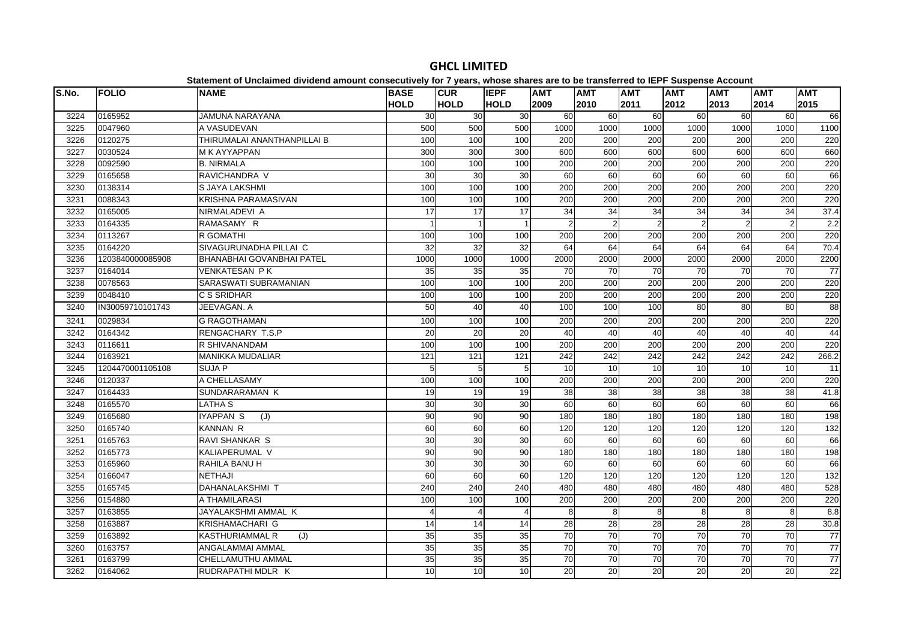| S.No. | <b>FOLIO</b>     | platomont of onolalmoa arriaona amoant oonoodatroff for Ffourof mnooo onaroo aro t<br><b>NAME</b> | <b>BASE</b>     | <b>CUR</b>      | <b>IEPF</b>    | <b>AMT</b>       | .<br><b>AMT</b> | <b>AMT</b>       | $- - -$<br><b>AMT</b> | <b>AMT</b> | <b>AMT</b>       | <b>AMT</b>      |
|-------|------------------|---------------------------------------------------------------------------------------------------|-----------------|-----------------|----------------|------------------|-----------------|------------------|-----------------------|------------|------------------|-----------------|
|       |                  |                                                                                                   | <b>HOLD</b>     | <b>HOLD</b>     | <b>HOLD</b>    | 2009             | 2010            | 2011             | 2012                  | 2013       | 2014             | 2015            |
| 3224  | 0165952          | <b>JAMUNA NARAYANA</b>                                                                            | 30              | 30              | 30             | 60               | 60              | 60               | 60                    | 60         | 60               | 66              |
| 3225  | 0047960          | A VASUDEVAN                                                                                       | 500             | 500             | 500            | 1000             | 1000            | 1000             | 1000                  | 1000       | 1000             | 1100            |
| 3226  | 0120275          | THIRUMALAI ANANTHANPILLAI B                                                                       | 100             | 100             | 100            | 200              | 200             | 200              | 200                   | 200        | 200              | 220             |
| 3227  | 0030524          | M K AYYAPPAN                                                                                      | 300             | 300             | 300            | 600              | 600             | 600              | 600                   | 600        | 600              | 660             |
| 3228  | 0092590          | <b>B. NIRMALA</b>                                                                                 | 100             | 100             | 100            | 200              | 200             | 200              | 200                   | 200        | 200              | 220             |
| 3229  | 0165658          | RAVICHANDRA V                                                                                     | $\overline{30}$ | 30              | 30             | 60               | 60              | 60               | 60                    | 60         | 60               | 66              |
| 3230  | 0138314          | S JAYA LAKSHMI                                                                                    | 100             | 100             | 100            | 200              | 200             | 200              | 200                   | 200        | 200              | 220             |
| 3231  | 0088343          | KRISHNA PARAMASIVAN                                                                               | 100             | 100             | 100            | 200              | 200             | 200              | 200                   | 200        | 200              | 220             |
| 3232  | 0165005          | NIRMALADEVI A                                                                                     | 17              | 17              | 17             | 34               | 34              | 34               | 34                    | 34         | 34               | 37.4            |
| 3233  | 0164335          | RAMASAMY R                                                                                        |                 | $\mathbf{1}$    |                | $\overline{2}$   | $\mathcal{P}$   | $\overline{2}$   | 2                     | 2          | $\overline{2}$   | 2.2             |
| 3234  | 0113267          | <b>R GOMATHI</b>                                                                                  | 100             | 100             | 100            | $\overline{200}$ | 200             | $\overline{200}$ | 200                   | 200        | $\overline{200}$ | 220             |
| 3235  | 0164220          | SIVAGURUNADHA PILLAI C                                                                            | 32              | 32              | 32             | 64               | 64              | 64               | 64                    | 64         | 64               | 70.4            |
| 3236  | 1203840000085908 | <b>BHANABHAI GOVANBHAI PATEL</b>                                                                  | 1000            | 1000            | 1000           | 2000             | 2000            | 2000             | 2000                  | 2000       | 2000             | 2200            |
| 3237  | 0164014          | <b>VENKATESAN PK</b>                                                                              | 35              | 35              | 35             | 70               | 70              | 70               | 70                    | 70         | 70               | $\overline{77}$ |
| 3238  | 0078563          | SARASWATI SUBRAMANIAN                                                                             | 100             | 100             | 100            | 200              | 200             | 200              | 200                   | 200        | 200              | 220             |
| 3239  | 0048410          | C S SRIDHAR                                                                                       | 100             | 100             | 100            | 200              | 200             | 200              | 200                   | 200        | 200              | 220             |
| 3240  | IN30059710101743 | JEEVAGAN. A                                                                                       | 50              | 40              | 40             | 100              | 100             | 100              | 80                    | 80         | 80               | 88              |
| 3241  | 0029834          | <b>G RAGOTHAMAN</b>                                                                               | 100             | 100             | 100            | 200              | 200             | 200              | 200                   | 200        | 200              | 220             |
| 3242  | 0164342          | RENGACHARY T.S.P                                                                                  | 20              | 20              | 20             | 40               | 40              | 40               | 40                    | 40         | 40               | 44              |
| 3243  | 0116611          | R SHIVANANDAM                                                                                     | 100             | 100             | 100            | 200              | 200             | 200              | 200                   | 200        | 200              | 220             |
| 3244  | 0163921          | <b>MANIKKA MUDALIAR</b>                                                                           | 121             | 121             | 121            | 242              | 242             | 242              | 242                   | 242        | 242              | 266.2           |
| 3245  | 1204470001105108 | SUJA P                                                                                            | 5               | 5               | 5              | 10               | 10              | 10               | 10                    | 10         | 10               | 11              |
| 3246  | 0120337          | A CHELLASAMY                                                                                      | 100             | 100             | 100            | 200              | 200             | 200              | 200                   | 200        | 200              | 220             |
| 3247  | 0164433          | SUNDARARAMAN K                                                                                    | 19              | 19              | 19             | 38               | 38              | 38               | 38                    | 38         | 38               | 41.8            |
| 3248  | 0165570          | <b>LATHA S</b>                                                                                    | 30              | $\overline{30}$ | 30             | 60               | 60              | 60               | 60                    | 60         | 60               | 66              |
| 3249  | 0165680          | <b>IYAPPAN S</b><br>(J)                                                                           | 90              | 90              | 90             | 180              | 180             | 180              | 180                   | 180        | 180              | 198             |
| 3250  | 0165740          | <b>KANNAN R</b>                                                                                   | 60              | 60              | 60             | 120              | 120             | 120              | 120                   | 120        | 120              | 132             |
| 3251  | 0165763          | <b>RAVI SHANKAR S</b>                                                                             | 30              | 30              | 30             | 60               | 60              | 60               | 60                    | 60         | 60               | 66              |
| 3252  | 0165773          | KALIAPERUMAL V                                                                                    | 90              | 90              | 90             | 180              | 180             | 180              | 180                   | 180        | 180              | 198             |
| 3253  | 0165960          | RAHILA BANU H                                                                                     | 30              | 30              | 30             | 60               | 60              | 60               | 60                    | 60         | 60               | 66              |
| 3254  | 0166047          | <b>NETHAJI</b>                                                                                    | 60              | 60              | 60             | 120              | 120             | 120              | 120                   | 120        | 120              | 132             |
| 3255  | 0165745          | DAHANALAKSHMI T                                                                                   | 240             | 240             | 240            | 480              | 480             | 480              | 480                   | 480        | 480              | 528             |
| 3256  | 0154880          | A THAMILARASI                                                                                     | 100             | 100             | 100            | 200              | 200             | 200              | 200                   | 200        | 200              | 220             |
| 3257  | 0163855          | JAYALAKSHMI AMMAL K                                                                               |                 | $\overline{4}$  | $\overline{4}$ | 8                | 8               | 8                | 8                     | 8          | 8                | 8.8             |
| 3258  | 0163887          | KRISHAMACHARI G                                                                                   | 14              | 14              | 14             | 28               | 28              | 28               | 28                    | 28         | 28               | 30.8            |
| 3259  | 0163892          | <b>KASTHURIAMMAL R</b><br>(J)                                                                     | 35              | 35              | 35             | 70               | 70              | $\overline{70}$  | 70                    | 70         | $\overline{70}$  | $\overline{77}$ |
| 3260  | 0163757          | ANGALAMMAI AMMAL                                                                                  | 35              | 35              | 35             | 70               | 70              | $\overline{70}$  | 70                    | 70         | 70               | $\overline{77}$ |
| 3261  | 0163799          | CHELLAMUTHU AMMAL                                                                                 | 35              | 35              | 35             | $\overline{70}$  | 70              | $\overline{70}$  | $\overline{70}$       | 70         | $\overline{70}$  | $\overline{77}$ |
| 3262  | 0164062          | RUDRAPATHI MDLR K                                                                                 | 10              | 10              | 10             | 20               | 20              | 20               | 20                    | 20         | 20               | 22              |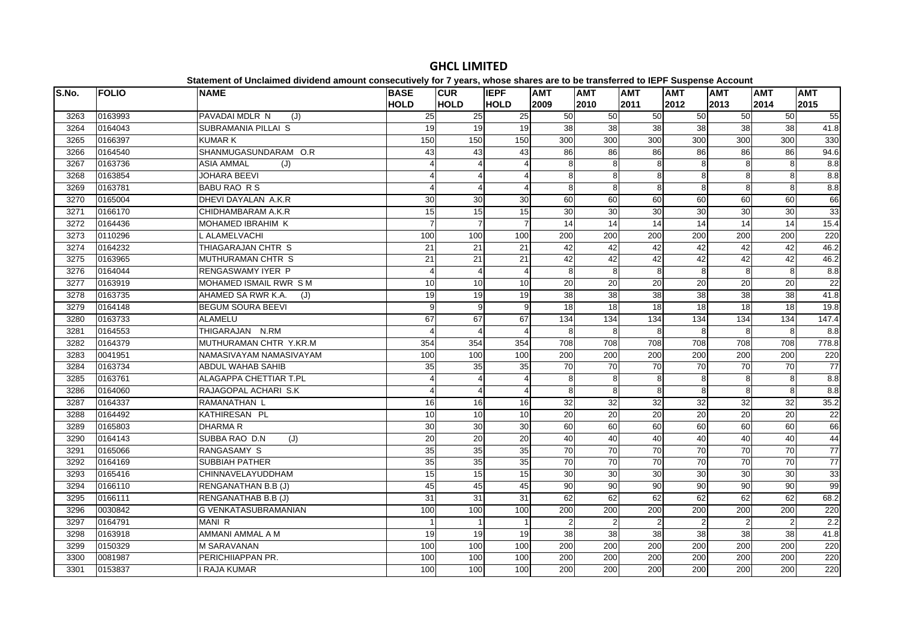| S.No. | <b>FOLIO</b> | <b>NAME</b>                 | <b>BASE</b><br><b>HOLD</b> | <b>CUR</b><br><b>HOLD</b> | <b>IEPF</b><br><b>HOLD</b> | <b>AMT</b><br>2009 | <b>AMT</b><br>2010 | <b>AMT</b><br>2011      | <b>AMT</b><br>2012 | <b>AMT</b><br>2013 | <b>AMT</b><br>2014 | <b>AMT</b><br>2015 |
|-------|--------------|-----------------------------|----------------------------|---------------------------|----------------------------|--------------------|--------------------|-------------------------|--------------------|--------------------|--------------------|--------------------|
| 3263  | 0163993      | PAVADAI MDLR N<br>(J)       | $\overline{25}$            | $\overline{25}$           | 25                         | 50                 | 50                 | 50                      | 50                 | 50                 | 50                 | 55                 |
| 3264  | 0164043      | SUBRAMANIA PILLAI S         | 19                         | 19                        | 19                         | 38                 | 38                 | 38                      | 38                 | 38                 | 38                 | 41.8               |
| 3265  | 0166397      | <b>KUMARK</b>               | 150                        | 150                       | 150                        | 300                | 300                | 300                     | 300                | 300                | 300                | 330                |
| 3266  | 0164540      | SHANMUGASUNDARAM O.R        | 43                         | 43                        | 43                         | 86                 | 86                 | 86                      | 86                 | 86                 | 86                 | 94.6               |
| 3267  | 0163736      | <b>ASIA AMMAL</b><br>(J)    |                            | $\overline{4}$            | 4                          | 8                  | 8                  | 8                       | 8                  | 8                  | 8                  | $\frac{8}{8}$      |
| 3268  | 0163854      | JOHARA BEEVI                |                            | $\overline{4}$            | Δ                          | 8                  | 8                  | 8                       | 8                  | 8                  | 8                  | $\frac{8}{8}$      |
| 3269  | 0163781      | <b>BABU RAO R S</b>         |                            | $\overline{4}$            |                            | 8                  | 8                  | 8                       | 8                  | 8                  | 8                  | $\frac{8}{8}$      |
| 3270  | 0165004      | DHEVI DAYALAN A.K.R         | 30                         | 30                        | 30                         | 60                 | 60                 | 60                      | 60                 | 60                 | 60                 | 66                 |
| 3271  | 0166170      | CHIDHAMBARAM A.K.R          | 15                         | 15                        | 15                         | 30                 | 30                 | 30                      | 30                 | 30                 | 30                 | 33                 |
| 3272  | 0164436      | MOHAMED IBRAHIM K           |                            | $\overline{7}$            | $\overline{7}$             | 14                 | 14                 | 14                      | 14                 | 14                 | 14                 | 15.4               |
| 3273  | 0110296      | <b>_ ALAMELVACHI</b>        | 100                        | 100                       | 100                        | 200                | 200                | 200                     | 200                | 200                | 200                | 220                |
| 3274  | 0164232      | THIAGARAJAN CHTR S          | 21                         | 21                        | 21                         | 42                 | 42                 | 42                      | 42                 | 42                 | 42                 | 46.2               |
| 3275  | 0163965      | MUTHURAMAN CHTR S           | 21                         | 21                        | 21                         | 42                 | 42                 | 42                      | 42                 | 42                 | 42                 | 46.2               |
| 3276  | 0164044      | <b>RENGASWAMY IYER P</b>    | Δ                          | $\overline{4}$            | $\boldsymbol{\Delta}$      | 8                  | 8                  | 8                       | 8                  | $\mathsf{R}$       | 8                  | 8.8                |
| 3277  | 0163919      | MOHAMED ISMAIL RWR S M      | 10                         | 10                        | 10                         | 20                 | 20                 | $\overline{20}$         | 20                 | 20                 | 20                 | 22                 |
| 3278  | 0163735      | AHAMED SA RWR K.A.<br>(J)   | 19                         | 19                        | 19                         | 38                 | $\overline{38}$    | $\overline{38}$         | 38                 | 38                 | 38                 | 41.8               |
| 3279  | 0164148      | <b>BEGUM SOURA BEEVI</b>    | 9                          | 9                         | 9                          | 18                 | 18                 | 18                      | 18                 | 18                 | 18                 | 19.8               |
| 3280  | 0163733      | <b>ALAMELU</b>              | 67                         | 67                        | 67                         | 134                | 134                | 134                     | 134                | 134                | 134                | 147.4              |
| 3281  | 0164553      | THIGARAJAN N.RM             |                            | $\overline{4}$            | $\overline{A}$             | 8                  | 8                  | 8                       | 8                  | 8                  | 8                  | 8.8                |
| 3282  | 0164379      | MUTHURAMAN CHTR Y.KR.M      | 354                        | 354                       | 354                        | 708                | 708                | 708                     | 708                | 708                | 708                | 778.8              |
| 3283  | 0041951      | NAMASIVAYAM NAMASIVAYAM     | 100                        | 100                       | 100                        | 200                | 200                | 200                     | 200                | 200                | 200                | 220                |
| 3284  | 0163734      | <b>ABDUL WAHAB SAHIB</b>    | 35                         | 35                        | 35                         | 70                 | $\overline{70}$    | $\overline{70}$         | 70                 | 70                 | 70                 | $\overline{77}$    |
| 3285  | 0163761      | ALAGAPPA CHETTIAR T.PL      |                            | $\overline{4}$            | $\Delta$                   | 8                  | 8                  | 8                       | 8                  | 8                  | 8                  | 8.8                |
| 3286  | 0164060      | RAJAGOPAL ACHARI S.K        | $\Delta$                   | $\overline{4}$            | 4                          | 8                  | 8                  | 8                       | 8                  | 8                  | 8                  | 8.8                |
| 3287  | 0164337      | RAMANATHAN L                | 16                         | 16                        | 16                         | 32                 | $\overline{32}$    | 32                      | 32                 | 32                 | $\overline{32}$    | 35.2               |
| 3288  | 0164492      | KATHIRESAN PL               | 10                         | 10                        | 10                         | 20                 | $\overline{20}$    | $\overline{20}$         | 20                 | 20                 | 20                 | 22                 |
| 3289  | 0165803      | <b>DHARMAR</b>              | 30                         | 30                        | $\overline{30}$            | 60                 | 60                 | 60                      | 60                 | 60                 | 60                 | 66                 |
| 3290  | 0164143      | SUBBA RAO D.N<br>(J)        | 20                         | 20                        | 20                         | 40                 | 40                 | 40                      | 40                 | 40                 | 40                 | 44                 |
| 3291  | 0165066      | RANGASAMY S                 | 35                         | 35                        | 35                         | 70                 | 70                 | 70                      | 70                 | 70                 | 70                 | $\overline{77}$    |
| 3292  | 0164169      | <b>SUBBIAH PATHER</b>       | 35                         | 35                        | 35                         | 70                 | 70                 | 70                      | 70                 | 70                 | 70                 | 77                 |
| 3293  | 0165416      | CHINNAVELAYUDDHAM           | 15                         | 15                        | 15                         | 30                 | $\overline{30}$    | $\overline{30}$         | 30                 | 30                 | 30                 | 33                 |
| 3294  | 0166110      | RENGANATHAN B.B (J)         | 45                         | 45                        | 45                         | 90                 | 90                 | $\overline{90}$         | 90                 | 90                 | 90                 | 99                 |
| 3295  | 0166111      | RENGANATHAB B.B (J)         | 31                         | 31                        | 31                         | 62                 | 62                 | 62                      | 62                 | 62                 | 62                 | 68.2               |
| 3296  | 0030842      | <b>G VENKATASUBRAMANIAN</b> | 100                        | 100                       | 100                        | 200                | 200                | 200                     | 200                | 200                | 200                | 220                |
| 3297  | 0164791      | MANI R                      |                            | $\mathbf{1}$              |                            | $\overline{2}$     | $\overline{2}$     | $\overline{\mathbf{c}}$ | $\overline{2}$     |                    | $\overline{2}$     | 2.2                |
| 3298  | 0163918      | AMMANI AMMAL A M            | 19                         | 19                        | 19                         | 38                 | $\overline{38}$    | 38                      | 38                 | 38                 | 38                 | 41.8               |
| 3299  | 0150329      | <b>M SARAVANAN</b>          | 100                        | 100                       | 100                        | 200                | $\overline{200}$   | 200                     | 200                | 200                | 200                | 220                |
| 3300  | 0081987      | PERICHIIAPPAN PR.           | 100                        | 100                       | 100                        | 200                | 200                | $\overline{200}$        | $\overline{200}$   | 200                | 200                | 220                |
| 3301  | 0153837      | <b>I RAJA KUMAR</b>         | 100                        | 100                       | 100                        | 200                | 200                | 200                     | 200                | 200                | 200                | 220                |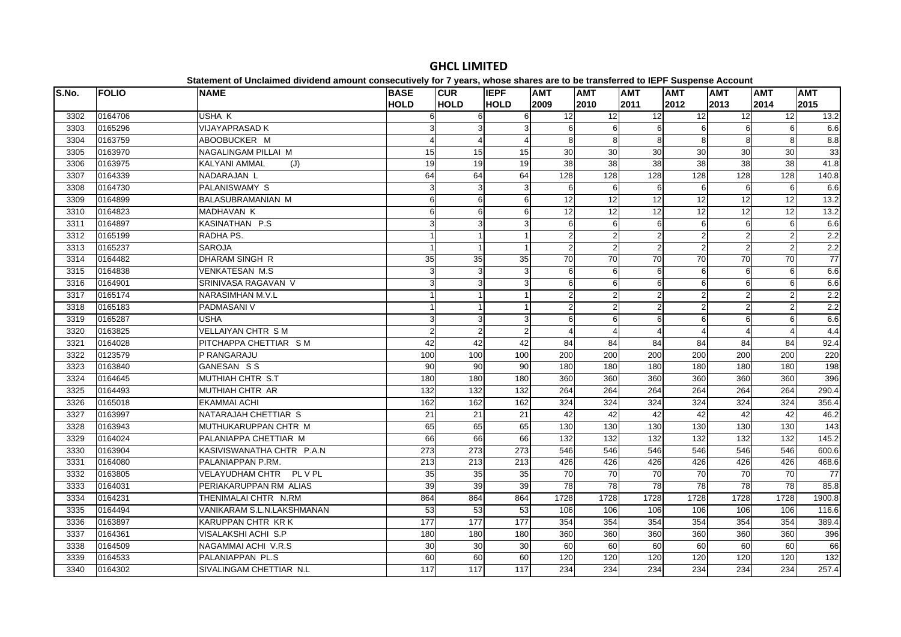| S.No. | <b>FOLIO</b> | <b>NAME</b>                 | <b>BASE</b><br><b>HOLD</b> | <b>CUR</b><br><b>HOLD</b> | <b>IEPF</b><br><b>HOLD</b> | <b>AMT</b><br>2009 | <b>AMT</b><br>2010 | <b>AMT</b><br>2011 | <b>AMT</b><br>2012 | <b>AMT</b><br>2013 | <b>AMT</b><br>2014 | <b>AMT</b><br>2015 |
|-------|--------------|-----------------------------|----------------------------|---------------------------|----------------------------|--------------------|--------------------|--------------------|--------------------|--------------------|--------------------|--------------------|
| 3302  | 0164706      | USHA K                      | 6                          | 6                         | 6                          | $\overline{12}$    | 12                 | 12                 | 12                 | 12                 | 12                 | 13.2               |
| 3303  | 0165296      | <b>VIJAYAPRASAD K</b>       | 3                          | 3                         | 3                          | $6\phantom{1}6$    | 6                  | 6                  | 6                  | 6                  | 6                  | 6.6                |
| 3304  | 0163759      | ABOOBUCKER M                |                            | $\overline{4}$            | $\Delta$                   | 8                  | 8                  | 8                  | 8                  | 8                  | 8                  | 8.8                |
| 3305  | 0163970      | NAGALINGAM PILLAI M         | 15                         | 15                        | 15                         | 30                 | 30                 | 30                 | 30                 | 30                 | 30                 | 33                 |
| 3306  | 0163975      | <b>KALYANI AMMAL</b><br>(J) | 19                         | 19                        | 19                         | 38                 | 38                 | 38                 | 38                 | 38                 | 38                 | 41.8               |
| 3307  | 0164339      | NADARAJAN L                 | 64                         | 64                        | 64                         | 128                | 128                | 128                | 128                | 128                | 128                | 140.8              |
| 3308  | 0164730      | <b>PALANISWAMY S</b>        | 3                          | 3                         | 3                          | 6                  | 6                  | 6                  | 6                  | 6                  | 6                  | 6.6                |
| 3309  | 0164899      | <b>BALASUBRAMANIAN M</b>    | 6                          | 6                         | 6                          | 12                 | 12                 | 12                 | 12                 | 12                 | 12                 | $13.2$             |
| 3310  | 0164823      | <b>MADHAVAN K</b>           | 6                          | 6                         | 6                          | 12                 | 12                 | $\overline{12}$    | 12                 | 12                 | 12                 | 13.2               |
| 3311  | 0164897      | KASINATHAN P.S.             | 3                          | 3                         | 3                          | 6                  | 6                  | 6                  | 6                  | 6                  | 6                  | 6.6                |
| 3312  | 0165199      | RADHA PS.                   |                            | $\mathbf{1}$              |                            | $\overline{2}$     |                    | 2                  | 2                  | $\overline{2}$     | $\overline{2}$     | 2.2                |
| 3313  | 0165237      | <b>SAROJA</b>               | $\mathbf{1}$               | $\mathbf{1}$              |                            | $\overline{2}$     | $\overline{2}$     | $\overline{2}$     | $\overline{2}$     | 2                  | $\overline{c}$     | 2.2                |
| 3314  | 0164482      | DHARAM SINGH R              | 35                         | 35                        | 35                         | 70                 | 70                 | $\overline{70}$    | 70                 | 70                 | 70                 | 77                 |
| 3315  | 0164838      | <b>VENKATESAN M.S</b>       | 3                          | 3                         | 3                          | 6                  | 6                  | 6                  | 6                  | 6                  | 6                  | 6.6                |
| 3316  | 0164901      | SRINIVASA RAGAVAN V         | 3                          | 3                         | 3                          | 6                  | 6                  | 6                  | 6                  | $6 \mid$           | 6                  | 6.6                |
| 3317  | 0165174      | NARASIMHAN M.V.L            |                            | $\mathbf{1}$              |                            | 2                  | $\mathcal{P}$      | $\overline{2}$     | 2                  | $\overline{2}$     | $\overline{2}$     | 2.2                |
| 3318  | 0165183      | PADMASANI V                 |                            | $\overline{1}$            |                            | $\overline{2}$     | $\overline{2}$     | $\overline{2}$     | $\overline{2}$     | $\overline{2}$     | $\overline{2}$     | 2.2                |
| 3319  | 0165287      | <b>USHA</b>                 | 3                          | 3                         | 3                          | 6                  | 6                  | 6                  | 6                  | 6                  | 6                  | 6.6                |
| 3320  | 0163825      | <b>VELLAIYAN CHTR SM</b>    | $\mathfrak{p}$             | $\overline{2}$            | $\overline{2}$             |                    |                    |                    |                    | Δ                  | $\Delta$           | 4.4                |
| 3321  | 0164028      | PITCHAPPA CHETTIAR S M      | 42                         | 42                        | 42                         | 84                 | 84                 | 84                 | 84                 | 84                 | 84                 | 92.4               |
| 3322  | 0123579      | P RANGARAJU                 | 100                        | 100                       | 100                        | 200                | 200                | 200                | 200                | 200                | 200                | 220                |
| 3323  | 0163840      | GANESAN SS                  | 90                         | 90                        | 90                         | 180                | 180                | 180                | 180                | 180                | 180                | 198                |
| 3324  | 0164645      | MUTHIAH CHTR S.T            | 180                        | 180                       | 180                        | 360                | 360                | 360                | 360                | 360                | 360                | 396                |
| 3325  | 0164493      | MUTHIAH CHTR AR             | 132                        | 132                       | 132                        | 264                | 264                | 264                | 264                | 264                | 264                | 290.4              |
| 3326  | 0165018      | <b>EKAMMAI ACHI</b>         | 162                        | 162                       | 162                        | 324                | 324                | 324                | 324                | 324                | 324                | 356.4              |
| 3327  | 0163997      | NATARAJAH CHETTIAR S        | 21                         | 21                        | 21                         | 42                 | 42                 | 42                 | 42                 | 42                 | 42                 | 46.2               |
| 3328  | 0163943      | MUTHUKARUPPAN CHTR M        | 65                         | 65                        | 65                         | 130                | 130                | 130                | 130                | 130                | 130                | 143                |
| 3329  | 0164024      | PALANIAPPA CHETTIAR M       | 66                         | 66                        | 66                         | 132                | $\overline{132}$   | $\overline{132}$   | 132                | $\overline{132}$   | 132                | 145.2              |
| 3330  | 0163904      | KASIVISWANATHA CHTR P.A.N   | 273                        | $\overline{273}$          | 273                        | 546                | 546                | 546                | 546                | 546                | 546                | 600.6              |
| 3331  | 0164080      | PALANIAPPAN P.RM.           | 213                        | 213                       | 213                        | 426                | 426                | 426                | 426                | 426                | 426                | 468.6              |
| 3332  | 0163805      | VELAYUDHAM CHTR PL V PL     | 35                         | 35                        | 35                         | 70                 | 70                 | 70                 | $\overline{70}$    | 70                 | 70                 | 77                 |
| 3333  | 0164031      | PERIAKARUPPAN RM ALIAS      | 39                         | 39                        | 39                         | 78                 | 78                 | $\overline{78}$    | $\overline{78}$    | 78                 | 78                 | 85.8               |
| 3334  | 0164231      | THENIMALAI CHTR N.RM        | 864                        | 864                       | 864                        | 1728               | 1728               | 1728               | 1728               | 1728               | 1728               | 1900.8             |
| 3335  | 0164494      | VANIKARAM S.L.N.LAKSHMANAN  | 53                         | 53                        | 53                         | 106                | 106                | 106                | 106                | 106                | 106                | 116.6              |
| 3336  | 0163897      | KARUPPAN CHTR KR K          | 177                        | 177                       | 177                        | 354                | 354                | 354                | 354                | 354                | 354                | 389.4              |
| 3337  | 0164361      | VISALAKSHI ACHI S.P         | 180                        | 180                       | 180                        | 360                | 360                | 360                | 360                | 360                | 360                | 396                |
| 3338  | 0164509      | NAGAMMAI ACHI V.R.S         | 30                         | 30                        | 30                         | 60                 | 60                 | 60                 | 60                 | 60                 | 60                 | 66                 |
| 3339  | 0164533      | PALANIAPPAN PL.S            | 60                         | 60                        | 60                         | 120                | 120                | 120                | 120                | 120                | 120                | 132                |
| 3340  | 0164302      | SIVALINGAM CHETTIAR N.L     | 117                        | 117                       | 117                        | 234                | 234                | 234                | 234                | 234                | 234                | 257.4              |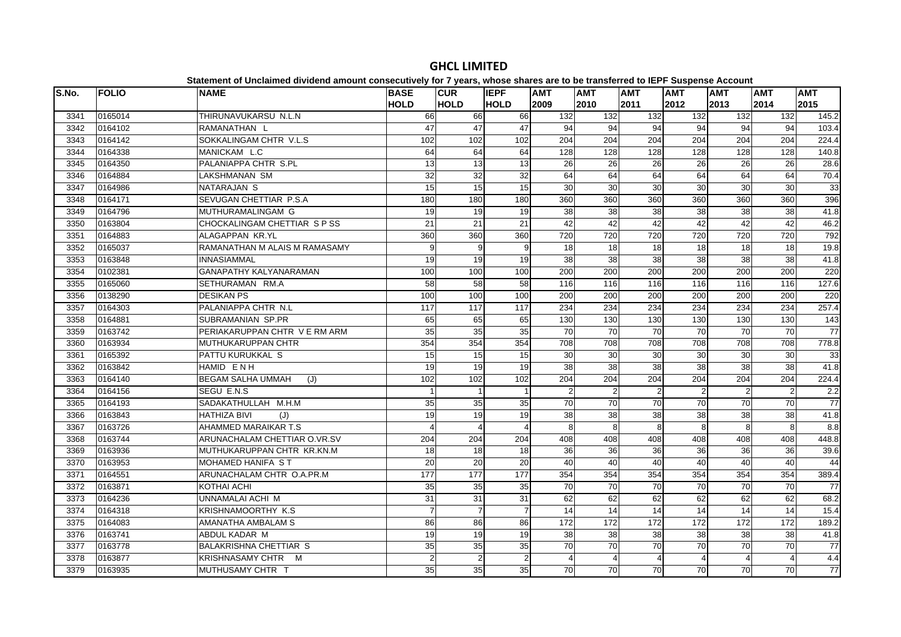| S.No. | <b>FOLIO</b> | <b>NAME</b>                     | <b>BASE</b>     | <b>CUR</b>      | <b>IEPF</b>     | <b>AMT</b>     | <b>AMT</b>     | <b>AMT</b>     | <b>AMT</b>        | <b>AMT</b>     | <b>AMT</b>      | <b>AMT</b> |
|-------|--------------|---------------------------------|-----------------|-----------------|-----------------|----------------|----------------|----------------|-------------------|----------------|-----------------|------------|
|       |              |                                 | <b>HOLD</b>     | <b>HOLD</b>     | <b>HOLD</b>     | 2009           | 2010           | 2011           | 2012              | 2013           | 2014            | 2015       |
| 3341  | 0165014      | THIRUNAVUKARSU N.L.N            | 66              | 66              | 66              | 132            | 132            | 132            | 132               | 132            | 132             | 145.2      |
| 3342  | 0164102      | RAMANATHAN L                    | 47              | 47              | 47              | 94             | 94             | 94             | 94                | 94             | 94              | 103.4      |
| 3343  | 0164142      | SOKKALINGAM CHTR V.L.S          | 102             | 102             | 102             | 204            | 204            | 204            | 204               | 204            | 204             | 224.4      |
| 3344  | 0164338      | MANICKAM L.C                    | 64              | 64              | 64              | 128            | 128            | 128            | $\overline{128}$  | 128            | 128             | 140.8      |
| 3345  | 0164350      | PALANIAPPA CHTR S.PL            | $\overline{13}$ | 13              | 13              | 26             | 26             | 26             | 26                | 26             | 26              | 28.6       |
| 3346  | 0164884      | <b>LAKSHMANAN SM</b>            | 32              | 32              | 32              | 64             | 64             | 64             | 64                | 64             | 64              | 70.4       |
| 3347  | 0164986      | NATARAJAN S                     | 15              | 15              | 15              | 30             | 30             | 30             | 30                | 30             | 30              | 33         |
| 3348  | 0164171      | SEVUGAN CHETTIAR P.S.A          | 180             | 180             | 180             | 360            | 360            | 360            | 360               | 360            | 360             | 396        |
| 3349  | 0164796      | MUTHURAMALINGAM G               | 19              | 19              | 19              | 38             | 38             | 38             | 38                | 38             | 38              | 41.8       |
| 3350  | 0163804      | CHOCKALINGAM CHETTIAR S P SS    | $\overline{21}$ | $\overline{21}$ | $\overline{21}$ | 42             | 42             | 42             | 42                | 42             | $\overline{42}$ | 46.2       |
| 3351  | 0164883      | ALAGAPPAN KR.YL                 | 360             | 360             | 360             | 720            | 720            | 720            | 720               | 720            | 720             | 792        |
| 3352  | 0165037      | RAMANATHAN M ALAIS M RAMASAMY   | 9               | 9               | 9               | 18             | 18             | 18             | 18                | 18             | 18              | 19.8       |
| 3353  | 0163848      | <b>INNASIAMMAL</b>              | 19              | 19              | 19              | 38             | 38             | 38             | 38                | 38             | 38              | 41.8       |
| 3354  | 0102381      | GANAPATHY KALYANARAMAN          | 100             | 100             | 100             | 200            | 200            | 200            | 200               | 200            | 200             | 220        |
| 3355  | 0165060      | SETHURAMAN RM.A                 | 58              | 58              | 58              | 116            | 116            | 116            | $\frac{116}{116}$ | 116            | 116             | 127.6      |
| 3356  | 0138290      | <b>DESIKAN PS</b>               | 100             | 100             | 100             | 200            | 200            | 200            | 200               | 200            | 200             | 220        |
| 3357  | 0164303      | PALANIAPPA CHTR N.L             | 117             | 117             | 117             | 234            | 234            | 234            | 234               | 234            | 234             | 257.4      |
| 3358  | 0164881      | SUBRAMANIAN SP.PR               | 65              | 65              | 65              | 130            | 130            | 130            | 130               | 130            | 130             | 143        |
| 3359  | 0163742      | PERIAKARUPPAN CHTR V E RM ARM   | 35              | 35              | 35              | 70             | 70             | 70             | 70                | 70             | 70              | 77         |
| 3360  | 0163934      | <b>MUTHUKARUPPAN CHTR</b>       | 354             | 354             | 354             | 708            | 708            | 708            | 708               | 708            | 708             | 778.8      |
| 3361  | 0165392      | PATTU KURUKKAL S                | 15              | 15              | 15              | 30             | 30             | 30             | 30                | 30             | 30              | 33         |
| 3362  | 0163842      | HAMID ENH                       | 19              | 19              | 19              | 38             | 38             | 38             | 38                | 38             | 38              | 41.8       |
| 3363  | 0164140      | <b>BEGAM SALHA UMMAH</b><br>(J) | 102             | 102             | 102             | 204            | 204            | 204            | 204               | 204            | 204             | 224.4      |
| 3364  | 0164156      | SEGU E.N.S                      |                 | $\mathbf{1}$    | -1              | $\overline{2}$ | $\overline{2}$ | $\overline{2}$ | $\overline{2}$    | $\overline{2}$ | $\overline{2}$  | 2.2        |
| 3365  | 0164193      | SADAKATHULLAH M.H.M             | 35              | 35              | 35              | 70             | 70             | 70             | 70                | 70             | 70              | 77         |
| 3366  | 0163843      | <b>HATHIZA BIVI</b><br>(J)      | 19              | 19 <sup>l</sup> | 19              | 38             | 38             | 38             | 38                | 38             | 38              | 41.8       |
| 3367  | 0163726      | AHAMMED MARAIKAR T.S            |                 | 4               | $\Delta$        | 8              | 8              | 8              | 8                 | 8              | $\mathbf{g}$    | 8.8        |
| 3368  | 0163744      | ARUNACHALAM CHETTIAR O.VR.SV    | 204             | 204             | 204             | 408            | 408            | 408            | 408               | 408            | 408             | 448.8      |
| 3369  | 0163936      | MUTHUKARUPPAN CHTR KR.KN.M      | 18              | 18              | $\overline{18}$ | 36             | 36             | 36             | 36                | 36             | 36              | 39.6       |
| 3370  | 0163953      | <b>MOHAMED HANIFA ST</b>        | 20              | 20              | 20              | 40             | 40             | 40             | 40                | 40             | 40              | 44         |
| 3371  | 0164551      | ARUNACHALAM CHTR O.A.PR.M       | 177             | 177             | 177             | 354            | 354            | 354            | 354               | 354            | 354             | 389.4      |
| 3372  | 0163871      | KOTHAI ACHI                     | 35              | 35              | 35              | 70             | 70             | 70             | 70                | 70             | 70              | 77         |
| 3373  | 0164236      | UNNAMALAI ACHI M                | 31              | 31              | 31              | 62             | 62             | 62             | 62                | 62             | 62              | 68.2       |
| 3374  | 0164318      | KRISHNAMOORTHY K.S.             |                 | $\overline{7}$  | $\overline{7}$  | 14             | 14             | 14             | 14                | 14             | 14              | 15.4       |
| 3375  | 0164083      | AMANATHA AMBALAM S              | 86              | 86              | 86              | 172            | 172            | 172            | 172               | 172            | 172             | 189.2      |
| 3376  | 0163741      | ABDUL KADAR M                   | 19              | 19              | 19              | 38             | 38             | 38             | 38                | 38             | 38              | 41.8       |
| 3377  | 0163778      | BALAKRISHNA CHETTIAR S          | 35              | 35              | 35              | 70             | 70             | 70             | 70                | 70             | 70              | 77         |
| 3378  | 0163877      | KRISHNASAMY CHTR M              | $\overline{2}$  | $\mathbf{2}$    | $\overline{2}$  |                | $\overline{4}$ | $\overline{4}$ | 4                 | $\overline{4}$ | $\overline{4}$  | 4.4        |
| 3379  | 0163935      | MUTHUSAMY CHTR T                | 35              | 35              | 35              | 70             | 70             | 70             | 70                | 70             | 70              | 77         |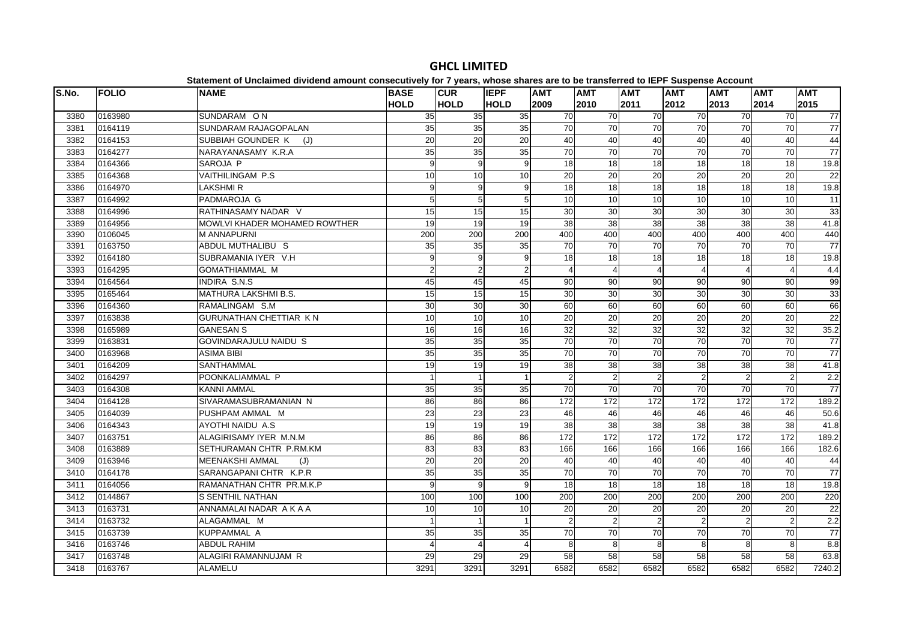| S.No. | <b>FOLIO</b> | <b>NAME</b>                   | <b>BASE</b>     | <b>CUR</b>      | <b>IEPF</b>    | <b>AMT</b>      | <b>AMT</b>      | <b>AMT</b>              | <b>AMT</b>      | <b>AMT</b>      | <b>AMT</b>      | <b>AMT</b>       |
|-------|--------------|-------------------------------|-----------------|-----------------|----------------|-----------------|-----------------|-------------------------|-----------------|-----------------|-----------------|------------------|
|       |              |                               | <b>HOLD</b>     | <b>HOLD</b>     | <b>HOLD</b>    | 2009            | 2010            | 2011                    | 2012            | 2013            | 2014            | 2015             |
| 3380  | 0163980      | SUNDARAM ON                   | 35              | 35              | 35             | $\overline{70}$ | $\overline{70}$ | 70                      | 70              | 70              | 70              | 77               |
| 3381  | 0164119      | SUNDARAM RAJAGOPALAN          | 35              | 35              | 35             | $\overline{70}$ | 70              | 70                      | 70              | 70              | 70              | 77               |
| 3382  | 0164153      | SUBBIAH GOUNDER K<br>(J)      | 20              | 20              | 20             | 40              | 40              | 40                      | 40              | 40              | 40              | 44               |
| 3383  | 0164277      | NARAYANASAMY K.R.A            | 35              | 35              | 35             | 70              | $\overline{70}$ | $\overline{70}$         | 70              | 70              | $\overline{70}$ | $\overline{77}$  |
| 3384  | 0164366      | SAROJA P                      | 9               | 9               | 9              | 18              | 18              | $\overline{18}$         | $\overline{18}$ | 18              | $\overline{18}$ | 19.8             |
| 3385  | 0164368      | VAITHILINGAM P.S              | 10              | 10              | 10             | 20              | 20              | 20                      | 20              | 20              | $\overline{20}$ | $\overline{22}$  |
| 3386  | 0164970      | <b>LAKSHMIR</b>               | 9               | 9               | 9              | 18              | $\overline{18}$ | $\overline{18}$         | $\frac{1}{8}$   | $\overline{18}$ | $\overline{18}$ | 19.8             |
| 3387  | 0164992      | <b>PADMAROJA G</b>            | 5               | 5               | 5              | 10              | 10              | 10                      | 10              | 10              | 10              | 11               |
| 3388  | 0164996      | RATHINASAMY NADAR V           | 15              | 15              | 15             | 30              | 30              | 30                      | 30              | 30              | 30              | 33               |
| 3389  | 0164956      | MOWLVI KHADER MOHAMED ROWTHER | 19              | 19              | 19             | 38              | 38              | 38                      | 38              | 38              | 38              | 41.8             |
| 3390  | 0106045      | <b>M ANNAPURNI</b>            | 200             | 200             | 200            | 400             | 400             | 400                     | 400             | 400             | 400             | 440              |
| 3391  | 0163750      | ABDUL MUTHALIBU S             | 35              | 35              | 35             | 70              | 70              | 70                      | 70              | 70              | 70              | 77               |
| 3392  | 0164180      | SUBRAMANIA IYER V.H           | 9               | 9               | 9              | 18              | 18              | $\overline{18}$         | 18              | 18              | $\overline{18}$ | 19.8             |
| 3393  | 0164295      | <b>GOMATHIAMMAL M</b>         | $\mathfrak{p}$  | $\overline{2}$  | $\overline{2}$ | $\Delta$        | $\Delta$        | $\overline{\mathbf{A}}$ | 4               | Δ               | $\overline{4}$  | 4.4              |
| 3394  | 0164564      | <b>INDIRA S.N.S</b>           | 45              | 45              | 45             | 90              | 90              | $\overline{90}$         | 90              | 90              | 90              | 99               |
| 3395  | 0165464      | MATHURA LAKSHMI B.S.          | 15              | 15              | 15             | 30              | 30              | 30                      | 30              | 30              | 30              | 33               |
| 3396  | 0164360      | RAMALINGAM S.M                | 30              | 30              | 30             | 60              | 60              | 60                      | 60              | 60              | 60              | 66               |
| 3397  | 0163838      | <b>GURUNATHAN CHETTIAR KN</b> | 10              | 10              | 10             | 20              | 20              | 20                      | 20              | 20              | 20              | 22               |
| 3398  | 0165989      | <b>GANESAN S</b>              | 16              | $\overline{16}$ | 16             | 32              | 32              | $\overline{32}$         | $\overline{32}$ | 32              | 32              | 35.2             |
| 3399  | 0163831      | <b>GOVINDARAJULU NAIDU S</b>  | 35              | 35              | 35             | 70              | 70              | 70                      | 70              | 70              | 70              | 77               |
| 3400  | 0163968      | <b>ASIMA BIBI</b>             | 35              | 35              | 35             | $\overline{70}$ | 70              | 70                      | 70              | 70              | 70              | 77               |
| 3401  | 0164209      | SANTHAMMAL                    | 19              | 19              | 19             | 38              | 38              | 38                      | 38              | 38              | 38              | 41.8             |
| 3402  | 0164297      | POONKALIAMMAL P               |                 | $\mathbf{1}$    | $\overline{1}$ | $\mathcal{P}$   | $\overline{2}$  | $\overline{2}$          | $\mathfrak{p}$  | $\overline{2}$  | $\overline{2}$  | 2.2              |
| 3403  | 0164308      | <b>KANNI AMMAL</b>            | 35              | 35              | 35             | $\overline{70}$ | $\overline{70}$ | $\overline{70}$         | $\overline{70}$ | 70              | $\overline{70}$ | $\overline{77}$  |
| 3404  | 0164128      | SIVARAMASUBRAMANIAN N         | 86              | 86              | 86             | 172             | 172             | 172                     | 172             | 172             | 172             | 189.2            |
| 3405  | 0164039      | PUSHPAM AMMAL M               | 23              | 23              | 23             | 46              | 46              | 46                      | 46              | 46              | 46              | 50.6             |
| 3406  | 0164343      | AYOTHI NAIDU A.S.             | $\overline{19}$ | $\overline{19}$ | 19             | 38              | 38              | 38                      | $\overline{38}$ | $\overline{38}$ | 38              | 41.8             |
| 3407  | 0163751      | ALAGIRISAMY IYER M.N.M        | 86              | 86              | 86             | 172             | 172             | 172                     | 172             | 172             | 172             | 189.2            |
| 3408  | 0163889      | SETHURAMAN CHTR P.RM.KM       | 83              | 83              | 83             | 166             | 166             | 166                     | 166             | 166             | 166             | 182.6            |
| 3409  | 0163946      | MEENAKSHI AMMAL<br>(J)        | $\overline{20}$ | 20              | 20             | 40              | 40              | 40                      | 40              | 40              | 40              | 44               |
| 3410  | 0164178      | SARANGAPANI CHTR K.P.R        | 35              | 35              | 35             | 70              | $\overline{70}$ | $\overline{70}$         | 70              | 70              | 70              | $\overline{77}$  |
| 3411  | 0164056      | RAMANATHAN CHTR PR.M.K.P      | 9               | 9               | 9              | 18              | 18              | 18                      | 18              | 18              | 18              | 19.8             |
| 3412  | 0144867      | S SENTHIL NATHAN              | 100             | 100             | 100            | 200             | 200             | 200                     | 200             | 200             | 200             | 220              |
| 3413  | 0163731      | ANNAMALAI NADAR A K A A       | 10              | 10              | 10             | 20              | 20              | 20                      | 20              | 20              | 20              | 22               |
| 3414  | 0163732      | ALAGAMMAL M                   |                 | $\mathbf{1}$    |                | 2               | $\overline{2}$  | $\overline{2}$          | $\mathfrak{p}$  | $\mathfrak{p}$  | $\overline{2}$  | $\overline{2.2}$ |
| 3415  | 0163739      | <b>KUPPAMMAL A</b>            | 35              | 35              | 35             | 70              | 70              | $\overline{70}$         | 70              | 70              | 70              | $\overline{77}$  |
| 3416  | 0163746      | <b>ABDUL RAHIM</b>            |                 | $\overline{4}$  | $\overline{4}$ | 8               | 8               | 8                       | 8               | 8               | 8               | 8.8              |
| 3417  | 0163748      | ALAGIRI RAMANNUJAM R          | 29              | 29              | 29             | 58              | 58              | 58                      | 58              | 58              | 58              | 63.8             |
| 3418  | 0163767      | ALAMELU                       | 3291            | 3291            | 3291           | 6582            | 6582            | 6582                    | 6582            | 6582            | 6582            | 7240.2           |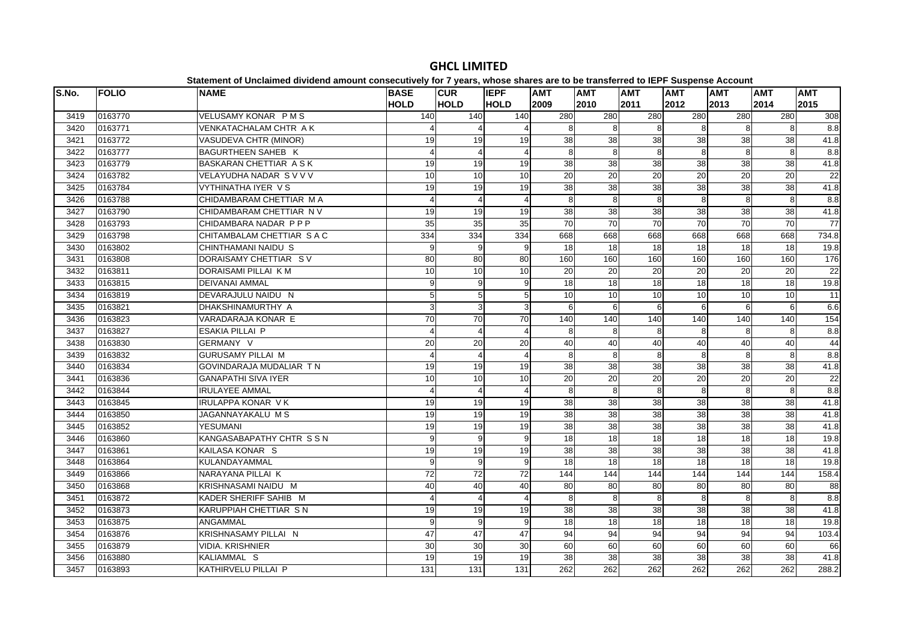# **Statement of Unclaimed dividend amount consecutively for 7 years, whose shares are to be transferred to IEPF Suspense Account**

| S.No. | <b>FOLIO</b> | <b>NAME</b>                    |                     |                            | <b>IEPF</b> | <b>AMT</b>    |                 |                    |                  |                    |                    | <b>AMT</b>      |
|-------|--------------|--------------------------------|---------------------|----------------------------|-------------|---------------|-----------------|--------------------|------------------|--------------------|--------------------|-----------------|
|       |              |                                | <b>BASE</b><br>HOLD | <b>ICUR</b><br><b>HOLD</b> | <b>HOLD</b> | 2009          | AMT<br>2010     | <b>AMT</b><br>2011 | AMT<br>2012      | <b>AMT</b><br>2013 | <b>AMT</b><br>2014 | 2015            |
| 3419  | 0163770      | VELUSAMY KONAR PMS             | 140                 | 140                        | 140         | 280           | 280             | 280                | 280              | 280                | 280                | 308             |
| 3420  | 0163771      | VENKATACHALAM CHTR AK          |                     |                            |             | 8             | 8               | 8                  | 8                | 8                  | 8                  | 8.8             |
| 3421  | 0163772      | VASUDEVA CHTR (MINOR)          | 19                  | 19                         | 19          | 38            | 38              | 38                 | 38               | 38                 | 38                 | 41.8            |
| 3422  | 0163777      | BAGURTHEEN SAHEB K             | 4                   | $\overline{4}$             |             | 8             | 8               | 8                  | 8                | 8                  | 8                  | 8.8             |
| 3423  | 0163779      | BASKARAN CHETTIAR A S K        | 19                  | 19                         | 19          | 38            | 38              | 38                 | 38               | 38                 | 38                 | 41.8            |
| 3424  | 0163782      | VELAYUDHA NADAR SVVV           | 10                  | 10                         | 10          | 20            | $\overline{20}$ | 20                 | 20               | 20                 | 20                 | $\overline{22}$ |
| 3425  | 0163784      | VYTHINATHA IYER V S            | 19                  | 19                         | 19          | 38            | $\overline{38}$ | 38                 | 38               | $\overline{38}$    | 38                 | 41.8            |
| 3426  | 0163788      | CHIDAMBARAM CHETTIAR M A       | $\Delta$            | $\overline{4}$             |             | 8             | 8               | 8                  | 8                | 8                  | 8                  | 8.8             |
| 3427  | 0163790      | CHIDAMBARAM CHETTIAR N V       | 19                  | 19                         | 19          | 38            | 38              | 38                 | 38               | 38                 | 38                 | 41.8            |
| 3428  | 0163793      | CHIDAMBARA NADAR PPP           | 35                  | 35                         | 35          | 70            | 70              | 70                 | 70               | $\overline{70}$    | 70                 | $\overline{77}$ |
| 3429  | 0163798      | CHITAMBALAM CHETTIAR S A C     | 334                 | 334                        | 334         | 668           | 668             | 668                | 668              | 668                | 668                | 734.8           |
| 3430  | 0163802      | CHINTHAMANI NAIDU S            | 9                   | 9                          | 9           | 18            | 18              | 18                 | 18               | 18                 | 18                 | 19.8            |
| 3431  | 0163808      | DORAISAMY CHETTIAR SV          | 80                  | 80                         | 80          | 160           | 160             | 160                | 160              | 160                | 160                | 176             |
| 3432  | 0163811      | DORAISAMI PILLAI K M           | 10                  | 10                         | 10          | 20            | 20              | 20                 | 20               | 20                 | 20                 | 22              |
| 3433  | 0163815      | <b>DEIVANAI AMMAL</b>          | $\overline{9}$      | 9                          | 9           | $\frac{1}{8}$ | $\overline{18}$ | 18                 | 18               | 18                 | $\overline{18}$    | 19.8            |
| 3434  | 0163819      | DEVARAJULU NAIDU N             | 5                   | 5                          | 5           | 10            | 10              | 10                 | 10               | 10                 | 10                 | 11              |
| 3435  | 0163821      | DHAKSHINAMURTHY A              | $\overline{3}$      | $\mathbf{3}$               | З           | 6             | 6               | 6                  | 6                | $6 \overline{6}$   | 6                  | 6.6             |
| 3436  | 0163823      | VARADARAJA KONAR E             | 70                  | $\overline{70}$            | 70          | 140           | 140             | 140                | 140              | 140                | 140                | 154             |
| 3437  | 0163827      | <b>ESAKIA PILLAI P</b>         |                     | $\overline{4}$             |             | 8             | 8               | 8                  | 8                | 8                  | 8                  | $\frac{8}{8}$   |
| 3438  | 0163830      | GERMANY V                      | 20                  | 20                         | 20          | 40            | 40              | 40                 | 40               | 40                 | 40                 | 44              |
| 3439  | 0163832      | <b>GURUSAMY PILLAI M</b>       | 4                   | $\overline{4}$             |             | 8             | 8               | 8                  | 8                | 8                  | 8                  | 8.8             |
| 3440  | 0163834      | <b>GOVINDARAJA MUDALIAR TN</b> | 19                  | 19                         | 19          | 38            | 38              | 38                 | 38               | 38                 | 38                 | 41.8            |
| 3441  | 0163836      | <b>GANAPATHI SIVA IYER</b>     | $\overline{10}$     | $\overline{10}$            | 10          | 20            | 20              | $\overline{20}$    | $\overline{20}$  | $\overline{20}$    | 20                 | 22              |
| 3442  | 0163844      | <b>IRULAYEE AMMAL</b>          | 4                   | $\overline{4}$             |             | 8             | 8               | 8                  | 8                | 8                  | 8                  | $\frac{8}{8}$   |
| 3443  | 0163845      | <b>IRULAPPA KONAR VK</b>       | 19                  | 19                         | 19          | 38            | $\overline{38}$ | 38                 | 38               | 38                 | 38                 | 41.8            |
| 3444  | 0163850      | JAGANNAYAKALU M S              | 19                  | 19                         | 19          | 38            | 38              | 38                 | 38               | 38                 | 38                 | 41.8            |
| 3445  | 0163852      | <b>YESUMANI</b>                | 19                  | 19                         | 19          | 38            | 38              | 38                 | 38               | $\overline{38}$    | 38                 | 41.8            |
| 3446  | 0163860      | KANGASABAPATHY CHTR SSN        | 9                   | 9                          | 9           | $\frac{1}{8}$ | 18              | 18                 | 18               | $\overline{18}$    | 18                 | 19.8            |
| 3447  | 0163861      | KAILASA KONAR S                | 19                  | 19                         | 19          | 38            | $\overline{38}$ | 38                 | 38               | 38                 | 38                 | 41.8            |
| 3448  | 0163864      | KULANDAYAMMAL                  | 9                   | 9                          | q           | 18            | 18              | 18                 | 18               | 18                 | 18                 | 19.8            |
| 3449  | 0163866      | NARAYANA PILLAI K              | 72                  | $\overline{72}$            | 72          | 144           | 144             | 144                | 144              | 144                | 144                | 158.4           |
| 3450  | 0163868      | KRISHNASAMI NAIDU M            | 40                  | 40                         | 40          | 80            | 80              | 80                 | 80               | 80                 | 80                 | 88              |
| 3451  | 0163872      | KADER SHERIFF SAHIB M          | 4                   | $\overline{4}$             |             | 8             | 8               | 8                  | 8                | 8                  | 8                  | 8.8             |
| 3452  | 0163873      | KARUPPIAH CHETTIAR S N         | 19                  | 19                         | 19          | 38            | 38              | 38                 | 38               | 38                 | 38                 | 41.8            |
| 3453  | 0163875      | ANGAMMAL                       | 9                   | 9                          | q           | 18            | 18              | 18                 | 18               | 18                 | 18                 | 19.8            |
| 3454  | 0163876      | KRISHNASAMY PILLAI N           | 47                  | 47                         | 47          | 94            | 94              | 94                 | 94               | 94                 | 94                 | 103.4           |
| 3455  | 0163879      | <b>VIDIA. KRISHNIER</b>        | 30                  | 30                         | 30          | 60            | 60              | 60                 | 60               | 60                 | 60                 | 66              |
| 3456  | 0163880      | KALIAMMAL S                    | 19                  | 19                         | 19          | 38            | 38              | 38                 | 38               | 38                 | 38                 | 41.8            |
| 3457  | 0163893      | KATHIRVELU PILLAI P            | 131                 | 131                        | 131         | 262           | 262             | 262                | $\overline{262}$ | 262                | 262                | 288.2           |

# **GHCL LIMITED**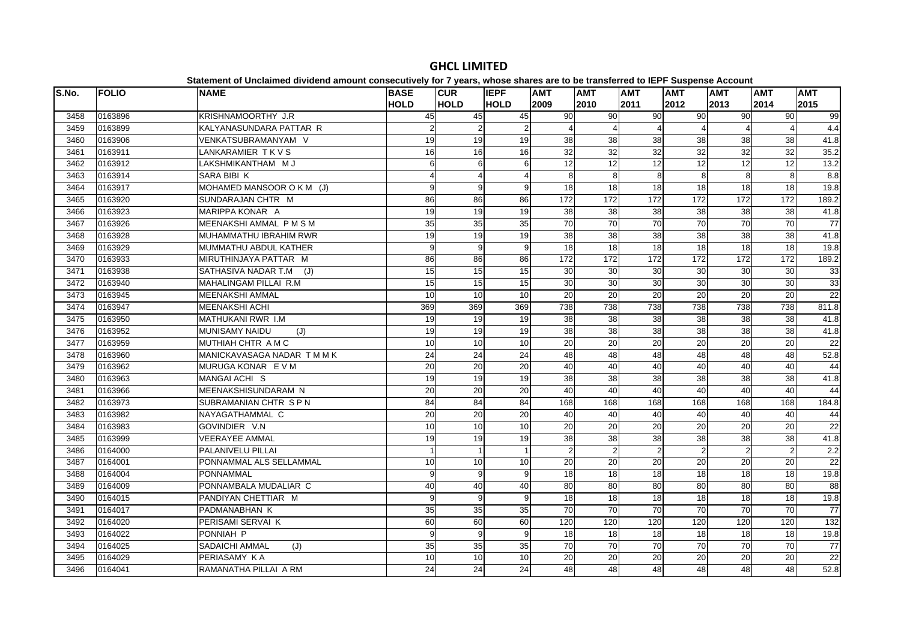#### **S.No. FOLIO NAME BASE HOLDCUR HOLDIEPF HOLDAMT 2009AMT 2010AMT 2011AMT 2012AMT 2013AMT 2014AMT 2015**3458 |0163896 |KRISHNAMOORTHY J.R | 45| 45| 45| 90| 90| 90| 90| 90 99 3459 0163899 KALYANASUNDARA PATTAR R 2 22 2 4 4 4 4 4 4 4 4 3460 0163906 VENKATSUBRAMANYAM V 19 19 19 38 38 38 38 38 38 41.83461 0163911 LANKARAMIER T K V S 16 16 16 32 32 32 32 32 32 35.23462 |0163912 |LAKSHMIKANTHAM M J | 6| 6| 6| 12| 12| 12| 12| 12| 13.2 3463 0163914 SARA BIBI K 4 4 4 4 4 8 8 8 8 8 8 8 8 8.8 3464 0163917 MOHAMED MANSOOR O K M (J) 9 9 9 18 18 18 18 18 18 19.8 3465 |0163920 |SUNDARAJAN CHTR M | 86| 86| 86| 172| 172| 172| 172| 172| 172| 189.2 3466 0163923 MARIPPA KONAR A 19 19 19 38 38 38 38 38 38 41.83467 0163926 MEENAKSHI AMMAL PM SM 35 35 35 35 70 70 70 70 70 70 70 70 70 3468 0163928 MUHAMMATHU IBRAHIM RWR 19 19 19 38 38 38 38 38 38 41.83469 0163929 MUMMATHU ABDUL KATHER 9 9 9 18 18 18 18 18 18 19.83470 0163933 MIRUTHINJAYA PATTAR M 86 86 86 172 172 172 172 172 172 189.23471 0163938 SATHASIVA NADAR T.M (J) 15 15 15 15 30 30 30 30 30 30 30 30 30 3472 0163940 MAHALINGAM PILLAI R.M 15 15 15 30 30 30 30 30 30 3333 3473 |0163945 |MEENAKSHI AMMAL | 10| 10| 10| 20| 20| 20| 20| 22 3474 0163947 MEENAKSHI ACHI 369 369 369 738 738 738 738 738 738 811.83475 |0163950 |MATHUKANI RWR I.M | 19| 19| 19| 38| 38| 38| 38| 38|  $41.8$ 3476 |0163952 |MUNISAMY NAIDU (J) | 19| 19| 38| 38| 38| 38| 38| 41.8 3477 0163959 MUTHIAH CHTR A M C 10 10 10 20 20 20 20 20 20 2222 3478 0163960 MANICKAVASAGA NADAR T M M K 24 24 24 48 48 48 48 48 48 52.83479 0163962 MURUGA KONAR E V M 20 20 20 20 40 40 40 40 40 40 40 40 40 40 3480 |0163963 |MANGAI ACHI S | 19| 19| 19| 38| 38| 38| 38| 38| 41.8 3481 0163966 MEENAKSHISUNDARAM N 20 20 20 40 40 40 40 40 40 443482 0163973 SUBRAMANIAN CHTR S P N 84 84 84 168 168 168 168 168 168 184.83483 |0163982 |NAYAGATHAMMAL C | 20| 20| 20| 40| 40| 40| 40| 40| 40 44 3484 |0163983 |GOVINDIER V.N | 10| 10| 10| 20| 20| 20| 20| 20| 22  $\overline{22}$ 3485 0163999 VEERAYEE AMMAL 19 19 19 38 38 38 38 38 38 41.83486 0164000 PALANIVELU PILLAI 1 1 2 2 2 2 2 2 2 2 3487 0164001 PONNAMMAL ALS SELLAMMAL 10 10 10 20 20 20 20 20 20 223488 |0164004 |PONNAMMAL | 9| 9| 9| 18| 18| 18| 18| 19.8 3489 0164009 PONNAMBALA MUDALIAR C 40 40 40 80 80 80 80 80 80 883490 0164015 PANDIYAN CHETTIAR M 9 9 9 18 18 18 18 18 18 19.819.8 3491 0164017 PADMANABHAN K 35 35 35 70 70 70 70 70 70 77 $\overline{77}$ 3492 |0164020 |PERISAMI SERVAI K | 60| 60| 60| 120| 120| 120| 120| 120| 120  $132$ 3493 0164022 PONNIAH P 9 9 9 18 18 18 18 18 18 19.8 $19.8$ 3494 |0164025 |SADAICHI AMMAL (J) | 35| 35| 35| 70| 70| 70| 70| 77| 77 3495 0164029 PERIASAMY K A 10 10 10 20 20 20 20 20 20 22 $\overline{22}$ 3496 0164041 RAMANATHA PILLAI A RM 24 24 24 48 48 48 48 48 48 52.8

# **GHCL LIMITED**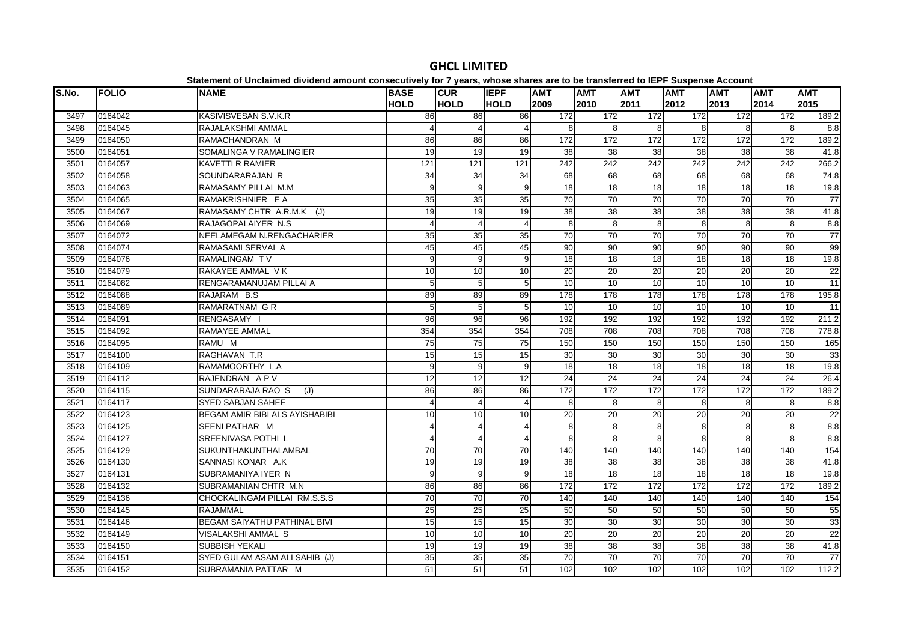| S.No. | <b>FOLIO</b> | <b>NAME</b>                         | <b>BASE</b>     | <b>CUR</b>      | <b>IEPF</b>    | <b>AMT</b>       | <b>AMT</b>       | <b>AMT</b>      | <b>AMT</b>       | <b>AMT</b>       | <b>AMT</b>       | <b>AMT</b>       |
|-------|--------------|-------------------------------------|-----------------|-----------------|----------------|------------------|------------------|-----------------|------------------|------------------|------------------|------------------|
|       |              |                                     | <b>HOLD</b>     | <b>HOLD</b>     | <b>HOLD</b>    | 2009             | 2010             | 2011            | 2012             | 2013             | 2014             | 2015             |
| 3497  | 0164042      | KASIVISVESAN S.V.K.R                | 86              | 86              | 86             | 172              | 172              | 172             | $\overline{172}$ | 172              | 172              | 189.2            |
| 3498  | 0164045      | RAJALAKSHMI AMMAL                   |                 | $\overline{4}$  | 4              | 8                | 8                | 8               | 8                | 8                | 8                | 8.8              |
| 3499  | 0164050      | RAMACHANDRAN M                      | 86              | 86              | 86             | 172              | 172              | 172             | 172              | 172              | 172              | 189.2            |
| 3500  | 0164051      | SOMALINGA V RAMALINGIER             | 19              | 19              | 19             | 38               | 38               | 38              | 38               | 38               | 38               | 41.8             |
| 3501  | 0164057      | <b>KAVETTI R RAMIER</b>             | 121             | 121             | 121            | $\overline{242}$ | $\overline{242}$ | 242             | $\overline{242}$ | 242              | $\overline{242}$ | 266.2            |
| 3502  | 0164058      | SOUNDARARAJAN R                     | 34              | 34              | 34             | 68               | 68               | 68              | 68               | 68               | 68               | 74.8             |
| 3503  | 0164063      | RAMASAMY PILLAI M.M                 | 9               | 9               | 9              | 18               | $\frac{1}{8}$    | 18              | 18               | 18               | $\frac{1}{8}$    | 19.8             |
| 3504  | 0164065      | RAMAKRISHNIER E A                   | 35              | 35              | 35             | 70               | 70               | 70              | 70               | 70               | 70               | 77               |
| 3505  | 0164067      | RAMASAMY CHTR A.R.M.K (J)           | 19              | 19              | 19             | 38               | 38               | 38              | 38               | 38               | 38               | 41.8             |
| 3506  | 0164069      | RAJAGOPALAIYER N.S.                 | 4               | $\overline{4}$  | 4              | 8                | 8                | 8               | 8                | 8                | 8                | 8.8              |
| 3507  | 0164072      | NEELAMEGAM N.RENGACHARIER           | 35              | 35              | 35             | 70               | 70               | $\overline{70}$ | 70               | 70               | $\overline{70}$  | 77               |
| 3508  | 0164074      | RAMASAMI SERVAI A                   | 45              | 45              | 45             | 90               | 90               | 90              | 90               | 90               | 90               | 99               |
| 3509  | 0164076      | <b>RAMALINGAM TV</b>                | 9               | 9               | 9              | $\overline{18}$  | 18               | $\frac{1}{8}$   | 18               | 18               | 18               | 19.8             |
| 3510  | 0164079      | RAKAYEE AMMAL VK                    | 10              | 10              | 10             | 20               | 20               | $\overline{20}$ | $\overline{20}$  | 20               | 20               | 22               |
| 3511  | 0164082      | RENGARAMANUJAM PILLAI A             | 5               | 5               | 5              | 10               | 10               | $\overline{10}$ | 10               | 10               | 10               | 11               |
| 3512  | 0164088      | RAJARAM B.S                         | 89              | 89              | 89             | 178              | 178              | 178             | 178              | 178              | 178              | 195.8            |
| 3513  | 0164089      | <b>RAMARATNAM G R</b>               | 5               | 5               | 5              | 10               | 10               | 10              | 10               | $\overline{10}$  | 10               | 11               |
| 3514  | 0164091      | RENGASAMY I                         | 96              | 96              | 96             | 192              | 192              | 192             | 192              | 192              | 192              | 211.2            |
| 3515  | 0164092      | <b>RAMAYEE AMMAL</b>                | 354             | 354             | 354            | 708              | 708              | 708             | 708              | 708              | 708              | 778.8            |
| 3516  | 0164095      | RAMU M                              | 75              | 75              | 75             | 150              | 150              | 150             | 150              | 150              | 150              | 165              |
| 3517  | 0164100      | RAGHAVAN T.R                        | 15              | 15              | 15             | 30               | 30               | 30              | 30               | 30               | 30               | 33               |
| 3518  | 0164109      | RAMAMOORTHY L.A                     | 9               | 9               | 9              | $\overline{18}$  | $\overline{18}$  | 18              | $\overline{18}$  | $\overline{18}$  | $\overline{18}$  | 19.8             |
| 3519  | 0164112      | RAJENDRAN APV                       | 12              | $\overline{12}$ | 12             | 24               | $\overline{24}$  | 24              | 24               | 24               | $\overline{24}$  | 26.4             |
| 3520  | 0164115      | SUNDARARAJA RAO S<br>(J)            | 86              | 86              | 86             | 172              | 172              | 172             | 172              | 172              | 172              | 189.2            |
| 3521  | 0164117      | <b>SYED SABJAN SAHEE</b>            |                 | $\overline{4}$  | $\overline{4}$ | 8                | 8                | 8               | 8                | 8                | 8                | 8.8              |
| 3522  | 0164123      | BEGAM AMIR BIBI ALS AYISHABIBI      | 10              | 10              | 10             | 20               | 20               | $\overline{20}$ | 20               | 20               | 20               | 22               |
| 3523  | 0164125      | SEENI PATHAR M                      | 4               | $\overline{4}$  | 4              | 8                | 8                | 8               | 8                | 8                | 8                | $\overline{8.8}$ |
| 3524  | 0164127      | SREENIVASA POTHI L                  |                 | $\overline{4}$  | 4              | 8                | 8                | 8               | 8                | 8                | 8                | 8.8              |
| 3525  | 0164129      | SUKUNTHAKUNTHALAMBAL                | 70              | 70              | 70             | 140              | 140              | 140             | 140              | 140              | 140              | 154              |
| 3526  | 0164130      | SANNASI KONAR A.K                   | 19              | 19              | 19             | 38               | 38               | 38              | 38               | 38               | 38               | 41.8             |
| 3527  | 0164131      | SUBRAMANIYA IYER N                  | 9               | 9               | 9              | 18               | 18               | 18              | 18               | 18               | $\frac{1}{8}$    | 19.8             |
| 3528  | 0164132      | SUBRAMANIAN CHTR M.N                | 86              | 86              | 86             | 172              | 172              | 172             | $\overline{172}$ | $\overline{172}$ | $\overline{172}$ | 189.2            |
| 3529  | 0164136      | CHOCKALINGAM PILLAI RM.S.S.S        | $\overline{70}$ | $\overline{70}$ | 70             | 140              | 140              | 140             | 140              | 140              | 140              | 154              |
| 3530  | 0164145      | <b>RAJAMMAL</b>                     | 25              | 25              | 25             | 50               | 50               | 50              | 50               | 50               | 50               | 55               |
| 3531  | 0164146      | <b>BEGAM SAIYATHU PATHINAL BIVI</b> | 15              | 15              | 15             | 30               | 30               | 30              | 30               | 30               | 30               | 33               |
| 3532  | 0164149      | VISALAKSHI AMMAL S                  | 10              | 10              | 10             | 20               | 20               | $\overline{20}$ | 20               | 20               | 20               | 22               |
| 3533  | 0164150      | <b>SUBBISH YEKALI</b>               | 19              | 19              | 19             | 38               | 38               | 38              | 38               | 38               | 38               | 41.8             |
| 3534  | 0164151      | SYED GULAM ASAM ALI SAHIB (J)       | $\overline{35}$ | 35              | 35             | 70               | $\overline{70}$  | 70              | $\overline{70}$  | $\overline{70}$  | $\overline{70}$  | 77               |
| 3535  | 0164152      | SUBRAMANIA PATTAR M                 | 51              | 51              | 51             | 102              | 102              | 102             | 102              | 102              | 102              | 112.2            |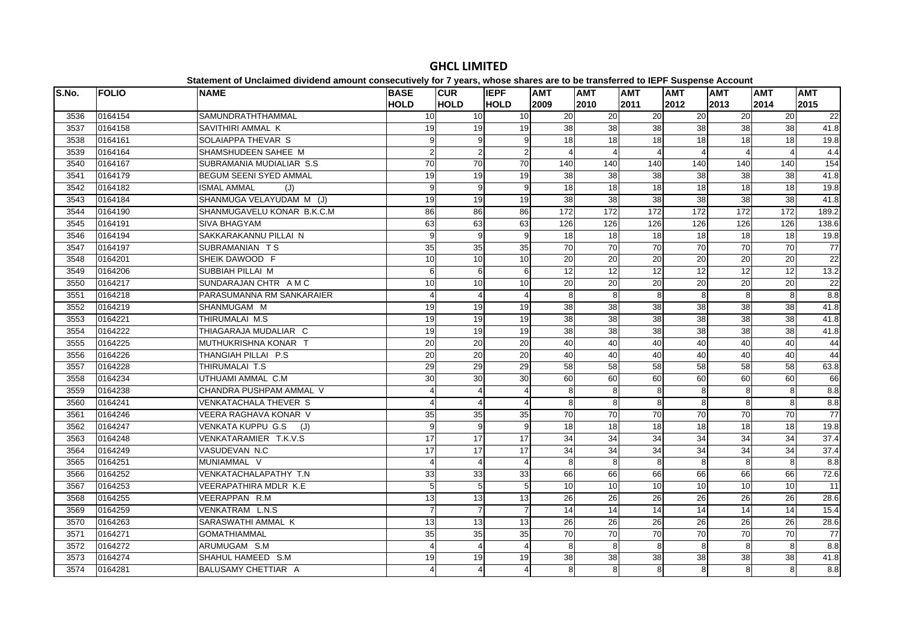#### **S.No. FOLIO NAME BASE HOLDCUR HOLDIEPF HOLDAMT 2009AMT 2010AMT 2011AMT 2012AMT 2013AMT 2014AMT 2015**3536 0164154 SAMUNDRATHTHAMMAL 10 10 10 20 20 20 20 20 20 22 $\overline{22}$ 3537 0164158 SAVITHIRI AMMAL K 19 19 19 38 38 38 38 38 38 41.83538 0164161 SOLAIAPPA THEVAR S 9 9 9 18 18 18 18 18 18 19.83539 0164164 SHAMSHUDEEN SAHEE M 2 2 2 2 2 4 4 4 4 4 4 4 4 4 3540 0164167 SUBRAMANIA MUDIALIAR S.S | 70 | 70 | 140 | 140 | 140 | 140 | 154 3541 0164179 BEGUM SEENI SYED AMMAL 19 19 19 38 38 38 38 38 38 41.83542 |0164182 |ISMAL AMMAL (J) | 9| 9| 9| 18| 18| 18| 18| 19.8 3543 0164184 SHANMUGA VELAYUDAM M (J) 19 19 19 38 38 38 38 38 38 41.8 3544 |0164190 |SHANMUGAVELU KONAR B.K.C.M | 86| 86| 86| 172| 172| 172| 172| 172| 189.2 3545 0164191 SIVA BHAGYAM 63 63 63 126 126 126 126 126 126 138.63546 0164194 SAKKARAKANNU PILLAI N 9 9 9 18 18 18 18 18 18 19.83547 0164197 SUBRAMANIAN T S 35 35 35 70 70 70 70 70 70 773548 |0164201 |SHEIK DAWOOD F | 10| 10| 10| 20| 20| 20| 20| 20| 22 3549 l0164206 lSUBBIAH PILLAI M 6l 6l 6l 12l 12l 12l 12l 12l 13.2 3550 0164217 SUNDARAJAN CHTR A M C 10 10 10 20 20 20 20 20 20 223551 0164218 PARASUMANNA RM SANKARAIER 4 4 4 4 4 8 8 8 8 8 8 8 8 8.8 3552 0164219 SHANMUGAM M 19 19 19 38 38 38 38 38 38 41.83553 0164221 THIRUMALAI M.S 19 19 19 38 38 38 38 38 38 41.8 $41.8$ 3554 0164222 THIAGARAJA MUDALIAR C 19 19 19 38 38 38 38 38 38 41.83555 0164225 MUTHUKRISHNA KONAR T 20 20 20 40 40 40 40 40 40 4444 3556 0164226 THANGIAH PILLAI P.S 20 20 20 40 40 40 40 40 40 443557 0164228 THIRUMALAI T.S 29 29 29 58 58 58 58 58 58 63.83558 |0164234 UTHUAMI AMMAL C.M 30 | 30 | 30 | 60 | 60 | 60 | 60 | 66 | 66 3559 0164238 CHANDRA PUSHPAM AMMAL V 4 44 4 8 8 8 8 8 8 8 8 8.8 3560 0164241 VENKATACHALA THEVER S 4 4 4 4 4 4 8 8 8 8 8 8 8 8.8 3561 |0164246 |VEERA RAGHAVA KONAR V | 35| 35| 35| 70| 70| 70| 70| 70| 70  $\overline{77}$ 3562 0164247 VENKATA KUPPU G.S (J) 9 9 9 18 18 18 18 18 18 19.8 3563 0164248 VENKATARAMIER T.K.V.S 17 17 17 34 34 34 34 34 34 37.43564 0164249 VASUDEVAN N.C 17 17 17 34 34 34 34 34 34 37.43565 0164251 MUNIAMMAL V 4 4 4 4 4 8 8 8 8 8 8 8 8.8 3566 0164252 VENKATACHALAPATHY T.N 33 33 33 66 66 66 66 66 66 72.63567 0164253 VEERAPATHIRA MDLR K.E 5 5 5 10 10 10 10 10 10 113568 0164255 VEERAPPAN R.M 13 13 13 26 26 26 26 26 26 28.628.6 3569 0164259 VENKATRAM L.N.S 7 7 7 14 14 14 14 14 14 15.4 $15.4$ 3570 0164263 SARASWATHI AMMAL K 13 13 13 26 26 26 26 26 26 28.628.6 3571 0164271 GOMATHIAMMAL 35 35 35 70 70 70 70 70 70 77 $\overline{77}$ 3572 0164272 ARUMUGAM S.M 4 4 4 4 4 8 8 8 8 8 8 8 8.8 3573 0164274 SHAHUL HAMEED S.M 19 19 19 38 38 38 38 38 38 41.83574 0164281 BALUSAMY CHETTIAR A 4 4 4 4 4 8 8 8 8 8 8 8 8 8.8

# **GHCL LIMITED**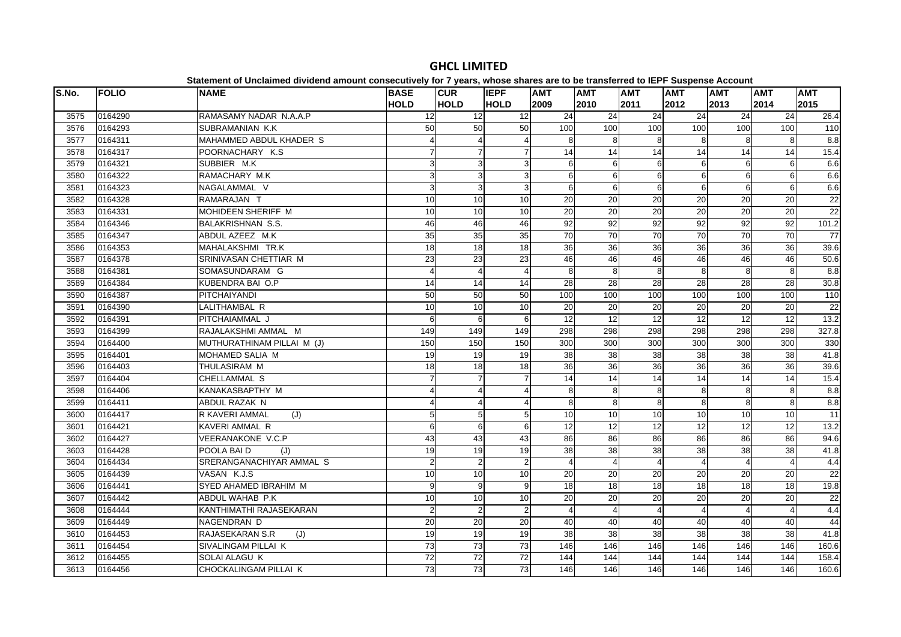| S.No. | <b>FOLIO</b> | platomont of onolalmoa arriaona amoant oonoodatroff for Ffourof mnooo onaroo aro t<br><b>NAME</b> | <b>BASE</b>           | <b>CUR</b>      | <b>IEPF</b>     | <b>AMT</b>      | <b>AMT</b>      | <b>AMT</b>            | . . <b></b><br><b>AMT</b> | <b>AMT</b>       | <b>AMT</b>      | <b>AMT</b>       |
|-------|--------------|---------------------------------------------------------------------------------------------------|-----------------------|-----------------|-----------------|-----------------|-----------------|-----------------------|---------------------------|------------------|-----------------|------------------|
|       |              |                                                                                                   | <b>HOLD</b>           | <b>HOLD</b>     | <b>HOLD</b>     | 2009            | 2010            | 2011                  | 2012                      | 2013             | 2014            | 2015             |
| 3575  | 0164290      | RAMASAMY NADAR N.A.A.P                                                                            | 12                    | $\overline{12}$ | $\overline{12}$ | $\overline{24}$ | $\overline{24}$ | $\overline{24}$       | 24                        | 24               | 24              | 26.4             |
| 3576  | 0164293      | SUBRAMANIAN K.K                                                                                   | 50                    | 50              | 50              | 100             | 100             | 100                   | 100                       | 100              | 100             | $\frac{110}{10}$ |
| 3577  | 0164311      | MAHAMMED ABDUL KHADER S                                                                           |                       | $\overline{4}$  | 4               | 8               | 8               | 8                     | 8                         | 8                | 8               | 8.8              |
| 3578  | 0164317      | POORNACHARY K.S.                                                                                  |                       | $\overline{7}$  |                 | 14              | 14              | 14                    | 14                        | 14               | 14              | 15.4             |
| 3579  | 0164321      | SUBBIER M.K                                                                                       | 3                     | 3               | 3               | 6               | 6               | 6                     | 6                         | 6                | 6               | 6.6              |
| 3580  | 0164322      | RAMACHARY M.K                                                                                     | 3l                    | $\overline{3}$  | 3 <sup>1</sup>  | 6               | 6               | 6                     | 6                         | $6 \overline{6}$ | 6               | 6.6              |
| 3581  | 0164323      | NAGALAMMAL V                                                                                      | 3                     | $\overline{3}$  | 3 <sup>1</sup>  | 6               | 6               | $6\phantom{1}6$       | 6                         | 6                | 6               | 6.6              |
| 3582  | 0164328      | RAMARAJAN T                                                                                       | 10                    | 10              | 10              | 20              | 20              | 20                    | 20                        | 20               | 20              | 22               |
| 3583  | 0164331      | MOHIDEEN SHERIFF M                                                                                | 10                    | 10              | 10              | 20              | 20              | 20                    | 20                        | 20               | 20              | 22               |
| 3584  | 0164346      | <b>BALAKRISHNAN S.S.</b>                                                                          | 46                    | 46              | 46              | 92              | 92              | 92                    | 92                        | 92               | 92              | 101.2            |
| 3585  | 0164347      | ABDUL AZEEZ M.K                                                                                   | 35                    | 35              | 35              | 70              | 70              | 70                    | 70                        | 70               | 70              | 77               |
| 3586  | 0164353      | MAHALAKSHMI TR.K                                                                                  | 18                    | 18              | 18              | 36              | 36              | 36                    | 36                        | 36               | 36              | 39.6             |
| 3587  | 0164378      | SRINIVASAN CHETTIAR M                                                                             | 23                    | 23              | 23              | 46              | 46              | 46                    | 46                        | 46               | 46              | 50.6             |
| 3588  | 0164381      | SOMASUNDARAM G                                                                                    | $\boldsymbol{\Delta}$ | $\overline{4}$  | $\overline{4}$  | 8               | 8               | 8                     | 8                         | 8                | œ.              | 8.8              |
| 3589  | 0164384      | KUBENDRA BAI O.P                                                                                  | 14                    | 14              | 14              | 28              | 28              | 28                    | 28                        | 28               | 28              | 30.8             |
| 3590  | 0164387      | PITCHAIYANDI                                                                                      | 50                    | 50              | 50              | 100             | 100             | 100                   | 100                       | 100              | 100             | 110              |
| 3591  | 0164390      | LALITHAMBAL R                                                                                     | 10                    | 10              | 10              | 20              | 20              | 20                    | 20                        | 20               | $\overline{20}$ | $\overline{22}$  |
| 3592  | 0164391      | PITCHAIAMMAL J                                                                                    | 6                     | 6               | 6               | 12              | 12              | $\overline{12}$       | $\overline{12}$           | 12               | $\overline{12}$ | 13.2             |
| 3593  | 0164399      | RAJALAKSHMI AMMAL M                                                                               | 149                   | 149             | 149             | 298             | 298             | 298                   | 298                       | 298              | 298             | 327.8            |
| 3594  | 0164400      | MUTHURATHINAM PILLAI M (J)                                                                        | 150                   | 150             | 150             | 300             | 300             | 300                   | 300                       | 300              | 300             | 330              |
| 3595  | 0164401      | MOHAMED SALIA M                                                                                   | 19                    | 19              | 19              | 38              | 38              | 38                    | 38                        | 38               | 38              | 41.8             |
| 3596  | 0164403      | THULASIRAM M                                                                                      | $\overline{18}$       | 18              | 18              | $\overline{36}$ | 36              | 36                    | $\overline{36}$           | 36               | $\overline{36}$ | 39.6             |
| 3597  | 0164404      | CHELLAMMAL S                                                                                      | $\overline{7}$        | $\overline{7}$  | 7               | 14              | 14              | 14                    | 14                        | 14               | 14              | 15.4             |
| 3598  | 0164406      | <b>KANAKASBAPTHY M</b>                                                                            |                       | $\overline{4}$  | Δ               | 8               | <sub>8</sub>    | 8                     | 8                         | 8                | 8               | 8.8              |
| 3599  | 0164411      | ABDUL RAZAK N                                                                                     | 4                     | $\overline{4}$  | $\overline{4}$  | 8               | 8               | 8                     | 8                         | 8                | 8               | 8.8              |
| 3600  | 0164417      | R KAVERI AMMAL<br>(J)                                                                             | 5                     | $\overline{5}$  | 5 <sub>5</sub>  | 10              | 10              | 10                    | 10                        | 10               | 10              | 11               |
| 3601  | 0164421      | KAVERI AMMAL R                                                                                    | 6                     | $6 \overline{}$ | 6               | $\overline{12}$ | 12              | 12                    | $\overline{12}$           | 12               | 12              | 13.2             |
| 3602  | 0164427      | <b>VEERANAKONE V.C.P</b>                                                                          | 43                    | 43              | 43              | 86              | $\overline{86}$ | 86                    | 86                        | 86               | 86              | 94.6             |
| 3603  | 0164428      | POOLA BAI D<br>(J)                                                                                | 19                    | 19              | 19              | 38              | 38              | 38                    | 38                        | 38               | 38              | 41.8             |
| 3604  | 0164434      | SRERANGANACHIYAR AMMAL S                                                                          | 2                     | $\overline{2}$  | $\overline{2}$  |                 |                 | $\boldsymbol{\Delta}$ | $\sqrt{2}$                | Δ                | $\overline{4}$  | 4.4              |
| 3605  | 0164439      | VASAN K.J.S                                                                                       | 10                    | 10              | 10              | 20              | 20              | 20                    | 20                        | 20               | 20              | 22               |
| 3606  | 0164441      | SYED AHAMED IBRAHIM M                                                                             | 9                     | 9               | 9               | 18              | 18              | $\overline{18}$       | 18                        | 18               | $\frac{1}{8}$   | 19.8             |
| 3607  | 0164442      | ABDUL WAHAB P.K                                                                                   | 10                    | $\overline{10}$ | 10              | 20              | 20              | $\overline{20}$       | 20                        | 20               | 20              | 22               |
| 3608  | 0164444      | KANTHIMATHI RAJASEKARAN                                                                           | $\overline{2}$        | $\overline{2}$  | $\overline{2}$  |                 |                 | $\Delta$              |                           | $\Lambda$        | $\overline{4}$  | 4.4              |
| 3609  | 0164449      | NAGENDRAN D                                                                                       | 20                    | $\overline{20}$ | 20              | 40              | 40              | 40                    | 40                        | 40               | 40              | 44               |
| 3610  | 0164453      | RAJASEKARAN S.R<br>(J)                                                                            | 19                    | 19              | 19              | 38              | 38              | 38                    | 38                        | 38               | 38              | 41.8             |
| 3611  | 0164454      | SIVALINGAM PILLAI K                                                                               | 73                    | 73              | 73              | 146             | 146             | 146                   | 146                       | 146              | 146             | 160.6            |
| 3612  | 0164455      | SOLAI ALAGU K                                                                                     | 72                    | 72              | $\overline{72}$ | 144             | 144             | 144                   | 144                       | 144              | 144             | 158.4            |
| 3613  | 0164456      | CHOCKALINGAM PILLAI K                                                                             | $\overline{73}$       | $\overline{73}$ | 73              | 146             | 146             | 146                   | 146                       | 146              | 146             | 160.6            |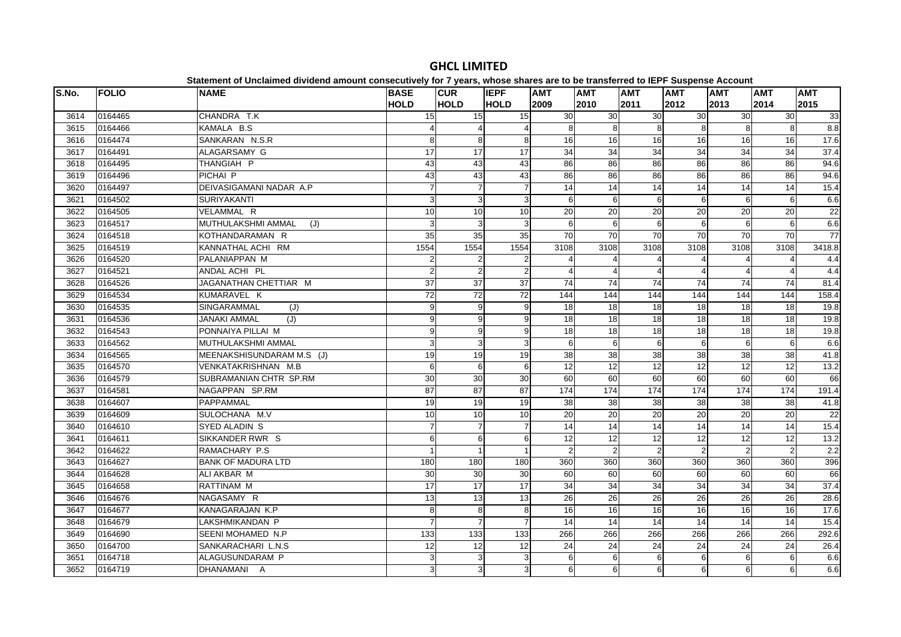| S.No. | <b>FOLIO</b> | <b>NAME</b>                | <b>BASE</b>    | <b>CUR</b>                | <b>IEPF</b>     | <b>AMT</b>     | <b>AMT</b>      | <b>AMT</b>      | <b>AMT</b>      | <b>AMT</b>      |                       | <b>AMT</b> |
|-------|--------------|----------------------------|----------------|---------------------------|-----------------|----------------|-----------------|-----------------|-----------------|-----------------|-----------------------|------------|
|       |              |                            | <b>HOLD</b>    | <b>HOLD</b>               | <b>HOLD</b>     | 2009           | 2010            | 2011            | 2012            | 2013            | <b>AMT</b><br>2014    | 2015       |
| 3614  | 0164465      | CHANDRA T.K                | 15             | 15                        | 15              | 30             | 30              | 30              | 30              | 30              | 30                    | 33         |
| 3615  | 0164466      | KAMALA B.S                 |                | $\overline{4}$            | 4               | 8              | 8               | 8               | 8               | 8               | 8                     | 8.8        |
| 3616  | 0164474      | SANKARAN N.S.R             | 8              | $\,8\,$                   | 8               | 16             | 16              | 16              | 16              | 16              | 16                    | 17.6       |
| 3617  | 0164491      | ALAGARSAMY G               | 17             | 17                        | 17              | 34             | 34              | 34              | 34              | 34              | 34                    | 37.4       |
| 3618  | 0164495      | THANGIAH P                 | 43             | 43                        | 43              | 86             | 86              | 86              | 86              | 86              | 86                    | 94.6       |
| 3619  | 0164496      | PICHAI P                   | 43             | 43                        | 43              | 86             | 86              | 86              | 86              | 86              | 86                    | 94.6       |
| 3620  | 0164497      | DEIVASIGAMANI NADAR A.P    |                | $\overline{7}$            | $\overline{7}$  | 14             | $\overline{14}$ | $\overline{14}$ | 14              | 14              | 14                    | 15.4       |
| 3621  | 0164502      | <b>SURIYAKANTI</b>         | 3              | 3                         | 3               | 6              | 6               | 6               | 6               | 6               | 6                     | 6.6        |
| 3622  | 0164505      | VELAMMAL R                 | 10             | 10                        | 10              | 20             | 20              | 20              | 20              | 20              | 20                    | 22         |
| 3623  | 0164517      | MUTHULAKSHMI AMMAL<br>(J)  | 3              | $\mathbf{3}$              | 3               | 6              | 6               | 6               | 6               | 6               | $6\phantom{1}6$       | 6.6        |
| 3624  | 0164518      | KOTHANDARAMAN R            | 35             | 35                        | 35              | 70             | 70              | 70              | 70              | 70              | 70                    | 77         |
| 3625  | 0164519      | KANNATHAL ACHI RM          | 1554           | 1554                      | 1554            | 3108           | 3108            | 3108            | 3108            | 3108            | 3108                  | 3418.8     |
| 3626  | 0164520      | PALANIAPPAN M              | 2              | $\overline{\mathbf{c}}$   | $\overline{2}$  |                |                 |                 |                 |                 | $\overline{4}$        | 4.4        |
| 3627  | 0164521      | ANDAL ACHI PL              | $\mathfrak{p}$ | $\mathbf 2$               | $\overline{2}$  |                |                 |                 |                 | $\Lambda$       | $\boldsymbol{\Delta}$ | 4.4        |
| 3628  | 0164526      | JAGANATHAN CHETTIAR M      | 37             | 37                        | $\overline{37}$ | 74             | 74              | 74              | 74              | 74              | 74                    | 81.4       |
| 3629  | 0164534      | KUMARAVEL K                | 72             | $\overline{72}$           | $\overline{72}$ | 144            | 144             | 144             | 144             | 144             | 144                   | 158.4      |
| 3630  | 0164535      | SINGARAMMAL<br>(J)         | $\overline{9}$ | 9                         | $\overline{9}$  | 18             | 18              | 18              | 18              | 18              | 18                    | 19.8       |
| 3631  | 0164536      | (J)<br><b>JANAKI AMMAL</b> | 9              | 9                         | 9               | $\frac{1}{8}$  | 18              | $\overline{18}$ | 18              | 18              | 18                    | 19.8       |
| 3632  | 0164543      | PONNAIYA PILLAI M          | 9              | 9                         | $\overline{9}$  | 18             | 18              | 18              | 18              | 18              | 18                    | 19.8       |
| 3633  | 0164562      | MUTHULAKSHMI AMMAL         | 3              | $\ensuremath{\mathsf{3}}$ | 3               | 6              | 6               | 6               | 6               | 6               | 6                     | 6.6        |
| 3634  | 0164565      | MEENAKSHISUNDARAM M.S (J)  | 19             | 19                        | 19              | 38             | 38              | 38              | 38              | 38              | 38                    | 41.8       |
| 3635  | 0164570      | <b>VENKATAKRISHNAN M.B</b> | 6              | 6                         | 6               | 12             | $\overline{12}$ | $\overline{12}$ | 12              | 12              | 12                    | 13.2       |
| 3636  | 0164579      | SUBRAMANIAN CHTR SP.RM     | 30             | 30                        | 30              | 60             | 60              | 60              | 60              | 60              | 60                    | 66         |
| 3637  | 0164581      | NAGAPPAN SP.RM             | 87             | $\overline{87}$           | 87              | 174            | 174             | 174             | 174             | 174             | 174                   | 191.4      |
| 3638  | 0164607      | PAPPAMMAL                  | 19             | 19                        | 19              | 38             | 38              | $\overline{38}$ | 38              | 38              | 38                    | 41.8       |
| 3639  | 0164609      | SULOCHANA M.V              | 10             | 10                        | 10              | 20             | 20              | 20              | 20              | 20              | 20                    | 22         |
| 3640  | 0164610      | SYED ALADIN S              |                | $\overline{7}$            | $\overline{7}$  | 14             | 14              | 14              | $\overline{14}$ | 14              | 14                    | 15.4       |
| 3641  | 0164611      | SIKKANDER RWR S            | $6 \mid$       | 6                         | 6               | 12             | 12              | 12              | 12              | 12              | $\overline{12}$       | 13.2       |
| 3642  | 0164622      | RAMACHARY P.S              |                | $\mathbf{1}$              |                 | $\mathfrak{p}$ | $\mathcal{P}$   | $\mathcal{P}$   | $\mathcal{P}$   | $\overline{2}$  | $\overline{2}$        | 2.2        |
| 3643  | 0164627      | <b>BANK OF MADURA LTD</b>  | 180            | 180                       | 180             | 360            | 360             | 360             | 360             | 360             | 360                   | 396        |
| 3644  | 0164628      | ALI AKBAR M                | 30             | 30                        | 30              | 60             | 60              | 60              | 60              | 60              | 60                    | 66         |
| 3645  | 0164658      | RATTINAM M                 | 17             | 17                        | 17              | 34             | $\overline{34}$ | $\overline{34}$ | 34              | $\overline{34}$ | 34                    | 37.4       |
| 3646  | 0164676      | NAGASAMY R                 | 13             | 13                        | 13              | 26             | $\overline{26}$ | 26              | 26              | 26              | $\overline{26}$       | 28.6       |
| 3647  | 0164677      | KANAGARAJAN K.P            | 8              | 8                         | 8               | 16             | 16              | 16              | 16              | 16              | 16                    | 17.6       |
| 3648  | 0164679      | LAKSHMIKANDAN P            |                | $\overline{7}$            | $\overline{7}$  | 14             | 14              | 14              | 14              | 14              | $\overline{14}$       | 15.4       |
| 3649  | 0164690      | SEENI MOHAMED N.P          | 133            | 133                       | 133             | 266            | 266             | 266             | 266             | 266             | 266                   | 292.6      |
| 3650  | 0164700      | SANKARACHARI L.N.S         | 12             | 12                        | 12              | 24             | 24              | 24              | 24              | 24              | 24                    | 26.4       |
| 3651  | 0164718      | ALAGUSUNDARAM P            | 3              | 3                         | 3               | 6              | 6               | 6               | 6               | $6 \mid$        | 6                     | 6.6        |
| 3652  | 0164719      | DHANAMANI A                | 3              | 3                         | 3               | 6              | 6               | 6               | 6               | $6 \mid$        | 6                     | 6.6        |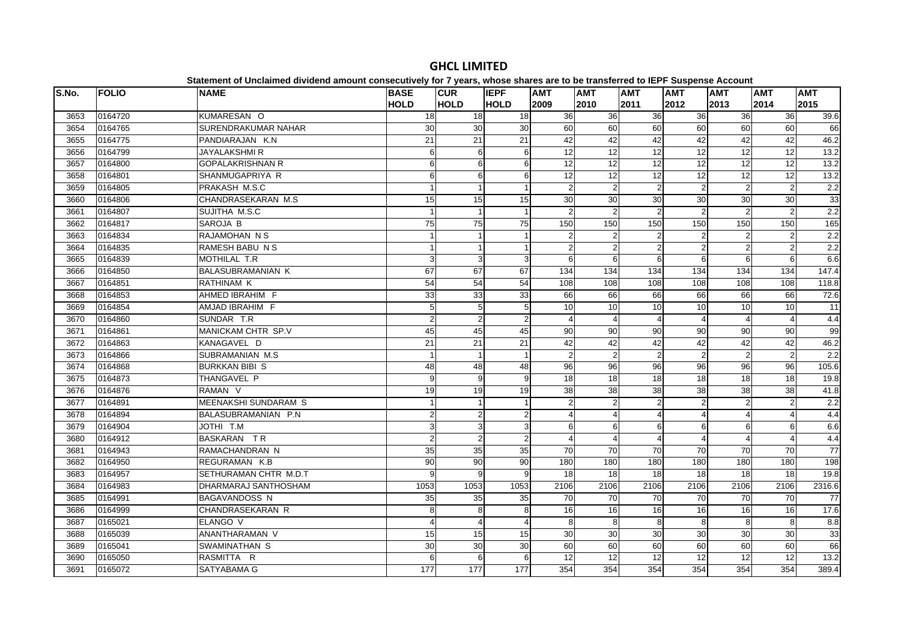| S.No. | <b>FOLIO</b> | platomont or onolalmoa arriaona amoant oonoooatriorj for 1 jouroj mnooo onaroo aro t<br><b>NAME</b> | <b>BASE</b>    | <b>CUR</b>     | <b>IEPF</b>     | <b>AMT</b>      | <b>AMT</b>      | <b>AMT</b>      | <b>AMT</b>             | $\sim$ 0.000 $\sim$ 0.000 $\sim$ 0.000 $\sim$ 0.000 $\sim$<br><b>AMT</b> | <b>AMT</b>            | <b>AMT</b> |
|-------|--------------|-----------------------------------------------------------------------------------------------------|----------------|----------------|-----------------|-----------------|-----------------|-----------------|------------------------|--------------------------------------------------------------------------|-----------------------|------------|
|       |              |                                                                                                     | <b>HOLD</b>    | <b>HOLD</b>    | <b>HOLD</b>     | 2009            | 2010            | 2011            | 2012                   | 2013                                                                     | 2014                  | 2015       |
| 3653  | 0164720      | KUMARESAN O                                                                                         | 18             | 18             | 18              | 36              | 36              | 36              | 36                     | 36                                                                       | 36                    | 39.6       |
| 3654  | 0164765      | <b>SURENDRAKUMAR NAHAR</b>                                                                          | 30             | 30             | 30              | 60              | 60              | 60              | 60                     | 60                                                                       | 60                    | 66         |
| 3655  | 0164775      | PANDIARAJAN K.N.                                                                                    | 21             | 21             | 21              | 42              | 42              | 42              | 42                     | 42                                                                       | 42                    | 46.2       |
| 3656  | 0164799      | <b>JAYALAKSHMIR</b>                                                                                 | $6 \mid$       | 6              | 6               | 12              | 12              | 12              | 12                     | 12                                                                       | 12                    | 13.2       |
| 3657  | 0164800      | <b>GOPALAKRISHNAN R</b>                                                                             | 6              | 6              | 6               | 12              | 12              | 12              | 12                     | 12                                                                       | 12                    | 13.2       |
| 3658  | 0164801      | SHANMUGAPRIYA R                                                                                     | 6              | 6              | 6               | 12              | 12              | 12              | $\overline{12}$        | 12                                                                       | 12                    | 13.2       |
| 3659  | 0164805      | PRAKASH M.S.C                                                                                       |                | $\mathbf{1}$   |                 | $\overline{2}$  | $\overline{2}$  | $\overline{2}$  | $\overline{2}$         | 2                                                                        | $\overline{2}$        | 2.2        |
| 3660  | 0164806      | CHANDRASEKARAN M.S                                                                                  | 15             | 15             | 15              | 30              | 30              | 30              | 30                     | 30                                                                       | 30                    | 33         |
| 3661  | 0164807      | SUJITHA M.S.C                                                                                       |                | $\mathbf{1}$   |                 | 2               | 2               | $\overline{2}$  |                        | $\overline{2}$                                                           | $\overline{2}$        | 2.2        |
| 3662  | 0164817      | SAROJA B                                                                                            | 75             | 75             | 75              | 150             | 150             | 150             | 150                    | 150                                                                      | 150                   | 165        |
| 3663  | 0164834      | RAJAMOHAN N S                                                                                       |                | $\mathbf{1}$   |                 | $\overline{2}$  | $\overline{2}$  | $\overline{2}$  | $\overline{2}$         | $\overline{2}$                                                           | $\overline{2}$        | 2.2        |
| 3664  | 0164835      | RAMESH BABU N S                                                                                     |                | $\mathbf{1}$   |                 | $\overline{2}$  | $\overline{2}$  | $\overline{2}$  | $\overline{2}$         | $\overline{2}$                                                           | $\overline{c}$        | 2.2        |
| 3665  | 0164839      | MOTHILAL T.R                                                                                        | $\overline{3}$ | 3              | 3               | 6               | 6               | 6               | 6                      | 6                                                                        | 6                     | 6.6        |
| 3666  | 0164850      | <b>BALASUBRAMANIAN K</b>                                                                            | 67             | 67             | 67              | 134             | 134             | 134             | 134                    | 134                                                                      | 134                   | 147.4      |
| 3667  | 0164851      | <b>RATHINAM K</b>                                                                                   | 54             | 54             | 54              | 108             | 108             | 108             | 108                    | 108                                                                      | 108                   | 118.8      |
| 3668  | 0164853      | AHMED IBRAHIM F                                                                                     | 33             | 33             | 33              | 66              | 66              | 66              | 66                     | 66                                                                       | 66                    | 72.6       |
| 3669  | 0164854      | AMJAD IBRAHIM F                                                                                     | 5              | $\sqrt{5}$     | $5\overline{)}$ | 10              | 10              | $\overline{10}$ | 10                     | 10                                                                       | 10                    | 11         |
| 3670  | 0164860      | SUNDAR T.R                                                                                          | $\overline{2}$ | $\overline{2}$ | $\overline{2}$  |                 |                 |                 | $\boldsymbol{\Lambda}$ | Δ                                                                        | $\overline{A}$        | 4.4        |
| 3671  | 0164861      | MANICKAM CHTR SP.V                                                                                  | 45             | 45             | 45              | 90              | 90              | 90              | 90                     | 90                                                                       | $\overline{90}$       | 99         |
| 3672  | 0164863      | KANAGAVEL D                                                                                         | 21             | 21             | 21              | 42              | 42              | 42              | 42                     | 42                                                                       | 42                    | 46.2       |
| 3673  | 0164866      | SUBRAMANIAN M.S                                                                                     |                | $\overline{1}$ |                 | $\overline{2}$  | 2               | $\sqrt{2}$      | 2                      | $\overline{2}$                                                           | $\overline{2}$        | 2.2        |
| 3674  | 0164868      | <b>BURKKAN BIBI S</b>                                                                               | 48             | 48             | $\overline{48}$ | 96              | 96              | 96              | 96                     | 96                                                                       | 96                    | 105.6      |
| 3675  | 0164873      | THANGAVEL P                                                                                         | 9              | 9              | 9               | 18              | $\overline{18}$ | 18              | 18                     | 18                                                                       | $\overline{18}$       | 19.8       |
| 3676  | 0164876      | RAMAN <sub>V</sub>                                                                                  | 19             | 19             | 19              | 38              | 38              | 38              | 38                     | 38                                                                       | 38                    | 41.8       |
| 3677  | 0164891      | <b>MEENAKSHI SUNDARAM S</b>                                                                         |                | $\mathbf{1}$   |                 | $\mathfrak{p}$  | 2               | $\overline{2}$  |                        | $\overline{2}$                                                           | $\overline{2}$        | 2.2        |
| 3678  | 0164894      | BALASUBRAMANIAN P.N                                                                                 | 2              | $\overline{2}$ | $\overline{2}$  |                 |                 |                 | 4                      | 4                                                                        | $\overline{4}$        | 4.4        |
| 3679  | 0164904      | JOTHI T.M                                                                                           | 3              | $\overline{3}$ | $\mathsf{3}$    | 6               | 6               | 6               | 6                      | $6 \overline{6}$                                                         | 6                     | 6.6        |
| 3680  | 0164912      | BASKARAN TR                                                                                         | $\overline{2}$ | $\overline{2}$ | $\overline{2}$  |                 |                 | $\overline{4}$  |                        | Δ                                                                        | $\boldsymbol{\Delta}$ | 4.4        |
| 3681  | 0164943      | RAMACHANDRAN N                                                                                      | 35             | 35             | 35              | 70              | 70              | $\overline{70}$ | 70                     | 70                                                                       | 70                    | 77         |
| 3682  | 0164950      | REGURAMAN K.B                                                                                       | 90             | 90             | 90              | 180             | 180             | 180             | 180                    | 180                                                                      | 180                   | 198        |
| 3683  | 0164957      | SETHURAMAN CHTR M.D.T                                                                               | 9              | 9              | 9               | 18              | 18              | 18              | 18                     | 18                                                                       | $\overline{18}$       | 19.8       |
| 3684  | 0164983      | DHARMARAJ SANTHOSHAM                                                                                | 1053           | 1053           | 1053            | 2106            | 2106            | 2106            | 2106                   | 2106                                                                     | 2106                  | 2316.6     |
| 3685  | 0164991      | <b>BAGAVANDOSS N</b>                                                                                | 35             | 35             | 35              | $\overline{70}$ | 70              | $\overline{70}$ | 70                     | 70                                                                       | $\overline{70}$       | 77         |
| 3686  | 0164999      | <b>CHANDRASEKARAN R</b>                                                                             | 8              | 8              | 8               | 16              | 16              | 16              | 16                     | 16                                                                       | 16                    | 17.6       |
| 3687  | 0165021      | <b>ELANGO V</b>                                                                                     | $\Delta$       | $\overline{4}$ | $\overline{4}$  | 8               | 8               | 8               | 8                      | 8                                                                        | 8                     | 8.8        |
| 3688  | 0165039      | ANANTHARAMAN V                                                                                      | 15             | 15             | 15              | 30              | 30              | 30              | 30                     | 30                                                                       | 30                    | 33         |
| 3689  | 0165041      | SWAMINATHAN S                                                                                       | 30             | 30             | 30              | 60              | 60              | 60              | 60                     | 60                                                                       | 60                    | 66         |
| 3690  | 0165050      | RASMITTA R                                                                                          | 6              | 6              | 6               | 12              | $\overline{12}$ | $\overline{12}$ | 12                     | 12                                                                       | 12                    | 13.2       |
| 3691  | 0165072      | SATYABAMA G                                                                                         | 177            | 177            | 177             | 354             | 354             | 354             | 354                    | 354                                                                      | 354                   | 389.4      |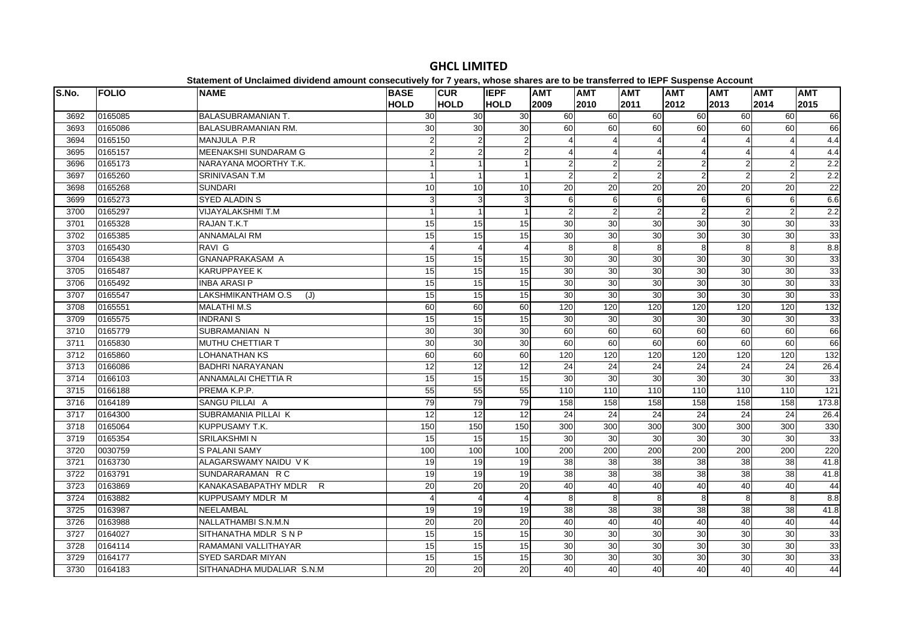| S.No. | <b>FOLIO</b> | <b>NAME</b>                | <b>BASE</b><br><b>HOLD</b> | <b>CUR</b><br><b>HOLD</b> | <b>IEPF</b><br><b>HOLD</b> | <b>AMT</b><br>2009 | <b>AMT</b><br>2010 | <b>AMT</b><br>2011      | <b>AMT</b><br>2012 | <b>AMT</b><br>2013 | <b>AMT</b><br>2014 | <b>AMT</b><br>2015 |
|-------|--------------|----------------------------|----------------------------|---------------------------|----------------------------|--------------------|--------------------|-------------------------|--------------------|--------------------|--------------------|--------------------|
| 3692  | 0165085      | <b>BALASUBRAMANIAN T.</b>  | 30                         | 30                        | 30                         | 60                 | 60                 | 60                      | 60                 | 60                 | 60                 | 66                 |
| 3693  | 0165086      | <b>BALASUBRAMANIAN RM.</b> | 30                         | 30                        | 30                         | 60                 | 60                 | 60                      | 60                 | 60                 | 60                 | 66                 |
| 3694  | 0165150      | MANJULA P.R                | $\overline{2}$             | $\overline{2}$            | $\overline{2}$             | $\overline{A}$     |                    | $\overline{4}$          |                    |                    | $\overline{4}$     | 4.4                |
| 3695  | 0165157      | MEENAKSHI SUNDARAM G       | $\mathfrak{p}$             | $\boldsymbol{2}$          | $\overline{2}$             |                    |                    | $\overline{\mathbf{A}}$ | Δ                  | Δ                  | $\overline{4}$     | 4.4                |
| 3696  | 0165173      | NARAYANA MOORTHY T.K.      |                            | $\mathbf{1}$              |                            |                    | 2                  | $\overline{2}$          | $\mathfrak{p}$     | $\overline{2}$     | $\overline{2}$     | $\overline{2.2}$   |
| 3697  | 0165260      | SRINIVASAN T.M             |                            | $\mathbf{1}$              |                            | $\overline{2}$     | $\overline{2}$     | $\overline{2}$          | $\overline{2}$     | $\overline{2}$     | $\overline{2}$     | $\overline{2.2}$   |
| 3698  | 0165268      | <b>SUNDARI</b>             | 10                         | 10                        | 10                         | 20                 | $\overline{20}$    | 20                      | 20                 | $\overline{20}$    | $\overline{20}$    | 22                 |
| 3699  | 0165273      | <b>SYED ALADIN S</b>       | 3                          | 3                         | 3                          | 6                  | $6 \overline{6}$   | 6                       | 6                  | 6                  | 6                  | 6.6                |
| 3700  | 0165297      | <b>VIJAYALAKSHMI T.M</b>   |                            | $\mathbf{1}$              |                            | $\overline{2}$     | $\overline{2}$     | $\overline{2}$          | $\overline{2}$     | $\overline{2}$     | $\overline{2}$     | 2.2                |
| 3701  | 0165328      | RAJAN T.K.T                | 15                         | 15                        | 15                         | 30                 | 30                 | 30                      | 30                 | 30                 | 30                 | 33                 |
| 3702  | 0165385      | <b>ANNAMALAI RM</b>        | 15                         | 15                        | 15                         | 30                 | 30                 | 30                      | 30                 | 30                 | 30                 | 33                 |
| 3703  | 0165430      | RAVI G                     | 4                          | $\overline{4}$            | 4                          | 8                  | 8                  | 8                       | 8                  | 8                  | 8                  | 8.8                |
| 3704  | 0165438      | <b>GNANAPRAKASAM A</b>     | 15                         | 15                        | 15                         | 30                 | 30                 | 30                      | 30                 | 30                 | 30                 | 33                 |
| 3705  | 0165487      | <b>KARUPPAYEE K</b>        | 15                         | 15                        | 15                         | 30                 | $\overline{30}$    | 30                      | 30                 | 30                 | 30                 | 33                 |
| 3706  | 0165492      | <b>INBA ARASI P</b>        | 15                         | 15                        | 15                         | 30                 | 30                 | 30                      | 30                 | 30                 | 30                 | 33                 |
| 3707  | 0165547      | LAKSHMIKANTHAM O.S<br>(J)  | 15                         | 15                        | 15                         | 30                 | $\overline{30}$    | 30                      | 30                 | 30                 | 30                 | 33                 |
| 3708  | 0165551      | <b>MALATHI M.S</b>         | 60                         | 60                        | 60                         | 120                | 120                | 120                     | 120                | $\overline{120}$   | 120                | 132                |
| 3709  | 0165575      | <b>INDRANIS</b>            | 15                         | 15                        | 15                         | 30                 | 30                 | 30                      | 30                 | 30                 | 30                 | 33                 |
| 3710  | 0165779      | SUBRAMANIAN N              | 30                         | 30                        | 30                         | 60                 | 60                 | 60                      | 60                 | 60                 | 60                 | 66                 |
| 3711  | 0165830      | MUTHU CHETTIAR T           | 30                         | 30                        | 30                         | 60                 | 60                 | 60                      | 60                 | 60                 | 60                 | 66                 |
| 3712  | 0165860      | LOHANATHAN KS              | 60                         | 60                        | 60                         | 120                | 120                | 120                     | 120                | 120                | 120                | 132                |
| 3713  | 0166086      | <b>BADHRI NARAYANAN</b>    | 12                         | $\overline{12}$           | 12                         | 24                 | 24                 | 24                      | $\overline{24}$    | 24                 | $\overline{24}$    | 26.4               |
| 3714  | 0166103      | <b>ANNAMALAI CHETTIA R</b> | 15                         | 15                        | 15                         | 30                 | 30                 | 30                      | 30                 | 30                 | 30                 | 33                 |
| 3715  | 0166188      | PREMA K.P.P.               | 55                         | 55                        | 55                         | 110                | 110                | 110                     | 110                | 110                | 110                | 121                |
| 3716  | 0164189      | SANGU PILLAI A             | 79                         | 79                        | 79                         | 158                | 158                | 158                     | 158                | 158                | 158                | 173.8              |
| 3717  | 0164300      | SUBRAMANIA PILLAI K        | 12                         | 12                        | 12                         | 24                 | 24                 | $\overline{24}$         | 24                 | 24                 | 24                 | 26.4               |
| 3718  | 0165064      | KUPPUSAMY T.K.             | 150                        | 150                       | 150                        | 300                | 300                | 300                     | 300                | $\overline{300}$   | $\overline{300}$   | 330                |
| 3719  | 0165354      | <b>SRILAKSHMIN</b>         | 15                         | 15                        | 15                         | 30                 | 30                 | $\overline{30}$         | $\overline{30}$    | 30                 | 30                 | 33                 |
| 3720  | 0030759      | <b>S PALANI SAMY</b>       | 100                        | 100                       | 100                        | 200                | 200                | 200                     | 200                | 200                | 200                | 220                |
| 3721  | 0163730      | ALAGARSWAMY NAIDU VK       | 19                         | 19                        | 19                         | 38                 | 38                 | 38                      | 38                 | 38                 | 38                 | 41.8               |
| 3722  | 0163791      | SUNDARARAMAN R C           | 19                         | 19                        | 19                         | 38                 | 38                 | 38                      | 38                 | 38                 | 38                 | 41.8               |
| 3723  | 0163869      | KANAKASABAPATHY MDLR<br>R  | 20                         | 20                        | 20                         | 40                 | 40                 | 40                      | 40                 | 40                 | 40                 | 44                 |
| 3724  | 0163882      | KUPPUSAMY MDLR M           | 4                          | $\overline{4}$            | 4                          | 8                  | 8                  | 8                       | 8                  | 8                  | 8                  | 8.8                |
| 3725  | 0163987      | NEELAMBAL                  | 19                         | 19                        | 19                         | 38                 | 38                 | 38                      | 38                 | 38                 | 38                 | 41.8               |
| 3726  | 0163988      | NALLATHAMBI S.N.M.N        | $\overline{20}$            | 20                        | 20                         | 40                 | 40                 | 40                      | 40                 | 40                 | 40                 | 44                 |
| 3727  | 0164027      | SITHANATHA MDLR SNP        | 15                         | 15                        | 15                         | 30                 | 30                 | 30                      | 30                 | 30                 | 30                 | 33                 |
| 3728  | 0164114      | RAMAMANI VALLITHAYAR       | 15                         | 15                        | 15                         | 30                 | 30                 | 30                      | 30                 | 30                 | 30                 | 33                 |
| 3729  | 0164177      | <b>SYED SARDAR MIYAN</b>   | 15                         | 15                        | 15                         | 30                 | 30                 | $\overline{30}$         | $\overline{30}$    | 30                 | 30                 | 33                 |
| 3730  | 0164183      | SITHANADHA MUDALIAR S.N.M  | 20                         | 20                        | 20                         | 40                 | 40                 | 40                      | 40                 | 40                 | 40                 | 44                 |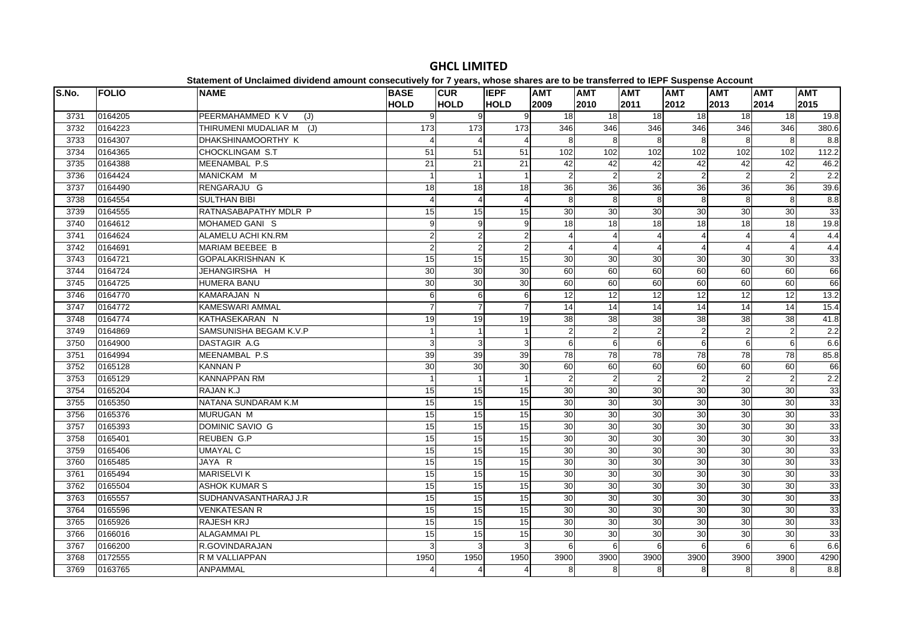| S.No. | <b>FOLIO</b> | <b>NAME</b>              | <b>BASE</b><br><b>HOLD</b> | <b>CUR</b><br><b>HOLD</b> | <b>IEPF</b><br><b>HOLD</b> | <b>AMT</b><br>2009 | <b>AMT</b><br>2010    | <b>AMT</b><br>2011 | <b>AMT</b><br>2012     | <b>AMT</b><br>2013 | <b>AMT</b><br>2014 | <b>AMT</b><br>2015 |
|-------|--------------|--------------------------|----------------------------|---------------------------|----------------------------|--------------------|-----------------------|--------------------|------------------------|--------------------|--------------------|--------------------|
| 3731  | 0164205      | PEERMAHAMMED KV<br>(J)   | 9                          | 9                         | 9                          | 18                 | 18                    | 18                 | 18                     | 18 <sup>1</sup>    | 18                 | 19.8               |
| 3732  | 0164223      | THIRUMENI MUDALIAR M (J) | 173                        | 173                       | 173                        | 346                | 346                   | 346                | 346                    | 346                | 346                | 380.6              |
| 3733  | 0164307      | DHAKSHINAMOORTHY K       |                            | $\overline{4}$            | $\overline{4}$             | 8                  | 8                     | 8                  | 8                      | 8                  | 8                  | 8.8                |
| 3734  | 0164365      | CHOCKLINGAM S.T          | 51                         | 51                        | 51                         | 102                | 102                   | 102                | 102                    | 102                | 102                | 112.2              |
| 3735  | 0164388      | MEENAMBAL P.S.           | 21                         | 21                        | 21                         | 42                 | 42                    | 42                 | 42                     | 42                 | 42                 | 46.2               |
| 3736  | 0164424      | MANICKAM M               |                            | $\overline{1}$            |                            | $\overline{2}$     | $\overline{2}$        | $\overline{2}$     | $\overline{2}$         | $\overline{2}$     | $\overline{2}$     | 2.2                |
| 3737  | 0164490      | RENGARAJU G              | 18                         | $\frac{1}{8}$             | 18                         | 36                 | 36                    | 36                 | $\overline{36}$        | 36                 | 36                 | 39.6               |
| 3738  | 0164554      | <b>SULTHAN BIBI</b>      |                            | $\overline{4}$            | 4                          | 8                  | 8                     | 8                  | 8                      | 8                  | 8                  | 8.8                |
| 3739  | 0164555      | RATNASABAPATHY MDLR P    | 15                         | 15                        | 15                         | 30                 | 30                    | 30                 | 30                     | 30                 | 30                 | 33                 |
| 3740  | 0164612      | MOHAMED GANIS            | $\overline{9}$             | 9                         | 9                          | 18                 | 18                    | 18                 | 18                     | 18                 | 18                 | 19.8               |
| 3741  | 0164624      | ALAMELU ACHI KN.RM       | $\overline{a}$             | $\overline{a}$            | $\overline{2}$             |                    | $\boldsymbol{\Delta}$ |                    |                        | 4                  | $\overline{4}$     | 4.4                |
| 3742  | 0164691      | MARIAM BEEBEE B          | $\overline{a}$             | $\overline{2}$            | $\overline{2}$             |                    | 4                     | 4                  | $\boldsymbol{\Lambda}$ | $\Delta$           | $\overline{4}$     | 4.4                |
| 3743  | 0164721      | <b>GOPALAKRISHNAN K</b>  | 15                         | 15                        | 15                         | 30                 | 30                    | 30                 | 30                     | 30                 | 30                 | 33                 |
| 3744  | 0164724      | JEHANGIRSHA H            | 30                         | 30                        | 30                         | 60                 | 60                    | 60                 | 60                     | 60                 | 60                 | 66                 |
| 3745  | 0164725      | <b>HUMERA BANU</b>       | 30                         | 30                        | 30                         | 60                 | 60                    | 60                 | 60                     | 60                 | 60                 | 66                 |
| 3746  | 0164770      | <b>KAMARAJAN N</b>       | 6                          | 6                         | 6                          | 12                 | 12                    | 12                 | 12                     | 12                 | 12                 | 13.2               |
| 3747  | 0164772      | <b>KAMESWARI AMMAL</b>   |                            | $\overline{7}$            | $\overline{7}$             | 14                 | $\overline{14}$       | $\overline{14}$    | 14                     | 14                 | $\overline{14}$    | 15.4               |
| 3748  | 0164774      | KATHASEKARAN N           | 19                         | 19                        | 19                         | 38                 | 38                    | $\overline{38}$    | 38                     | 38                 | $\overline{38}$    | 41.8               |
| 3749  | 0164869      | SAMSUNISHA BEGAM K.V.P   |                            | $\mathbf{1}$              |                            | $\overline{2}$     | 2                     | $\overline{2}$     | 2                      | $\overline{2}$     | $\overline{2}$     | 2.2                |
| 3750  | 0164900      | DASTAGIR A.G             | 3                          | 3                         | 3                          | 6                  | 6                     | 6                  | 6                      | 6                  | 6                  | 6.6                |
| 3751  | 0164994      | MEENAMBAL P.S.           | 39                         | 39                        | 39                         | 78                 | 78                    | 78                 | 78                     | 78                 | 78                 | 85.8               |
| 3752  | 0165128      | <b>KANNAN P</b>          | 30                         | 30                        | 30                         | 60                 | 60                    | 60                 | 60                     | 60                 | 60                 | 66                 |
| 3753  | 0165129      | <b>KANNAPPAN RM</b>      |                            | $\mathbf{1}$              |                            | $\mathfrak{p}$     | $\overline{2}$        | $\overline{2}$     | $\mathcal{P}$          | $\overline{2}$     | $\overline{2}$     | 2.2                |
| 3754  | 0165204      | RAJAN K.J                | 15                         | 15                        | 15                         | 30                 | 30                    | 30                 | 30                     | 30                 | 30                 | 33                 |
| 3755  | 0165350      | NATANA SUNDARAM K.M      | 15                         | 15                        | 15                         | $\overline{30}$    | 30                    | 30                 | 30                     | $\overline{30}$    | 30                 | 33                 |
| 3756  | 0165376      | MURUGAN M                | 15                         | 15                        | 15                         | 30                 | 30                    | 30                 | $\overline{30}$        | 30                 | 30                 | 33                 |
| 3757  | 0165393      | DOMINIC SAVIO G          | 15                         | 15                        | 15                         | 30                 | $\overline{30}$       | $\overline{30}$    | 30                     | $\overline{30}$    | 30                 | 33                 |
| 3758  | 0165401      | <b>REUBEN G.P</b>        | 15                         | 15                        | 15                         | 30                 | 30                    | 30                 | $\overline{30}$        | 30                 | 30                 | 33                 |
| 3759  | 0165406      | UMAYAL C                 | 15                         | 15                        | 15                         | 30                 | 30                    | 30                 | 30                     | 30                 | 30                 | 33                 |
| 3760  | 0165485      | JAYA R                   | 15                         | 15                        | 15                         | 30                 | 30                    | 30                 | 30                     | 30                 | 30                 | 33                 |
| 3761  | 0165494      | <b>MARISELVI K</b>       | 15                         | 15                        | 15                         | 30                 | 30                    | 30                 | 30                     | 30                 | 30                 | 33                 |
| 3762  | 0165504      | <b>ASHOK KUMAR S</b>     | 15                         | 15                        | 15                         | 30                 | 30                    | 30                 | 30                     | 30                 | 30                 | 33                 |
| 3763  | 0165557      | SUDHANVASANTHARAJ J.R    | 15                         | 15                        | 15                         | 30                 | 30                    | 30                 | 30                     | $\overline{30}$    | 30                 | 33                 |
| 3764  | 0165596      | <b>VENKATESAN R</b>      | 15                         | 15                        | 15                         | 30                 | 30                    | 30                 | 30                     | 30                 | 30                 | 33                 |
| 3765  | 0165926      | <b>RAJESH KRJ</b>        | 15                         | 15                        | 15                         | 30                 | 30                    | 30                 | 30                     | 30                 | 30                 | 33                 |
| 3766  | 0166016      | <b>ALAGAMMAI PL</b>      | 15                         | 15                        | 15                         | 30                 | 30                    | 30                 | 30                     | 30                 | 30                 | 33                 |
| 3767  | 0166200      | R.GOVINDARAJAN           | $\overline{3}$             | $\mathbf{3}$              | 3                          | 6                  | 6                     | 6                  | 6                      | 6                  | 6                  | 6.6                |
| 3768  | 0172555      | R M VALLIAPPAN           | 1950                       | 1950                      | 1950                       | 3900               | 3900                  | 3900               | 3900                   | 3900               | 3900               | 4290               |
| 3769  | 0163765      | <b>ANPAMMAL</b>          | 4                          | $\overline{4}$            | $\overline{4}$             | 8                  | 8                     | 8                  | 8                      | 8                  | 8                  | 8.8                |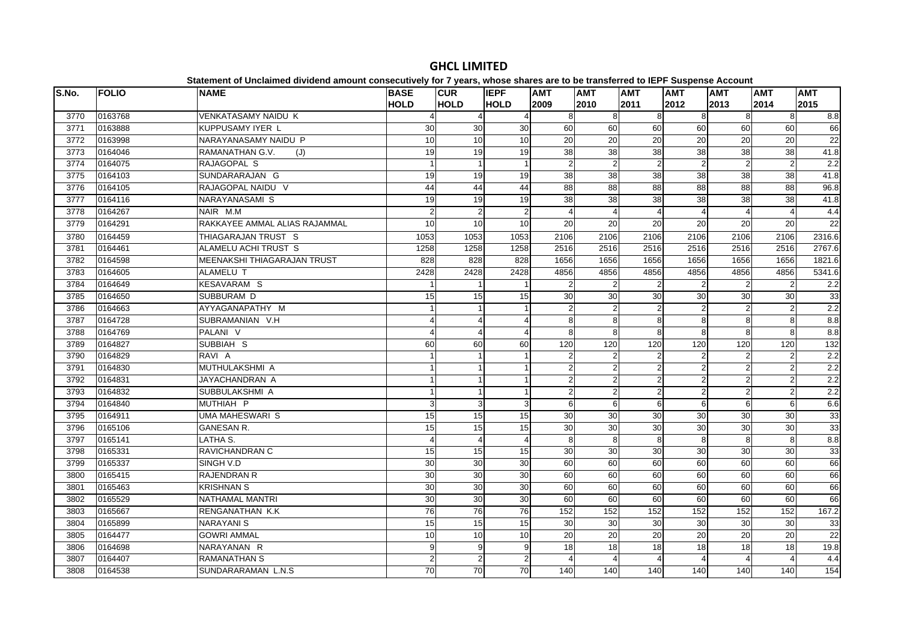| S.No. | <b>FOLIO</b> | <b>NAME</b>                   | <b>BASE</b><br><b>HOLD</b> | <b>CUR</b><br><b>HOLD</b> | <b>IEPF</b><br><b>HOLD</b> | <b>AMT</b><br>2009 | <b>AMT</b><br>2010 | <b>AMT</b><br>2011    | <b>AMT</b><br>2012 | <b>AMT</b><br>2013 | <b>AMT</b><br>2014    | <b>AMT</b><br>2015 |
|-------|--------------|-------------------------------|----------------------------|---------------------------|----------------------------|--------------------|--------------------|-----------------------|--------------------|--------------------|-----------------------|--------------------|
| 3770  | 0163768      | <b>VENKATASAMY NAIDU K</b>    |                            | 4                         |                            | 8                  | 8                  | 8                     | 8                  | 8                  | 8                     | 8.8                |
| 3771  | 0163888      | <b>KUPPUSAMY IYER L</b>       | 30                         | 30                        | 30                         | 60                 | 60                 | 60                    | 60                 | 60                 | 60                    | 66                 |
| 3772  | 0163998      | NARAYANASAMY NAIDU P          | 10                         | 10                        | 10                         | 20                 | 20                 | 20                    | 20                 | 20                 | 20                    | 22                 |
| 3773  | 0164046      | RAMANATHAN G.V.<br>(J)        | 19                         | 19                        | 19                         | 38                 | 38                 | 38                    | 38                 | 38                 | 38                    | 41.8               |
| 3774  | 0164075      | RAJAGOPAL S                   |                            | $\mathbf{1}$              |                            | $\overline{2}$     | $\overline{2}$     | $\overline{2}$        | $\overline{2}$     | $\overline{2}$     | $\overline{c}$        | 2.2                |
| 3775  | 0164103      | SUNDARARAJAN G                | 19                         | 19                        | 19                         | $\overline{38}$    | $\overline{38}$    | 38                    | 38                 | 38                 | 38                    | 41.8               |
| 3776  | 0164105      | RAJAGOPAL NAIDU V             | 44                         | 44                        | 44                         | 88                 | $\overline{88}$    | $\overline{88}$       | 88                 | $\overline{88}$    | 88                    | 96.8               |
| 3777  | 0164116      | NARAYANASAMI S                | 19                         | 19                        | 19                         | 38                 | 38                 | 38                    | 38                 | 38                 | 38                    | 41.8               |
| 3778  | 0164267      | NAIR M.M                      | $\overline{2}$             | $\overline{2}$            | $\overline{2}$             |                    | Δ                  | $\boldsymbol{\Delta}$ |                    |                    | $\overline{4}$        | 4.4                |
| 3779  | 0164291      | RAKKAYEE AMMAL ALIAS RAJAMMAL | 10                         | 10                        | 10 <sup>1</sup>            | 20                 | 20                 | 20                    | 20                 | 20                 | 20                    | 22                 |
| 3780  | 0164459      | THIAGARAJAN TRUST S           | 1053                       | 1053                      | 1053                       | 2106               | 2106               | 2106                  | 2106               | 2106               | 2106                  | 2316.6             |
| 3781  | 0164461      | ALAMELU ACHI TRUST S          | 1258                       | 1258                      | 1258                       | 2516               | 2516               | 2516                  | 2516               | 2516               | 2516                  | 2767.6             |
| 3782  | 0164598      | MEENAKSHI THIAGARAJAN TRUST   | 828                        | 828                       | 828                        | 1656               | 1656               | 1656                  | 1656               | 1656               | 1656                  | 1821.6             |
| 3783  | 0164605      | ALAMELU T                     | 2428                       | 2428                      | 2428                       | 4856               | 4856               | 4856                  | 4856               | 4856               | 4856                  | 5341.6             |
| 3784  | 0164649      | <b>KESAVARAM S</b>            |                            | $\mathbf{1}$              |                            | $\overline{2}$     | $\overline{2}$     | $\overline{2}$        | $\mathcal{P}$      | $\overline{2}$     | $\overline{2}$        | 2.2                |
| 3785  | 0164650      | SUBBURAM D                    | 15                         | 15                        | 15                         | 30                 | 30                 | 30                    | 30                 | 30                 | 30                    | 33                 |
| 3786  | 0164663      | AYYAGANAPATHY M               | $\mathbf{1}$               | $\mathbf{1}$              |                            | $\overline{2}$     | $\overline{2}$     | $\overline{2}$        | $\overline{2}$     | $\overline{2}$     | $\overline{2}$        | 2.2                |
| 3787  | 0164728      | SUBRAMANIAN V.H               |                            | 4                         | 4                          | 8                  | 8                  | 8                     | 8                  | 8                  | $\infty$              | 8.8                |
| 3788  | 0164769      | PALANI V                      |                            | $\overline{4}$            |                            | 8                  | 8                  | 8                     | 8                  | 8                  | $\overline{8}$        | 8.8                |
| 3789  | 0164827      | SUBBIAH S                     | 60                         | 60                        | 60                         | 120                | 120                | 120                   | 120                | 120                | 120                   | 132                |
| 3790  | 0164829      | RAVI A                        | $\overline{1}$             | $\mathbf{1}$              |                            | $\overline{2}$     | $\overline{2}$     | $\overline{2}$        | $\overline{2}$     | $\overline{2}$     | $\overline{2}$        | 2.2                |
| 3791  | 0164830      | MUTHULAKSHMI A                |                            | $\mathbf{1}$              |                            | $\overline{2}$     | $\overline{2}$     | $\overline{2}$        | $\overline{2}$     | $\mathbf{2}$       | $\overline{2}$        | 2.2                |
| 3792  | 0164831      | JAYACHANDRAN A                |                            | $\overline{1}$            |                            | $\overline{2}$     | $\overline{2}$     | $\overline{2}$        | $\overline{2}$     | $\overline{2}$     | $\overline{2}$        | 2.2                |
| 3793  | 0164832      | SUBBULAKSHMI A                |                            | $\mathbf{1}$              |                            | $\overline{2}$     | $\mathfrak{p}$     | $\overline{2}$        | 2                  | $\overline{2}$     | 2                     | 2.2                |
| 3794  | 0164840      | MUTHIAH P                     | 3                          | 3                         | 3                          | 6                  | 6                  | 6                     | 6                  | 6                  | 6                     | 6.6                |
| 3795  | 0164911      | <b>UMA MAHESWARI S</b>        | 15                         | 15                        | 15                         | 30                 | 30                 | 30                    | 30                 | 30                 | 30                    | 33                 |
| 3796  | 0165106      | <b>GANESAN R.</b>             | 15                         | 15                        | 15                         | 30                 | 30                 | 30                    | 30                 | 30                 | $30\,$                | 33                 |
| 3797  | 0165141      | LATHA S.                      | $\boldsymbol{\Delta}$      | $\overline{4}$            | $\overline{4}$             | 8                  | 8                  | 8                     | 8                  | 8                  | $\overline{8}$        | 8.8                |
| 3798  | 0165331      | RAVICHANDRAN C                | 15                         | 15                        | 15                         | 30                 | 30                 | 30                    | 30                 | 30                 | 30                    | 33                 |
| 3799  | 0165337      | SINGH V.D                     | 30                         | $\overline{30}$           | 30                         | 60                 | 60                 | 60                    | 60                 | 60                 | 60                    | 66                 |
| 3800  | 0165415      | <b>RAJENDRAN R</b>            | 30                         | 30                        | 30                         | 60                 | 60                 | 60                    | 60                 | 60                 | 60                    | 66                 |
| 3801  | 0165463      | <b>KRISHNAN S</b>             | 30                         | 30                        | 30                         | 60                 | 60                 | 60                    | 60                 | 60                 | 60                    | 66                 |
| 3802  | 0165529      | <b>NATHAMAL MANTRI</b>        | 30                         | 30                        | 30                         | 60                 | 60                 | 60                    | 60                 | 60                 | 60                    | 66                 |
| 3803  | 0165667      | RENGANATHAN K.K               | 76                         | 76                        | 76                         | 152                | 152                | 152                   | 152                | 152                | 152                   | 167.2              |
| 3804  | 0165899      | <b>NARAYANIS</b>              | 15                         | 15                        | 15                         | 30                 | 30                 | 30                    | 30                 | 30                 | 30                    | 33                 |
| 3805  | 0164477      | <b>GOWRI AMMAL</b>            | 10                         | 10                        | 10                         | 20                 | 20                 | 20                    | 20                 | 20                 | 20                    | 22                 |
| 3806  | 0164698      | NARAYANAN R                   | 9                          | $\boldsymbol{9}$          | 9                          | 18                 | 18                 | 18                    | 18                 | 18                 | 18                    | 19.8               |
| 3807  | 0164407      | <b>RAMANATHAN S</b>           | $\overline{2}$             | $\overline{2}$            | $\overline{2}$             |                    |                    | $\boldsymbol{\Delta}$ |                    | $\Delta$           | $\boldsymbol{\Delta}$ | 4.4                |
| 3808  | 0164538      | SUNDARARAMAN L.N.S            | 70                         | 70                        | 70                         | 140                | 140                | 140                   | 140                | 140                | 140                   | 154                |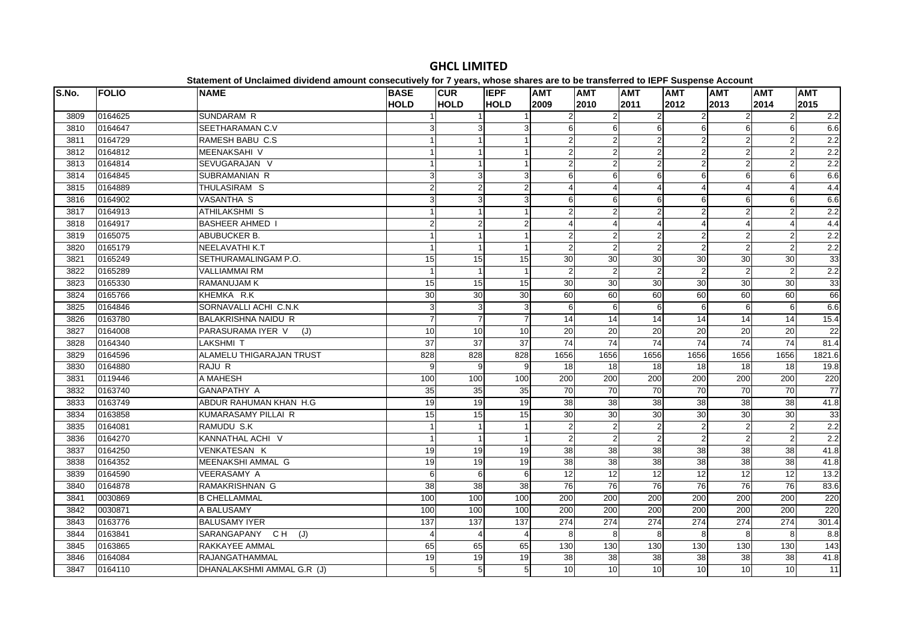| S.No. | <b>FOLIO</b> | platomont or onolalmoa annaona amoam oonoooativoly ior i youroj milooo ona<br><b>NAME</b> | <b>BASE</b>    | <b>CUR</b>                | <b>IEPF</b>    | <b>AMT</b>      | <b>AMT</b>      | <b>AMT</b>              | $- -$<br><b>AMT</b> | <b>AMT</b>       | <b>AMT</b>      | <b>AMT</b>       |
|-------|--------------|-------------------------------------------------------------------------------------------|----------------|---------------------------|----------------|-----------------|-----------------|-------------------------|---------------------|------------------|-----------------|------------------|
|       |              |                                                                                           | <b>HOLD</b>    | <b>HOLD</b>               | <b>HOLD</b>    | 2009            | 2010            | 2011                    | 2012                | 2013             | 2014            | 2015             |
| 3809  | 0164625      | SUNDARAM R                                                                                |                |                           |                |                 |                 |                         |                     | $\overline{2}$   | $\overline{2}$  | $\overline{2.2}$ |
| 3810  | 0164647      | SEETHARAMAN C.V                                                                           |                | 3                         | 3              | 6               | 6               | 6                       | 6                   | $6 \overline{6}$ | $\overline{6}$  | 6.6              |
| 3811  | 0164729      | RAMESH BABU C.S                                                                           |                | $\mathbf{1}$              |                | $\mathfrak{p}$  | 2               | $\overline{2}$          | $\overline{2}$      | $\overline{2}$   | $\overline{c}$  | 2.2              |
| 3812  | 0164812      | <b>MEENAKSAHI V</b>                                                                       |                | $\overline{1}$            |                | $\mathfrak{p}$  |                 | $\overline{2}$          |                     | $\mathbf{2}$     | $\overline{2}$  | 2.2              |
| 3813  | 0164814      | SEVUGARAJAN V                                                                             |                | $\mathbf{1}$              |                | $\overline{2}$  | 2               | $\overline{2}$          | 2                   | $\overline{2}$   | $\overline{2}$  | 2.2              |
| 3814  | 0164845      | <b>SUBRAMANIAN R</b>                                                                      | 3              | 3                         | 3              | 6               | 6               | 6                       | 6                   | $6 \mid$         | 6               | 6.6              |
| 3815  | 0164889      | THULASIRAM S                                                                              | $\overline{2}$ | $\overline{2}$            | $\overline{2}$ |                 |                 | $\boldsymbol{\Delta}$   |                     | 4                | $\overline{4}$  | 4.4              |
| 3816  | 0164902      | <b>VASANTHA S</b>                                                                         | $\overline{3}$ | $\mathbf{3}$              | 3              | 6               | 6               | 6                       | 6                   | 6                | 6               | 6.6              |
| 3817  | 0164913      | <b>ATHILAKSHMI S</b>                                                                      |                | $\mathbf{1}$              |                | $\mathfrak{p}$  | $\overline{2}$  | $\overline{2}$          | $\overline{2}$      | $\overline{2}$   | $\overline{2}$  | 2.2              |
| 3818  | 0164917      | <b>BASHEER AHMED</b>                                                                      | 2              | $\overline{2}$            | $\overline{2}$ |                 |                 | $\overline{\mathbf{4}}$ | 4                   | 4                | $\overline{4}$  | 4.4              |
| 3819  | 0165075      | ABUBUCKER B.                                                                              |                | $\mathbf{1}$              |                | $\overline{2}$  | $\overline{2}$  | $\sqrt{2}$              | $\overline{2}$      | $\overline{2}$   | $\sqrt{2}$      | 2.2              |
| 3820  | 0165179      | <b>NEELAVATHI K.T</b>                                                                     |                | $\mathbf{1}$              |                | $\overline{2}$  | 2               | $\overline{2}$          | $\overline{2}$      | $\overline{2}$   | 2               | 2.2              |
| 3821  | 0165249      | SETHURAMALINGAM P.O.                                                                      | 15             | 15                        | 15             | 30              | 30              | 30                      | 30                  | 30               | 30              | 33               |
| 3822  | 0165289      | <b>VALLIAMMAI RM</b>                                                                      |                | $\overline{1}$            |                | $\mathfrak{p}$  | 2               | $\overline{2}$          | 2                   | $\overline{2}$   | $\overline{2}$  | 2.2              |
| 3823  | 0165330      | RAMANUJAM K                                                                               | 15             | 15                        | 15             | 30              | 30              | 30                      | 30                  | 30               | 30              | 33               |
| 3824  | 0165766      | KHEMKA R.K                                                                                | 30             | 30                        | 30             | 60              | 60              | 60                      | 60                  | 60               | 60              | 66               |
| 3825  | 0164846      | SORNAVALLI ACHI C.N.K                                                                     | 3              | $\ensuremath{\mathsf{3}}$ | 3              | 6               | 6               | 6                       | 6                   | 6                | $6\phantom{1}6$ | 6.6              |
| 3826  | 0163780      | <b>BALAKRISHNA NAIDU R</b>                                                                |                | $\overline{7}$            | $\overline{7}$ | 14              | 14              | 14                      | 14                  | 14               | 14              | 15.4             |
| 3827  | 0164008      | PARASURAMA IYER V<br>(J)                                                                  | 10             | 10                        | 10             | 20              | 20              | 20                      | 20                  | 20               | 20              | 22               |
| 3828  | 0164340      | LAKSHMI T                                                                                 | 37             | 37                        | 37             | 74              | 74              | 74                      | 74                  | 74               | $\overline{74}$ | 81.4             |
| 3829  | 0164596      | <b>ALAMELU THIGARAJAN TRUST</b>                                                           | 828            | 828                       | 828            | 1656            | 1656            | 1656                    | 1656                | 1656             | 1656            | 1821.6           |
| 3830  | 0164880      | RAJU R                                                                                    | 9              | 9                         | 9              | $\overline{18}$ | $\overline{18}$ | $\frac{1}{8}$           | $\overline{18}$     | 18               | $\frac{1}{8}$   | 19.8             |
| 3831  | 0119446      | A MAHESH                                                                                  | 100            | 100                       | 100            | 200             | 200             | 200                     | 200                 | 200              | 200             | 220              |
| 3832  | 0163740      | <b>GANAPATHY A</b>                                                                        | 35             | 35                        | 35             | 70              | 70              | $\overline{70}$         | 70                  | 70               | 70              | 77               |
| 3833  | 0163749      | ABDUR RAHUMAN KHAN H.G                                                                    | 19             | 19                        | 19             | 38              | 38              | 38                      | 38                  | 38               | 38              | 41.8             |
| 3834  | 0163858      | KUMARASAMY PILLAI R                                                                       | 15             | 15                        | 15             | 30              | 30              | 30                      | 30                  | 30               | 30              | 33               |
| 3835  | 0164081      | RAMUDU S.K                                                                                |                | $\mathbf{1}$              |                | $\overline{2}$  | $\overline{2}$  | $\overline{2}$          | $\overline{2}$      | $\overline{2}$   | $\overline{2}$  | 2.2              |
| 3836  | 0164270      | KANNATHAL ACHI V                                                                          |                | $\mathbf{1}$              |                | $\mathfrak{p}$  | $\mathcal{P}$   | $\mathfrak{p}$          |                     | $\overline{2}$   | $\overline{2}$  | 2.2              |
| 3837  | 0164250      | VENKATESAN K                                                                              | 19             | 19                        | 19             | 38              | 38              | 38                      | 38                  | 38               | 38              | 41.8             |
| 3838  | 0164352      | MEENAKSHI AMMAL G                                                                         | 19             | 19                        | 19             | 38              | 38              | 38                      | 38                  | 38               | 38              | 41.8             |
| 3839  | 0164590      | VEERASAMY A                                                                               | 6              | 6                         | 6              | 12              | 12              | 12                      | 12                  | 12               | 12              | 13.2             |
| 3840  | 0164878      | RAMAKRISHNAN G                                                                            | 38             | $\overline{38}$           | 38             | 76              | 76              | 76                      | 76                  | 76               | 76              | 83.6             |
| 3841  | 0030869      | <b>B CHELLAMMAL</b>                                                                       | 100            | 100                       | 100            | 200             | 200             | 200                     | 200                 | 200              | 200             | 220              |
| 3842  | 0030871      | A BALUSAMY                                                                                | 100            | 100                       | 100            | 200             | 200             | 200                     | 200                 | 200              | 200             | 220              |
| 3843  | 0163776      | <b>BALUSAMY IYER</b>                                                                      | 137            | 137                       | 137            | 274             | 274             | 274                     | 274                 | 274              | 274             | 301.4            |
| 3844  | 0163841      | SARANGAPANY CH (J)                                                                        | $\Lambda$      | $\overline{4}$            | $\overline{4}$ | 8               | 8               | 8                       | 8                   | 8                | 8               | 8.8              |
| 3845  | 0163865      | RAKKAYEE AMMAL                                                                            | 65             | 65                        | 65             | 130             | 130             | 130                     | 130                 | 130              | 130             | 143              |
| 3846  | 0164084      | <b>RAJANGATHAMMAL</b>                                                                     | 19             | 19                        | 19             | 38              | 38              | $\overline{38}$         | 38                  | 38               | 38              | 41.8             |
| 3847  | 0164110      | DHANALAKSHMI AMMAL G.R (J)                                                                | 5              | 5                         | 5 <sup>1</sup> | 10              | 10              | 10                      | 10                  | 10               | 10              | 11               |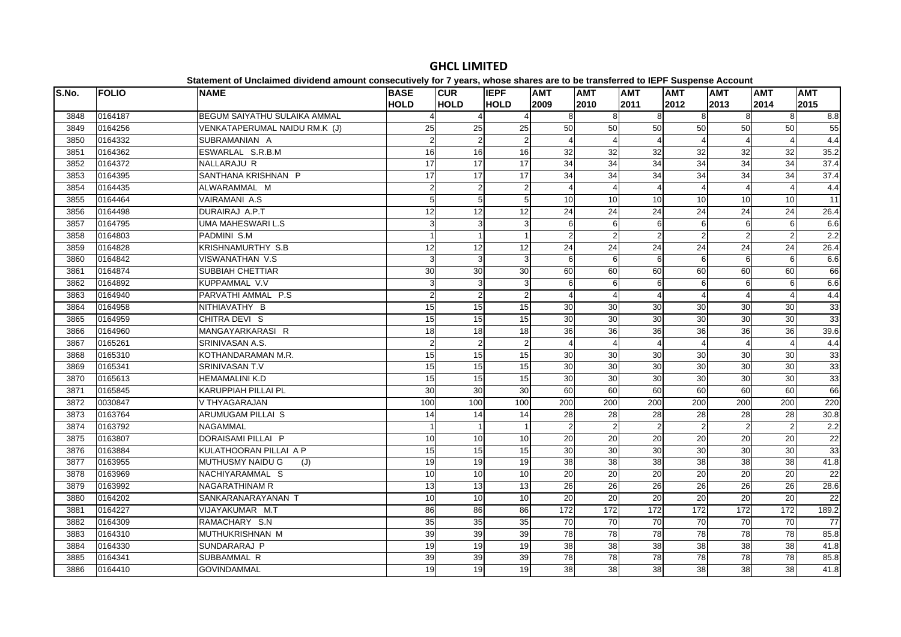| 2012<br>2011<br>2013<br>2015<br>2014<br>0164187<br><b>BEGUM SAIYATHU SULAIKA AMMAL</b><br>8<br>3848<br>8<br>8<br>8<br>8<br>50<br>50<br>0164256<br>VENKATAPERUMAL NAIDU RM.K (J)<br>$\overline{25}$<br>25<br>25<br>50<br>50<br>50<br>50<br>3849<br>0164332<br>$\overline{2}$<br>$\sqrt{2}$<br>2 <sub>2</sub><br>3850<br>SUBRAMANIAN A<br>$\overline{A}$<br>$\boldsymbol{\Delta}$<br>$\Delta$<br>16<br>16<br>32<br>32<br>32<br>0164362<br>ESWARLAL S.R.B.M<br>16<br>32<br>32<br>32<br>3851<br>34<br>$\overline{34}$<br>$\overline{34}$<br>34<br>0164372<br>NALLARAJU R<br>17<br>17<br>17<br>34<br>34<br>3852<br>17<br>17<br>$\overline{17}$<br>$\overline{34}$<br>$\overline{34}$<br>34<br>$\overline{34}$<br>$\overline{34}$<br>$\overline{34}$<br>3853<br>0164395<br>SANTHANA KRISHNAN P<br>0164435<br>ALWARAMMAL M<br>$\mathbf 2$<br>$\overline{2}$<br>$\overline{4}$<br>3854<br>$\overline{2}$<br>5<br>$\mathbf 5$<br>5 <sub>5</sub><br>10<br>10<br>10<br>10<br>3855<br>0164464<br><b>VAIRAMANI A.S</b><br>10<br>10<br>$\overline{12}$<br>24<br>3856<br>0164498<br>DURAIRAJ A.P.T<br>12<br>12<br>24<br>24<br>24<br>24<br>24 | <b>CUR</b><br><b>IEPF</b><br><b>AMT</b><br><b>AMT</b> | <b>BASE</b> | <b>NAME</b> | <b>FOLIO</b> | S.No. |
|-------------------------------------------------------------------------------------------------------------------------------------------------------------------------------------------------------------------------------------------------------------------------------------------------------------------------------------------------------------------------------------------------------------------------------------------------------------------------------------------------------------------------------------------------------------------------------------------------------------------------------------------------------------------------------------------------------------------------------------------------------------------------------------------------------------------------------------------------------------------------------------------------------------------------------------------------------------------------------------------------------------------------------------------------------------------------------------------------------------------------------|-------------------------------------------------------|-------------|-------------|--------------|-------|
|                                                                                                                                                                                                                                                                                                                                                                                                                                                                                                                                                                                                                                                                                                                                                                                                                                                                                                                                                                                                                                                                                                                               | <b>HOLD</b><br><b>HOLD</b><br>2009<br>2010            | <b>HOLD</b> |             |              |       |
|                                                                                                                                                                                                                                                                                                                                                                                                                                                                                                                                                                                                                                                                                                                                                                                                                                                                                                                                                                                                                                                                                                                               |                                                       |             |             |              |       |
|                                                                                                                                                                                                                                                                                                                                                                                                                                                                                                                                                                                                                                                                                                                                                                                                                                                                                                                                                                                                                                                                                                                               |                                                       |             |             |              |       |
|                                                                                                                                                                                                                                                                                                                                                                                                                                                                                                                                                                                                                                                                                                                                                                                                                                                                                                                                                                                                                                                                                                                               |                                                       |             |             |              |       |
|                                                                                                                                                                                                                                                                                                                                                                                                                                                                                                                                                                                                                                                                                                                                                                                                                                                                                                                                                                                                                                                                                                                               |                                                       |             |             |              |       |
|                                                                                                                                                                                                                                                                                                                                                                                                                                                                                                                                                                                                                                                                                                                                                                                                                                                                                                                                                                                                                                                                                                                               |                                                       |             |             |              |       |
|                                                                                                                                                                                                                                                                                                                                                                                                                                                                                                                                                                                                                                                                                                                                                                                                                                                                                                                                                                                                                                                                                                                               |                                                       |             |             |              |       |
|                                                                                                                                                                                                                                                                                                                                                                                                                                                                                                                                                                                                                                                                                                                                                                                                                                                                                                                                                                                                                                                                                                                               |                                                       |             |             |              |       |
|                                                                                                                                                                                                                                                                                                                                                                                                                                                                                                                                                                                                                                                                                                                                                                                                                                                                                                                                                                                                                                                                                                                               |                                                       |             |             |              |       |
|                                                                                                                                                                                                                                                                                                                                                                                                                                                                                                                                                                                                                                                                                                                                                                                                                                                                                                                                                                                                                                                                                                                               |                                                       |             |             |              |       |
| 0164795<br>UMA MAHESWARI L.S<br>3<br>6<br>6<br>3857<br>3<br>3<br>6<br>6<br>6<br>6                                                                                                                                                                                                                                                                                                                                                                                                                                                                                                                                                                                                                                                                                                                                                                                                                                                                                                                                                                                                                                             |                                                       |             |             |              |       |
| $\overline{2}$<br>$\overline{2}$<br>0164803<br>$\overline{2}$<br>$\overline{2}$<br>$\overline{2}$<br>3858<br>PADMINI S.M<br>$\mathbf{1}$<br>$\mathbf{1}$<br>$\overline{2}$                                                                                                                                                                                                                                                                                                                                                                                                                                                                                                                                                                                                                                                                                                                                                                                                                                                                                                                                                    |                                                       |             |             |              |       |
| 24<br>$\overline{24}$<br>0164828<br>KRISHNAMURTHY S.B<br>$\overline{12}$<br>12<br>24<br>$\overline{24}$<br>24<br>24<br>3859<br>12                                                                                                                                                                                                                                                                                                                                                                                                                                                                                                                                                                                                                                                                                                                                                                                                                                                                                                                                                                                             |                                                       |             |             |              |       |
| 0164842<br><b>VISWANATHAN V.S</b><br>$\ensuremath{\mathsf{3}}$<br>6<br>6<br>3860<br>3<br>3<br>6<br>6<br>6<br>6                                                                                                                                                                                                                                                                                                                                                                                                                                                                                                                                                                                                                                                                                                                                                                                                                                                                                                                                                                                                                |                                                       |             |             |              |       |
| 30<br>0164874<br>SUBBIAH CHETTIAR<br>30<br>30<br>60<br>60<br>60<br>60<br>60<br>60<br>3861                                                                                                                                                                                                                                                                                                                                                                                                                                                                                                                                                                                                                                                                                                                                                                                                                                                                                                                                                                                                                                     |                                                       |             |             |              |       |
| 3<br>0164892<br>KUPPAMMAL V.V<br>6<br>6<br>3862<br>3<br>3<br>6<br>6<br>6<br>6                                                                                                                                                                                                                                                                                                                                                                                                                                                                                                                                                                                                                                                                                                                                                                                                                                                                                                                                                                                                                                                 |                                                       |             |             |              |       |
| $\overline{2}$<br>0164940<br>PARVATHI AMMAL P.S<br>2 <sup>1</sup><br>$\overline{4}$<br>3863<br>$\overline{2}$<br>$\overline{4}$<br>$\overline{4}$<br>4<br>$\overline{4}$<br>$\boldsymbol{\Delta}$                                                                                                                                                                                                                                                                                                                                                                                                                                                                                                                                                                                                                                                                                                                                                                                                                                                                                                                             |                                                       |             |             |              |       |
| 15<br>15<br>0164958<br>NITHIAVATHY B<br>15<br>30<br>30<br>30<br>30<br>30<br>30<br>3864                                                                                                                                                                                                                                                                                                                                                                                                                                                                                                                                                                                                                                                                                                                                                                                                                                                                                                                                                                                                                                        |                                                       |             |             |              |       |
| CHITRA DEVI S<br>30<br>$\overline{30}$<br>0164959<br>15<br>15<br>30<br>30<br>30<br>30<br>3865<br>15                                                                                                                                                                                                                                                                                                                                                                                                                                                                                                                                                                                                                                                                                                                                                                                                                                                                                                                                                                                                                           |                                                       |             |             |              |       |
| $\overline{18}$<br>$\overline{18}$<br>36<br>36<br>36<br>36<br>36<br>0164960<br>MANGAYARKARASI R<br>18<br>36<br>3866                                                                                                                                                                                                                                                                                                                                                                                                                                                                                                                                                                                                                                                                                                                                                                                                                                                                                                                                                                                                           |                                                       |             |             |              |       |
| 3867<br>0165261<br>SRINIVASAN A.S.<br>$\overline{2}$<br>$\overline{2}$<br>$\overline{2}$<br>$\overline{4}$<br>$\overline{4}$<br>$\boldsymbol{\Delta}$<br>$\Delta$<br>$\boldsymbol{\Delta}$                                                                                                                                                                                                                                                                                                                                                                                                                                                                                                                                                                                                                                                                                                                                                                                                                                                                                                                                    |                                                       |             |             |              |       |
| 0165310<br>KOTHANDARAMAN M.R.<br>15<br>15<br>30<br>30<br>30<br>30<br>30<br>30<br>15<br>3868                                                                                                                                                                                                                                                                                                                                                                                                                                                                                                                                                                                                                                                                                                                                                                                                                                                                                                                                                                                                                                   |                                                       |             |             |              |       |
| 0165341<br>15<br>15<br>15<br>30<br>30<br>30<br>30<br>30<br>30<br>3869<br>SRINIVASAN T.V                                                                                                                                                                                                                                                                                                                                                                                                                                                                                                                                                                                                                                                                                                                                                                                                                                                                                                                                                                                                                                       |                                                       |             |             |              |       |
| 15<br>15<br>30<br>30<br>$\overline{30}$<br>30<br>0165613<br><b>HEMAMALINI K.D</b><br>15<br>$\overline{30}$<br>30<br>3870                                                                                                                                                                                                                                                                                                                                                                                                                                                                                                                                                                                                                                                                                                                                                                                                                                                                                                                                                                                                      |                                                       |             |             |              |       |
| <b>KARUPPIAH PILLAI PL</b><br>$\overline{30}$<br>60<br>60<br>60<br>0165845<br>30<br>30<br>60<br>60<br>60<br>3871                                                                                                                                                                                                                                                                                                                                                                                                                                                                                                                                                                                                                                                                                                                                                                                                                                                                                                                                                                                                              |                                                       |             |             |              |       |
| 3872<br>0030847<br>V THYAGARAJAN<br>100<br>100<br>100<br>200<br>200<br>200<br>200<br>200<br>200                                                                                                                                                                                                                                                                                                                                                                                                                                                                                                                                                                                                                                                                                                                                                                                                                                                                                                                                                                                                                               |                                                       |             |             |              |       |
| 0163764<br>ARUMUGAM PILLAI S<br>$\overline{14}$<br>28<br>$\overline{28}$<br>28<br>28<br>28<br>3873<br>14<br>28<br>14                                                                                                                                                                                                                                                                                                                                                                                                                                                                                                                                                                                                                                                                                                                                                                                                                                                                                                                                                                                                          |                                                       |             |             |              |       |
| $\overline{2}$<br>0163792<br>$\overline{1}$<br>$\overline{2}$<br>$\overline{2}$<br>$\overline{2}$<br>3874<br><b>NAGAMMAL</b><br>$\overline{2}$<br>$\overline{2}$                                                                                                                                                                                                                                                                                                                                                                                                                                                                                                                                                                                                                                                                                                                                                                                                                                                                                                                                                              |                                                       |             |             |              |       |
| 0163807<br>DORAISAMI PILLAI P<br>20<br>20<br>$\overline{20}$<br>3875<br>10<br>10<br>10<br>20<br>20<br>20                                                                                                                                                                                                                                                                                                                                                                                                                                                                                                                                                                                                                                                                                                                                                                                                                                                                                                                                                                                                                      |                                                       |             |             |              |       |
| KULATHOORAN PILLAI A P<br>30<br>30<br>0163884<br>15<br>15<br>15<br>30<br>30<br>30<br>30<br>3876                                                                                                                                                                                                                                                                                                                                                                                                                                                                                                                                                                                                                                                                                                                                                                                                                                                                                                                                                                                                                               |                                                       |             |             |              |       |
| 0163955<br>MUTHUSMY NAIDU G<br>19<br>19<br>19<br>38<br>38<br>38<br>38<br>38<br>38<br>3877<br>(J)                                                                                                                                                                                                                                                                                                                                                                                                                                                                                                                                                                                                                                                                                                                                                                                                                                                                                                                                                                                                                              |                                                       |             |             |              |       |
| $\overline{20}$<br>0163969<br>10<br>20<br>20<br>20<br>20<br>20<br>3878<br>NACHIYARAMMAL S<br>10<br>10                                                                                                                                                                                                                                                                                                                                                                                                                                                                                                                                                                                                                                                                                                                                                                                                                                                                                                                                                                                                                         |                                                       |             |             |              |       |
| 13<br>$\overline{26}$<br>26<br>26<br>$\overline{26}$<br>26<br>0163992<br>13<br>26<br>3879<br><b>NAGARATHINAM R</b><br>13                                                                                                                                                                                                                                                                                                                                                                                                                                                                                                                                                                                                                                                                                                                                                                                                                                                                                                                                                                                                      |                                                       |             |             |              |       |
| $\overline{20}$<br>0164202<br>SANKARANARAYANAN T<br>10<br>$\overline{10}$<br>10<br>$\overline{20}$<br>20<br>20<br>20<br>$\overline{20}$<br>3880                                                                                                                                                                                                                                                                                                                                                                                                                                                                                                                                                                                                                                                                                                                                                                                                                                                                                                                                                                               |                                                       |             |             |              |       |
| 172<br>172<br>0164227<br>VIJAYAKUMAR M.T<br>86<br>86<br>86<br>172<br>172<br>172<br>172<br>3881                                                                                                                                                                                                                                                                                                                                                                                                                                                                                                                                                                                                                                                                                                                                                                                                                                                                                                                                                                                                                                |                                                       |             |             |              |       |
| 35<br>70<br>0164309<br>35<br>35<br>70<br>70<br>70<br>70<br>70<br>3882<br>RAMACHARY S.N                                                                                                                                                                                                                                                                                                                                                                                                                                                                                                                                                                                                                                                                                                                                                                                                                                                                                                                                                                                                                                        |                                                       |             |             |              |       |
| MUTHUKRISHNAN M<br>39<br>39<br>78<br>78<br>$\overline{78}$<br>3883<br>0164310<br>39<br>78<br>78<br>78                                                                                                                                                                                                                                                                                                                                                                                                                                                                                                                                                                                                                                                                                                                                                                                                                                                                                                                                                                                                                         |                                                       |             |             |              |       |
| 0164330<br>SUNDARARAJ P<br>19<br>38<br>38<br>38<br>38<br>38<br>38<br>3884<br>19<br>19                                                                                                                                                                                                                                                                                                                                                                                                                                                                                                                                                                                                                                                                                                                                                                                                                                                                                                                                                                                                                                         |                                                       |             |             |              |       |
| $\overline{78}$<br>39<br>39<br>39<br>78<br>78<br>$\overline{78}$<br>78<br>78<br>0164341<br>SUBBAMMAL R<br>3885                                                                                                                                                                                                                                                                                                                                                                                                                                                                                                                                                                                                                                                                                                                                                                                                                                                                                                                                                                                                                |                                                       |             |             |              |       |
| 19<br>3886<br>0164410<br><b>GOVINDAMMAL</b><br>19<br>19<br>38<br>38<br>38<br>38<br>38<br>38                                                                                                                                                                                                                                                                                                                                                                                                                                                                                                                                                                                                                                                                                                                                                                                                                                                                                                                                                                                                                                   |                                                       |             |             |              |       |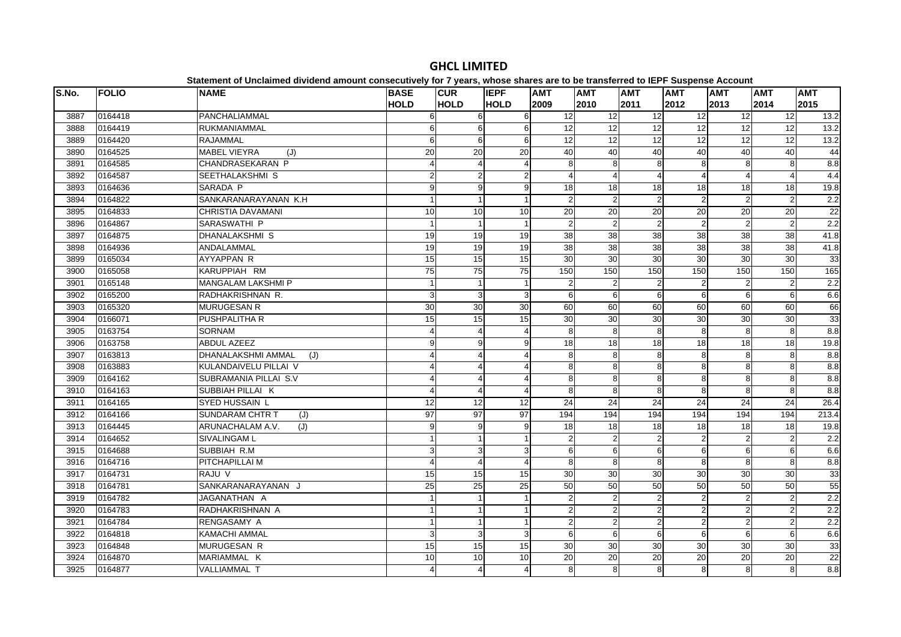| S.No. | <b>FOLIO</b> | <b>NAME</b>                      | <b>BASE</b>     | <b>CUR</b>      | <b>IEPF</b>           | <b>AMT</b>      | <b>AMT</b>      | <b>AMT</b>      | <b>AMT</b>      | <b>AMT</b>      | <b>AMT</b>       | <b>AMT</b>       |
|-------|--------------|----------------------------------|-----------------|-----------------|-----------------------|-----------------|-----------------|-----------------|-----------------|-----------------|------------------|------------------|
|       |              |                                  | <b>HOLD</b>     | <b>HOLD</b>     | <b>HOLD</b>           | 2009            | 2010            | 2011            | 2012            | 2013            | 2014             | 2015             |
| 3887  | 0164418      | PANCHALIAMMAL                    | 6               | 6               | 6                     | 12              | 12              | $\overline{12}$ | $\overline{12}$ | 12              | $\overline{12}$  | 13.2             |
| 3888  | 0164419      | RUKMANIAMMAL                     | 6               | 6               | 6                     | $\overline{12}$ | $\overline{12}$ | $\overline{12}$ | $\overline{12}$ | 12              | 12               | 13.2             |
| 3889  | 0164420      | <b>RAJAMMAL</b>                  |                 | 6<br>6          | 6                     | 12              | 12              | 12              | 12              | 12              | 12               | 13.2             |
| 3890  | 0164525      | <b>MABEL VIEYRA</b><br>(J)       | 20              | 20              | 20                    | 40              | 40              | 40              | 40              | 40              | 40               | 44               |
| 3891  | 0164585      | CHANDRASEKARAN P                 |                 | $\overline{4}$  | 4                     | 8               | 8               | 8               | 8               | 8               | 8                | 8.8              |
| 3892  | 0164587      | SEETHALAKSHMI S                  |                 | $\overline{c}$  | $\overline{2}$        |                 |                 | $\overline{4}$  |                 | Δ               | $\overline{4}$   | 4.4              |
| 3893  | 0164636      | SARADA P                         | 9               | 9               | 9                     | 18              | 18              | $\overline{18}$ | 18              | 18              | $\overline{18}$  | 19.8             |
| 3894  | 0164822      | SANKARANARAYANAN K.H             |                 | $\mathbf{1}$    | 1                     | $\mathcal{P}$   | 2               | $\overline{2}$  | $\overline{2}$  | $\overline{2}$  | $\overline{2}$   | 2.2              |
| 3895  | 0164833      | CHRISTIA DAVAMANI                | 10              | 10              | 10                    | 20              | 20              | $\overline{20}$ | 20              | 20              | 20               | 22               |
| 3896  | 0164867      | SARASWATHI P                     |                 | $\overline{1}$  |                       | 2               | 2               | $\overline{2}$  | $\overline{2}$  | $\overline{2}$  | 2                | 2.2              |
| 3897  | 0164875      | <b>DHANALAKSHMI S</b>            | 19              | 19              | 19                    | 38              | $\overline{38}$ | 38              | 38              | $\overline{38}$ | $\overline{38}$  | 41.8             |
| 3898  | 0164936      | ANDALAMMAL                       | 19              | 19              | 19                    | 38              | 38              | 38              | 38              | 38              | 38               | 41.8             |
| 3899  | 0165034      | <b>AYYAPPAN R</b>                | 15              | 15              | 15                    | 30              | 30              | 30              | 30              | 30              | 30               | 33               |
| 3900  | 0165058      | KARUPPIAH RM                     | $\overline{75}$ | 75              | 75                    | 150             | 150             | 150             | 150             | 150             | 150              | 165              |
| 3901  | 0165148      | <b>MANGALAM LAKSHMI P</b>        |                 | $\mathbf{1}$    |                       | $\overline{c}$  | 2               | $\overline{2}$  | $\overline{2}$  | 2               | 2                | $\overline{2.2}$ |
| 3902  | 0165200      | RADHAKRISHNAN R.                 | 3               | 3               | 3                     | 6               | $6 \mid$        | 6               | 6               | 6               | $6 \overline{6}$ | 6.6              |
| 3903  | 0165320      | <b>MURUGESAN R</b>               | 30              | 30              | 30                    | 60              | 60              | 60              | 60              | 60              | 60               | 66               |
| 3904  | 0166071      | PUSHPALITHA R                    | 15              | 15              | 15                    | 30              | 30              | 30              | 30              | 30              | 30               | 33               |
| 3905  | 0163754      | <b>SORNAM</b>                    |                 | $\overline{4}$  | $\boldsymbol{\Delta}$ | 8               | 8               | 8               | 8               | 8               | 8                | 8.8              |
| 3906  | 0163758      | ABDUL AZEEZ                      | 9               | 9               | 9                     | 18              | 18              | 18              | 18              | 18              | 18               | 19.8             |
| 3907  | 0163813      | <b>DHANALAKSHMI AMMAL</b><br>(J) | 4               | $\overline{4}$  |                       | 8               | 8               | 8               | 8               | 8               | 8                | 8.8              |
| 3908  | 0163883      | KULANDAIVELU PILLAI V            |                 | $\overline{4}$  |                       | 8               | 8               | 8               | 8               | 8               | 8                | 8.8              |
| 3909  | 0164162      | SUBRAMANIA PILLAI S.V            |                 | $\overline{4}$  |                       | 8               | 8               | 8               | 8               | 8               | 8                | 8.8              |
| 3910  | 0164163      | SUBBIAH PILLAI K                 | $\Delta$        | $\overline{4}$  | $\Delta$              | 8               | 8               | 8               | 8               | 8               | 8                | $\frac{8}{8}$    |
| 3911  | 0164165      | <b>SYED HUSSAIN L</b>            | 12              | $\overline{12}$ | 12                    | 24              | 24              | $\overline{24}$ | $\overline{24}$ | 24              | 24               | 26.4             |
| 3912  | 0164166      | SUNDARAM CHTR T<br>(J)           | 97              | 97              | 97                    | 194             | 194             | 194             | 194             | 194             | 194              | 213.4            |
| 3913  | 0164445      | ARUNACHALAM A.V.<br>(J)          | 9               | 9               | 9                     | 18              | 18              | $\overline{18}$ | $\overline{18}$ | 18              | $\overline{18}$  | 19.8             |
| 3914  | 0164652      | <b>SIVALINGAM L</b>              |                 | 1               |                       | 2               | $\overline{2}$  | $\overline{2}$  | $\mathcal{P}$   | $\overline{2}$  | $\overline{2}$   | 2.2              |
| 3915  | 0164688      | SUBBIAH R.M                      | 3               | 3               | $\overline{3}$        | 6               | 6               | 6               | 6               | 6               | 6                | 6.6              |
| 3916  | 0164716      | PITCHAPILLAI M                   |                 | $\overline{4}$  |                       | 8               | 8               | 8               | 8               | 8               | 8                | 8.8              |
| 3917  | 0164731      | RAJU V                           | 15              | 15              | 15                    | 30              | 30              | 30              | 30              | 30              | $30\,$           | 33               |
| 3918  | 0164781      | SANKARANARAYANAN J               | $\overline{25}$ | 25              | 25                    | 50              | 50              | 50              | 50              | 50              | 50               | 55               |
| 3919  | 0164782      | JAGANATHAN A                     |                 | $\overline{1}$  |                       | $\overline{2}$  | $\overline{2}$  | $\overline{2}$  | $\overline{2}$  | $\overline{2}$  | $\overline{2}$   | 2.2              |
| 3920  | 0164783      | RADHAKRISHNAN A                  |                 | $\mathbf{1}$    |                       | $\mathcal{P}$   | 2               | $\overline{2}$  | $\overline{2}$  | $\overline{2}$  | $\overline{2}$   | 2.2              |
| 3921  | 0164784      | RENGASAMY A                      |                 | $\overline{1}$  |                       | $\overline{2}$  | $\overline{2}$  | $\sqrt{2}$      | $\overline{2}$  | $\overline{2}$  | $\sqrt{2}$       | 2.2              |
| 3922  | 0164818      | <b>KAMACHI AMMAL</b>             | 3               | 3               | 3                     | 6               | 6               | 6               | 6               | 6               | 6                | 6.6              |
| 3923  | 0164848      | MURUGESAN R                      | 15              | 15              | 15                    | 30              | 30              | 30              | 30              | 30              | 30               | 33               |
| 3924  | 0164870      | MARIAMMAL K                      | 10              | 10              | 10                    | 20              | 20              | $\overline{20}$ | 20              | 20              | 20               | $\overline{22}$  |
| 3925  | 0164877      | <b>VALLIAMMAL T</b>              |                 | $\overline{4}$  | 4                     | 8               | 8               | 8               | 8               | 8               | 8                | 8.8              |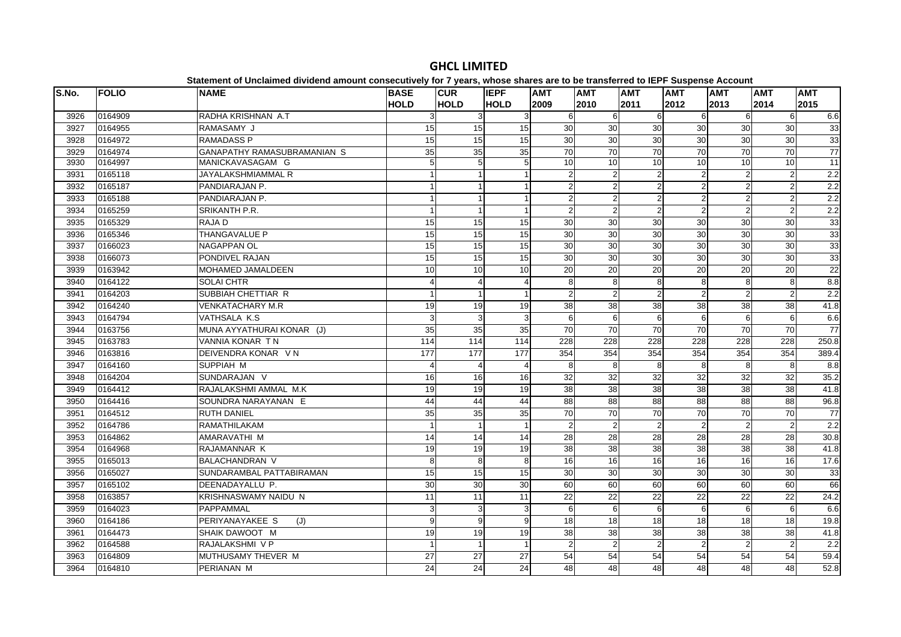| S.No.<br><b>FOLIO</b><br><b>NAME</b><br><b>BASE</b><br><b>CUR</b><br><b>IEPF</b><br><b>AMT</b><br><b>AMT</b><br><b>AMT</b><br><b>AMT</b><br><b>AMT</b><br><b>AMT</b><br><b>HOLD</b><br><b>HOLD</b><br><b>HOLD</b><br>2009<br>2011<br>2012<br>2014<br>2010<br>2013<br>0164909<br>RADHA KRISHNAN A.T<br>3926<br>3<br>6<br>6<br>3<br>3<br>6<br>6<br>6<br>6<br>15<br>0164955<br>RAMASAMY J<br>15<br>15<br>30<br>30<br>30<br>30<br>30<br>30<br>3927<br>0164972<br><b>RAMADASS P</b><br>15<br>15<br>15<br>30<br>30<br>30<br>30<br>30<br>30<br>3928<br>$\overline{70}$<br>70<br>$\overline{70}$<br>$\overline{70}$<br>0164974<br><b>GANAPATHY RAMASUBRAMANIAN S</b><br>35<br>35<br>35<br>70<br>70<br>3929<br>10<br>0164997<br>MANICKAVASAGAM G<br>5<br>5<br>10<br>10<br>10<br>10<br>10<br>3930<br>5 | <b>AMT</b><br>2015<br>6.6<br>33<br>33<br>77 |
|----------------------------------------------------------------------------------------------------------------------------------------------------------------------------------------------------------------------------------------------------------------------------------------------------------------------------------------------------------------------------------------------------------------------------------------------------------------------------------------------------------------------------------------------------------------------------------------------------------------------------------------------------------------------------------------------------------------------------------------------------------------------------------------------|---------------------------------------------|
|                                                                                                                                                                                                                                                                                                                                                                                                                                                                                                                                                                                                                                                                                                                                                                                              |                                             |
|                                                                                                                                                                                                                                                                                                                                                                                                                                                                                                                                                                                                                                                                                                                                                                                              |                                             |
|                                                                                                                                                                                                                                                                                                                                                                                                                                                                                                                                                                                                                                                                                                                                                                                              |                                             |
|                                                                                                                                                                                                                                                                                                                                                                                                                                                                                                                                                                                                                                                                                                                                                                                              |                                             |
|                                                                                                                                                                                                                                                                                                                                                                                                                                                                                                                                                                                                                                                                                                                                                                                              |                                             |
|                                                                                                                                                                                                                                                                                                                                                                                                                                                                                                                                                                                                                                                                                                                                                                                              | 11                                          |
| 0165118<br>JAYALAKSHMIAMMAL R<br>$\overline{2}$<br>$\overline{2}$<br>$\overline{a}$<br>3931<br>$\mathbf{1}$                                                                                                                                                                                                                                                                                                                                                                                                                                                                                                                                                                                                                                                                                  | $\overline{2.2}$                            |
| 0165187<br>PANDIARAJAN P.<br>2<br>$\overline{2}$<br>$\overline{2}$<br>3932<br>2                                                                                                                                                                                                                                                                                                                                                                                                                                                                                                                                                                                                                                                                                                              | 2.2                                         |
| 0165188<br>$\overline{2}$<br>$\overline{2}$<br>3933<br>PANDIARAJAN P.<br>$\mathfrak{p}$<br>$\overline{2}$<br>2<br>$\overline{2}$<br>$\overline{1}$                                                                                                                                                                                                                                                                                                                                                                                                                                                                                                                                                                                                                                           | $\overline{2.2}$                            |
| 3934<br>0165259<br>SRIKANTH P.R.<br>$\overline{2}$<br>$2 \vert$<br>$\overline{2}$<br>$\overline{1}$<br>$\overline{2}$<br>2<br>$\overline{2}$<br>1                                                                                                                                                                                                                                                                                                                                                                                                                                                                                                                                                                                                                                            | 2.2                                         |
| 0165329<br>15<br>30<br>30<br>30<br>RAJA D<br>15<br>30<br>30<br>30<br>3935<br>15                                                                                                                                                                                                                                                                                                                                                                                                                                                                                                                                                                                                                                                                                                              | 33                                          |
| 15<br>30<br>0165346<br>15<br>30<br>30<br>30<br>30<br>30<br>15<br>3936<br>THANGAVALUE P                                                                                                                                                                                                                                                                                                                                                                                                                                                                                                                                                                                                                                                                                                       | 33                                          |
| 15<br>$\overline{30}$<br>30<br>30<br>0166023<br>15<br>30<br>30<br>$\overline{30}$<br><b>NAGAPPAN OL</b><br>15<br>3937                                                                                                                                                                                                                                                                                                                                                                                                                                                                                                                                                                                                                                                                        | $\overline{33}$                             |
| $\overline{15}$<br>$\overline{30}$<br>0166073<br><b>PONDIVEL RAJAN</b><br>15<br>15<br>30<br>30<br>30<br>30<br>30<br>3938                                                                                                                                                                                                                                                                                                                                                                                                                                                                                                                                                                                                                                                                     | 33                                          |
| 0163942<br>MOHAMED JAMALDEEN<br>10<br>10<br>10<br>20<br>20<br>20<br>20<br>20<br>20<br>3939                                                                                                                                                                                                                                                                                                                                                                                                                                                                                                                                                                                                                                                                                                   | 22                                          |
| œ.<br>0164122<br><b>SOLAI CHTR</b><br>3940<br>$\overline{4}$<br>8<br>8<br>8<br>8<br>8<br>$\overline{4}$                                                                                                                                                                                                                                                                                                                                                                                                                                                                                                                                                                                                                                                                                      | 8.8                                         |
| $\overline{2}$<br>2<br>3941<br>0164203<br>SUBBIAH CHETTIAR R<br>2<br>$\overline{2}$<br>$\mathfrak{p}$<br>$\mathfrak{p}$<br>$\overline{1}$                                                                                                                                                                                                                                                                                                                                                                                                                                                                                                                                                                                                                                                    | 2.2                                         |
| 19<br>38<br>$\overline{38}$<br>$\overline{38}$<br>$\overline{38}$<br>38<br>3942<br>0164240<br><b>VENKATACHARY M.R.</b><br>19<br>19<br>38                                                                                                                                                                                                                                                                                                                                                                                                                                                                                                                                                                                                                                                     | 41.8                                        |
| 0164794<br>VATHSALA K.S.<br>6<br>6<br>3943<br>3<br>3<br>6<br>6<br>6<br>6                                                                                                                                                                                                                                                                                                                                                                                                                                                                                                                                                                                                                                                                                                                     | 6.6                                         |
| 35<br>$\overline{70}$<br>70<br>0163756<br>MUNA AYYATHURAI KONAR (J)<br>35<br>35<br>70<br>70<br>70<br>70<br>3944                                                                                                                                                                                                                                                                                                                                                                                                                                                                                                                                                                                                                                                                              | 77                                          |
| 0163783<br><b>VANNIA KONAR TN</b><br>114<br>228<br>228<br>228<br>228<br>3945<br>114<br>114<br>228<br>228                                                                                                                                                                                                                                                                                                                                                                                                                                                                                                                                                                                                                                                                                     | 250.8                                       |
| 354<br>$\overline{177}$<br>$\overline{177}$<br>354<br>354<br>354<br>354<br>354<br>0163816<br>DEIVENDRA KONAR V N<br>177<br>3946                                                                                                                                                                                                                                                                                                                                                                                                                                                                                                                                                                                                                                                              | 389.4                                       |
| 3947<br>0164160<br>SUPPIAH M<br>8<br>8<br>8<br>8<br>8<br>8<br>$\overline{4}$                                                                                                                                                                                                                                                                                                                                                                                                                                                                                                                                                                                                                                                                                                                 | 8.8                                         |
| 32<br>32<br>32<br>0164204<br>SUNDARAJAN V<br>16<br>16<br>32<br>$\overline{32}$<br>32<br>16<br>3948                                                                                                                                                                                                                                                                                                                                                                                                                                                                                                                                                                                                                                                                                           | 35.2                                        |
| 0164412<br>RAJALAKSHMI AMMAL M.K<br>19<br>19<br>19<br>38<br>38<br>38<br>$\overline{38}$<br>38<br>38<br>3949                                                                                                                                                                                                                                                                                                                                                                                                                                                                                                                                                                                                                                                                                  | 41.8                                        |
| $\overline{88}$<br>88<br>3950<br>0164416<br>SOUNDRA NARAYANAN E<br>44<br>44<br>44<br>88<br>88<br>88<br>88                                                                                                                                                                                                                                                                                                                                                                                                                                                                                                                                                                                                                                                                                    | 96.8                                        |
| $\overline{70}$<br>0164512<br><b>RUTH DANIEL</b><br>35<br>35<br>70<br>70<br>70<br>70<br>70<br>3951<br>35                                                                                                                                                                                                                                                                                                                                                                                                                                                                                                                                                                                                                                                                                     | 77                                          |
| $\overline{2}$<br>0164786<br>RAMATHILAKAM<br>$\overline{2}$<br>$\overline{2}$<br>$\overline{2}$<br>3952<br>$\overline{1}$<br>$\overline{2}$<br>$\overline{2}$                                                                                                                                                                                                                                                                                                                                                                                                                                                                                                                                                                                                                                | 2.2                                         |
| 0164862<br>AMARAVATHI M<br>14<br>$\overline{28}$<br>28<br>28<br>28<br>3953<br>14<br>14<br>28<br>28                                                                                                                                                                                                                                                                                                                                                                                                                                                                                                                                                                                                                                                                                           | 30.8                                        |
| 19<br>19<br>19<br>38<br>38<br>38<br>38<br>38<br>0164968<br>RAJAMANNAR K<br>38<br>3954                                                                                                                                                                                                                                                                                                                                                                                                                                                                                                                                                                                                                                                                                                        | 41.8                                        |
| 16<br>3955<br>0165013<br><b>BALACHANDRAN V</b><br>8<br>8<br>8<br>16<br>16<br>16<br>16<br>16                                                                                                                                                                                                                                                                                                                                                                                                                                                                                                                                                                                                                                                                                                  | 17.6                                        |
| 15<br>0165027<br>SUNDARAMBAL PATTABIRAMAN<br>15<br>30<br>30<br>30<br>30<br>30<br>3956<br>15<br>30                                                                                                                                                                                                                                                                                                                                                                                                                                                                                                                                                                                                                                                                                            | 33                                          |
| 30<br>30<br>60<br>60<br>60<br>60<br>0165102<br>DEENADAYALLU P.<br>30<br>60<br>60<br>3957                                                                                                                                                                                                                                                                                                                                                                                                                                                                                                                                                                                                                                                                                                     | 66                                          |
| $\overline{11}$<br>22<br>22<br>22<br>22<br>22<br>0163857<br><b>KRISHNASWAMY NAIDU N</b><br>11<br>11<br>22<br>3958                                                                                                                                                                                                                                                                                                                                                                                                                                                                                                                                                                                                                                                                            | 24.2                                        |
| 0164023<br>PAPPAMMAL<br>$6 \overline{6}$<br>3959<br>3<br>3<br>3<br>6<br>6<br>6<br>6<br>6                                                                                                                                                                                                                                                                                                                                                                                                                                                                                                                                                                                                                                                                                                     | 6.6                                         |
| 0164186<br>PERIYANAYAKEE S<br>9<br>9<br>18<br>18<br>18<br>18<br>18<br>18<br>3960<br>(J)<br>9                                                                                                                                                                                                                                                                                                                                                                                                                                                                                                                                                                                                                                                                                                 | 19.8                                        |
| 19<br>38<br>38<br>$\overline{38}$<br>38<br>3961<br>0164473<br>SHAIK DAWOOT M<br>19<br>19<br>38<br>38                                                                                                                                                                                                                                                                                                                                                                                                                                                                                                                                                                                                                                                                                         | 41.8                                        |
| 0164588<br>RAJALAKSHMI V P<br>$2 \overline{)}$<br>$\overline{2}$<br>3962<br>$\mathbf{1}$<br>$\overline{2}$<br>$\overline{2}$<br>2<br>$\mathfrak{p}$                                                                                                                                                                                                                                                                                                                                                                                                                                                                                                                                                                                                                                          | 2.2                                         |
| 27<br>27<br>27<br>54<br>54<br>54<br>54<br>54<br>54<br>3963<br>0164809<br>MUTHUSAMY THEVER M                                                                                                                                                                                                                                                                                                                                                                                                                                                                                                                                                                                                                                                                                                  | 59.4                                        |
| 3964<br>0164810<br>PERIANAN M<br>24<br>24<br>48<br>48<br>48<br>48<br>48<br>24<br>48                                                                                                                                                                                                                                                                                                                                                                                                                                                                                                                                                                                                                                                                                                          | 52.8                                        |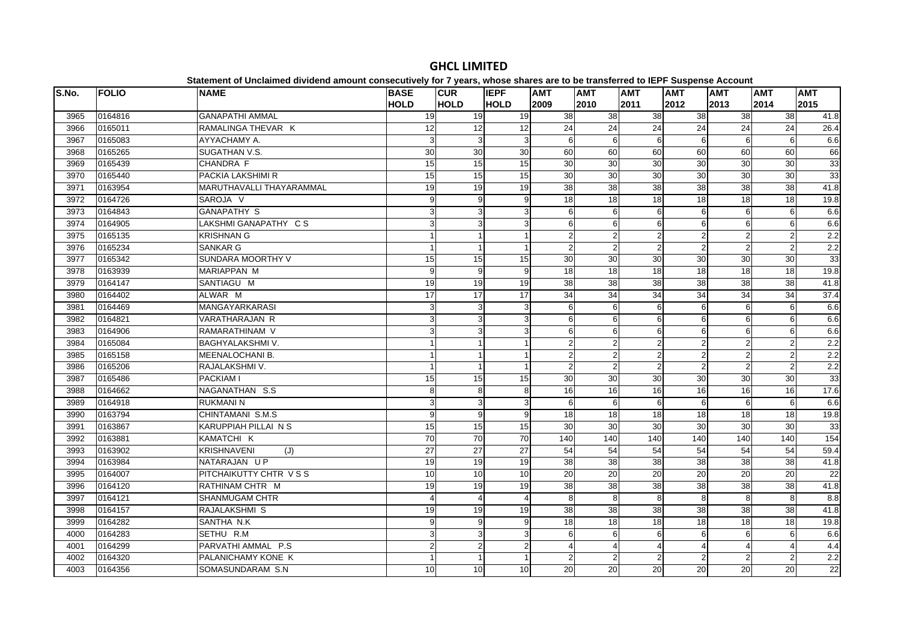| S.No. | <b>FOLIO</b> | <b>NAME</b>               | <b>BASE</b>    | <b>CUR</b>                | <b>IEPF</b>     | <b>AMT</b>      | <b>AMT</b>       | <b>AMT</b>      | <b>AMT</b>      | <b>AMT</b>       | <b>AMT</b>      | <b>AMT</b>       |
|-------|--------------|---------------------------|----------------|---------------------------|-----------------|-----------------|------------------|-----------------|-----------------|------------------|-----------------|------------------|
|       |              |                           | <b>HOLD</b>    | <b>HOLD</b>               | <b>HOLD</b>     | 2009            | 2010             | 2011            | 2012            | 2013             | 2014            | 2015             |
| 3965  | 0164816      | <b>GANAPATHI AMMAL</b>    | 19             | 19 <sup>l</sup>           | 19              | 38              | 38               | 38              | $\overline{38}$ | 38               | 38              | 41.8             |
| 3966  | 0165011      | RAMALINGA THEVAR K        | 12             | 12                        | 12              | $\overline{24}$ | $\overline{24}$  | 24              | $\overline{24}$ | 24               | $\overline{24}$ | 26.4             |
| 3967  | 0165083      | AYYACHAMY A.              | 3              | 3                         | $\overline{3}$  | 6               | 6                | 6               | 6               | $6 \overline{6}$ | $6\phantom{a}$  | 6.6              |
| 3968  | 0165265      | SUGATHAN V.S.             | 30             | 30                        | 30              | 60              | 60               | 60              | 60              | 60               | 60              | 66               |
| 3969  | 0165439      | CHANDRA F                 | 15             | 15                        | 15              | 30              | 30               | 30              | 30              | 30               | 30              | 33               |
| 3970  | 0165440      | PACKIA LAKSHIMI R         | 15             | 15                        | 15              | 30              | $\overline{30}$  | 30              | 30              | $\overline{30}$  | 30              | 33               |
| 3971  | 0163954      | MARUTHAVALLI THAYARAMMAL  | 19             | 19                        | 19              | $\overline{38}$ | 38               | 38              | $\overline{38}$ | $\overline{38}$  | 38              | 41.8             |
| 3972  | 0164726      | SAROJA V                  | 9              | $9\,$                     | 9               | 18              | 18               | 18              | 18              | 18               | 18              | 19.8             |
| 3973  | 0164843      | <b>GANAPATHY S</b>        | 3              | 3                         | 3               | 6               | 6                | 6               | 6               | $6 \mid$         | $6\phantom{1}6$ | 6.6              |
| 3974  | 0164905      | LAKSHMI GANAPATHY CS      | 3              | 3                         | 3               | 6               | 6                | 6               | 6               | 6                | 6               | 6.6              |
| 3975  | 0165135      | <b>KRISHNAN G</b>         |                | $\mathbf{1}$              |                 | $\overline{2}$  | 2                | $\overline{2}$  | $\overline{2}$  | $\overline{2}$   | $\overline{2}$  | 2.2              |
| 3976  | 0165234      | SANKAR G                  |                | $\mathbf{1}$              |                 | $\overline{2}$  | $\overline{2}$   | $\overline{2}$  | $\overline{2}$  | $\overline{2}$   | $\overline{2}$  | 2.2              |
| 3977  | 0165342      | SUNDARA MOORTHY V         | 15             | 15                        | 15              | 30              | 30               | 30              | 30              | 30               | 30              | 33               |
| 3978  | 0163939      | MARIAPPAN M               | 9              | 9                         | 9               | 18              | 18               | 18              | 18              | 18               | $\frac{1}{8}$   | 19.8             |
| 3979  | 0164147      | SANTIAGU M                | 19             | 19                        | 19              | 38              | 38               | 38              | 38              | 38               | 38              | 41.8             |
| 3980  | 0164402      | ALWAR M                   | 17             | 17                        | 17              | 34              | 34               | 34              | 34              | 34               | 34              | 37.4             |
| 3981  | 0164469      | MANGAYARKARASI            | $\overline{3}$ | 3                         | 3               | 6               | $6 \overline{6}$ | 6               | 6               | 6                | 6               | 6.6              |
| 3982  | 0164821      | VARATHARAJAN R            | $\overline{3}$ | 3                         | 3               | 6               | 6                | 6               | 6               | 6                | 6               | 6.6              |
| 3983  | 0164906      | RAMARATHINAM V            | 3              | 3                         | 3               | 6               | 6                | 6               | 6               | $6 \mid$         | 6               | 6.6              |
| 3984  | 0165084      | BAGHYALAKSHMI V.          |                | $\mathbf{1}$              |                 | $\overline{2}$  | 2                | $\overline{2}$  | $\overline{2}$  | $\overline{2}$   | $\overline{2}$  | 2.2              |
| 3985  | 0165158      | <b>MEENALOCHANI B.</b>    |                | $\mathbf{1}$              |                 | $\overline{2}$  | 2                | $\overline{c}$  | 2               | $\overline{2}$   | $\overline{2}$  | 2.2              |
| 3986  | 0165206      | RAJALAKSHMI V.            |                | $\overline{1}$            |                 | $\overline{2}$  | $\overline{2}$   | $\overline{2}$  | $\overline{2}$  | $\overline{2}$   | $\overline{2}$  | $\overline{2.2}$ |
| 3987  | 0165486      | PACKIAM I                 | 15             | 15                        | 15              | 30              | 30               | 30              | 30              | 30               | 30              | 33               |
| 3988  | 0164662      | NAGANATHAN S.S.           | 8              | 8                         | 8               | 16              | 16               | 16              | 16              | 16               | 16              | 17.6             |
| 3989  | 0164918      | <b>RUKMANI N</b>          | 3              | $\ensuremath{\mathsf{3}}$ | 3               | 6               | 6                | 6               | 6               | 6                | $6\phantom{1}6$ | 6.6              |
| 3990  | 0163794      | CHINTAMANI S.M.S          | $\overline{9}$ | $\overline{9}$            | 9               | 18              | 18               | $\overline{18}$ | 18              | 18               | 18              | 19.8             |
| 3991  | 0163867      | KARUPPIAH PILLAI N S      | 15             | 15                        | 15              | 30              | $\overline{30}$  | $\overline{30}$ | 30              | $\overline{30}$  | $\overline{30}$ | 33               |
| 3992  | 0163881      | KAMATCHI K                | 70             | 70                        | $\overline{70}$ | 140             | 140              | 140             | 140             | 140              | 140             | 154              |
| 3993  | 0163902      | <b>KRISHNAVENI</b><br>(J) | 27             | 27                        | 27              | 54              | 54               | 54              | 54              | 54               | 54              | 59.4             |
| 3994  | 0163984      | NATARAJAN UP              | 19             | 19                        | 19              | 38              | 38               | 38              | 38              | 38               | 38              | 41.8             |
| 3995  | 0164007      | PITCHAIKUTTY CHTR VSS     | 10             | 10                        | 10              | 20              | 20               | 20              | 20              | 20               | 20              | 22               |
| 3996  | 0164120      | RATHINAM CHTR M           | 19             | 19                        | 19              | 38              | 38               | 38              | 38              | 38               | 38              | 41.8             |
| 3997  | 0164121      | <b>SHANMUGAM CHTR</b>     | Δ              | $\overline{4}$            | $\overline{4}$  | 8               | 8                | 8               | 8               | 8                | 8               | 8.8              |
| 3998  | 0164157      | RAJALAKSHMI S             | 19             | 19                        | 19              | 38              | 38               | 38              | 38              | 38               | 38              | 41.8             |
| 3999  | 0164282      | SANTHA N.K                | 9              | 9                         | 9               | 18              | 18               | 18              | 18              | 18               | 18              | 19.8             |
| 4000  | 0164283      | SETHU R.M                 | 3              | $\overline{3}$            | 3               | 6               | 6                | 6               | 6               | 6                | 6               | 6.6              |
| 4001  | 0164299      | PARVATHI AMMAL P.S        | $\overline{a}$ | $\overline{2}$            | $\overline{2}$  |                 | 4                | 4               | 4               | $\overline{4}$   | $\overline{4}$  | 4.4              |
| 4002  | 0164320      | PALANICHAMY KONE K        |                | $\mathbf{1}$              |                 | $\overline{c}$  | 2                | $\overline{2}$  | $\overline{2}$  | $\overline{2}$   | $\overline{2}$  | 2.2              |
| 4003  | 0164356      | SOMASUNDARAM S.N          | 10             | 10                        | 10 <sup>1</sup> | 20              | 20               | 20              | 20              | 20               | 20              | 22               |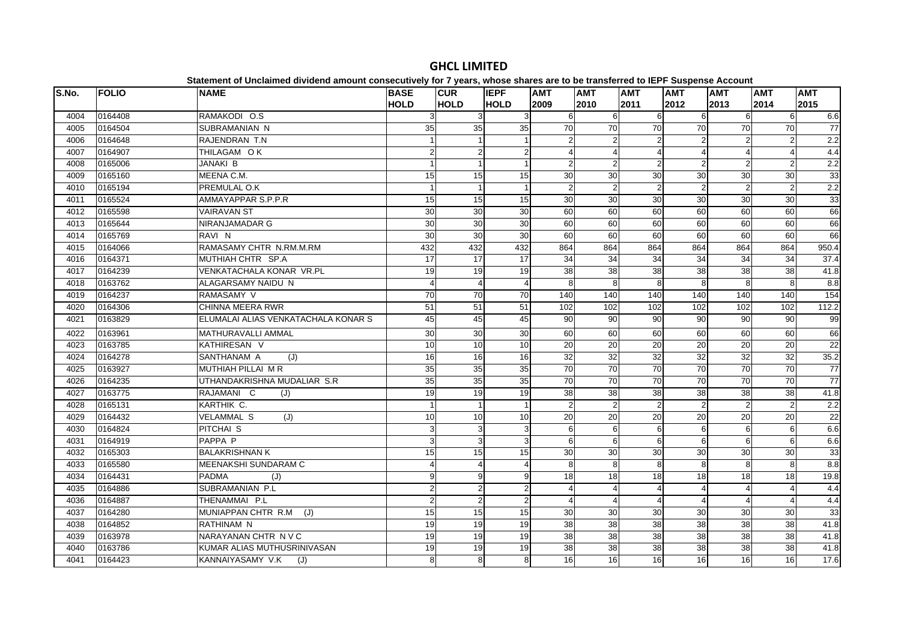|       |              | <u>advision of onormous annuonu amount concountery for rigidal and condition are no so mandemously in a coopenior Account</u> |                            |                           |                            |                    |                    |                         |                    |                    |                    |                    |
|-------|--------------|-------------------------------------------------------------------------------------------------------------------------------|----------------------------|---------------------------|----------------------------|--------------------|--------------------|-------------------------|--------------------|--------------------|--------------------|--------------------|
| S.No. | <b>FOLIO</b> | <b>NAME</b>                                                                                                                   | <b>BASE</b><br><b>HOLD</b> | <b>CUR</b><br><b>HOLD</b> | <b>IEPF</b><br><b>HOLD</b> | <b>AMT</b><br>2009 | <b>AMT</b><br>2010 | <b>AMT</b><br>2011      | <b>AMT</b><br>2012 | <b>AMT</b><br>2013 | <b>AMT</b><br>2014 | <b>AMT</b><br>2015 |
| 4004  | 0164408      | RAMAKODI O.S                                                                                                                  |                            | 3                         | 3                          |                    | 6                  | 6                       | 6                  | 6                  | 6                  | 6.6                |
| 4005  | 0164504      | SUBRAMANIAN N                                                                                                                 | 35                         | 35                        | 35                         | 70                 | 70                 | 70                      | 70                 | $\overline{70}$    | 70                 | $\overline{77}$    |
| 4006  | 0164648      | RAJENDRAN T.N                                                                                                                 |                            |                           |                            |                    |                    | $\sqrt{2}$              |                    | 2                  | $\overline{2}$     | 2.2                |
| 4007  | 0164907      | THILAGAM OK                                                                                                                   | $\mathfrak{p}$             | $\sqrt{2}$                | $\overline{2}$             |                    |                    | $\overline{4}$          |                    |                    | $\overline{4}$     | 4.4                |
| 4008  | 0165006      | <b>JANAKI B</b>                                                                                                               |                            | $\mathbf{1}$              |                            | 2                  | $\overline{2}$     | $\overline{2}$          | $\overline{2}$     | $\mathfrak{p}$     | $\overline{2}$     | 2.2                |
| 4009  | 0165160      | MEENA C.M.                                                                                                                    | 15                         | 15                        | 15                         | 30                 | 30                 | 30                      | 30                 | 30                 | 30                 | 33                 |
| 4010  | 0165194      | PREMULAL O.K                                                                                                                  |                            | $\mathbf{1}$              |                            | $\overline{2}$     | $\overline{2}$     | $\overline{2}$          | $\overline{2}$     | 2                  | $\overline{2}$     | 2.2                |
| 4011  | 0165524      | AMMAYAPPAR S.P.P.R                                                                                                            | 15                         | 15                        | 15                         | 30                 | 30                 | 30                      | 30                 | 30                 | 30                 | 33                 |
| 4012  | 0165598      | <b>VAIRAVAN ST</b>                                                                                                            | 30                         | 30                        | 30                         | 60                 | 60                 | 60                      | 60                 | 60                 | 60                 | 66                 |
| 4013  | 0165644      | NIRANJAMADAR G                                                                                                                | 30                         | 30                        | 30                         | 60                 | 60                 | 60                      | 60                 | 60                 | 60                 | 66                 |
| 4014  | 0165769      | RAVI N                                                                                                                        | $\overline{30}$            | 30                        | 30                         | 60                 | 60                 | 60                      | 60                 | 60                 | 60                 | 66                 |
| 4015  | 0164066      | RAMASAMY CHTR N.RM.M.RM                                                                                                       | 432                        | 432                       | 432                        | 864                | 864                | 864                     | 864                | 864                | 864                | 950.4              |
| 4016  | 0164371      | MUTHIAH CHTR SP.A                                                                                                             | 17                         | 17                        | 17                         | 34                 | 34                 | $\overline{34}$         | 34                 | 34                 | 34                 | 37.4               |
| 4017  | 0164239      | VENKATACHALA KONAR VR.PL                                                                                                      | 19                         | 19                        | 19                         | 38                 | $\overline{38}$    | 38                      | 38                 | 38                 | 38                 | 41.8               |
| 4018  | 0163762      | ALAGARSAMY NAIDU N                                                                                                            |                            | $\overline{4}$            | $\Delta$                   | 8                  | 8                  | $\overline{8}$          | 8                  | $\mathsf{R}$       | 8                  | $\frac{8}{8}$      |
| 4019  | 0164237      | RAMASAMY V                                                                                                                    | 70                         | $\overline{70}$           | 70                         | 140                | 140                | 140                     | 140                | 140                | 140                | 154                |
| 4020  | 0164306      | CHINNA MEERA RWR                                                                                                              | 51                         | 51                        | 51                         | 102                | 102                | 102                     | 102                | 102                | 102                | 112.2              |
| 4021  | 0163829      | ELUMALAI ALIAS VENKATACHALA KONAR S                                                                                           | 45                         | 45                        | 45                         | 90                 | 90                 | $\overline{90}$         | $\overline{90}$    | 90                 | 90                 | 99                 |
| 4022  | 0163961      | MATHURAVALLI AMMAL                                                                                                            | 30                         | 30                        | 30                         | 60                 | 60                 | 60                      | 60                 | 60                 | 60                 | 66                 |
| 4023  | 0163785      | KATHIRESAN V                                                                                                                  | 10                         | 10                        | 10                         | 20                 | 20                 | 20                      | 20                 | 20                 | 20                 | 22                 |
| 4024  | 0164278      | SANTHANAM A<br>(J)                                                                                                            | 16                         | 16                        | 16                         | 32                 | 32                 | 32                      | 32                 | 32                 | 32                 | 35.2               |
| 4025  | 0163927      | <b>MUTHIAH PILLAI M R</b>                                                                                                     | 35                         | 35                        | 35                         | 70                 | $\overline{70}$    | $\overline{70}$         | 70                 | 70                 | 70                 | $\overline{77}$    |
| 4026  | 0164235      | UTHANDAKRISHNA MUDALIAR S.R                                                                                                   | 35                         | 35                        | 35                         | 70                 | $\overline{70}$    | 70                      | $\overline{70}$    | 70                 | 70                 | 77                 |
| 4027  | 0163775      | RAJAMANI C<br>(J)                                                                                                             | 19                         | 19                        | 19                         | 38                 | 38                 | 38                      | 38                 | 38                 | 38                 | 41.8               |
| 4028  | 0165131      | KARTHIK C.                                                                                                                    |                            | $\overline{1}$            | $\overline{1}$             | $\mathcal{P}$      | $\overline{2}$     | $\overline{2}$          |                    | $\overline{2}$     | $\overline{2}$     | 2.2                |
| 4029  | 0164432      | <b>VELAMMAL S</b><br>(J)                                                                                                      | 10                         | 10                        | 10                         | 20                 | 20                 | 20                      | 20                 | 20                 | 20                 | 22                 |
| 4030  | 0164824      | PITCHAI <sub>S</sub>                                                                                                          | 3                          | $\sqrt{3}$                | $\overline{3}$             | 6                  | 6                  | 6                       | 6                  | 6                  | $6 \mid$           | 6.6                |
| 4031  | 0164919      | PAPPA P                                                                                                                       | 3                          | 3                         | 3                          | 6                  | 6                  | 6                       | 6                  | 6                  | $6 \mid$           | 6.6                |
| 4032  | 0165303      | <b>BALAKRISHNAN K</b>                                                                                                         | 15                         | 15                        | 15                         | 30                 | 30                 | 30                      | 30                 | 30                 | 30                 | 33                 |
| 4033  | 0165580      | MEENAKSHI SUNDARAM C                                                                                                          |                            | $\overline{4}$            | Δ                          | 8                  | 8                  | 8                       | 8                  | 8                  | 8                  | $\frac{8}{8}$      |
| 4034  | 0164431      | PADMA<br>(J)                                                                                                                  | 9                          | 9                         | $\overline{9}$             | 18                 | 18                 | 18                      | 18                 | 18                 | 18                 | 19.8               |
| 4035  | 0164886      | SUBRAMANIAN P.L                                                                                                               | $\overline{2}$             | $\overline{c}$            | $\overline{2}$             |                    |                    | $\boldsymbol{\Delta}$   |                    |                    | $\overline{4}$     | 4.4                |
| 4036  | 0164887      | THENAMMAI P.L                                                                                                                 | $\mathfrak{p}$             | $\overline{2}$            | $\overline{2}$             | $\Delta$           |                    | $\overline{\mathbf{A}}$ | $\Delta$           | $\Delta$           | $\overline{4}$     | 4.4                |
| 4037  | 0164280      | MUNIAPPAN CHTR R.M<br>(J)                                                                                                     | 15                         | 15                        | 15                         | 30                 | 30                 | 30                      | 30                 | 30                 | 30                 | 33                 |
| 4038  | 0164852      | <b>RATHINAM N</b>                                                                                                             | 19                         | 19                        | 19                         | 38                 | $\overline{38}$    | $\overline{38}$         | 38                 | 38                 | 38                 | 41.8               |
| 4039  | 0163978      | NARAYANAN CHTR N V C                                                                                                          | 19                         | 19                        | 19                         | 38                 | 38                 | 38                      | 38                 | 38                 | 38                 | 41.8               |
| 4040  | 0163786      | KUMAR ALIAS MUTHUSRINIVASAN                                                                                                   | 19                         | 19                        | $\overline{19}$            | $\overline{38}$    | 38                 | 38                      | 38                 | 38                 | $\overline{38}$    | 41.8               |
| 4041  | 0164423      | KANNAIYASAMY V.K<br>(J)                                                                                                       | 8                          | 8                         | 8                          | $\overline{16}$    | 16                 | 16                      | 16                 | 16                 | 16                 | 17.6               |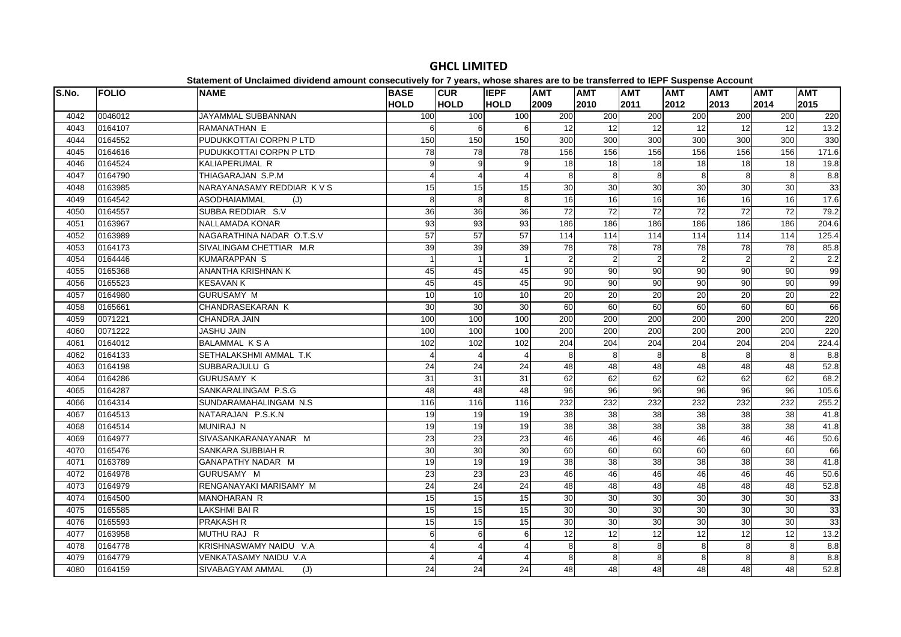| S.No. | <b>FOLIO</b> | <b>NAME</b>                | <b>BASE</b>           | <b>CUR</b>      | <b>IEPF</b>      | <b>AMT</b>      | <b>AMT</b>     | <b>AMT</b>      | <b>AMT</b>      | <b>AMT</b>     | <b>AMT</b>        | <b>AMT</b> |
|-------|--------------|----------------------------|-----------------------|-----------------|------------------|-----------------|----------------|-----------------|-----------------|----------------|-------------------|------------|
|       |              |                            | <b>HOLD</b>           | <b>HOLD</b>     | <b>HOLD</b>      | 2009            | 2010           | 2011            | 2012            | 2013           | 2014              | 2015       |
| 4042  | 0046012      | JAYAMMAL SUBBANNAN         | 100                   | 100             | 100              | 200             | 200            | 200             | 200             | 200            | 200               | 220        |
| 4043  | 0164107      | RAMANATHAN E               | 6                     | 6               | 6                | $\overline{12}$ | 12             | $\overline{12}$ | 12              | 12             | 12                | $13.2$     |
| 4044  | 0164552      | PUDUKKOTTAI CORPN P LTD    | 150                   | 150             | 150              | 300             | 300            | 300             | 300             | 300            | 300               | 330        |
| 4045  | 0164616      | PUDUKKOTTAI CORPN P LTD    | 78                    | 78              | 78               | 156             | 156            | 156             | 156             | 156            | 156               | 171.6      |
| 4046  | 0164524      | KALIAPERUMAL R             | 9                     | 9               | 9                | 18              | 18             | $\frac{1}{8}$   | 18              | 18             | 18                | 19.8       |
| 4047  | 0164790      | THIAGARAJAN S.P.M          | $\boldsymbol{\Delta}$ | $\overline{4}$  | 4                | 8               | 8              | 8               | 8               | 8              | $\overline{8}$    | 8.8        |
| 4048  | 0163985      | NARAYANASAMY REDDIAR K V S | 15                    | 15              | 15               | 30              | 30             | 30              | 30              | 30             | 30                | 33         |
| 4049  | 0164542      | <b>ASODHAIAMMAL</b><br>(J) | 8                     | 8               | 8                | 16              | 16             | 16              | 16              | 16             | 16                | 17.6       |
| 4050  | 0164557      | SUBBA REDDIAR S.V          | 36                    | 36              | 36               | 72              | 72             | 72              | 72              | 72             | 72                | 79.2       |
| 4051  | 0163967      | NALLAMADA KONAR            | 93                    | $\overline{93}$ | 93               | 186             | 186            | 186             | 186             | 186            | 186               | 204.6      |
| 4052  | 0163989      | NAGARATHINA NADAR O.T.S.V  | $\overline{57}$       | 57              | 57               | 114             | 114            | 114             | 114             | 114            | $\frac{114}{114}$ | 125.4      |
| 4053  | 0164173      | SIVALINGAM CHETTIAR M.R.   | 39                    | 39              | 39               | 78              | 78             | 78              | 78              | 78             | 78                | 85.8       |
| 4054  | 0164446      | <b>KUMARAPPAN S</b>        |                       | $\mathbf{1}$    |                  | $\overline{2}$  | $\overline{2}$ | $\overline{2}$  |                 | $\overline{2}$ | $\overline{2}$    | 2.2        |
| 4055  | 0165368      | ANANTHA KRISHNAN K         | 45                    | 45              | 45               | 90              | 90             | 90              | 90              | 90             | 90                | 99         |
| 4056  | 0165523      | <b>KESAVAN K</b>           | 45                    | 45              | 45               | 90              | 90             | 90              | 90              | 90             | 90                | 99         |
| 4057  | 0164980      | <b>GURUSAMY M</b>          | 10                    | $\overline{10}$ | 10               | 20              | 20             | $\overline{20}$ | 20              | 20             | $\overline{20}$   | 22         |
| 4058  | 0165661      | CHANDRASEKARAN K           | 30                    | 30              | 30               | 60              | 60             | 60              | 60              | 60             | 60                | 66         |
| 4059  | 0071221      | CHANDRA JAIN               | 100                   | 100             | 100              | 200             | 200            | 200             | 200             | 200            | 200               | 220        |
| 4060  | 0071222      | <b>JASHU JAIN</b>          | 100                   | 100             | 100              | 200             | 200            | 200             | 200             | 200            | 200               | 220        |
| 4061  | 0164012      | <b>BALAMMAL KSA</b>        | 102                   | 102             | 102              | 204             | 204            | 204             | 204             | 204            | 204               | 224.4      |
| 4062  | 0164133      | SETHALAKSHMI AMMAL T.K     |                       | $\overline{4}$  | 4                | 8               | 8              | 8               | 8               | 8              | 8                 | 8.8        |
| 4063  | 0164198      | SUBBARAJULU G              | 24                    | $\overline{24}$ | $\overline{24}$  | 48              | 48             | 48              | 48              | 48             | 48                | 52.8       |
| 4064  | 0164286      | <b>GURUSAMY K</b>          | 31                    | 31              | 31               | 62              | 62             | 62              | 62              | 62             | 62                | 68.2       |
| 4065  | 0164287      | SANKARALINGAM P.S.G        | 48                    | 48              | 48               | 96              | 96             | 96              | 96              | 96             | 96                | 105.6      |
| 4066  | 0164314      | SUNDARAMAHALINGAM N.S.     | 116                   | 116             | 116              | 232             | 232            | 232             | 232             | 232            | 232               | 255.2      |
| 4067  | 0164513      | NATARAJAN P.S.K.N          | 19                    | 19              | 19               | 38              | 38             | 38              | 38              | 38             | 38                | 41.8       |
| 4068  | 0164514      | <b>MUNIRAJ N</b>           | 19                    | 19              | 19               | $\overline{38}$ | 38             | 38              | $\overline{38}$ | 38             | 38                | 41.8       |
| 4069  | 0164977      | SIVASANKARANAYANAR M       | 23                    | 23              | 23               | 46              | 46             | 46              | 46              | 46             | 46                | 50.6       |
| 4070  | 0165476      | SANKARA SUBBIAH R          | 30                    | 30              | 30               | 60              | 60             | 60              | 60              | 60             | 60                | 66         |
| 4071  | 0163789      | GANAPATHY NADAR M          | 19                    | 19              | 19               | 38              | 38             | 38              | 38              | 38             | 38                | 41.8       |
| 4072  | 0164978      | GURUSAMY M                 | 23                    | 23              | 23               | 46              | 46             | 46              | 46              | 46             | 46                | 50.6       |
| 4073  | 0164979      | RENGANAYAKI MARISAMY M     | 24                    | 24              | 24               | 48              | 48             | 48              | 48              | 48             | 48                | 52.8       |
| 4074  | 0164500      | MANOHARAN R                | 15                    | 15              | 15               | 30              | 30             | 30              | 30              | 30             | 30                | 33         |
| 4075  | 0165585      | <b>LAKSHMI BAI R</b>       | 15                    | 15              | 15               | 30              | 30             | 30              | 30              | 30             | 30                | 33         |
| 4076  | 0165593      | <b>PRAKASH R</b>           | 15                    | $\overline{15}$ | 15               | 30              | 30             | 30              | 30              | 30             | 30                | 33         |
| 4077  | 0163958      | MUTHU RAJ R                | 6                     | 6               | $6 \overline{6}$ | 12              | 12             | 12              | 12              | 12             | 12                | 13.2       |
| 4078  | 0164778      | KRISHNASWAMY NAIDU V.A     | 4                     | 4               | 4                | 8               | 8              | 8               | 8               | 8              | 8                 | 8.8        |
| 4079  | 0164779      | VENKATASAMY NAIDU V.A      |                       | $\overline{4}$  | Δ                | 8               | 8              | 8               | 8               | 8              | 8                 | 8.8        |
| 4080  | 0164159      | SIVABAGYAM AMMAL<br>(J)    | 24                    | 24              | 24               | 48              | 48             | 48              | 48              | 48             | 48                | 52.8       |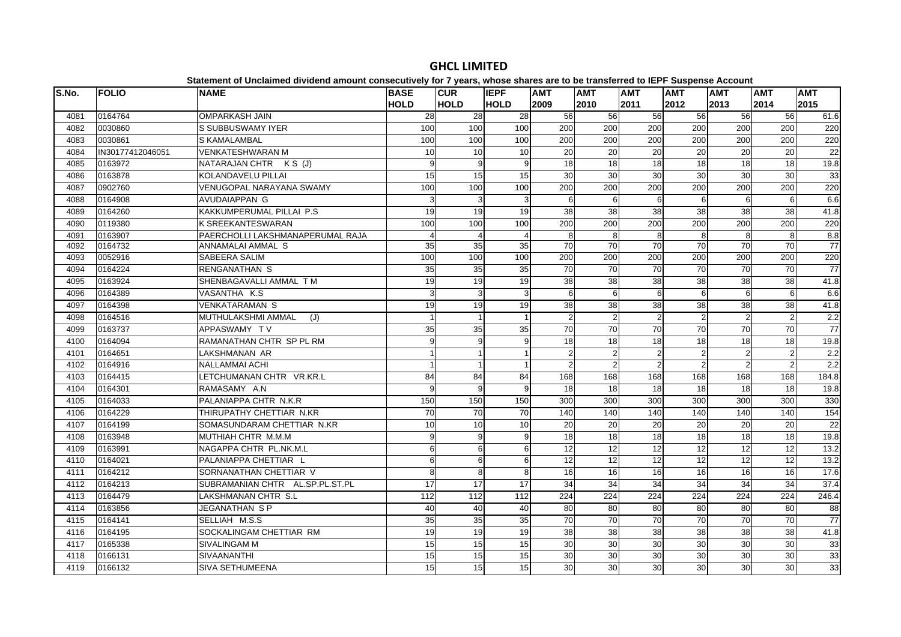| S.No. | <b>FOLIO</b>     | <b>NAME</b>                      | <b>BASE</b><br><b>HOLD</b> | <b>CUR</b><br><b>HOLD</b> | <b>IEPF</b><br><b>HOLD</b> | <b>AMT</b><br>2009 | <b>AMT</b><br>2010 | <b>AMT</b><br>2011 | <b>AMT</b><br>2012 | <b>AMT</b><br>2013 | <b>AMT</b><br>2014 | <b>AMT</b><br>2015 |
|-------|------------------|----------------------------------|----------------------------|---------------------------|----------------------------|--------------------|--------------------|--------------------|--------------------|--------------------|--------------------|--------------------|
| 4081  | 0164764          | <b>OMPARKASH JAIN</b>            | $\overline{28}$            | 28                        | $\overline{28}$            | 56                 | 56                 | 56                 | 56                 | 56                 | 56                 | 61.6               |
| 4082  | 0030860          | S SUBBUSWAMY IYER                | 100                        | 100                       | 100                        | 200                | 200                | 200                | 200                | 200                | 200                | 220                |
| 4083  | 0030861          | S KAMALAMBAL                     | 100                        | 100                       | 100                        | 200                | 200                | 200                | 200                | 200                | 200                | 220                |
| 4084  | IN30177412046051 | <b>VENKATESHWARAN M</b>          | 10                         | $\overline{10}$           | 10                         | 20                 | 20                 | $\overline{20}$    | $\overline{20}$    | $\overline{20}$    | 20                 | 22                 |
| 4085  | 0163972          | NATARAJAN CHTR K S (J)           | 9                          | 9                         | 9                          | 18                 | 18                 | 18                 | 18                 | 18                 | 18                 | 19.8               |
| 4086  | 0163878          | <b>KOLANDAVELU PILLAI</b>        | 15                         | 15                        | 15                         | 30                 | 30                 | 30                 | 30                 | 30                 | 30                 | 33                 |
| 4087  | 0902760          | VENUGOPAL NARAYANA SWAMY         | 100                        | 100                       | 100                        | 200                | 200                | 200                | 200                | 200                | 200                | 220                |
| 4088  | 0164908          | <b>AVUDAIAPPAN G</b>             | 3                          | 3                         | 3                          | 6                  | 6                  | 6                  | 6                  | 6                  | 6                  | 6.6                |
| 4089  | 0164260          | KAKKUMPERUMAL PILLAI P.S         | 19                         | $\overline{19}$           | 19                         | 38                 | 38                 | 38                 | 38                 | 38                 | 38                 | 41.8               |
| 4090  | 0119380          | <b>K SREEKANTESWARAN</b>         | 100                        | 100                       | 100                        | 200                | 200                | 200                | 200                | 200                | 200                | 220                |
| 4091  | 0163907          | PAERCHOLLI LAKSHMANAPERUMAL RAJA | $\boldsymbol{\Delta}$      | $\overline{4}$            | $\overline{4}$             | 8                  | 8                  | 8                  | 8                  | 8                  | 8                  | 8.8                |
| 4092  | 0164732          | ANNAMALAI AMMAL S                | 35                         | 35                        | 35                         | $\overline{70}$    | $\overline{70}$    | $\overline{70}$    | 70                 | 70                 | $\overline{70}$    | 77                 |
| 4093  | 0052916          | SABEERA SALIM                    | 100                        | 100                       | 100                        | 200                | 200                | 200                | 200                | 200                | 200                | 220                |
| 4094  | 0164224          | <b>RENGANATHAN S</b>             | 35                         | 35                        | 35                         | 70                 | 70                 | 70                 | 70                 | 70                 | 70                 | 77                 |
| 4095  | 0163924          | SHENBAGAVALLI AMMAL TM           | 19                         | 19                        | 19                         | 38                 | 38                 | 38                 | 38                 | 38                 | 38                 | 41.8               |
| 4096  | 0164389          | VASANTHA K.S.                    | 3                          | 3                         | 3                          | 6                  | 6                  | 6                  | 6                  | 6                  | 6                  | 6.6                |
| 4097  | 0164398          | <b>VENKATARAMAN S</b>            | 19                         | 19                        | 19                         | 38                 | 38                 | 38                 | 38                 | 38                 | 38                 | 41.8               |
| 4098  | 0164516          | MUTHULAKSHMI AMMAL<br>(J)        |                            | $\mathbf{1}$              |                            | $\overline{2}$     | $\overline{2}$     | $\overline{2}$     |                    | $\overline{2}$     | $\overline{2}$     | 2.2                |
| 4099  | 0163737          | APPASWAMY TV                     | 35                         | 35                        | 35                         | 70                 | 70                 | 70                 | 70                 | 70                 | 70                 | 77                 |
| 4100  | 0164094          | RAMANATHAN CHTR SP PL RM         | 9                          | 9                         | 9                          | 18                 | 18                 | $\overline{18}$    | 18                 | 18                 | 18                 | 19.8               |
| 4101  | 0164651          | LAKSHMANAN AR                    |                            | $\mathbf{1}$              |                            | $\overline{2}$     | $\overline{2}$     | $\overline{2}$     | $\overline{2}$     | $\overline{2}$     | $\overline{2}$     | 2.2                |
| 4102  | 0164916          | <b>NALLAMMAI ACHI</b>            |                            | 1                         |                            | 2                  |                    | $\overline{2}$     |                    | $\overline{2}$     | 2                  | 2.2                |
| 4103  | 0164415          | LETCHUMANAN CHTR VR.KR.L         | 84                         | 84                        | 84                         | 168                | 168                | 168                | 168                | 168                | 168                | 184.8              |
| 4104  | 0164301          | RAMASAMY A.N                     | 9                          | 9                         | 9                          | 18                 | $\overline{18}$    | $\overline{18}$    | 18                 | 18                 | $\overline{18}$    | 19.8               |
| 4105  | 0164033          | PALANIAPPA CHTR N.K.R            | 150                        | 150                       | 150                        | 300                | $\overline{300}$   | 300                | $\overline{300}$   | 300                | 300                | 330                |
| 4106  | 0164229          | THIRUPATHY CHETTIAR N.KR         | 70                         | $\overline{70}$           | 70                         | 140                | 140                | 140                | 140                | 140                | 140                | 154                |
| 4107  | 0164199          | SOMASUNDARAM CHETTIAR N.KR       | 10                         | 10                        | 10                         | 20                 | 20                 | $\overline{20}$    | 20                 | 20                 | 20                 | 22                 |
| 4108  | 0163948          | MUTHIAH CHTR M.M.M               | 9                          | 9                         | 9                          | 18                 | 18                 | 18                 | 18                 | 18                 | 18                 | 19.8               |
| 4109  | 0163991          | NAGAPPA CHTR PL.NK.M.L           | 6                          | 6                         | 6                          | $\overline{12}$    | 12                 | 12                 | 12                 | 12                 | $\overline{12}$    | $13.2$             |
| 4110  | 0164021          | PALANIAPPA CHETTIAR L            | 6                          | 6                         | $6 \mid$                   | 12                 | 12                 | 12                 | 12                 | 12                 | 12                 | 13.2               |
| 4111  | 0164212          | SORNANATHAN CHETTIAR V           | 8                          | 8                         | 8                          | 16                 | 16                 | 16                 | 16                 | 16                 | 16                 | 17.6               |
| 4112  | 0164213          | SUBRAMANIAN CHTR AL.SP.PL.ST.PL  | 17                         | 17                        | 17                         | 34                 | 34                 | 34                 | 34                 | 34                 | 34                 | 37.4               |
| 4113  | 0164479          | LAKSHMANAN CHTR S.L              | 112                        | 112                       | 112                        | 224                | 224                | 224                | 224                | 224                | 224                | 246.4              |
| 4114  | 0163856          | <b>JEGANATHAN S P</b>            | 40                         | 40                        | 40                         | 80                 | 80                 | 80                 | 80                 | 80                 | 80                 | 88                 |
| 4115  | 0164141          | SELLIAH M.S.S                    | 35                         | 35                        | 35                         | 70                 | 70                 | $\overline{70}$    | $\overline{70}$    | 70                 | $\overline{70}$    | 77                 |
| 4116  | 0164195          | SOCKALINGAM CHETTIAR RM          | 19                         | 19                        | 19                         | 38                 | 38                 | 38                 | 38                 | 38                 | 38                 | 41.8               |
| 4117  | 0165338          | SIVALINGAM M                     | 15                         | 15                        | 15                         | 30                 | 30                 | 30                 | 30                 | 30                 | 30                 | 33                 |
| 4118  | 0166131          | <b>SIVAANANTHI</b>               | 15                         | 15                        | 15                         | 30                 | 30                 | 30                 | 30                 | 30                 | 30                 | 33                 |
| 4119  | 0166132          | <b>SIVA SETHUMEENA</b>           | 15                         | 15                        | 15                         | 30                 | 30                 | 30                 | 30                 | 30                 | 30                 | 33                 |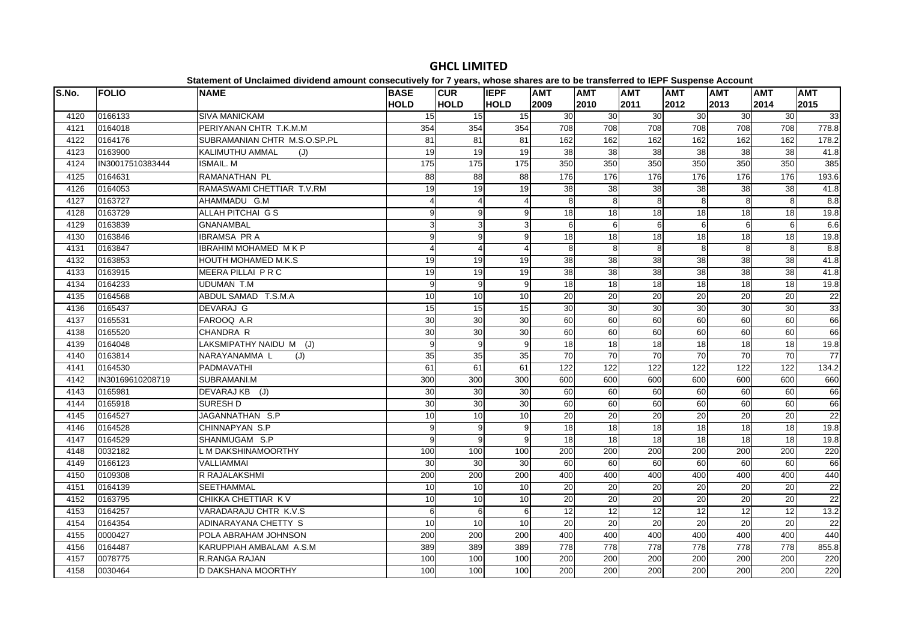| S.No. | <b>FOLIO</b>     | <b>NAME</b>                  | <b>BASE</b><br><b>HOLD</b> | <b>CUR</b><br><b>HOLD</b> | <b>IEPF</b><br><b>HOLD</b> | <b>AMT</b><br>2009 | <b>AMT</b><br>2010 | <b>AMT</b><br>2011 | <b>AMT</b><br>2012 | <b>AMT</b><br>2013 | <b>AMT</b><br>2014 | <b>AMT</b><br>2015 |
|-------|------------------|------------------------------|----------------------------|---------------------------|----------------------------|--------------------|--------------------|--------------------|--------------------|--------------------|--------------------|--------------------|
| 4120  | 0166133          | <b>SIVA MANICKAM</b>         | 15                         | 15 <sup>1</sup>           | 15                         | 30                 | 30                 | 30                 | 30                 | 30                 | 30                 | 33                 |
| 4121  | 0164018          | PERIYANAN CHTR T.K.M.M       | 354                        | 354                       | 354                        | 708                | 708                | 708                | 708                | 708                | 708                | 778.8              |
| 4122  | 0164176          | SUBRAMANIAN CHTR M.S.O.SP.PL | 81                         | 81                        | 81                         | 162                | 162                | 162                | 162                | 162                | 162                | 178.2              |
| 4123  | 0163900          | KALIMUTHU AMMAL<br>(J)       | 19                         | 19                        | 19                         | 38                 | 38                 | 38                 | 38                 | 38                 | 38                 | 41.8               |
| 4124  | IN30017510383444 | <b>ISMAIL. M</b>             | 175                        | $\frac{175}{2}$           | $\frac{1}{175}$            | 350                | 350                | 350                | 350                | 350                | 350                | 385                |
| 4125  | 0164631          | RAMANATHAN PL                | 88                         | 88                        | 88                         | 176                | 176                | 176                | 176                | 176                | 176                | 193.6              |
| 4126  | 0164053          | RAMASWAMI CHETTIAR T.V.RM    | 19                         | 19                        | 19                         | 38                 | 38                 | 38                 | 38                 | 38                 | 38                 | 41.8               |
| 4127  | 0163727          | AHAMMADU G.M                 | 4                          | 4                         | 4                          | 8                  | 8                  | 8                  | 8                  | 8                  | 8                  | 8.8                |
| 4128  | 0163729          | ALLAH PITCHAI G S            | q                          | 9                         | 9                          | 18                 | 18                 | 18                 | 18                 | 18                 | 18                 | 19.8               |
| 4129  | 0163839          | <b>GNANAMBAL</b>             | 31                         | 3                         | 3                          | 6                  | 6                  | 6                  | 6                  | 6                  | 6                  | 6.6                |
| 4130  | 0163846          | <b>IBRAMSA PR A</b>          | 9                          | 9                         | 9                          | 18                 | 18                 | 18                 | 18                 | 18                 | $\frac{1}{8}$      | 19.8               |
| 4131  | 0163847          | <b>IBRAHIM MOHAMED MKP</b>   | $\boldsymbol{\Delta}$      | $\overline{4}$            | $\overline{4}$             | 8                  | 8                  | 8                  | 8                  | 8                  | 8                  | 8.8                |
| 4132  | 0163853          | HOUTH MOHAMED M.K.S          | 19                         | 19                        | 19                         | 38                 | 38                 | 38                 | 38                 | 38                 | 38                 | 41.8               |
| 4133  | 0163915          | MEERA PILLAI P R C           | 19                         | 19                        | 19                         | 38                 | 38                 | 38                 | 38                 | 38                 | 38                 | 41.8               |
| 4134  | 0164233          | <b>UDUMAN T.M</b>            | 9                          | 9                         | 9                          | 18                 | 18                 | $\overline{18}$    | 18                 | 18                 | $\overline{18}$    | 19.8               |
| 4135  | 0164568          | ABDUL SAMAD T.S.M.A          | 10                         | 10                        | 10                         | 20                 | 20                 | 20                 | 20                 | 20                 | 20                 | 22                 |
| 4136  | 0165437          | DEVARAJ G                    | 15                         | 15                        | 15                         | 30                 | 30                 | 30                 | 30                 | 30                 | 30                 | 33                 |
| 4137  | 0165531          | FAROOQ A.R                   | 30                         | 30                        | 30                         | 60                 | 60                 | 60                 | 60                 | 60                 | $\overline{60}$    | 66                 |
| 4138  | 0165520          | CHANDRA R                    | 30                         | 30                        | 30                         | 60                 | 60                 | 60                 | 60                 | 60                 | 60                 | 66                 |
| 4139  | 0164048          | LAKSMIPATHY NAIDU M (J)      | 9                          | 9                         | 9                          | 18                 | 18                 | 18                 | 18                 | 18                 | $\overline{18}$    | 19.8               |
| 4140  | 0163814          | NARAYANAMMA L<br>(J)         | 35                         | 35                        | 35                         | 70                 | 70                 | 70                 | 70                 | 70                 | 70                 | 77                 |
| 4141  | 0164530          | <b>PADMAVATHI</b>            | 61                         | 61                        | 61                         | 122                | 122                | $\overline{122}$   | 122                | 122                | 122                | 134.2              |
| 4142  | IN30169610208719 | SUBRAMANI.M                  | 300                        | 300                       | 300                        | 600                | 600                | 600                | 600                | 600                | 600                | 660                |
| 4143  | 0165981          | DEVARAJ KB (J)               | 30                         | 30                        | 30                         | 60                 | 60                 | 60                 | 60                 | 60                 | 60                 | 66                 |
| 4144  | 0165918          | <b>SURESH D</b>              | 30                         | 30                        | 30                         | 60                 | 60                 | 60                 | 60                 | 60                 | 60                 | 66                 |
| 4145  | 0164527          | JAGANNATHAN S.P              | 10                         | 10                        | 10                         | 20                 | 20                 | 20                 | 20                 | 20                 | 20                 | 22                 |
| 4146  | 0164528          | CHINNAPYAN S.P               | 9                          | 9                         | 9                          | 18                 | 18                 | $\frac{1}{8}$      | 18                 | 18                 | $\frac{1}{8}$      | 19.8               |
| 4147  | 0164529          | SHANMUGAM S.P                | q                          | 9                         | 9                          | $\overline{18}$    | $\overline{18}$    | $\overline{18}$    | $\overline{18}$    | 18                 | $\frac{1}{8}$      | 19.8               |
| 4148  | 0032182          | L M DAKSHINAMOORTHY          | 100                        | 100                       | 100                        | 200                | 200                | 200                | 200                | 200                | 200                | 220                |
| 4149  | 0166123          | <b>VALLIAMMAI</b>            | 30                         | 30                        | 30                         | 60                 | 60                 | 60                 | 60                 | 60                 | 60                 | 66                 |
| 4150  | 0109308          | R RAJALAKSHMI                | 200                        | 200                       | 200                        | 400                | 400                | 400                | 400                | 400                | 400                | 440                |
| 4151  | 0164139          | <b>SEETHAMMAL</b>            | 10                         | 10                        | 10                         | 20                 | 20                 | 20                 | 20                 | 20                 | 20                 | 22                 |
| 4152  | 0163795          | CHIKKA CHETTIAR K V          | 10                         | 10                        | 10                         | 20                 | 20                 | 20                 | $\overline{20}$    | 20                 | 20                 | 22                 |
| 4153  | 0164257          | VARADARAJU CHTR K.V.S        | 6                          | $6\phantom{a}$            | $6 \overline{6}$           | 12                 | $\overline{12}$    | $\overline{12}$    | 12                 | 12                 | 12                 | 13.2               |
| 4154  | 0164354          | ADINARAYANA CHETTY S         | 10                         | 10                        | 10                         | 20                 | 20                 | 20                 | 20                 | 20                 | 20                 | 22                 |
| 4155  | 0000427          | POLA ABRAHAM JOHNSON         | 200                        | 200                       | 200                        | 400                | 400                | 400                | 400                | 400                | 400                | 440                |
| 4156  | 0164487          | KARUPPIAH AMBALAM A.S.M      | 389                        | 389                       | 389                        | 778                | 778                | 778                | 778                | 778                | 778                | 855.8              |
| 4157  | 0078775          | <b>R.RANGA RAJAN</b>         | 100                        | 100                       | 100                        | 200                | 200                | 200                | 200                | 200                | 200                | 220                |
| 4158  | 0030464          | D DAKSHANA MOORTHY           | 100                        | 100                       | 100                        | 200                | 200                | 200                | 200                | 200                | 200                | 220                |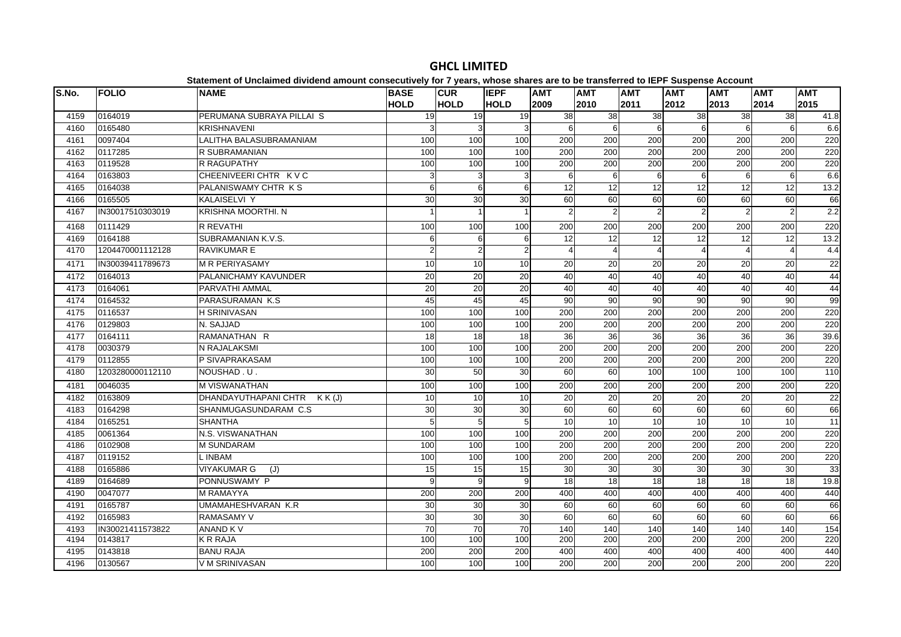| S.No. | <b>FOLIO</b>     | <b>NAME</b>                | <b>BASE</b><br><b>HOLD</b> | <b>CUR</b><br><b>HOLD</b> | <b>IEPF</b><br><b>HOLD</b> | <b>AMT</b><br>2009    | <b>AMT</b><br>2010 | <b>AMT</b><br>2011      | <b>AMT</b><br>2012 | <b>AMT</b><br>2013 | <b>AMT</b><br>2014      | <b>AMT</b><br>2015 |
|-------|------------------|----------------------------|----------------------------|---------------------------|----------------------------|-----------------------|--------------------|-------------------------|--------------------|--------------------|-------------------------|--------------------|
| 4159  | 0164019          | PERUMANA SUBRAYA PILLAI S  | 19                         | 19                        | 19 <sup>l</sup>            | 38                    | 38                 | 38                      | 38                 | 38                 | 38                      | 41.8               |
| 4160  | 0165480          | <b>KRISHNAVENI</b>         | 3                          | 3                         | 3                          | 6                     | 6                  | 6                       | 6                  | 6                  | 6                       | 6.6                |
| 4161  | 0097404          | LALITHA BALASUBRAMANIAM    | 100                        | 100                       | 100                        | 200                   | 200                | 200                     | 200                | 200                | 200                     | 220                |
| 4162  | 0117285          | R SUBRAMANIAN              | 100                        | 100                       | 100                        | $\overline{200}$      | 200                | 200                     | 200                | 200                | $\overline{200}$        | 220                |
| 4163  | 0119528          | R RAGUPATHY                | 100                        | 100                       | 100                        | 200                   | 200                | 200                     | 200                | 200                | 200                     | 220                |
| 4164  | 0163803          | CHEENIVEERI CHTR K V C     | 3                          | 3                         | 3                          | 6                     | 6                  | 6                       | 6                  | 6                  | 6                       | 6.6                |
| 4165  | 0164038          | PALANISWAMY CHTR KS        | 6                          | $6 \overline{6}$          | 6                          | 12                    | 12                 | $\overline{12}$         | 12                 | 12                 | $\overline{12}$         | 13.2               |
| 4166  | 0165505          | KALAISELVI Y               | 30                         | 30                        | 30                         | 60                    | 60                 | 60                      | 60                 | 60                 | 60                      | 66                 |
| 4167  | IN30017510303019 | KRISHNA MOORTHI. N         |                            | $\mathbf{1}$              |                            | $\mathfrak{p}$        | 2                  | $\overline{2}$          |                    | $\overline{2}$     | $\overline{2}$          | 2.2                |
| 4168  | 0111429          | R REVATHI                  | 100                        | 100                       | 100                        | 200                   | 200                | 200                     | 200                | 200                | 200                     | 220                |
| 4169  | 0164188          | SUBRAMANIAN K.V.S.         | 6                          | 6                         | 6                          | 12                    | 12                 | 12                      | 12                 | 12                 | 12                      | 13.2               |
| 4170  | 1204470001112128 | <b>RAVIKUMAR E</b>         | $\overline{2}$             | $\mathbf 2$               | $\overline{2}$             | $\boldsymbol{\Delta}$ | Δ                  | $\overline{\mathbf{A}}$ |                    | Δ                  | $\overline{\mathbf{A}}$ | 4.4                |
| 4171  | IN30039411789673 | <b>M R PERIYASAMY</b>      | 10                         | 10                        | 10                         | 20                    | 20                 | 20                      | 20                 | 20                 | 20                      | 22                 |
| 4172  | 0164013          | PALANICHAMY KAVUNDER       | 20                         | 20                        | 20                         | 40                    | 40                 | 40                      | 40                 | 40                 | 40                      | 44                 |
| 4173  | 0164061          | PARVATHI AMMAL             | 20                         | $\overline{20}$           | $\overline{20}$            | 40                    | 40                 | 40                      | 40                 | 40                 | 40                      | 44                 |
| 4174  | 0164532          | PARASURAMAN K.S            | 45                         | 45                        | 45                         | 90                    | 90                 | 90                      | 90                 | 90                 | 90                      | 99                 |
| 4175  | 0116537          | <b>H SRINIVASAN</b>        | 100                        | 100                       | 100                        | 200                   | 200                | 200                     | 200                | 200                | 200                     | 220                |
| 4176  | 0129803          | N. SAJJAD                  | 100                        | 100                       | 100                        | 200                   | 200                | 200                     | 200                | 200                | 200                     | 220                |
| 4177  | 0164111          | RAMANATHAN R               | 18                         | 18                        | 18                         | 36                    | 36                 | 36                      | 36                 | 36                 | 36                      | 39.6               |
| 4178  | 0030379          | N RAJALAKSMI               | 100                        | 100                       | 100                        | 200                   | 200                | 200                     | 200                | 200                | 200                     | 220                |
| 4179  | 0112855          | P SIVAPRAKASAM             | 100                        | 100                       | 100                        | $\overline{200}$      | 200                | $\overline{200}$        | 200                | 200                | $\overline{200}$        | 220                |
| 4180  | 1203280000112110 | NOUSHAD, U                 | 30                         | 50                        | 30                         | 60                    | 60                 | 100                     | 100                | 100                | 100                     | 110                |
| 4181  | 0046035          | <b>M VISWANATHAN</b>       | 100                        | 100                       | 100                        | 200                   | 200                | 200                     | 200                | 200                | 200                     | 220                |
| 4182  | 0163809          | DHANDAYUTHAPANI CHTR KK(J) | 10                         | 10                        | 10                         | 20                    | 20                 | 20                      | 20                 | 20                 | 20                      | 22                 |
| 4183  | 0164298          | SHANMUGASUNDARAM C.S.      | 30                         | 30                        | 30                         | 60                    | 60                 | 60                      | 60                 | 60                 | 60                      | 66                 |
| 4184  | 0165251          | <b>SHANTHA</b>             | 5                          | 5                         | $5\overline{)}$            | 10                    | 10                 | $\overline{10}$         | 10                 | 10                 | $\overline{10}$         | 11                 |
| 4185  | 0061364          | N.S. VISWANATHAN           | 100                        | 100                       | 100                        | 200                   | 200                | 200                     | 200                | 200                | $\overline{200}$        | 220                |
| 4186  | 0102908          | <b>M SUNDARAM</b>          | 100                        | 100                       | 100                        | 200                   | 200                | 200                     | 200                | 200                | 200                     | 220                |
| 4187  | 0119152          | L INBAM                    | 100                        | 100                       | 100                        | 200                   | 200                | 200                     | 200                | 200                | 200                     | 220                |
| 4188  | 0165886          | <b>VIYAKUMAR G</b><br>(J)  | 15                         | $\overline{15}$           | 15                         | 30                    | 30                 | 30                      | 30                 | 30                 | 30                      | 33                 |
| 4189  | 0164689          | PONNUSWAMY P               | 9                          | 9                         | 9                          | 18                    | $\overline{18}$    | $\overline{18}$         | 18                 | 18                 | 18                      | 19.8               |
| 4190  | 0047077          | <b>M RAMAYYA</b>           | 200                        | $\overline{200}$          | 200                        | 400                   | 400                | 400                     | 400                | 400                | 400                     | 440                |
| 4191  | 0165787          | UMAMAHESHVARAN K.R         | 30                         | 30                        | 30                         | 60                    | 60                 | 60                      | 60                 | 60                 | 60                      | 66                 |
| 4192  | 0165983          | <b>RAMASAMY V</b>          | 30                         | 30                        | 30                         | 60                    | 60                 | 60                      | 60                 | 60                 | 60                      | 66                 |
| 4193  | IN30021411573822 | <b>ANAND KV</b>            | 70                         | $\overline{70}$           | 70                         | 140                   | 140                | 140                     | 140                | 140                | 140                     | 154                |
| 4194  | 0143817          | <b>K R RAJA</b>            | 100                        | 100                       | 100                        | 200                   | 200                | 200                     | 200                | 200                | 200                     | 220                |
| 4195  | 0143818          | <b>BANU RAJA</b>           | 200                        | 200                       | 200                        | 400                   | 400                | 400                     | 400                | 400                | 400                     | 440                |
| 4196  | 0130567          | V M SRINIVASAN             | 100                        | 100                       | 100                        | 200                   | 200                | 200                     | 200                | 200                | 200                     | 220                |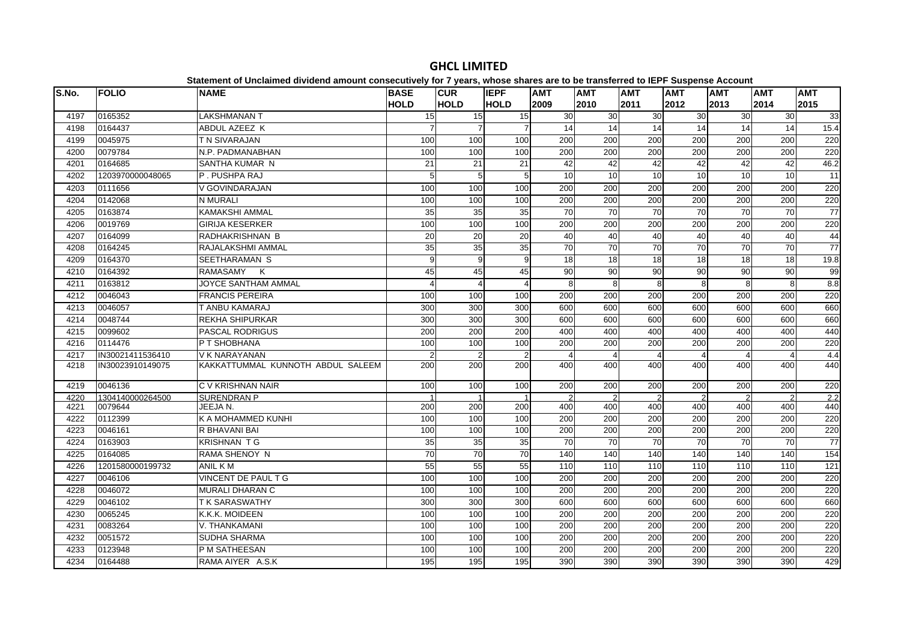| S.No.        | <b>FOLIO</b>       | <b>NAME</b>                       | <b>BASE</b>    | <b>CUR</b>      | <b>IEPF</b>     | <b>AMT</b>      | <b>AMT</b>       | <b>AMT</b>       | <b>AMT</b> | <b>AMT</b>      | <b>AMT</b>            | <b>AMT</b>      |
|--------------|--------------------|-----------------------------------|----------------|-----------------|-----------------|-----------------|------------------|------------------|------------|-----------------|-----------------------|-----------------|
|              |                    |                                   | <b>HOLD</b>    | <b>HOLD</b>     | <b>HOLD</b>     | 2009            | 2010             | 2011             | 2012       | 2013            | 2014                  | 2015            |
| 4197         | 0165352            | LAKSHMANAN T                      | 15             | 15              | 15              | 30              | 30               | 30               | 30         | 30              | 30                    | 33              |
| 4198         | 0164437            | ABDUL AZEEZ K                     |                | $\overline{7}$  | $\overline{7}$  | 14              | 14               | 14               | 14         | 14              | 14                    | 15.4            |
| 4199         | 0045975            | T N SIVARAJAN                     | 100            | 100             | 100             | 200             | 200              | 200              | 200        | 200             | 200                   | 220             |
| 4200         | 0079784            | N.P. PADMANABHAN                  | 100            | 100             | 100             | 200             | 200              | 200              | 200        | 200             | 200                   | 220             |
| 4201         | 0164685            | SANTHA KUMAR N                    | 21             | 21              | 21              | 42              | 42               | 42               | 42         | 42              | 42                    | 46.2            |
| 4202         | 1203970000048065   | P. PUSHPA RAJ                     | 5              | 5               | 5 <sup>5</sup>  | 10              | 10               | 10               | 10         | 10              | 10                    | $\overline{11}$ |
| 4203         | 0111656            | V GOVINDARAJAN                    | 100            | 100             | 100             | 200             | 200              | 200              | 200        | 200             | 200                   | 220             |
| 4204         | 0142068            | N MURALI                          | 100            | 100             | 100             | 200             | 200              | 200              | 200        | 200             | 200                   | 220             |
| 4205         | 0163874            | <b>KAMAKSHI AMMAL</b>             | 35             | 35              | 35              | $\overline{70}$ | 70               | $\overline{70}$  | 70         | $\overline{70}$ | 70                    | 77              |
| 4206         | 0019769            | <b>GIRIJA KESERKER</b>            | 100            | 100             | 100             | 200             | 200              | 200              | 200        | 200             | 200                   | 220             |
| 4207         | 0164099            | RADHAKRISHNAN B                   | 20             | 20              | 20              | 40              | 40               | 40               | 40         | 40              | 40                    | 44              |
| 4208         | 0164245            | RAJALAKSHMI AMMAL                 | 35             | 35              | 35              | $\overline{70}$ | 70               | $\overline{70}$  | 70         | 70              | $\overline{70}$       | 77              |
| 4209         | 0164370            | SEETHARAMAN S                     | 9              | 9               | $\overline{9}$  | 18              | 18               | 18               | 18         | 18              | 18                    | 19.8            |
| 4210         | 0164392            | RAMASAMY K                        | 45             | 45              | 45              | 90              | 90               | 90               | 90         | 90              | 90                    | 99              |
| 4211         | 0163812            | JOYCE SANTHAM AMMAL               |                | $\overline{4}$  | $\overline{4}$  | 8               | 8                | 8                | 8          | 8               | 8                     | 8.8             |
| 4212         | 0046043            | <b>FRANCIS PEREIRA</b>            | 100            | 100             | 100             | 200             | 200              | 200              | 200        | 200             | 200                   | 220             |
| 4213         | 0046057            | T ANBU KAMARAJ                    | 300            | 300             | 300             | 600             | 600              | 600              | 600        | 600             | 600                   | 660             |
| 4214         | 0048744            | <b>REKHA SHIPURKAR</b>            | 300            | 300             | 300             | 600             | 600              | 600              | 600        | 600             | 600                   | 660             |
| 4215         | 0099602            | <b>PASCAL RODRIGUS</b>            | 200            | 200             | 200             | 400             | 400              | 400              | 400        | 400             | 400                   | 440             |
| 4216         | 0114476            | P T SHOBHANA                      | 100            | 100             | 100             | 200             | 200              | 200              | 200        | 200             | 200                   | 220             |
| 4217         | IN30021411536410   | V K NARAYANAN                     | $\mathfrak{p}$ | $\overline{2}$  | $\mathfrak{p}$  | 4               | 4                | 4                | -4         | 4               | $\boldsymbol{\Delta}$ | 4.4             |
| 4218         | IN30023910149075   | KAKKATTUMMAL KUNNOTH ABDUL SALEEM | 200            | 200             | 200             | 400             | 400              | 400              | 400        | 400             | 400                   | 440             |
|              |                    |                                   |                |                 |                 |                 |                  |                  |            |                 |                       |                 |
| 4219         | 0046136            | C V KRISHNAN NAIR                 | 100            | 100             | 100             | 200             | 200              | 200              | 200        | 200             | 200                   | 220             |
| 4220         | 1304140000264500   | <b>SURENDRAN P</b>                |                | 200             |                 | 400             | 400              | 400              | 400        |                 | 400                   | 2.2             |
| 4221<br>4222 | 0079644<br>0112399 | JEEJA N.<br>K A MOHAMMED KUNHI    | 200<br>100     | 100             | 200             | 200             | 200              | 200              | 200        | 400             | 200                   | 440<br>220      |
|              |                    |                                   |                |                 | 100             |                 |                  |                  |            | 200             |                       |                 |
| 4223         | 0046161            | R BHAVANI BAI                     | 100            | 100             | 100             | 200             | 200              | 200              | 200        | 200             | 200                   | 220             |
| 4224         | 0163903            | <b>KRISHNAN T G</b>               | 35             | 35              | 35              | 70              | 70               | 70               | 70         | 70              | 70                    | 77              |
| 4225         | 0164085            | <b>RAMA SHENOY N</b>              | 70             | $\overline{70}$ | $\overline{70}$ | 140             | 140              | 140              | 140        | 140             | 140                   | 154             |
| 4226         | 1201580000199732   | ANIL K M                          | 55             | 55              | 55              | 110             | 110              | 110              | 110        | 110             | $\frac{110}{110}$     | 121             |
| 4227         | 0046106            | VINCENT DE PAUL T G               | 100            | 100             | 100             | 200             | 200              | 200              | 200        | 200             | 200                   | 220             |
| 4228         | 0046072            | <b>MURALI DHARAN C</b>            | 100            | 100             | 100             | 200             | $\overline{200}$ | $\overline{200}$ | 200        | 200             | $\overline{200}$      | 220             |
| 4229         | 0046102            | <b>TK SARASWATHY</b>              | 300            | 300             | 300             | 600             | 600              | 600              | 600        | 600             | 600                   | 660             |
| 4230         | 0065245            | K.K.K. MOIDEEN                    | 100            | 100             | 100             | 200             | 200              | 200              | 200        | 200             | 200                   | 220             |
| 4231         | 0083264            | V. THANKAMANI                     | 100            | 100             | 100             | 200             | $\overline{200}$ | $\overline{200}$ | 200        | 200             | $\overline{200}$      | 220             |
| 4232         | 0051572            | SUDHA SHARMA                      | 100            | 100             | 100             | 200             | 200              | 200              | 200        | 200             | 200                   | 220             |
| 4233         | 0123948            | P M SATHEESAN                     | 100            | 100             | 100             | 200             | 200              | 200              | 200        | 200             | 200                   | 220             |
| 4234         | 0164488            | RAMA AIYER A.S.K                  | 195            | 195             | 195             | 390             | 390              | 390              | 390        | 390             | 390                   | 429             |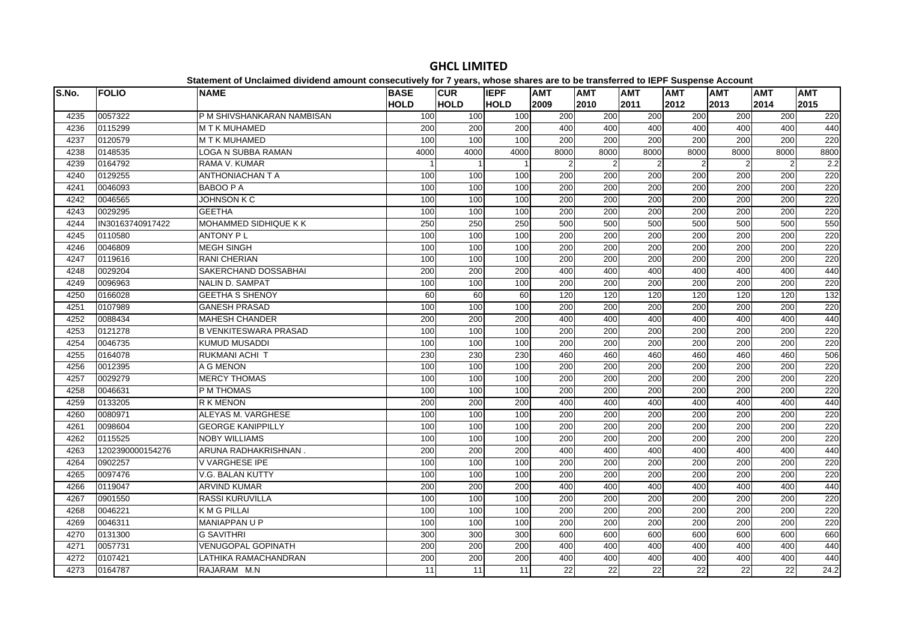| S.No. | <b>FOLIO</b>     | <b>NAME</b>                  | <b>BASE</b><br><b>HOLD</b> | <b>CUR</b><br><b>HOLD</b> | <b>IEPF</b><br><b>HOLD</b> | <b>AMT</b><br>2009 | <b>AMT</b><br>2010 | <b>AMT</b><br>2011 | <b>AMT</b><br>2012 | <b>AMT</b><br>2013 | <b>AMT</b><br>2014 | <b>AMT</b><br>2015 |
|-------|------------------|------------------------------|----------------------------|---------------------------|----------------------------|--------------------|--------------------|--------------------|--------------------|--------------------|--------------------|--------------------|
| 4235  | 0057322          | P M SHIVSHANKARAN NAMBISAN   | 100                        | 100                       | 100                        | 200                | 200                | 200                | 200                | $\overline{200}$   | $\overline{200}$   | 220                |
| 4236  | 0115299          | <b>MTK MUHAMED</b>           | 200                        | 200                       | 200                        | 400                | 400                | 400                | 400                | 400                | 400                | 440                |
| 4237  | 0120579          | <b>MTK MUHAMED</b>           | 100                        | 100                       | 100                        | 200                | 200                | 200                | 200                | 200                | 200                | 220                |
| 4238  | 0148535          | LOGA N SUBBA RAMAN           | 4000                       | 4000                      | 4000                       | 8000               | 8000               | 8000               | 8000               | 8000               | 8000               | 8800               |
| 4239  | 0164792          | RAMA V. KUMAR                |                            | $\mathbf{1}$              |                            | $\overline{2}$     | $\overline{2}$     | $\overline{2}$     | $\overline{2}$     | $\overline{2}$     | $\overline{2}$     | 2.2                |
| 4240  | 0129255          | <b>ANTHONIACHAN T A</b>      | 100                        | 100                       | 100                        | 200                | 200                | 200                | 200                | 200                | 200                | 220                |
| 4241  | 0046093          | <b>BABOO P A</b>             | 100                        | 100                       | 100                        | $\overline{200}$   | 200                | $\overline{200}$   | 200                | $\overline{200}$   | $\overline{200}$   | 220                |
| 4242  | 0046565          | <b>JOHNSON K C</b>           | 100                        | 100                       | 100                        | 200                | 200                | 200                | 200                | 200                | 200                | 220                |
| 4243  | 0029295          | <b>GEETHA</b>                | 100                        | 100                       | 100                        | 200                | 200                | 200                | 200                | 200                | 200                | 220                |
| 4244  | IN30163740917422 | MOHAMMED SIDHIQUE K K        | 250                        | 250                       | 250                        | 500                | 500                | 500                | 500                | 500                | 500                | 550                |
| 4245  | 0110580          | <b>ANTONY PL</b>             | 100                        | 100                       | 100                        | 200                | 200                | 200                | 200                | 200                | 200                | 220                |
| 4246  | 0046809          | <b>MEGH SINGH</b>            | 100                        | 100                       | 100                        | 200                | 200                | 200                | 200                | 200                | 200                | 220                |
| 4247  | 0119616          | RANI CHERIAN                 | 100                        | 100                       | 100                        | 200                | 200                | 200                | 200                | 200                | 200                | 220                |
| 4248  | 0029204          | SAKERCHAND DOSSABHAI         | 200                        | $\overline{200}$          | 200                        | 400                | 400                | 400                | 400                | 400                | 400                | 440                |
| 4249  | 0096963          | <b>NALIN D. SAMPAT</b>       | 100                        | 100                       | 100                        | 200                | 200                | 200                | 200                | 200                | 200                | 220                |
| 4250  | 0166028          | <b>GEETHA S SHENOY</b>       | 60                         | 60                        | 60                         | 120                | 120                | 120                | 120                | 120                | 120                | 132                |
| 4251  | 0107989          | <b>GANESH PRASAD</b>         | 100                        | 100                       | 100                        | 200                | 200                | 200                | 200                | 200                | 200                | 220                |
| 4252  | 0088434          | <b>MAHESH CHANDER</b>        | 200                        | 200                       | 200                        | 400                | 400                | 400                | 400                | 400                | 400                | 440                |
| 4253  | 0121278          | <b>B VENKITESWARA PRASAD</b> | 100                        | 100                       | 100                        | 200                | 200                | 200                | 200                | 200                | 200                | 220                |
| 4254  | 0046735          | <b>KUMUD MUSADDI</b>         | 100                        | 100                       | 100                        | 200                | 200                | 200                | 200                | 200                | 200                | 220                |
| 4255  | 0164078          | RUKMANI ACHI T               | 230                        | 230                       | 230                        | 460                | 460                | 460                | 460                | 460                | 460                | 506                |
| 4256  | 0012395          | A G MENON                    | 100                        | 100                       | 100                        | 200                | $\overline{200}$   | $\overline{200}$   | 200                | 200                | $\overline{200}$   | 220                |
| 4257  | 0029279          | <b>MERCY THOMAS</b>          | 100                        | 100                       | 100                        | 200                | $\overline{200}$   | $\overline{200}$   | 200                | 200                | $\overline{200}$   | 220                |
| 4258  | 0046631          | P M THOMAS                   | 100                        | 100                       | 100                        | 200                | 200                | 200                | 200                | 200                | 200                | 220                |
| 4259  | 0133205          | <b>R K MENON</b>             | 200                        | 200                       | 200                        | 400                | 400                | 400                | 400                | 400                | 400                | 440                |
| 4260  | 0080971          | ALEYAS M. VARGHESE           | 100                        | 100                       | 100                        | 200                | 200                | 200                | 200                | 200                | 200                | 220                |
| 4261  | 0098604          | <b>GEORGE KANIPPILLY</b>     | 100                        | 100                       | 100                        | 200                | 200                | 200                | 200                | 200                | 200                | 220                |
| 4262  | 0115525          | <b>NOBY WILLIAMS</b>         | 100                        | 100                       | 100                        | 200                | 200                | 200                | 200                | 200                | 200                | 220                |
| 4263  | 1202390000154276 | ARUNA RADHAKRISHNAN.         | 200                        | 200                       | 200                        | 400                | 400                | 400                | 400                | 400                | 400                | 440                |
| 4264  | 0902257          | <b>V VARGHESE IPE</b>        | 100                        | 100                       | 100                        | $\overline{200}$   | 200                | $\overline{200}$   | 200                | 200                | $\overline{200}$   | 220                |
| 4265  | 0097476          | <b>V.G. BALAN KUTTY</b>      | 100                        | 100                       | 100                        | 200                | 200                | 200                | 200                | 200                | 200                | 220                |
| 4266  | 0119047          | <b>ARVIND KUMAR</b>          | 200                        | 200                       | 200                        | 400                | 400                | 400                | 400                | 400                | 400                | 440                |
| 4267  | 0901550          | <b>RASSI KURUVILLA</b>       | 100                        | 100                       | 100                        | 200                | 200                | 200                | 200                | 200                | 200                | 220                |
| 4268  | 0046221          | <b>KMGPILLAI</b>             | 100                        | 100                       | 100                        | 200                | 200                | 200                | 200                | 200                | 200                | 220                |
| 4269  | 0046311          | <b>MANIAPPAN U P</b>         | 100                        | 100                       | 100                        | 200                | 200                | 200                | 200                | 200                | 200                | 220                |
| 4270  | 0131300          | <b>G SAVITHRI</b>            | 300                        | 300                       | 300                        | 600                | 600                | 600                | 600                | 600                | 600                | 660                |
| 4271  | 0057731          | <b>VENUGOPAL GOPINATH</b>    | 200                        | 200                       | 200                        | 400                | 400                | 400                | 400                | 400                | 400                | 440                |
| 4272  | 0107421          | LATHIKA RAMACHANDRAN         | 200                        | 200                       | 200                        | 400                | 400                | 400                | 400                | 400                | 400                | 440                |
| 4273  | 0164787          | RAJARAM M.N                  | 11                         | $\overline{11}$           | 11                         | 22                 | 22                 | 22                 | 22                 | 22                 | 22                 | 24.2               |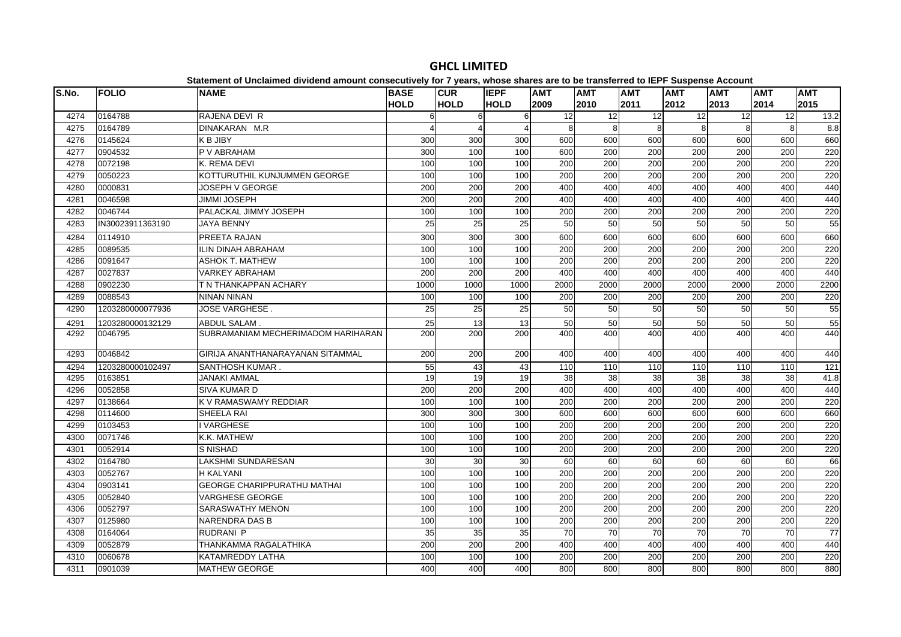| S.No. | <b>FOLIO</b>     | platomont of onolamiou arriaona amount concooutriory for Figuarcy mnoco charge are<br><b>NAME</b> | <b>BASE</b> | <b>CUR</b>              | <b>IEPF</b> | <b>AMT</b>       | <b>AMT</b>       | <b>AMT</b>       | $- -$<br><b>AMT</b> | <b>AMT</b> | <b>AMT</b> | <b>AMT</b>      |
|-------|------------------|---------------------------------------------------------------------------------------------------|-------------|-------------------------|-------------|------------------|------------------|------------------|---------------------|------------|------------|-----------------|
|       |                  |                                                                                                   | <b>HOLD</b> | <b>HOLD</b>             | <b>HOLD</b> | 2009             | 2010             | 2011             | 2012                | 2013       | 2014       | 2015            |
| 4274  | 0164788          | RAJENA DEVI R                                                                                     | 6           | 6                       | 6           | 12               | 12               | 12               | 12                  | 12         | 12         | 13.2            |
| 4275  | 0164789          | DINAKARAN M.R                                                                                     |             | $\overline{\mathbf{A}}$ |             | 8                | $\mathsf{R}$     | 8                | 8                   | 8          | 8          | 8.8             |
| 4276  | 0145624          | K B JIBY                                                                                          | 300         | 300                     | 300         | 600              | 600              | 600              | 600                 | 600        | 600        | 660             |
| 4277  | 0904532          | P V ABRAHAM                                                                                       | 300         | 100                     | 100         | 600              | 200              | 200              | 200                 | 200        | 200        | 220             |
| 4278  | 0072198          | K. REMA DEVI                                                                                      | 100         | 100                     | 100         | 200              | 200              | 200              | 200                 | 200        | 200        | 220             |
| 4279  | 0050223          | KOTTURUTHIL KUNJUMMEN GEORGE                                                                      | 100         | 100                     | 100         | $\overline{200}$ | $\overline{200}$ | $\overline{200}$ | $\overline{200}$    | 200        | 200        | 220             |
| 4280  | 0000831          | JOSEPH V GEORGE                                                                                   | 200         | 200                     | 200         | 400              | 400              | 400              | 400                 | 400        | 400        | 440             |
| 4281  | 0046598          | <b>JIMMI JOSEPH</b>                                                                               | 200         | 200                     | 200         | 400              | 400              | 400              | 400                 | 400        | 400        | 440             |
| 4282  | 0046744          | PALACKAL JIMMY JOSEPH                                                                             | 100         | 100                     | 100         | 200              | 200              | 200              | 200                 | 200        | 200        | 220             |
| 4283  | IN30023911363190 | <b>JAYA BENNY</b>                                                                                 | 25          | 25                      | 25          | 50               | 50               | 50               | 50                  | 50         | 50         | 55              |
| 4284  | 0114910          | PREETA RAJAN                                                                                      | 300         | 300                     | 300         | 600              | 600              | 600              | 600                 | 600        | 600        | 660             |
| 4285  | 0089535          | <b>ILIN DINAH ABRAHAM</b>                                                                         | 100         | 100                     | 100         | 200              | 200              | 200              | 200                 | 200        | 200        | 220             |
| 4286  | 0091647          | <b>ASHOK T. MATHEW</b>                                                                            | 100         | 100                     | 100         | 200              | 200              | 200              | 200                 | 200        | 200        | 220             |
| 4287  | 0027837          | <b>VARKEY ABRAHAM</b>                                                                             | 200         | 200                     | 200         | 400              | 400              | 400              | 400                 | 400        | 400        | 440             |
| 4288  | 0902230          | T N THANKAPPAN ACHARY                                                                             | 1000        | 1000                    | 1000        | 2000             | 2000             | 2000             | 2000                | 2000       | 2000       | 2200            |
| 4289  | 0088543          | <b>NINAN NINAN</b>                                                                                | 100         | 100                     | 100         | 200              | 200              | 200              | 200                 | 200        | 200        | 220             |
| 4290  | 1203280000077936 | <b>JOSE VARGHESE.</b>                                                                             | 25          | 25                      | 25          | 50               | 50               | 50               | 50                  | 50         | 50         | 55              |
| 4291  | 1203280000132129 | ABDUL SALAM.                                                                                      | 25          | 13                      | 13          | 50               | 50               | 50               | 50                  | 50         | 50         | 55              |
| 4292  | 0046795          | SUBRAMANIAM MECHERIMADOM HARIHARAN                                                                | 200         | 200                     | 200         | 400              | 400              | 400              | 400                 | 400        | 400        | 440             |
| 4293  | 0046842          | GIRIJA ANANTHANARAYANAN SITAMMAL                                                                  | 200         | 200                     | 200         | 400              | 400              | 400              | 400                 | 400        | 400        | 440             |
| 4294  | 1203280000102497 | SANTHOSH KUMAR.                                                                                   | 55          | 43                      | 43          | 110              | 110              | 110              | 110                 | 110        | 110        | 121             |
| 4295  | 0163851          | <b>JANAKI AMMAL</b>                                                                               | 19          | 19                      | 19          | 38               | 38               | 38               | 38                  | 38         | 38         | 41.8            |
| 4296  | 0052858          | <b>SIVA KUMAR D</b>                                                                               | 200         | 200                     | 200         | 400              | 400              | 400              | 400                 | 400        | 400        | 440             |
| 4297  | 0138664          | K V RAMASWAMY REDDIAR                                                                             | 100         | 100                     | 100         | 200              | 200              | $\overline{200}$ | 200                 | 200        | 200        | 220             |
| 4298  | 0114600          | SHEELA RAI                                                                                        | 300         | 300                     | 300         | 600              | 600              | 600              | 600                 | 600        | 600        | 660             |
| 4299  | 0103453          | <b>VARGHESE</b>                                                                                   | 100         | 100                     | 100         | 200              | 200              | 200              | 200                 | 200        | 200        | 220             |
| 4300  | 0071746          | K.K. MATHEW                                                                                       | 100         | 100                     | 100         | 200              | 200              | $\overline{200}$ | 200                 | 200        | 200        | 220             |
| 4301  | 0052914          | <b>S NISHAD</b>                                                                                   | 100         | 100                     | 100         | 200              | 200              | 200              | 200                 | 200        | 200        | 220             |
| 4302  | 0164780          | <b>LAKSHMI SUNDARESAN</b>                                                                         | 30          | 30                      | 30          | 60               | 60               | 60               | 60                  | 60         | 60         | 66              |
| 4303  | 0052767          | <b>H KALYANI</b>                                                                                  | 100         | 100                     | 100         | 200              | 200              | 200              | 200                 | 200        | 200        | 220             |
| 4304  | 0903141          | <b>GEORGE CHARIPPURATHU MATHAI</b>                                                                | 100         | 100                     | 100         | 200              | 200              | $\overline{200}$ | $\overline{200}$    | 200        | 200        | 220             |
| 4305  | 0052840          | <b>VARGHESE GEORGE</b>                                                                            | 100         | 100                     | 100         | 200              | 200              | 200              | 200                 | 200        | 200        | 220             |
| 4306  | 0052797          | SARASWATHY MENON                                                                                  | 100         | 100                     | 100         | 200              | 200              | 200              | 200                 | 200        | 200        | 220             |
| 4307  | 0125980          | <b>NARENDRA DAS B</b>                                                                             | 100         | 100                     | 100         | 200              | 200              | 200              | 200                 | 200        | 200        | 220             |
| 4308  | 0164064          | RUDRANI P                                                                                         | 35          | 35                      | 35          | 70               | 70               | $\overline{70}$  | $\overline{70}$     | 70         | 70         | $\overline{77}$ |
| 4309  | 0052879          | THANKAMMA RAGALATHIKA                                                                             | 200         | 200                     | 200         | 400              | 400              | 400              | 400                 | 400        | 400        | 440             |
| 4310  | 0060678          | KATAMREDDY LATHA                                                                                  | 100         | 100                     | 100         | 200              | 200              | 200              | 200                 | 200        | 200        | 220             |
| 4311  | 0901039          | <b>MATHEW GEORGE</b>                                                                              | 400         | 400                     | 400         | 800              | 800              | 800              | 800                 | 800        | 800        | 880             |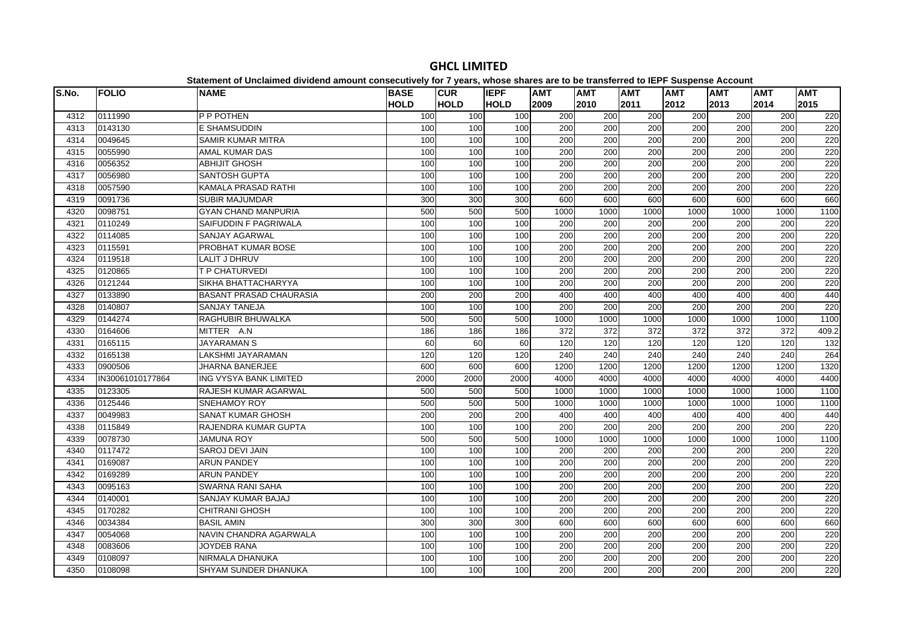| S.No. | <b>FOLIO</b>     | platomont of onolamiou antiuonu amount concooutivoly for Figure, impose onuros are to<br><b>NAME</b> | <b>BASE</b> | <b>CUR</b>  | <b>IEPF</b> | <b>AMT</b>       | .<br><b>AMT</b>  | <b>AMT</b> | $- - -$<br><b>AMT</b> | <b>AMT</b>       | <b>AMT</b>       | <b>AMT</b> |
|-------|------------------|------------------------------------------------------------------------------------------------------|-------------|-------------|-------------|------------------|------------------|------------|-----------------------|------------------|------------------|------------|
|       |                  |                                                                                                      | <b>HOLD</b> | <b>HOLD</b> | <b>HOLD</b> | 2009             | 2010             | 2011       | 2012                  | 2013             | 2014             | 2015       |
| 4312  | 0111990          | <b>P P POTHEN</b>                                                                                    | 100         | 100         | 100         | 200              | 200              | 200        | 200                   | 200              | 200              | 220        |
| 4313  | 0143130          | E SHAMSUDDIN                                                                                         | 100         | 100         | 100         | 200              | 200              | 200        | 200                   | 200              | 200              | 220        |
| 4314  | 0049645          | <b>SAMIR KUMAR MITRA</b>                                                                             | 100         | 100         | 100         | 200              | 200              | 200        | 200                   | 200              | 200              | 220        |
| 4315  | 0055990          | AMAL KUMAR DAS                                                                                       | 100         | 100         | 100         | 200              | 200              | 200        | 200                   | 200              | 200              | 220        |
| 4316  | 0056352          | <b>ABHIJIT GHOSH</b>                                                                                 | 100         | 100         | 100         | 200              | 200              | 200        | 200                   | 200              | 200              | 220        |
| 4317  | 0056980          | <b>SANTOSH GUPTA</b>                                                                                 | 100         | 100         | 100         | $\overline{200}$ | $\overline{200}$ | 200        | 200                   | $\overline{200}$ | 200              | 220        |
| 4318  | 0057590          | KAMALA PRASAD RATHI                                                                                  | 100         | 100         | 100         | 200              | 200              | 200        | 200                   | 200              | 200              | 220        |
| 4319  | 0091736          | SUBIR MAJUMDAR                                                                                       | 300         | 300         | 300         | 600              | 600              | 600        | 600                   | 600              | 600              | 660        |
| 4320  | 0098751          | <b>GYAN CHAND MANPURIA</b>                                                                           | 500         | 500         | 500         | 1000             | 1000             | 1000       | 1000                  | 1000             | 1000             | 1100       |
| 4321  | 0110249          | SAIFUDDIN F PAGRIWALA                                                                                | 100         | 100         | 100         | 200              | 200              | 200        | 200                   | 200              | 200              | 220        |
| 4322  | 0114085          | SANJAY AGARWAL                                                                                       | 100         | 100         | 100         | 200              | 200              | 200        | 200                   | 200              | 200              | 220        |
| 4323  | 0115591          | PROBHAT KUMAR BOSE                                                                                   | 100         | 100         | 100         | 200              | 200              | 200        | 200                   | 200              | 200              | 220        |
| 4324  | 0119518          | <b>LALIT J DHRUV</b>                                                                                 | 100         | 100         | 100         | 200              | 200              | 200        | 200                   | 200              | 200              | 220        |
| 4325  | 0120865          | <b>T P CHATURVEDI</b>                                                                                | 100         | 100         | 100         | 200              | 200              | 200        | 200                   | 200              | 200              | 220        |
| 4326  | 0121244          | SIKHA BHATTACHARYYA                                                                                  | 100         | 100         | 100         | 200              | 200              | 200        | 200                   | 200              | 200              | 220        |
| 4327  | 0133890          | <b>BASANT PRASAD CHAURASIA</b>                                                                       | 200         | 200         | 200         | 400              | 400              | 400        | 400                   | 400              | 400              | 440        |
| 4328  | 0140807          | <b>SANJAY TANEJA</b>                                                                                 | 100         | 100         | 100         | 200              | 200              | 200        | 200                   | 200              | 200              | 220        |
| 4329  | 0144274          | RAGHUBIR BHUWALKA                                                                                    | 500         | 500         | 500         | 1000             | 1000             | 1000       | 1000                  | 1000             | 1000             | 1100       |
| 4330  | 0164606          | MITTER A.N                                                                                           | 186         | 186         | 186         | $\overline{372}$ | 372              | 372        | 372                   | 372              | $\overline{372}$ | 409.2      |
| 4331  | 0165115          | <b>JAYARAMAN S</b>                                                                                   | 60          | 60          | 60          | 120              | 120              | 120        | 120                   | 120              | 120              | 132        |
| 4332  | 0165138          | LAKSHMI JAYARAMAN                                                                                    | 120         | 120         | 120         | 240              | 240              | 240        | 240                   | 240              | 240              | 264        |
| 4333  | 0900506          | <b>JHARNA BANERJEE</b>                                                                               | 600         | 600         | 600         | 1200             | 1200             | 1200       | 1200                  | 1200             | 1200             | 1320       |
| 4334  | IN30061010177864 | ING VYSYA BANK LIMITED                                                                               | 2000        | 2000        | 2000        | 4000             | 4000             | 4000       | 4000                  | 4000             | 4000             | 4400       |
| 4335  | 0123305          | RAJESH KUMAR AGARWAL                                                                                 | 500         | 500         | 500         | 1000             | 1000             | 1000       | 1000                  | 1000             | 1000             | 1100       |
| 4336  | 0125446          | <b>SNEHAMOY ROY</b>                                                                                  | 500         | 500         | 500         | 1000             | 1000             | 1000       | 1000                  | 1000             | 1000             | 1100       |
| 4337  | 0049983          | <b>SANAT KUMAR GHOSH</b>                                                                             | 200         | 200         | 200         | 400              | 400              | 400        | 400                   | 400              | 400              | 440        |
| 4338  | 0115849          | RAJENDRA KUMAR GUPTA                                                                                 | 100         | 100         | 100         | 200              | 200              | 200        | 200                   | 200              | $\overline{200}$ | 220        |
| 4339  | 0078730          | <b>JAMUNA ROY</b>                                                                                    | 500         | 500         | 500         | 1000             | 1000             | 1000       | 1000                  | 1000             | 1000             | 1100       |
| 4340  | 0117472          | <b>SAROJ DEVI JAIN</b>                                                                               | 100         | 100         | 100         | 200              | 200              | 200        | 200                   | 200              | 200              | 220        |
| 4341  | 0169087          | <b>ARUN PANDEY</b>                                                                                   | 100         | 100         | 100         | 200              | 200              | 200        | 200                   | 200              | 200              | 220        |
| 4342  | 0169289          | <b>ARUN PANDEY</b>                                                                                   | 100         | 100         | 100         | 200              | 200              | 200        | 200                   | 200              | 200              | 220        |
| 4343  | 0095163          | <b>SWARNA RANI SAHA</b>                                                                              | 100         | 100         | 100         | 200              | $\overline{200}$ | 200        | 200                   | 200              | $\overline{200}$ | 220        |
| 4344  | 0140001          | SANJAY KUMAR BAJAJ                                                                                   | 100         | 100         | 100         | 200              | 200              | 200        | 200                   | 200              | 200              | 220        |
| 4345  | 0170282          | <b>CHITRANI GHOSH</b>                                                                                | 100         | 100         | 100         | 200              | 200              | 200        | 200                   | 200              | 200              | 220        |
| 4346  | 0034384          | <b>BASIL AMIN</b>                                                                                    | 300         | 300         | 300         | 600              | 600              | 600        | 600                   | 600              | 600              | 660        |
| 4347  | 0054068          | NAVIN CHANDRA AGARWALA                                                                               | 100         | 100         | 100         | 200              | 200              | 200        | 200                   | 200              | 200              | 220        |
| 4348  | 0083606          | <b>JOYDEB RANA</b>                                                                                   | 100         | 100         | 100         | 200              | 200              | 200        | 200                   | 200              | 200              | 220        |
| 4349  | 0108097          | NIRMALA DHANUKA                                                                                      | 100         | 100         | 100         | 200              | 200              | 200        | 200                   | 200              | 200              | 220        |
| 4350  | 0108098          | SHYAM SUNDER DHANUKA                                                                                 | 100         | 100         | 100         | 200              | 200              | 200        | 200                   | 200              | 200              | 220        |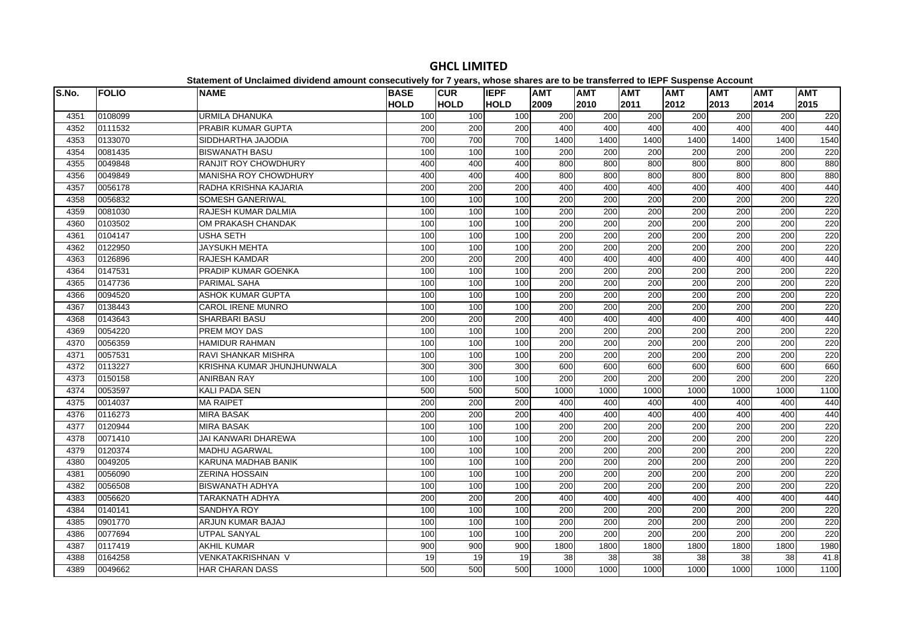| S.No. | <b>FOLIO</b> | <b>NAME</b>                | <b>BASE</b> | <b>CUR</b>  | <b>IEPF</b> | <b>AMT</b>       | <b>AMT</b>       | <b>AMT</b>       | <b>AMT</b>       | <b>AMT</b> | <b>AMT</b> | <b>AMT</b> |
|-------|--------------|----------------------------|-------------|-------------|-------------|------------------|------------------|------------------|------------------|------------|------------|------------|
|       |              |                            | <b>HOLD</b> | <b>HOLD</b> | <b>HOLD</b> | 2009             | 2010             | 2011             | 2012             | 2013       | 2014       | 2015       |
| 4351  | 0108099      | <b>URMILA DHANUKA</b>      | 100         | 100         | 100         | 200              | 200              | 200              | 200              | 200        | 200        | 220        |
| 4352  | 0111532      | PRABIR KUMAR GUPTA         | 200         | 200         | 200         | 400              | 400              | 400              | 400              | 400        | 400        | 440        |
| 4353  | 0133070      | SIDDHARTHA JAJODIA         | 700         | 700         | 700         | 1400             | 1400             | 1400             | 1400             | 1400       | 1400       | 1540       |
| 4354  | 0081435      | <b>BISWANATH BASU</b>      | 100         | 100         | 100         | 200              | 200              | 200              | $\overline{200}$ | 200        | 200        | 220        |
| 4355  | 0049848      | RANJIT ROY CHOWDHURY       | 400         | 400         | 400         | 800              | 800              | 800              | 800              | 800        | 800        | 880        |
| 4356  | 0049849      | MANISHA ROY CHOWDHURY      | 400         | 400         | 400         | 800              | 800              | 800              | 800              | 800        | 800        | 880        |
| 4357  | 0056178      | RADHA KRISHNA KAJARIA      | 200         | 200         | 200         | 400              | 400              | 400              | 400              | 400        | 400        | 440        |
| 4358  | 0056832      | <b>SOMESH GANERIWAL</b>    | 100         | 100         | 100         | 200              | 200              | 200              | 200              | 200        | 200        | 220        |
| 4359  | 0081030      | RAJESH KUMAR DALMIA        | 100         | 100         | 100         | 200              | 200              | 200              | 200              | 200        | 200        | 220        |
| 4360  | 0103502      | OM PRAKASH CHANDAK         | 100         | 100         | 100         | 200              | 200              | 200              | 200              | 200        | 200        | 220        |
| 4361  | 0104147      | <b>USHA SETH</b>           | 100         | 100         | 100         | $\overline{200}$ | $\overline{200}$ | $\overline{200}$ | 200              | 200        | 200        | 220        |
| 4362  | 0122950      | <b>JAYSUKH MEHTA</b>       | 100         | 100         | 100         | 200              | 200              | 200              | 200              | 200        | 200        | 220        |
| 4363  | 0126896      | <b>RAJESH KAMDAR</b>       | 200         | 200         | 200         | 400              | 400              | 400              | 400              | 400        | 400        | 440        |
| 4364  | 0147531      | PRADIP KUMAR GOENKA        | 100         | 100         | 100         | 200              | 200              | 200              | 200              | 200        | 200        | 220        |
| 4365  | 0147736      | <b>PARIMAL SAHA</b>        | 100         | 100         | 100         | 200              | 200              | 200              | $\overline{200}$ | 200        | 200        | 220        |
| 4366  | 0094520      | <b>ASHOK KUMAR GUPTA</b>   | 100         | 100         | 100         | 200              | 200              | 200              | $\overline{200}$ | 200        | 200        | 220        |
| 4367  | 0138443      | <b>CAROL IRENE MUNRO</b>   | 100         | 100         | 100         | 200              | 200              | 200              | 200              | 200        | 200        | 220        |
| 4368  | 0143643      | SHARBARI BASU              | 200         | 200         | 200         | 400              | 400              | 400              | 400              | 400        | 400        | 440        |
| 4369  | 0054220      | PREM MOY DAS               | 100         | 100         | 100         | 200              | 200              | $\overline{200}$ | 200              | 200        | 200        | 220        |
| 4370  | 0056359      | <b>HAMIDUR RAHMAN</b>      | 100         | 100         | 100         | 200              | 200              | 200              | $\overline{200}$ | 200        | 200        | 220        |
| 4371  | 0057531      | RAVI SHANKAR MISHRA        | 100         | 100         | 100         | 200              | 200              | 200              | 200              | 200        | 200        | 220        |
| 4372  | 0113227      | KRISHNA KUMAR JHUNJHUNWALA | 300         | 300         | 300         | 600              | 600              | 600              | 600              | 600        | 600        | 660        |
| 4373  | 0150158      | <b>ANIRBAN RAY</b>         | 100         | 100         | 100         | 200              | $\overline{200}$ | 200              | $\overline{200}$ | 200        | 200        | 220        |
| 4374  | 0053597      | <b>KALI PADA SEN</b>       | 500         | 500         | 500         | 1000             | 1000             | 1000             | 1000             | 1000       | 1000       | 1100       |
| 4375  | 0014037      | <b>MA RAIPET</b>           | 200         | 200         | 200         | 400              | 400              | 400              | 400              | 400        | 400        | 440        |
| 4376  | 0116273      | <b>MIRA BASAK</b>          | 200         | 200         | 200         | 400              | 400              | 400              | 400              | 400        | 400        | 440        |
| 4377  | 0120944      | <b>MIRA BASAK</b>          | 100         | 100         | 100         | 200              | 200              | $\overline{200}$ | $\overline{200}$ | 200        | 200        | 220        |
| 4378  | 0071410      | JAI KANWARI DHAREWA        | 100         | 100         | 100         | 200              | 200              | $\overline{200}$ | 200              | 200        | 200        | 220        |
| 4379  | 0120374      | <b>MADHU AGARWAL</b>       | 100         | 100         | 100         | 200              | 200              | 200              | 200              | 200        | 200        | 220        |
| 4380  | 0049205      | KARUNA MADHAB BANIK        | 100         | 100         | 100         | 200              | 200              | 200              | 200              | 200        | 200        | 220        |
| 4381  | 0056090      | <b>ZERINA HOSSAIN</b>      | 100         | 100         | 100         | 200              | 200              | 200              | $\overline{200}$ | 200        | 200        | 220        |
| 4382  | 0056508      | <b>BISWANATH ADHYA</b>     | 100         | 100         | 100         | 200              | 200              | 200              | $\overline{200}$ | 200        | 200        | 220        |
| 4383  | 0056620      | TARAKNATH ADHYA            | 200         | 200         | 200         | 400              | 400              | 400              | 400              | 400        | 400        | 440        |
| 4384  | 0140141      | SANDHYA ROY                | 100         | 100         | 100         | 200              | 200              | 200              | 200              | 200        | 200        | 220        |
| 4385  | 0901770      | ARJUN KUMAR BAJAJ          | 100         | 100         | 100         | 200              | 200              | $\overline{200}$ | $\overline{200}$ | 200        | 200        | 220        |
| 4386  | 0077694      | UTPAL SANYAL               | 100         | 100         | 100         | 200              | 200              | 200              | $\overline{200}$ | 200        | 200        | 220        |
| 4387  | 0117419      | <b>AKHIL KUMAR</b>         | 900         | 900         | 900         | 1800             | 1800             | 1800             | 1800             | 1800       | 1800       | 1980       |
| 4388  | 0164258      | VENKATAKRISHNAN V          | 19          | 19          | 19          | 38               | 38               | $\overline{38}$  | 38               | 38         | 38         | 41.8       |
| 4389  | 0049662      | <b>HAR CHARAN DASS</b>     | 500         | 500         | 500         | 1000             | 1000             | 1000             | 1000             | 1000       | 1000       | 1100       |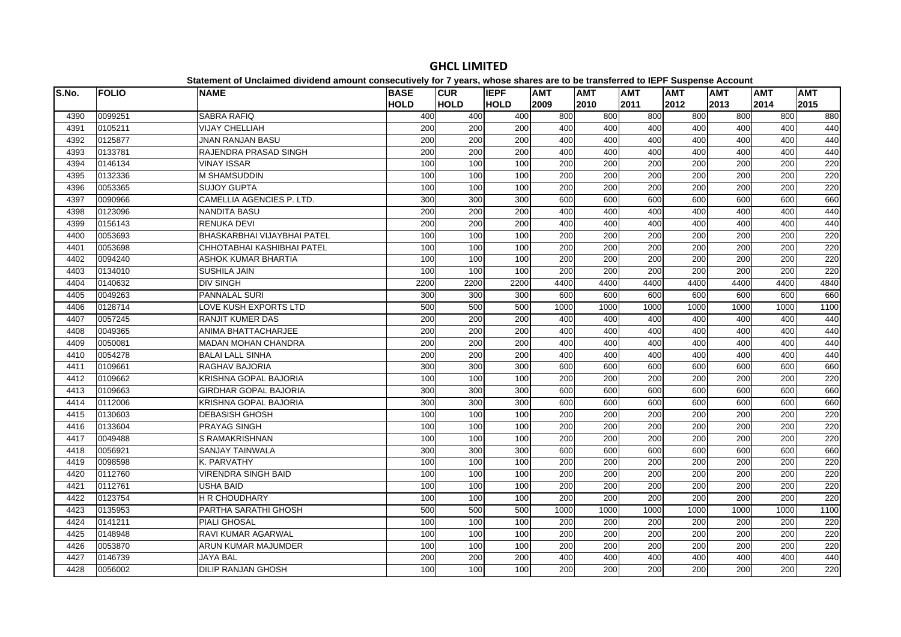| S.No. | <b>FOLIO</b> | platomont or onolalmoa arriaona amoant oonoodatroff for 1 foarof mnooo onaroo aro t<br><b>NAME</b> | <b>BASE</b> | <b>CUR</b>  | <b>IEPF</b> | <b>AMT</b>       | <b>AMT</b>       | <b>AMT</b>       | $- -$<br><b>AMT</b> | <b>AMT</b> | <b>AMT</b> | <b>AMT</b> |
|-------|--------------|----------------------------------------------------------------------------------------------------|-------------|-------------|-------------|------------------|------------------|------------------|---------------------|------------|------------|------------|
|       |              |                                                                                                    | <b>HOLD</b> | <b>HOLD</b> | <b>HOLD</b> | 2009             | 2010             | 2011             | 2012                | 2013       | 2014       | 2015       |
| 4390  | 0099251      | <b>SABRA RAFIQ</b>                                                                                 | 400         | 400         | 400         | 800              | 800              | 800              | 800                 | 800        | 800        | 880        |
| 4391  | 0105211      | <b>VIJAY CHELLIAH</b>                                                                              | 200         | 200         | 200         | 400              | 400              | 400              | 400                 | 400        | 400        | 440        |
| 4392  | 0125877      | <b>JNAN RANJAN BASU</b>                                                                            | 200         | 200         | 200         | 400              | 400              | 400              | 400                 | 400        | 400        | 440        |
| 4393  | 0133781      | RAJENDRA PRASAD SINGH                                                                              | 200         | 200         | 200         | 400              | 400              | 400              | 400                 | 400        | 400        | 440        |
| 4394  | 0146134      | <b>VINAY ISSAR</b>                                                                                 | 100         | 100         | 100         | 200              | 200              | 200              | 200                 | 200        | 200        | 220        |
| 4395  | 0132336      | <b>M SHAMSUDDIN</b>                                                                                | 100         | 100         | 100         | 200              | 200              | 200              | 200                 | 200        | 200        | 220        |
| 4396  | 0053365      | <b>SUJOY GUPTA</b>                                                                                 | 100         | 100         | 100         | 200              | 200              | 200              | 200                 | 200        | 200        | 220        |
| 4397  | 0090966      | CAMELLIA AGENCIES P. LTD.                                                                          | 300         | 300         | 300         | 600              | 600              | 600              | 600                 | 600        | 600        | 660        |
| 4398  | 0123096      | <b>NANDITA BASU</b>                                                                                | 200         | 200         | 200         | 400              | 400              | 400              | 400                 | 400        | 400        | 440        |
| 4399  | 0156143      | <b>RENUKA DEVI</b>                                                                                 | 200         | 200         | 200         | 400              | 400              | 400              | 400                 | 400        | 400        | 440        |
| 4400  | 0053693      | BHASKARBHAI VIJAYBHAI PATEL                                                                        | 100         | 100         | 100         | 200              | 200              | 200              | 200                 | 200        | 200        | 220        |
| 4401  | 0053698      | CHHOTABHAI KASHIBHAI PATEL                                                                         | 100         | 100         | 100         | 200              | 200              | 200              | 200                 | 200        | 200        | 220        |
| 4402  | 0094240      | ASHOK KUMAR BHARTIA                                                                                | 100         | 100         | 100         | 200              | 200              | 200              | 200                 | 200        | 200        | 220        |
| 4403  | 0134010      | <b>SUSHILA JAIN</b>                                                                                | 100         | 100         | 100         | $\overline{200}$ | $\overline{200}$ | $\overline{200}$ | 200                 | 200        | 200        | 220        |
| 4404  | 0140632      | <b>DIV SINGH</b>                                                                                   | 2200        | 2200        | 2200        | 4400             | 4400             | 4400             | 4400                | 4400       | 4400       | 4840       |
| 4405  | 0049263      | <b>PANNALAL SURI</b>                                                                               | 300         | 300         | 300         | 600              | 600              | 600              | 600                 | 600        | 600        | 660        |
| 4406  | 0128714      | LOVE KUSH EXPORTS LTD                                                                              | 500         | 500         | 500         | 1000             | 1000             | 1000             | 1000                | 1000       | 1000       | 1100       |
| 4407  | 0057245      | <b>RANJIT KUMER DAS</b>                                                                            | 200         | 200         | 200         | 400              | 400              | 400              | 400                 | 400        | 400        | 440        |
| 4408  | 0049365      | ANIMA BHATTACHARJEE                                                                                | 200         | 200         | 200         | 400              | 400              | 400              | 400                 | 400        | 400        | 440        |
| 4409  | 0050081      | <b>MADAN MOHAN CHANDRA</b>                                                                         | 200         | 200         | 200         | 400              | 400              | 400              | 400                 | 400        | 400        | 440        |
| 4410  | 0054278      | <b>BALAI LALL SINHA</b>                                                                            | 200         | 200         | 200         | 400              | 400              | 400              | 400                 | 400        | 400        | 440        |
| 4411  | 0109661      | RAGHAV BAJORIA                                                                                     | 300         | 300         | 300         | 600              | 600              | 600              | 600                 | 600        | 600        | 660        |
| 4412  | 0109662      | <b>KRISHNA GOPAL BAJORIA</b>                                                                       | 100         | 100         | 100         | 200              | 200              | 200              | $\overline{200}$    | 200        | 200        | 220        |
| 4413  | 0109663      | <b>GIRDHAR GOPAL BAJORIA</b>                                                                       | 300         | 300         | 300         | 600              | 600              | 600              | 600                 | 600        | 600        | 660        |
| 4414  | 0112006      | <b>KRISHNA GOPAL BAJORIA</b>                                                                       | 300         | 300         | 300         | 600              | 600              | 600              | 600                 | 600        | 600        | 660        |
| 4415  | 0130603      | <b>DEBASISH GHOSH</b>                                                                              | 100         | 100         | 100         | 200              | 200              | 200              | 200                 | 200        | 200        | 220        |
| 4416  | 0133604      | <b>PRAYAG SINGH</b>                                                                                | 100         | 100         | 100         | 200              | 200              | 200              | 200                 | 200        | 200        | 220        |
| 4417  | 0049488      | <b>S RAMAKRISHNAN</b>                                                                              | 100         | 100         | 100         | $\overline{200}$ | 200              | $\overline{200}$ | $\overline{200}$    | 200        | 200        | 220        |
| 4418  | 0056921      | <b>SANJAY TAINWALA</b>                                                                             | 300         | 300         | 300         | 600              | 600              | 600              | 600                 | 600        | 600        | 660        |
| 4419  | 0098598      | K. PARVATHY                                                                                        | 100         | 100         | 100         | 200              | 200              | 200              | 200                 | 200        | 200        | 220        |
| 4420  | 0112760      | <b>VIRENDRA SINGH BAID</b>                                                                         | 100         | 100         | 100         | 200              | 200              | 200              | 200                 | 200        | 200        | 220        |
| 4421  | 0112761      | USHA BAID                                                                                          | 100         | 100         | 100         | 200              | 200              | 200              | 200                 | 200        | 200        | 220        |
| 4422  | 0123754      | <b>H R CHOUDHARY</b>                                                                               | 100         | 100         | 100         | $\overline{200}$ | 200              | $\overline{200}$ | $\overline{200}$    | 200        | 200        | 220        |
| 4423  | 0135953      | PARTHA SARATHI GHOSH                                                                               | 500         | 500         | 500         | 1000             | 1000             | 1000             | 1000                | 1000       | 1000       | 1100       |
| 4424  | 0141211      | <b>PIALI GHOSAL</b>                                                                                | 100         | 100         | 100         | 200              | 200              | 200              | 200                 | 200        | 200        | 220        |
| 4425  | 0148948      | <b>RAVI KUMAR AGARWAL</b>                                                                          | 100         | 100         | 100         | 200              | 200              | 200              | 200                 | 200        | 200        | 220        |
| 4426  | 0053870      | ARUN KUMAR MAJUMDER                                                                                | 100         | 100         | 100         | 200              | 200              | 200              | 200                 | 200        | 200        | 220        |
| 4427  | 0146739      | <b>JAYA BAL</b>                                                                                    | 200         | 200         | 200         | 400              | 400              | 400              | 400                 | 400        | 400        | 440        |
| 4428  | 0056002      | <b>DILIP RANJAN GHOSH</b>                                                                          | 100         | 100         | 100         | 200              | 200              | 200              | 200                 | 200        | 200        | 220        |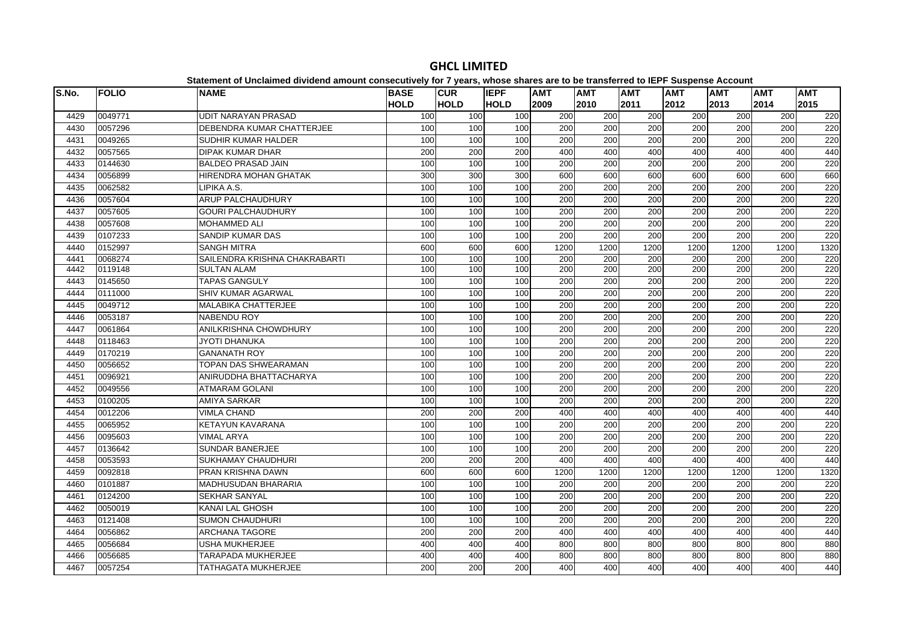| S.No. | <b>FOLIO</b> | <b>NAME</b>                   | <b>BASE</b>      | <b>CUR</b>  | <b>IEPF</b> | <b>AMT</b> | <b>AMT</b>       | <b>AMT</b> | <b>AMT</b>       | <b>AMT</b> | <b>AMT</b> | <b>AMT</b> |
|-------|--------------|-------------------------------|------------------|-------------|-------------|------------|------------------|------------|------------------|------------|------------|------------|
|       |              |                               | <b>HOLD</b>      | <b>HOLD</b> | <b>HOLD</b> | 2009       | 2010             | 2011       | 2012             | 2013       | 2014       | 2015       |
| 4429  | 0049771      | <b>UDIT NARAYAN PRASAD</b>    | 100              | 100         | 100         | 200        | 200              | 200        | 200              | 200        | 200        | 220        |
| 4430  | 0057296      | DEBENDRA KUMAR CHATTERJEE     | 100              | 100         | 100         | 200        | 200              | 200        | 200              | 200        | 200        | 220        |
| 4431  | 0049265      | <b>SUDHIR KUMAR HALDER</b>    | 100              | 100         | 100         | 200        | 200              | 200        | 200              | 200        | 200        | 220        |
| 4432  | 0057565      | <b>DIPAK KUMAR DHAR</b>       | 200              | 200         | 200         | 400        | 400              | 400        | 400              | 400        | 400        | 440        |
| 4433  | 0144630      | <b>BALDEO PRASAD JAIN</b>     | 100              | 100         | 100         | 200        | 200              | 200        | 200              | 200        | 200        | 220        |
| 4434  | 0056899      | <b>HIRENDRA MOHAN GHATAK</b>  | $\overline{300}$ | 300         | 300         | 600        | 600              | 600        | 600              | 600        | 600        | 660        |
| 4435  | 0062582      | LIPIKA A.S.                   | 100              | 100         | 100         | 200        | 200              | 200        | 200              | 200        | 200        | 220        |
| 4436  | 0057604      | ARUP PALCHAUDHURY             | 100              | 100         | 100         | 200        | 200              | 200        | 200              | 200        | 200        | 220        |
| 4437  | 0057605      | <b>GOURI PALCHAUDHURY</b>     | 100              | 100         | 100         | 200        | 200              | 200        | 200              | 200        | 200        | 220        |
| 4438  | 0057608      | <b>MOHAMMED ALI</b>           | 100              | 100         | 100         | 200        | 200              | 200        | 200              | 200        | 200        | 220        |
| 4439  | 0107233      | SANDIP KUMAR DAS              | 100              | 100         | 100         | 200        | 200              | 200        | 200              | 200        | 200        | 220        |
| 4440  | 0152997      | <b>SANGH MITRA</b>            | 600              | 600         | 600         | 1200       | 1200             | 1200       | 1200             | 1200       | 1200       | 1320       |
| 4441  | 0068274      | SAILENDRA KRISHNA CHAKRABARTI | 100              | 100         | 100         | 200        | 200              | 200        | 200              | 200        | 200        | 220        |
| 4442  | 0119148      | <b>SULTAN ALAM</b>            | 100              | 100         | 100         | 200        | 200              | 200        | 200              | 200        | 200        | 220        |
| 4443  | 0145650      | <b>TAPAS GANGULY</b>          | 100              | 100         | 100         | 200        | 200              | 200        | 200              | 200        | 200        | 220        |
| 4444  | 0111000      | <b>SHIV KUMAR AGARWAL</b>     | 100              | 100         | 100         | 200        | $\overline{200}$ | 200        | $\overline{200}$ | 200        | 200        | 220        |
| 4445  | 0049712      | <b>MALABIKA CHATTERJEE</b>    | 100              | 100         | 100         | 200        | 200              | 200        | 200              | 200        | 200        | 220        |
| 4446  | 0053187      | <b>NABENDU ROY</b>            | 100              | 100         | 100         | 200        | 200              | 200        | 200              | 200        | 200        | 220        |
| 4447  | 0061864      | ANILKRISHNA CHOWDHURY         | 100              | 100         | 100         | 200        | 200              | 200        | 200              | 200        | 200        | 220        |
| 4448  | 0118463      | <b>JYOTI DHANUKA</b>          | 100              | 100         | 100         | 200        | 200              | 200        | 200              | 200        | 200        | 220        |
| 4449  | 0170219      | <b>GANANATH ROY</b>           | 100              | 100         | 100         | 200        | 200              | 200        | 200              | 200        | 200        | 220        |
| 4450  | 0056652      | TOPAN DAS SHWEARAMAN          | 100              | 100         | 100         | 200        | $\overline{200}$ | 200        | 200              | 200        | 200        | 220        |
| 4451  | 0096921      | ANIRUDDHA BHATTACHARYA        | 100              | 100         | 100         | 200        | 200              | 200        | 200              | 200        | 200        | 220        |
| 4452  | 0049556      | <b>ATMARAM GOLANI</b>         | 100              | 100         | 100         | 200        | 200              | 200        | 200              | 200        | 200        | 220        |
| 4453  | 0100205      | AMIYA SARKAR                  | 100              | 100         | 100         | 200        | $\overline{200}$ | 200        | 200              | 200        | 200        | 220        |
| 4454  | 0012206      | <b>VIMLA CHAND</b>            | 200              | 200         | 200         | 400        | 400              | 400        | 400              | 400        | 400        | 440        |
| 4455  | 0065952      | <b>KETAYUN KAVARANA</b>       | 100              | 100         | 100         | 200        | 200              | 200        | 200              | 200        | 200        | 220        |
| 4456  | 0095603      | <b>VIMAL ARYA</b>             | 100              | 100         | 100         | 200        | 200              | 200        | 200              | 200        | 200        | 220        |
| 4457  | 0136642      | <b>SUNDAR BANERJEE</b>        | 100              | 100         | 100         | 200        | 200              | 200        | $\overline{200}$ | 200        | 200        | 220        |
| 4458  | 0053593      | <b>SUKHAMAY CHAUDHURI</b>     | 200              | 200         | 200         | 400        | 400              | 400        | 400              | 400        | 400        | 440        |
| 4459  | 0092818      | PRAN KRISHNA DAWN             | 600              | 600         | 600         | 1200       | 1200             | 1200       | 1200             | 1200       | 1200       | 1320       |
| 4460  | 0101887      | <b>MADHUSUDAN BHARARIA</b>    | 100              | 100         | 100         | 200        | 200              | 200        | 200              | 200        | 200        | 220        |
| 4461  | 0124200      | <b>SEKHAR SANYAL</b>          | 100              | 100         | 100         | 200        | 200              | 200        | 200              | 200        | 200        | 220        |
| 4462  | 0050019      | <b>KANAI LAL GHOSH</b>        | 100              | 100         | 100         | 200        | 200              | 200        | 200              | 200        | 200        | 220        |
| 4463  | 0121408      | <b>SUMON CHAUDHURI</b>        | 100              | 100         | 100         | 200        | 200              | 200        | 200              | 200        | 200        | 220        |
| 4464  | 0056862      | <b>ARCHANA TAGORE</b>         | 200              | 200         | 200         | 400        | 400              | 400        | 400              | 400        | 400        | 440        |
| 4465  | 0056684      | <b>USHA MUKHERJEE</b>         | 400              | 400         | 400         | 800        | 800              | 800        | 800              | 800        | 800        | 880        |
| 4466  | 0056685      | TARAPADA MUKHERJEE            | 400              | 400         | 400         | 800        | 800              | 800        | 800              | 800        | 800        | 880        |
| 4467  | 0057254      | TATHAGATA MUKHERJEE           | 200              | 200         | 200         | 400        | 400              | 400        | 400              | 400        | 400        | 440        |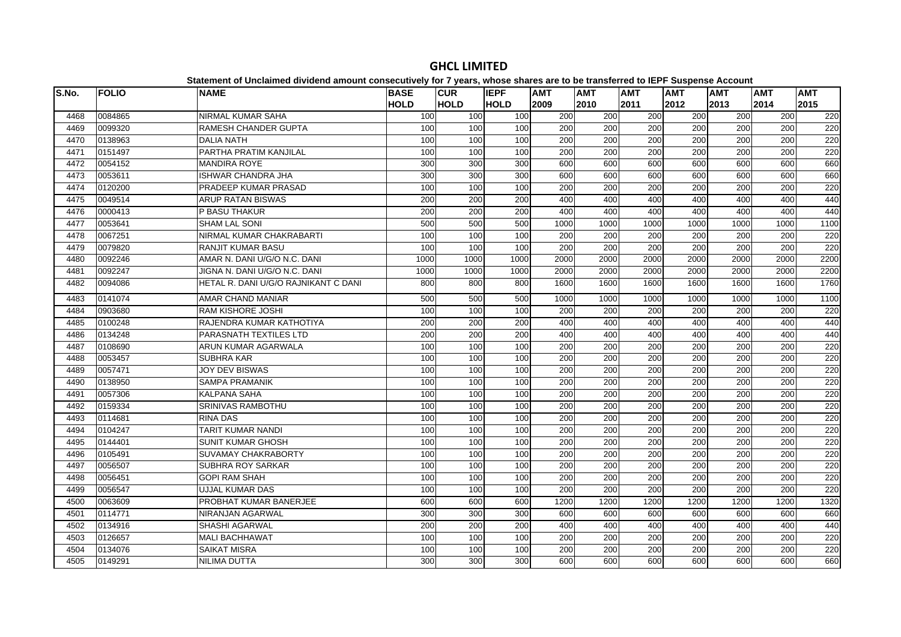| S.No. | <b>FOLIO</b> | <b>NAME</b>                          | <b>BASE</b>      | <b>CUR</b>  | <b>IEPF</b> | <b>AMT</b>       | <b>AMT</b> | <b>AMT</b> | $-$<br><b>AMT</b> | <b>AMT</b>       | <b>AMT</b> | <b>AMT</b> |
|-------|--------------|--------------------------------------|------------------|-------------|-------------|------------------|------------|------------|-------------------|------------------|------------|------------|
|       |              |                                      | <b>HOLD</b>      | <b>HOLD</b> | <b>HOLD</b> | 2009             | 2010       | 2011       | 2012              | 2013             | 2014       | 2015       |
| 4468  | 0084865      | <b>NIRMAL KUMAR SAHA</b>             | 100              | 100         | 100         | 200              | 200        | 200        | 200               | 200              | 200        | 220        |
| 4469  | 0099320      | <b>RAMESH CHANDER GUPTA</b>          | 100              | 100         | 100         | 200              | 200        | 200        | 200               | $\overline{200}$ | 200        | 220        |
| 4470  | 0138963      | <b>DALIA NATH</b>                    | 100              | 100         | 100         | 200              | 200        | 200        | 200               | 200              | 200        | 220        |
| 4471  | 0151497      | <b>PARTHA PRATIM KANJILAL</b>        | 100              | 100         | 100         | 200              | 200        | 200        | $\overline{200}$  | 200              | 200        | 220        |
| 4472  | 0054152      | <b>MANDIRA ROYE</b>                  | 300              | 300         | 300         | 600              | 600        | 600        | 600               | 600              | 600        | 660        |
| 4473  | 0053611      | <b>ISHWAR CHANDRA JHA</b>            | 300              | 300         | 300         | 600              | 600        | 600        | 600               | 600              | 600        | 660        |
| 4474  | 0120200      | PRADEEP KUMAR PRASAD                 | 100              | 100         | 100         | 200              | 200        | 200        | 200               | 200              | 200        | 220        |
| 4475  | 0049514      | <b>ARUP RATAN BISWAS</b>             | 200              | 200         | 200         | 400              | 400        | 400        | 400               | 400              | 400        | 440        |
| 4476  | 0000413      | <b>P BASU THAKUR</b>                 | 200              | 200         | 200         | 400              | 400        | 400        | 400               | 400              | 400        | 440        |
| 4477  | 0053641      | <b>SHAM LAL SONI</b>                 | 500              | 500         | 500         | 1000             | 1000       | 1000       | 1000              | 1000             | 1000       | 1100       |
| 4478  | 0067251      | NIRMAL KUMAR CHAKRABARTI             | 100              | 100         | 100         | 200              | 200        | 200        | 200               | 200              | 200        | 220        |
| 4479  | 0079820      | <b>RANJIT KUMAR BASU</b>             | 100              | 100         | 100         | 200              | 200        | 200        | 200               | 200              | 200        | 220        |
| 4480  | 0092246      | AMAR N. DANI U/G/O N.C. DANI         | 1000             | 1000        | 1000        | 2000             | 2000       | 2000       | 2000              | 2000             | 2000       | 2200       |
| 4481  | 0092247      | JIGNA N. DANI U/G/O N.C. DANI        | 1000             | 1000        | 1000        | 2000             | 2000       | 2000       | 2000              | 2000             | 2000       | 2200       |
| 4482  | 0094086      | HETAL R. DANI U/G/O RAJNIKANT C DANI | 800              | 800         | 800         | 1600             | 1600       | 1600       | 1600              | 1600             | 1600       | 1760       |
| 4483  | 0141074      | AMAR CHAND MANIAR                    | 500              | 500         | 500         | 1000             | 1000       | 1000       | 1000              | 1000             | 1000       | 1100       |
| 4484  | 0903680      | <b>RAM KISHORE JOSHI</b>             | 100              | 100         | 100         | 200              | 200        | 200        | 200               | $\overline{200}$ | 200        | 220        |
| 4485  | 0100248      | RAJENDRA KUMAR KATHOTIYA             | $\overline{200}$ | 200         | 200         | 400              | 400        | 400        | 400               | 400              | 400        | 440        |
| 4486  | 0134248      | PARASNATH TEXTILES LTD               | 200              | 200         | 200         | 400              | 400        | 400        | 400               | 400              | 400        | 440        |
| 4487  | 0108690      | ARUN KUMAR AGARWALA                  | 100              | 100         | 100         | 200              | 200        | 200        | 200               | 200              | 200        | 220        |
| 4488  | 0053457      | <b>SUBHRA KAR</b>                    | 100              | 100         | 100         | 200              | 200        | 200        | 200               | 200              | 200        | 220        |
| 4489  | 0057471      | <b>JOY DEV BISWAS</b>                | 100              | 100         | 100         | 200              | 200        | 200        | 200               | $\overline{200}$ | 200        | 220        |
| 4490  | 0138950      | <b>SAMPA PRAMANIK</b>                | 100              | 100         | 100         | 200              | 200        | 200        | 200               | 200              | 200        | 220        |
| 4491  | 0057306      | <b>KALPANA SAHA</b>                  | 100              | 100         | 100         | 200              | 200        | 200        | 200               | 200              | 200        | 220        |
| 4492  | 0159334      | SRINIVAS RAMBOTHU                    | 100              | 100         | 100         | 200              | 200        | 200        | 200               | 200              | 200        | 220        |
| 4493  | 0114681      | <b>RINA DAS</b>                      | 100              | 100         | 100         | 200              | 200        | 200        | $\overline{200}$  | 200              | 200        | 220        |
| 4494  | 0104247      | <b>TARIT KUMAR NANDI</b>             | 100              | 100         | 100         | 200              | 200        | 200        | 200               | 200              | 200        | 220        |
| 4495  | 0144401      | <b>SUNIT KUMAR GHOSH</b>             | 100              | 100         | 100         | 200              | 200        | 200        | $\overline{200}$  | 200              | 200        | 220        |
| 4496  | 0105491      | SUVAMAY CHAKRABORTY                  | 100              | 100         | 100         | $\overline{200}$ | 200        | 200        | 200               | $\overline{200}$ | 200        | 220        |
| 4497  | 0056507      | SUBHRA ROY SARKAR                    | 100              | 100         | 100         | 200              | 200        | 200        | 200               | 200              | 200        | 220        |
| 4498  | 0056451      | <b>GOPI RAM SHAH</b>                 | 100              | 100         | 100         | 200              | 200        | 200        | 200               | 200              | 200        | 220        |
| 4499  | 0056547      | <b>UJJAL KUMAR DAS</b>               | 100              | 100         | 100         | 200              | 200        | 200        | 200               | 200              | 200        | 220        |
| 4500  | 0063609      | PROBHAT KUMAR BANERJEE               | 600              | 600         | 600         | 1200             | 1200       | 1200       | 1200              | 1200             | 1200       | 1320       |
| 4501  | 0114771      | NIRANJAN AGARWAL                     | 300              | 300         | 300         | 600              | 600        | 600        | 600               | 600              | 600        | 660        |
| 4502  | 0134916      | <b>SHASHI AGARWAL</b>                | 200              | 200         | 200         | 400              | 400        | 400        | 400               | 400              | 400        | 440        |
| 4503  | 0126657      | <b>MALI BACHHAWAT</b>                | 100              | 100         | 100         | 200              | 200        | 200        | 200               | 200              | 200        | 220        |
| 4504  | 0134076      | <b>SAIKAT MISRA</b>                  | 100              | 100         | 100         | 200              | 200        | 200        | 200               | 200              | 200        | 220        |
| 4505  | 0149291      | <b>NILIMA DUTTA</b>                  | 300              | 300         | 300         | 600              | 600        | 600        | 600               | 600              | 600        | 660        |
|       |              |                                      |                  |             |             |                  |            |            |                   |                  |            |            |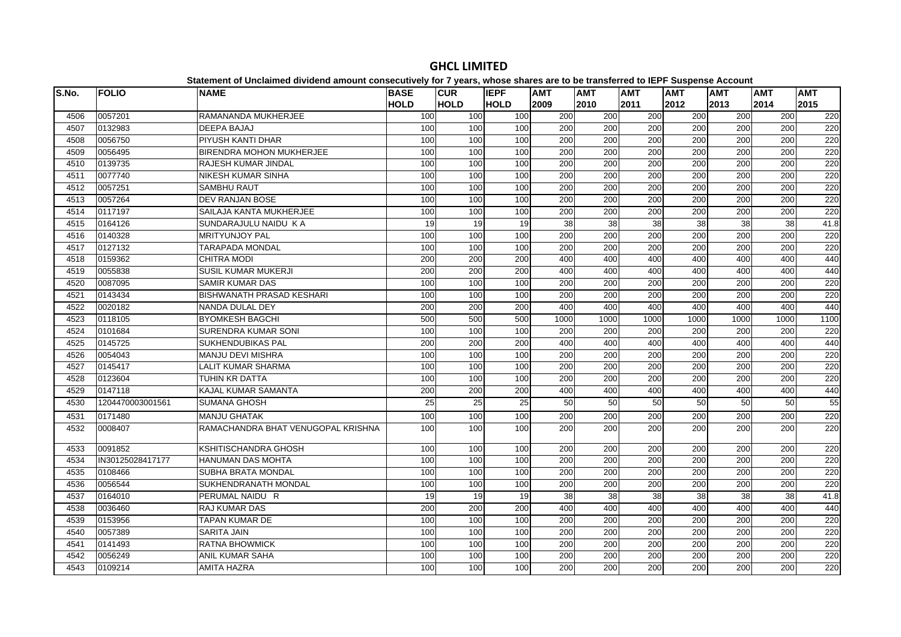| S.No. | <b>FOLIO</b>     | platomont of onoralmoa arriaona amount oonoodatroff for Ffourof hnood onaroo aro t<br><b>NAME</b> | <b>BASE</b>     | <b>CUR</b>  | <b>IEPF</b>     | <b>AMT</b> | <b>AMT</b>       | <b>AMT</b>       | $- -$<br><b>AMT</b> | <b>AMT</b> | <b>AMT</b> | <b>AMT</b> |
|-------|------------------|---------------------------------------------------------------------------------------------------|-----------------|-------------|-----------------|------------|------------------|------------------|---------------------|------------|------------|------------|
|       |                  |                                                                                                   | <b>HOLD</b>     | <b>HOLD</b> | <b>HOLD</b>     | 2009       | 2010             | 2011             | 2012                | 2013       | 2014       | 2015       |
| 4506  | 0057201          | RAMANANDA MUKHERJEE                                                                               | 100             | 100         | 100             | 200        | 200              | 200              | 200                 | 200        | 200        | 220        |
| 4507  | 0132983          | <b>DEEPA BAJAJ</b>                                                                                | 100             | 100         | 100             | 200        | $\overline{200}$ | 200              | $\overline{200}$    | 200        | 200        | 220        |
| 4508  | 0056750          | <b>PIYUSH KANTI DHAR</b>                                                                          | 100             | 100         | 100             | 200        | 200              | 200              | 200                 | 200        | 200        | 220        |
| 4509  | 0056495          | BIRENDRA MOHON MUKHERJEE                                                                          | 100             | 100         | 100             | 200        | 200              | 200              | 200                 | 200        | 200        | 220        |
| 4510  | 0139735          | <b>RAJESH KUMAR JINDAL</b>                                                                        | 100             | 100         | 100             | 200        | $\overline{200}$ | $\overline{200}$ | 200                 | 200        | 200        | 220        |
| 4511  | 0077740          | <b>NIKESH KUMAR SINHA</b>                                                                         | 100             | 100         | 100             | 200        | 200              | $\overline{200}$ | 200                 | 200        | 200        | 220        |
| 4512  | 0057251          | <b>SAMBHU RAUT</b>                                                                                | 100             | 100         | 100             | 200        | 200              | 200              | 200                 | 200        | 200        | 220        |
| 4513  | 0057264          | <b>DEV RANJAN BOSE</b>                                                                            | 100             | 100         | 100             | 200        | 200              | 200              | 200                 | 200        | 200        | 220        |
| 4514  | 0117197          | SAILAJA KANTA MUKHERJEE                                                                           | 100             | 100         | 100             | 200        | 200              | 200              | 200                 | 200        | 200        | 220        |
| 4515  | 0164126          | SUNDARAJULU NAIDU KA                                                                              | 19              | 19          | 19              | 38         | 38               | 38               | 38                  | 38         | 38         | 41.8       |
| 4516  | 0140328          | <b>MRITYUNJOY PAL</b>                                                                             | 100             | 100         | 100             | 200        | 200              | 200              | 200                 | 200        | 200        | 220        |
| 4517  | 0127132          | <b>TARAPADA MONDAL</b>                                                                            | 100             | 100         | 100             | 200        | 200              | 200              | 200                 | 200        | 200        | 220        |
| 4518  | 0159362          | <b>CHITRA MODI</b>                                                                                | 200             | 200         | 200             | 400        | 400              | 400              | 400                 | 400        | 400        | 440        |
| 4519  | 0055838          | <b>SUSIL KUMAR MUKERJI</b>                                                                        | 200             | 200         | 200             | 400        | 400              | 400              | 400                 | 400        | 400        | 440        |
| 4520  | 0087095          | <b>SAMIR KUMAR DAS</b>                                                                            | 100             | 100         | 100             | 200        | 200              | 200              | 200                 | 200        | 200        | 220        |
| 4521  | 0143434          | <b>BISHWANATH PRASAD KESHARI</b>                                                                  | 100             | 100         | 100             | 200        | 200              | 200              | 200                 | 200        | 200        | 220        |
| 4522  | 0020182          | NANDA DULAL DEY                                                                                   | 200             | 200         | 200             | 400        | 400              | 400              | 400                 | 400        | 400        | 440        |
| 4523  | 0118105          | <b>BYOMKESH BAGCHI</b>                                                                            | 500             | 500         | 500             | 1000       | 1000             | 1000             | 1000                | 1000       | 1000       | 1100       |
| 4524  | 0101684          | <b>SURENDRA KUMAR SONI</b>                                                                        | 100             | 100         | 100             | 200        | 200              | 200              | 200                 | 200        | 200        | 220        |
| 4525  | 0145725          | SUKHENDUBIKAS PAL                                                                                 | 200             | 200         | 200             | 400        | 400              | 400              | 400                 | 400        | 400        | 440        |
| 4526  | 0054043          | <b>MANJU DEVI MISHRA</b>                                                                          | 100             | 100         | 100             | 200        | 200              | 200              | 200                 | 200        | 200        | 220        |
| 4527  | 0145417          | <b>LALIT KUMAR SHARMA</b>                                                                         | 100             | 100         | 100             | 200        | 200              | 200              | 200                 | 200        | 200        | 220        |
| 4528  | 0123604          | TUHIN KR DATTA                                                                                    | 100             | 100         | 100             | 200        | 200              | 200              | 200                 | 200        | 200        | 220        |
| 4529  | 0147118          | KAJAL KUMAR SAMANTA                                                                               | 200             | 200         | 200             | 400        | 400              | 400              | 400                 | 400        | 400        | 440        |
| 4530  | 1204470003001561 | <b>SUMANA GHOSH</b>                                                                               | 25              | 25          | $\overline{25}$ | 50         | 50               | 50               | 50                  | 50         | 50         | 55         |
| 4531  | 0171480          | <b>MANJU GHATAK</b>                                                                               | 100             | 100         | 100             | 200        | 200              | 200              | 200                 | 200        | 200        | 220        |
| 4532  | 0008407          | RAMACHANDRA BHAT VENUGOPAL KRISHNA                                                                | 100             | 100         | 100             | 200        | 200              | 200              | 200                 | 200        | 200        | 220        |
| 4533  | 0091852          | KSHITISCHANDRA GHOSH                                                                              | 100             | 100         | 100             | 200        | 200              | 200              | 200                 | 200        | 200        | 220        |
| 4534  | IN30125028417177 | <b>HANUMAN DAS MOHTA</b>                                                                          | 100             | 100         | 100             | 200        | 200              | 200              | $\overline{200}$    | 200        | 200        | 220        |
| 4535  | 0108466          | <b>SUBHA BRATA MONDAL</b>                                                                         | 100             | 100         | 100             | 200        | 200              | 200              | 200                 | 200        | 200        | 220        |
| 4536  | 0056544          | SUKHENDRANATH MONDAL                                                                              | 100             | 100         | 100             | 200        | 200              | 200              | 200                 | 200        | 200        | 220        |
| 4537  | 0164010          | PERUMAL NAIDU R                                                                                   | $\overline{19}$ | 19          | 19              | 38         | $\overline{38}$  | 38               | 38                  | 38         | 38         | 41.8       |
| 4538  | 0036460          | <b>RAJ KUMAR DAS</b>                                                                              | 200             | 200         | 200             | 400        | 400              | 400              | 400                 | 400        | 400        | 440        |
| 4539  | 0153956          | <b>TAPAN KUMAR DE</b>                                                                             | 100             | 100         | 100             | 200        | 200              | 200              | 200                 | 200        | 200        | 220        |
| 4540  | 0057389          | <b>SARITA JAIN</b>                                                                                | 100             | 100         | 100             | 200        | 200              | $\overline{200}$ | $\overline{200}$    | 200        | 200        | 220        |
| 4541  | 0141493          | <b>RATNA BHOWMICK</b>                                                                             | 100             | 100         | 100             | 200        | 200              | 200              | 200                 | 200        | 200        | 220        |
| 4542  | 0056249          | <b>ANIL KUMAR SAHA</b>                                                                            | 100             | 100         | 100             | 200        | 200              | 200              | 200                 | 200        | 200        | 220        |
| 4543  | 0109214          | <b>AMITA HAZRA</b>                                                                                | 100             | 100         | 100             | 200        | $\overline{200}$ | 200              | 200                 | 200        | 200        | 220        |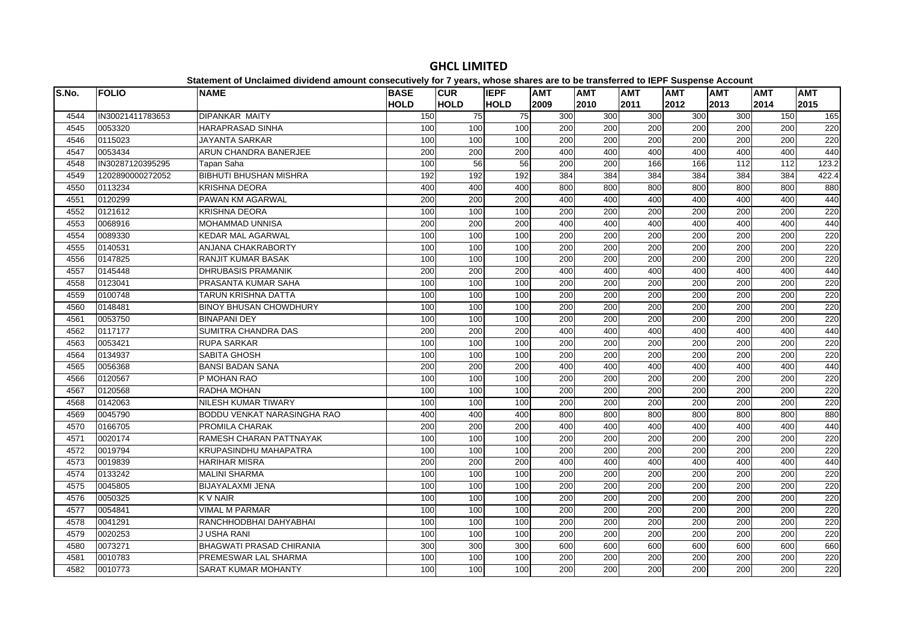| S.No. | <b>FOLIO</b>     | platomont or onolalmoa arriaona amoam concocativoly for r-youroj mnoco charce are t<br><b>NAME</b> | <b>BASE</b>      | <b>CUR</b>       | <b>IEPF</b> | <b>AMT</b>       | .<br><b>AMT</b>  | <b>AMT</b>       | $- -$<br><b>AMT</b> | <b>AMT</b> | <b>AMT</b> | <b>AMT</b> |
|-------|------------------|----------------------------------------------------------------------------------------------------|------------------|------------------|-------------|------------------|------------------|------------------|---------------------|------------|------------|------------|
|       |                  |                                                                                                    | <b>HOLD</b>      | <b>HOLD</b>      | <b>HOLD</b> | 2009             | 2010             | 2011             | 2012                | 2013       | 2014       | 2015       |
| 4544  | IN30021411783653 | DIPANKAR MAITY                                                                                     | 150              | 75               | 75          | 300              | 300              | 300              | 300                 | 300        | 150        | 165        |
| 4545  | 0053320          | <b>HARAPRASAD SINHA</b>                                                                            | 100              | 100              | 100         | 200              | 200              | 200              | 200                 | 200        | 200        | 220        |
| 4546  | 0115023          | <b>JAYANTA SARKAR</b>                                                                              | 100              | 100              | 100         | 200              | 200              | 200              | 200                 | 200        | 200        | 220        |
| 4547  | 0053434          | ARUN CHANDRA BANERJEE                                                                              | 200              | 200              | 200         | 400              | 400              | 400              | 400                 | 400        | 400        | 440        |
| 4548  | IN30287120395295 | Tapan Saha                                                                                         | 100              | 56               | 56          | 200              | 200              | 166              | 166                 | 112        | 112        | 123.2      |
| 4549  | 1202890000272052 | <b>BIBHUTI BHUSHAN MISHRA</b>                                                                      | 192              | 192              | 192         | 384              | 384              | 384              | 384                 | 384        | 384        | 422.4      |
| 4550  | 0113234          | <b>KRISHNA DEORA</b>                                                                               | 400              | 400              | 400         | 800              | 800              | 800              | 800                 | 800        | 800        | 880        |
| 4551  | 0120299          | PAWAN KM AGARWAL                                                                                   | 200              | 200              | 200         | 400              | 400              | 400              | 400                 | 400        | 400        | 440        |
| 4552  | 0121612          | <b>KRISHNA DEORA</b>                                                                               | 100              | 100              | 100         | 200              | 200              | 200              | 200                 | 200        | 200        | 220        |
| 4553  | 0068916          | <b>MOHAMMAD UNNISA</b>                                                                             | 200              | 200              | 200         | 400              | 400              | 400              | 400                 | 400        | 400        | 440        |
| 4554  | 0089330          | <b>KEDAR MAL AGARWAL</b>                                                                           | 100              | 100              | 100         | 200              | 200              | 200              | 200                 | 200        | 200        | 220        |
| 4555  | 0140531          | ANJANA CHAKRABORTY                                                                                 | 100              | 100              | 100         | 200              | 200              | 200              | 200                 | 200        | 200        | 220        |
| 4556  | 0147825          | <b>RANJIT KUMAR BASAK</b>                                                                          | 100              | 100              | 100         | 200              | 200              | 200              | 200                 | 200        | 200        | 220        |
| 4557  | 0145448          | <b>DHRUBASIS PRAMANIK</b>                                                                          | $\overline{200}$ | $\overline{200}$ | 200         | 400              | 400              | 400              | 400                 | 400        | 400        | 440        |
| 4558  | 0123041          | PRASANTA KUMAR SAHA                                                                                | 100              | 100              | 100         | 200              | 200              | 200              | $\overline{200}$    | 200        | 200        | 220        |
| 4559  | 0100748          | TARUN KRISHNA DATTA                                                                                | 100              | 100              | 100         | 200              | 200              | 200              | 200                 | 200        | 200        | 220        |
| 4560  | 0148481          | <b>BINOY BHUSAN CHOWDHURY</b>                                                                      | 100              | 100              | 100         | 200              | 200              | 200              | 200                 | 200        | 200        | 220        |
| 4561  | 0053750          | <b>BINAPANI DEY</b>                                                                                | 100              | 100              | 100         | 200              | 200              | 200              | 200                 | 200        | 200        | 220        |
| 4562  | 0117177          | SUMITRA CHANDRA DAS                                                                                | 200              | 200              | 200         | 400              | 400              | 400              | 400                 | 400        | 400        | 440        |
| 4563  | 0053421          | <b>RUPA SARKAR</b>                                                                                 | 100              | 100              | 100         | 200              | 200              | $\overline{200}$ | $\overline{200}$    | 200        | 200        | 220        |
| 4564  | 0134937          | SABITA GHOSH                                                                                       | 100              | 100              | 100         | 200              | 200              | 200              | 200                 | 200        | 200        | 220        |
| 4565  | 0056368          | <b>BANSI BADAN SANA</b>                                                                            | 200              | 200              | 200         | 400              | 400              | 400              | 400                 | 400        | 400        | 440        |
| 4566  | 0120567          | P MOHAN RAO                                                                                        | 100              | 100              | 100         | 200              | 200              | 200              | $\overline{200}$    | 200        | 200        | 220        |
| 4567  | 0120568          | RADHA MOHAN                                                                                        | 100              | 100              | 100         | 200              | 200              | 200              | 200                 | 200        | 200        | 220        |
| 4568  | 0142063          | NILESH KUMAR TIWARY                                                                                | 100              | 100              | 100         | 200              | 200              | 200              | $\overline{200}$    | 200        | 200        | 220        |
| 4569  | 0045790          | BODDU VENKAT NARASINGHA RAO                                                                        | 400              | 400              | 400         | 800              | 800              | 800              | 800                 | 800        | 800        | 880        |
| 4570  | 0166705          | <b>PROMILA CHARAK</b>                                                                              | 200              | 200              | 200         | 400              | 400              | 400              | 400                 | 400        | 400        | 440        |
| 4571  | 0020174          | RAMESH CHARAN PATTNAYAK                                                                            | 100              | 100              | 100         | $\overline{200}$ | 200              | $\overline{200}$ | $\overline{200}$    | 200        | 200        | 220        |
| 4572  | 0019794          | <b>KRUPASINDHU MAHAPATRA</b>                                                                       | 100              | 100              | 100         | 200              | 200              | 200              | 200                 | 200        | 200        | 220        |
| 4573  | 0019839          | <b>HARIHAR MISRA</b>                                                                               | 200              | 200              | 200         | 400              | 400              | 400              | 400                 | 400        | 400        | 440        |
| 4574  | 0133242          | <b>MALINI SHARMA</b>                                                                               | 100              | 100              | 100         | 200              | 200              | 200              | 200                 | 200        | 200        | 220        |
| 4575  | 0045805          | <b>BIJAYALAXMI JENA</b>                                                                            | 100              | 100              | 100         | 200              | 200              | 200              | 200                 | 200        | 200        | 220        |
| 4576  | 0050325          | <b>KVNAIR</b>                                                                                      | 100              | 100              | 100         | $\overline{200}$ | 200              | $\overline{200}$ | 200                 | 200        | 200        | 220        |
| 4577  | 0054841          | <b>VIMAL M PARMAR</b>                                                                              | 100              | 100              | 100         | 200              | 200              | 200              | 200                 | 200        | 200        | 220        |
| 4578  | 0041291          | RANCHHODBHAI DAHYABHAI                                                                             | 100              | 100              | 100         | 200              | 200              | $\overline{200}$ | $\overline{200}$    | 200        | 200        | 220        |
| 4579  | 0020253          | J USHA RANI                                                                                        | 100              | 100              | 100         | 200              | 200              | 200              | 200                 | 200        | 200        | 220        |
| 4580  | 0073271          | <b>BHAGWATI PRASAD CHIRANIA</b>                                                                    | 300              | 300              | 300         | 600              | 600              | 600              | 600                 | 600        | 600        | 660        |
| 4581  | 0010783          | PREMESWAR LAL SHARMA                                                                               | 100              | 100              | 100         | $\overline{200}$ | $\overline{200}$ | $\overline{200}$ | 200                 | 200        | 200        | 220        |
| 4582  | 0010773          | <b>SARAT KUMAR MOHANTY</b>                                                                         | 100              | 100              | 100         | 200              | $\overline{200}$ | 200              | 200                 | 200        | 200        | 220        |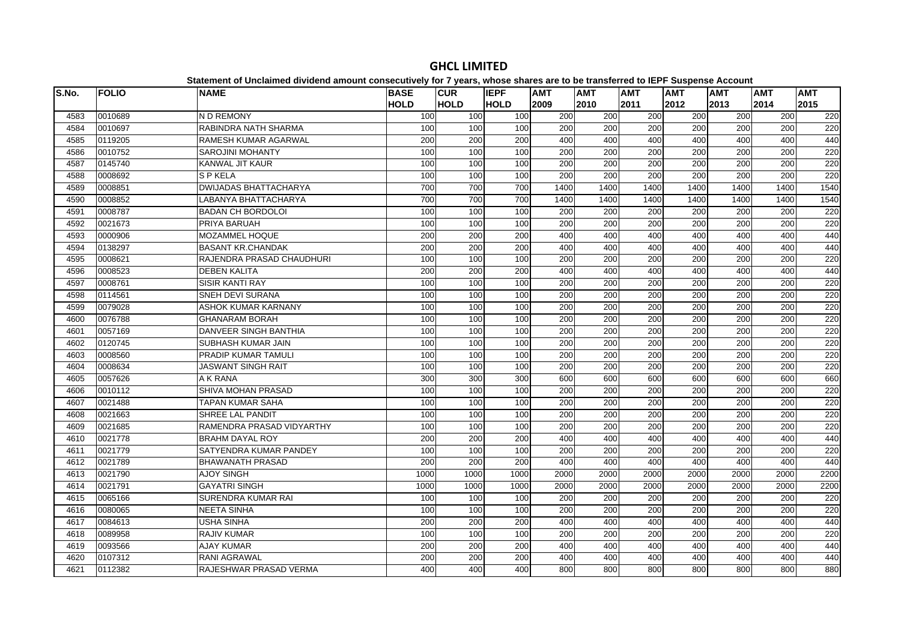| S.No. | <b>FOLIO</b> | <b>NAME</b>                  | <b>BASE</b>      | <b>CUR</b>  | <b>IEPF</b> | <b>AMT</b>       | <b>AMT</b>       | <b>AMT</b>       | <b>AMT</b>       | <b>AMT</b> | <b>AMT</b> | <b>AMT</b> |
|-------|--------------|------------------------------|------------------|-------------|-------------|------------------|------------------|------------------|------------------|------------|------------|------------|
|       |              |                              | <b>HOLD</b>      | <b>HOLD</b> | <b>HOLD</b> | 2009             | 2010             | 2011             | 2012             | 2013       | 2014       | 2015       |
| 4583  | 0010689      | N D REMONY                   | 100              | 100         | 100         | 200              | 200              | 200              | 200              | 200        | 200        | 220        |
| 4584  | 0010697      | RABINDRA NATH SHARMA         | 100              | 100         | 100         | 200              | 200              | 200              | 200              | 200        | 200        | 220        |
| 4585  | 0119205      | <b>RAMESH KUMAR AGARWAL</b>  | 200              | 200         | 200         | 400              | 400              | 400              | 400              | 400        | 400        | 440        |
| 4586  | 0010752      | <b>SAROJINI MOHANTY</b>      | 100              | 100         | 100         | 200              | 200              | 200              | 200              | 200        | 200        | 220        |
| 4587  | 0145740      | <b>KANWAL JIT KAUR</b>       | 100              | 100         | 100         | 200              | 200              | 200              | 200              | 200        | 200        | 220        |
| 4588  | 0008692      | <b>SPKELA</b>                | 100              | 100         | 100         | 200              | 200              | 200              | 200              | 200        | 200        | 220        |
| 4589  | 0008851      | <b>DWIJADAS BHATTACHARYA</b> | 700              | 700         | 700         | 1400             | 1400             | 1400             | 1400             | 1400       | 1400       | 1540       |
| 4590  | 0008852      | LABANYA BHATTACHARYA         | 700              | 700         | 700         | 1400             | 1400             | 1400             | 1400             | 1400       | 1400       | 1540       |
| 4591  | 0008787      | <b>BADAN CH BORDOLOI</b>     | 100              | 100         | 100         | 200              | 200              | 200              | 200              | 200        | 200        | 220        |
| 4592  | 0021673      | PRIYA BARUAH                 | 100              | 100         | 100         | 200              | 200              | 200              | 200              | 200        | 200        | 220        |
| 4593  | 0000906      | MOZAMMEL HOQUE               | 200              | 200         | 200         | 400              | 400              | 400              | 400              | 400        | 400        | 440        |
| 4594  | 0138297      | <b>BASANT KR.CHANDAK</b>     | 200              | 200         | 200         | 400              | 400              | 400              | 400              | 400        | 400        | 440        |
| 4595  | 0008621      | RAJENDRA PRASAD CHAUDHURI    | 100              | 100         | 100         | 200              | 200              | $\overline{200}$ | 200              | 200        | 200        | 220        |
| 4596  | 0008523      | <b>DEBEN KALITA</b>          | 200              | 200         | 200         | 400              | 400              | 400              | 400              | 400        | 400        | 440        |
| 4597  | 0008761      | <b>SISIR KANTI RAY</b>       | 100              | 100         | 100         | 200              | 200              | 200              | 200              | 200        | 200        | 220        |
| 4598  | 0114561      | <b>SNEH DEVI SURANA</b>      | 100              | 100         | 100         | $\overline{200}$ | $\overline{200}$ | 200              | 200              | 200        | 200        | 220        |
| 4599  | 0079028      | <b>ASHOK KUMAR KARNANY</b>   | 100              | 100         | 100         | 200              | 200              | $\overline{200}$ | $\overline{200}$ | 200        | 200        | 220        |
| 4600  | 0076788      | <b>GHANARAM BORAH</b>        | 100              | 100         | 100         | 200              | 200              | 200              | 200              | 200        | 200        | 220        |
| 4601  | 0057169      | DANVEER SINGH BANTHIA        | 100              | 100         | 100         | 200              | 200              | 200              | 200              | 200        | 200        | 220        |
| 4602  | 0120745      | SUBHASH KUMAR JAIN           | 100              | 100         | 100         | 200              | 200              | 200              | 200              | 200        | 200        | 220        |
| 4603  | 0008560      | PRADIP KUMAR TAMULI          | 100              | 100         | 100         | 200              | 200              | 200              | 200              | 200        | 200        | 220        |
| 4604  | 0008634      | JASWANT SINGH RAIT           | 100              | 100         | 100         | 200              | $\overline{200}$ | $\overline{200}$ | 200              | 200        | 200        | 220        |
| 4605  | 0057626      | A K RANA                     | 300              | 300         | 300         | 600              | 600              | 600              | 600              | 600        | 600        | 660        |
| 4606  | 0010112      | SHIVA MOHAN PRASAD           | 100              | 100         | 100         | 200              | 200              | 200              | 200              | 200        | 200        | 220        |
| 4607  | 0021488      | <b>TAPAN KUMAR SAHA</b>      | 100              | 100         | 100         | 200              | 200              | $\overline{200}$ | 200              | 200        | 200        | 220        |
| 4608  | 0021663      | SHREE LAL PANDIT             | 100              | 100         | 100         | 200              | 200              | 200              | 200              | 200        | 200        | 220        |
| 4609  | 0021685      | RAMENDRA PRASAD VIDYARTHY    | 100              | 100         | 100         | 200              | 200              | 200              | 200              | 200        | 200        | 220        |
| 4610  | 0021778      | <b>BRAHM DAYAL ROY</b>       | 200              | 200         | 200         | 400              | 400              | 400              | 400              | 400        | 400        | 440        |
| 4611  | 0021779      | SATYENDRA KUMAR PANDEY       | 100              | 100         | 100         | 200              | 200              | 200              | 200              | 200        | 200        | 220        |
| 4612  | 0021789      | <b>BHAWANATH PRASAD</b>      | 200              | 200         | 200         | 400              | 400              | 400              | 400              | 400        | 400        | 440        |
| 4613  | 0021790      | <b>AJOY SINGH</b>            | 1000             | 1000        | 1000        | 2000             | 2000             | 2000             | 2000             | 2000       | 2000       | 2200       |
| 4614  | 0021791      | <b>GAYATRI SINGH</b>         | 1000             | 1000        | 1000        | 2000             | 2000             | 2000             | 2000             | 2000       | 2000       | 2200       |
| 4615  | 0065166      | SURENDRA KUMAR RAI           | 100              | 100         | 100         | 200              | 200              | 200              | 200              | 200        | 200        | 220        |
| 4616  | 0080065      | <b>NEETA SINHA</b>           | 100              | 100         | 100         | 200              | 200              | 200              | 200              | 200        | 200        | 220        |
| 4617  | 0084613      | <b>USHA SINHA</b>            | 200              | 200         | 200         | 400              | 400              | 400              | 400              | 400        | 400        | 440        |
| 4618  | 0089958      | <b>RAJIV KUMAR</b>           | 100              | 100         | 100         | 200              | 200              | 200              | 200              | 200        | 200        | 220        |
| 4619  | 0093566      | <b>AJAY KUMAR</b>            | 200              | 200         | 200         | 400              | 400              | 400              | 400              | 400        | 400        | 440        |
| 4620  | 0107312      | <b>RANI AGRAWAL</b>          | $\overline{200}$ | 200         | 200         | 400              | 400              | 400              | 400              | 400        | 400        | 440        |
| 4621  | 0112382      | RAJESHWAR PRASAD VERMA       | 400              | 400         | 400         | 800              | 800              | 800              | 800              | 800        | 800        | 880        |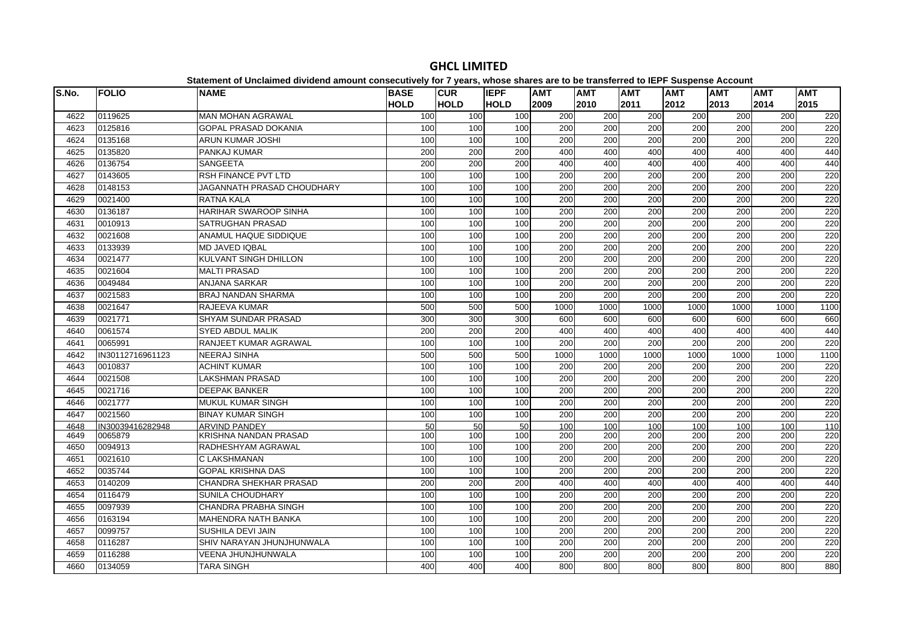| S.No. | <b>FOLIO</b>     | <b>NAME</b>                   | <b>BASE</b> | <b>CUR</b>      | <b>IEPF</b> | <b>AMT</b>       | <b>AMT</b>       | <b>AMT</b>       | <b>AMT</b>       | <b>AMT</b> | <b>AMT</b> | <b>AMT</b> |
|-------|------------------|-------------------------------|-------------|-----------------|-------------|------------------|------------------|------------------|------------------|------------|------------|------------|
|       |                  |                               | <b>HOLD</b> | <b>HOLD</b>     | <b>HOLD</b> | 2009             | 2010             | 2011             | 2012             | 2013       | 2014       | 2015       |
| 4622  | 0119625          | <b>MAN MOHAN AGRAWAL</b>      | 100         | 100             | 100         | 200              | 200              | 200              | 200              | 200        | 200        | 220        |
| 4623  | 0125816          | <b>GOPAL PRASAD DOKANIA</b>   | 100         | 100             | 100         | 200              | 200              | 200              | 200              | 200        | 200        | 220        |
| 4624  | 0135168          | <b>ARUN KUMAR JOSHI</b>       | 100         | 100             | 100         | 200              | 200              | 200              | 200              | 200        | 200        | 220        |
| 4625  | 0135820          | PANKAJ KUMAR                  | 200         | 200             | 200         | 400              | 400              | 400              | 400              | 400        | 400        | 440        |
| 4626  | 0136754          | SANGEETA                      | 200         | 200             | 200         | 400              | 400              | 400              | 400              | 400        | 400        | 440        |
| 4627  | 0143605          | <b>RSH FINANCE PVT LTD</b>    | 100         | 100             | 100         | 200              | $\overline{200}$ | $\overline{200}$ | 200              | 200        | 200        | 220        |
| 4628  | 0148153          | JAGANNATH PRASAD CHOUDHARY    | 100         | 100             | 100         | 200              | 200              | 200              | 200              | 200        | 200        | 220        |
| 4629  | 0021400          | RATNA KALA                    | 100         | 100             | 100         | 200              | 200              | 200              | 200              | 200        | 200        | 220        |
| 4630  | 0136187          | HARIHAR SWAROOP SINHA         | 100         | 100             | 100         | 200              | 200              | 200              | $\overline{200}$ | 200        | 200        | 220        |
| 4631  | 0010913          | <b>SATRUGHAN PRASAD</b>       | 100         | 100             | 100         | 200              | 200              | 200              | 200              | 200        | 200        | 220        |
| 4632  | 0021608          | ANAMUL HAQUE SIDDIQUE         | 100         | 100             | 100         | 200              | 200              | 200              | 200              | 200        | 200        | 220        |
| 4633  | 0133939          | <b>MD JAVED IQBAL</b>         | 100         | 100             | 100         | 200              | 200              | 200              | 200              | 200        | 200        | 220        |
| 4634  | 0021477          | <b>KULVANT SINGH DHILLON</b>  | 100         | 100             | 100         | 200              | 200              | $\overline{200}$ | $\overline{200}$ | 200        | 200        | 220        |
| 4635  | 0021604          | <b>MALTI PRASAD</b>           | 100         | 100             | 100         | 200              | 200              | 200              | 200              | 200        | 200        | 220        |
| 4636  | 0049484          | <b>ANJANA SARKAR</b>          | 100         | 100             | 100         | $\overline{200}$ | $\overline{200}$ | 200              | 200              | 200        | 200        | 220        |
| 4637  | 0021583          | <b>BRAJ NANDAN SHARMA</b>     | 100         | 100             | 100         | 200              | 200              | $\overline{200}$ | $\overline{200}$ | 200        | 200        | 220        |
| 4638  | 0021647          | RAJEEVA KUMAR                 | 500         | 500             | 500         | 1000             | 1000             | 1000             | 1000             | 1000       | 1000       | 1100       |
| 4639  | 0021771          | SHYAM SUNDAR PRASAD           | 300         | 300             | 300         | 600              | 600              | 600              | 600              | 600        | 600        | 660        |
| 4640  | 0061574          | <b>SYED ABDUL MALIK</b>       | 200         | 200             | 200         | 400              | 400              | 400              | 400              | 400        | 400        | 440        |
| 4641  | 0065991          | <b>RANJEET KUMAR AGRAWAL</b>  | 100         | 100             | 100         | $\overline{200}$ | 200              | 200              | $\overline{200}$ | 200        | 200        | 220        |
| 4642  | IN30112716961123 | <b>NEERAJ SINHA</b>           | 500         | 500             | 500         | 1000             | 1000             | 1000             | 1000             | 1000       | 1000       | 1100       |
| 4643  | 0010837          | <b>ACHINT KUMAR</b>           | 100         | 100             | 100         | 200              | 200              | 200              | 200              | 200        | 200        | 220        |
| 4644  | 0021508          | LAKSHMAN PRASAD               | 100         | 100             | 100         | $\overline{200}$ | 200              | $\overline{200}$ | 200              | 200        | 200        | 220        |
| 4645  | 0021716          | <b>DEEPAK BANKER</b>          | 100         | 100             | 100         | 200              | 200              | 200              | 200              | 200        | 200        | 220        |
| 4646  | 0021777          | <b>MUKUL KUMAR SINGH</b>      | 100         | 100             | 100         | $\overline{200}$ | $\overline{200}$ | $\overline{200}$ | $\overline{200}$ | 200        | 200        | 220        |
| 4647  | 0021560          | <b>BINAY KUMAR SINGH</b>      | 100         | 100             | 100         | 200              | 200              | 200              | 200              | 200        | 200        | 220        |
| 4648  | IN30039416282948 | <b>ARVIND PANDEY</b>          | 50          | $\overline{50}$ | 50          | 100              | 100              | 100              | 100              | 100        | 100        | 110        |
| 4649  | 0065879          | KRISHNA NANDAN PRASAD         | 100         | 100             | 100         | 200              | 200              | 200              | 200              | 200        | 200        | 220        |
| 4650  | 0094913          | RADHESHYAM AGRAWAL            | 100         | 100             | 100         | 200              | 200              | 200              | 200              | 200        | 200        | 220        |
| 4651  | 0021610          | C LAKSHMANAN                  | 100         | 100             | 100         | 200              | 200              | $\overline{200}$ | $\overline{200}$ | 200        | 200        | 220        |
| 4652  | 0035744          | <b>GOPAL KRISHNA DAS</b>      | 100         | 100             | 100         | 200              | 200              | 200              | 200              | 200        | 200        | 220        |
| 4653  | 0140209          | <b>CHANDRA SHEKHAR PRASAD</b> | 200         | 200             | 200         | 400              | 400              | 400              | 400              | 400        | 400        | 440        |
| 4654  | 0116479          | <b>SUNILA CHOUDHARY</b>       | 100         | 100             | 100         | 200              | 200              | 200              | 200              | 200        | 200        | 220        |
| 4655  | 0097939          | <b>CHANDRA PRABHA SINGH</b>   | 100         | 100             | 100         | 200              | 200              | 200              | 200              | 200        | 200        | 220        |
| 4656  | 0163194          | <b>MAHENDRA NATH BANKA</b>    | 100         | 100             | 100         | $\overline{200}$ | $\overline{200}$ | $\overline{200}$ | $\overline{200}$ | 200        | 200        | 220        |
| 4657  | 0099757          | SUSHILA DEVI JAIN             | 100         | 100             | 100         | 200              | 200              | 200              | 200              | 200        | 200        | 220        |
| 4658  | 0116287          | SHIV NARAYAN JHUNJHUNWALA     | 100         | 100             | 100         | 200              | 200              | 200              | 200              | 200        | 200        | 220        |
| 4659  | 0116288          | VEENA JHUNJHUNWALA            | 100         | 100             | 100         | 200              | 200              | 200              | 200              | 200        | 200        | 220        |
| 4660  | 0134059          | <b>TARA SINGH</b>             | 400         | 400             | 400         | 800              | 800              | 800              | 800              | 800        | 800        | 880        |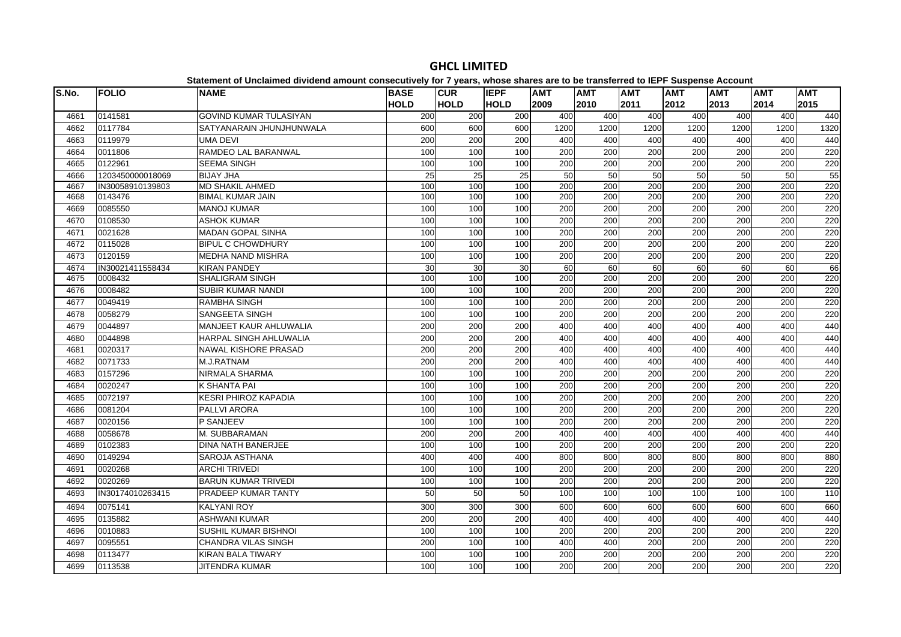| S.No. | <b>FOLIO</b>     | <b>NAME</b>                   | <b>BASE</b> | <b>CUR</b>      | <b>IEPF</b> | <b>AMT</b>       | <b>AMT</b>       | <b>AMT</b>       | <b>AMT</b> | <b>AMT</b> | <b>AMT</b>       | <b>AMT</b> |
|-------|------------------|-------------------------------|-------------|-----------------|-------------|------------------|------------------|------------------|------------|------------|------------------|------------|
|       |                  |                               | <b>HOLD</b> | <b>HOLD</b>     | <b>HOLD</b> | 2009             | 2010             | 2011             | 2012       | 2013       | 2014             | 2015       |
| 4661  | 0141581          | <b>GOVIND KUMAR TULASIYAN</b> | 200         | 200             | 200         | 400              | 400              | 400              | 400        | 400        | 400              | 440        |
| 4662  | 0117784          | SATYANARAIN JHUNJHUNWALA      | 600         | 600             | 600         | 1200             | 1200             | 1200             | 1200       | 1200       | 1200             | 1320       |
| 4663  | 0119979          | <b>UMA DEVI</b>               | 200         | 200             | 200         | 400              | 400              | 400              | 400        | 400        | 400              | 440        |
| 4664  | 0011806          | <b>RAMDEO LAL BARANWAL</b>    | 100         | 100             | 100         | $\overline{200}$ | $\overline{200}$ | $\overline{200}$ | 200        | 200        | $\overline{200}$ | 220        |
| 4665  | 0122961          | <b>SEEMA SINGH</b>            | 100         | 100             | 100         | 200              | 200              | 200              | 200        | 200        | 200              | 220        |
| 4666  | 1203450000018069 | <b>BIJAY JHA</b>              | 25          | $\overline{25}$ | 25          | 50               | 50               | 50               | 50         | 50         | 50               | 55         |
| 4667  | IN30058910139803 | <b>MD SHAKIL AHMED</b>        | 100         | 100             | 100         | 200              | 200              | 200              | 200        | 200        | 200              | 220        |
| 4668  | 0143476          | <b>BIMAL KUMAR JAIN</b>       | 100         | 100             | 100         | 200              | 200              | 200              | 200        | 200        | 200              | 220        |
| 4669  | 0085550          | <b>MANOJ KUMAR</b>            | 100         | 100             | 100         | 200              | 200              | 200              | 200        | 200        | 200              | 220        |
| 4670  | 0108530          | <b>ASHOK KUMAR</b>            | 100         | 100             | 100         | 200              | $\overline{200}$ | 200              | 200        | 200        | 200              | 220        |
| 4671  | 0021628          | <b>MADAN GOPAL SINHA</b>      | 100         | 100             | 100         | 200              | 200              | 200              | 200        | 200        | 200              | 220        |
| 4672  | 0115028          | <b>BIPUL C CHOWDHURY</b>      | 100         | 100             | 100         | $\overline{200}$ | 200              | $\overline{200}$ | 200        | 200        | $\overline{200}$ | 220        |
| 4673  | 0120159          | <b>MEDHA NAND MISHRA</b>      | 100         | 100             | 100         | 200              | 200              | 200              | 200        | 200        | 200              | 220        |
| 4674  | IN30021411558434 | <b>KIRAN PANDEY</b>           | 30          | 30              | 30          | 60               | 60               | 60               | 60         | 60         | 60               | 66         |
| 4675  | 0008432          | <b>SHALIGRAM SINGH</b>        | 100         | 100             | 100         | 200              | 200              | 200              | 200        | 200        | 200              | 220        |
| 4676  | 0008482          | SUBIR KUMAR NANDI             | 100         | 100             | 100         | 200              | 200              | 200              | 200        | 200        | 200              | 220        |
| 4677  | 0049419          | <b>RAMBHA SINGH</b>           | 100         | 100             | 100         | 200              | $\overline{200}$ | 200              | 200        | 200        | 200              | 220        |
| 4678  | 0058279          | SANGEETA SINGH                | 100         | 100             | 100         | 200              | 200              | 200              | 200        | 200        | 200              | 220        |
| 4679  | 0044897          | MANJEET KAUR AHLUWALIA        | 200         | 200             | 200         | 400              | 400              | 400              | 400        | 400        | 400              | 440        |
| 4680  | 0044898          | <b>HARPAL SINGH AHLUWALIA</b> | 200         | 200             | 200         | 400              | 400              | 400              | 400        | 400        | 400              | 440        |
| 4681  | 0020317          | NAWAL KISHORE PRASAD          | 200         | 200             | 200         | 400              | 400              | 400              | 400        | 400        | 400              | 440        |
| 4682  | 0071733          | M.J.RATNAM                    | 200         | 200             | 200         | 400              | 400              | 400              | 400        | 400        | 400              | 440        |
| 4683  | 0157296          | NIRMALA SHARMA                | 100         | 100             | 100         | 200              | $\overline{200}$ | 200              | 200        | 200        | 200              | 220        |
| 4684  | 0020247          | K SHANTA PAI                  | 100         | 100             | 100         | 200              | 200              | 200              | 200        | 200        | 200              | 220        |
| 4685  | 0072197          | <b>KESRI PHIROZ KAPADIA</b>   | 100         | 100             | 100         | 200              | 200              | 200              | 200        | 200        | 200              | 220        |
| 4686  | 0081204          | PALLVI ARORA                  | 100         | 100             | 100         | 200              | 200              | 200              | 200        | 200        | 200              | 220        |
| 4687  | 0020156          | P SANJEEV                     | 100         | 100             | 100         | 200              | 200              | 200              | 200        | 200        | 200              | 220        |
| 4688  | 0058678          | M. SUBBARAMAN                 | 200         | 200             | 200         | 400              | 400              | 400              | 400        | 400        | 400              | 440        |
| 4689  | 0102383          | <b>DINA NATH BANERJEE</b>     | 100         | 100             | 100         | 200              | 200              | 200              | 200        | 200        | 200              | 220        |
| 4690  | 0149294          | SAROJA ASTHANA                | 400         | 400             | 400         | 800              | 800              | 800              | 800        | 800        | 800              | 880        |
| 4691  | 0020268          | <b>ARCHI TRIVEDI</b>          | 100         | 100             | 100         | 200              | $\overline{200}$ | 200              | 200        | 200        | 200              | 220        |
| 4692  | 0020269          | <b>BARUN KUMAR TRIVEDI</b>    | 100         | 100             | 100         | 200              | 200              | 200              | 200        | 200        | 200              | 220        |
| 4693  | IN30174010263415 | PRADEEP KUMAR TANTY           | 50          | 50              | 50          | 100              | 100              | 100              | 100        | 100        | 100              | 110        |
| 4694  | 0075141          | <b>KALYANI ROY</b>            | 300         | 300             | 300         | 600              | 600              | 600              | 600        | 600        | 600              | 660        |
| 4695  | 0135882          | <b>ASHWANI KUMAR</b>          | 200         | 200             | 200         | 400              | 400              | 400              | 400        | 400        | 400              | 440        |
| 4696  | 0010883          | <b>SUSHIL KUMAR BISHNOI</b>   | 100         | 100             | 100         | 200              | 200              | 200              | 200        | 200        | 200              | 220        |
| 4697  | 0095551          | <b>CHANDRA VILAS SINGH</b>    | 200         | 100             | 100         | 400              | 400              | $\overline{200}$ | 200        | 200        | $\overline{200}$ | 220        |
| 4698  | 0113477          | <b>KIRAN BALA TIWARY</b>      | 100         | 100             | 100         | 200              | 200              | 200              | 200        | 200        | 200              | 220        |
| 4699  | 0113538          | <b>JITENDRA KUMAR</b>         | 100         | 100             | 100         | 200              | 200              | 200              | 200        | 200        | 200              | 220        |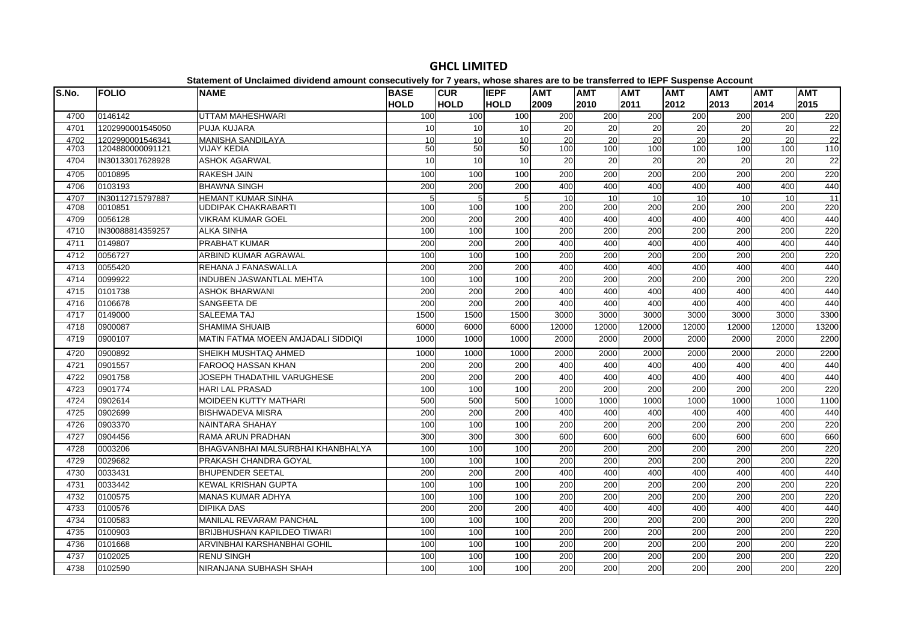|       |                  | Unanimon or Unividimoa dividona amount consociativoj tor il yours, whose shares are to be transicrica to iEFT Ousponse Account |                            |                           |                            |                    |                    |                    |                    |                    |                    |                    |
|-------|------------------|--------------------------------------------------------------------------------------------------------------------------------|----------------------------|---------------------------|----------------------------|--------------------|--------------------|--------------------|--------------------|--------------------|--------------------|--------------------|
| S.No. | <b>FOLIO</b>     | <b>NAME</b>                                                                                                                    | <b>BASE</b><br><b>HOLD</b> | <b>CUR</b><br><b>HOLD</b> | <b>IEPF</b><br><b>HOLD</b> | <b>AMT</b><br>2009 | <b>AMT</b><br>2010 | <b>AMT</b><br>2011 | <b>AMT</b><br>2012 | <b>AMT</b><br>2013 | <b>AMT</b><br>2014 | <b>AMT</b><br>2015 |
| 4700  | 0146142          | UTTAM MAHESHWARI                                                                                                               | 100                        | 100                       | 100                        | 200                | 200                | 200                | 200                | 200                | 200                | 220                |
| 4701  | 1202990001545050 | <b>PUJA KUJARA</b>                                                                                                             | 10                         | 10                        | 10                         | 20                 | 20                 | $\overline{20}$    | 20                 | 20                 | 20                 | $\overline{22}$    |
| 4702  | 1202990001546341 | <b>MANISHA SANDILAYA</b>                                                                                                       | 10                         | 10                        | 10                         | 20                 | 20                 | $\overline{20}$    | 20                 | 20                 | 20                 | 22                 |
| 4703  | 1204880000091121 | <b>VIJAY KEDIA</b>                                                                                                             | 50                         | 50                        | 50                         | 100                | 100                | 100                | 100                | 100                | 100                | 110                |
| 4704  | IN30133017628928 | <b>ASHOK AGARWAL</b>                                                                                                           | 10                         | 10                        | 10                         | 20                 | $\overline{20}$    | 20                 | $\overline{20}$    | 20                 | 20                 | 22                 |
| 4705  | 0010895          | <b>RAKESH JAIN</b>                                                                                                             | 100                        | 100                       | 100                        | $\overline{200}$   | $\overline{200}$   | $\overline{200}$   | $\overline{200}$   | 200                | 200                | 220                |
| 4706  | 0103193          | <b>BHAWNA SINGH</b>                                                                                                            | 200                        | 200                       | 200                        | 400                | 400                | 400                | 400                | 400                | 400                | 440                |
| 4707  | IN30112715797887 | <b>HEMANT KUMAR SINHA</b>                                                                                                      | 5                          | 5                         | 5 <sup>1</sup>             | 10                 | 10                 | 10                 | 10                 | 10                 | 10                 | 11                 |
| 4708  | 0010851          | UDDIPAK CHAKRABARTI                                                                                                            | 100                        | 100                       | 100                        | 200                | 200                | 200                | 200                | 200                | 200                | 220                |
| 4709  | 0056128          | <b>VIKRAM KUMAR GOEL</b>                                                                                                       | 200                        | 200                       | 200                        | 400                | 400                | 400                | 400                | 400                | 400                | 440                |
| 4710  | IN30088814359257 | <b>ALKA SINHA</b>                                                                                                              | 100                        | 100                       | 100                        | 200                | 200                | 200                | 200                | 200                | 200                | 220                |
| 4711  | 0149807          | <b>PRABHAT KUMAR</b>                                                                                                           | 200                        | 200                       | 200                        | 400                | 400                | 400                | 400                | 400                | 400                | 440                |
| 4712  | 0056727          | ARBIND KUMAR AGRAWAL                                                                                                           | 100                        | 100                       | 100                        | 200                | 200                | 200                | 200                | 200                | 200                | 220                |
| 4713  | 0055420          | REHANA J FANASWALLA                                                                                                            | 200                        | 200                       | 200                        | 400                | 400                | 400                | 400                | 400                | 400                | 440                |
| 4714  | 0099922          | INDUBEN JASWANTLAL MEHTA                                                                                                       | 100                        | 100                       | 100                        | 200                | 200                | 200                | 200                | 200                | 200                | 220                |
| 4715  | 0101738          | <b>ASHOK BHARWANI</b>                                                                                                          | 200                        | $\overline{200}$          | 200                        | 400                | 400                | 400                | 400                | 400                | 400                | 440                |
| 4716  | 0106678          | SANGEETA DE                                                                                                                    | 200                        | 200                       | 200                        | 400                | 400                | 400                | 400                | 400                | 400                | 440                |
| 4717  | 0149000          | <b>SALEEMA TAJ</b>                                                                                                             | 1500                       | 1500                      | 1500                       | 3000               | 3000               | 3000               | 3000               | 3000               | 3000               | 3300               |
| 4718  | 0900087          | <b>SHAMIMA SHUAIB</b>                                                                                                          | 6000                       | 6000                      | 6000                       | 12000              | 12000              | 12000              | 12000              | 12000              | 12000              | 13200              |
| 4719  | 0900107          | <b>MATIN FATMA MOEEN AMJADALI SIDDIQI</b>                                                                                      | 1000                       | 1000                      | 1000                       | 2000               | 2000               | 2000               | 2000               | 2000               | 2000               | 2200               |
| 4720  | 0900892          | SHEIKH MUSHTAQ AHMED                                                                                                           | 1000                       | 1000                      | 1000                       | 2000               | 2000               | 2000               | 2000               | 2000               | 2000               | 2200               |
| 4721  | 0901557          | FAROOQ HASSAN KHAN                                                                                                             | 200                        | 200                       | 200                        | 400                | 400                | 400                | 400                | 400                | 400                | 440                |
| 4722  | 0901758          | JOSEPH THADATHIL VARUGHESE                                                                                                     | 200                        | 200                       | 200                        | 400                | 400                | 400                | 400                | 400                | 400                | 440                |
| 4723  | 0901774          | <b>HARI LAL PRASAD</b>                                                                                                         | 100                        | 100                       | 100                        | $\overline{200}$   | 200                | $\overline{200}$   | 200                | 200                | 200                | 220                |
| 4724  | 0902614          | <b>MOIDEEN KUTTY MATHARI</b>                                                                                                   | 500                        | 500                       | 500                        | 1000               | 1000               | 1000               | 1000               | 1000               | 1000               | 1100               |
| 4725  | 0902699          | <b>BISHWADEVA MISRA</b>                                                                                                        | 200                        | 200                       | 200                        | 400                | 400                | 400                | 400                | 400                | 400                | 440                |
| 4726  | 0903370          | NAINTARA SHAHAY                                                                                                                | 100                        | 100                       | 100                        | 200                | 200                | 200                | 200                | 200                | 200                | 220                |
| 4727  | 0904456          | RAMA ARUN PRADHAN                                                                                                              | 300                        | 300                       | 300                        | 600                | 600                | 600                | 600                | 600                | 600                | 660                |
| 4728  | 0003206          | BHAGVANBHAI MALSURBHAI KHANBHALYA                                                                                              | 100                        | 100                       | 100                        | 200                | 200                | 200                | 200                | 200                | 200                | 220                |
| 4729  | 0029682          | PRAKASH CHANDRA GOYAL                                                                                                          | 100                        | 100                       | 100                        | 200                | 200                | 200                | 200                | 200                | 200                | 220                |
| 4730  | 0033431          | <b>BHUPENDER SEETAL</b>                                                                                                        | 200                        | 200                       | 200                        | 400                | 400                | 400                | 400                | 400                | 400                | 440                |
| 4731  | 0033442          | KEWAL KRISHAN GUPTA                                                                                                            | 100                        | 100                       | 100                        | 200                | $\overline{200}$   | $\overline{200}$   | $\overline{200}$   | 200                | 200                | 220                |
| 4732  | 0100575          | <b>MANAS KUMAR ADHYA</b>                                                                                                       | 100                        | 100                       | 100                        | 200                | 200                | 200                | 200                | 200                | 200                | 220                |
| 4733  | 0100576          | <b>DIPIKA DAS</b>                                                                                                              | 200                        | 200                       | 200                        | 400                | 400                | 400                | 400                | 40 <sub>C</sub>    | 400                | 440                |
| 4734  | 0100583          | <b>MANILAL REVARAM PANCHAL</b>                                                                                                 | 100                        | 100                       | 100                        | 200                | 200                | 200                | 200                | 200                | 200                | 220                |
| 4735  | 0100903          | <b>BRIJBHUSHAN KAPILDEO TIWARI</b>                                                                                             | 100                        | 100                       | 100                        | 200                | 200                | 200                | $\overline{200}$   | 200                | 200                | 220                |
| 4736  | 0101668          | ARVINBHAI KARSHANBHAI GOHIL                                                                                                    | 100                        | 100                       | 100                        | 200                | 200                | 200                | 200                | 200                | 200                | 220                |
| 4737  | 0102025          | <b>RENU SINGH</b>                                                                                                              | 100                        | 100                       | 100                        | 200                | 200                | 200                | 200                | 200                | 200                | 220                |
| 4738  | 0102590          | NIRANJANA SUBHASH SHAH                                                                                                         | 100                        | 100                       | 100                        | 200                | 200                | $\overline{200}$   | $\overline{200}$   | 200                | 200                | 220                |